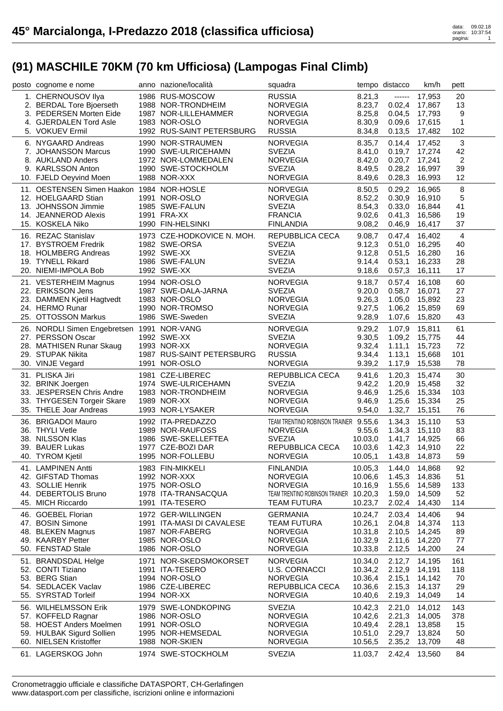| posto cognome e nome                       | anno nazione/località      | squadra                                |         | tempo distacco | km/h   | pett           |  |
|--------------------------------------------|----------------------------|----------------------------------------|---------|----------------|--------|----------------|--|
| 1. CHERNOUSOV Ilya                         | 1986 RUS-MOSCOW            | <b>RUSSIA</b>                          | 8.21,3  | ------         | 17,953 | 20             |  |
| 2. BERDAL Tore Bjoerseth                   | 1988 NOR-TRONDHEIM         | <b>NORVEGIA</b>                        | 8.23,7  | 0.02,4         | 17,867 | 13             |  |
| 3. PEDERSEN Morten Eide                    | 1987 NOR-LILLEHAMMER       | <b>NORVEGIA</b>                        | 8.25,8  | 0.04,5         | 17,793 | 9              |  |
| 4. GJERDALEN Tord Asle                     | 1983 NOR-OSLO              | <b>NORVEGIA</b>                        | 8.30,9  | 0.09,6         | 17,615 | 1              |  |
| 5. VOKUEV Ermil                            | 1992 RUS-SAINT PETERSBURG  | <b>RUSSIA</b>                          | 8.34,8  | 0.13,5         | 17,482 | 102            |  |
| 6. NYGAARD Andreas                         | 1990 NOR-STRAUMEN          | <b>NORVEGIA</b>                        | 8.35,7  | 0.14,4         | 17,452 | 3              |  |
| 7. JOHANSSON Marcus                        | 1990 SWE-ULRICEHAMN        | <b>SVEZIA</b>                          | 8.41,0  | 0.19,7         | 17,274 | 42             |  |
| 8. AUKLAND Anders                          | 1972 NOR-LOMMEDALEN        | <b>NORVEGIA</b>                        | 8.42,0  | 0.20,7         | 17,241 | $\overline{2}$ |  |
| 9. KARLSSON Anton                          | 1990 SWE-STOCKHOLM         | <b>SVEZIA</b>                          | 8.49,5  | 0.28,2         | 16,997 | 39             |  |
| 10. FJELD Oeyvind Moen                     | 1988 NOR-XXX               | <b>NORVEGIA</b>                        | 8.49,6  | 0.28,3         | 16,993 | 12             |  |
| 11. OESTENSEN Simen Haakon 1984 NOR-HOSLE  |                            | <b>NORVEGIA</b>                        | 8.50,5  | 0.29,2         | 16,965 | 8              |  |
| 12. HOELGAARD Stian                        | 1991 NOR-OSLO              | <b>NORVEGIA</b>                        | 8.52,2  | 0.30,9         | 16.910 | 5              |  |
| 13. JOHNSSON Jimmie                        | 1985 SWE-FALUN             | <b>SVEZIA</b>                          | 8.54,3  | 0.33,0         | 16,844 | 41             |  |
| 14. JEANNEROD Alexis                       | 1991 FRA-XX                | <b>FRANCIA</b>                         | 9.02,6  | 0.41,3         | 16,586 | 19             |  |
| 15. KOSKELA Niko                           | 1990 FIN-HELSINKI          | <b>FINLANDIA</b>                       | 9.08,2  | 0.46,9         | 16,417 | 37             |  |
| 16. REZAC Stanislav                        | 1973 CZE-HODKOVICE N. MOH. | REPUBBLICA CECA                        | 9.08,7  | 0.47,4         | 16,402 | $\overline{4}$ |  |
| 17. BYSTROEM Fredrik                       | 1982 SWE-ORSA              | <b>SVEZIA</b>                          | 9.12,3  | 0.51,0         | 16,295 | 40             |  |
| 18. HOLMBERG Andreas                       | 1992 SWE-XX                | <b>SVEZIA</b>                          | 9.12,8  | 0.51,5         | 16,280 | 16             |  |
| 19. TYNELL Rikard                          | 1986 SWE-FALUN             | <b>SVEZIA</b>                          | 9.14,4  | 0.53,1         | 16,233 | 28             |  |
| 20. NIEMI-IMPOLA Bob                       | 1992 SWE-XX                | <b>SVEZIA</b>                          | 9.18,6  | 0.57,3         | 16,111 | 17             |  |
| 21. VESTERHEIM Magnus                      | 1994 NOR-OSLO              | <b>NORVEGIA</b>                        | 9.18,7  | 0.57,4         | 16,108 | 60             |  |
| 22. ERIKSSON Jens                          | 1987 SWE-DALA-JARNA        | <b>SVEZIA</b>                          | 9.20,0  | 0.58,7         | 16,071 | 27             |  |
| 23. DAMMEN Kjetil Hagtvedt                 | 1983 NOR-OSLO              | <b>NORVEGIA</b>                        | 9.26,3  | 1.05,0         | 15,892 | 23             |  |
| 24. HERMO Runar                            | 1990 NOR-TROMSO            | <b>NORVEGIA</b>                        | 9.27,5  | 1.06,2         | 15,859 | 69             |  |
| 25. OTTOSSON Markus                        | 1986 SWE-Sweden            | <b>SVEZIA</b>                          | 9.28,9  | 1.07,6         | 15,820 | 43             |  |
| 26. NORDLI Simen Engebretsen 1991 NOR-VANG |                            | <b>NORVEGIA</b>                        | 9.29,2  | 1.07,9         | 15,811 | 61             |  |
| 27. PERSSON Oscar                          | 1992 SWE-XX                | <b>SVEZIA</b>                          | 9.30,5  | 1.09,2         | 15,775 | 44             |  |
| 28. MATHISEN Runar Skaug                   | 1993 NOR-XX                | <b>NORVEGIA</b>                        | 9.32,4  | 1.11,1         | 15,723 | 72             |  |
| 29. STUPAK Nikita                          | 1987 RUS-SAINT PETERSBURG  | <b>RUSSIA</b>                          | 9.34,4  | 1.13,1         | 15,668 | 101            |  |
| 30. VINJE Vegard                           | 1991 NOR-OSLO              | <b>NORVEGIA</b>                        | 9.39,2  | 1.17,9         | 15,538 | 78             |  |
| 31. PLISKA Jiri                            | 1981 CZE-LIBEREC           | REPUBBLICA CECA                        | 9.41,6  | 1.20,3         | 15,474 | 30             |  |
| 32. BRINK Joergen                          | 1974 SWE-ULRICEHAMN        | <b>SVEZIA</b>                          | 9.42,2  | 1.20,9         | 15,458 | 32             |  |
| 33. JESPERSEN Chris Andre                  | 1983 NOR-TRONDHEIM         | <b>NORVEGIA</b>                        | 9.46,9  | 1.25,6         | 15,334 | 103            |  |
| 33. THYGESEN Torgeir Skare                 | 1989 NOR-XX                | <b>NORVEGIA</b>                        | 9.46,9  | 1.25,6         | 15,334 | 25             |  |
| 35. THELE Joar Andreas                     | 1993 NOR-LYSAKER           | <b>NORVEGIA</b>                        | 9.54,0  | 1.32,7         | 15,151 | 76             |  |
| 36. BRIGADOI Mauro                         | 1992 ITA-PREDAZZO          | TEAM TRENTINO ROBINSON TRAINER 9.55,6  |         | 1.34,3         | 15,110 | 53             |  |
| 36. THYLI Vetle                            | 1989 NOR-RAUFOSS           | <b>NORVEGIA</b>                        | 9.55,6  | 1.34,3         | 15,110 | 83             |  |
| 38. NILSSON Klas                           | 1986 SWE-SKELLEFTEA        | <b>SVEZIA</b>                          | 10.03,0 | 1.41,7         | 14,925 | 66             |  |
| 39. BAUER Lukas                            | 1977 CZE-BOZI DAR          | REPUBBLICA CECA                        | 10.03,6 | 1.42,3         | 14,910 | 22             |  |
| 40. TYROM Kjetil                           | 1995 NOR-FOLLEBU           | <b>NORVEGIA</b>                        | 10.05,1 | 1.43,8 14,873  |        | 59             |  |
| 41. LAMPINEN Antti                         | 1983 FIN-MIKKELI           | <b>FINLANDIA</b>                       | 10.05,3 | 1.44,0         | 14,868 | 92             |  |
| 42. GIFSTAD Thomas                         | 1992 NOR-XXX               | <b>NORVEGIA</b>                        | 10.06,6 | 1.45,3         | 14,836 | 51             |  |
| 43. SOLLIE Henrik                          | 1975 NOR-OSLO              | <b>NORVEGIA</b>                        | 10.16,9 | 1.55,6         | 14,589 | 133            |  |
| 44. DEBERTOLIS Bruno                       | 1978 ITA-TRANSACQUA        | TEAM TRENTINO ROBINSON TRAINER 10.20,3 |         | 1.59,0         | 14,509 | 52             |  |
| 45. MICH Riccardo                          | 1991 ITA-TESERO            | <b>TEAM FUTURA</b>                     | 10.23,7 | 2.02,4         | 14,430 | 114            |  |
| 46. GOEBEL Florian                         | 1972 GER-WILLINGEN         | <b>GERMANIA</b>                        | 10.24,7 | 2.03,4         | 14,406 | 94             |  |
| 47. BOSIN Simone                           | 1991 ITA-MASI DI CAVALESE  | <b>TEAM FUTURA</b>                     | 10.26,1 | 2.04,8         | 14,374 | 113            |  |
| 48. BLEKEN Magnus                          | 1987 NOR-FABERG            | <b>NORVEGIA</b>                        | 10.31,8 | 2.10,5         | 14,245 | 89             |  |
| 49. KAARBY Petter                          | 1985 NOR-OSLO              | <b>NORVEGIA</b>                        | 10.32,9 | 2.11,6         | 14,220 | 77             |  |
| 50. FENSTAD Stale                          | 1986 NOR-OSLO              | <b>NORVEGIA</b>                        | 10.33,8 | 2.12,5         | 14,200 | 24             |  |
| 51. BRANDSDAL Helge                        | 1971 NOR-SKEDSMOKORSET     | <b>NORVEGIA</b>                        | 10.34,0 | 2.12,7         | 14,195 | 161            |  |
| 52. CONTI Tiziano                          | 1991 ITA-TESERO            | U.S. CORNACCI                          | 10.34,2 | 2.12,9         | 14,191 | 118            |  |
| 53. BERG Stian                             | 1994 NOR-OSLO              | <b>NORVEGIA</b>                        | 10.36,4 | 2.15,1         | 14,142 | 70             |  |
| 54. SEDLACEK Vaclav                        | 1986 CZE-LIBEREC           | REPUBBLICA CECA                        | 10.36,6 | 2.15,3         | 14,137 | 29             |  |
| 55. SYRSTAD Torleif                        | 1994 NOR-XX                | <b>NORVEGIA</b>                        | 10.40,6 | 2.19,3         | 14,049 | 14             |  |
| 56. WILHELMSSON Erik                       | 1979 SWE-LONDKOPING        | <b>SVEZIA</b>                          | 10.42,3 | 2.21,0         | 14,012 | 143            |  |
| 57. KOFFELD Ragnar                         | 1986 NOR-OSLO              | <b>NORVEGIA</b>                        | 10.42,6 | 2.21,3         | 14,005 | 378            |  |
| 58. HOEST Anders Moelmen                   | 1991 NOR-OSLO              | <b>NORVEGIA</b>                        | 10.49,4 | 2.28,1         | 13,858 | 15             |  |
| 59. HULBAK Sigurd Sollien                  | 1995 NOR-HEMSEDAL          | <b>NORVEGIA</b>                        | 10.51,0 | 2.29,7         | 13,824 | 50             |  |
| 60. NIELSEN Kristoffer                     | 1988 NOR-SKIEN             | <b>NORVEGIA</b>                        | 10.56,5 | 2.35,2         | 13,709 | 48             |  |
| 61. LAGERSKOG John                         | 1974 SWE-STOCKHOLM         | <b>SVEZIA</b>                          | 11.03,7 | 2.42,4         | 13,560 | 84             |  |
|                                            |                            |                                        |         |                |        |                |  |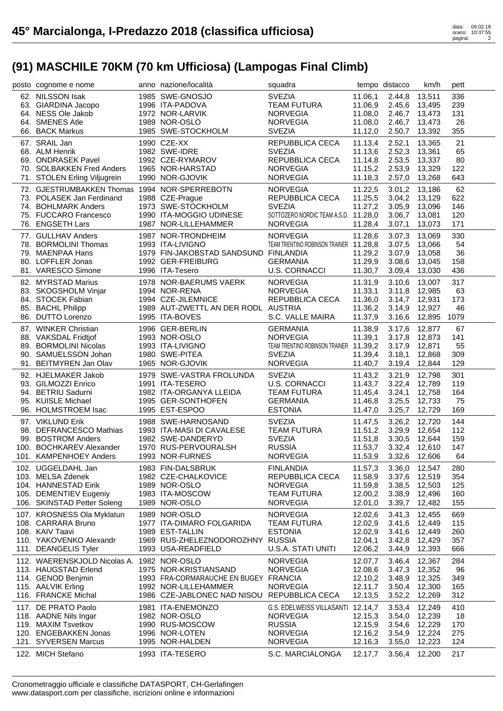| posto cognome e nome                               | anno nazione/località                       | squadra                                |                    | tempo distacco   | km/h                    | pett      |  |
|----------------------------------------------------|---------------------------------------------|----------------------------------------|--------------------|------------------|-------------------------|-----------|--|
| 62. NILSSON Isak                                   | 1985 SWE-GNOSJO                             | <b>SVEZIA</b>                          | 11.06,1            | 2.44,8           | 13,511                  | 336       |  |
| 63. GIARDINA Jacopo                                | 1996 ITA-PADOVA                             | <b>TEAM FUTURA</b>                     | 11.06,9            |                  | 2.45,6 13,495           | 239       |  |
| 64. NESS Ole Jakob                                 | 1972 NOR-LARVIK                             | <b>NORVEGIA</b>                        | 11.08,0            | 2.46,7           | 13,473                  | 131       |  |
| 64. SMENES Atle                                    | 1989 NOR-OSLO                               | <b>NORVEGIA</b>                        | 11.08,0            | 2.46,7           | 13,473                  | 26        |  |
| 66. BACK Markus                                    | 1985 SWE-STOCKHOLM                          | <b>SVEZIA</b>                          | 11.12,0            | 2.50,7           | 13,392                  | 355       |  |
| 67. SRAIL Jan                                      | 1990 CZE-XX                                 | REPUBBLICA CECA                        | 11.13,4            | 2.52,1           | 13,365                  | 21        |  |
| 68. ALM Henrik                                     | 1982 SWE-IDRE                               | <b>SVEZIA</b>                          | 11.13,6            | 2.52,3           | 13,361                  | 65        |  |
| 69. ONDRASEK Pavel                                 | 1992 CZE-RYMAROV                            | REPUBBLICA CECA                        | 11.14,8            | 2.53,5           | 13,337                  | 80        |  |
| 70. SOLBAKKEN Fred Anders                          | 1965 NOR-HARSTAD                            | <b>NORVEGIA</b>                        | 11.15,2            | 2.53,9           | 13,329                  | 122       |  |
| 71. STOLEN Erling Viljugrein                       | 1990 NOR-GJOVIK                             | <b>NORVEGIA</b>                        | 11.18,3            | 2.57,0           | 13,268                  | 643       |  |
| 72. GJESTRUMBAKKEN Thomas 1994 NOR-SPERREBOTN      |                                             |                                        |                    |                  |                         |           |  |
| 73. POLASEK Jan Ferdinand                          | 1988 CZE-Prague                             | <b>NORVEGIA</b>                        | 11.22,5<br>11.25,5 | 3.01,2           | 13.186<br>3.04,2 13,129 | 62<br>622 |  |
| 74. BOHLMARK Anders                                | 1973 SWE-STOCKHOLM                          | REPUBBLICA CECA<br><b>SVEZIA</b>       | 11.27,2            | 3.05,9           | 13,096                  | 146       |  |
| 75. FUCCARO Francesco                              | 1990 ITA-MOGGIO UDINESE                     | SOTTOZERO NORDIC TEAM A.S.D. 11.28,0   |                    | 3.06,7           | 13,081                  | 120       |  |
| 76. ENGSETH Lars                                   | 1987 NOR-LILLEHAMMER                        | <b>NORVEGIA</b>                        | 11.28,4            | 3.07,1           | 13,073                  | 171       |  |
|                                                    |                                             |                                        |                    |                  |                         |           |  |
| 77. GULLHAV Anders                                 | 1987 NOR-TRONDHEIM                          | <b>NORVEGIA</b>                        | 11.28,6            | 3.07,3           | 13,069                  | 330       |  |
| 78. BORMOLINI Thomas                               | 1993 ITA-LIVIGNO                            | TEAM TRENTINO ROBINSON TRAINER 11.28,8 |                    | 3.07,5           | 13,066                  | 54        |  |
| 79. MAENPAA Hans                                   | 1979 FIN-JAKOBSTAD SANDSUND FINLANDIA       |                                        | 11.29,2            | 3.07,9           | 13,058                  | 36        |  |
| 80. LOFFLER Jonas                                  | 1992 GER-FREIBURG                           | <b>GERMANIA</b>                        | 11.29,9            | 3.08,6           | 13,045                  | 158       |  |
| 81. VARESCO Simone                                 | 1996 ITA-Tesero                             | <b>U.S. CORNACCI</b>                   | 11.30,7            | 3.09.4           | 13,030                  | 436       |  |
| 82. MYRSTAD Marius                                 | 1978 NOR-BAERUMS VAERK                      | <b>NORVEGIA</b>                        | 11.31,9            | 3.10,6           | 13,007                  | 317       |  |
| 83. SKOGSHOLM Vinjar                               | 1994 NOR-RENA                               | <b>NORVEGIA</b>                        | 11.33,1            | 3.11,8           | 12,985                  | 63        |  |
| 84. STOCEK Fabian                                  | 1994 CZE-JILEMNICE                          | REPUBBLICA CECA                        | 11.36,0            |                  | 3.14.7 12.931           | 173       |  |
| 85. BACHL Philipp                                  | 1989 AUT-ZWETTL AN DER RODL AUSTRIA         |                                        | 11.36,2            | 3.14,9           | 12,927                  | 46        |  |
| 86. DUTTO Lorenzo                                  | 1995 ITA-BOVES                              | S.C. VALLE MAIRA                       | 11.37,9            | 3.16,6           | 12,895                  | 1079      |  |
| 87. WINKER Christian                               | 1996 GER-BERLIN                             | <b>GERMANIA</b>                        | 11.38,9            | 3.17,6           | 12,877                  | 67        |  |
| 88. VAKSDAL Fridtjof                               | 1993 NOR-OSLO                               | <b>NORVEGIA</b>                        | 11.39,1            | 3.17,8           | 12,873                  | 141       |  |
| 89. BORMOLINI Nicolas                              | 1993 ITA-LIVIGNO                            | TEAM TRENTINO ROBINSON TRAINER 11.39,2 |                    | 3.17,9           | 12,871                  | 55        |  |
| 90. SAMUELSSON Johan                               | 1980 SWE-PITEA                              | <b>SVEZIA</b>                          | 11.39,4            | 3.18,1           | 12,868                  | 309       |  |
| 91. BEITMYREN Jan Olav                             | 1965 NOR-GJOVIK                             | <b>NORVEGIA</b>                        | 11.40,7            | 3.19,4           | 12,844                  | 129       |  |
|                                                    |                                             |                                        |                    |                  |                         |           |  |
|                                                    |                                             |                                        |                    |                  |                         |           |  |
| 92. HJELMAKER Jakob                                | 1979 SWE-VASTRA FROLUNDA                    | <b>SVEZIA</b>                          | 11.43,2            | 3.21,9           | 12,798                  | 301       |  |
| 93. GILMOZZI Enrico                                | 1991 ITA-TESERO                             | <b>U.S. CORNACCI</b>                   | 11.43,7            | 3.22,4           | 12,789                  | 119       |  |
| 94. BETRIU Sadurni                                 | 1982 ITA-ORGANYA LLEIDA                     | <b>TEAM FUTURA</b>                     | 11.45,4            | 3.24,1           | 12,758                  | 164       |  |
| 95. KUISLE Michael<br>96. HOLMSTROEM Isac          | 1995 GER-SONTHOFEN<br>1995 EST-ESPOO        | <b>GERMANIA</b><br><b>ESTONIA</b>      | 11.46,8<br>11.47,0 | 3.25,5<br>3.25,7 | 12,733<br>12,729        | 75<br>169 |  |
|                                                    |                                             |                                        |                    |                  |                         |           |  |
| 97. VIKLUND Erik                                   | 1988 SWE-HARNOSAND                          | <b>SVEZIA</b>                          | 11.47,5            | 3.26,2           | 12,720                  | 144       |  |
| 98. DEFRANCESCO Mathias                            | 1993 ITA-MASI DI CAVALESE                   | <b>TEAM FUTURA</b>                     | 11.51,2            | 3.29,9           | 12,654                  | 112       |  |
| 99. BOSTROM Anders                                 | 1982 SWE-DANDERYD                           | <b>SVEZIA</b>                          | 11.51,8            | 3.30,5           | 12.644                  | 159       |  |
| 100. BOCHKAREV Alexander<br>101. KAMPENHOEY Anders | 1970 RUS-PERVOURALSH<br>1993 NOR-FURNES     | <b>RUSSIA</b><br><b>NORVEGIA</b>       | 11.53,7            | 3.32,4           | 12,610                  | 147<br>64 |  |
|                                                    |                                             |                                        | 11.53,9            | 3.32,6 12,606    |                         |           |  |
| 102. UGGELDAHL Jan                                 | 1983 FIN-DALSBRUK                           | <b>FINLANDIA</b>                       | 11.57,3            | 3.36,0           | 12,547                  | 280       |  |
| 103. MELSA Zdenek                                  | 1982 CZE-CHALKOVICE                         | REPUBBLICA CECA                        | 11.58,9            | 3.37,6           | 12,519                  | 354       |  |
| 104. HANNESTAD Eirik                               | 1989 NOR-OSLO                               | <b>NORVEGIA</b>                        | 11.59,8            | 3.38,5           | 12,503                  | 125       |  |
| 105. DEMENTIEV Eugeniy                             | 1983 ITA-MOSCOW                             | <b>TEAM FUTURA</b>                     | 12.00,2            | 3.38,9           | 12,496                  | 160       |  |
| 106. SKINSTAD Petter Soleng                        | 1989 NOR-OSLO                               | <b>NORVEGIA</b>                        | 12.01,0            | 3.39,7           | 12,482                  | 155       |  |
| 107. KROSNESS Ola Myklatun                         | 1989 NOR-OSLO                               | <b>NORVEGIA</b>                        | 12.02,6            | 3.41,3           | 12,455                  | 669       |  |
| 108. CARRARA Bruno                                 | 1977 ITA-DIMARO FOLGARIDA                   | <b>TEAM FUTURA</b>                     | 12.02,9            | 3.41,6           | 12,449                  | 115       |  |
| 108. KAIV Taavi                                    | 1989 EST-TALLIN                             | <b>ESTONIA</b>                         | 12.02,9            | 3.41,6           | 12,449                  | 260       |  |
| 110. YAKOVENKO Alexandr                            | 1969 RUS-ZHELEZNODOROZHNY                   | <b>RUSSIA</b>                          | 12.04,1            | 3.42,8           | 12,429                  | 357       |  |
| 111. DEANGELIS Tyler                               | 1993 USA-READFIELD                          | U.S.A. STATI UNITI                     | 12.06,2            | 3.44,9           | 12,393                  | 666       |  |
| 112. WAERENSKJOLD Nicolas A.                       | 1982 NOR-OSLO                               | <b>NORVEGIA</b>                        | 12.07,7            | 3.46,4           | 12,367                  | 284       |  |
| 113. HAUGSTAD Erlend                               | 1975 NOR-KRISTIANSAND                       | <b>NORVEGIA</b>                        | 12.08,6            | 3.47,3           | 12,352                  | 96        |  |
| 114. GENOD Benjmin                                 | 1993 FRA-CORMARAUCHE EN BUGEY FRANCIA       |                                        | 12.10,2            | 3.48,9           | 12,325                  | 349       |  |
| 115. AALVIK Erling                                 | 1992 NOR-LILLEHAMMER                        | <b>NORVEGIA</b>                        | 12.11,7            | 3.50,4           | 12,300                  | 165       |  |
| 116. FRANCKE Michal                                | 1986 CZE-JABLONEC NAD NISOU REPUBBLICA CECA |                                        | 12.13,5            | 3.52,2           | 12,269                  | 312       |  |
| 117. DE PRATO Paolo                                | 1981 ITA-ENEMONZO                           | G.S. EDELWEISS VILLASANTI 12.14,7      |                    | 3.53,4           | 12,249                  | 410       |  |
| 118. AADNE Nils Ingar                              | 1982 NOR-OSLO                               | <b>NORVEGIA</b>                        | 12.15,3            | 3.54,0           | 12,239                  | 18        |  |
| 119. MAXIM Tsvetkov                                | 1990 RUS-MOSCOW                             | <b>RUSSIA</b>                          | 12.15,9            | 3.54,6           | 12,229                  | 170       |  |
| 120. ENGEBAKKEN Jonas                              | 1996 NOR-LOTEN                              | <b>NORVEGIA</b>                        | 12.16,2            | 3.54,9           | 12,224                  | 275       |  |
| 121. SYVERSEN Marcus                               | 1995 NOR-HALDEN<br>1993 ITA-TESERO          | <b>NORVEGIA</b><br>S.C. MARCIALONGA    | 12.16,3            | 3.55,0<br>3.56,4 | 12,223                  | 124       |  |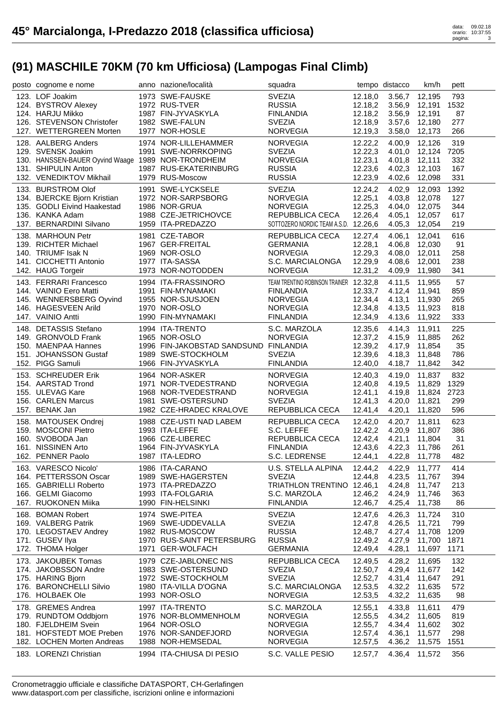| posto cognome e nome                               | anno nazione/località                 | squadra                                |         | tempo distacco | km/h          | pett |
|----------------------------------------------------|---------------------------------------|----------------------------------------|---------|----------------|---------------|------|
| 123. LOF Joakim                                    | 1973 SWE-FAUSKE                       | <b>SVEZIA</b>                          | 12.18,0 | 3.56,7 12,195  |               | 793  |
| 124. BYSTROV Alexey                                | 1972 RUS-TVER                         | <b>RUSSIA</b>                          | 12.18,2 | 3.56,9 12,191  |               | 1532 |
| 124. HARJU Mikko                                   | 1987 FIN-JYVASKYLA                    | <b>FINLANDIA</b>                       | 12.18,2 | 3.56,9 12,191  |               | 87   |
| 126. STEVENSON Christofer                          | 1982 SWE-FALUN                        | <b>SVEZIA</b>                          | 12.18,9 | 3.57,6         | 12,180        | 277  |
| 127. WETTERGREEN Morten                            | 1977 NOR-HOSLE                        | <b>NORVEGIA</b>                        | 12.19,3 | 3.58,0         | 12,173        | 266  |
|                                                    |                                       |                                        |         |                |               |      |
| 128. AALBERG Anders                                | 1974 NOR-LILLEHAMMER                  | <b>NORVEGIA</b>                        | 12.22,2 | 4.00,9         | 12.126        | 319  |
| 129. SVENSK Joakim                                 | 1991 SWE-NORRKOPING                   | <b>SVEZIA</b>                          | 12.22,3 | 4.01.0         | 12,124        | 7205 |
| 130. HANSSEN-BAUER Oyvind Waage 1989 NOR-TRONDHEIM |                                       | <b>NORVEGIA</b>                        | 12.23,1 | 4.01,8         | 12,111        | 332  |
| 131. SHIPULIN Anton                                | 1987 RUS-EKATERINBURG                 | <b>RUSSIA</b>                          | 12.23,6 |                | 4.02,3 12,103 | 167  |
| 132. VENEDIKTOV Mikhail                            | 1979 RUS-Moscow                       | <b>RUSSIA</b>                          | 12.23,9 | 4.02,6         | 12,098        | 331  |
| 133. BURSTROM Olof                                 | 1991 SWE-LYCKSELE                     | <b>SVEZIA</b>                          | 12.24,2 | 4.02,9         | 12,093        | 1392 |
| 134. BJERCKE Bjorn Kristian                        | 1972 NOR-SARPSBORG                    | <b>NORVEGIA</b>                        | 12.25,1 | 4.03,8         | 12.078        | 127  |
| 135. GODLI Eivind Haakestad                        | 1986 NOR-GRUA                         | <b>NORVEGIA</b>                        | 12.25,3 | 4.04,0         | 12,075        | 344  |
| 136. KANKA Adam                                    | 1988 CZE-JETRICHOVCE                  | REPUBBLICA CECA                        | 12.26,4 | 4.05,1         | 12,057        | 617  |
| 137. BERNARDINI Silvano                            | 1959 ITA-PREDAZZO                     | SOTTOZERO NORDIC TEAM A.S.D. 12.26,6   |         | 4.05,3         | 12,054        | 219  |
| 138. MARHOUN Petr                                  | 1981 CZE-TABOR                        | REPUBBLICA CECA                        | 12.27,4 | 4.06,1         | 12,041        | 616  |
| 139. RICHTER Michael                               | 1967 GER-FREITAL                      | <b>GERMANIA</b>                        | 12.28,1 | 4.06,8         | 12,030        | 91   |
|                                                    | 1969 NOR-OSLO                         |                                        |         |                |               |      |
| 140. TRIUMF Isak N                                 |                                       | <b>NORVEGIA</b>                        | 12.29,3 | 4.08,0         | 12,011        | 258  |
| 141. CICCHETTI Antonio                             | 1977 ITA-SASSA                        | S.C. MARCIALONGA                       | 12.29,9 | 4.08,6         | 12,001        | 238  |
| 142. HAUG Torgeir                                  | 1973 NOR-NOTODDEN                     | <b>NORVEGIA</b>                        | 12.31,2 | 4.09,9         | 11,980        | 341  |
| 143. FERRARI Francesco                             | 1994 ITA-FRASSINORO                   | TEAM TRENTINO ROBINSON TRAINER 12.32,8 |         | 4.11,5         | 11,955        | 57   |
| 144. VAINIO Eero Matti                             | 1991 FIN-MYNAMAKI                     | <b>FINLANDIA</b>                       | 12.33,7 | 4.12,4 11,941  |               | 859  |
| 145. WENNERSBERG Oyvind                            | 1955 NOR-SJUSJOEN                     | <b>NORVEGIA</b>                        | 12.34,4 | 4.13,1         | 11,930        | 265  |
| 146. HAGESVEEN Arild                               | 1970 NOR-OSLO                         | <b>NORVEGIA</b>                        | 12.34,8 | 4.13,5         | 11,923        | 818  |
| 147. VAINIO Antti                                  | 1990 FIN-MYNAMAKI                     | <b>FINLANDIA</b>                       | 12.34,9 | 4.13,6 11,922  |               | 333  |
| 148. DETASSIS Stefano                              | 1994 ITA-TRENTO                       | S.C. MARZOLA                           | 12.35,6 | 4.14,3 11,911  |               | 225  |
| 149. GRONVOLD Frank                                | 1965 NOR-OSLO                         | <b>NORVEGIA</b>                        | 12.37,2 | 4.15,9 11,885  |               | 262  |
| 150. MAENPAA Hannes                                | 1996 FIN-JAKOBSTAD SANDSUND FINLANDIA |                                        | 12.39,2 | 4.17,9 11,854  |               | 35   |
| 151. JOHANSSON Gustaf                              | 1989 SWE-STOCKHOLM                    | <b>SVEZIA</b>                          | 12.39,6 | 4.18,3         | 11,848        | 786  |
| 152. PIGG Samuli                                   | 1966 FIN-JYVASKYLA                    | <b>FINLANDIA</b>                       | 12.40,0 | 4.18,7         | 11,842        | 342  |
|                                                    |                                       |                                        |         |                |               |      |
| 153. SCHREUDER Erik                                | 1964 NOR-ASKER                        | <b>NORVEGIA</b>                        | 12.40,3 | 4.19,0         | 11,837        | 832  |
| 154. AARSTAD Trond                                 | 1971 NOR-TVEDESTRAND                  | <b>NORVEGIA</b>                        | 12.40,8 |                | 4.19,5 11,829 | 1329 |
| 155. ULEVAG Kare                                   | 1968 NOR-TVEDESTRAND                  | <b>NORVEGIA</b>                        | 12.41,1 |                | 4.19,8 11,824 | 2723 |
| 156. CARLEN Marcus                                 | 1981 SWE-OSTERSUND                    | <b>SVEZIA</b>                          | 12.41,3 | 4.20,0         | 11,821        | 299  |
| 157. BENAK Jan                                     | 1982 CZE-HRADEC KRALOVE               | REPUBBLICA CECA                        | 12.41,4 | 4.20,1         | 11,820        | 596  |
| 158. MATOUSEK Ondrej                               | 1988 CZE-USTI NAD LABEM               | REPUBBLICA CECA                        | 12.42,0 | 4.20,7         | 11,811        | 623  |
| 159. MOSCONI Pietro                                | 1993 ITA-LEFFE                        | S.C. LEFFE                             | 12.42,2 | 4.20,9         | 11,807        | 386  |
| 160. SVOBODA Jan                                   | 1966 CZE-LIBEREC                      | REPUBBLICA CECA                        | 12.42,4 | 4.21,1         | 11.804        | 31   |
| 161. NISSINEN Arto                                 | 1964 FIN-JYVASKYLA                    | <b>FINLANDIA</b>                       | 12.43,6 | 4.22,3 11,786  |               | 261  |
| 162. PENNER Paolo                                  | 1987 ITA-LEDRO                        | S.C. LEDRENSE                          |         |                |               | 482  |
|                                                    |                                       |                                        |         |                |               |      |
|                                                    |                                       |                                        | 12.44,1 |                | 4.22,8 11,778 |      |
| 163. VARESCO Nicolo'                               | 1986 ITA-CARANO                       | U.S. STELLA ALPINA                     | 12.44,2 | 4.22,9         | 11,777        | 414  |
| 164. PETTERSSON Oscar                              | 1989 SWE-HAGERSTEN                    | <b>SVEZIA</b>                          | 12.44,8 | 4.23,5         | 11,767        | 394  |
| 165. GABRIELLI Roberto                             | 1973 ITA-PREDAZZO                     | TRIATHLON TRENTINO 12.46,1             |         | 4.24,8         | 11,747        | 213  |
| 166. GELMI Giacomo                                 | 1993 ITA-FOLGARIA                     | S.C. MARZOLA                           | 12.46,2 | 4.24,9         | 11,746        | 363  |
| 167. RUOKONEN Miika                                | 1990 FIN-HELSINKI                     | <b>FINLANDIA</b>                       | 12.46,7 | 4.25,4         | 11,738        | 86   |
| 168. BOMAN Robert                                  | 1974 SWE-PITEA                        | <b>SVEZIA</b>                          | 12.47,6 | 4.26,3         | 11,724        | 310  |
| 169. VALBERG Patrik                                | 1969 SWE-UDDEVALLA                    | <b>SVEZIA</b>                          | 12.47,8 | 4.26,5         | 11,721        | 799  |
|                                                    | 1982 RUS-MOSCOW                       |                                        | 12.48,7 |                |               |      |
| 170. LEGOSTAEV Andrey                              | 1970 RUS-SAINT PETERSBURG             | <b>RUSSIA</b>                          | 12.49,2 | 4.27,4         | 11,708        | 1209 |
| 171. GUSEV Ilya                                    |                                       | <b>RUSSIA</b>                          |         | 4.27,9         | 11,700        | 1871 |
| 172. THOMA Holger                                  | 1971 GER-WOLFACH                      | <b>GERMANIA</b>                        | 12.49,4 | 4.28,1         | 11,697        | 1171 |
| 173. JAKOUBEK Tomas                                | 1979 CZE-JABLONEC NIS                 | REPUBBLICA CECA                        | 12.49,5 | 4.28,2         | 11,695        | 132  |
| 174. JAKOBSSON Andre                               | 1983 SWE-OSTERSUND                    | <b>SVEZIA</b>                          | 12.50,7 | 4.29,4         | 11,677        | 142  |
| 175. HARING Bjorn                                  | 1972 SWE-STOCKHOLM                    | <b>SVEZIA</b>                          | 12.52,7 | 4.31,4         | 11,647        | 291  |
| 176. BARONCHELLI Silvio                            | 1980 ITA-VILLA D'OGNA                 | S.C. MARCIALONGA                       | 12.53,5 | 4.32,2         | 11,635        | 572  |
| 176. HOLBAEK Ole                                   | 1993 NOR-OSLO                         | <b>NORVEGIA</b>                        | 12.53,5 | 4.32,2         | 11,635        | 98   |
| 178. GREMES Andrea                                 | 1997 ITA-TRENTO                       | S.C. MARZOLA                           | 12.55,1 | 4.33,8         | 11,611        | 479  |
| 179. RUNDTOM Oddbjorn                              | 1976 NOR-BLOMMENHOLM                  | <b>NORVEGIA</b>                        | 12.55,5 | 4.34,2         | 11,605        | 819  |
| 180. FJELDHEIM Svein                               | 1964 NOR-OSLO                         | <b>NORVEGIA</b>                        | 12.55,7 | 4.34,4         | 11,602        | 302  |
| 181. HOFSTEDT MOE Preben                           | 1976 NOR-SANDEFJORD                   | <b>NORVEGIA</b>                        | 12.57,4 | 4.36,1         | 11,577        | 298  |
| 182. LOCHEN Morten Andreas                         | 1988 NOR-HEMSEDAL                     | <b>NORVEGIA</b>                        | 12.57,5 | 4.36,2         | 11,575        | 1551 |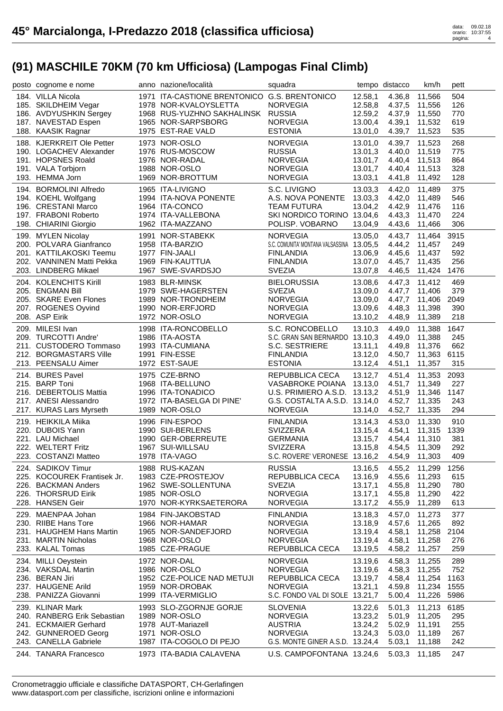| posto cognome e nome                          | anno nazione/località                        | squadra                                   |         | tempo distacco | km/h          | pett |  |
|-----------------------------------------------|----------------------------------------------|-------------------------------------------|---------|----------------|---------------|------|--|
| 184. VILLA Nicola                             | 1971 ITA-CASTIONE BRENTONICO G.S. BRENTONICO |                                           | 12.58,1 | 4.36,8         | 11.566        | 504  |  |
| 185. SKILDHEIM Vegar                          | 1978 NOR-KVALOYSLETTA                        | <b>NORVEGIA</b>                           | 12.58,8 | 4.37,5         | 11,556        | 126  |  |
| 186. AVDYUSHKIN Sergey                        | 1968 RUS-YUZHNO SAKHALINSK RUSSIA            |                                           | 12.59,2 | 4.37,9         | 11,550        | 770  |  |
| 187. NAVESTAD Espen                           | 1965 NOR-SARPSBORG                           | <b>NORVEGIA</b>                           | 13.00,4 | 4.39,1         | 11,532        | 619  |  |
| 188. KAASIK Ragnar                            | 1975 EST-RAE VALD                            | <b>ESTONIA</b>                            | 13.01,0 | 4.39,7         | 11,523        | 535  |  |
|                                               |                                              |                                           |         |                |               |      |  |
| 188. KJERKREIT Ole Petter                     | 1973 NOR-OSLO                                | <b>NORVEGIA</b>                           | 13.01,0 | 4.39,7         | 11,523        | 268  |  |
| 190. LOGACHEV Alexander                       | 1976 RUS-MOSCOW                              | <b>RUSSIA</b>                             | 13.01,3 | 4.40,0         | 11,519        | 775  |  |
| 191. HOPSNES Roald                            | 1976 NOR-RADAL                               | <b>NORVEGIA</b>                           | 13.01,7 | 4.40,4         | 11,513        | 864  |  |
| 191. VALA Torbjorn                            | 1988 NOR-OSLO                                | <b>NORVEGIA</b>                           | 13.01,7 | 4.40,4         | 11,513        | 328  |  |
| 193. HEMMA Jorn                               | 1969 NOR-BROTTUM                             | <b>NORVEGIA</b>                           | 13.03,1 |                | 4.41,8 11,492 | 128  |  |
| 194. BORMOLINI Alfredo                        | 1965 ITA-LIVIGNO                             | S.C. LIVIGNO                              | 13.03,3 | 4.42,0         | 11,489        | 375  |  |
| 194. KOEHL Wolfgang                           | 1994 ITA-NOVA PONENTE                        | A.S. NOVA PONENTE                         | 13.03,3 | 4.42,0         | 11,489        | 546  |  |
| 196. CRESTANI Marco                           | 1964 ITA-CONCO                               | <b>TEAM FUTURA</b>                        | 13.04,2 | 4.42,9         | 11,476        | 116  |  |
| 197. FRABONI Roberto                          | 1974 ITA-VALLEBONA                           | SKI NORDICO TORINO 13.04,6                |         | 4.43,3         | 11,470        | 224  |  |
| 198. CHIARINI Giorgio                         | 1962 ITA-MAZZANO                             | POLISP. VOBARNO                           | 13.04,9 | 4.43,6         | 11,466        | 306  |  |
|                                               | 1991 NOR-STABEKK                             | <b>NORVEGIA</b>                           | 13.05,0 | 4.43,7         | 11,464        | 3915 |  |
| 199. MYLEN Nicolay<br>200. POLVARA Gianfranco | 1958 ITA-BARZIO                              | S.C. COMUNITA' MONTANA VALSASSINA 13.05,5 |         |                |               | 249  |  |
|                                               |                                              |                                           |         | 4.44,2         | 11,457        |      |  |
| 201. KATTILAKOSKI Teemu                       | 1977 FIN-JAALI                               | <b>FINLANDIA</b>                          | 13.06,9 | 4.45,6         | 11,437        | 592  |  |
| 202. VANNINEN Matti Pekka                     | 1969 FIN-KAUTTUA                             | <b>FINLANDIA</b>                          | 13.07,0 | 4.45,7         | 11,435        | 256  |  |
| 203. LINDBERG Mikael                          | 1967 SWE-SVARDSJO                            | <b>SVEZIA</b>                             | 13.07,8 | 4.46,5         | 11,424        | 1476 |  |
| 204. KOLENCHITS Kirill                        | 1983 BLR-MINSK                               | <b>BIELORUSSIA</b>                        | 13.08,6 | 4.47,3         | 11,412        | 469  |  |
| 205. ENGMAN Bill                              | 1979 SWE-HAGERSTEN                           | <b>SVEZIA</b>                             | 13.09,0 | 4.47,7         | 11,406        | 379  |  |
| 205. SKARE Even Flones                        | 1989 NOR-TRONDHEIM                           | <b>NORVEGIA</b>                           | 13.09,0 | 4.47,7         | 11.406        | 2049 |  |
| 207. ROGENES Oyvind                           | 1990 NOR-ERFJORD                             | <b>NORVEGIA</b>                           | 13.09,6 | 4.48,3         | 11,398        | 390  |  |
| 208. ASP Eirik                                | 1972 NOR-OSLO                                | <b>NORVEGIA</b>                           | 13.10,2 | 4.48,9         | 11,389        | 218  |  |
| 209. MILESI Ivan                              | 1998 ITA-RONCOBELLO                          | S.C. RONCOBELLO                           | 13.10,3 | 4.49,0         | 11,388        | 1647 |  |
| 209. TURCOTTI Andre'                          | 1986 ITA-AOSTA                               | S.C. GRAN SAN BERNARDO 13.10,3            |         | 4.49,0         | 11,388        | 245  |  |
| 211. CUSTODERO Tommaso                        | 1993 ITA-CUMIANA                             | S.C. SESTRIERE                            |         | 4.49,8         | 11,376        | 662  |  |
| 212. BORGMASTARS Ville                        | 1991 FIN-ESSE                                |                                           | 13.11,1 |                |               | 6115 |  |
|                                               |                                              | <b>FINLANDIA</b>                          | 13.12,0 | 4.50,7         | 11,363        |      |  |
| 213. PEENSALU Aimer                           | 1972 EST-SAUE                                | <b>ESTONIA</b>                            | 13.12,4 | 4.51,1         | 11,357        | 315  |  |
| 214. BURES Pavel                              | 1975 CZE-BRNO                                | REPUBBLICA CECA                           | 13.12,7 | 4.51,4         | 11,353        | 2093 |  |
| 215. BARP Toni                                | 1968 ITA-BELLUNO                             | VASABROKE POIANA                          | 13.13,0 | 4.51,7         | 11,349        | 227  |  |
| 216. DEBERTOLIS Mattia                        | 1996 ITA-TONADICO                            | U.S. PRIMIERO A.S.D. 13.13,2              |         | 4.51,9         | 11,346        | 1147 |  |
| 217. ANESI Alessandro                         | 1972 ITA-BASELGA DI PINE'                    | G.S. COSTALTA A.S.D. 13.14,0              |         | 4.52,7         | 11,335        | 243  |  |
| 217. KURAS Lars Myrseth                       | 1989 NOR-OSLO                                | <b>NORVEGIA</b>                           | 13.14,0 | 4.52,7         | 11,335        | 294  |  |
| 219. HEIKKILA Miika                           | 1996 FIN-ESPOO                               | <b>FINLANDIA</b>                          | 13.14,3 | 4.53,0         | 11,330        | 910  |  |
| 220. DUBOIS Yann                              | 1990 SUI-BERLENS                             | SVIZZERA                                  | 13.15,4 | 4.54,1         | 11,315        | 1339 |  |
| 221. LAU Michael                              | 1990 GER-OBERREUTE                           | <b>GERMANIA</b>                           | 13.15,7 | 4.54,4         | 11,310        | 381  |  |
| 222. WELTERT Fritz                            | 1967 SUI-WILLSAU                             | <b>SVIZZERA</b>                           | 13.15,8 | 4.54,5         | 11,309        | 292  |  |
| 223. COSTANZI Matteo                          | 1978 ITA-VAGO                                | S.C. ROVERE' VERONESE 13.16,2             |         | 4.54,9         | 11,303        | 409  |  |
|                                               |                                              |                                           |         |                |               |      |  |
| 224. SADIKOV Timur                            | 1988 RUS-KAZAN                               | <b>RUSSIA</b>                             | 13.16,5 |                | 4.55,2 11,299 | 1256 |  |
| 225. KOCOUREK Frantisek Jr.                   | 1983 CZE-PROSTEJOV                           | REPUBBLICA CECA                           | 13.16,9 | 4.55,6         | 11,293        | 615  |  |
| 226. BACKMAN Anders                           | 1962 SWE-SOLLENTUNA                          | <b>SVEZIA</b>                             | 13.17,1 | 4.55,8         | 11,290        | 780  |  |
| 226. THORSRUD Eirik                           | 1985 NOR-OSLO                                | <b>NORVEGIA</b>                           | 13.17,1 | 4.55,8         | 11,290        | 422  |  |
| 228. HANSEN Geir                              | 1970 NOR-KYRKSAETERORA                       | <b>NORVEGIA</b>                           | 13.17,2 | 4.55,9         | 11,289        | 613  |  |
| 229. MAENPAA Johan                            | 1984 FIN-JAKOBSTAD                           | <b>FINLANDIA</b>                          | 13.18,3 | 4.57,0         | 11,273        | 377  |  |
| 230. RIIBE Hans Tore                          | 1966 NOR-HAMAR                               | <b>NORVEGIA</b>                           | 13.18,9 | 4.57,6         | 11,265        | 892  |  |
| 231. HAUGHEM Hans Martin                      | 1965 NOR-SANDEFJORD                          | <b>NORVEGIA</b>                           | 13.19,4 | 4.58,1         | 11,258        | 2104 |  |
| 231. MARTIN Nicholas                          | 1968 NOR-OSLO                                | <b>NORVEGIA</b>                           | 13.19,4 | 4.58,1         | 11,258        | 276  |  |
| 233. KALAL Tomas                              | 1985 CZE-PRAGUE                              | REPUBBLICA CECA                           | 13.19,5 | 4.58,2         | 11,257        | 259  |  |
| 234. MILLI Oeystein                           | 1972 NOR-DAL                                 | <b>NORVEGIA</b>                           | 13.19,6 | 4.58,3         | 11,255        | 289  |  |
| 234. VAKSDAL Martin                           | 1986 NOR-OSLO                                | <b>NORVEGIA</b>                           | 13.19,6 | 4.58,3         | 11,255        | 752  |  |
| 236. BERAN Jiri                               | 1952 CZE-POLICE NAD METUJI                   |                                           |         |                |               |      |  |
|                                               |                                              | REPUBBLICA CECA                           | 13.19,7 | 4.58,4         | 11,254        | 1163 |  |
| 237. HAUGENE Arild                            | 1959 NOR-DROBAK                              | <b>NORVEGIA</b>                           | 13.21,1 | 4.59,8         | 11,234        | 1555 |  |
| 238. PANIZZA Giovanni                         | 1999 ITA-VERMIGLIO                           | S.C. FONDO VAL DI SOLE 13.21,7            |         | 5.00,4         | 11,226        | 5986 |  |
| 239. KLINAR Mark                              | 1993 SLO-ZGORNJE GORJE                       | <b>SLOVENIA</b>                           | 13.22,6 | 5.01,3         | 11,213        | 6185 |  |
| 240. RANBERG Erik Sebastian                   | 1989 NOR-OSLO                                | <b>NORVEGIA</b>                           | 13.23,2 | 5.01,9         | 11,205        | 295  |  |
|                                               | 1978 AUT-Mariazell                           | <b>AUSTRIA</b>                            | 13.24,2 | 5.02,9         | 11,191        | 255  |  |
| 241. ECKMAIER Gerhard                         |                                              |                                           |         |                |               |      |  |
| 242. GUNNEROED Georg                          | 1971 NOR-OSLO                                | <b>NORVEGIA</b>                           | 13.24,3 | 5.03,0         | 11,189        | 267  |  |
| 243. CANELLA Gabriele                         | 1987 ITA-COGOLO DI PEJO                      | G.S. MONTE GINER A.S.D. 13.24,4           |         | 5.03,1         | 11,188        | 242  |  |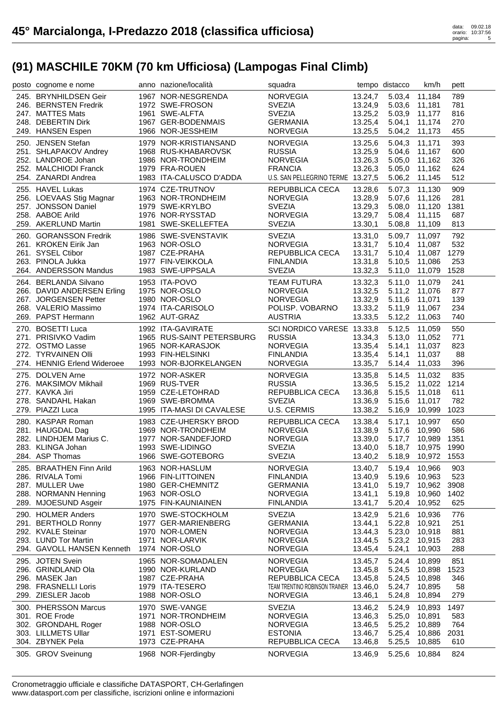| posto cognome e nome                     | anno nazione/località                          | squadra                                     |                    | tempo distacco             | km/h             | pett       |
|------------------------------------------|------------------------------------------------|---------------------------------------------|--------------------|----------------------------|------------------|------------|
| 245. BRYNHILDSEN Geir                    | 1967 NOR-NESGRENDA                             | <b>NORVEGIA</b>                             | 13.24,7            |                            | 5.03,4 11,184    | 789        |
| 246. BERNSTEN Fredrik                    | 1972 SWE-FROSON                                | <b>SVEZIA</b>                               | 13.24,9            | 5.03,6 11,181              |                  | 781        |
| 247. MATTES Mats                         | 1961 SWE-ALFTA                                 | <b>SVEZIA</b>                               | 13.25,2            | 5.03,9 11,177              |                  | 816        |
| 248. DEBERTIN Dirk                       | 1967 GER-BODENMAIS                             | <b>GERMANIA</b>                             | 13.25,4            | 5.04,1                     | 11,174           | 270        |
| 249. HANSEN Espen                        | 1966 NOR-JESSHEIM                              | <b>NORVEGIA</b>                             | 13.25,5            | 5.04.2                     | 11,173           | 455        |
| 250. JENSEN Stefan                       | 1979 NOR-KRISTIANSAND                          | <b>NORVEGIA</b>                             | 13.25,6            | 5.04,3                     | 11,171           | 393        |
| 251. SHLAPAKOV Andrey                    | 1968 RUS-KHABAROVSK                            | <b>RUSSIA</b>                               | 13.25,9            | 5.04,6                     | 11,167           | 600        |
| 252. LANDROE Johan                       | 1986 NOR-TRONDHEIM                             | <b>NORVEGIA</b>                             | 13.26,3            | 5.05,0                     | 11,162           | 326        |
| 252. MALCHIODI Franck                    | 1979 FRA-ROUEN                                 | <b>FRANCIA</b>                              | 13.26,3            | 5.05,0                     | 11,162           | 624        |
| 254. ZANARDI Andrea                      | 1983 ITA-CALUSCO D'ADDA                        | U.S. SAN PELLEGRINO TERME 13.27,5           |                    | 5.06,2                     | 11,145           | 512        |
| 255. HAVEL Lukas                         | 1974 CZE-TRUTNOV                               | REPUBBLICA CECA                             | 13.28,6            |                            | 5.07,3 11,130    | 909        |
| 256. LOEVAAS Stig Magnar                 | 1963 NOR-TRONDHEIM                             | <b>NORVEGIA</b>                             | 13.28,9            |                            | 5.07,6 11,126    | 281        |
| 257. JONSSON Daniel                      | 1979 SWE-KRYLBO                                | <b>SVEZIA</b>                               | 13.29,3            | 5.08,0                     | 11,120           | 1381       |
| 258. AABOE Arild                         | 1976 NOR-RYSSTAD                               | <b>NORVEGIA</b>                             | 13.29,7            | 5.08,4                     | 11,115           | 687        |
| 259. AKERLUND Martin                     | 1981 SWE-SKELLEFTEA                            | <b>SVEZIA</b>                               | 13.30,1            | 5.08,8                     | 11,109           | 813        |
| 260. GORANSSON Fredrik                   | 1986 SWE-SVENSTAVIK                            | <b>SVEZIA</b>                               | 13.31,0            | 5.09,7                     | 11,097           | 792        |
| 261. KROKEN Eirik Jan                    | 1963 NOR-OSLO                                  | <b>NORVEGIA</b>                             | 13.31,7            | 5.10,4                     | 11,087           | 532        |
| 261. SYSEL Ctibor                        | 1987 CZE-PRAHA                                 | REPUBBLICA CECA                             | 13.31,7            | 5.10,4                     | 11,087           | 1279       |
| 263. PINOLA Jukka                        | 1977 FIN-VEIKKOLA                              | <b>FINLANDIA</b>                            | 13.31,8            | 5.10,5                     | 11,086           | 253        |
| 264. ANDERSSON Mandus                    | 1983 SWE-UPPSALA                               | <b>SVEZIA</b>                               | 13.32,3            | 5.11,0                     | 11,079           | 1528       |
| 264. BERLANDA Silvano                    | 1953 ITA-POVO                                  | <b>TEAM FUTURA</b>                          | 13.32,3            | 5.11,0                     | 11,079           | 241        |
| 266. DAVID ANDERSEN Erling               | 1975 NOR-OSLO                                  | <b>NORVEGIA</b>                             | 13.32,5            |                            | 5.11,2 11,076    | 877        |
| 267. JORGENSEN Petter                    | 1980 NOR-OSLO                                  | <b>NORVEGIA</b>                             | 13.32,9            | 5.11,6                     | 11,071           | 139        |
| 268. VALERIO Massimo                     | 1974 ITA-CARISOLO                              | POLISP. VOBARNO                             | 13.33,2            | 5.11,9                     | 11,067           | 234        |
| 269. PAPST Hermann                       | 1962 AUT-GRAZ                                  | <b>AUSTRIA</b>                              | 13.33,5            | 5.12,2                     | 11,063           | 740        |
|                                          |                                                |                                             |                    |                            |                  | 550        |
| 270. BOSETTI Luca<br>271. PRISIVKO Vadim | 1992 ITA-GAVIRATE<br>1965 RUS-SAINT PETERSBURG | SCI NORDICO VARESE 13.33,8<br><b>RUSSIA</b> | 13.34,3            | 5.12,5<br>5.13,0           | 11,059<br>11,052 | 771        |
| 272. OSTMO Lasse                         | 1965 NOR-KARASJOK                              | <b>NORVEGIA</b>                             | 13.35,4            | 5.14,1                     | 11,037           | 823        |
| 272. TYRVAINEN Olli                      | 1993 FIN-HELSINKI                              | <b>FINLANDIA</b>                            | 13.35,4            | 5.14,1                     | 11,037           | 88         |
| 274. HENNIG Erlend Wideroee              | 1993 NOR-BJORKELANGEN                          | <b>NORVEGIA</b>                             | 13.35,7            | 5.14,4                     | 11,033           | 396        |
|                                          |                                                |                                             |                    |                            |                  |            |
| 275. DOLVEN Arne                         | 1972 NOR-ASKER                                 | <b>NORVEGIA</b>                             | 13.35,8            | 5.14,5                     | 11,032           | 835        |
|                                          |                                                |                                             |                    |                            |                  |            |
| 276. MAKSIMOV Mikhail                    | 1969 RUS-TVER                                  | <b>RUSSIA</b>                               | 13.36,5            | 5.15,2                     | 11,022           | 1214       |
| 277. KAVKA Jiri                          | 1959 CZE-LETOHRAD                              | REPUBBLICA CECA                             | 13.36,8            | 5.15,5                     | 11,018           | 611        |
| 278. SANDAHL Hakan                       | 1969 SWE-BROMMA                                | <b>SVEZIA</b>                               | 13.36,9            | 5.15,6                     | 11,017           | 782        |
| 279. PIAZZI Luca                         | 1995 ITA-MASI DI CAVALESE                      | U.S. CERMIS                                 | 13.38,2            | 5.16,9                     | 10,999           | 1023       |
| 280. KASPAR Roman                        | 1983 CZE-UHERSKY BROD                          | REPUBBLICA CECA                             | 13.38,4            | 5.17,1                     | 10,997           | 650        |
| 281. HAUGDAL Dag                         | 1969 NOR-TRONDHEIM                             | <b>NORVEGIA</b>                             | 13.38,9            | 5.17,6                     | 10,990           | 586        |
| 282. LINDHJEM Marius C.                  | 1977 NOR-SANDEFJORD                            | <b>NORVEGIA</b>                             | 13.39,0            | 5.17,7                     | 10,989           | 1351       |
| 283. KLINGA Johan                        | 1993 SWE-LIDINGO                               | <b>SVEZIA</b>                               | 13.40,0            |                            | 5.18,7 10,975    | 1990       |
| 284. ASP Thomas                          | 1966 SWE-GOTEBORG                              | <b>SVEZIA</b>                               |                    | 13.40,2 5.18,9 10,972 1553 |                  |            |
| 285. BRAATHEN Finn Arild                 | 1963 NOR-HASLUM                                | <b>NORVEGIA</b>                             | 13.40,7            | 5.19,4                     | 10,966           | 903        |
| 286. RIVALA Tomi                         | 1966 FIN-LITTOINEN                             | <b>FINLANDIA</b>                            | 13.40,9            | 5.19,6                     | 10,963           | 523        |
| 287. MULLER Uwe                          | 1980 GER-CHEMNITZ                              | <b>GERMANIA</b>                             | 13.41,0            | 5.19,7                     | 10,962           | 3908       |
| 288. NORMANN Henning                     | 1963 NOR-OSLO                                  | <b>NORVEGIA</b>                             | 13.41,1            | 5.19,8                     | 10,960           | 1402       |
| 289. MJOESUND Asgeir                     | 1975 FIN-KAUNIAINEN                            | <b>FINLANDIA</b>                            | 13.41,7            | 5.20,4                     | 10,952           | 625        |
| 290. HOLMER Anders                       | 1970 SWE-STOCKHOLM                             | <b>SVEZIA</b>                               | 13.42,9            | 5.21,6                     | 10,936           | 776        |
| 291. BERTHOLD Ronny                      | 1977 GER-MARIENBERG                            | <b>GERMANIA</b>                             | 13.44,1            | 5.22,8                     | 10,921           | 251        |
| 292. KVALE Steinar                       | 1970 NOR-LOMEN                                 | <b>NORVEGIA</b>                             | 13.44,3            | 5.23,0                     | 10,918           | 881        |
| 293. LUND Tor Martin                     | 1971 NOR-LARVIK                                | <b>NORVEGIA</b>                             | 13.44,5            | 5.23,2                     | 10,915           | 283        |
| 294. GAVOLL HANSEN Kenneth               | 1974 NOR-OSLO                                  | <b>NORVEGIA</b>                             | 13.45,4            | 5.24,1                     | 10,903           | 288        |
| 295. JOTEN Svein                         | 1965 NOR-SOMADALEN                             | <b>NORVEGIA</b>                             | 13.45,7            | 5.24,4                     | 10,899           | 851        |
| 296. GRINDLAND Ola                       | 1990 NOR-KURLAND                               | <b>NORVEGIA</b>                             | 13.45,8            | 5.24,5                     | 10,898           | 1523       |
| 296. MASEK Jan                           | 1987 CZE-PRAHA                                 | REPUBBLICA CECA                             | 13.45,8            | 5.24,5                     | 10,898           | 346        |
| 298. FRASNELLI Loris                     | 1979 ITA-TESERO                                | TEAM TRENTINO ROBINSON TRAINER              | 13.46,0            | 5.24,7                     | 10,895           | 58         |
| 299. ZIESLER Jacob                       | 1988 NOR-OSLO                                  | <b>NORVEGIA</b>                             | 13.46,1            | 5.24,8                     | 10,894           | 279        |
| 300. PHERSSON Marcus                     | 1970 SWE-VANGE                                 | <b>SVEZIA</b>                               | 13.46,2            | 5.24,9                     | 10,893           | 1497       |
| 301. ROE Frode                           | 1971 NOR-TRONDHEIM                             | <b>NORVEGIA</b>                             | 13.46,3            | 5.25,0                     | 10,891           | 583        |
| 302. GRONDAHL Roger                      | 1988 NOR-OSLO                                  | <b>NORVEGIA</b>                             | 13.46,5            | 5.25,2                     | 10,889           | 764        |
| 303. LILLMETS Ullar                      | 1971 EST-SOMERU                                | <b>ESTONIA</b>                              | 13.46,7            | 5.25,4                     | 10,886           | 2031       |
| 304. ZBYNEK Pela<br>305. GROV Sveinung   | 1973 CZE-PRAHA<br>1968 NOR-Fjerdingby          | REPUBBLICA CECA<br><b>NORVEGIA</b>          | 13.46,8<br>13.46,9 | 5.25,5<br>5.25,6           | 10,885<br>10,884 | 610<br>824 |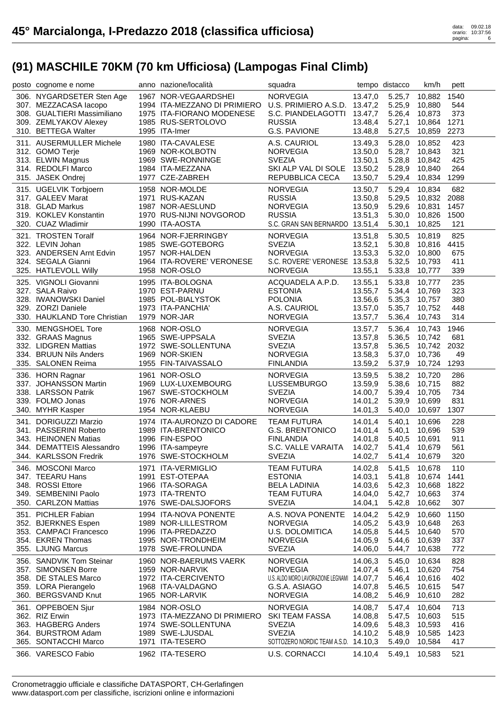| posto cognome e nome                              | anno nazione/località                                     | squadra                                    |                    | tempo distacco   | km/h                    | pett        |  |
|---------------------------------------------------|-----------------------------------------------------------|--------------------------------------------|--------------------|------------------|-------------------------|-------------|--|
| 306. NYGARDSETER Sten Age                         | 1967 NOR-VEGAARDSHEI                                      | <b>NORVEGIA</b>                            | 13.47,0            | 5.25,7           | 10,882                  | 1540        |  |
| 307. MEZZACASA lacopo                             | 1994 ITA-MEZZANO DI PRIMIERO U.S. PRIMIERO A.S.D. 13.47,2 |                                            |                    | 5.25,9           | 10,880                  | 544         |  |
| 308. GUALTIERI Massimiliano                       | 1975 ITA-FIORANO MODENESE                                 | S.C. PIANDELAGOTTI 13.47,7                 |                    | 5.26,4           | 10,873                  | 373         |  |
| 309. ZEMLYAKOV Alexey<br>310. BETTEGA Walter      | 1985 RUS-SERTOLOVO                                        | <b>RUSSIA</b>                              | 13.48,4            | 5.27,1           | 10,864                  | 1271        |  |
|                                                   | 1995 ITA-Imer                                             | G.S. PAVIONE                               | 13.48,8            | 5.27,5           | 10,859                  | 2273        |  |
| 311. AUSERMULLER Michele                          | 1980 ITA-CAVALESE                                         | A.S. CAURIOL                               | 13.49,3            | 5.28,0           | 10,852                  | 423         |  |
| 312. GOMO Terje                                   | 1969 NOR-KOLBOTN                                          | <b>NORVEGIA</b>                            | 13.50,0            | 5.28,7           | 10,843                  | 321         |  |
| 313. ELWIN Magnus                                 | 1969 SWE-RONNINGE                                         | <b>SVEZIA</b>                              | 13.50,1            | 5.28,8           | 10,842                  | 425         |  |
| 314. REDOLFI Marco                                | 1984 ITA-MEZZANA                                          | SKI ALP VAL DI SOLE 13.50,2                |                    | 5.28,9           | 10,840                  | 264         |  |
| 315. JASEK Ondrej                                 | 1977 CZE-ZABREH                                           | REPUBBLICA CECA                            | 13.50,7            | 5.29,4           | 10,834                  | 1299        |  |
| 315. UGELVIK Torbjoern                            | 1958 NOR-MOLDE                                            | <b>NORVEGIA</b>                            | 13.50,7            | 5.29,4           | 10,834                  | 682         |  |
| 317. GALEEV Marat                                 | 1971 RUS-KAZAN                                            | <b>RUSSIA</b>                              | 13.50,8            | 5.29,5           | 10,832 2088             |             |  |
| 318. GLAD Markus                                  | 1987 NOR-AESLUND                                          | <b>NORVEGIA</b>                            | 13.50,9            | 5.29,6           | 10,831                  | 1457        |  |
| 319. KOKLEV Konstantin                            | 1970 RUS-NIJNI NOVGOROD                                   | <b>RUSSIA</b>                              | 13.51,3            | 5.30,0           | 10,826                  | 1500        |  |
| 320. CUAZ Wladimir                                | 1990 ITA-AOSTA                                            | S.C. GRAN SAN BERNARDO 13.51,4             |                    | 5.30,1           | 10,825                  | 121         |  |
| 321. TROSTEN Toralf                               | 1964 NOR-FJERRINGBY                                       | <b>NORVEGIA</b>                            | 13.51,8            | 5.30,5           | 10,819                  | 825         |  |
| 322. LEVIN Johan                                  | 1985 SWE-GOTEBORG                                         | <b>SVEZIA</b>                              | 13.52,1            | 5.30,8           | 10,816                  | 4415        |  |
| 323. ANDERSEN Arnt Edvin                          | 1957 NOR-HALDEN                                           | <b>NORVEGIA</b>                            | 13.53,3            | 5.32,0           | 10,800                  | 675         |  |
| 324. SEGALA Gianni                                | 1964 ITA-ROVERE' VERONESE                                 | S.C. ROVERE' VERONESE 13.53,8              |                    | 5.32,5           | 10,793                  | 411         |  |
| 325. HATLEVOLL Willy                              | 1958 NOR-OSLO                                             | <b>NORVEGIA</b>                            | 13.55,1            | 5.33,8           | 10,777                  | 339         |  |
| 325. VIGNOLI Giovanni                             | 1995 ITA-BOLOGNA                                          | ACQUADELA A.P.D.                           | 13.55,1            | 5.33,8           | 10.777                  | 235         |  |
| 327. SALA Raivo                                   | 1970 EST-PARNU                                            | <b>ESTONIA</b>                             | 13.55,7            | 5.34,4           | 10.769                  | 323         |  |
| 328. IWANOWSKI Daniel                             | 1985 POL-BIALYSTOK                                        | <b>POLONIA</b>                             | 13.56,6            | 5.35,3           | 10,757                  | 380         |  |
| 329. ZORZI Daniele                                | 1973 ITA-PANCHIA'                                         | A.S. CAURIOL                               | 13.57,0            | 5.35,7           | 10,752                  | 448         |  |
| 330. HAUKLAND Tore Christian                      | 1979 NOR-JAR                                              | <b>NORVEGIA</b>                            | 13.57,7            | 5.36,4           | 10,743                  | 314         |  |
| 330. MENGSHOEL Tore                               | 1968 NOR-OSLO                                             | <b>NORVEGIA</b>                            | 13.57,7            | 5.36,4           | 10,743                  | 1946        |  |
| 332. GRAAS Magnus                                 | 1965 SWE-UPPSALA                                          | <b>SVEZIA</b>                              | 13.57,8            | 5.36,5           | 10,742                  | 681         |  |
| 332. LIDGREN Mattias                              | 1972 SWE-SOLLENTUNA                                       | <b>SVEZIA</b>                              | 13.57,8            | 5.36,5           | 10,742                  | 2032        |  |
| 334. BRUUN Nils Anders                            | 1969 NOR-SKIEN                                            | <b>NORVEGIA</b>                            | 13.58,3            | 5.37,0<br>5.37,9 | 10,736                  | 49<br>1293  |  |
| 335. SALONEN Reima                                | 1955 FIN-TAIVASSALO                                       | <b>FINLANDIA</b>                           | 13.59,2            |                  | 10,724                  |             |  |
| 336. HORN Ragnar                                  | 1961 NOR-OSLO                                             | <b>NORVEGIA</b>                            | 13.59,5            | 5.38,2           | 10,720                  | 286         |  |
| 337. JOHANSSON Martin                             | 1969 LUX-LUXEMBOURG                                       | <b>LUSSEMBURGO</b>                         | 13.59,9            | 5.38,6           | 10,715                  | 882         |  |
| 338. LARSSON Patrik                               | 1967 SWE-STOCKHOLM                                        | <b>SVEZIA</b>                              | 14.00,7            | 5.39,4           | 10,705                  | 734         |  |
| 339. FOLMO Jonas                                  | 1976 NOR-ARNES<br>1954 NOR-KLAEBU                         | <b>NORVEGIA</b><br><b>NORVEGIA</b>         | 14.01,2            | 5.39,9           | 10,699                  | 831         |  |
| 340. MYHR Kasper                                  |                                                           |                                            | 14.01,3            | 5.40,0           | 10,697                  | 1307        |  |
| 341. DORIGUZZI Marzio                             | 1974 ITA-AURONZO DI CADORE                                | <b>TEAM FUTURA</b>                         | 14.01,4            | 5.40,1           | 10.696                  | 228         |  |
| 341. PASSERINI Roberto                            | 1989 ITA-BRENTONICO                                       | <b>G.S. BRENTONICO</b>                     | 14.01,4            | 5.40,1           | 10,696                  | 539         |  |
| 343. HEINONEN Matias<br>344. DEMATTEIS Alessandro | 1996 FIN-ESPOO                                            | <b>FINLANDIA</b>                           | 14.01,8            | 5.40,5           | 10,691                  | 911         |  |
| 344. KARLSSON Fredrik                             | 1996 ITA-sampeyre<br>1976 SWE-STOCKHOLM                   | S.C. VALLE VARAITA<br><b>SVEZIA</b>        | 14.02,7<br>14.02,7 | 5.41,4           | 10,679<br>5.41,4 10,679 | 561<br>320  |  |
|                                                   |                                                           |                                            |                    |                  |                         |             |  |
| 346. MOSCONI Marco                                | 1971 ITA-VERMIGLIO                                        | <b>TEAM FUTURA</b>                         | 14.02,8            | 5.41,5           | 10,678                  | 110         |  |
| 347. TEEARU Hans                                  | 1991 EST-OTEPAA                                           | <b>ESTONIA</b>                             | 14.03,1            | 5.41,8           | 10,674                  | 1441        |  |
| 348. ROSSI Ettore<br>349. SEMBENINI Paolo         | 1966 ITA-SORAGA<br>1973 ITA-TRENTO                        | <b>BELA LADINIA</b><br><b>TEAM FUTURA</b>  | 14.03,6<br>14.04,0 | 5.42,3<br>5.42,7 | 10,668<br>10,663        | 1822<br>374 |  |
| 350. CARLZON Mattias                              | 1976 SWE-DALSJOFORS                                       | <b>SVEZIA</b>                              | 14.04,1            | 5.42,8           | 10,662                  | 307         |  |
|                                                   |                                                           |                                            |                    |                  |                         |             |  |
| 351. PICHLER Fabian                               | 1994 ITA-NOVA PONENTE                                     | A.S. NOVA PONENTE<br><b>NORVEGIA</b>       | 14.04,2            | 5.42,9<br>5.43,9 | 10,660                  | 1150        |  |
| 352. BJERKNES Espen<br>353. CAMPACI Francesco     | 1989 NOR-LILLESTROM<br>1996 ITA-PREDAZZO                  | U.S. DOLOMITICA                            | 14.05,2<br>14.05,8 | 5.44,5           | 10,648<br>10,640        | 263<br>570  |  |
| 354. EKREN Thomas                                 | 1995 NOR-TRONDHEIM                                        | <b>NORVEGIA</b>                            | 14.05,9            | 5.44,6           | 10,639                  | 337         |  |
| 355. LJUNG Marcus                                 | 1978 SWE-FROLUNDA                                         | <b>SVEZIA</b>                              | 14.06,0            | 5.44,7           | 10,638                  | 772         |  |
|                                                   |                                                           |                                            |                    |                  |                         |             |  |
| 356. SANDVIK Tom Steinar<br>357. SIMONSEN Borre   | 1960 NOR-BAERUMS VAERK<br>1959 NOR-NARVIK                 | <b>NORVEGIA</b><br><b>NORVEGIA</b>         | 14.06,3<br>14.07,4 | 5.45,0<br>5.46,1 | 10,634<br>10,620        | 828<br>754  |  |
| 358. DE STALES Marco                              | 1972 ITA-CERCIVENTO                                       | U.S. ALDO MORO LAVORAZIONE LEGNAMI 14.07,7 |                    | 5.46,4           | 10,616                  | 402         |  |
| 359. LORA Pierangelo                              | 1968 ITA-VALDAGNO                                         | G.S.A. ASIAGO                              | 14.07,8            | 5.46,5           | 10,615                  | 547         |  |
| 360. BERGSVAND Knut                               | 1965 NOR-LARVIK                                           | <b>NORVEGIA</b>                            | 14.08,2            | 5.46,9           | 10,610                  | 282         |  |
|                                                   | 1984 NOR-OSLO                                             | <b>NORVEGIA</b>                            |                    |                  |                         |             |  |
| 361. OPPEBOEN Sjur<br>362. RIZ Erwin              | 1973 ITA-MEZZANO DI PRIMIERO                              | SKI TEAM FASSA                             | 14.08,7<br>14.08,8 | 5.47,4<br>5.47,5 | 10,604<br>10,603        | 713<br>515  |  |
| 363. HAGBERG Anders                               | 1974 SWE-SOLLENTUNA                                       | <b>SVEZIA</b>                              | 14.09,6            | 5.48,3           | 10,593                  | 416         |  |
| 364. BURSTROM Adam                                | 1989 SWE-LJUSDAL                                          | <b>SVEZIA</b>                              | 14.10,2            | 5.48,9           | 10,585                  | 1423        |  |
| 365. SONTACCHI Marco                              | 1971 ITA-TESERO                                           | SOTTOZERO NORDIC TEAM A.S.D. 14.10,3       |                    | 5.49,0           | 10,584                  | 417         |  |
| 366. VARESCO Fabio                                | 1962 ITA-TESERO                                           | <b>U.S. CORNACCI</b>                       | 14.10,4            | 5.49,1           | 10,583                  | 521         |  |
|                                                   |                                                           |                                            |                    |                  |                         |             |  |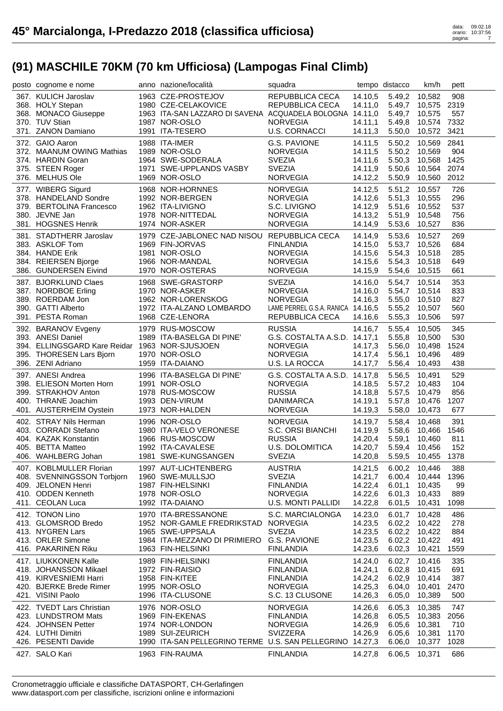| posto cognome e nome                           | anno nazione/località                                     | squadra                           |         | tempo distacco   | km/h          | pett |  |
|------------------------------------------------|-----------------------------------------------------------|-----------------------------------|---------|------------------|---------------|------|--|
| 367. KULICH Jaroslav                           | 1963 CZE-PROSTEJOV                                        | REPUBBLICA CECA                   | 14.10,5 | 5.49,2           | 10,582        | 908  |  |
| 368. HOLY Stepan                               | 1980 CZE-CELAKOVICE                                       | REPUBBLICA CECA                   | 14.11,0 |                  | 5.49,7 10,575 | 2319 |  |
| 368. MONACO Giuseppe                           | 1963 ITA-SAN LAZZARO DI SAVENA ACQUADELA BOLOGNA 14.11,0  |                                   |         | 5.49,7           | 10,575        | 557  |  |
| 370. TUV Stian                                 | 1987 NOR-OSLO                                             | <b>NORVEGIA</b>                   | 14.11,1 | 5.49,8           | 10,574 7332   |      |  |
| 371. ZANON Damiano                             | 1991 ITA-TESERO                                           | U.S. CORNACCI                     | 14.11,3 | 5.50,0           | 10,572        | 3421 |  |
|                                                |                                                           |                                   |         |                  |               |      |  |
| 372. GAIO Aaron                                | 1988 ITA-IMER                                             | G.S. PAVIONE                      | 14.11,5 | 5.50,2           | 10,569        | 2841 |  |
| 372. MAANUM OWING Mathias                      | 1989 NOR-OSLO                                             | <b>NORVEGIA</b>                   | 14.11,5 | 5.50,2           | 10,569        | 904  |  |
| 374. HARDIN Goran                              | 1964 SWE-SODERALA                                         | <b>SVEZIA</b>                     | 14.11,6 | 5.50,3           | 10,568        | 1425 |  |
| 375. STEEN Roger                               | 1971 SWE-UPPLANDS VASBY                                   | <b>SVEZIA</b>                     | 14.11,9 | 5.50,6           | 10.564        | 2074 |  |
| 376. MELHUS Ole                                | 1969 NOR-OSLO                                             | NORVEGIA                          | 14.12,2 | 5.50,9           | 10,560        | 2012 |  |
| 377. WIBERG Sigurd                             | 1968 NOR-HORNNES                                          | <b>NORVEGIA</b>                   | 14.12,5 | 5.51,2           | 10,557        | 726  |  |
| 378. HANDELAND Sondre                          | 1992 NOR-BERGEN                                           | <b>NORVEGIA</b>                   | 14.12,6 |                  | 5.51,3 10,555 | 296  |  |
| 379. BERTOLINA Francesco                       | 1962 ITA-LIVIGNO                                          | S.C. LIVIGNO                      | 14.12,9 | 5.51,6           | 10,552        | 537  |  |
| 380. JEVNE Jan                                 | 1978 NOR-NITTEDAL                                         | <b>NORVEGIA</b>                   | 14.13,2 | 5.51,9           | 10,548        | 756  |  |
| 381. HOGSNES Henrik                            | 1974 NOR-ASKER                                            | <b>NORVEGIA</b>                   | 14.14,9 | 5.53,6           | 10,527        | 836  |  |
|                                                | 1979 CZE-JABLONEC NAD NISOU REPUBBLICA CECA               |                                   |         | 5.53,6           | 10,527        | 269  |  |
| 381. STADTHERR Jaroslav<br>383. ASKLOF Tom     | 1969 FIN-JORVAS                                           | <b>FINLANDIA</b>                  | 14.14,9 |                  |               | 684  |  |
|                                                |                                                           |                                   | 14.15,0 |                  | 5.53,7 10,526 |      |  |
| 384. HANDE Erik                                | 1981 NOR-OSLO                                             | <b>NORVEGIA</b>                   | 14.15,6 | 5.54,3           | 10,518        | 285  |  |
| 384. REIERSEN Bjorge                           | 1966 NOR-MANDAL                                           | <b>NORVEGIA</b>                   | 14.15,6 | 5.54,3           | 10,518        | 649  |  |
| 386. GUNDERSEN Eivind                          | 1970 NOR-OSTERAS                                          | <b>NORVEGIA</b>                   | 14.15,9 | 5.54,6           | 10,515        | 661  |  |
| 387. BJORKLUND Claes                           | 1968 SWE-GRASTORP                                         | <b>SVEZIA</b>                     | 14.16,0 |                  | 5.54,7 10,514 | 353  |  |
| 387. NORDBOE Erling                            | 1970 NOR-ASKER                                            | <b>NORVEGIA</b>                   | 14.16,0 | 5.54,7           | 10,514        | 833  |  |
| 389. ROERDAM Jon                               | 1962 NOR-LORENSKOG                                        | <b>NORVEGIA</b>                   | 14.16,3 | 5.55,0           | 10,510        | 827  |  |
| 390. GATTI Alberto                             | 1972 ITA-ALZANO LOMBARDO                                  | LAME PERREL G.S.A. RANICA 14.16,5 |         | 5.55,2           | 10,507        | 560  |  |
| 391. PESTA Roman                               | 1968 CZE-LENORA                                           | REPUBBLICA CECA                   | 14.16,6 | 5.55,3           | 10,506        | 597  |  |
| 392. BARANOV Evgeny                            | 1979 RUS-MOSCOW                                           | <b>RUSSIA</b>                     | 14.16,7 | 5.55,4           | 10,505        | 345  |  |
| 393. ANESI Daniel                              | 1989 ITA-BASELGA DI PINE'                                 | G.S. COSTALTA A.S.D. 14.17,1      |         | 5.55,8           | 10,500        | 530  |  |
| 394. ELLINGSGARD Kare Reidar 1963 NOR-SJUSJOEN |                                                           | <b>NORVEGIA</b>                   | 14.17,3 | 5.56.0           | 10,498        | 1524 |  |
| 395. THORESEN Lars Bjorn                       | 1970 NOR-OSLO                                             | <b>NORVEGIA</b>                   |         |                  |               | 489  |  |
|                                                |                                                           |                                   | 14.17,4 | 5.56,1<br>5.56,4 | 10,496        | 438  |  |
| 396. ZENI Adriano                              | 1959 ITA-DAIANO                                           | U.S. LA ROCCA                     | 14.17,7 |                  | 10,493        |      |  |
| 397. ANESI Andrea                              | 1996 ITA-BASELGA DI PINE'                                 | G.S. COSTALTA A.S.D. 14.17,8      |         | 5.56,5           | 10,491        | 529  |  |
| 398. ELIESON Morten Horn                       | 1991 NOR-OSLO                                             | <b>NORVEGIA</b>                   | 14.18,5 | 5.57,2           | 10,483        | 104  |  |
| 399. STRAKHOV Anton                            | 1978 RUS-MOSCOW                                           | <b>RUSSIA</b>                     | 14.18,8 | 5.57,5           | 10,479        | 856  |  |
| 400. THRANE Joachim                            | 1993 DEN-VIRUM                                            | DANIMARCA                         | 14.19,1 | 5.57,8           | 10,476        | 1207 |  |
| 401. AUSTERHEIM Oystein                        | 1973 NOR-HALDEN                                           | <b>NORVEGIA</b>                   | 14.19,3 | 5.58,0           | 10,473        | 677  |  |
| 402. STRAY Nils Herman                         | 1996 NOR-OSLO                                             | <b>NORVEGIA</b>                   | 14.19,7 | 5.58,4           | 10,468        | 391  |  |
| 403. CORRADI Stefano                           | 1980 ITA-VELO VERONESE                                    | S.C. ORSI BIANCHI                 | 14.19,9 | 5.58,6           | 10,466        | 1546 |  |
| 404. KAZAK Konstantin                          | 1966 RUS-MOSCOW                                           | <b>RUSSIA</b>                     | 14.20,4 | 5.59,1           | 10,460        | 811  |  |
| 405. BETTA Matteo                              | 1992 ITA-CAVALESE                                         | U.S. DOLOMITICA                   | 14.20,7 | 5.59,4           | 10,456        | 152  |  |
| 406. WAHLBERG Johan                            | 1981 SWE-KUNGSANGEN                                       | <b>SVEZIA</b>                     | 14.20,8 |                  | 5.59,5 10,455 | 1378 |  |
|                                                | 1997 AUT-LICHTENBERG                                      |                                   |         |                  |               |      |  |
| 407. KOBLMULLER Florian                        |                                                           | <b>AUSTRIA</b>                    | 14.21,5 | 6.00,2           | 10,446        | 388  |  |
| 408. SVENNINGSSON Torbjorn                     | 1960 SWE-MULLSJO                                          | <b>SVEZIA</b>                     | 14.21,7 | 6.00,4           | 10,444        | 1396 |  |
| 409. JELONEN Henri                             | 1987 FIN-HELSINKI                                         | <b>FINLANDIA</b>                  | 14.22,4 | 6.01,1           | 10,435        | 99   |  |
| 410. ODDEN Kenneth                             | 1978 NOR-OSLO                                             | <b>NORVEGIA</b>                   | 14.22,6 | 6.01,3           | 10,433        | 889  |  |
| 411. CEOLAN Luca                               | 1992 ITA-DAIANO                                           | <b>U.S. MONTI PALLIDI</b>         | 14.22,8 | 6.01,5           | 10,431        | 1098 |  |
| 412. TONON Lino                                | 1970 ITA-BRESSANONE                                       | S.C. MARCIALONGA                  | 14.23,0 | 6.01,7           | 10,428        | 486  |  |
| 413. GLOMSROD Bredo                            | 1952 NOR-GAMLE FREDRIKSTAD                                | <b>NORVEGIA</b>                   | 14.23,5 | 6.02,2           | 10,422        | 278  |  |
| 413. NYGREN Lars                               | 1965 SWE-UPPSALA                                          | <b>SVEZIA</b>                     | 14.23,5 | 6.02,2           | 10,422        | 884  |  |
| 413. ORLER Simone                              | 1984 ITA-MEZZANO DI PRIMIERO                              | <b>G.S. PAVIONE</b>               | 14.23.5 | 6.02,2           | 10,422        | 491  |  |
| 416. PAKARINEN Riku                            | 1963 FIN-HELSINKI                                         | <b>FINLANDIA</b>                  | 14.23,6 | 6.02,3           | 10,421        | 1559 |  |
| 417. LIUKKONEN Kalle                           | 1989 FIN-HELSINKI                                         | <b>FINLANDIA</b>                  | 14.24,0 | 6.02,7           | 10,416        | 335  |  |
| 418. JOHANSSON Mikael                          | 1972 FIN-RAISIO                                           |                                   |         | 6.02,8           |               | 691  |  |
| 419. KIRVESNIEMI Harri                         |                                                           | <b>FINLANDIA</b>                  | 14.24,1 | 6.02,9           | 10,415        | 387  |  |
|                                                | 1958 FIN-KITEE<br>1995 NOR-OSLO                           | <b>FINLANDIA</b>                  | 14.24,2 |                  | 10,414        |      |  |
| 420. BJERKE Brede Rimer                        |                                                           | <b>NORVEGIA</b>                   | 14.25,3 | 6.04,0           | 10,401        | 2470 |  |
| 421. VISINI Paolo                              | 1996 ITA-CLUSONE                                          | S.C. 13 CLUSONE                   | 14.26,3 | 6.05,0           | 10,389        | 500  |  |
| 422. TVEDT Lars Christian                      | 1976 NOR-OSLO                                             | <b>NORVEGIA</b>                   | 14.26,6 | 6.05,3           | 10,385        | 747  |  |
| 423. LUNDSTROM Mats                            | 1969 FIN-EKENAS                                           | <b>FINLANDIA</b>                  | 14.26,8 | 6.05,5           | 10,383        | 2056 |  |
| 424. JOHNSEN Petter                            | 1974 NOR-LONDON                                           | <b>NORVEGIA</b>                   | 14.26,9 | 6.05,6           | 10,381        | 710  |  |
| 424. LUTHI Dimitri                             | 1989 SUI-ZEURICH                                          | <b>SVIZZERA</b>                   | 14.26,9 | 6.05,6           | 10,381        | 1170 |  |
| 426. PESENTI Davide                            | 1990 ITA-SAN PELLEGRINO TERME U.S. SAN PELLEGRINO 14.27,3 |                                   |         | 6.06,0           | 10,377        | 1028 |  |
| 427. SALO Kari                                 | 1963 FIN-RAUMA                                            | <b>FINLANDIA</b>                  | 14.27,8 | 6.06,5           | 10,371        | 686  |  |
|                                                |                                                           |                                   |         |                  |               |      |  |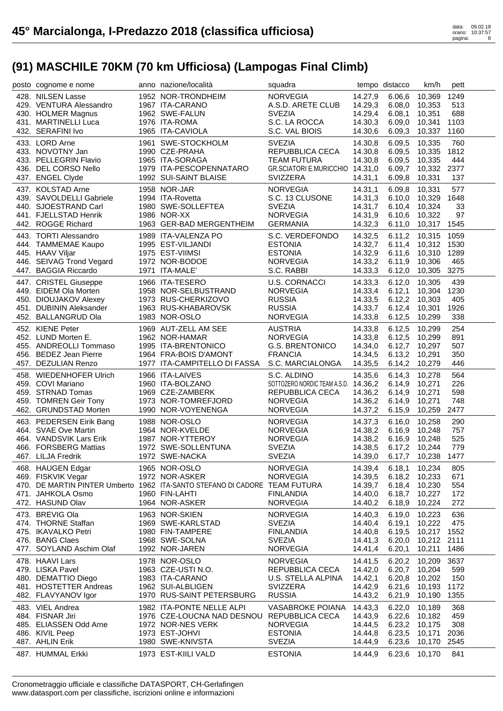| posto cognome e nome                             | anno nazione/località                                                      | squadra                                            |                    | tempo distacco   | km/h             | pett        |  |
|--------------------------------------------------|----------------------------------------------------------------------------|----------------------------------------------------|--------------------|------------------|------------------|-------------|--|
| 428. NILSEN Lasse                                | 1952 NOR-TRONDHEIM                                                         | <b>NORVEGIA</b>                                    | 14.27,9            | 6.06,6           | 10,369           | 1249        |  |
| 429. VENTURA Alessandro                          | 1967 ITA-CARANO                                                            | A.S.D. ARETE CLUB                                  | 14.29,3            | 6.08,0           | 10,353           | 513         |  |
| 430. HOLMER Magnus                               | 1962 SWE-FALUN                                                             | <b>SVEZIA</b>                                      | 14.29,4            | 6.08.1           | 10,351           | 688         |  |
| 431. MARTINELLI Luca                             | 1976 ITA-ROMA                                                              | S.C. LA ROCCA                                      | 14.30,3            | 6.09,0           | 10,341           | 1103        |  |
| 432. SERAFINI Ivo                                | 1965 ITA-CAVIOLA                                                           | S.C. VAL BIOIS                                     | 14.30,6            | 6.09,3           | 10,337           | 1160        |  |
| 433. LORD Arne                                   | 1961 SWE-STOCKHOLM                                                         | <b>SVEZIA</b>                                      | 14.30,8            | 6.09,5           | 10,335           | 760         |  |
| 433. NOVOTNY Jan                                 | 1990 CZE-PRAHA                                                             | REPUBBLICA CECA                                    | 14.30,8            | 6.09,5           | 10,335           | 1812        |  |
| 433. PELLEGRIN Flavio                            | 1965 ITA-SORAGA                                                            | <b>TEAM FUTURA</b>                                 | 14.30,8            | 6.09,5           | 10,335           | 444         |  |
| 436. DEL CORSO Nello<br>437. ENGEL Clyde         | 1979 ITA-PESCOPENNATARO<br>1992 SUI-SAINT BLAISE                           | GR.SCIATORI E.MURICCHIO 14.31,0<br><b>SVIZZERA</b> | 14.31,1            | 6.09,7<br>6.09,8 | 10,332<br>10,331 | 2377<br>137 |  |
|                                                  |                                                                            |                                                    |                    |                  |                  |             |  |
| 437. KOLSTAD Arne                                | 1958 NOR-JAR                                                               | <b>NORVEGIA</b>                                    | 14.31,1            | 6.09,8           | 10.331           | 577         |  |
| 439. SAVOLDELLI Gabriele<br>440. SJOESTRAND Carl | 1994 ITA-Rovetta<br>1980 SWE-SOLLEFTEA                                     | S.C. 13 CLUSONE<br><b>SVEZIA</b>                   | 14.31,3<br>14.31,7 | 6.10,0<br>6.10,4 | 10,329<br>10,324 | 1648<br>33  |  |
| 441. FJELLSTAD Henrik                            | 1986 NOR-XX                                                                | <b>NORVEGIA</b>                                    | 14.31,9            | 6.10,6           | 10,322           | 97          |  |
| 442. ROGGE Richard                               | 1963 GER-BAD MERGENTHEIM                                                   | <b>GERMANIA</b>                                    | 14.32,3            | 6.11,0           | 10,317           | 1545        |  |
| 443. TORTI Alessandro                            | 1989 ITA-VALENZA PO                                                        | S.C. VERDEFONDO                                    | 14.32,5            | 6.11,2           | 10,315           | 1059        |  |
| 444. TAMMEMAE Kaupo                              | 1995 EST-VILJANDI                                                          | <b>ESTONIA</b>                                     | 14.32,7            | 6.11,4           | 10,312           | 1530        |  |
| 445. HAAV Viljar                                 | 1975 EST-VIIMSI                                                            | <b>ESTONIA</b>                                     | 14.32,9            | 6.11,6           | 10,310           | 1289        |  |
| 446. SEIVAG Trond Vegard                         | 1972 NOR-BODOE                                                             | <b>NORVEGIA</b>                                    | 14.33,2            | 6.11,9           | 10,306           | 465         |  |
| 447. BAGGIA Riccardo                             | 1971 ITA-MALE'                                                             | S.C. RABBI                                         | 14.33,3            | 6.12,0           | 10,305           | 3275        |  |
| 447. CRISTEL Giuseppe                            | 1966 ITA-TESERO                                                            | <b>U.S. CORNACCI</b>                               | 14.33,3            | 6.12,0           | 10,305           | 439         |  |
| 449. EIDEM Ola Morten                            | 1958 NOR-SELBUSTRAND                                                       | <b>NORVEGIA</b>                                    | 14.33,4            | 6.12,1           | 10,304           | 1230        |  |
| 450. DIOUJAKOV Alexey                            | 1973 RUS-CHERKIZOVO                                                        | <b>RUSSIA</b>                                      | 14.33,5            | 6.12,2           | 10,303           | 405         |  |
| 451. DUBININ Aleksander                          | 1963 RUS-KHABAROVSK                                                        | <b>RUSSIA</b>                                      | 14.33,7            | 6.12,4           | 10,301           | 1926        |  |
| 452. BALLANGRUD Ola                              | 1983 NOR-OSLO                                                              | <b>NORVEGIA</b>                                    | 14.33,8            | 6.12,5           | 10,299           | 338         |  |
| 452. KIENE Peter                                 | 1969 AUT-ZELL AM SEE                                                       | <b>AUSTRIA</b>                                     | 14.33,8            | 6.12,5           | 10,299           | 254         |  |
| 452. LUND Morten E.                              | 1962 NOR-HAMAR                                                             | <b>NORVEGIA</b>                                    | 14.33,8            | 6.12,5           | 10,299           | 891         |  |
| 455. ANDREOLLI Tommaso                           | 1995 ITA-BRENTONICO                                                        | <b>G.S. BRENTONICO</b>                             | 14.34,0            | 6.12,7           | 10,297           | 507         |  |
| 456. BEDEZ Jean Pierre                           | 1964 FRA-BOIS D'AMONT                                                      | <b>FRANCIA</b>                                     | 14.34,5            | 6.13,2           | 10,291           | 350         |  |
| 457. DEZULIAN Renzo                              | 1977 ITA-CAMPITELLO DI FASSA                                               | S.C. MARCIALONGA                                   | 14.35,5            | 6.14,2           | 10,279           | 446         |  |
| 458. WIEDENHOFER Ulrich                          | 1966 ITA-LAIVES                                                            | S.C. ALDINO                                        | 14.35,6            | 6.14,3           | 10,278           | 564         |  |
| 459. COVI Mariano                                | 1960 ITA-BOLZANO                                                           | SOTTOZERO NORDIC TEAM A.S.D.                       | 14.36,2            | 6.14,9           | 10,271           | 226         |  |
| 459. STRNAD Tomas                                | 1969 CZE-ZAMBERK                                                           | REPUBBLICA CECA                                    | 14.36,2            | 6.14,9           | 10,271           | 598<br>748  |  |
| 459. TOMREN Geir Tony<br>462. GRUNDSTAD Morten   | 1973 NOR-TOMREFJORD<br>1990 NOR-VOYENENGA                                  | <b>NORVEGIA</b><br><b>NORVEGIA</b>                 | 14.36,2<br>14.37,2 | 6.14,9<br>6.15,9 | 10,271<br>10,259 | 2477        |  |
|                                                  |                                                                            |                                                    |                    |                  |                  |             |  |
| 463. PEDERSEN Eirik Bang                         | 1988 NOR-OSLO<br>1964 NOR-KVELDE                                           | <b>NORVEGIA</b>                                    | 14.37,3            | 6.16,0           | 10,258           | 290         |  |
| 464. SVAE Ove Martin<br>464. VANDSVIK Lars Erik  | 1987 NOR-YTTEROY                                                           | <b>NORVEGIA</b><br><b>NORVEGIA</b>                 | 14.38,2<br>14.38,2 | 6.16,9<br>6.16,9 | 10,248<br>10,248 | 757<br>525  |  |
| 466. FORSBERG Mattias                            | 1972 SWE-SOLLENTUNA                                                        | <b>SVEZIA</b>                                      | 14.38,5            | 6.17,2           | 10,244           | 779         |  |
| 467. LILJA Fredrik                               | 1972 SWE-NACKA                                                             | <b>SVEZIA</b>                                      | 14.39,0            |                  | 6.17,7 10,238    | 1477        |  |
| 468. HAUGEN Edgar                                | 1965 NOR-OSLO                                                              | <b>NORVEGIA</b>                                    | 14.39,4            |                  | 6.18,1 10,234    | 805         |  |
| 469. FISKVIK Vegar                               | 1972 NOR-ASKER                                                             | <b>NORVEGIA</b>                                    | 14.39,5            |                  | 6.18,2 10,233    | 671         |  |
|                                                  | 470. DE MARTIN PINTER Umberto 1962 ITA-SANTO STEFANO DI CADORE TEAM FUTURA |                                                    | 14.39,7            | 6.18,4           | 10,230           | 554         |  |
| 471. JAHKOLA Osmo                                | 1960 FIN-LAHTI                                                             | <b>FINLANDIA</b>                                   | 14.40,0            | 6.18,7           | 10,227           | 172         |  |
| 472. HASUND Olav                                 | 1964 NOR-ASKER                                                             | <b>NORVEGIA</b>                                    | 14.40,2            | 6.18,9           | 10,224           | 272         |  |
| 473. BREVIG Ola                                  | 1963 NOR-SKIEN                                                             | <b>NORVEGIA</b>                                    | 14.40,3            | 6.19,0           | 10,223           | 636         |  |
| 474. THORNE Staffan                              | 1969 SWE-KARLSTAD                                                          | <b>SVEZIA</b>                                      | 14.40,4            | 6.19,1           | 10,222           | 475         |  |
| 475. IKAVALKO Petri                              | 1980 FIN-TAMPERE                                                           | <b>FINLANDIA</b>                                   | 14.40,8            | 6.19,5           | 10,217           | 1552        |  |
| 476. BANG Claes                                  | 1968 SWE-SOLNA                                                             | <b>SVEZIA</b>                                      | 14.41,3            | 6.20,0           | 10,212 2111      |             |  |
| 477. SOYLAND Aschim Olaf                         | 1992 NOR-JAREN                                                             | <b>NORVEGIA</b>                                    | 14.41,4            | 6.20,1           | 10,211           | 1486        |  |
| 478. HAAVI Lars                                  | 1978 NOR-OSLO                                                              | <b>NORVEGIA</b>                                    | 14.41,5            | 6.20,2           | 10,209           | 3637        |  |
| 479. LISKA Pavel                                 | 1963 CZE-USTI N.O.                                                         | REPUBBLICA CECA                                    | 14.42,0            | 6.20,7           | 10,204           | 599         |  |
| 480. DEMATTIO Diego<br>481. HOSTETTER Andreas    | 1983 ITA-CARANO<br>1962 SUI-ALBLIGEN                                       | U.S. STELLA ALPINA<br><b>SVIZZERA</b>              | 14.42,1<br>14.42,9 | 6.20,8<br>6.21,6 | 10,202<br>10,193 | 150<br>1172 |  |
| 482. FLAVYANOV Igor                              | 1970 RUS-SAINT PETERSBURG                                                  | <b>RUSSIA</b>                                      | 14.43,2            | 6.21,9           | 10,190           | 1355        |  |
| 483. VIEL Andrea                                 | 1982 ITA-PONTE NELLE ALPI                                                  | VASABROKE POIANA                                   | 14.43,3            | 6.22,0           | 10,189           | 368         |  |
| 484. FISNAR Jiri                                 | 1976 CZE-LOUCNA NAD DESNOU REPUBBLICA CECA                                 |                                                    | 14.43,9            | 6.22,6           | 10,182           | 459         |  |
| 485. ELIASSEN Odd Arne                           | 1972 NOR-NES VERK                                                          | <b>NORVEGIA</b>                                    | 14.44,5            | 6.23,2           | 10,175           | 308         |  |
| 486. KIVIL Peep                                  | 1973 EST-JOHVI                                                             | <b>ESTONIA</b>                                     | 14.44,8            | 6.23,5           | 10,171           | 2036        |  |
| 487. AHLIN Erik                                  | 1980 SWE-KNIVSTA                                                           | <b>SVEZIA</b>                                      | 14.44,9            | 6.23,6           | 10,170           | 2545        |  |
| 487. HUMMAL Erkki                                | 1973 EST-KIILI VALD                                                        | <b>ESTONIA</b>                                     | 14.44,9            | 6.23,6           | 10,170           | 841         |  |
|                                                  |                                                                            |                                                    |                    |                  |                  |             |  |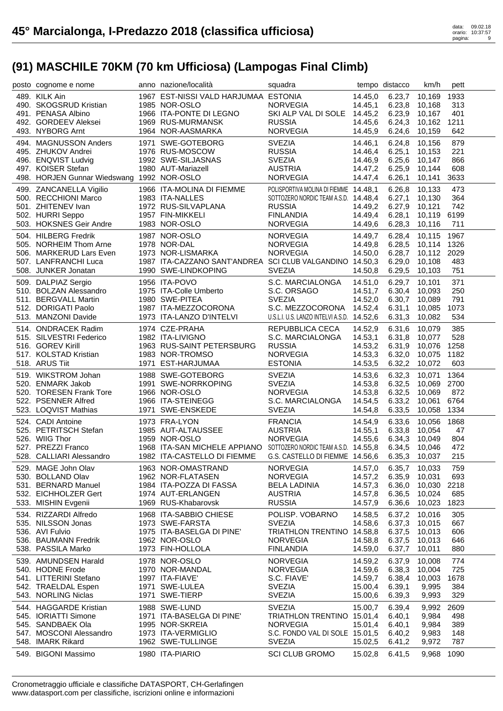| posto cognome e nome                       | anno nazione/località                                             | squadra                                    |         | tempo distacco | km/h           | pett |  |
|--------------------------------------------|-------------------------------------------------------------------|--------------------------------------------|---------|----------------|----------------|------|--|
| 489. KILK Ain                              | 1967 EST-NISSI VALD HARJUMAA ESTONIA                              |                                            | 14.45,0 |                | 6.23,7 10,169  | 1933 |  |
| 490. SKOGSRUD Kristian                     | 1985 NOR-OSLO                                                     | <b>NORVEGIA</b>                            | 14.45,1 | 6.23,8         | 10,168         | 313  |  |
| 491. PENASA Albino                         | 1966 ITA-PONTE DI LEGNO                                           | SKI ALP VAL DI SOLE 14.45,2                |         | 6.23,9 10,167  |                | 401  |  |
| 492. GORDEEV Aleksei                       | 1969 RUS-MURMANSK                                                 | <b>RUSSIA</b>                              | 14.45,6 | 6.24,3         | 10,162         | 1211 |  |
| 493. NYBORG Arnt                           | 1964 NOR-AASMARKA                                                 | <b>NORVEGIA</b>                            | 14.45,9 | 6.24, 6        | 10,159         | 642  |  |
|                                            |                                                                   |                                            |         |                |                |      |  |
| 494. MAGNUSSON Anders                      | 1971 SWE-GOTEBORG                                                 | <b>SVEZIA</b>                              | 14.46,1 | 6.24,8         | 10.156         | 879  |  |
| 495. ZHUKOV Andrei                         | 1976 RUS-MOSCOW                                                   | <b>RUSSIA</b>                              | 14.46,4 | 6.25,1         | 10,153         | 221  |  |
| 496. ENQVIST Ludvig                        | 1992 SWE-SILJASNAS                                                | <b>SVEZIA</b>                              | 14.46,9 | 6.25,6         | 10,147         | 866  |  |
| 497. KOISER Stefan                         | 1980 AUT-Mariazell                                                | <b>AUSTRIA</b>                             | 14.47,2 | 6.25,9         | 10,144         | 608  |  |
| 498. HORJEN Gunnar Wiedswang 1992 NOR-OSLO |                                                                   | <b>NORVEGIA</b>                            | 14.47,4 | 6.26,1         | 10,141         | 3633 |  |
| 499. ZANCANELLA Vigilio                    | 1966 ITA-MOLINA DI FIEMME                                         | POLISPORTIVA MOLINA DI FIEMME 14.48,1      |         | 6.26,8         | 10,133         | 473  |  |
| 500. RECCHIONI Marco                       | 1983 ITA-NALLES                                                   | SOTTOZERO NORDIC TEAM A.S.D. 14.48,4       |         | 6.27,1         | 10,130         | 364  |  |
| 501. ZHITENEV Ivan                         | 1972 RUS-SILVAPLANA                                               | <b>RUSSIA</b>                              | 14.49,2 | 6.27,9         | 10,121         | 742  |  |
| 502. HURRI Seppo                           | 1957 FIN-MIKKELI                                                  | <b>FINLANDIA</b>                           | 14.49,4 | 6.28,1         | 10,119         | 6199 |  |
| 503. HOKSNES Geir Andre                    | 1983 NOR-OSLO                                                     | <b>NORVEGIA</b>                            | 14.49,6 | 6.28,3         | 10,116         | 711  |  |
|                                            |                                                                   |                                            |         |                |                |      |  |
| 504. HILBERG Fredrik                       | 1987 NOR-OSLO                                                     | <b>NORVEGIA</b>                            | 14.49,7 | 6.28,4         | 10,115         | 1967 |  |
| 505. NORHEIM Thom Arne                     | 1978 NOR-DAL                                                      | <b>NORVEGIA</b>                            | 14.49,8 | 6.28,5         | 10,114 1326    |      |  |
| 506. MARKERUD Lars Even                    | 1973 NOR-LISMARKA                                                 | <b>NORVEGIA</b>                            | 14.50,0 | 6.28,7         | 10,112         | 2029 |  |
| 507. LANFRANCHI Luca                       | 1987 ITA-CAZZANO SANT'ANDREA SCI CLUB VALGANDINO 14.50,3          |                                            |         | 6.29,0         | 10,108         | 483  |  |
| 508. JUNKER Jonatan                        | 1990 SWE-LINDKOPING                                               | <b>SVEZIA</b>                              | 14.50,8 | 6.29,5         | 10,103         | 751  |  |
| 509. DALPIAZ Sergio                        | 1956 ITA-POVO                                                     | S.C. MARCIALONGA                           | 14.51,0 | 6.29,7         | 10,101         | 371  |  |
| 510. BOLZAN Alessandro                     | 1975 ITA-Colle Umberto                                            | S.C. ORSAGO                                | 14.51,7 | 6.30,4         | 10,093         | 250  |  |
| 511. BERGVALL Martin                       | 1980 SWE-PITEA                                                    | <b>SVEZIA</b>                              | 14.52,0 | 6.30,7         | 10,089         | 791  |  |
| 512. DORIGATI Paolo                        | 1987 ITA-MEZZOCORONA                                              | S.C. MEZZOCORONA 14.52,4                   |         | 6.31,1         | 10,085         | 1073 |  |
| 513. MANZONI Davide                        | 1973 ITA-LANZO D'INTELVI                                          | U.S.L.I. U.S. LANZO INTELVI A.S.D. 14.52,6 |         | 6.31,3         | 10,082         | 534  |  |
| 514. ONDRACEK Radim                        | 1974 CZE-PRAHA                                                    | REPUBBLICA CECA                            | 14.52,9 | 6.31,6         | 10,079         | 385  |  |
| 515. SILVESTRI Federico                    | 1982 ITA-LIVIGNO                                                  | S.C. MARCIALONGA                           | 14.53,1 | 6.31,8         | 10,077         | 528  |  |
| 516. GOREV Kirill                          | 1963 RUS-SAINT PETERSBURG                                         | <b>RUSSIA</b>                              | 14.53,2 | 6.31,9         | 10,076         | 1258 |  |
| 517. KOLSTAD Kristian                      | 1983 NOR-TROMSO                                                   | <b>NORVEGIA</b>                            |         |                | 10,075         | 1182 |  |
|                                            |                                                                   |                                            | 14.53,3 | 6.32,0         |                |      |  |
| 518. ARUS Tiit                             | 1971 EST-HARJUMAA                                                 | <b>ESTONIA</b>                             | 14.53,5 | 6.32,2         | 10,072         | 603  |  |
| 519. WIKSTROM Johan                        | 1988 SWE-GOTEBORG                                                 | <b>SVEZIA</b>                              | 14.53,6 | 6.32,3         | 10,071         | 1364 |  |
| 520. ENMARK Jakob                          | 1991 SWE-NORRKOPING                                               | <b>SVEZIA</b>                              | 14.53,8 | 6.32,5         | 10,069         | 2700 |  |
| 520. TORESEN Frank Tore                    | 1966 NOR-OSLO                                                     | <b>NORVEGIA</b>                            | 14.53,8 | 6.32,5         | 10,069         | 872  |  |
| 522. PSENNER Alfred                        | 1966 ITA-STEINEGG                                                 | S.C. MARCIALONGA                           | 14.54,5 | 6.33,2         | 10,061         | 6764 |  |
| 523. LOQVIST Mathias                       | 1971 SWE-ENSKEDE                                                  | <b>SVEZIA</b>                              | 14.54,8 | 6.33,5         | 10,058         | 1334 |  |
| 524. CADI Antoine                          | 1973 FRA-LYON                                                     | <b>FRANCIA</b>                             | 14.54,9 | 6.33,6         | 10,056         | 1868 |  |
| 525. PETRITSCH Stefan                      | 1985 AUT-ALTAUSSEE                                                | <b>AUSTRIA</b>                             | 14.55,1 | 6.33,8         | 10,054         | 47   |  |
| 526. WIIG Thor                             | 1959 NOR-OSLO                                                     | <b>NORVEGIA</b>                            | 14.55,6 | 6.34,3         | 10,049         | 804  |  |
| 527. PREZZI Franco                         | 1968 ITA-SAN MICHELE APPIANO SOTTOZERO NORDIC TEAM A.S.D. 14.55,8 |                                            |         | 6.34,5         | 10,046         | 472  |  |
| 528. CALLIARI Alessandro                   | 1982 ITA-CASTELLO DI FIEMME                                       | G.S. CASTELLO DI FIEMME 14.56,6            |         | 6.35,3         | 10,037         | 215  |  |
|                                            |                                                                   |                                            |         |                |                |      |  |
| 529. MAGE John Olav                        | 1963 NOR-OMASTRAND                                                | <b>NORVEGIA</b>                            | 14.57,0 | 6.35,7         | 10,033         | 759  |  |
| 530. BOLLAND Olav                          | 1962 NOR-FLATASEN                                                 | <b>NORVEGIA</b>                            | 14.57,2 | 6.35,9         | 10,031         | 693  |  |
| 531. BERNARD Manuel                        | 1984 ITA-POZZA DI FASSA                                           | <b>BELA LADINIA</b>                        | 14.57,3 | 6.36,0         | 10,030         | 2218 |  |
| 532. EICHHOLZER Gert                       | 1974 AUT-ERLANGEN                                                 | <b>AUSTRIA</b>                             | 14.57,8 | 6.36,5         | 10,024         | 685  |  |
| 533. MISHIN Evgenii                        | 1969 RUS-Khabarovsk                                               | <b>RUSSIA</b>                              | 14.57,9 | 6.36,6         | 10,023         | 1823 |  |
| 534. RIZZARDI Alfredo                      | 1968 ITA-SABBIO CHIESE                                            | POLISP. VOBARNO                            | 14.58,5 | 6.37,2         | 10,016         | 305  |  |
| 535. NILSSON Jonas                         | 1973 SWE-FARSTA                                                   | <b>SVEZIA</b>                              | 14.58,6 | 6.37,3         | 10,015         | 667  |  |
| 536. AVI Fulvio                            | 1975 ITA-BASELGA DI PINE'                                         | TRIATHLON TRENTINO 14.58,8                 |         | 6.37,5         | 10,013         | 606  |  |
| 536. BAUMANN Fredrik                       | 1962 NOR-OSLO                                                     | <b>NORVEGIA</b>                            | 14.58,8 | 6.37,5         | 10,013         | 646  |  |
| 538. PASSILA Marko                         | 1973 FIN-HOLLOLA                                                  | <b>FINLANDIA</b>                           | 14.59,0 | 6.37,7         | 10,011         | 880  |  |
| 539. AMUNDSEN Harald                       | 1978 NOR-OSLO                                                     | <b>NORVEGIA</b>                            | 14.59,2 | 6.37,9         | 10.008         | 774  |  |
| 540. HODNE Frode                           | 1970 NOR-MANDAL                                                   | <b>NORVEGIA</b>                            | 14.59,6 | 6.38,3         | 10,004         | 725  |  |
| 541. LITTERINI Stefano                     | 1997 ITA-FIAVE'                                                   | S.C. FIAVE'                                | 14.59,7 | 6.38,4         | 10,003         | 1678 |  |
| 542. TRAELDAL Espen                        | 1971 SWE-LULEA                                                    | <b>SVEZIA</b>                              | 15.00,4 | 6.39,1         |                | 384  |  |
| 543. NORLING Niclas                        | 1971 SWE-TIERP                                                    | <b>SVEZIA</b>                              | 15.00,6 | 6.39,3         | 9,995<br>9,993 | 329  |  |
|                                            |                                                                   |                                            |         |                |                |      |  |
| 544. HAGGARDE Kristian                     | 1988 SWE-LUND                                                     | <b>SVEZIA</b>                              | 15.00,7 | 6.39,4         | 9,992          | 2609 |  |
| 545. IORIATTI Simone                       | 1971 ITA-BASELGA DI PINE'                                         | TRIATHLON TRENTINO 15.01,4                 |         | 6.40,1         | 9,984          | 498  |  |
| 545. SANDBAEK Ola                          | 1995 NOR-SKREIA                                                   | <b>NORVEGIA</b>                            | 15.01,4 | 6.40,1         | 9,984          | 389  |  |
| 547. MOSCONI Alessandro                    | 1973 ITA-VERMIGLIO                                                | S.C. FONDO VAL DI SOLE 15.01,5             |         | 6.40,2         | 9,983          | 148  |  |
| 548. IMARK Rikard                          | 1962 SWE-TULLINGE                                                 | <b>SVEZIA</b>                              | 15.02,5 | 6.41,2         | 9,972          | 787  |  |
| 549. BIGONI Massimo                        | 1980 ITA-PIARIO                                                   | <b>SCI CLUB GROMO</b>                      | 15.02,8 | 6.41,5         | 9,968          | 1090 |  |
|                                            |                                                                   |                                            |         |                |                |      |  |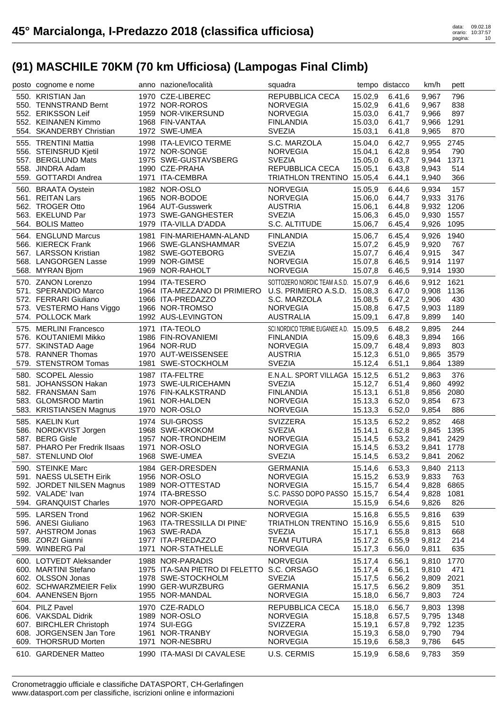| posto cognome e nome                        | anno nazione/località                                     | squadra                                |                    | tempo distacco   | km/h           | pett        |  |
|---------------------------------------------|-----------------------------------------------------------|----------------------------------------|--------------------|------------------|----------------|-------------|--|
| 550. KRISTIAN Jan                           | 1970 CZE-LIBEREC                                          | REPUBBLICA CECA                        | 15.02,9            | 6.41,6           | 9,967          | 796         |  |
| 550. TENNSTRAND Bernt                       | 1972 NOR-ROROS                                            | <b>NORVEGIA</b>                        | 15.02,9            | 6.41,6           | 9,967          | 838         |  |
| 552. ERIKSSON Leif                          | 1959 NOR-VIKERSUND                                        | <b>NORVEGIA</b>                        | 15.03,0            | 6.41,7           | 9,966          | 897         |  |
| 552. KEINANEN Kimmo                         | 1968 FIN-VANTAA                                           | <b>FINLANDIA</b>                       | 15.03,0            | 6.41,7           | 9,966          | 1291        |  |
| 554. SKANDERBY Christian                    | 1972 SWE-UMEA                                             | <b>SVEZIA</b>                          | 15.03,1            | 6.41,8           | 9,965          | 870         |  |
| 555. TRENTINI Mattia                        | 1998 ITA-LEVICO TERME                                     | S.C. MARZOLA                           | 15.04,0            | 6.42,7           |                | 2745        |  |
|                                             |                                                           |                                        |                    |                  | 9,955          |             |  |
| 556. STEINSRUD Kjetil<br>557. BERGLUND Mats | 1972 NOR-SONGE<br>1975 SWE-GUSTAVSBERG                    | <b>NORVEGIA</b><br><b>SVEZIA</b>       | 15.04,1            | 6.42,8<br>6.43,7 | 9,954          | 790<br>1371 |  |
| 558. JINDRA Adam                            | 1990 CZE-PRAHA                                            | REPUBBLICA CECA                        | 15.05,0<br>15.05,1 | 6.43,8           | 9,944<br>9,943 | 514         |  |
| 559. GOTTARDI Andrea                        | 1971 ITA-CEMBRA                                           | TRIATHLON TRENTINO 15.05,4             |                    | 6.44,1           | 9,940          | 366         |  |
|                                             |                                                           |                                        |                    |                  |                |             |  |
| 560. BRAATA Oystein                         | 1982 NOR-OSLO                                             | <b>NORVEGIA</b>                        | 15.05,9            | 6.44,6           | 9,934          | 157         |  |
| 561. REITAN Lars                            | 1965 NOR-BODOE                                            | <b>NORVEGIA</b>                        | 15.06,0            | 6.44,7           | 9,933          | 3176        |  |
| 562. TROGER Otto                            | 1964 AUT-Gusswerk                                         | <b>AUSTRIA</b>                         | 15.06,1            | 6.44,8           | 9,932 1206     |             |  |
| 563. EKELUND Par                            | 1973 SWE-GANGHESTER                                       | <b>SVEZIA</b>                          | 15.06,3            | 6.45,0           | 9,930          | 1557        |  |
| 564. BOLIS Matteo                           | 1979 ITA-VILLA D'ADDA                                     | S.C. ALTITUDE                          | 15.06,7            | 6.45,4           | 9,926          | 1095        |  |
| 564. ENGLUND Marcus                         | 1981 FIN-MARIEHAMN-ALAND                                  | <b>FINLANDIA</b>                       | 15.06,7            | 6.45,4           | 9,926          | 1940        |  |
| 566. KIERECK Frank                          | 1966 SWE-GLANSHAMMAR                                      | <b>SVEZIA</b>                          | 15.07,2            | 6.45,9           | 9,920          | 767         |  |
| 567. LARSSON Kristian                       | 1982 SWE-GOTEBORG                                         | <b>SVEZIA</b>                          | 15.07,7            | 6.46,4           | 9,915          | 347         |  |
| 568. LANGORGEN Lasse                        | 1999 NOR-GIMSE                                            | <b>NORVEGIA</b>                        | 15.07,8            | 6.46,5           | 9,914          | 1197        |  |
| 568. MYRAN Bjorn                            | 1969 NOR-RAHOLT                                           | <b>NORVEGIA</b>                        | 15.07,8            | 6.46,5           | 9,914          | 1930        |  |
| 570. ZANON Lorenzo                          | 1994 ITA-TESERO                                           | SOTTOZERO NORDIC TEAM A.S.D. 15.07,9   |                    | 6.46,6           | 9,912          | 1621        |  |
| 571. SPERANDIO Marco                        | 1964 ITA-MEZZANO DI PRIMIERO U.S. PRIMIERO A.S.D. 15.08,3 |                                        |                    | 6.47,0           | 9,908          | 1136        |  |
| 572. FERRARI Giuliano                       | 1966 ITA-PREDAZZO                                         | S.C. MARZOLA                           | 15.08,5            | 6.47,2           | 9,906          | 430         |  |
| 573. VESTERMO Hans Viggo                    | 1966 NOR-TROMSO                                           | <b>NORVEGIA</b>                        | 15.08,8            | 6.47,5           | 9,903          | 1189        |  |
| 574. POLLOCK Mark                           | 1992 AUS-LEVINGTON                                        | <b>AUSTRALIA</b>                       | 15.09,1            | 6.47,8           | 9,899          | 140         |  |
|                                             |                                                           |                                        |                    |                  |                |             |  |
| 575. MERLINI Francesco                      | 1971 ITA-TEOLO                                            | SCI NORDICO TERME EUGANEE A.D. 15.09,5 |                    | 6.48,2           | 9,895          | 244         |  |
| 576. KOUTANIEMI Mikko                       | 1986 FIN-ROVANIEMI                                        | <b>FINLANDIA</b>                       | 15.09,6            | 6.48,3           | 9,894          | 166         |  |
| 577. SKINSTAD Aage                          | 1964 NOR-RUD                                              | <b>NORVEGIA</b>                        | 15.09,7            | 6.48,4           | 9,893          | 803         |  |
| 578. RANNER Thomas                          | 1970 AUT-WEISSENSEE                                       | <b>AUSTRIA</b>                         | 15.12,3            | 6.51,0           | 9,865          | 3579        |  |
| 579. STENSTROM Tomas                        | 1981 SWE-STOCKHOLM                                        | <b>SVEZIA</b>                          | 15.12,4            | 6.51,1           | 9,864          | 1389        |  |
| 580. SCOPEL Alessio                         | 1987 ITA-FELTRE                                           | E.N.A.L. SPORT VILLAGA 15.12,5         |                    | 6.51,2           | 9,863          | 376         |  |
| 581. JOHANSSON Hakan                        | 1973 SWE-ULRICEHAMN                                       | <b>SVEZIA</b>                          | 15.12,7            | 6.51,4           | 9,860          | 4992        |  |
| 582. FRANSMAN Sam                           | 1976 FIN-KALKSTRAND                                       | <b>FINLANDIA</b>                       | 15.13,1            | 6.51,8           | 9,856          | 2080        |  |
| 583. GLOMSROD Martin                        | 1961 NOR-HALDEN                                           | <b>NORVEGIA</b>                        | 15.13,3            | 6.52,0           | 9,854          | 673         |  |
| 583. KRISTIANSEN Magnus                     | 1970 NOR-OSLO                                             | <b>NORVEGIA</b>                        | 15.13,3            | 6.52,0           | 9,854          | 886         |  |
| 585. KAELIN Kurt                            | 1974 SUI-GROSS                                            | <b>SVIZZERA</b>                        | 15.13,5            | 6.52,2           | 9.852          | 468         |  |
| 586. NORDKVIST Jorgen                       | 1968 SWE-KROKOM                                           | <b>SVEZIA</b>                          | 15.14,1            | 6.52,8           | 9,845          | 1395        |  |
| 587. BERG Gisle                             | 1957 NOR-TRONDHEIM                                        | <b>NORVEGIA</b>                        | 15.14,5            | 6.53,2           | 9,841          | 2429        |  |
| 587. PHARO Per Fredrik Ilsaas               | 1971 NOR-OSLO                                             | <b>NORVEGIA</b>                        | 15.14,5            | 6.53,2           | 9,841          | 1778        |  |
| 587. STENLUND Olof                          | 1968 SWE-UMEA                                             | <b>SVEZIA</b>                          | 15.14,5            | 6.53,2           | 9,841 2062     |             |  |
| 590. STEINKE Marc                           | 1984 GER-DRESDEN                                          | <b>GERMANIA</b>                        | 15.14,6            | 6.53,3           | 9,840 2113     |             |  |
| 591. NAESS ULSETH Eirik                     | 1956 NOR-OSLO                                             | <b>NORVEGIA</b>                        | 15.15,2            | 6.53,9           | 9,833          | 763         |  |
| 592. JORDET NILSEN Magnus                   | 1989 NOR-OTTESTAD                                         | <b>NORVEGIA</b>                        | 15.15,7            | 6.54,4           | 9,828          | 6865        |  |
| 592. VALADE' Ivan                           | 1974 ITA-BRESSO                                           | S.C. PASSO DOPO PASSO 15.15,7          |                    | 6.54,4           | 9,828          | 1081        |  |
| 594. GRANQUIST Charles                      | 1970 NOR-OPPEGARD                                         | <b>NORVEGIA</b>                        | 15.15,9            | 6.54,6           | 9,826          | 826         |  |
| 595. LARSEN Trond                           |                                                           |                                        |                    |                  |                |             |  |
|                                             | 1962 NOR-SKIEN                                            | <b>NORVEGIA</b>                        | 15.16,8            | 6.55,5           | 9,816          | 639         |  |
| 596. ANESI Giuliano                         | 1963 ITA-TRESSILLA DI PINE'                               | TRIATHLON TRENTINO 15.16,9             |                    | 6.55,6           | 9,815          | 510         |  |
| 597. AHSTROM Jonas<br>598. ZORZI Gianni     | 1963 SWE-RADA<br>1977 ITA-PREDAZZO                        | <b>SVEZIA</b><br><b>TEAM FUTURA</b>    | 15.17,1<br>15.17,2 | 6.55,8<br>6.55,9 | 9,813<br>9,812 | 668<br>214  |  |
| 599. WINBERG Pal                            | 1971 NOR-STATHELLE                                        |                                        |                    |                  |                | 635         |  |
|                                             |                                                           |                                        |                    |                  |                |             |  |
|                                             |                                                           | <b>NORVEGIA</b>                        | 15.17,3            | 6.56,0           | 9,811          |             |  |
| 600. LOTVEDT Aleksander                     | 1988 NOR-PARADIS                                          | <b>NORVEGIA</b>                        | 15.17,4            | 6.56,1           | 9,810          | 1770        |  |
| 600. MARTINI Stefano                        | 1975 ITA-SAN PIETRO DI FELETTO S.C. ORSAGO                |                                        | 15.17,4            | 6.56,1           | 9,810          | 471         |  |
| 602. OLSSON Jonas                           | 1978 SWE-STOCKHOLM                                        | <b>SVEZIA</b>                          | 15.17,5            | 6.56,2           | 9,809          | 2021        |  |
| 602. SCHWARZMEIER Felix                     | 1990 GER-WURZBURG                                         | <b>GERMANIA</b>                        | 15.17,5            | 6.56,2           | 9,809          | 351         |  |
| 604. AANENSEN Bjorn                         | 1955 NOR-MANDAL                                           | <b>NORVEGIA</b>                        | 15.18,0            | 6.56,7           | 9,803          | 724         |  |
| 604. PILZ Pavel                             | 1970 CZE-RADLO                                            | REPUBBLICA CECA                        | 15.18,0            | 6.56,7           | 9,803          | 1398        |  |
| 606. VAKSDAL Didrik                         | 1989 NOR-OSLO                                             | <b>NORVEGIA</b>                        | 15.18,8            | 6.57,5           | 9,795          | 1348        |  |
| 607. BIRCHLER Christoph                     | 1974 SUI-EGG                                              | <b>SVIZZERA</b>                        | 15.19,1            | 6.57,8           | 9,792          | 1235        |  |
| 608. JORGENSEN Jan Tore                     | 1961 NOR-TRANBY                                           | <b>NORVEGIA</b>                        | 15.19,3            | 6.58,0           | 9,790          | 794         |  |
| 609. THORSRUD Morten                        | 1971 NOR-NESBRU                                           | <b>NORVEGIA</b>                        | 15.19,6            | 6.58,3           | 9,786          | 645         |  |
| 610. GARDENER Matteo                        | 1990 ITA-MASI DI CAVALESE                                 | U.S. CERMIS                            | 15.19,9            | 6.58,6           | 9,783          | 359         |  |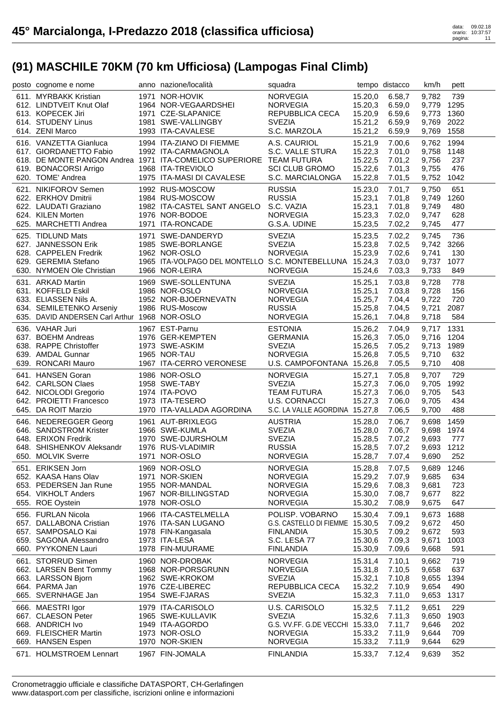| posto cognome e nome                          | anno nazione/località                                               | squadra                             |                    | tempo distacco   | km/h           | pett        |
|-----------------------------------------------|---------------------------------------------------------------------|-------------------------------------|--------------------|------------------|----------------|-------------|
| 611. MYRBAKK Kristian                         | 1971 NOR-HOVIK                                                      | <b>NORVEGIA</b>                     | 15.20,0            | 6.58,7           | 9.782          | 739         |
| 612. LINDTVEIT Knut Olaf                      | 1964 NOR-VEGAARDSHEI                                                | <b>NORVEGIA</b>                     | 15.20,3            | 6.59,0           | 9,779          | 1295        |
| 613. KOPECEK Jiri                             | 1971 CZE-SLAPANICE                                                  | REPUBBLICA CECA                     | 15.20,9            | 6.59,6           | 9,773          | 1360        |
| 614. STUDENY Linus                            | 1981 SWE-VALLINGBY                                                  | <b>SVEZIA</b>                       | 15.21,2            | 6.59,9           | 9,769          | 2022        |
| 614. ZENI Marco                               | 1993 ITA-CAVALESE                                                   | S.C. MARZOLA                        | 15.21,2            | 6.59,9           | 9,769          | 1558        |
| 616. VANZETTA Gianluca                        | 1994 ITA-ZIANO DI FIEMME                                            | A.S. CAURIOL                        |                    |                  |                | 1994        |
| 617. GIORDANETTO Fabio                        | 1992 ITA-CARMAGNOLA                                                 | S.C. VALLE STURA                    | 15.21,9            | 7.00,6<br>7.01,0 | 9,762<br>9,758 | 1148        |
|                                               | 618. DE MONTE PANGON Andrea 1971 ITA-COMELICO SUPERIORE TEAM FUTURA |                                     | 15.22,3<br>15.22,5 |                  | 9,756          | 237         |
|                                               |                                                                     | <b>SCI CLUB GROMO</b>               |                    | 7.01,2<br>7.01,3 |                |             |
| 619. BONACORSI Arrigo<br>620. TOME' Andrea    | 1968 ITA-TREVIOLO<br>1975 ITA-MASI DI CAVALESE                      | S.C. MARCIALONGA                    | 15.22,6<br>15.22,8 |                  | 9,755          | 476<br>1042 |
|                                               |                                                                     |                                     |                    | 7.01,5           | 9,752          |             |
| 621. NIKIFOROV Semen                          | 1992 RUS-MOSCOW                                                     | <b>RUSSIA</b>                       | 15.23,0            | 7.01,7           | 9.750          | 651         |
| 622. ERKHOV Dmitrii                           | 1984 RUS-MOSCOW                                                     | <b>RUSSIA</b>                       | 15.23,1            | 7.01.8           | 9,749          | 1260        |
| 622. LAUDATI Graziano                         | 1982 ITA-CASTEL SANT ANGELO S.C. VAZIA                              |                                     | 15.23,1            | 7.01,8           | 9,749          | 480         |
| 624. KILEN Morten                             | 1976 NOR-BODOE                                                      | <b>NORVEGIA</b>                     | 15.23,3            | 7.02,0           | 9,747          | 628         |
| 625. MARCHETTI Andrea                         | 1971 ITA-RONCADE                                                    | G.S.A. UDINE                        | 15.23,5            | 7.02,2           | 9,745          | 477         |
| 625. TIDLUND Mats                             | 1971 SWE-DANDERYD                                                   | <b>SVEZIA</b>                       | 15.23,5            | 7.02,2           | 9,745          | 736         |
| 627. JANNESSON Erik                           | 1985 SWE-BORLANGE                                                   | <b>SVEZIA</b>                       | 15.23,8            | 7.02,5           | 9,742          | 3266        |
| 628. CAPPELEN Fredrik                         | 1962 NOR-OSLO                                                       | <b>NORVEGIA</b>                     | 15.23,9            | 7.02,6           | 9,741          | 130         |
| 629. GEREMIA Stefano                          | 1965 ITA-VOLPAGO DEL MONTELLO S.C. MONTEBELLUNA 15.24,3             |                                     |                    | 7.03,0           | 9,737          | 1077        |
| 630. NYMOEN Ole Christian                     | 1966 NOR-LEIRA                                                      | <b>NORVEGIA</b>                     | 15.24,6            | 7.03,3           | 9,733          | 849         |
| 631. ARKAD Martin                             | 1969 SWE-SOLLENTUNA                                                 | <b>SVEZIA</b>                       | 15.25,1            | 7.03,8           | 9,728          | 778         |
| 631. KOFFELD Eskil                            | 1986 NOR-OSLO                                                       | <b>NORVEGIA</b>                     | 15.25,1            | 7.03,8           | 9,728          | 156         |
| 633. ELIASSEN Nils A.                         | 1952 NOR-BJOERNEVATN                                                | <b>NORVEGIA</b>                     |                    | 7.04,4           | 9,722          | 720         |
|                                               | 1986 RUS-Moscow                                                     |                                     | 15.25,7            |                  |                |             |
| 634. SEMILETENKO Arseniy                      |                                                                     | <b>RUSSIA</b>                       | 15.25,8            | 7.04,5           | 9,721          | 2087        |
| 635. DAVID ANDERSEN Carl Arthur 1968 NOR-OSLO |                                                                     | <b>NORVEGIA</b>                     | 15.26,1            | 7.04,8           | 9,718          | 584         |
| 636. VAHAR Juri                               | 1967 EST-Parnu                                                      | <b>ESTONIA</b>                      | 15.26,2            | 7.04,9           | 9,717          | 1331        |
| 637. BOEHM Andreas                            | 1976 GER-KEMPTEN                                                    | <b>GERMANIA</b>                     | 15.26,3            | 7.05,0           | 9,716          | 1204        |
| 638. RAPPE Christoffer                        | 1973 SWE-ASKIM                                                      | <b>SVEZIA</b>                       | 15.26,5            | 7.05,2           | 9,713          | 1989        |
| 639. AMDAL Gunnar                             | 1965 NOR-TAU                                                        | <b>NORVEGIA</b>                     | 15.26,8            | 7.05,5           | 9,710          | 632         |
| 639. RONCARI Mauro                            | 1967 ITA-CERRO VERONESE                                             | U.S. CAMPOFONTANA 15.26,8           |                    | 7.05,5           | 9,710          | 408         |
| 641. HANSEN Goran                             | 1986 NOR-OSLO                                                       | <b>NORVEGIA</b>                     | 15.27,1            | 7.05,8           | 9,707          | 729         |
| 642. CARLSON Claes                            | 1958 SWE-TABY                                                       | <b>SVEZIA</b>                       | 15.27,3            | 7.06,0           | 9,705          | 1992        |
| 642. NICOLODI Gregorio                        | 1974 ITA-POVO                                                       | <b>TEAM FUTURA</b>                  | 15.27,3            | 7.06,0           | 9,705          | 543         |
| 642. PROIETTI Francesco                       | 1973 ITA-TESERO                                                     | <b>U.S. CORNACCI</b>                | 15.27,3            | 7.06,0           | 9,705          | 434         |
| 645. DA ROIT Marzio                           | 1970 ITA-VALLADA AGORDINA                                           | S.C. LA VALLE AGORDINA 15.27,8      |                    | 7.06,5           | 9,700          | 488         |
|                                               |                                                                     |                                     |                    |                  |                |             |
| 646. NEDEREGGER Georg                         | 1961 AUT-BRIXLEGG                                                   | <b>AUSTRIA</b>                      | 15.28,0            | 7.06,7           | 9,698          | 1459        |
| 646. SANDSTROM Krister                        | 1966 SWE-KUMLA                                                      | <b>SVEZIA</b>                       | 15.28,0            | 7.06,7           | 9,698          | 1974        |
| 648. ERIXON Fredrik                           | 1970 SWE-DJURSHOLM                                                  | <b>SVEZIA</b>                       | 15.28,5            | 7.07,2           | 9,693          | 777         |
| 648. SHISHENKOV Aleksandr                     | 1976 RUS-VLADIMIR<br>1971 NOR-OSLO                                  | <b>RUSSIA</b>                       | 15.28,5            | 7.07,2           | 9,693          | 1212        |
| 650. MOLVIK Sverre                            |                                                                     | <b>NORVEGIA</b>                     |                    | 15.28,7 7.07,4   | 9,690          | 252         |
| 651. ERIKSEN Jorn                             | 1969 NOR-OSLO                                                       | <b>NORVEGIA</b>                     | 15.28,8            | 7.07,5           | 9,689          | 1246        |
| 652. KAASA Hans Olav                          | 1971 NOR-SKIEN                                                      | <b>NORVEGIA</b>                     | 15.29,2            | 7.07,9           | 9,685          | 634         |
| 653. PEDERSEN Jan Rune                        | 1955 NOR-MANDAL                                                     | <b>NORVEGIA</b>                     | 15.29,6            | 7.08,3           | 9,681          | 723         |
| 654. VIKHOLT Anders                           | 1967 NOR-BILLINGSTAD                                                | <b>NORVEGIA</b>                     | 15.30,0            | 7.08,7           | 9,677          | 822         |
| 655. ROE Oystein                              | 1978 NOR-OSLO                                                       | <b>NORVEGIA</b>                     | 15.30,2            | 7.08,9           | 9,675          | 647         |
| 656. FURLAN Nicola                            | 1966 ITA-CASTELMELLA                                                | POLISP. VOBARNO                     | 15.30,4            | 7.09,1           | 9,673          | 1688        |
| 657. DALLABONA Cristian                       | 1976 ITA-SAN LUGANO                                                 | G.S. CASTELLO DI FIEMME 15.30,5     |                    | 7.09,2           | 9,672          | 450         |
| 657. SAMPOSALO Kai                            | 1978 FIN-Kangasala                                                  | <b>FINLANDIA</b>                    | 15.30,5            | 7.09,2           | 9,672          | 593         |
| 659. SAGONA Alessandro                        | 1973 ITA-LESA                                                       | S.C. LESA 77                        | 15.30,6            | 7.09,3           | 9,671          | 1003        |
| 660. PYYKONEN Lauri                           | 1978 FIN-MUURAME                                                    | <b>FINLANDIA</b>                    | 15.30,9            | 7.09,6           | 9,668          | 591         |
| 661. STORRUD Simen                            | 1960 NOR-DROBAK                                                     | <b>NORVEGIA</b>                     | 15.31,4            | 7.10,1           | 9,662          | 719         |
| 662. LARSEN Bent Tommy                        | 1968 NOR-PORSGRUNN                                                  | <b>NORVEGIA</b>                     | 15.31,8            | 7.10,5           | 9,658          | 637         |
|                                               | 1962 SWE-KROKOM                                                     | <b>SVEZIA</b>                       | 15.32,1            | 7.10,8           | 9,655          | 1394        |
|                                               |                                                                     |                                     |                    |                  |                |             |
| 663. LARSSON Bjorn                            |                                                                     |                                     |                    |                  |                |             |
| 664. PARMA Jan                                | 1976 CZE-LIBEREC                                                    | REPUBBLICA CECA                     | 15.32,2            | 7.10,9           | 9,654          | 490         |
| 665. SVERNHAGE Jan                            | 1954 SWE-FJARAS                                                     | <b>SVEZIA</b>                       | 15.32,3            | 7.11,0           | 9,653          | 1317        |
| 666. MAESTRI Igor                             | 1979 ITA-CARISOLO                                                   | U.S. CARISOLO                       | 15.32,5            | 7.11,2           | 9,651          | 229         |
| 667. CLAESON Peter                            | 1965 SWE-KULLAVIK                                                   | <b>SVEZIA</b>                       | 15.32,6            | 7.11,3           | 9,650          | 1903        |
| 668. ANDRICH Ivo                              | 1949 ITA-AGORDO                                                     | G.S. VV.FF. G.DE VECCHI 15.33,0     |                    | 7.11,7           | 9,646          | 202         |
| 669. FLEISCHER Martin                         | 1973 NOR-OSLO                                                       | <b>NORVEGIA</b>                     | 15.33,2            | 7.11,9           | 9,644          | 709         |
| 669. HANSEN Espen<br>671. HOLMSTROEM Lennart  | 1970 NOR-SKIEN<br>1967 FIN-JOMALA                                   | <b>NORVEGIA</b><br><b>FINLANDIA</b> | 15.33,2            | 7.11,9<br>7.12,4 | 9,644          | 629<br>352  |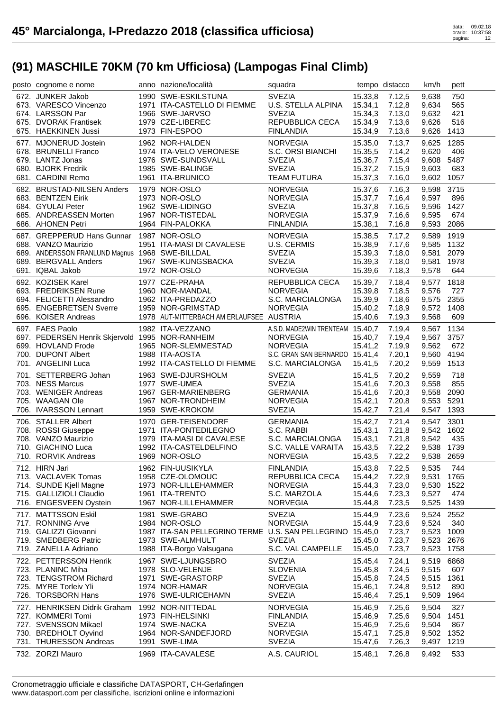| posto cognome e nome                            | anno nazione/località                                     | squadra                          |                    | tempo distacco   | km/h           | pett        |
|-------------------------------------------------|-----------------------------------------------------------|----------------------------------|--------------------|------------------|----------------|-------------|
| 672. JUNKER Jakob                               | 1990 SWE-ESKILSTUNA                                       | <b>SVEZIA</b>                    | 15.33,8            | 7.12,5           | 9,638          | 750         |
| 673. VARESCO Vincenzo                           | 1971 ITA-CASTELLO DI FIEMME                               | U.S. STELLA ALPINA               | 15.34,1            | 7.12,8           | 9,634          | 565         |
| 674. LARSSON Par                                | 1966 SWE-JARVSO                                           | <b>SVEZIA</b>                    | 15.34,3            | 7.13,0           | 9,632          | 421         |
| 675. DVORAK Frantisek                           | 1979 CZE-LIBEREC                                          | REPUBBLICA CECA                  | 15.34,9            | 7.13,6           | 9,626          | 516         |
| 675. HAEKKINEN Jussi                            | 1973 FIN-ESPOO                                            | <b>FINLANDIA</b>                 | 15.34,9            | 7.13,6           | 9,626          | 1413        |
| 677. MJONERUD Jostein                           | 1962 NOR-HALDEN                                           | <b>NORVEGIA</b>                  | 15.35,0            | 7.13,7           | 9,625          | 1285        |
| 678. BRUNELLI Franco                            | 1974 ITA-VELO VERONESE                                    | S.C. ORSI BIANCHI                | 15.35,5            | 7.14,2           | 9,620          | 406         |
| 679. LANTZ Jonas                                | 1976 SWE-SUNDSVALL                                        | <b>SVEZIA</b>                    | 15.36,7            | 7.15,4           | 9,608          | 5487        |
| 680. BJORK Fredrik                              | 1985 SWE-BALINGE                                          | <b>SVEZIA</b>                    | 15.37,2            | 7.15,9           | 9,603          | 683         |
| 681. CARDINI Remo                               | 1961 ITA-BRUNICO                                          | TEAM FUTURA                      | 15.37,3            | 7.16,0           | 9,602 1057     |             |
| 682. BRUSTAD-NILSEN Anders                      | 1979 NOR-OSLO                                             | <b>NORVEGIA</b>                  | 15.37,6            | 7.16,3           | 9,598          | 3715        |
| 683. BENTZEN Eirik                              | 1973 NOR-OSLO                                             | <b>NORVEGIA</b>                  | 15.37,7            | 7.16,4           | 9,597          | 896         |
| 684. GYULAI Peter                               | 1962 SWE-LIDINGO                                          | <b>SVEZIA</b>                    | 15.37,8            | 7.16,5           | 9,596          | 1427        |
| 685. ANDREASSEN Morten                          | 1967 NOR-TISTEDAL                                         | <b>NORVEGIA</b>                  | 15.37,9            | 7.16,6           | 9,595          | 674         |
| 686. AHONEN Petri                               | 1964 FIN-PALOKKA                                          | <b>FINLANDIA</b>                 | 15.38,1            | 7.16,8           | 9,593 2086     |             |
| 687. GREPPERUD Hans Gunnar 1987 NOR-OSLO        |                                                           | <b>NORVEGIA</b>                  | 15.38,5            | 7.17,2           | 9,589          | 1919        |
| 688. VANZO Maurizio                             | 1951 ITA-MASI DI CAVALESE                                 | U.S. CERMIS                      | 15.38,9            | 7.17,6           | 9,585          | 1132        |
| 689. ANDERSSON FRANLUND Magnus 1968 SWE-BILLDAL |                                                           | <b>SVEZIA</b>                    | 15.39,3            | 7.18,0           | 9,581          | 2079        |
| 689. BERGVALL Anders                            | 1967 SWE-KUNGSBACKA                                       | <b>SVEZIA</b>                    | 15.39,3            | 7.18,0           | 9,581          | 1978        |
| 691. IQBAL Jakob                                | 1972 NOR-OSLO                                             | <b>NORVEGIA</b>                  | 15.39,6            | 7.18,3           | 9,578          | 644         |
| 692. KOZISEK Karel                              | 1977 CZE-PRAHA                                            | REPUBBLICA CECA                  | 15.39,7            | 7.18,4           | 9,577 1818     |             |
| 693. FREDRIKSEN Rune                            | 1960 NOR-MANDAL                                           | <b>NORVEGIA</b>                  | 15.39,8            | 7.18,5           | 9,576          | 727         |
| 694. FELICETTI Alessandro                       | 1962 ITA-PREDAZZO                                         | S.C. MARCIALONGA                 | 15.39,9            | 7.18,6           | 9,575          | 2355        |
| 695. ENGEBRETSEN Sverre                         | 1959 NOR-GRIMSTAD                                         | <b>NORVEGIA</b>                  | 15.40,2            | 7.18,9           | 9,572          | 1408        |
| 696. KOISER Andreas                             | 1978 AUT-MITTERBACH AM ERLAUFSEE AUSTRIA                  |                                  | 15.40,6            | 7.19,3           | 9,568          | 609         |
| 697. FAES Paolo                                 | 1982 ITA-VEZZANO                                          | A.S.D. MADE2WIN TRENTEAM 15.40,7 |                    | 7.19,4           | 9,567          | 1134        |
| 697. PEDERSEN Henrik Skjervold 1995 NOR-RANHEIM |                                                           | <b>NORVEGIA</b>                  | 15.40,7            | 7.19,4           | 9,567 3757     |             |
| 699. HOVLAND Frode                              | 1965 NOR-SLEMMESTAD                                       | <b>NORVEGIA</b>                  | 15.41,2            | 7.19,9           | 9,562          | 672         |
| 700. DUPONT Albert                              | 1988 ITA-AOSTA                                            | S.C. GRAN SAN BERNARDO 15.41,4   |                    | 7.20,1           | 9,560          | 4194        |
| 701. ANGELINI Luca                              | 1992 ITA-CASTELLO DI FIEMME                               | S.C. MARCIALONGA                 | 15.41,5            | 7.20,2           | 9,559          | 1513        |
|                                                 |                                                           |                                  |                    |                  |                |             |
|                                                 |                                                           |                                  |                    |                  |                |             |
| 701. SETTERBERG Johan                           | 1963 SWE-DJURSHOLM                                        | <b>SVEZIA</b>                    | 15.41,5            | 7.20,2           | 9,559          | 718         |
| 703. NESS Marcus                                | 1977 SWE-UMEA                                             | <b>SVEZIA</b>                    | 15.41,6            | 7.20,3           | 9,558          | 855         |
| 703. WENIGER Andreas                            | 1967 GER-MARIENBERG                                       | <b>GERMANIA</b>                  | 15.41,6            | 7.20,3           | 9,558          | 2090        |
| 705. WAAGAN Ole                                 | 1967 NOR-TRONDHEIM                                        | <b>NORVEGIA</b>                  | 15.42,1            | 7.20,8           | 9,553          | 5291        |
| 706. IVARSSON Lennart                           | 1959 SWE-KROKOM                                           | <b>SVEZIA</b>                    | 15.42,7            | 7.21,4           | 9,547 1393     |             |
| 706. STALLER Albert                             | 1970 GER-TEISENDORF                                       | <b>GERMANIA</b>                  | 15.42,7            | 7.21,4           | 9,547          | 3301        |
| 708. ROSSI Giuseppe                             | 1971 ITA-PONTEDILEGNO                                     | S.C. RABBI                       | 15.43,1            | 7.21,8           | 9,542 1602     |             |
| 708. VANZO Maurizio                             | 1979 ITA-MASI DI CAVALESE                                 | S.C. MARCIALONGA                 | 15.43,1            | 7.21,8           | 9,542          | 435         |
| 710. GIACHINO Luca                              | 1992 ITA-CASTELDELFINO                                    | S.C. VALLE VARAITA               | 15.43,5            | 7.22,2           | 9,538 1739     |             |
| 710. RORVIK Andreas                             | 1969 NOR-OSLO                                             | <b>NORVEGIA</b>                  |                    | 15.43,5 7.22,2   | 9,538 2659     |             |
| 712. HIRN Jari                                  | 1962 FIN-UUSIKYLA                                         | <b>FINLANDIA</b>                 | 15.43,8            | 7.22,5           | 9,535          | 744         |
| 713. VACLAVEK Tomas                             | 1958 CZE-OLOMOUC                                          | REPUBBLICA CECA                  | 15.44,2            | 7.22,9           | 9,531          | 1765        |
| 714. SUNDE Kjell Magne                          | 1973 NOR-LILLEHAMMER                                      | <b>NORVEGIA</b>                  | 15.44,3            | 7.23,0           | 9,530          | 1522        |
| 715. GALLIZIOLI Claudio                         | 1961 ITA-TRENTO                                           | S.C. MARZOLA                     | 15.44,6            | 7.23,3           | 9,527          | 474         |
| 716. ENGESVEEN Oystein                          | 1967 NOR-LILLEHAMMER                                      | <b>NORVEGIA</b>                  | 15.44,8            | 7.23,5           | 9,525          | 1439        |
| 717. MATTSSON Eskil                             | 1981 SWE-GRABO                                            | <b>SVEZIA</b>                    | 15.44,9            | 7.23,6           | 9,524          | 2552        |
| 717. RONNING Arve                               | 1984 NOR-OSLO                                             | <b>NORVEGIA</b>                  | 15.44,9            | 7.23,6           | 9,524          | 340         |
| 719. GALIZZI Giovanni                           | 1987 ITA-SAN PELLEGRINO TERME U.S. SAN PELLEGRINO 15.45,0 |                                  |                    | 7.23,7           | 9,523          | 1009        |
| 719. SMEDBERG Patric                            | 1973 SWE-ALMHULT                                          | <b>SVEZIA</b>                    | 15.45,0            | 7.23,7           | 9,523          | 2676        |
| 719. ZANELLA Adriano                            | 1988 ITA-Borgo Valsugana                                  | S.C. VAL CAMPELLE                | 15.45,0            | 7.23,7           | 9,523          | 1758        |
| 722. PETTERSSON Henrik                          | 1967 SWE-LJUNGSBRO                                        | <b>SVEZIA</b>                    | 15.45,4            | 7.24,1           | 9,519          | 6868        |
| 723. PLANINC Miha                               | 1978 SLO-VELENJE                                          | <b>SLOVENIA</b>                  | 15.45,8            | 7.24,5           | 9,515          | 607         |
| 723. TENGSTROM Richard                          | 1971 SWE-GRASTORP                                         | <b>SVEZIA</b>                    | 15.45,8            | 7.24,5           | 9,515          | 1361        |
| 725. MYRE Torleiv Yli                           | 1974 NOR-HAMAR                                            | <b>NORVEGIA</b>                  | 15.46,1            | 7.24,8           | 9,512          | 890         |
| 726. TORSBORN Hans                              | 1976 SWE-ULRICEHAMN                                       | <b>SVEZIA</b>                    | 15.46,4            | 7.25,1           | 9,509          | 1964        |
| 727. HENRIKSEN Didrik Graham                    | 1992 NOR-NITTEDAL                                         | <b>NORVEGIA</b>                  | 15.46,9            | 7.25,6           | 9,504          | 327         |
| 727. KOMMERI Tomi                               | 1973 FIN-HELSINKI                                         | <b>FINLANDIA</b>                 | 15.46,9            | 7.25,6           | 9,504          | 1451        |
| 727. SVENSSON Mikael                            | 1974 SWE-NACKA                                            | <b>SVEZIA</b>                    | 15.46,9            | 7.25,6           | 9,504          | 867         |
| 730. BREDHOLT Oyvind                            | 1964 NOR-SANDEFJORD                                       | <b>NORVEGIA</b>                  | 15.47,1            | 7.25,8           | 9,502          | 1352        |
| 731. THURESSON Andreas<br>732. ZORZI Mauro      | 1991 SWE-LIMA<br>1969 ITA-CAVALESE                        | <b>SVEZIA</b><br>A.S. CAURIOL    | 15.47,6<br>15.48,1 | 7.26,3<br>7.26,8 | 9,497<br>9,492 | 1219<br>533 |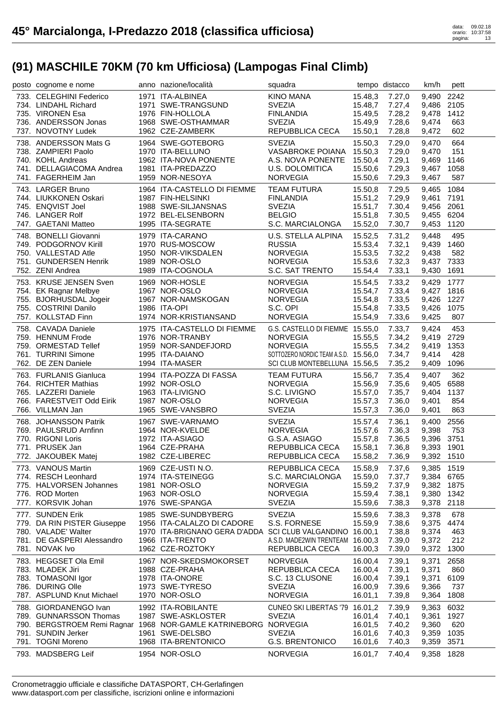| posto cognome e nome        | anno nazione/località                                           | squadra                              |         | tempo distacco | km/h       | pett |
|-----------------------------|-----------------------------------------------------------------|--------------------------------------|---------|----------------|------------|------|
| 733. CELEGHINI Federico     | 1971 ITA-ALBINEA                                                | <b>KINO MANA</b>                     | 15.48,3 | 7.27,0         | 9,490      | 2242 |
| 734. LINDAHL Richard        | 1971 SWE-TRANGSUND                                              | <b>SVEZIA</b>                        | 15.48,7 | 7.27,4         | 9,486      | 2105 |
| 735. VIRONEN Esa            | 1976 FIN-HOLLOLA                                                | <b>FINLANDIA</b>                     | 15.49,5 | 7.28,2         | 9,478      | 1412 |
| 736. ANDERSSON Jonas        | 1968 SWE-OSTHAMMAR                                              | <b>SVEZIA</b>                        | 15.49,9 | 7.28,6         | 9,474      | 663  |
| 737. NOVOTNY Ludek          | 1962 CZE-ZAMBERK                                                | REPUBBLICA CECA                      | 15.50,1 | 7.28,8         | 9,472      | 602  |
| 738. ANDERSSON Mats G       | 1964 SWE-GOTEBORG                                               | <b>SVEZIA</b>                        | 15.50,3 | 7.29,0         | 9,470      | 664  |
| 738. ZAMPIERI Paolo         | 1970 ITA-BELLUNO                                                | <b>VASABROKE POIANA</b>              | 15.50,3 | 7.29,0         | 9,470      | 151  |
| 740. KOHL Andreas           | 1962 ITA-NOVA PONENTE                                           | A.S. NOVA PONENTE                    | 15.50,4 | 7.29,1         | 9,469      | 1146 |
| 741. DELLAGIACOMA Andrea    | 1981 ITA-PREDAZZO                                               | <b>U.S. DOLOMITICA</b>               | 15.50,6 | 7.29,3         | 9,467      | 1058 |
| 741. FAGERHEIM Jan          | 1959 NOR-NESOYA                                                 | <b>NORVEGIA</b>                      | 15.50,6 | 7.29,3         | 9,467      | 587  |
| 743. LARGER Bruno           | 1964 ITA-CASTELLO DI FIEMME                                     | <b>TEAM FUTURA</b>                   | 15.50,8 | 7.29,5         | 9,465      | 1084 |
| 744. LIUKKONEN Oskari       | 1987 FIN-HELSINKI                                               | <b>FINLANDIA</b>                     | 15.51,2 | 7.29.9         | 9,461 7191 |      |
| 745. ENQVIST Joel           | 1988 SWE-SILJANSNAS                                             | <b>SVEZIA</b>                        | 15.51,7 | 7.30,4         | 9,456 2061 |      |
| 746. LANGER Rolf            | 1972 BEL-ELSENBORN                                              | <b>BELGIO</b>                        | 15.51,8 | 7.30,5         | 9,455      | 6204 |
| 747. GAETANI Matteo         | 1995 ITA-SEGRATE                                                | S.C. MARCIALONGA                     | 15.52,0 | 7.30,7         | 9,453      | 1120 |
| 748. BONELLI Giovanni       | 1979 ITA-CARANO                                                 | U.S. STELLA ALPINA                   | 15.52,5 | 7.31,2         | 9,448      | 495  |
| 749. PODGORNOV Kirill       | 1970 RUS-MOSCOW                                                 | <b>RUSSIA</b>                        | 15.53,4 | 7.32,1         | 9,439      | 1460 |
| 750. VALLESTAD Atle         | 1950 NOR-VIKSDALEN                                              | <b>NORVEGIA</b>                      | 15.53,5 | 7.32,2         | 9,438      | 582  |
| 751. GUNDERSEN Henrik       | 1989 NOR-OSLO                                                   | <b>NORVEGIA</b>                      | 15.53,6 | 7.32,3         | 9,437      | 7333 |
| 752. ZENI Andrea            | 1989 ITA-COGNOLA                                                | S.C. SAT TRENTO                      | 15.54,4 | 7.33,1         | 9,430      | 1691 |
| 753. KRUSE JENSEN Sven      | 1969 NOR-HOSLE                                                  | <b>NORVEGIA</b>                      | 15.54,5 | 7.33,2         | 9,429      | 1777 |
| 754. EK Ragnar Melbye       | 1967 NOR-OSLO                                                   | <b>NORVEGIA</b>                      | 15.54,7 | 7.33,4         | 9,427      | 1816 |
| 755. BJORHUSDAL Jogeir      | 1967 NOR-NAMSKOGAN                                              | <b>NORVEGIA</b>                      | 15.54,8 | 7.33,5         | 9,426      | 1227 |
| 755. COSTRINI Danilo        | 1986 ITA-OPI                                                    | S.C. OPI                             | 15.54,8 | 7.33,5         | 9,426      | 1075 |
| 757. KOLLSTAD Finn          | 1974 NOR-KRISTIANSAND                                           | <b>NORVEGIA</b>                      | 15.54,9 | 7.33,6         | 9,425      | 807  |
|                             |                                                                 |                                      |         |                |            |      |
| 758. CAVADA Daniele         | 1975 ITA-CASTELLO DI FIEMME                                     | G.S. CASTELLO DI FIEMME 15.55,0      |         | 7.33,7         | 9,424      | 453  |
| 759. HENNUM Frode           | 1976 NOR-TRANBY                                                 | <b>NORVEGIA</b>                      | 15.55,5 | 7.34,2         | 9,419      | 2729 |
| 759. ORMESTAD Tellef        | 1959 NOR-SANDEFJORD                                             | <b>NORVEGIA</b>                      | 15.55,5 | 7.34,2         | 9,419      | 1353 |
| 761. TURRINI Simone         | 1995 ITA-DAIANO                                                 | SOTTOZERO NORDIC TEAM A.S.D. 15.56,0 |         | 7.34,7         | 9,414      | 428  |
| 762. DE ZEN Daniele         | 1994 ITA-MASER                                                  | SCI CLUB MONTEBELLUNA 15.56,5        |         | 7.35,2         | 9,409      | 1096 |
| 763. FURLANIS Gianluca      | 1994 ITA-POZZA DI FASSA                                         | <b>TEAM FUTURA</b>                   | 15.56,7 | 7.35,4         | 9,407      | 362  |
| 764. RICHTER Mathias        | 1992 NOR-OSLO                                                   | <b>NORVEGIA</b>                      | 15.56,9 | 7.35,6         | 9,405      | 6588 |
| 765. LAZZERI Daniele        | 1963 ITA-LIVIGNO                                                | S.C. LIVIGNO                         | 15.57,0 | 7.35,7         | 9,404      | 1137 |
| 766. FARESTVEIT Odd Eirik   | 1987 NOR-OSLO                                                   | <b>NORVEGIA</b>                      | 15.57,3 | 7.36,0         | 9,401      | 854  |
| 766. VILLMAN Jan            | 1965 SWE-VANSBRO                                                | <b>SVEZIA</b>                        | 15.57,3 | 7.36,0         | 9,401      | 863  |
| 768. JOHANSSON Patrik       | 1967 SWE-VARNAMO                                                | <b>SVEZIA</b>                        | 15.57,4 | 7.36,1         | 9,400      | 2556 |
| 769. PAULSRUD Arnfinn       | 1964 NOR-KVELDE                                                 | <b>NORVEGIA</b>                      | 15.57,6 | 7.36,3         | 9,398      | 753  |
| 770. RIGONI Loris           | 1972 ITA-ASIAGO                                                 | G.S.A. ASIAGO                        | 15.57,8 | 7.36,5         | 9,396      | 3751 |
| 771. PRUSEK Jan             | 1964 CZE-PRAHA                                                  | REPUBBLICA CECA                      | 15.58,1 | 7.36,8         | 9,393      | 1901 |
| 772. JAKOUBEK Matej         | 1982 CZE-LIBEREC                                                | REPUBBLICA CECA                      | 15.58,2 | 7.36,9         | 9,392 1510 |      |
| 773. VANOUS Martin          | 1969 CZE-USTI N.O.                                              | REPUBBLICA CECA                      | 15.58,9 | 7.37,6         | 9,385 1519 |      |
| 774. RESCH Leonhard         | 1974 ITA-STEINEGG                                               | S.C. MARCIALONGA                     | 15.59,0 | 7.37,7         | 9,384 6765 |      |
| 775. HALVORSEN Johannes     | 1981 NOR-OSLO                                                   | <b>NORVEGIA</b>                      | 15.59,2 | 7.37,9         | 9,382 1875 |      |
| 776. ROD Morten             | 1963 NOR-OSLO                                                   | <b>NORVEGIA</b>                      | 15.59,4 | 7.38,1         | 9,380      | 1342 |
| 777. KORSVIK Johan          | 1976 SWE-SPANGA                                                 | <b>SVEZIA</b>                        | 15.59,6 | 7.38,3         | 9,378 2118 |      |
| 777. SUNDEN Erik            | 1985 SWE-SUNDBYBERG                                             | <b>SVEZIA</b>                        | 15.59,6 | 7.38,3         | 9,378      | 678  |
| 779. DA RIN PISTER Giuseppe | 1956 ITA-CALALZO DI CADORE                                      | S.S. FORNESE                         | 15.59,9 | 7.38,6         | 9,375      | 4474 |
| 780. VALADE' Walter         | 1970 ITA-BRIGNANO GERA D'ADDA SCI CLUB VALGANDINO 16.00,1       |                                      |         | 7.38,8         | 9,374      | 463  |
| 781. DE GASPERI Alessandro  | 1966 ITA-TRENTO                                                 | A.S.D. MADE2WIN TRENTEAM 16.00,3     |         | 7.39,0         | 9,372      | 212  |
| 781. NOVAK Ivo              | 1962 CZE-ROZTOKY                                                | REPUBBLICA CECA                      | 16.00,3 | 7.39,0         | 9,372      | 1300 |
| 783. HEGGSET Ola Emil       | 1967 NOR-SKEDSMOKORSET                                          | <b>NORVEGIA</b>                      | 16.00,4 | 7.39,1         | 9,371      | 2658 |
| 783. MLADEK Jiri            | 1988 CZE-PRAHA                                                  | REPUBBLICA CECA                      | 16.00,4 | 7.39,1         | 9,371      | 860  |
| 783. TOMASONI Igor          | 1978 ITA-ONORE                                                  | S.C. 13 CLUSONE                      | 16.00,4 | 7.39,1         | 9,371      | 6109 |
| 786. DURING Olle            | 1973 SWE-TYRESO                                                 | <b>SVEZIA</b>                        | 16.00,9 | 7.39,6         | 9,366      | 737  |
| 787. ASPLUND Knut Michael   | 1970 NOR-OSLO                                                   | <b>NORVEGIA</b>                      | 16.01,1 | 7.39,8         | 9,364      | 1808 |
| 788. GIORDANENGO Ivan       | 1992 ITA-ROBILANTE                                              | CUNEO SKI LIBERTAS '79 16.01,2       |         | 7.39,9         | 9,363      | 6032 |
| 789. GUNNARSSON Thomas      | 1987 SWE-ASKLOSTER                                              | <b>SVEZIA</b>                        | 16.01,4 | 7.40,1         | 9,361      | 1927 |
|                             | 790. BERGSTROEM Remi Ragnar 1968 NOR-GAMLE KATRINEBORG NORVEGIA |                                      | 16.01,5 | 7.40,2         | 9,360      | 620  |
| 791. SUNDIN Jerker          | 1961 SWE-DELSBO                                                 | <b>SVEZIA</b>                        | 16.01,6 | 7.40,3         | 9,359      | 1035 |
|                             | 1968 ITA-BRENTONICO                                             |                                      |         |                | 9,359      | 3571 |
| 791. TOGNI Moreno           |                                                                 | <b>G.S. BRENTONICO</b>               | 16.01,6 | 7.40,3         |            |      |
| 793. MADSBERG Leif          | 1954 NOR-OSLO                                                   | <b>NORVEGIA</b>                      | 16.01,7 | 7.40,4         | 9,358      | 1828 |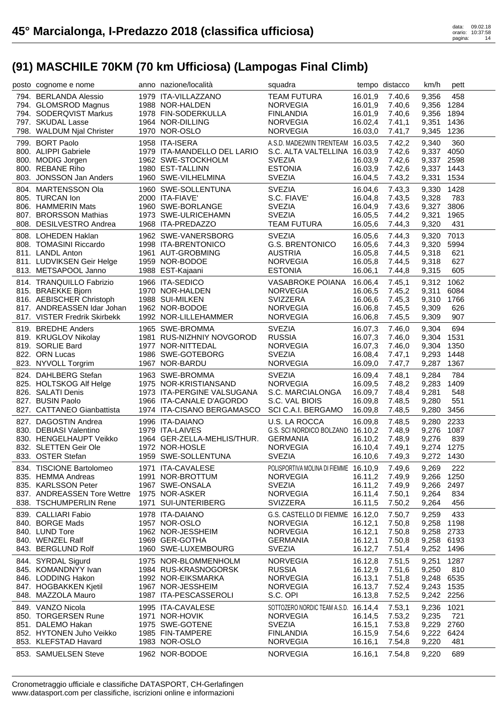| posto cognome e nome                               | anno nazione/località                    | squadra                               |                    | tempo distacco   | km/h           | pett        |
|----------------------------------------------------|------------------------------------------|---------------------------------------|--------------------|------------------|----------------|-------------|
| 794. BERLANDA Alessio                              | 1979 ITA-VILLAZZANO                      | <b>TEAM FUTURA</b>                    | 16.01,9            | 7.40,6           | 9,356          | 458         |
| 794. GLOMSROD Magnus                               | 1988 NOR-HALDEN                          | <b>NORVEGIA</b>                       | 16.01,9            | 7.40,6           | 9,356          | 1284        |
| 794. SODERQVIST Markus                             | 1978 FIN-SODERKULLA                      | <b>FINLANDIA</b>                      | 16.01,9            | 7.40,6           | 9,356          | 1894        |
| 797. SKUDAL Lasse                                  | 1964 NOR-DILLING                         | <b>NORVEGIA</b>                       | 16.02,4            | 7.41,1           | 9,351          | 1436        |
| 798. WALDUM Njal Christer                          | 1970 NOR-OSLO                            | <b>NORVEGIA</b>                       | 16.03,0            | 7.41,7           | 9,345          | 1236        |
| 799. BORT Paolo                                    | 1958 ITA-ISERA                           | A.S.D. MADE2WIN TRENTEAM 16.03,5      |                    | 7.42,2           | 9,340          | 360         |
| 800. ALIPPI Gabriele                               | 1979 ITA-MANDELLO DEL LARIO              | S.C. ALTA VALTELLINA 16.03,9          |                    | 7.42,6           | 9,337          | 4050        |
| 800. MODIG Jorgen                                  | 1962 SWE-STOCKHOLM                       | <b>SVEZIA</b>                         | 16.03,9            | 7.42,6           | 9,337          | 2598        |
| 800. REBANE Riho                                   | 1980 EST-TALLINN                         | <b>ESTONIA</b>                        | 16.03,9            | 7.42,6           | 9,337          | 1443        |
| 803. JONSSON Jan Anders                            | 1960 SWE-VILHELMINA                      | <b>SVEZIA</b>                         | 16.04,5            | 7.43,2           | 9,331          | 1534        |
|                                                    |                                          |                                       |                    |                  |                |             |
| 804. MARTENSSON Ola<br>805. TURCAN Ion             | 1960 SWE-SOLLENTUNA                      | <b>SVEZIA</b><br>S.C. FIAVE'          | 16.04,6<br>16.04.8 | 7.43,3           | 9,330          | 1428        |
| 806. HAMMERIN Mats                                 | 2000 ITA-FIAVE'                          | <b>SVEZIA</b>                         |                    | 7.43,5           | 9,328          | 783<br>3806 |
| 807. BRORSSON Mathias                              | 1960 SWE-BORLANGE<br>1973 SWE-ULRICEHAMN | <b>SVEZIA</b>                         | 16.04,9<br>16.05,5 | 7.43,6           | 9,327          | 1965        |
| 808. DESILVESTRO Andrea                            | 1968 ITA-PREDAZZO                        | <b>TEAM FUTURA</b>                    | 16.05,6            | 7.44,2<br>7.44,3 | 9,321<br>9,320 | 431         |
|                                                    |                                          |                                       |                    |                  |                |             |
| 808. LOHEDEN Haklan                                | 1962 SWE-VANERSBORG                      | <b>SVEZIA</b>                         | 16.05,6            | 7.44,3           | 9,320          | 7013        |
| 808. TOMASINI Riccardo                             | 1998 ITA-BRENTONICO                      | <b>G.S. BRENTONICO</b>                | 16.05,6            | 7.44,3           | 9,320          | 5994        |
| 811. LANDL Anton                                   | 1961 AUT-GROBMING                        | <b>AUSTRIA</b>                        | 16.05,8            | 7.44,5           | 9,318          | 621         |
| 811. LUDVIKSEN Geir Helge                          | 1959 NOR-BODOE                           | <b>NORVEGIA</b>                       | 16.05,8            | 7.44,5           | 9,318          | 627         |
| 813. METSAPOOL Janno                               | 1988 EST-Kajaani                         | <b>ESTONIA</b>                        | 16.06,1            | 7.44.8           | 9,315          | 605         |
| 814. TRANQUILLO Fabrizio                           | 1966 ITA-SEDICO                          | <b>VASABROKE POIANA</b>               | 16.06,4            | 7.45,1           | 9,312          | 1062        |
| 815. BRAEKKE Bjorn                                 | 1970 NOR-HALDEN                          | <b>NORVEGIA</b>                       | 16.06,5            | 7.45,2           | 9,311          | 6084        |
| 816. AEBISCHER Christoph                           | 1988 SUI-MILKEN                          | <b>SVIZZERA</b>                       | 16.06,6            | 7.45,3           | 9,310          | 1766        |
| 817. ANDREASSEN Idar Johan                         | 1962 NOR-BODOE                           | <b>NORVEGIA</b>                       | 16.06,8            | 7.45,5           | 9,309          | 626         |
| 817. VISTER Fredrik Skirbekk                       | 1992 NOR-LILLEHAMMER                     | <b>NORVEGIA</b>                       | 16.06,8            | 7.45,5           | 9,309          | 907         |
| 819. BREDHE Anders                                 | 1965 SWE-BROMMA                          | <b>SVEZIA</b>                         | 16.07,3            | 7.46,0           | 9,304          | 694         |
| 819. KRUGLOV Nikolay                               | 1981 RUS-NIZHNIY NOVGOROD                | <b>RUSSIA</b>                         | 16.07,3            | 7.46,0           | 9,304          | 1531        |
| 819. SORLIE Bard                                   | 1977 NOR-NITTEDAL                        | <b>NORVEGIA</b>                       | 16.07,3            | 7.46,0           | 9,304          | 1350        |
| 822. ORN Lucas                                     | 1986 SWE-GOTEBORG                        | <b>SVEZIA</b>                         | 16.08,4            | 7.47,1           | 9,293          | 1448        |
| 823. NYVOLL Torgrim                                | 1967 NOR-BARDU                           | <b>NORVEGIA</b>                       | 16.09,0            | 7.47,7           | 9,287          | 1367        |
| 824. DAHLBERG Stefan                               | 1963 SWE-BROMMA                          | <b>SVEZIA</b>                         | 16.09,4            | 7.48,1           | 9,284          | 784         |
| 825. HOLTSKOG Alf Helge                            | 1975 NOR-KRISTIANSAND                    | <b>NORVEGIA</b>                       | 16.09,5            | 7.48,2           | 9,283          | 1409        |
| 826. SALATI Denis                                  | 1973 ITA-PERGINE VALSUGANA               | S.C. MARCIALONGA                      | 16.09,7            | 7.48,4           | 9,281          | 548         |
| 827. BUSIN Paolo                                   | 1966 ITA-CANALE D'AGORDO                 | S.C. VAL BIOIS                        | 16.09,8            | 7.48,5           | 9,280          | 551         |
| 827. CATTANEO Gianbattista                         | 1974 ITA-CISANO BERGAMASCO               | SCI C.A.I. BERGAMO                    | 16.09,8            | 7.48,5           | 9,280          | 3456        |
| 827. DAGOSTIN Andrea                               | 1996 ITA-DAIANO                          | U.S. LA ROCCA                         | 16.09,8            | 7.48,5           | 9,280          | 2233        |
| 830. DEBIASI Valentino                             | 1979 ITA-LAIVES                          | G.S. SCI NORDICO BOLZANO 16.10,2      |                    | 7.48,9           | 9,276          | 1087        |
| 830. HENGELHAUPT Veikko                            | 1964 GER-ZELLA-MEHLIS/THUR.              | <b>GERMANIA</b>                       | 16.10,2            | 7.48,9           | 9,276          | 839         |
| 832. SLETTEN Geir Ole                              | 1972 NOR-HOSLE                           | <b>NORVEGIA</b>                       | 16.10,4            | 7.49,1           | 9,274          | 1275        |
| 833. OSTER Stefan                                  | 1959 SWE-SOLLENTUNA                      | <b>SVEZIA</b>                         |                    | 16.10,6 7.49,3   | 9,272 1430     |             |
|                                                    |                                          |                                       |                    |                  |                |             |
| 834. TISCIONE Bartolomeo                           | 1971 ITA-CAVALESE                        | POLISPORTIVA MOLINA DI FIEMME 16.10,9 |                    | 7.49,6           | 9,269          | 222         |
| 835. HEMMA Andreas                                 | 1991 NOR-BROTTUM                         | <b>NORVEGIA</b>                       | 16.11,2            | 7.49.9           | 9,266          | 1250        |
| 835. KARLSSON Peter<br>837. ANDREASSEN Tore Wettre | 1967 SWE-ONSALA<br>1975 NOR-ASKER        | <b>SVEZIA</b><br><b>NORVEGIA</b>      | 16.11,2<br>16.11,4 | 7.49,9<br>7.50,1 | 9,266<br>9,264 | 2497<br>834 |
| 838. TSCHUMPERLIN Rene                             | 1971 SUI-UNTERIBERG                      | <b>SVIZZERA</b>                       | 16.11,5            | 7.50,2           | 9,264          | 456         |
|                                                    |                                          |                                       |                    |                  |                |             |
| 839. CALLIARI Fabio                                | 1978 ITA-DAIANO                          | G.S. CASTELLO DI FIEMME 16.12,0       |                    | 7.50,7           | 9,259          | 433         |
| 840. BORGE Mads                                    | 1957 NOR-OSLO                            | <b>NORVEGIA</b>                       | 16.12,1            | 7.50,8           | 9,258          | 1198        |
| 840. LUND Tore                                     | 1962 NOR-JESSHEIM                        | <b>NORVEGIA</b>                       | 16.12,1            | 7.50,8           | 9,258          | 2733        |
| 840. WENZEL Ralf                                   | 1969 GER-GOTHA                           | <b>GERMANIA</b>                       | 16.12,1            | 7.50,8           | 9,258          | 6193        |
| 843. BERGLUND Rolf                                 | 1960 SWE-LUXEMBOURG                      | <b>SVEZIA</b>                         | 16.12,7            | 7.51,4           | 9,252          | 1496        |
| 844. SYRDAL Sigurd                                 | 1975 NOR-BLOMMENHOLM                     | <b>NORVEGIA</b>                       | 16.12,8            | 7.51,5           | 9,251          | 1287        |
| 845. KOMANDNYY Ivan                                | 1984 RUS-KRASNOGORSK                     | <b>RUSSIA</b>                         | 16.12,9            | 7.51,6           | 9,250          | 810         |
| 846. LODDING Hakon                                 | 1992 NOR-EIKSMARKA                       | <b>NORVEGIA</b>                       | 16.13,1            | 7.51,8           | 9,248          | 6535        |
| 847. HOGBAKKEN Kjetil                              | 1967 NOR-JESSHEIM                        | <b>NORVEGIA</b>                       | 16.13,7            | 7.52,4           | 9,243          | 1535        |
| 848. MAZZOLA Mauro                                 | 1987 ITA-PESCASSEROLI                    | S.C. OPI                              | 16.13,8            | 7.52,5           | 9,242 2256     |             |
| 849. VANZO Nicola                                  | 1995 ITA-CAVALESE                        | SOTTOZERO NORDIC TEAM A.S.D.          | 16.14,4            | 7.53,1           | 9,236          | 1021        |
| 850. TORGERSEN Rune                                | 1971 NOR-HOVIK                           | <b>NORVEGIA</b>                       | 16.14,5            | 7.53,2           | 9,235          | 721         |
| 851. DALEMO Hakan                                  | 1975 SWE-GOTENE                          | <b>SVEZIA</b>                         | 16.15,1            | 7.53,8           | 9,229          | 2760        |
| 852. HYTONEN Juho Veikko                           | 1985 FIN-TAMPERE                         | <b>FINLANDIA</b>                      | 16.15,9            | 7.54,6           | 9,222          | 6424        |
| 853. KLEFSTAD Havard                               | 1983 NOR-OSLO                            | <b>NORVEGIA</b>                       | 16.16,1            | 7.54,8           | 9,220          | 481         |
|                                                    |                                          |                                       |                    |                  |                |             |
| 853. SAMUELSEN Steve                               | 1962 NOR-BODOE                           | <b>NORVEGIA</b>                       | 16.16,1            | 7.54,8           | 9,220          | 689         |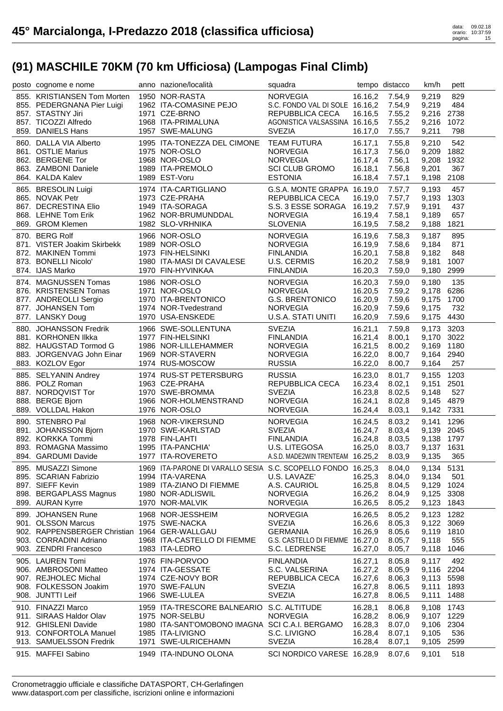| posto cognome e nome                          | anno nazione/località                                        | squadra                          |         | tempo distacco | km/h       | pett |
|-----------------------------------------------|--------------------------------------------------------------|----------------------------------|---------|----------------|------------|------|
| 855. KRISTIANSEN Tom Morten                   | 1950 NOR-RASTA                                               | <b>NORVEGIA</b>                  | 16.16,2 | 7.54,9         | 9,219      | 829  |
| 855. PEDERGNANA Pier Luigi                    | 1962 ITA-COMASINE PEJO                                       | S.C. FONDO VAL DI SOLE 16.16,2   |         | 7.54,9         | 9,219      | 484  |
| 857. STASTNY Jiri                             | 1971 CZE-BRNO                                                | REPUBBLICA CECA                  | 16.16,5 | 7.55,2         | 9,216      | 2738 |
| 857. TICOZZI Alfredo                          | 1968 ITA-PRIMALUNA                                           | AGONISTICA VALSASSINA 16.16,5    |         | 7.55,2         | 9,216      | 1072 |
| 859. DANIELS Hans                             | 1957 SWE-MALUNG                                              | <b>SVEZIA</b>                    | 16.17,0 | 7.55,7         | 9,211      | 798  |
| 860. DALLA VIA Alberto                        | 1995 ITA-TONEZZA DEL CIMONE                                  | <b>TEAM FUTURA</b>               | 16.17,1 | 7.55,8         | 9,210      | 542  |
| 861. OSTLIE Marius                            | 1975 NOR-OSLO                                                | <b>NORVEGIA</b>                  | 16.17,3 | 7.56,0         | 9,209      | 1882 |
| 862. BERGENE Tor                              | 1968 NOR-OSLO                                                | <b>NORVEGIA</b>                  | 16.17,4 | 7.56,1         | 9,208      | 1932 |
| 863. ZAMBONI Daniele                          | 1989 ITA-PREMOLO                                             | <b>SCI CLUB GROMO</b>            | 16.18,1 | 7.56,8         | 9,201      | 367  |
| 864. KALDA Kalev                              | 1989 EST-Voru                                                | <b>ESTONIA</b>                   | 16.18,4 | 7.57,1         | 9,198      | 2108 |
| 865. BRESOLIN Luigi                           | 1974 ITA-CARTIGLIANO                                         | G.S.A. MONTE GRAPPA 16.19,0      |         | 7.57,7         | 9,193      | 457  |
| 865. NOVAK Petr                               | 1973 CZE-PRAHA                                               | <b>REPUBBLICA CECA</b>           | 16.19,0 | 7.57.7         | 9,193      | 1303 |
| 867. DECRESTINA Elio                          | 1949 ITA-SORAGA                                              | S.S. 3 ESSE SORAGA               | 16.19,2 | 7.57,9         | 9,191      | 437  |
| 868. LEHNE Tom Erik                           | 1962 NOR-BRUMUNDDAL                                          | <b>NORVEGIA</b>                  | 16.19,4 | 7.58,1         | 9,189      | 657  |
| 869. GROM Klemen                              | 1982 SLO-VRHNIKA                                             | <b>SLOVENIA</b>                  | 16.19,5 | 7.58,2         | 9,188      | 1821 |
| 870. BERG Rolf                                | 1966 NOR-OSLO                                                | <b>NORVEGIA</b>                  | 16.19,6 | 7.58,3         | 9,187      | 895  |
| 871. VISTER Joakim Skirbekk                   | 1989 NOR-OSLO                                                | <b>NORVEGIA</b>                  | 16.19,9 | 7.58,6         | 9,184      | 871  |
| 872. MAKINEN Tommi                            | 1973 FIN-HELSINKI                                            | <b>FINLANDIA</b>                 | 16.20,1 | 7.58,8         | 9,182      | 848  |
| 873. BONELLI Nicolo'                          | 1980 ITA-MASI DI CAVALESE                                    | U.S. CERMIS                      | 16.20,2 | 7.58,9         | 9,181      | 1007 |
| 874. IJAS Marko                               | 1970 FIN-HYVINKAA                                            | <b>FINLANDIA</b>                 | 16.20,3 | 7.59,0         | 9,180      | 2999 |
| 874. MAGNUSSEN Tomas                          | 1986 NOR-OSLO                                                | <b>NORVEGIA</b>                  | 16.20,3 | 7.59,0         | 9,180      | 135  |
| 876. KRISTENSEN Tomas                         | 1971 NOR-OSLO                                                | <b>NORVEGIA</b>                  | 16.20,5 | 7.59,2         | 9,178      | 6286 |
| 877. ANDREOLLI Sergio                         | 1970 ITA-BRENTONICO                                          | <b>G.S. BRENTONICO</b>           | 16.20,9 | 7.59,6         | 9,175      | 1700 |
| 877. JOHANSEN Tom                             | 1974 NOR-Tvedestrand                                         | <b>NORVEGIA</b>                  | 16.20,9 | 7.59,6         | 9,175      | 732  |
| 877. LANSKY Doug                              | 1970 USA-ENSKEDE                                             | U.S.A. STATI UNITI               | 16.20,9 | 7.59,6         | 9,175      | 4430 |
| 880. JOHANSSON Fredrik                        | 1966 SWE-SOLLENTUNA                                          | <b>SVEZIA</b>                    | 16.21,1 | 7.59,8         | 9,173      | 3203 |
| 881. KORHONEN IIkka                           | 1977 FIN-HELSINKI                                            | <b>FINLANDIA</b>                 | 16.21,4 | 8.00,1         | 9,170      | 3022 |
| 882. HAUGSTAD Tormod G                        | 1986 NOR-LILLEHAMMER                                         | <b>NORVEGIA</b>                  | 16.21,5 | 8.00,2         | 9,169      | 1180 |
| 883. JORGENVAG John Einar                     | 1969 NOR-STAVERN                                             | <b>NORVEGIA</b>                  | 16.22,0 | 8.00,7         | 9,164      | 2940 |
| 883. KOZLOV Egor                              | 1974 RUS-MOSCOW                                              | <b>RUSSIA</b>                    | 16.22,0 | 8.00,7         | 9,164      | 257  |
| 885. SELYANIN Andrey                          | 1974 RUS-ST PETERSBURG                                       | <b>RUSSIA</b>                    | 16.23,0 | 8.01,7         | 9,155      | 1203 |
| 886. POLZ Roman                               | 1963 CZE-PRAHA                                               | REPUBBLICA CECA                  | 16.23,4 | 8.02,1         | 9,151      | 2501 |
| 887. NORDQVIST Tor                            | 1970 SWE-BROMMA                                              | <b>SVEZIA</b>                    | 16.23,8 | 8.02,5         | 9,148      | 527  |
| 888. BERGE Bjorn                              | 1966 NOR-HOLMENSTRAND                                        | <b>NORVEGIA</b>                  | 16.24,1 | 8.02,8         | 9,145      | 4879 |
| 889. VOLLDAL Hakon                            | 1976 NOR-OSLO                                                | <b>NORVEGIA</b>                  | 16.24,4 | 8.03,1         | 9,142 7331 |      |
| 890. STENBRO Pal                              | 1968 NOR-VIKERSUND                                           | <b>NORVEGIA</b>                  | 16.24,5 | 8.03,2         | 9,141      | 1296 |
| 891. JOHANSSON Bjorn                          | 1970 SWE-KARLSTAD                                            | <b>SVEZIA</b>                    | 16.24,7 | 8.03,4         | 9,139 2045 |      |
| 892. KORKKA Tommi                             | 1978 FIN-LAHTI                                               | <b>FINLANDIA</b>                 | 16.24,8 | 8.03,5         | 9,138      | 1797 |
| 893. ROMAGNA Massimo                          | 1995 ITA-PANCHIA'                                            | U.S. LITEGOSA                    | 16.25,0 | 8.03,7         | 9,137 1631 |      |
| 894. GARDUMI Davide                           | 1977 ITA-ROVERETO                                            | A.S.D. MADE2WIN TRENTEAM 16.25,2 |         | 8.03,9         | 9,135 365  |      |
| 895. MUSAZZI Simone                           | 1969 ITA-PARONE DI VARALLO SESIA S.C. SCOPELLO FONDO 16.25,3 |                                  |         | 8.04,0         | 9,134 5131 |      |
| 895. SCARIAN Fabrizio                         | 1994 ITA-VARENA                                              | U.S. LAVAZE'                     | 16.25,3 | 8.04,0         | 9,134      | 501  |
| 897. SIEFF Kevin                              | 1989 ITA-ZIANO DI FIEMME                                     | A.S. CAURIOL                     | 16.25,8 | 8.04,5         | 9,129      | 1024 |
| 898. BERGAPLASS Magnus                        | 1980 NOR-ADLISWIL                                            | <b>NORVEGIA</b>                  | 16.26,2 | 8.04,9         | 9,125      | 3308 |
| 899. AURAN Kyrre                              | 1970 NOR-MALVIK                                              | <b>NORVEGIA</b>                  | 16.26,5 | 8.05,2         | 9,123      | 1843 |
| 899. JOHANSEN Rune                            | 1968 NOR-JESSHEIM                                            | <b>NORVEGIA</b>                  | 16.26,5 | 8.05,2         | 9,123      | 1282 |
| 901. OLSSON Marcus                            | 1975 SWE-NACKA                                               | <b>SVEZIA</b>                    | 16.26,6 | 8.05,3         | 9,122      | 3069 |
| 902. RAPPENSBERGER Christian 1964 GER-WALLGAU |                                                              | <b>GERMANIA</b>                  | 16.26,9 | 8.05,6         | 9,119      | 1810 |
| 903. CORRADINI Adriano                        | 1968 ITA-CASTELLO DI FIEMME                                  | G.S. CASTELLO DI FIEMME 16.27,0  |         | 8.05,7         | 9,118      | 555  |
| 903. ZENDRI Francesco                         | 1983 ITA-LEDRO                                               | S.C. LEDRENSE                    | 16.27,0 | 8.05,7         | 9,118      | 1046 |
| 905. LAUREN Tomi                              | 1976 FIN-PORVOO                                              | <b>FINLANDIA</b>                 | 16.27,1 | 8.05,8         | 9,117      | 492  |
| 906. AMBROSONI Matteo                         | 1974 ITA-GESSATE                                             | S.C. VALSERINA                   | 16.27,2 | 8.05,9         | 9,116 2204 |      |
| 907. REJHOLEC Michal                          | 1974 CZE-NOVY BOR                                            | REPUBBLICA CECA                  | 16.27,6 | 8.06,3         | 9,113 5598 |      |
| 908. FOLKESSON Joakim                         | 1970 SWE-FALUN                                               | <b>SVEZIA</b>                    | 16.27,8 | 8.06,5         | 9,111      | 1893 |
| 908. JUNTTI Leif                              | 1966 SWE-LULEA                                               | <b>SVEZIA</b>                    | 16.27,8 | 8.06,5         | 9,111      | 1488 |
| 910. FINAZZI Marco                            | 1959 ITA-TRESCORE BALNEARIO S.C. ALTITUDE                    |                                  | 16.28,1 | 8.06,8         | 9,108      | 1743 |
| 911. SIRAAS Haldor Olav                       | 1975 NOR-SELBU                                               | <b>NORVEGIA</b>                  | 16.28,2 | 8.06,9         | 9,107 1229 |      |
| 912. GHISLENI Davide                          | 1980 ITA-SANT'OMOBONO IMAGNA SCI C.A.I. BERGAMO              |                                  | 16.28,3 | 8.07,0         | 9,106      | 2304 |
| 913. CONFORTOLA Manuel                        | 1985 ITA-LIVIGNO                                             | S.C. LIVIGNO                     | 16.28,4 | 8.07,1         | 9,105      | 536  |
| 913. SAMUELSSON Fredrik                       | 1971 SWE-ULRICEHAMN                                          | <b>SVEZIA</b>                    | 16.28,4 | 8.07,1         | 9,105      | 2599 |
| 915. MAFFEI Sabino                            | 1949 ITA-INDUNO OLONA                                        | SCI NORDICO VARESE 16.28,9       |         | 8.07,6         | 9,101      | 518  |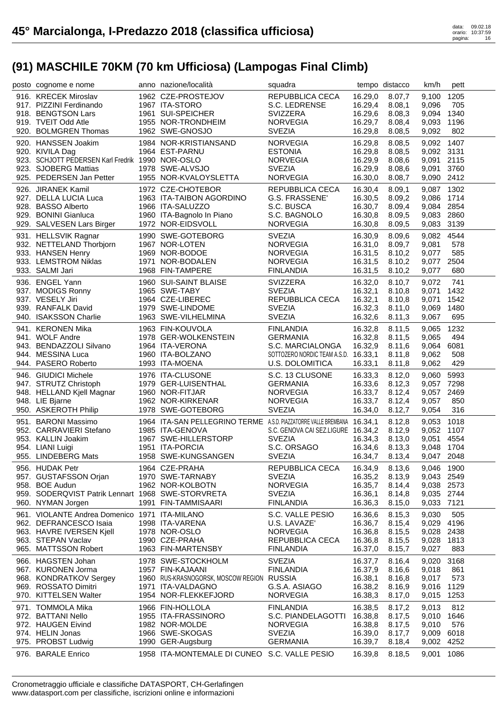| posto cognome e nome                              | anno nazione/località                                                    | squadra                            |                    | tempo distacco   | km/h           | pett         |
|---------------------------------------------------|--------------------------------------------------------------------------|------------------------------------|--------------------|------------------|----------------|--------------|
| 916. KRECEK Miroslav                              | 1962 CZE-PROSTEJOV                                                       | REPUBBLICA CECA                    | 16.29,0            | 8.07.7           | 9,100          | 1205         |
| 917. PIZZINI Ferdinando                           | 1967 ITA-STORO                                                           | S.C. LEDRENSE                      | 16.29,4            | 8.08,1           | 9,096          | 705          |
| 918. BENGTSON Lars                                | 1961 SUI-SPEICHER                                                        | <b>SVIZZERA</b>                    | 16.29,6            | 8.08,3           | 9,094          | 1340         |
| 919. TVEIT Odd Atle                               | 1955 NOR-TRONDHEIM                                                       | <b>NORVEGIA</b>                    | 16.29,7            | 8.08,4           | 9,093          | 1196         |
| 920. BOLMGREN Thomas                              | 1962 SWE-GNOSJO                                                          | <b>SVEZIA</b>                      | 16.29,8            | 8.08,5           | 9,092          | 802          |
| 920. HANSSEN Joakim                               | 1984 NOR-KRISTIANSAND                                                    | <b>NORVEGIA</b>                    | 16.29,8            | 8.08,5           | 9,092          | 1407         |
| 920. KIVILA Dag                                   | 1964 EST-PARNU                                                           | <b>ESTONIA</b>                     | 16.29,8            | 8.08,5           | 9,092 3131     |              |
| 923. SCHJOTT PEDERSEN Karl Fredrik 1990 NOR-OSLO  |                                                                          | <b>NORVEGIA</b>                    | 16.29,9            | 8.08,6           | 9,091          | 2115         |
| 923. SJOBERG Mattias                              | 1978 SWE-ALVSJO                                                          | <b>SVEZIA</b>                      | 16.29,9            | 8.08,6           | 9,091          | 3760         |
| 925. PEDERSEN Jan Petter                          | 1955 NOR-KVALOYSLETTA                                                    | <b>NORVEGIA</b>                    | 16.30,0            | 8.08,7           | 9,090 2412     |              |
| 926. JIRANEK Kamil                                | 1972 CZE-CHOTEBOR                                                        | REPUBBLICA CECA                    | 16.30,4            | 8.09,1           | 9,087          | 1302         |
| 927. DELLA LUCIA Luca                             | 1963 ITA-TAIBON AGORDINO                                                 | G.S. FRASSENE'                     | 16.30,5            | 8.09,2           | 9,086          | 1714         |
| 928. BASSO Alberto                                | 1966 ITA-SALUZZO                                                         | S.C. BUSCA                         | 16.30,7            | 8.09,4           | 9,084 2854     |              |
| 929. BONINI Gianluca                              | 1960 ITA-Bagnolo In Piano                                                | S.C. BAGNOLO                       | 16.30,8            | 8.09,5           | 9,083          | 2860         |
| 929. SALVESEN Lars Birger                         | 1972 NOR-EIDSVOLL                                                        | <b>NORVEGIA</b>                    | 16.30,8            | 8.09,5           | 9,083          | 3139         |
| 931. HELLSVIK Ragnar                              | 1990 SWE-GOTEBORG                                                        | <b>SVEZIA</b>                      | 16.30,9            | 8.09,6           | 9,082          | 4544         |
| 932. NETTELAND Thorbjorn                          | 1967 NOR-LOTEN                                                           | <b>NORVEGIA</b>                    | 16.31,0            | 8.09,7           | 9,081          | 578          |
| 933. HANSEN Henry                                 | 1969 NOR-BODOE                                                           | <b>NORVEGIA</b>                    | 16.31,5            | 8.10,2           | 9,077          | 585          |
| 933. LEMSTROM Niklas                              | 1971 NOR-BODALEN                                                         | <b>NORVEGIA</b>                    | 16.31,5            | 8.10,2           | 9,077          | 2504         |
| 933. SALMI Jari                                   | 1968 FIN-TAMPERE                                                         | <b>FINLANDIA</b>                   | 16.31,5            | 8.10,2           | 9,077          | 680          |
| 936. ENGEL Yann                                   | 1960 SUI-SAINT BLAISE                                                    | SVIZZERA                           | 16.32,0            | 8.10,7           | 9,072          | 741          |
| 937. MODIGS Ronny                                 | 1965 SWE-TABY                                                            | <b>SVEZIA</b>                      | 16.32,1            | 8.10,8           | 9,071          | 1432         |
| 937. VESELY Jiri                                  | 1964 CZE-LIBEREC                                                         | <b>REPUBBLICA CECA</b>             | 16.32,1            | 8.10,8           | 9,071          | 1542         |
| 939. RANFALK David                                | 1979 SWE-LINDOME                                                         | <b>SVEZIA</b>                      | 16.32,3            | 8.11,0           | 9,069          | 1480         |
| 940. ISAKSSON Charlie                             | 1963 SWE-VILHELMINA                                                      | <b>SVEZIA</b>                      | 16.32,6            | 8.11,3           | 9,067          | 695          |
| 941. KERONEN Mika                                 | 1963 FIN-KOUVOLA                                                         | <b>FINLANDIA</b>                   | 16.32,8            | 8.11,5           | 9,065          | 1232         |
| 941. WOLF Andre                                   | 1978 GER-WOLKENSTEIN                                                     | <b>GERMANIA</b>                    | 16.32,8            | 8.11,5           | 9,065          | 494          |
| 943. BENDAZZOLI Silvano                           | 1964 ITA-VERONA                                                          | S.C. MARCIALONGA                   | 16.32,9            | 8.11,6           | 9,064          | 6081         |
| 944. MESSINA Luca                                 | 1960 ITA-BOLZANO                                                         | SOTTOZERO NORDIC TEAM A.S.D.       | 16.33,1            | 8.11,8           | 9,062          | 508          |
| 944. PASERO Roberto                               | 1993 ITA-MOENA                                                           | U.S. DOLOMITICA                    | 16.33,1            | 8.11,8           | 9,062          | 429          |
| 946. GIUDICI Michele                              | 1976 ITA-CLUSONE                                                         | S.C. 13 CLUSONE                    | 16.33,3            | 8.12,0           | 9,060          | 5993         |
| 947. STRUTZ Christoph                             | 1979 GER-LUISENTHAL                                                      | <b>GERMANIA</b>                    | 16.33,6            | 8.12,3           | 9,057          | 7298         |
|                                                   |                                                                          |                                    |                    |                  |                |              |
|                                                   |                                                                          |                                    |                    |                  |                |              |
| 948. HELLAND Kjell Magnar                         | 1960 NOR-FITJAR                                                          | <b>NORVEGIA</b>                    | 16.33,7            | 8.12,4           | 9,057          | 2469         |
| 948. LIE Bjarne                                   | 1962 NOR-KIRKENAR                                                        | <b>NORVEGIA</b>                    | 16.33,7            | 8.12,4           | 9,057          | 850          |
| 950. ASKEROTH Philip                              | 1978 SWE-GOTEBORG                                                        | <b>SVEZIA</b>                      | 16.34,0            | 8.12,7           | 9,054          | 316          |
| 951. BARONI Massimo                               | 1964 ITA-SAN PELLEGRINO TERME A.S.D. PIAZZATORRE VALLE BREMBANA 16.34, 1 |                                    |                    | 8.12,8           | 9,053          | 1018         |
| 952. CARRAVIERI Stefano                           | 1985 ITA-GENOVA                                                          | S.C. GENOVA CAI SEZ.LIGURE 16.34,2 |                    | 8.12,9           | 9,052          | 1107         |
| 953. KALLIN Joakim                                | 1967 SWE-HILLERSTORP                                                     | <b>SVEZIA</b>                      | 16.34,3            | 8.13,0           | 9,051          | 4554         |
| 954. LIANI Luigi                                  | 1951 ITA-PORCIA                                                          | S.C. ORSAGO                        | 16.34,6            | 8.13,3           | 9.048          | 1704         |
| 955. LINDEBERG Mats                               | 1958 SWE-KUNGSANGEN                                                      | <b>SVEZIA</b>                      | 16.34,7            | 8.13,4           | 9,047 2048     |              |
| 956. HUDAK Petr                                   | 1964 CZE-PRAHA                                                           | REPUBBLICA CECA                    | 16.34,9            | 8.13,6           | 9,046 1900     |              |
| 957. GUSTAFSSON Orjan                             | 1970 SWE-TARNABY                                                         | <b>SVEZIA</b>                      | 16.35,2            | 8.13,9           | 9,043 2549     |              |
| 958. BOE Audun                                    | 1962 NOR-KOLBOTN                                                         | <b>NORVEGIA</b>                    | 16.35,7            | 8.14,4           | 9,038 2573     |              |
| 959. SODERQVIST Patrik Lennart 1968 SWE-STORVRETA |                                                                          | <b>SVEZIA</b>                      | 16.36,1            | 8.14,8           | 9,035 2744     |              |
| 960. NYMAN Jorgen                                 | 1991 FIN-TAMMISAARI                                                      | <b>FINLANDIA</b>                   | 16.36,3            | 8.15,0           | 9,033 7121     |              |
| 961. VIOLANTE Andrea Domenico 1971 ITA-MILANO     |                                                                          | S.C. VALLE PESIO                   | 16.36,6            | 8.15,3           | 9,030          | 505          |
| 962. DEFRANCESCO Isaia                            | 1998 ITA-VARENA                                                          | U.S. LAVAZE'                       | 16.36,7            | 8.15,4           | 9,029          | 4196         |
| 963. HAVRE IVERSEN Kjell                          | 1978 NOR-OSLO                                                            | <b>NORVEGIA</b>                    | 16.36,8            | 8.15,5           | 9,028          | 2438         |
| 963. STEPAN Vaclav                                | 1990 CZE-PRAHA                                                           | REPUBBLICA CECA                    | 16.36,8            | 8.15,5           | 9,028          | 1813         |
| 965. MATTSSON Robert                              | 1963 FIN-MARTENSBY                                                       | <b>FINLANDIA</b>                   | 16.37,0            | 8.15,7           | 9,027          | 883          |
| 966. HAGSTEN Johan                                | 1978 SWE-STOCKHOLM                                                       | <b>SVEZIA</b>                      | 16.37,7            | 8.16,4           | 9,020          | 3168         |
| 967. KURONEN Jorma                                | 1957 FIN-KAJAANI                                                         | <b>FINLANDIA</b>                   | 16.37,9            | 8.16,6           | 9,018          | 861          |
| 968. KONDRATKOV Sergey                            | 1960 RUS-KRASNOGORSK, MOSCOW REGION RUSSIA                               |                                    | 16.38,1            | 8.16,8           | 9,017          | 573          |
| 969. ROSSATO Dimitri                              | 1971 ITA-VALDAGNO                                                        | G.S.A. ASIAGO                      | 16.38,2            | 8.16,9           | 9,016          | 1129         |
| 970. KITTELSEN Walter                             | 1954 NOR-FLEKKEFJORD                                                     | <b>NORVEGIA</b>                    | 16.38,3            | 8.17,0           | 9,015          | 1253         |
| 971. TOMMOLA Mika                                 | 1966 FIN-HOLLOLA                                                         | <b>FINLANDIA</b>                   | 16.38,5            | 8.17,2           | 9,013          | 812          |
| 972. BATTANI Nello                                | 1955 ITA-FRASSINORO                                                      | S.C. PIANDELAGOTTI                 | 16.38,8            | 8.17,5           | 9,010          | 1646         |
| 972. HAUGEN Eivind                                | 1982 NOR-MOLDE                                                           | <b>NORVEGIA</b>                    | 16.38,8            | 8.17,5           | 9,010          | 576          |
| 974. HELIN Jonas                                  | 1966 SWE-SKOGAS                                                          | <b>SVEZIA</b>                      | 16.39,0            | 8.17,7           | 9,009          | 6018         |
| 975. PROBST Ludwig<br>976. BARALE Enrico          | 1990 GER-Augsburg<br>1958 ITA-MONTEMALE DI CUNEO S.C. VALLE PESIO        | <b>GERMANIA</b>                    | 16.39,7<br>16.39,8 | 8.18,4<br>8.18,5 | 9,002<br>9,001 | 4252<br>1086 |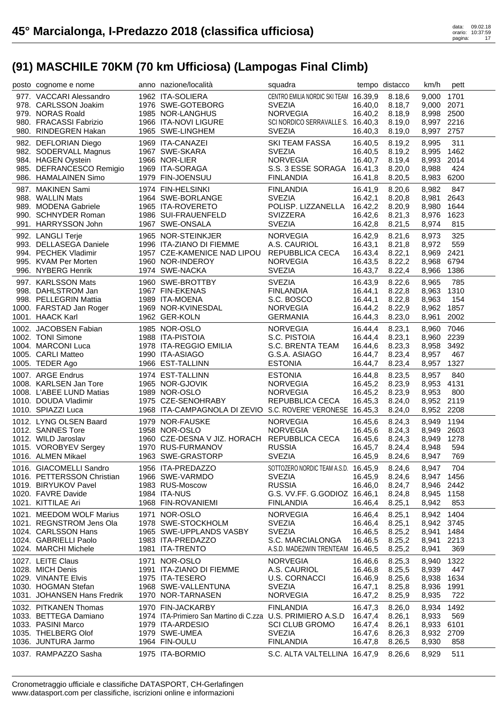| posto cognome e nome                                 | anno nazione/località                                      | squadra                                               |                    | tempo distacco   | km/h           | pett         |
|------------------------------------------------------|------------------------------------------------------------|-------------------------------------------------------|--------------------|------------------|----------------|--------------|
| 977. VACCARI Alessandro                              | 1962 ITA-SOLIERA                                           | CENTRO EMILIA NORDIC SKI TEAM 16.39,9                 |                    | 8.18,6           | 9,000          | 1701         |
| 978. CARLSSON Joakim                                 | 1976 SWE-GOTEBORG                                          | <b>SVEZIA</b>                                         | 16.40,0            | 8.18,7           | 9,000 2071     |              |
| 979. NORAS Roald                                     | 1985 NOR-LANGHUS                                           | <b>NORVEGIA</b>                                       | 16.40,2            | 8.18,9           | 8,998 2500     |              |
| 980. FRACASSI Fabrizio                               | 1966 ITA-NOVI LIGURE                                       | SCI NORDICO SERRAVALLE S. 16.40,3                     |                    | 8.19,0           | 8,997 2216     |              |
| 980. RINDEGREN Hakan                                 | 1965 SWE-LINGHEM                                           | <b>SVEZIA</b>                                         | 16.40,3            | 8.19,0           | 8,997          | 2757         |
|                                                      |                                                            |                                                       |                    |                  |                | 311          |
| 982. DEFLORIAN Diego                                 | 1969 ITA-CANAZEI                                           | <b>SKI TEAM FASSA</b><br><b>SVEZIA</b>                | 16.40,5            | 8.19,2           | 8,995          | 1462         |
| 982. SODERVALL Magnus                                | 1967 SWE-SKARA<br>1966 NOR-LIER                            | <b>NORVEGIA</b>                                       | 16.40,5            | 8.19,2<br>8.19,4 | 8,995          | 2014         |
| 984. HAGEN Oystein<br>985. DEFRANCESCO Remigio       | 1969 ITA-SORAGA                                            | S.S. 3 ESSE SORAGA                                    | 16.40,7<br>16.41,3 | 8.20,0           | 8,993<br>8,988 | 424          |
| 986. HAMALAINEN Simo                                 | 1979 FIN-JOENSUU                                           | <b>FINLANDIA</b>                                      | 16.41,8            | 8.20,5           | 8,983          | 6200         |
|                                                      |                                                            |                                                       |                    |                  |                |              |
| 987. MAKINEN Sami                                    | 1974 FIN-HELSINKI                                          | <b>FINLANDIA</b>                                      | 16.41,9            | 8.20,6           | 8,982          | 847          |
| 988. WALLIN Mats                                     | 1964 SWE-BORLANGE                                          | <b>SVEZIA</b>                                         | 16.42.1            | 8.20,8           | 8,981          | 2643         |
| 989. MODENA Gabriele                                 | 1965 ITA-ROVERETO                                          | POLISP. LIZZANELLA                                    | 16.42,2            | 8.20,9           | 8,980          | 1644         |
| 990. SCHNYDER Roman<br>991. HARRYSSON John           | 1986 SUI-FRAUENFELD<br>1967 SWE-ONSALA                     | <b>SVIZZERA</b><br><b>SVEZIA</b>                      | 16.42,6            | 8.21,3           | 8,976          | 1623<br>815  |
|                                                      |                                                            |                                                       | 16.42,8            | 8.21,5           | 8,974          |              |
| 992. LANGLI Terje                                    | 1965 NOR-STEINKJER                                         | <b>NORVEGIA</b>                                       | 16.42,9            | 8.21,6           | 8,973          | 325          |
| 993. DELLASEGA Daniele                               | 1996 ITA-ZIANO DI FIEMME                                   | A.S. CAURIOL                                          | 16.43,1            | 8.21,8           | 8,972          | 559          |
| 994. PECHEK Vladimir                                 | 1957 CZE-KAMENICE NAD LIPOU                                | REPUBBLICA CECA                                       | 16.43,4            | 8.22,1           | 8,969          | 2421         |
| 995. KVAM Per Morten                                 | 1960 NOR-INDEROY                                           | <b>NORVEGIA</b>                                       | 16.43,5            | 8.22,2           | 8,968          | 6794         |
| 996. NYBERG Henrik                                   | 1974 SWE-NACKA                                             | <b>SVEZIA</b>                                         | 16.43,7            | 8.22,4           | 8,966          | 1386         |
| 997. KARLSSON Mats                                   | 1960 SWE-BROTTBY                                           | <b>SVEZIA</b>                                         | 16.43,9            | 8.22,6           | 8,965          | 785          |
| 998. DAHLSTROM Jan                                   | 1967 FIN-EKENAS                                            | <b>FINLANDIA</b>                                      | 16.44,1            | 8.22,8           | 8,963          | 1310         |
| 998. PELLEGRIN Mattia                                | 1989 ITA-MOENA                                             | S.C. BOSCO                                            | 16.44,1            | 8.22,8           | 8,963          | 154          |
| 1000. FARSTAD Jan Roger                              | 1969 NOR-KVINESDAL                                         | <b>NORVEGIA</b>                                       | 16.44,2            | 8.22,9           | 8,962 1857     |              |
| 1001. HAACK Karl                                     | 1962 GER-KOLN                                              | <b>GERMANIA</b>                                       | 16.44,3            | 8.23,0           | 8,961          | 2002         |
| 1002. JACOBSEN Fabian                                | 1985 NOR-OSLO                                              | <b>NORVEGIA</b>                                       | 16.44,4            | 8.23,1           | 8,960          | 7046         |
| 1002. TONI Simone                                    | 1988 ITA-PISTOIA                                           | S.C. PISTOIA                                          | 16.44,4            | 8.23,1           | 8,960          | 2239         |
| 1004. MARCONI Luca                                   | 1978 ITA-REGGIO EMILIA                                     | S.C. BRENTA TEAM                                      | 16.44,6            | 8.23,3           | 8,958          | 3492         |
| 1005. CARLI Matteo                                   | 1990 ITA-ASIAGO                                            | G.S.A. ASIAGO                                         | 16.44,7            | 8.23,4           | 8,957          | 467          |
| 1005. TEDER Ago                                      | 1966 EST-TALLINN                                           | <b>ESTONIA</b>                                        | 16.44,7            | 8.23,4           | 8,957          | 1327         |
|                                                      |                                                            |                                                       |                    |                  |                |              |
| 1007. ARGE Endrus                                    | 1974 EST-TALLINN                                           | <b>ESTONIA</b>                                        | 16.44,8            | 8.23,5           | 8,957          | 840          |
| 1008. KARLSEN Jan Tore                               | 1965 NOR-GJOVIK                                            | <b>NORVEGIA</b>                                       | 16.45,2            | 8.23,9           | 8,953          | 4131         |
| 1008. L'ABEE LUND Matias                             | 1989 NOR-OSLO                                              | <b>NORVEGIA</b>                                       | 16.45,2            | 8.23,9           | 8,953          | 800          |
| 1010. DOUDA Vladimir                                 | 1975 CZE-SENOHRABY                                         | REPUBBLICA CECA                                       | 16.45,3            | 8.24,0           | 8,952 2119     |              |
| 1010. SPIAZZI Luca                                   | 1968 ITA-CAMPAGNOLA DI ZEVIO S.C. ROVERE' VERONESE 16.45,3 |                                                       |                    | 8.24,0           | 8,952 2208     |              |
|                                                      | 1979 NOR-FAUSKE                                            | <b>NORVEGIA</b>                                       |                    |                  |                | 1194         |
| 1012. LYNG OLSEN Baard<br>1012. SANNES Tore          | 1958 NOR-OSLO                                              | <b>NORVEGIA</b>                                       | 16.45,6<br>16.45,6 | 8.24,3<br>8.24,3 | 8,949<br>8,949 | 2603         |
| 1012. WILD Jaroslav                                  | 1960 CZE-DESNA V JIZ. HORACH REPUBBLICA CECA               |                                                       | 16.45,6            | 8.24,3           | 8,949          | 1278         |
| 1015. VOROBYEV Sergey                                | 1970 RUS-FURMANOV                                          | <b>RUSSIA</b>                                         | 16.45,7            | 8.24,4           | 8,948          | 594          |
| 1016. ALMEN Mikael                                   | 1963 SWE-GRASTORP                                          | <b>SVEZIA</b>                                         | 16.45,9            | 8.24,6           | 8,947          | 769          |
|                                                      |                                                            |                                                       |                    | 8.24,6           |                | 704          |
| 1016. GIACOMELLI Sandro                              | 1956 ITA-PREDAZZO<br>1966 SWE-VARMDO                       | SOTTOZERO NORDIC TEAM A.S.D. 16.45,9<br><b>SVEZIA</b> | 16.45,9            | 8.24,6           | 8,947<br>8,947 | 1456         |
| 1016. PETTERSSON Christian<br>1019. BIRYUKOV Pavel   | 1983 RUS-Moscow                                            | <b>RUSSIA</b>                                         | 16.46,0            | 8.24,7           | 8,946          | 2442         |
| 1020. FAVRE Davide                                   | 1984 ITA-NUS                                               | G.S. VV.FF. G.GODIOZ 16.46,1                          |                    | 8.24,8           | 8,945          | 1158         |
| 1021. KITTILAE Ari                                   | 1968 FIN-ROVANIEMI                                         | <b>FINLANDIA</b>                                      | 16.46,4            | 8.25,1           | 8,942          | 853          |
|                                                      |                                                            |                                                       |                    |                  |                |              |
| 1021. MEEDOM WOLF Marius<br>1021. REGNSTROM Jens Ola | 1971 NOR-OSLO<br>1978 SWE-STOCKHOLM                        | <b>NORVEGIA</b><br><b>SVEZIA</b>                      | 16.46,4            | 8.25,1           | 8,942          | 1404<br>3745 |
|                                                      | 1965 SWE-UPPLANDS VASBY                                    |                                                       | 16.46,4            | 8.25,1<br>8.25,2 | 8,942          |              |
| 1024. CARLSSON Hans<br>1024. GABRIELLI Paolo         | 1983 ITA-PREDAZZO                                          | <b>SVEZIA</b><br>S.C. MARCIALONGA                     | 16.46,5            |                  | 8,941          | 1484         |
| 1024. MARCHI Michele                                 | 1981 ITA-TRENTO                                            | A.S.D. MADE2WIN TRENTEAM 16.46,5                      | 16.46,5            | 8.25,2<br>8.25,2 | 8,941<br>8,941 | 2213<br>369  |
|                                                      |                                                            |                                                       |                    |                  |                |              |
| 1027. LEITE Claus                                    | 1971 NOR-OSLO                                              | <b>NORVEGIA</b>                                       | 16.46,6            | 8.25,3           | 8,940          | 1322         |
| 1028. MICH Denis                                     | 1991 ITA-ZIANO DI FIEMME                                   | A.S. CAURIOL                                          | 16.46,8            | 8.25,5           | 8,939          | 447          |
| 1029. VINANTE Elvis                                  | 1975 ITA-TESERO                                            | U.S. CORNACCI                                         | 16.46,9            | 8.25,6           | 8,938          | 1634         |
| 1030. HOGMAN Stefan                                  | 1968 SWE-VALLENTUNA                                        | <b>SVEZIA</b>                                         | 16.47,1            | 8.25,8           | 8,936          | 1991         |
| 1031. JOHANSEN Hans Fredrik                          | 1970 NOR-TARNASEN                                          | <b>NORVEGIA</b>                                       | 16.47,2            | 8.25,9           | 8,935          | 722          |
| 1032. PITKANEN Thomas                                | 1970 FIN-JACKARBY                                          | <b>FINLANDIA</b>                                      | 16.47,3            | 8.26,0           | 8,934          | 1492         |
| 1033. BETTEGA Damiano                                | 1974 ITA-Primiero San Martino di C.zza U.S. PRIMIERO A.S.D |                                                       | 16.47,4            | 8.26,1           | 8,933          | 569          |
| 1033. PASINI Marco                                   | 1979 ITA-ARDESIO                                           | <b>SCI CLUB GROMO</b>                                 | 16.47,4            | 8.26,1           | 8,933          | 6101         |
| 1035. THELBERG Olof                                  | 1979 SWE-UMEA                                              | <b>SVEZIA</b>                                         | 16.47,6            | 8.26,3           | 8,932          | 2709         |
| 1036. JUNTURA Jarmo<br>1037. RAMPAZZO Sasha          | 1964 FIN-OULU<br>1975 ITA-BORMIO                           | <b>FINLANDIA</b><br>S.C. ALTA VALTELLINA 16.47,9      | 16.47,8            | 8.26,5<br>8.26,6 | 8,930<br>8,929 | 858<br>511   |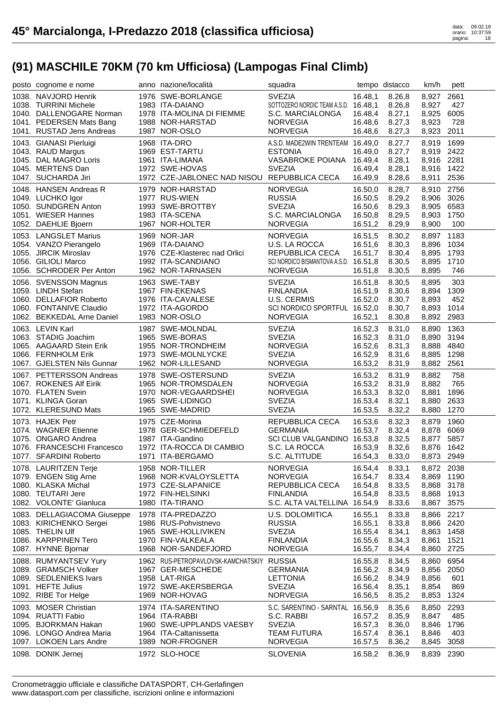| posto cognome e nome        | anno nazione/località                       | squadra                                         |                    | tempo distacco | km/h                | pett |
|-----------------------------|---------------------------------------------|-------------------------------------------------|--------------------|----------------|---------------------|------|
| 1038. NAVJORD Henrik        | 1976 SWE-BORLANGE                           | <b>SVEZIA</b>                                   | 16.48,1            | 8.26,8         | 8,927               | 2661 |
| 1038. TURRINI Michele       | 1983 ITA-DAIANO                             | SOTTOZERO NORDIC TEAM A.S.D. 16.48,1            |                    | 8.26,8         | 8,927               | 427  |
| 1040. DALLENOGARE Norman    | 1978 ITA-MOLINA DI FIEMME                   | S.C. MARCIALONGA                                | 16.48,4            | 8.27,1         | 8,925               | 6005 |
| 1041. PEDERSEN Mats Bang    | 1988 NOR-HARSTAD                            | <b>NORVEGIA</b>                                 | 16.48,6            | 8.27,3         | 8,923               | 728  |
| 1041. RUSTAD Jens Andreas   | 1987 NOR-OSLO                               | <b>NORVEGIA</b>                                 | 16.48,6            | 8.27,3         | 8,923               | 2011 |
| 1043. GIANASI Pierluigi     | 1968 ITA-DRO                                | A.S.D. MADE2WIN TRENTEAM 16.49,0                |                    | 8.27,7         | 8,919               | 1699 |
| 1043. RAUD Margus           | 1969 EST-TARTU                              | <b>ESTONIA</b>                                  | 16.49,0            | 8.27,7         | 8,919               | 2422 |
| 1045. DAL MAGRO Loris       | 1961 ITA-LIMANA                             | VASABROKE POIANA 16.49,4                        |                    | 8.28,1         | 8,916               | 2281 |
| 1045. MERTENS Dan           | 1972 SWE-HOVAS                              | <b>SVEZIA</b>                                   | 16.49,4            | 8.28,1         | 8,916               | 1422 |
| 1047. SUCHARDA Jiri         | 1972 CZE-JABLONEC NAD NISOU REPUBBLICA CECA |                                                 | 16.49,9            | 8.28,6         | 8,911               | 2536 |
| 1048. HANSEN Andreas R      | 1979 NOR-HARSTAD                            | <b>NORVEGIA</b>                                 | 16.50,0            | 8.28,7         | 8,910               | 2756 |
| 1049. LUCHKO Igor           | 1977 RUS-WIEN                               | <b>RUSSIA</b>                                   | 16.50,5            | 8.29,2         | 8,906 3026          |      |
| 1050. SUNDGREN Anton        | 1993 SWE-BROTTBY                            | <b>SVEZIA</b>                                   | 16.50,6            | 8.29,3         | 8,905               | 6583 |
| 1051. WIESER Hannes         | 1983 ITA-SCENA                              | S.C. MARCIALONGA                                | 16.50,8            | 8.29,5         | 8,903               | 1750 |
| 1052. DAEHLIE Bjoern        | 1967 NOR-HOLTER                             | <b>NORVEGIA</b>                                 | 16.51,2            | 8.29,9         | 8,900               | 100  |
| 1053. LANGSLET Marius       | 1969 NOR-JAR                                | <b>NORVEGIA</b>                                 |                    | 8.30,2         | 8,897               | 1183 |
| 1054. VANZO Pierangelo      | 1969 ITA-DAIANO                             | U.S. LA ROCCA                                   | 16.51,5<br>16.51,6 | 8.30,3         | 8,896               | 1034 |
| 1055. JIRCIK Miroslav       | 1976 CZE-Klasterec nad Orlici               | REPUBBLICA CECA                                 | 16.51,7            | 8.30,4         | 8,895               | 1793 |
| 1056. GILIOLI Marco         | 1992 ITA-SCANDIANO                          | SCI NORDICO BISMANTOVA A.S.D. 16.51,8           |                    | 8.30,5         | 8,895               | 1710 |
| 1056. SCHRODER Per Anton    | 1962 NOR-TARNASEN                           | <b>NORVEGIA</b>                                 | 16.51,8            | 8.30,5         | 8,895               | 746  |
|                             |                                             |                                                 |                    |                |                     |      |
| 1056. SVENSSON Magnus       | 1963 SWE-TABY                               | <b>SVEZIA</b>                                   | 16.51,8            | 8.30,5         | 8,895               | 303  |
| 1059. LINDH Stefan          | 1967 FIN-EKENAS                             | <b>FINLANDIA</b>                                | 16.51,9            | 8.30,6         | 8,894               | 1309 |
| 1060. DELLAFIOR Roberto     | 1976 ITA-CAVALESE                           | U.S. CERMIS                                     | 16.52,0            | 8.30,7         | 8,893               | 452  |
| 1060. FONTANIVE Claudio     | 1972 ITA-AGORDO<br>1983 NOR-OSLO            | SCI NORDICO SPORTFUL 16.52,0<br><b>NORVEGIA</b> |                    | 8.30,7         | 8,893<br>8,892 2983 | 1014 |
| 1062. BEKKEDAL Arne Daniel  |                                             |                                                 | 16.52,1            | 8.30,8         |                     |      |
| 1063. LEVIN Karl            | 1987 SWE-MOLNDAL                            | <b>SVEZIA</b>                                   | 16.52,3            | 8.31,0         | 8,890               | 1363 |
| 1063. STADIG Joachim        | 1965 SWE-BORAS                              | <b>SVEZIA</b>                                   | 16.52,3            | 8.31,0         | 8,890               | 3194 |
| 1065. AAGAARD Stein Erik    | 1955 NOR-TRONDHEIM                          | <b>NORVEGIA</b>                                 | 16.52,6            | 8.31,3         | 8,888               | 4840 |
| 1066. FERNHOLM Erik         | 1973 SWE-MOLNLYCKE                          | <b>SVEZIA</b>                                   | 16.52,9            | 8.31,6         | 8,885               | 1298 |
| 1067. GJELSTEN Nils Gunnar  | 1962 NOR-LILLESAND                          | <b>NORVEGIA</b>                                 | 16.53,2            | 8.31,9         | 8,882               | 2561 |
| 1067. PETTERSSON Andreas    | 1978 SWE-OSTERSUND                          | <b>SVEZIA</b>                                   | 16.53,2            | 8.31,9         | 8,882               | 758  |
| 1067. ROKENES Alf Eirik     | 1965 NOR-TROMSDALEN                         | <b>NORVEGIA</b>                                 | 16.53,2            | 8.31,9         | 8,882               | 765  |
| 1070. FLATEN Svein          | 1970 NOR-VEGAARDSHEI                        | <b>NORVEGIA</b>                                 | 16.53,3            | 8.32,0         | 8,881               | 1896 |
| 1071. KLINGA Goran          | 1965 SWE-LIDINGO                            | <b>SVEZIA</b>                                   | 16.53,4            | 8.32,1         | 8,880               | 2633 |
| 1072. KLERESUND Mats        | 1965 SWE-MADRID                             | <b>SVEZIA</b>                                   | 16.53,5            | 8.32,2         | 8,880               | 1270 |
| 1073. HAJEK Petr            | 1975 CZE-Morina                             | REPUBBLICA CECA                                 | 16.53,6            | 8.32,3         | 8,879               | 1960 |
| 1074. WAGNER Etienne        | 1978 GER-SCHMIEDEFELD                       | <b>GERMANIA</b>                                 | 16.53,7            | 8.32,4         | 8,878               | 6069 |
| 1075. ONGARO Andrea         | 1987 ITA-Gandino                            | SCI CLUB VALGANDINO 16.53,8                     |                    | 8.32,5         | 8,877               | 5857 |
| 1076. FRANCESCHI Francesco  | 1972 ITA-ROCCA DI CAMBIO                    | S.C. LA ROCCA                                   | 16.53,9            | 8.32,6         | 8,876               | 1642 |
| 1077. SFARDINI Roberto      | 1971 ITA-BERGAMO                            | S.C. ALTITUDE                                   | 16.54,3            | 8.33,0         | 8,873 2949          |      |
| 1078. LAURITZEN Terje       | 1958 NOR-TILLER                             | <b>NORVEGIA</b>                                 | 16.54,4            | 8.33,1         | 8,872 2038          |      |
| 1079. ENGEN Stig Arne       | 1968 NOR-KVALOYSLETTA                       | <b>NORVEGIA</b>                                 | 16.54,7            | 8.33,4         | 8,869               | 1190 |
| 1080. KLASKA Michal         | 1973 CZE-SLAPANICE                          | REPUBBLICA CECA                                 | 16.54,8            | 8.33,5         | 8,868 3178          |      |
| 1080. TEUTARI Jere          | 1972 FIN-HELSINKI                           | <b>FINLANDIA</b>                                | 16.54,8            | 8.33,5         | 8,868               | 1913 |
| 1082. VOLONTE' Gianluca     | 1980 ITA-TIRANO                             | S.C. ALTA VALTELLINA 16.54,9                    |                    | 8.33,6         | 8,867               | 3575 |
| 1083. DELLAGIACOMA Giuseppe | 1978 ITA-PREDAZZO                           | <b>U.S. DOLOMITICA</b>                          | 16.55,1            | 8.33,8         | 8,866               | 2217 |
| 1083. KIRICHENKO Sergei     | 1986 RUS-Pohvistnevo                        | <b>RUSSIA</b>                                   | 16.55,1            | 8.33,8         | 8,866               | 2420 |
| 1085. THELIN Ulf            | 1965 SWE-HOLLIVIKEN                         | <b>SVEZIA</b>                                   | 16.55,4            | 8.34,1         | 8,863               | 1458 |
| 1086. KARPPINEN Tero        | 1970 FIN-VALKEALA                           | <b>FINLANDIA</b>                                | 16.55,6            | 8.34,3         | 8,861               | 1521 |
| 1087. HYNNE Bjornar         | 1968 NOR-SANDEFJORD                         | <b>NORVEGIA</b>                                 | 16.55,7            | 8.34,4         | 8,860               | 2725 |
| 1088. RUMYANTSEV Yury       | 1962 RUS-PETROPAVLOVSK-KAMCHATSKIY RUSSIA   |                                                 | 16.55,8            | 8.34,5         | 8,860               | 6954 |
| 1089. GRAMSCH Volker        | 1967 GER-MESCHEDE                           | <b>GERMANIA</b>                                 | 16.56,2            | 8.34,9         | 8,856               | 2050 |
| 1089. SEDLENIEKS Ivars      | 1958 LAT-RIGA                               | <b>LETTONIA</b>                                 | 16.56,2            | 8.34,9         | 8,856               | 601  |
| 1091. HEFTE Julius          | 1972 SWE-AKERSBERGA                         | <b>SVEZIA</b>                                   | 16.56,4            | 8.35,1         | 8,854               | 869  |
| 1092. RIBE Tor Helge        | 1969 NOR-HOVAG                              | <b>NORVEGIA</b>                                 | 16.56,5            | 8.35,2         | 8,853               | 1324 |
| 1093. MOSER Christian       | 1974 ITA-SARENTINO                          | S.C. SARENTINO - SARNTAL 16.56,9                |                    | 8.35,6         | 8,850               | 2293 |
| 1094. RUATTI Fabio          | 1964 ITA-RABBI                              | S.C. RABBI                                      | 16.57,2            | 8.35,9         | 8,847               | 485  |
| 1095. BJORKMAN Hakan        | 1960 SWE-UPPLANDS VAESBY                    | <b>SVEZIA</b>                                   | 16.57,3            | 8.36,0         | 8,846               | 1796 |
| 1096. LONGO Andrea Maria    | 1964 ITA-Caltanissetta                      | <b>TEAM FUTURA</b>                              | 16.57,4            | 8.36,1         | 8,846               | 403  |
| 1097. LOKOEN Lars Andre     | 1989 NOR-FROGNER                            | <b>NORVEGIA</b>                                 | 16.57,5            | 8.36,2         | 8,845               | 3058 |
| 1098. DONIK Jernej          | 1972 SLO-HOCE                               | <b>SLOVENIA</b>                                 |                    |                |                     | 2390 |
|                             |                                             |                                                 | 16.58,2            | 8.36,9         | 8,839               |      |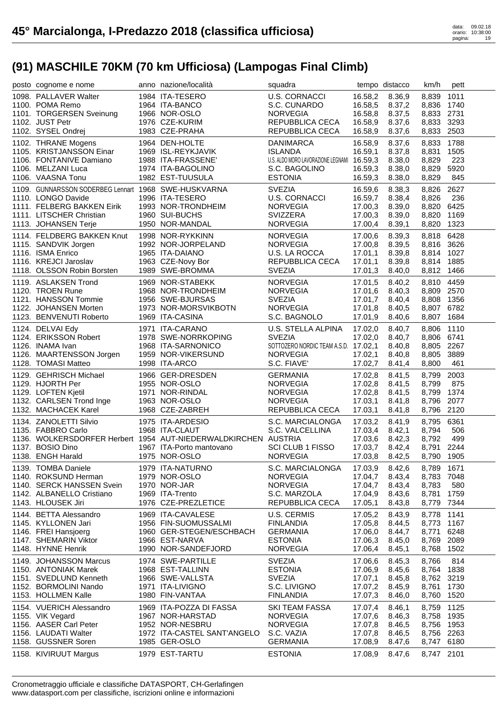| posto cognome e nome                                 | anno nazione/località                                          | squadra                                    |                    | tempo distacco   | km/h           | pett         |
|------------------------------------------------------|----------------------------------------------------------------|--------------------------------------------|--------------------|------------------|----------------|--------------|
| 1098. PALLAVER Walter                                | 1984 ITA-TESERO                                                | U.S. CORNACCI                              | 16.58,2            | 8.36,9           | 8,839          | 1011         |
| 1100. POMA Remo                                      | 1964 ITA-BANCO                                                 | S.C. CUNARDO                               | 16.58,5            | 8.37,2           | 8,836          | 1740         |
| 1101. TORGERSEN Sveinung                             | 1966 NOR-OSLO                                                  | <b>NORVEGIA</b>                            | 16.58,8            | 8.37,5           | 8,833 2731     |              |
| 1102. JUST Petr                                      | 1976 CZE-KURIM                                                 | REPUBBLICA CECA                            | 16.58,9            | 8.37,6           | 8,833          | 3293         |
| 1102. SYSEL Ondrej                                   | 1983 CZE-PRAHA                                                 | REPUBBLICA CECA                            | 16.58,9            | 8.37,6           | 8,833          | 2503         |
| 1102. THRANE Mogens                                  | 1964 DEN-HOLTE                                                 | <b>DANIMARCA</b>                           | 16.58,9            | 8.37,6           | 8,833          | 1788         |
| 1105. KRISTJANSSON Einar                             | 1969 ISL-REYKJAVIK                                             | <b>ISLANDA</b>                             | 16.59,1            | 8.37,8           | 8,831          | 1505         |
| 1106. FONTANIVE Damiano                              | 1988 ITA-FRASSENE'                                             | U.S. ALDO MORO LAVORAZIONE LEGNAMI 16.59,3 |                    | 8.38,0           | 8,829          | 223          |
| 1106. MELZANI Luca                                   | 1974 ITA-BAGOLINO                                              | S.C. BAGOLINO                              | 16.59,3            | 8.38,0           | 8,829          | 5920         |
| 1106. VAASNA Tonu                                    | 1982 EST-TUUSULA                                               | <b>ESTONIA</b>                             | 16.59,3            | 8.38,0           | 8,829          | 845          |
| 1109. GUNNARSSON SODERBEG Lennart 1968 SWE-HUSKVARNA |                                                                | <b>SVEZIA</b>                              | 16.59,6            | 8.38,3           | 8,826          | 2627         |
| 1110. LONGO Davide                                   | 1996 ITA-TESERO                                                | U.S. CORNACCI                              | 16.59,7            | 8.38,4           | 8,826          | 236          |
| 1111. FELBERG BAKKEN Eirik                           | 1993 NOR-TRONDHEIM                                             | <b>NORVEGIA</b>                            | 17.00,3            | 8.39,0           | 8,820          | 6425         |
| 1111. LITSCHER Christian                             | 1960 SUI-BUCHS                                                 | SVIZZERA                                   | 17.00,3            | 8.39,0           | 8,820          | 1169         |
| 1113. JOHANSEN Terje                                 | 1950 NOR-MANDAL                                                | <b>NORVEGIA</b>                            | 17.00,4            | 8.39,1           | 8,820          | 1323         |
| 1114. FELDBERG BAKKEN Knut                           | 1998 NOR-RYKKINN                                               | <b>NORVEGIA</b>                            | 17.00,6            | 8.39,3           | 8,818          | 6428         |
| 1115. SANDVIK Jorgen                                 | 1992 NOR-JORPELAND                                             | <b>NORVEGIA</b>                            | 17.00,8            | 8.39,5           | 8,816 3626     |              |
| 1116. ISMA Enrico                                    | 1965 ITA-DAIANO                                                | U.S. LA ROCCA                              | 17.01,1            | 8.39,8           | 8,814 1027     |              |
| 1116. KREJCI Jaroslav                                | 1963 CZE-Novy Bor                                              | REPUBBLICA CECA                            | 17.01,1            | 8.39,8           | 8,814 1885     |              |
| 1118. OLSSON Robin Borsten                           | 1989 SWE-BROMMA                                                | <b>SVEZIA</b>                              | 17.01,3            | 8.40,0           | 8,812 1466     |              |
| 1119. ASLAKSEN Trond                                 | 1969 NOR-STABEKK                                               | <b>NORVEGIA</b>                            | 17.01,5            | 8.40,2           | 8,810 4459     |              |
| 1120. TROEN Rune                                     | 1968 NOR-TRONDHEIM                                             | <b>NORVEGIA</b>                            | 17.01,6            | 8.40,3           | 8,809 2570     |              |
| 1121. HANSSON Tommie                                 | 1956 SWE-BJURSAS                                               | <b>SVEZIA</b>                              | 17.01,7            | 8.40,4           | 8,808          | 1356         |
| 1122. JOHANSEN Morten                                | 1973 NOR-MORSVIKBOTN                                           | <b>NORVEGIA</b>                            | 17.01,8            | 8.40,5           | 8,807          | 6782         |
| 1123. BENVENUTI Roberto                              | 1969 ITA-CASINA                                                | S.C. BAGNOLO                               | 17.01,9            | 8.40,6           | 8,807          | 1684         |
|                                                      |                                                                |                                            |                    |                  |                |              |
| 1124. DELVAI Edy                                     | 1971 ITA-CARANO                                                | U.S. STELLA ALPINA<br><b>SVEZIA</b>        | 17.02,0            | 8.40,7           | 8,806          | 1110         |
| 1124. ERIKSSON Robert<br>1126. INAMA Ivan            | 1978 SWE-NORRKOPING                                            |                                            | 17.02,0            | 8.40,7           | 8,806 6741     |              |
|                                                      | 1968 ITA-SARNONICO<br>1959 NOR-VIKERSUND                       | SOTTOZERO NORDIC TEAM A.S.D. 17.02,1       |                    | 8.40,8           | 8,805          | 2267<br>3889 |
| 1126. MAARTENSSON Jorgen<br>1128. TOMASI Matteo      | 1998 ITA-ARCO                                                  | <b>NORVEGIA</b><br>S.C. FIAVE'             | 17.02,1<br>17.02,7 | 8.40,8<br>8.41,4 | 8,805<br>8,800 | 461          |
|                                                      |                                                                |                                            |                    |                  |                |              |
| 1129. GEHRISCH Michael                               | 1966 GER-DRESDEN                                               | <b>GERMANIA</b>                            | 17.02,8            | 8.41,5           | 8,799          | 2003         |
| 1129. HJORTH Per                                     | 1955 NOR-OSLO                                                  | <b>NORVEGIA</b>                            | 17.02,8            | 8.41,5           | 8,799          | 875          |
| 1129. LOFTEN Kjetil                                  | 1971 NOR-RINDAL                                                | <b>NORVEGIA</b>                            | 17.02,8            | 8.41,5           | 8,799          | 1374         |
| 1132. CARLSEN Trond Inge                             | 1963 NOR-OSLO                                                  | <b>NORVEGIA</b>                            | 17.03,1            | 8.41,8           | 8,796          | 2077         |
| 1132. MACHACEK Karel                                 | 1968 CZE-ZABREH                                                | REPUBBLICA CECA                            | 17.03,1            | 8.41,8           | 8,796          | 2120         |
| 1134. ZANOLETTI Silvio                               | 1975 ITA-ARDESIO                                               | S.C. MARCIALONGA                           | 17.03,2            | 8.41,9           | 8,795          | 6361         |
| 1135. FABBRO Carlo                                   | 1968 ITA-CLAUT                                                 | S.C. VALCELLINA                            | 17.03,4            | 8.42,1           | 8,794          | 506          |
|                                                      | 1136. WOLKERSDORFER Herbert 1954 AUT-NIEDERWALDKIRCHEN AUSTRIA |                                            | 17.03,6            | 8.42,3           | 8,792          | 499          |
| 1137. BOSIO Dino                                     | 1967 ITA-Porto mantovano                                       | SCI CLUB 1 FISSO                           | 17.03,7            | 8.42,4           | 8,791          | 2244         |
| 1138. ENGH Harald                                    | 1975 NOR-OSLO                                                  | <b>NORVEGIA</b>                            | 17.03,8            | 8.42,5           | 8,790          | 1905         |
| 1139. TOMBA Daniele                                  | 1979 ITA-NATURNO                                               | S.C. MARCIALONGA                           | 17.03,9            | 8.42,6           | 8,789          | 1671         |
| 1140. ROKSUND Herman                                 | 1979 NOR-OSLO                                                  | <b>NORVEGIA</b>                            | 17.04,7            | 8.43,4           | 8,783          | 7048         |
| 1140. SERCK HANSSEN Svein                            | 1970 NOR-JAR                                                   | <b>NORVEGIA</b>                            | 17.04,7            | 8.43,4           | 8,783          | 580          |
| 1142. ALBANELLO Cristiano                            | 1969 ITA-Trento                                                | S.C. MARZOLA                               | 17.04,9            | 8.43,6           | 8,781          | 1759         |
| 1143. HLOUSEK Jiri                                   | 1976 CZE-PREZLETICE                                            | REPUBBLICA CECA                            | 17.05,1            | 8.43,8           | 8,779          | 7344         |
| 1144. BETTA Alessandro                               | 1969 ITA-CAVALESE                                              | <b>U.S. CERMIS</b>                         | 17.05,2            | 8.43,9           | 8,778          | 1141         |
| 1145. KYLLONEN Jari                                  | 1956 FIN-SUOMUSSALMI                                           | <b>FINLANDIA</b>                           | 17.05,8            | 8.44,5           | 8,773          | 1167         |
| 1146. FREI Hansjoerg                                 | 1960 GER-STEGEN/ESCHBACH                                       | <b>GERMANIA</b>                            | 17.06,0            | 8.44,7           | 8,771          | 6248         |
| 1147. SHEMARIN Viktor                                | 1966 EST-NARVA                                                 | <b>ESTONIA</b>                             | 17.06,3            | 8.45,0           | 8,769          | 2089         |
| 1148. HYNNE Henrik                                   | 1990 NOR-SANDEFJORD                                            | <b>NORVEGIA</b>                            | 17.06,4            | 8.45,1           | 8,768          | 1502         |
| 1149. JOHANSSON Marcus                               | 1974 SWE-PARTILLE                                              | <b>SVEZIA</b>                              | 17.06,6            | 8.45,3           | 8,766          | 814          |
| 1150. ANTONIAK Marek                                 | 1968 EST-TALLINN                                               | <b>ESTONIA</b>                             | 17.06,9            | 8.45,6           | 8,764          | 1838         |
| 1151. SVEDLUND Kenneth                               | 1966 SWE-VALLSTA                                               | <b>SVEZIA</b>                              | 17.07,1            | 8.45,8           | 8,762 3219     |              |
| 1152. BORMOLINI Nando                                | 1971 ITA-LIVIGNO                                               | S.C. LIVIGNO                               | 17.07,2            | 8.45,9           | 8,761          | 1730         |
| 1153. HOLLMEN Kalle                                  | 1980 FIN-VANTAA                                                | <b>FINLANDIA</b>                           | 17.07,3            | 8.46,0           | 8,760          | 1520         |
| 1154. VUERICH Alessandro                             | 1969 ITA-POZZA DI FASSA                                        | <b>SKI TEAM FASSA</b>                      | 17.07,4            | 8.46,1           | 8,759          | 1125         |
| 1155. VIK Vegard                                     | 1967 NOR-HARSTAD                                               | <b>NORVEGIA</b>                            | 17.07,6            | 8.46,3           | 8,758          | 1935         |
| 1156. AASER Carl Peter                               | 1952 NOR-NESBRU                                                | <b>NORVEGIA</b>                            | 17.07,8            | 8.46,5           | 8,756          | 1953         |
| 1156. LAUDATI Walter                                 | 1972 ITA-CASTEL SANT'ANGELO                                    | S.C. VAZIA                                 | 17.07,8            | 8.46,5           | 8,756 2263     |              |
| 1158. GUSSNER Soren                                  | 1985 GER-OSLO                                                  | <b>GERMANIA</b>                            | 17.08,9            | 8.47,6           | 8,747          | 6180         |
| 1158. KIVIRUUT Margus                                | 1979 EST-TARTU                                                 | <b>ESTONIA</b>                             | 17.08,9            | 8.47,6           | 8,747 2101     |              |
|                                                      |                                                                |                                            |                    |                  |                |              |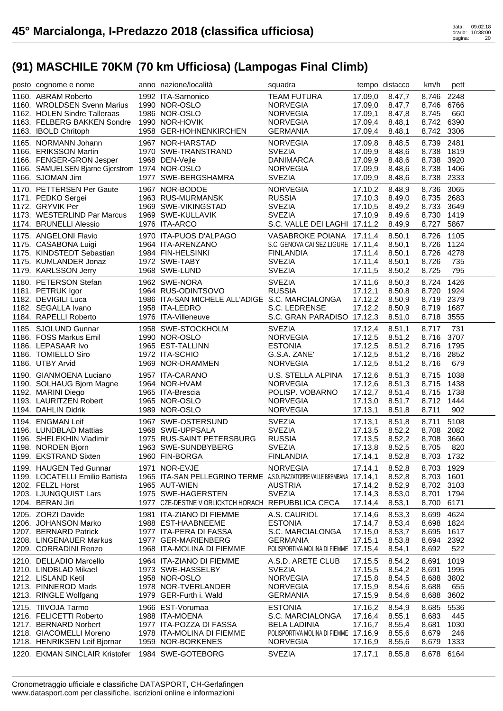| posto cognome e nome                           | anno nazione/località                                                   | squadra                               |         | tempo distacco | km/h       | pett |
|------------------------------------------------|-------------------------------------------------------------------------|---------------------------------------|---------|----------------|------------|------|
| 1160. ABRAM Roberto                            | 1992 ITA-Sarnonico                                                      | <b>TEAM FUTURA</b>                    | 17.09,0 | 8.47,7         | 8,746      | 2248 |
| 1160. WROLDSEN Svenn Marius                    | 1990 NOR-OSLO                                                           | <b>NORVEGIA</b>                       | 17.09,0 | 8.47,7         | 8,746      | 6766 |
| 1162. HOLEN Sindre Talleraas                   | 1986 NOR-OSLO                                                           | <b>NORVEGIA</b>                       | 17.09,1 | 8.47,8         | 8,745      | 660  |
| 1163. FELBERG BAKKEN Sondre                    | 1990 NOR-HOVIK                                                          | <b>NORVEGIA</b>                       | 17.09,4 | 8.48,1         | 8,742      | 6390 |
| 1163. IBOLD Chritoph                           | 1958 GER-HOHNENKIRCHEN                                                  | <b>GERMANIA</b>                       | 17.09,4 | 8.48,1         | 8,742      | 3306 |
| 1165. NORMANN Johann                           | 1967 NOR-HARSTAD                                                        | <b>NORVEGIA</b>                       | 17.09,8 | 8.48,5         | 8,739      | 2481 |
| 1166. ERIKSSON Martin                          | 1970 SWE-TRANSTRAND                                                     | <b>SVEZIA</b>                         | 17.09,9 | 8.48,6         | 8,738      | 1819 |
| 1166. FENGER-GRON Jesper                       | 1968 DEN-Vejle                                                          | <b>DANIMARCA</b>                      | 17.09,9 | 8.48,6         | 8,738      | 3920 |
| 1166. SAMUELSEN Bjarne Gjerstrom 1974 NOR-OSLO |                                                                         | <b>NORVEGIA</b>                       | 17.09,9 | 8.48,6         | 8,738      | 1406 |
| 1166. SJOMAN Jim                               | 1977 SWE-BERGSHAMRA                                                     | <b>SVEZIA</b>                         | 17.09,9 | 8.48,6         | 8,738      | 2333 |
| 1170. PETTERSEN Per Gaute                      | 1967 NOR-BODOE                                                          | <b>NORVEGIA</b>                       | 17.10,2 | 8.48,9         | 8,736      | 3065 |
| 1171. PEDKO Sergei                             | 1963 RUS-MURMANSK                                                       | <b>RUSSIA</b>                         | 17.10,3 | 8.49,0         | 8,735 2683 |      |
| 1172. GRYVIK Per                               | 1969 SWE-VIKINGSTAD                                                     | <b>SVEZIA</b>                         | 17.10,5 | 8.49,2         | 8,733      | 3649 |
| 1173. WESTERLIND Par Marcus                    | 1969 SWE-KULLAVIK                                                       | <b>SVEZIA</b>                         | 17.10,9 | 8.49,6         | 8,730      | 1419 |
| 1174. BRUNELLI Alessio                         | 1976 ITA-ARCO                                                           | S.C. VALLE DEI LAGHI 17.11,2          |         | 8.49,9         | 8,727      | 5867 |
| 1175. ANGELONI Flavio                          | 1970 ITA-PUOS D'ALPAGO                                                  | VASABROKE POIANA 17.11,4              |         | 8.50,1         | 8,726      | 1105 |
| 1175. CASABONA Luigi                           | 1964 ITA-ARENZANO                                                       | S.C. GENOVA CAI SEZ.LIGURE 17.11,4    |         | 8.50,1         | 8,726      | 1124 |
| 1175. KINDSTEDT Sebastian                      | 1984 FIN-HELSINKI                                                       | <b>FINLANDIA</b>                      | 17.11,4 | 8.50,1         | 8,726      | 4278 |
| 1175. KUMLANDER Jonaz                          | 1972 SWE-TABY                                                           | <b>SVEZIA</b>                         | 17.11,4 | 8.50,1         | 8,726      | 735  |
| 1179. KARLSSON Jerry                           | 1968 SWE-LUND                                                           | <b>SVEZIA</b>                         | 17.11,5 | 8.50,2         | 8,725      | 795  |
| 1180. PETERSON Stefan                          | 1962 SWE-NORA                                                           | <b>SVEZIA</b>                         | 17.11,6 | 8.50,3         | 8,724      | 1426 |
| 1181. PETRUK Igor                              | 1964 RUS-ODINTSOVO                                                      | <b>RUSSIA</b>                         | 17.12,1 | 8.50,8         | 8,720      | 1924 |
| 1182. DEVIGILI Luca                            | 1986 ITA-SAN MICHELE ALL'ADIGE S.C. MARCIALONGA                         |                                       | 17.12,2 | 8.50.9         | 8,719      | 2379 |
| 1182. SEGALLA Ivano                            | 1958 ITA-LEDRO                                                          | S.C. LEDRENSE                         | 17.12,2 | 8.50,9         | 8,719      | 1687 |
| 1184. RAPELLI Roberto                          | 1976 ITA-Villeneuve                                                     | S.C. GRAN PARADISO 17.12,3            |         | 8.51,0         | 8,718      | 3555 |
| 1185. SJOLUND Gunnar                           | 1958 SWE-STOCKHOLM                                                      | <b>SVEZIA</b>                         | 17.12,4 | 8.51,1         | 8,717      | 731  |
| 1186. FOSS Markus Emil                         | 1990 NOR-OSLO                                                           | <b>NORVEGIA</b>                       | 17.12,5 | 8.51,2         | 8,716      | 3707 |
| 1186. LEPASAAR Ivo                             | 1965 EST-TALLINN                                                        | <b>ESTONIA</b>                        | 17.12,5 | 8.51,2         | 8,716      | 1795 |
| 1186. TOMIELLO Siro                            | 1972 ITA-SCHIO                                                          | G.S.A. ZANE'                          | 17.12,5 | 8.51,2         | 8,716      | 2852 |
| 1186. UTBY Arvid                               | 1969 NOR-DRAMMEN                                                        | <b>NORVEGIA</b>                       | 17.12,5 | 8.51,2         | 8,716      | 679  |
| 1190. GIANMOENA Luciano                        | 1957 ITA-CARANO                                                         | U.S. STELLA ALPINA                    | 17.12,6 | 8.51,3         | 8,715      | 1038 |
| 1190. SOLHAUG Bjorn Magne                      | 1964 NOR-HVAM                                                           | <b>NORVEGIA</b>                       | 17.12,6 | 8.51,3         | 8,715      | 1438 |
| 1192. MARINI Diego                             | 1965 ITA-Brescia                                                        | POLISP. VOBARNO                       | 17.12,7 | 8.51,4         | 8,715      | 1738 |
| 1193. LAURITZEN Robert                         | 1965 NOR-OSLO                                                           | <b>NORVEGIA</b>                       | 17.13,0 | 8.51,7         | 8,712      | 1444 |
| 1194. DAHLIN Didrik                            | 1989 NOR-OSLO                                                           | <b>NORVEGIA</b>                       | 17.13,1 | 8.51,8         | 8,711      | 902  |
| 1194. ENGMAN Leif                              | 1967 SWE-OSTERSUND                                                      | <b>SVEZIA</b>                         | 17.13,1 | 8.51,8         | 8,711      | 5108 |
| 1196. LUNDBLAD Mattias                         | 1968 SWE-UPPSALA                                                        | <b>SVEZIA</b>                         | 17.13,5 | 8.52,2         | 8,708      | 2082 |
| 1196. SHELEKHIN Vladimir                       | 1975 RUS-SAINT PETERSBURG                                               | <b>RUSSIA</b>                         | 17.13,5 | 8.52,2         | 8,708      | 3660 |
| 1198. NORDEN Bjorn                             | 1963 SWE-SUNDBYBERG                                                     | <b>SVEZIA</b>                         | 17.13,8 | 8.52,5         | 8,705      | 820  |
| 1199. EKSTRAND Sixten                          | 1960 FIN-BORGA                                                          | <b>FINLANDIA</b>                      |         | 17.14,1 8.52,8 | 8,703 1732 |      |
| 1199. HAUGEN Ted Gunnar                        | 1971 NOR-EVJE                                                           | <b>NORVEGIA</b>                       | 17.14,1 | 8.52,8         | 8,703 1929 |      |
| 1199. LOCATELLI Emilio Battista                | 1965 ITA-SAN PELLEGRINO TERME A.S.D. PIAZZATORRE VALLE BREMBANA 17.14,1 |                                       |         | 8.52,8         | 8,703 1601 |      |
| 1202. FELZL Horst                              | 1965 AUT-WIEN                                                           | <b>AUSTRIA</b>                        | 17.14,2 | 8.52,9         | 8,702 3103 |      |
| 1203. LJUNGQUIST Lars                          | 1975 SWE-HAGERSTEN                                                      | <b>SVEZIA</b>                         | 17.14,3 | 8.53,0         | 8,701      | 1794 |
| 1204. BERAN Jiri                               | 1977 CZE-DESTNE V ORLICKTCH HORACH REPUBBLICA CECA                      |                                       | 17.14,4 | 8.53,1         | 8,700      | 6171 |
| 1205. ZORZI Davide                             | 1981 ITA-ZIANO DI FIEMME                                                | A.S. CAURIOL                          | 17.14,6 | 8.53,3         | 8,699      | 4624 |
| 1206. JOHANSON Marko                           | 1988 EST-HAABNEEME                                                      | <b>ESTONIA</b>                        | 17.14,7 | 8.53,4         | 8,698      | 1824 |
| 1207. BERNARD Patrick                          | 1977 ITA-PERA DI FASSA                                                  | S.C. MARCIALONGA                      | 17.15,0 | 8.53,7         | 8,695      | 1617 |
| 1208. LINGENAUER Markus                        | 1977 GER-MARIENBERG                                                     | <b>GERMANIA</b>                       | 17.15,1 | 8.53,8         | 8,694 2392 |      |
| 1209. CORRADINI Renzo                          | 1968 ITA-MOLINA DI FIEMME                                               | POLISPORTIVA MOLINA DI FIEMME 17.15,4 |         | 8.54,1         | 8,692      | 522  |
| 1210. DELLADIO Marcello                        | 1964 ITA-ZIANO DI FIEMME                                                | A.S.D. ARETE CLUB                     | 17.15,5 | 8.54,2         | 8,691      | 1019 |
| 1210. LINDBLAD Mikael                          | 1973 SWE-HASSELBY                                                       | <b>SVEZIA</b>                         | 17.15,5 | 8.54,2         | 8,691      | 1995 |
| 1212. LISLAND Ketil                            | 1958 NOR-OSLO                                                           | <b>NORVEGIA</b>                       | 17.15,8 | 8.54,5         | 8,688      | 3802 |
| 1213. PINNEROD Mads                            | 1978 NOR-TVERLANDER                                                     | <b>NORVEGIA</b>                       | 17.15,9 | 8.54,6         | 8,688      | 655  |
| 1213. RINGLE Wolfgang                          | 1979 GER-Furth i. Wald                                                  | <b>GERMANIA</b>                       | 17.15,9 | 8.54,6         | 8,688      | 3602 |
| 1215. TIIVOJA Tarmo                            | 1966 EST-Vorumaa                                                        | <b>ESTONIA</b>                        | 17.16,2 | 8.54,9         | 8,685      | 5536 |
| 1216. FELICETTI Roberto                        | 1988 ITA-MOENA                                                          | S.C. MARCIALONGA                      | 17.16,4 | 8.55,1         | 8,683      | 445  |
| 1217. BERNARD Norbert                          | 1977 ITA-POZZA DI FASSA                                                 | <b>BELA LADINIA</b>                   | 17.16,7 | 8.55,4         | 8,681      | 1030 |
| 1218. GIACOMELLI Moreno                        | 1978 ITA-MOLINA DI FIEMME                                               | POLISPORTIVA MOLINA DI FIEMME 17.16,9 |         | 8.55,6         | 8,679      | 246  |
| 1218. HENRIKSEN Leif Bjornar                   | 1959 NOR-BORKENES                                                       | <b>NORVEGIA</b>                       | 17.16,9 | 8.55,6         | 8,679      | 1333 |
| 1220. EKMAN SINCLAIR Kristofer                 | 1984 SWE-GOTEBORG                                                       | <b>SVEZIA</b>                         | 17.17,1 | 8.55,8         | 8,678 6164 |      |
|                                                |                                                                         |                                       |         |                |            |      |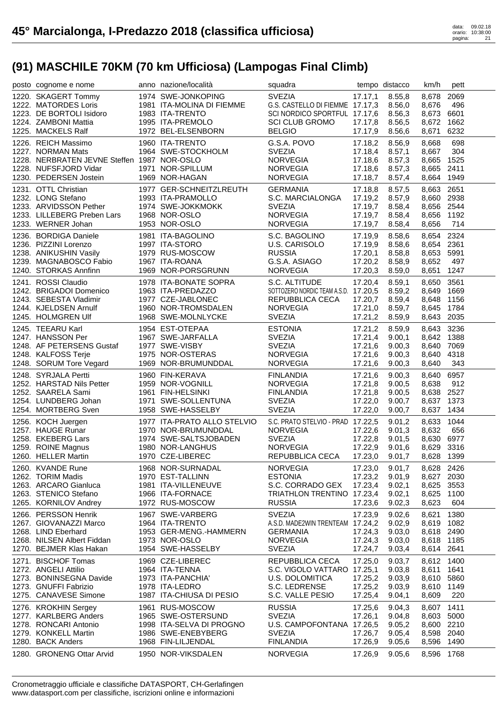| posto cognome e nome                           | anno nazione/località                    | squadra                              |                    | tempo distacco   | km/h                | pett |
|------------------------------------------------|------------------------------------------|--------------------------------------|--------------------|------------------|---------------------|------|
| 1220. SKAGERT Tommy                            | 1974 SWE-JONKOPING                       | <b>SVEZIA</b>                        | 17.17,1            | 8.55,8           | 8,678               | 2069 |
| 1222. MATORDES Loris                           | 1981 ITA-MOLINA DI FIEMME                | G.S. CASTELLO DI FIEMME 17.17,3      |                    | 8.56,0           | 8,676               | 496  |
| 1223. DE BORTOLI Isidoro                       | 1983 ITA-TRENTO                          | SCI NORDICO SPORTFUL 17.17,6         |                    | 8.56,3           | 8,673               | 6601 |
| 1224. ZAMBONI Mattia                           | 1995 ITA-PREMOLO                         | <b>SCI CLUB GROMO</b>                | 17.17,8            | 8.56,5           | 8,672               | 1662 |
| 1225. MACKELS Ralf                             | 1972 BEL-ELSENBORN                       | <b>BELGIO</b>                        | 17.17,9            | 8.56,6           | 8,671               | 6232 |
| 1226. REICH Massimo                            | 1960 ITA-TRENTO                          | G.S.A. POVO                          | 17.18,2            | 8.56,9           | 8,668               | 698  |
| 1227. NORMAN Mats                              | 1964 SWE-STOCKHOLM                       | <b>SVEZIA</b>                        | 17.18,4            | 8.57,1           | 8,667               | 304  |
| 1228. NERBRATEN JEVNE Steffen 1987 NOR-OSLO    |                                          | <b>NORVEGIA</b>                      | 17.18,6            | 8.57,3           | 8,665               | 1525 |
| 1228. NUFSFJORD Vidar                          | 1971 NOR-SPILLUM                         | <b>NORVEGIA</b>                      | 17.18,6            | 8.57,3           | 8,665               | 2411 |
| 1230. PEDERSEN Jostein                         | 1969 NOR-HAGAN                           | NORVEGIA                             | 17.18,7            | 8.57,4           | 8,664 1949          |      |
| 1231. OTTL Christian                           | 1977 GER-SCHNEITZLREUTH                  | <b>GERMANIA</b>                      | 17.18,8            | 8.57,5           | 8,663 2651          |      |
| 1232. LONG Stefano                             | 1993 ITA-PRAMOLLO                        | S.C. MARCIALONGA                     | 17.19,2            | 8.57,9           | 8,660 2938          |      |
| 1233. ARVIDSSON Pether                         | 1974 SWE-JOKKMOKK                        | <b>SVEZIA</b>                        | 17.19,7            | 8.58,4           | 8,656 2544          |      |
| 1233. LILLEBERG Preben Lars                    | 1968 NOR-OSLO                            | <b>NORVEGIA</b>                      | 17.19,7            | 8.58,4           | 8,656               | 1192 |
| 1233. WERNER Johan                             | 1953 NOR-OSLO                            | <b>NORVEGIA</b>                      | 17.19,7            | 8.58,4           | 8,656               | 714  |
| 1236. BORDIGA Daniele                          | 1981 ITA-BAGOLINO                        | S.C. BAGOLINO                        | 17.19,9            | 8.58,6           | 8,654 2324          |      |
| 1236. PIZZINI Lorenzo                          | 1997 ITA-STORO                           | U.S. CARISOLO                        | 17.19,9            | 8.58,6           | 8,654 2361          |      |
| 1238. ANIKUSHIN Vasily                         | 1979 RUS-MOSCOW                          | <b>RUSSIA</b>                        | 17.20,1            | 8.58,8           | 8,653 5991          |      |
| 1239. MAGNABOSCO Fabio                         | 1967 ITA-ROANA                           | G.S.A. ASIAGO                        | 17.20,2            | 8.58,9           | 8,652               | 497  |
| 1240. STORKAS Annfinn                          | 1969 NOR-PORSGRUNN                       | <b>NORVEGIA</b>                      | 17.20,3            | 8.59,0           | 8,651               | 1247 |
| 1241. ROSSI Claudio                            | 1978 ITA-BONATE SOPRA                    | S.C. ALTITUDE                        | 17.20,4            | 8.59,1           | 8,650               | 3561 |
| 1242. BRIGADOI Domenico                        | 1963 ITA-PREDAZZO                        | SOTTOZERO NORDIC TEAM A.S.D. 17.20,5 |                    | 8.59,2           | 8,649               | 1669 |
| 1243. SEBESTA Vladimir                         | 1977 CZE-JABLONEC                        | REPUBBLICA CECA                      | 17.20,7            | 8.59,4           | 8,648               | 1156 |
| 1244. KJELDSEN Arnulf                          | 1960 NOR-TROMSDALEN                      | <b>NORVEGIA</b>                      | 17.21,0            | 8.59,7           | 8,645               | 1784 |
| 1245. HOLMGREN Ulf                             | 1968 SWE-MOLNLYCKE                       | <b>SVEZIA</b>                        | 17.21,2            | 8.59,9           | 8,643 2035          |      |
| 1245. TEEARU Karl                              | 1954 EST-OTEPAA                          | <b>ESTONIA</b>                       | 17.21,2            | 8.59,9           | 8,643               | 3236 |
| 1247. HANSSON Per                              | 1967 SWE-JARFALLA                        | <b>SVEZIA</b>                        | 17.21,4            | 9.00,1           | 8,642 1388          |      |
| 1248. AF PETERSENS Gustaf                      | 1977 SWE-VISBY                           | <b>SVEZIA</b>                        | 17.21,6            | 9.00,3           | 8,640               | 7069 |
| 1248. KALFOSS Terje                            | 1975 NOR-OSTERAS                         | <b>NORVEGIA</b>                      | 17.21,6            | 9.00,3           | 8,640               | 4318 |
| 1248. SORUM Tore Vegard                        | 1969 NOR-BRUMUNDDAL                      | <b>NORVEGIA</b>                      | 17.21,6            | 9.00,3           | 8,640               | 343  |
|                                                |                                          |                                      |                    |                  |                     |      |
|                                                |                                          |                                      |                    |                  |                     |      |
| 1248. SYRJALA Pertti                           | 1960 FIN-KERAVA                          | <b>FINLANDIA</b>                     | 17.21,6            | 9.00,3           | 8,640               | 6957 |
| 1252. HARSTAD Nils Petter                      | 1959 NOR-VOGNILL                         | <b>NORVEGIA</b>                      | 17.21,8            | 9.00,5           | 8,638               | 912  |
| 1252. SAARELA Sami                             | 1961 FIN-HELSINKI                        | <b>FINLANDIA</b>                     | 17.21,8            | 9.00,5           | 8,638 2527          |      |
| 1254. LUNDBERG Johan                           | 1971 SWE-SOLLENTUNA                      | <b>SVEZIA</b>                        | 17.22,0            | 9.00,7           | 8,637               | 1373 |
| 1254. MORTBERG Sven                            | 1958 SWE-HASSELBY                        | <b>SVEZIA</b>                        | 17.22,0            | 9.00,7           | 8,637               | 1434 |
| 1256. KOCH Juergen                             | 1977 ITA-PRATO ALLO STELVIO              | S.C. PRATO STELVIO - PRAD 17.22,5    |                    | 9.01,2           | 8,633               | 1044 |
| 1257. HAUGE Runar                              | 1970 NOR-BRUMUNDDAL                      | <b>NORVEGIA</b>                      | 17.22,6            | 9.01,3           | 8,632               | 656  |
| 1258. EKEBERG Lars                             | 1974 SWE-SALTSJOBADEN                    | <b>SVEZIA</b>                        | 17.22,8            | 9.01,5           | 8,630               | 6977 |
| 1259. ROINE Magnus                             | 1980 NOR-LANGHUS                         | <b>NORVEGIA</b>                      | 17.22,9            | 9.01,6           | 8,629 3316          |      |
| 1260. HELLER Martin                            | 1970 CZE-LIBEREC                         | REPUBBLICA CECA                      | 17.23,0            | 9.01,7           | 8,628 1399          |      |
| 1260. KVANDE Rune                              | 1968 NOR-SURNADAL                        | <b>NORVEGIA</b>                      | 17.23,0            | 9.01,7           | 8,628 2426          |      |
| 1262. TORIM Madis                              | 1970 EST-TALLINN                         | <b>ESTONIA</b>                       | 17.23,2            | 9.01,9           | 8,627 2030          |      |
| 1263. ARCARO Gianluca                          | 1981 ITA-VILLENEUVE                      | S.C. CORRADO GEX                     | 17.23,4            | 9.02,1           | 8,625               | 3553 |
| 1263. STENICO Stefano                          | 1966 ITA-FORNACE                         | TRIATHLON TRENTINO 17.23,4           |                    | 9.02,1           | 8,625               | 1100 |
| 1265. KORNILOV Andrey                          | 1972 RUS-MOSCOW                          | <b>RUSSIA</b>                        | 17.23,6            | 9.02,3           | 8,623               | 604  |
| 1266. PERSSON Henrik                           | 1967 SWE-VARBERG                         | <b>SVEZIA</b>                        | 17.23,9            | 9.02,6           | 8,621               | 1380 |
| 1267. GIOVANAZZI Marco                         | 1964 ITA-TRENTO                          | A.S.D. MADE2WIN TRENTEAM 17.24,2     |                    | 9.02,9           | 8,619               | 1082 |
| 1268. LIND Eberhard                            | 1953 GER-MENG.-HAMMERN                   | <b>GERMANIA</b>                      | 17.24,3            | 9.03,0           | 8,618 2490          |      |
| 1268. NILSEN Albert Fiddan                     | 1973 NOR-OSLO                            | <b>NORVEGIA</b>                      | 17.24,3            | 9.03,0           | 8,618 1185          |      |
| 1270. BEJMER Klas Hakan                        | 1954 SWE-HASSELBY                        | <b>SVEZIA</b>                        | 17.24,7            | 9.03,4           | 8,614               | 2641 |
| 1271. BISCHOF Tomas                            | 1969 CZE-LIBEREC                         | REPUBBLICA CECA                      | 17.25,0            | 9.03,7           | 8,612 1400          |      |
| 1272. ANGELI Attilio                           | 1964 ITA-TENNA                           | S.C. VIGOLO VATTARO 17.25,1          |                    | 9.03,8           | 8,611               | 1641 |
| 1273. BONINSEGNA Davide                        | 1973 ITA-PANCHIA'                        | U.S. DOLOMITICA                      | 17.25,2            | 9.03,9           | 8,610 5860          |      |
| 1273. GNUFFI Fabrizio                          | 1978 ITA-LEDRO                           | S.C. LEDRENSE                        | 17.25,2            | 9.03,9           | 8,610 1149          |      |
| 1275. CANAVESE Simone                          | 1987 ITA-CHIUSA DI PESIO                 | S.C. VALLE PESIO                     | 17.25,4            | 9.04,1           | 8,609               | 220  |
| 1276. KROKHIN Sergey                           | 1961 RUS-MOSCOW                          | <b>RUSSIA</b>                        | 17.25,6            | 9.04,3           | 8,607               | 1411 |
| 1277. KARLBERG Anders                          | 1965 SWE-OSTERSUND                       | <b>SVEZIA</b>                        | 17.26,1            | 9.04,8           | 8,603               | 5000 |
| 1278. RONCARI Antonio                          | 1998 ITA-SELVA DI PROGNO                 | U.S. CAMPOFONTANA 17.26,5            |                    | 9.05,2           | 8,600               | 2210 |
| 1279. KONKELL Martin                           | 1986 SWE-ENEBYBERG                       | <b>SVEZIA</b>                        | 17.26,7            | 9.05,4           | 8,598               | 2040 |
| 1280. BACK Anders<br>1280. GRONENG Ottar Arvid | 1968 FIN-LILJENDAL<br>1950 NOR-VIKSDALEN | <b>FINLANDIA</b><br><b>NORVEGIA</b>  | 17.26,9<br>17.26,9 | 9.05,6<br>9.05,6 | 8,596<br>8,596 1768 | 1490 |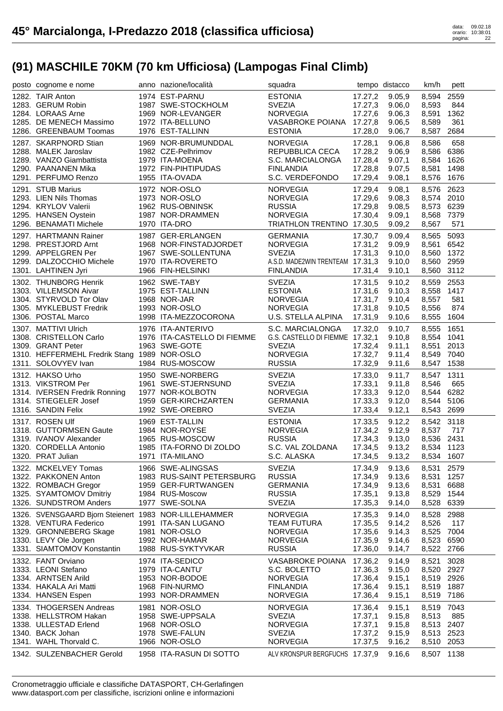| posto cognome e nome                                  | anno nazione/località                        | squadra                                             |         | tempo distacco   | km/h                | pett |
|-------------------------------------------------------|----------------------------------------------|-----------------------------------------------------|---------|------------------|---------------------|------|
| 1282. TAIR Anton                                      | 1974 EST-PARNU                               | <b>ESTONIA</b>                                      | 17.27,2 | 9.05,9           | 8,594               | 2559 |
| 1283. GERUM Robin                                     | 1987 SWE-STOCKHOLM                           | <b>SVEZIA</b>                                       | 17.27,3 | 9.06,0           | 8,593               | 844  |
| 1284. LORAAS Arne                                     | 1969 NOR-LEVANGER                            | <b>NORVEGIA</b>                                     | 17.27,6 | 9.06,3           | 8,591               | 1362 |
| 1285. DE MENECH Massimo                               | 1972 ITA-BELLUNO                             | VASABROKE POIANA 17.27,8                            |         | 9.06,5           | 8,589               | 361  |
| 1286. GREENBAUM Toomas                                | 1976 EST-TALLINN                             | <b>ESTONIA</b>                                      | 17.28,0 | 9.06,7           | 8,587               | 2684 |
| 1287. SKARPNORD Stian                                 | 1969 NOR-BRUMUNDDAL                          | <b>NORVEGIA</b>                                     | 17.28.1 | 9.06,8           | 8,586               | 658  |
| 1288. MALEK Jaroslav                                  | 1982 CZE-Pelhrimov                           | REPUBBLICA CECA                                     | 17.28,2 | 9.06,9           | 8,586               | 6386 |
| 1289. VANZO Giambattista                              | 1979 ITA-MOENA                               | S.C. MARCIALONGA                                    | 17.28,4 | 9.07,1           | 8,584 1626          |      |
| 1290. PAANANEN Mika                                   | 1972 FIN-PIHTIPUDAS                          | <b>FINLANDIA</b>                                    | 17.28,8 | 9.07,5           | 8,581               | 1498 |
| 1291. PERFUMO Renzo                                   | 1955 ITA-OVADA                               | S.C. VERDEFONDO                                     | 17.29,4 | 9.08,1           | 8,576               | 1676 |
| 1291. STUB Marius                                     | 1972 NOR-OSLO                                | <b>NORVEGIA</b>                                     | 17.29,4 | 9.08,1           | 8,576 2623          |      |
| 1293. LIEN Nils Thomas                                | 1973 NOR-OSLO                                | <b>NORVEGIA</b>                                     | 17.29,6 | 9.08,3           | 8,574 2010          |      |
| 1294. KRYLOV Valerii                                  | 1962 RUS-OBNINSK                             | <b>RUSSIA</b>                                       | 17.29,8 | 9.08,5           | 8,573 6239          |      |
| 1295. HANSEN Oystein                                  | 1987 NOR-DRAMMEN                             | <b>NORVEGIA</b>                                     | 17.30,4 | 9.09,1           | 8,568               | 7379 |
| 1296. BENAMATI Michele                                | 1970 ITA-DRO                                 | TRIATHLON TRENTINO 17.30,5                          |         | 9.09,2           | 8,567               | 571  |
| 1297. HARTMANN Rainer                                 | 1987 GER-ERLANGEN                            | <b>GERMANIA</b>                                     | 17.30,7 | 9.09,4           | 8,565 5093          |      |
| 1298. PRESTJORD Arnt                                  | 1968 NOR-FINSTADJORDET                       | <b>NORVEGIA</b>                                     | 17.31,2 | 9.09,9           | 8,561               | 6542 |
| 1299. APPELGREN Per                                   | 1967 SWE-SOLLENTUNA                          | <b>SVEZIA</b>                                       | 17.31,3 | 9.10,0           | 8,560               | 1372 |
| 1299. DALZOCCHIO Michele                              | 1970 ITA-ROVERETO                            | A.S.D. MADE2WIN TRENTEAM 17.31,3                    |         | 9.10,0           | 8,560               | 2959 |
| 1301. LAHTINEN Jyri                                   | 1966 FIN-HELSINKI                            | <b>FINLANDIA</b>                                    | 17.31,4 | 9.10,1           | 8,560 3112          |      |
| 1302. THUNBORG Henrik                                 | 1962 SWE-TABY                                | <b>SVEZIA</b>                                       | 17.31,5 | 9.10,2           | 8,559               | 2553 |
| 1303. VILLEMSON Aivar                                 | 1975 EST-TALLINN                             | <b>ESTONIA</b>                                      | 17.31,6 | 9.10,3           | 8,558               | 1417 |
| 1304. STYRVOLD Tor Olav                               | 1968 NOR-JAR                                 | <b>NORVEGIA</b>                                     | 17.31,7 | 9.10,4           | 8.557               | 581  |
| 1305. MYKLEBUST Fredrik                               | 1993 NOR-OSLO                                | <b>NORVEGIA</b>                                     | 17.31,8 | 9.10,5           | 8,556               | 874  |
| 1306. POSTAL Marco                                    | 1998 ITA-MEZZOCORONA                         | U.S. STELLA ALPINA                                  | 17.31,9 | 9.10,6           | 8,555               | 1604 |
|                                                       |                                              |                                                     |         |                  |                     |      |
| 1307. MATTIVI Ulrich<br>1308. CRISTELLON Carlo        | 1976 ITA-ANTERIVO                            | S.C. MARCIALONGA<br>G.S. CASTELLO DI FIEMME 17.32,1 | 17.32,0 | 9.10,7           | 8,555               | 1651 |
| 1309. GRANT Peter                                     | 1976 ITA-CASTELLO DI FIEMME<br>1963 SWE-GOTE | <b>SVEZIA</b>                                       | 17.32,4 | 9.10,8<br>9.11,1 | 8,554 1041<br>8,551 | 2013 |
| 1310. HEFFERMEHL Fredrik Stang                        | 1989 NOR-OSLO                                | <b>NORVEGIA</b>                                     | 17.32,7 | 9.11,4           | 8,549               | 7040 |
| 1311. SOLOVYEV Ivan                                   | 1984 RUS-MOSCOW                              | <b>RUSSIA</b>                                       | 17.32,9 | 9.11,6           | 8,547               | 1538 |
|                                                       |                                              |                                                     |         |                  |                     |      |
|                                                       |                                              |                                                     |         |                  |                     |      |
| 1312. HAKSO Urho                                      | 1950 SWE-NORBERG                             | <b>SVEZIA</b>                                       | 17.33,0 | 9.11,7           | 8,547               | 1311 |
| 1313. VIKSTROM Per                                    | 1961 SWE-STJERNSUND                          | <b>SVEZIA</b>                                       | 17.33,1 | 9.11,8           | 8,546               | 665  |
| 1314. IVERSEN Fredrik Ronning                         | 1977 NOR-KOLBOTN                             | <b>NORVEGIA</b>                                     | 17.33,3 | 9.12,0           | 8,544               | 6282 |
| 1314. STIEGELER Josef                                 | 1959 GER-KIRCHZARTEN                         | <b>GERMANIA</b>                                     | 17.33,3 | 9.12,0           | 8,544 5106          |      |
| 1316. SANDIN Felix                                    | 1992 SWE-OREBRO                              | <b>SVEZIA</b>                                       | 17.33,4 | 9.12,1           | 8,543 2699          |      |
| 1317. ROSEN Ulf                                       | 1969 EST-TALLIN                              | <b>ESTONIA</b>                                      | 17.33,5 | 9.12,2           | 8,542 3118          |      |
| 1318. GUTTORMSEN Gaute                                | 1984 NOR-ROYSE                               | <b>NORVEGIA</b>                                     | 17.34,2 | 9.12,9           | 8,537               | 717  |
| 1319. IVANOV Alexander                                | 1965 RUS-MOSCOW                              | <b>RUSSIA</b>                                       | 17.34,3 | 9.13,0           | 8,536 2431          |      |
| 1320. CORDELLA Antonio                                | 1985 ITA-FORNO DI ZOLDO                      | S.C. VAL ZOLDANA                                    | 17.34,5 | 9.13,2           | 8,534 1123          |      |
| 1320. PRAT Julian                                     | 1971 ITA-MILANO                              | S.C. ALASKA                                         |         | 17.34,5 9.13,2   | 8,534 1607          |      |
| 1322. MCKELVEY Tomas                                  | 1966 SWE-ALINGSAS                            | <b>SVEZIA</b>                                       | 17.34,9 | 9.13,6           | 8,531               | 2579 |
| 1322. PAKKONEN Anton                                  | 1983 RUS-SAINT PETERSBURG                    | <b>RUSSIA</b>                                       | 17.34,9 | 9.13,6           | 8,531               | 1257 |
| 1322. ROMBACH Gregor                                  | 1959 GER-FURTWANGEN                          | <b>GERMANIA</b>                                     | 17.34,9 | 9.13,6           | 8,531               | 6688 |
| 1325. SYAMTOMOV Dmitriy                               | 1984 RUS-Moscow                              | <b>RUSSIA</b>                                       | 17.35,1 | 9.13,8           | 8,529               | 1544 |
| 1326. SUNDSTROM Anders                                | 1977 SWE-SOLNA                               | <b>SVEZIA</b>                                       | 17.35,3 | 9.14,0           | 8,528               | 6339 |
| 1326. SVENSGAARD Bjorn Steienert 1983 NOR-LILLEHAMMER |                                              | <b>NORVEGIA</b>                                     | 17.35,3 | 9.14,0           | 8,528               | 2988 |
| 1328. VENTURA Federico                                | 1991 ITA-SAN LUGANO                          | <b>TEAM FUTURA</b>                                  | 17.35,5 | 9.14,2           | 8,526               | 117  |
| 1329. GRONNEBERG Skage                                | 1981 NOR-OSLO                                | <b>NORVEGIA</b>                                     | 17.35,6 | 9.14,3           | 8,525               | 7004 |
| 1330. LEVY Ole Jorgen                                 | 1992 NOR-HAMAR                               | <b>NORVEGIA</b>                                     | 17.35,9 | 9.14,6           | 8,523               | 6590 |
| 1331. SIAMTOMOV Konstantin                            | 1988 RUS-SYKTYVKAR                           | <b>RUSSIA</b>                                       | 17.36,0 | 9.14,7           | 8,522               | 2766 |
| 1332. FANT Orviano                                    | 1974 ITA-SEDICO                              | VASABROKE POIANA                                    | 17.36,2 | 9.14,9           | 8,521               | 3028 |
| 1333. LEONI Stefano                                   | 1979 ITA-CANTU'                              | S.C. BOLETTO                                        | 17.36,3 | 9.15,0           | 8,520               | 2927 |
| 1334. ARNTSEN Arild                                   | 1953 NOR-BODOE                               | <b>NORVEGIA</b>                                     | 17.36,4 | 9.15,1           | 8,519 2926          |      |
| 1334. HAKALA Ari Matti                                | 1968 FIN-NURMO                               | <b>FINLANDIA</b>                                    | 17.36,4 | 9.15,1           | 8,519               | 1887 |
| 1334. HANSEN Espen                                    | 1993 NOR-DRAMMEN                             | <b>NORVEGIA</b>                                     | 17.36,4 | 9.15,1           | 8,519               | 7186 |
| 1334. THOGERSEN Andreas                               | 1981 NOR-OSLO                                | <b>NORVEGIA</b>                                     | 17.36,4 | 9.15,1           | 8,519               | 7043 |
| 1338. HELLSTROM Hakan                                 | 1958 SWE-UPPSALA                             | <b>SVEZIA</b>                                       | 17.37,1 | 9.15,8           | 8,513               | 885  |
| 1338. ULLESTAD Erlend                                 | 1968 NOR-OSLO                                | <b>NORVEGIA</b>                                     | 17.37,1 | 9.15,8           | 8,513               | 2407 |
| 1340. BACK Johan                                      | 1978 SWE-FALUN                               | <b>SVEZIA</b>                                       | 17.37,2 | 9.15,9           | 8,513               | 2523 |
| 1341. WAHL Thorvald C.                                | 1966 NOR-OSLO                                | <b>NORVEGIA</b>                                     | 17.37,5 | 9.16,2           | 8,510               | 2053 |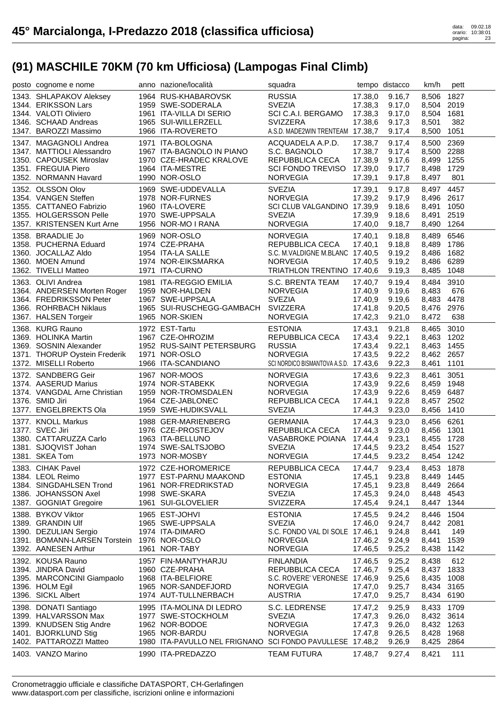| posto cognome e nome                                   | anno nazione/località                                                          | squadra                                          |                    | tempo distacco   | km/h                     | pett         |
|--------------------------------------------------------|--------------------------------------------------------------------------------|--------------------------------------------------|--------------------|------------------|--------------------------|--------------|
| 1343. SHLAPAKOV Aleksey                                | 1964 RUS-KHABAROVSK                                                            | <b>RUSSIA</b>                                    | 17.38,0            | 9.16,7           | 8,506                    | 1827         |
| 1344. ERIKSSON Lars                                    | 1959 SWE-SODERALA                                                              | <b>SVEZIA</b>                                    | 17.38,3            | 9.17,0           | 8,504                    | 2019         |
| 1344. VALOTI Oliviero                                  | 1961 ITA-VILLA DI SERIO                                                        | SCI C.A.I. BERGAMO                               | 17.38,3            | 9.17,0           | 8,504 1681               |              |
| 1346. SCHAAD Andreas                                   | 1965 SUI-WILLERZELL                                                            | SVIZZERA                                         | 17.38,6            | 9.17,3           | 8,501                    | 382          |
| 1347. BAROZZI Massimo                                  | 1966 ITA-ROVERETO                                                              | A.S.D. MADE2WIN TRENTEAM 17.38,7                 |                    | 9.17,4           | 8,500                    | 1051         |
| 1347. MAGAGNOLI Andrea                                 | 1971 ITA-BOLOGNA                                                               | ACQUADELA A.P.D.                                 | 17.38,7            | 9.17,4           | 8,500                    | 2369         |
| 1347. MATTIOLI Alessandro                              | 1967 ITA-BAGNOLO IN PIANO                                                      | S.C. BAGNOLO                                     | 17.38,7            | 9.17,4           | 8,500                    | 2288         |
| 1350. CAPOUSEK Miroslav                                | 1970 CZE-HRADEC KRALOVE                                                        | REPUBBLICA CECA                                  | 17.38,9            | 9.17,6           | 8,499                    | 1255         |
| 1351. FREGUIA Piero<br>1352. NORMANN Havard            | 1964 ITA-MESTRE<br>1990 NOR-OSLO                                               | SCI FONDO TREVISO 17.39,0<br><b>NORVEGIA</b>     | 17.39,1            | 9.17,7<br>9.17,8 | 8,498<br>8,497           | 1729<br>801  |
| 1352. OLSSON Olov                                      | 1969 SWE-UDDEVALLA                                                             | <b>SVEZIA</b>                                    |                    | 9.17,8           |                          | 4457         |
| 1354. VANGEN Steffen                                   | 1978 NOR-FURNES                                                                | <b>NORVEGIA</b>                                  | 17.39,1<br>17.39.2 | 9.17,9           | 8,497<br>8,496 2617      |              |
| 1355. CATTANEO Fabrizio                                | 1960 ITA-LOVERE                                                                | SCI CLUB VALGANDINO 17.39,9                      |                    | 9.18,6           | 8,491                    | 1050         |
| 1355. HOLGERSSON Pelle                                 | 1970 SWE-UPPSALA                                                               | <b>SVEZIA</b>                                    | 17.39,9            | 9.18,6           | 8,491                    | 2519         |
| 1357. KRISTENSEN Kurt Arne                             | 1956 NOR-MO I RANA                                                             | <b>NORVEGIA</b>                                  | 17.40,0            | 9.18,7           | 8,490                    | 1264         |
| 1358. BRAADLIE Jo                                      | 1969 NOR-OSLO                                                                  | <b>NORVEGIA</b>                                  | 17.40,1            | 9.18,8           | 8,489                    | 6546         |
| 1358. PUCHERNA Eduard                                  | 1974 CZE-PRAHA                                                                 | REPUBBLICA CECA                                  | 17.40,1            | 9.18,8           | 8,489                    | 1786         |
| 1360. JOCALLAZ Aldo                                    | 1954 ITA-LA SALLE                                                              | S.C. M.VALDIGNE M.BLANC 17.40,5                  |                    | 9.19,2           | 8,486                    | 1682         |
| 1360. MOEN Amund                                       | 1974 NOR-EIKSMARKA                                                             | <b>NORVEGIA</b>                                  | 17.40,5            | 9.19,2           | 8,486                    | 6289         |
| 1362. TIVELLI Matteo                                   | 1971 ITA-CURNO                                                                 | TRIATHLON TRENTINO 17.40,6                       |                    | 9.19,3           | 8,485                    | 1048         |
| 1363. OLIVI Andrea                                     | 1981 ITA-REGGIO EMILIA                                                         | S.C. BRENTA TEAM                                 | 17.40,7            | 9.19,4           | 8,484                    | 3910         |
| 1364. ANDERSEN Morten Roger                            | 1959 NOR-HALDEN                                                                | <b>NORVEGIA</b>                                  | 17.40,9            | 9.19,6           | 8,483                    | 676          |
| 1364. FREDRIKSSON Peter                                | 1967 SWE-UPPSALA                                                               | <b>SVEZIA</b>                                    | 17.40,9            | 9.19,6           | 8,483                    | 4478         |
| 1366. ROHRBACH Niklaus                                 | 1965 SUI-RUSCHEGG-GAMBACH                                                      | <b>SVIZZERA</b><br><b>NORVEGIA</b>               | 17.41,8            | 9.20,5           | 8,476                    | 2976         |
| 1367. HALSEN Torgeir                                   | 1965 NOR-SKIEN                                                                 |                                                  | 17.42,3            | 9.21,0           | 8,472                    | 638          |
| 1368. KURG Rauno                                       | 1972 EST-Tartu                                                                 | <b>ESTONIA</b>                                   | 17.43,1            | 9.21,8           | 8,465                    | 3010         |
| 1369. HOLINKA Martin                                   | 1967 CZE-OHROZIM                                                               | REPUBBLICA CECA                                  | 17.43,4            | 9.22,1           | 8,463                    | 1202         |
| 1369. SOSNIN Alexander                                 | 1952 RUS-SAINT PETERSBURG                                                      | <b>RUSSIA</b><br><b>NORVEGIA</b>                 | 17.43,4            | 9.22,1           | 8,463                    | 1455         |
| 1371. THORUP Oystein Frederik<br>1372. MISELLI Roberto | 1971 NOR-OSLO<br>1966 ITA-SCANDIANO                                            | SCI NORDICO BISMANTOVA A.S.D. 17.43,6            | 17.43,5            | 9.22,2<br>9.22,3 | 8,462 2657<br>8,461      | 1101         |
|                                                        |                                                                                |                                                  |                    |                  |                          |              |
|                                                        |                                                                                |                                                  |                    |                  |                          |              |
| 1372. SANDBERG Geir                                    | 1967 NOR-MOOS                                                                  | <b>NORVEGIA</b>                                  | 17.43,6            | 9.22,3           | 8,461                    | 3051         |
| 1374. AASERUD Marius                                   | 1974 NOR-STABEKK                                                               | <b>NORVEGIA</b>                                  | 17.43,9            | 9.22,6           | 8,459                    | 1948         |
| 1374. VANGDAL Arne Christian                           | 1959 NOR-TROMSDALEN                                                            | <b>NORVEGIA</b>                                  | 17.43,9            | 9.22,6           | 8,459                    | 6487         |
| 1376. SMID Jiri                                        | 1964 CZE-JABLONEC                                                              | REPUBBLICA CECA                                  | 17.44,1            | 9.22,8           | 8,457                    | 2502         |
| 1377. ENGELBREKTS Ola                                  | 1959 SWE-HUDIKSVALL                                                            | <b>SVEZIA</b>                                    | 17.44,3            | 9.23,0           | 8,456                    | 1410         |
| 1377. KNOLL Markus                                     | 1988 GER-MARIENBERG                                                            | <b>GERMANIA</b>                                  | 17.44,3            | 9.23,0           | 8,456 6261               |              |
| 1377. SVEC Jiri                                        | 1976 CZE-PROSTEJOV                                                             | REPUBBLICA CECA                                  | 17.44,3            | 9.23,0           | 8,456 1301               |              |
| 1380. CATTARUZZA Carlo<br>1381. SJOQVIST Johan         | 1963 ITA-BELLUNO<br>1974 SWE-SALTSJOBO                                         | VASABROKE POIANA<br><b>SVEZIA</b>                | 17.44,4<br>17.44,5 | 9.23,1<br>9.23,2 | 8,455 1728<br>8,454 1527 |              |
| 1381. SKEA Tom                                         | 1973 NOR-MOSBY                                                                 | <b>NORVEGIA</b>                                  | 17.44,5            | 9.23,2           | 8,454 1242               |              |
| 1383. CIHAK Pavel                                      | 1972 CZE-HOROMERICE                                                            | REPUBBLICA CECA                                  | 17.44,7            | 9.23,4           | 8,453 1878               |              |
| 1384. LEOL Reimo                                       | 1977 EST-PARNU MAAKOND                                                         | <b>ESTONIA</b>                                   | 17.45,1            | 9.23,8           | 8,449                    | 1445         |
| 1384. SINGDAHLSEN Trond                                | 1961 NOR-FREDRIKSTAD                                                           | <b>NORVEGIA</b>                                  | 17.45,1            | 9.23,8           | 8,449                    | 2664         |
| 1386. JOHANSSON Axel                                   | 1998 SWE-SKARA                                                                 | <b>SVEZIA</b>                                    | 17.45,3            | 9.24,0           | 8,448                    | 4543         |
| 1387. GOGNIAT Gregoire                                 | 1961 SUI-GLOVELIER                                                             | <b>SVIZZERA</b>                                  | 17.45,4            | 9.24,1           | 8,447                    | 1344         |
| 1388. BYKOV Viktor                                     | 1965 EST-JOHVI                                                                 | <b>ESTONIA</b>                                   | 17.45,5            | 9.24,2           | 8,446                    | 1504         |
| 1389. GRANDIN Ulf                                      | 1965 SWE-UPPSALA                                                               | <b>SVEZIA</b>                                    | 17.46,0            | 9.24,7           | 8,442                    | 2081         |
| 1390. DEZULIAN Sergio                                  | 1974 ITA-DIMARO                                                                | S.C. FONDO VAL DI SOLE 17.46,1                   |                    | 9.24,8           | 8,441                    | 149          |
| 1391. BOMANN-LARSEN Torstein                           | 1976 NOR-OSLO                                                                  | <b>NORVEGIA</b>                                  | 17.46,2            | 9.24,9           | 8,441                    | 1539         |
| 1392. AANESEN Arthur                                   | 1961 NOR-TABY                                                                  | <b>NORVEGIA</b>                                  | 17.46,5            | 9.25,2           | 8,438                    | 1142         |
| 1392. KOUSA Rauno                                      | 1957 FIN-MANTYHARJU                                                            | <b>FINLANDIA</b>                                 | 17.46,5            | 9.25,2           | 8,438                    | 612          |
| 1394. JINDRA David                                     | 1960 CZE-PRAHA                                                                 | REPUBBLICA CECA                                  | 17.46,7            | 9.25,4           | 8,437                    | 1833         |
| 1395. MARCONCINI Giampaolo<br>1396. HOLM Egil          | 1968 ITA-BELFIORE<br>1965 NOR-SANDEFJORD                                       | S.C. ROVERE' VERONESE 17.46,9<br><b>NORVEGIA</b> | 17.47,0            | 9.25,6<br>9.25,7 | 8,435<br>8,434           | 1008<br>3165 |
| 1396. SICKL Albert                                     | 1974 AUT-TULLNERBACH                                                           | <b>AUSTRIA</b>                                   | 17.47,0            | 9.25,7           | 8,434                    | 6190         |
|                                                        | 1995 ITA-MOLINA DI LEDRO                                                       | S.C. LEDRENSE                                    | 17.47,2            | 9.25,9           | 8,433                    | 1709         |
| 1398. DONATI Santiago<br>1399. HALVARSSON Max          | 1977 SWE-STOCKHOLM                                                             | <b>SVEZIA</b>                                    | 17.47,3            | 9.26,0           | 8,432 3614               |              |
| 1399. KNUDSEN Stig Andre                               | 1962 NOR-BODOE                                                                 | <b>NORVEGIA</b>                                  | 17.47,3            | 9.26,0           | 8,432                    | 1263         |
| 1401. BJORKLUND Stig                                   | 1965 NOR-BARDU                                                                 | <b>NORVEGIA</b>                                  | 17.47,8            | 9.26,5           | 8,428                    | 1968         |
| 1402. PATTAROZZI Matteo<br>1403. VANZO Marino          | 1980 ITA-PAVULLO NEL FRIGNANO SCI FONDO PAVULLESE 17.48,2<br>1990 ITA-PREDAZZO |                                                  |                    | 9.26,9           | 8,425                    | 2864         |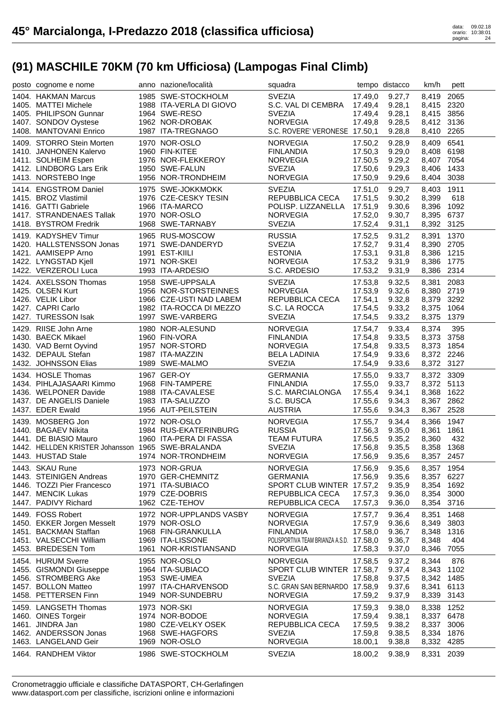| posto cognome e nome                              | anno nazione/località                  | squadra                                  |                    | tempo distacco   | km/h           | pett         |
|---------------------------------------------------|----------------------------------------|------------------------------------------|--------------------|------------------|----------------|--------------|
| 1404. HAKMAN Marcus                               | 1985 SWE-STOCKHOLM                     | <b>SVEZIA</b>                            | 17.49,0            | 9.27,7           | 8,419          | 2065         |
| 1405. MATTEI Michele                              | 1988 ITA-VERLA DI GIOVO                | S.C. VAL DI CEMBRA                       | 17.49,4            | 9.28,1           | 8,415 2320     |              |
| 1405. PHILIPSON Gunnar                            | 1964 SWE-RESO                          | <b>SVEZIA</b>                            | 17.49,4            | 9.28,1           | 8,415          | 3856         |
| 1407. SONDOV Oystese                              | 1962 NOR-DROBAK                        | <b>NORVEGIA</b>                          | 17.49,8            | 9.28,5           | 8,412 3136     |              |
| 1408. MANTOVANI Enrico                            | 1987 ITA-TREGNAGO                      | S.C. ROVERE' VERONESE 17.50,1            |                    | 9.28,8           | 8,410 2265     |              |
|                                                   |                                        |                                          |                    |                  |                |              |
| 1409. STORRO Stein Morten                         | 1970 NOR-OSLO                          | <b>NORVEGIA</b>                          | 17.50,2            | 9.28,9           | 8,409          | 6541         |
| 1410. JANHONEN Kalervo                            | 1960 FIN-KITEE                         | <b>FINLANDIA</b>                         | 17.50,3            | 9.29,0           | 8,408          | 6198         |
| 1411. SOLHEIM Espen                               | 1976 NOR-FLEKKEROY                     | <b>NORVEGIA</b>                          | 17.50,5            | 9.29,2           | 8,407 7054     |              |
| 1412. LINDBORG Lars Erik                          | 1950 SWE-FALUN                         | <b>SVEZIA</b>                            | 17.50,6            | 9.29,3           | 8,406          | 1433         |
| 1413. NORSTEBO Inge                               | 1956 NOR-TRONDHEIM                     | <b>NORVEGIA</b>                          | 17.50,9            | 9.29,6           | 8,404 3038     |              |
| 1414. ENGSTROM Daniel                             | 1975 SWE-JOKKMOKK                      | <b>SVEZIA</b>                            | 17.51,0            | 9.29,7           | 8,403          | 1911         |
| 1415. BROZ Vlastimil                              | 1976 CZE-CESKY TESIN                   | REPUBBLICA CECA                          | 17.51,5            | 9.30,2           | 8,399          | 618          |
| 1416. GATTI Gabriele                              | 1966 ITA-MARCO                         | POLISP. LIZZANELLA                       | 17.51,9            | 9.30,6           | 8,396          | 1092         |
| 1417. STRANDENAES Tallak                          | 1970 NOR-OSLO                          | <b>NORVEGIA</b>                          | 17.52,0            | 9.30,7           | 8,395          | 6737         |
| 1418. BYSTROM Fredrik                             | 1968 SWE-TARNABY                       | <b>SVEZIA</b>                            | 17.52,4            | 9.31,1           | 8,392 3125     |              |
| 1419. KADYSHEV Timur                              | 1965 RUS-MOSCOW                        | <b>RUSSIA</b>                            | 17.52,5            | 9.31,2           | 8,391          | 1370         |
| 1420. HALLSTENSSON Jonas                          | 1971 SWE-DANDERYD                      | <b>SVEZIA</b>                            | 17.52,7            | 9.31,4           | 8,390          | 2705         |
| 1421. AAMISEPP Arno                               | 1991 EST-KIILI                         | <b>ESTONIA</b>                           | 17.53,1            | 9.31,8           | 8,386          | 1215         |
| 1422. LYNGSTAD Kjell                              | 1971 NOR-SKEI                          | <b>NORVEGIA</b>                          | 17.53,2            | 9.31,9           | 8,386          | 1775         |
| 1422. VERZEROLI Luca                              | 1993 ITA-ARDESIO                       | S.C. ARDESIO                             | 17.53,2            | 9.31,9           | 8,386          | 2314         |
| 1424. AXELSSON Thomas                             | 1958 SWE-UPPSALA                       | <b>SVEZIA</b>                            | 17.53,8            | 9.32,5           | 8,381          | 2083         |
| 1425. OLSEN Kurt                                  | 1956 NOR-STORSTEINNES                  | <b>NORVEGIA</b>                          | 17.53,9            | 9.32,6           | 8,380          | 2719         |
| 1426. VELIK Libor                                 | 1966 CZE-USTI NAD LABEM                | REPUBBLICA CECA                          | 17.54,1            | 9.32,8           | 8,379 3292     |              |
| 1427. CAPRI Carlo                                 | 1982 ITA-ROCCA DI MEZZO                | S.C. LA ROCCA                            | 17.54,5            | 9.33,2           | 8,375          | 1064         |
| 1427. TURESSON Isak                               | 1997 SWE-VARBERG                       | <b>SVEZIA</b>                            | 17.54,5            | 9.33,2           | 8,375          | 1379         |
|                                                   |                                        |                                          |                    |                  |                |              |
| 1429. RIISE John Arne                             | 1980 NOR-ALESUND                       | <b>NORVEGIA</b>                          | 17.54,7            | 9.33,4           | 8,374          | 395          |
| 1430. BAECK Mikael                                | 1960 FIN-VORA                          | <b>FINLANDIA</b>                         | 17.54,8            | 9.33,5           | 8,373          | 3758         |
| 1430. VAD Bernt Oyvind                            | 1957 NOR-STORD                         | <b>NORVEGIA</b>                          | 17.54,8            | 9.33,5           | 8,373          | 1854         |
| 1432. DEPAUL Stefan                               | 1987 ITA-MAZZIN                        | <b>BELA LADINIA</b>                      | 17.54,9            | 9.33,6           | 8,372 2246     |              |
| 1432. JOHNSSON Elias                              | 1989 SWE-MALMO                         | <b>SVEZIA</b>                            | 17.54,9            | 9.33,6           | 8,372 3127     |              |
|                                                   |                                        |                                          |                    |                  |                |              |
| 1434. HOSLE Thomas                                | 1967 GER-OY                            | <b>GERMANIA</b>                          | 17.55,0            | 9.33,7           | 8,372 3309     |              |
| 1434. PIHLAJASAARI Kimmo                          | 1968 FIN-TAMPERE                       | <b>FINLANDIA</b>                         | 17.55,0            | 9.33,7           | 8,372 5113     |              |
| 1436. WELPONER Davide                             | 1988 ITA-CAVALESE                      | S.C. MARCIALONGA                         | 17.55,4            | 9.34,1           | 8,368          | 1622         |
| 1437. DE ANGELIS Daniele                          | 1983 ITA-SALUZZO                       | S.C. BUSCA                               | 17.55,6            | 9.34,3           | 8,367          | 2862         |
| 1437. EDER Ewald                                  | 1956 AUT-PEILSTEIN                     | <b>AUSTRIA</b>                           | 17.55,6            | 9.34,3           | 8,367          | 2528         |
|                                                   |                                        |                                          |                    |                  |                |              |
| 1439. MOSBERG Jon<br>1440. BAGAEV Nikita          | 1972 NOR-OSLO<br>1984 RUS-EKATERINBURG | <b>NORVEGIA</b><br><b>RUSSIA</b>         | 17.55,7            | 9.34,4           | 8,366          | 1947<br>1861 |
| 1441. DE BIASIO Mauro                             |                                        |                                          | 17.56,3            | 9.35,0           | 8,361          | 432          |
| 1442. HELLDEN KRISTER Johansson 1965 SWE-BRALANDA | 1960 ITA-PERA DI FASSA                 | <b>TEAM FUTURA</b><br><b>SVEZIA</b>      | 17.56,5<br>17.56,8 | 9.35,2<br>9.35,5 | 8,360<br>8,358 | 1368         |
| 1443. HUSTAD Stale                                | 1974 NOR-TRONDHEIM                     | <b>NORVEGIA</b>                          | 17.56,9            | 9.35,6           | 8,357 2457     |              |
|                                                   |                                        |                                          |                    |                  |                |              |
| 1443. SKAU Rune                                   | 1973 NOR-GRUA                          | <b>NORVEGIA</b>                          | 17.56,9            | 9.35,6           | 8,357 1954     |              |
| 1443. STEINIGEN Andreas                           | 1970 GER-CHEMNITZ                      | <b>GERMANIA</b>                          | 17.56,9            | 9.35,6           | 8,357 6227     |              |
| 1446. TOZZI Pier Francesco                        | 1971 ITA-SUBIACO                       | SPORT CLUB WINTER 17.57,2                |                    | 9.35,9           | 8,354          | 1692         |
| 1447. MENCIK Lukas                                | 1979 CZE-DOBRIS                        | REPUBBLICA CECA                          | 17.57,3            | 9.36,0           | 8,354          | 3000         |
| 1447. PADIVY Richard                              | 1962 CZE-TEHOV                         | REPUBBLICA CECA                          | 17.57,3            | 9.36,0           | 8,354 3716     |              |
| 1449. FOSS Robert                                 | 1972 NOR-UPPLANDS VASBY                | <b>NORVEGIA</b>                          | 17.57,7            | 9.36,4           | 8,351          | 1468         |
| 1450. EKKER Jorgen Messelt                        | 1979 NOR-OSLO                          | <b>NORVEGIA</b>                          | 17.57,9            | 9.36,6           | 8,349          | 3803         |
| 1451. BACKMAN Staffan                             | 1968 FIN-GRANKULLA                     | <b>FINLANDIA</b>                         | 17.58,0            | 9.36,7           | 8,348          | 1316         |
| 1451. VALSECCHI William                           | 1969 ITA-LISSONE                       | POLISPORTIVA TEAM BRIANZA A.S.D. 17.58,0 |                    | 9.36,7           | 8,348          | 404          |
| 1453. BREDESEN Tom                                | 1961 NOR-KRISTIANSAND                  | <b>NORVEGIA</b>                          | 17.58,3            | 9.37,0           | 8,346          | 7055         |
| 1454. HURUM Sverre                                | 1955 NOR-OSLO                          | <b>NORVEGIA</b>                          | 17.58,5            | 9.37,2           | 8,344          | 876          |
| 1455. GISMONDI Giuseppe                           | 1964 ITA-SUBIACO                       | SPORT CLUB WINTER 17.58,7                |                    | 9.37,4           | 8,343          | 1102         |
| 1456. STROMBERG Ake                               | 1953 SWE-UMEA                          | <b>SVEZIA</b>                            | 17.58,8            | 9.37,5           | 8,342          | 1485         |
| 1457. BOLLON Matteo                               | 1997 ITA-CHARVENSOD                    | S.C. GRAN SAN BERNARDO 17.58,9           |                    | 9.37,6           | 8,341          | 6113         |
| 1458. PETTERSEN Finn                              | 1949 NOR-SUNDEBRU                      | <b>NORVEGIA</b>                          | 17.59,2            | 9.37,9           | 8,339          | 3143         |
| 1459. LANGSETH Thomas                             | 1973 NOR-SKI                           | <b>NORVEGIA</b>                          | 17.59,3            | 9.38,0           | 8,338          | 1252         |
| 1460. OINES Torgeir                               | 1974 NOR-BODOE                         | <b>NORVEGIA</b>                          | 17.59,4            | 9.38,1           | 8,337 6478     |              |
| 1461. JINDRA Jan                                  | 1980 CZE-VELKY OSEK                    | REPUBBLICA CECA                          | 17.59,5            | 9.38,2           | 8,337          | 3006         |
| 1462. ANDERSSON Jonas                             | 1968 SWE-HAGFORS                       | <b>SVEZIA</b>                            | 17.59,8            | 9.38,5           | 8,334 1876     |              |
| 1463. LANGELAND Geir                              | 1969 NOR-OSLO                          | <b>NORVEGIA</b>                          | 18.00,1            | 9.38,8           | 8,332          | 4285         |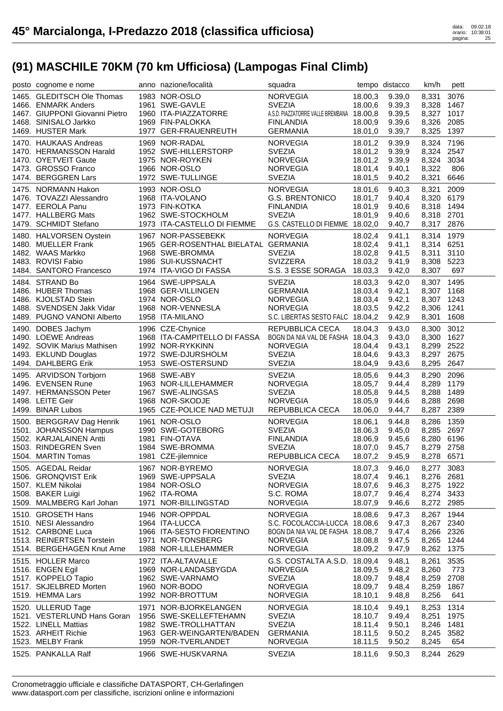| posto cognome e nome                            | anno nazione/località                   | squadra                                   |         | tempo distacco | km/h       | pett        |
|-------------------------------------------------|-----------------------------------------|-------------------------------------------|---------|----------------|------------|-------------|
| 1465. GLEDITSCH Ole Thomas                      | 1983 NOR-OSLO                           | <b>NORVEGIA</b>                           | 18.00,3 | 9.39.0         | 8,331      | 3076        |
| 1466. ENMARK Anders                             | 1961 SWE-GAVLE                          | <b>SVEZIA</b>                             | 18.00,6 | 9.39,3         | 8,328      | 1467        |
| 1467. GIUPPONI Giovanni Pietro                  | 1960 ITA-PIAZZATORRE                    | A.S.D. PIAZZATORRE VALLE BREMBANA 18.00,8 |         | 9.39,5         | 8,327 1017 |             |
| 1468. SINISALO Jarkko                           | 1969 FIN-PALOKKA                        | <b>FINLANDIA</b>                          | 18.00,9 | 9.39,6         | 8,326 2085 |             |
| 1469. HUSTER Mark                               | 1977 GER-FRAUENREUTH                    | <b>GERMANIA</b>                           | 18.01,0 | 9.39,7         | 8,325      | 1397        |
| 1470. HAUKAAS Andreas                           | 1969 NOR-RADAL                          | <b>NORVEGIA</b>                           | 18.01,2 | 9.39,9         | 8,324 7196 |             |
|                                                 |                                         | <b>SVEZIA</b>                             |         |                | 8,324 2547 |             |
| 1470. HERMANSSON Harald<br>1470. OYETVEIT Gaute | 1952 SWE-HILLERSTORP<br>1975 NOR-ROYKEN | <b>NORVEGIA</b>                           | 18.01,2 | 9.39,9         |            | 3034        |
|                                                 | 1966 NOR-OSLO                           |                                           | 18.01,2 | 9.39,9         | 8,324      |             |
| 1473. GROSSO Franco<br>1474. BERGGREN Lars      | 1972 SWE-TULLINGE                       | <b>NORVEGIA</b><br><b>SVEZIA</b>          | 18.01,4 | 9.40,1         | 8,322      | 806<br>6646 |
|                                                 |                                         |                                           | 18.01,5 | 9.40,2         | 8,321      |             |
| 1475. NORMANN Hakon                             | 1993 NOR-OSLO                           | <b>NORVEGIA</b>                           | 18.01,6 | 9.40,3         | 8,321      | 2009        |
| 1476. TOVAZZI Alessandro                        | 1968 ITA-VOLANO                         | <b>G.S. BRENTONICO</b>                    | 18.01,7 | 9.40,4         | 8,320 6179 |             |
| 1477. EEROLA Panu                               | 1973 FIN-KOTKA                          | <b>FINLANDIA</b>                          | 18.01,9 | 9.40,6         | 8,318 1494 |             |
| 1477. HALLBERG Mats                             | 1962 SWE-STOCKHOLM                      | <b>SVEZIA</b>                             | 18.01,9 | 9.40,6         | 8,318 2701 |             |
| 1479. SCHMIDT Stefano                           | 1973 ITA-CASTELLO DI FIEMME             | G.S. CASTELLO DI FIEMME 18.02,0           |         | 9.40,7         | 8,317 2876 |             |
| 1480. HALVORSEN Oystein                         | 1967 NOR-PASSEBEKK                      | <b>NORVEGIA</b>                           | 18.02,4 | 9.41,1         | 8,314 1979 |             |
| 1480. MUELLER Frank                             | 1965 GER-ROSENTHAL BIELATAL GERMANIA    |                                           | 18.02,4 | 9.41,1         | 8,314 6251 |             |
| 1482. WAAS Markko                               | 1968 SWE-BROMMA                         | <b>SVEZIA</b>                             | 18.02,8 | 9.41,5         | 8,311      | 3110        |
| 1483. ROVISI Fabio                              | 1986 SUI-KUSSNACHT                      | <b>SVIZZERA</b>                           | 18.03,2 | 9.41,9         | 8,308      | 5223        |
| 1484. SANTORO Francesco                         | 1974 ITA-VIGO DI FASSA                  | S.S. 3 ESSE SORAGA                        | 18.03,3 | 9.42,0         | 8,307      | 697         |
| 1484. STRAND Bo                                 | 1964 SWE-UPPSALA                        | <b>SVEZIA</b>                             | 18.03,3 | 9.42,0         | 8,307 1495 |             |
| 1486. HUBER Thomas                              | 1968 GER-VILLINGEN                      | <b>GERMANIA</b>                           | 18.03,4 | 9.42,1         | 8,307 1168 |             |
| 1486. KJOLSTAD Stein                            | 1974 NOR-OSLO                           | <b>NORVEGIA</b>                           | 18.03,4 | 9.42,1         | 8,307 1243 |             |
| 1488. SVENDSEN Jakk Vidar                       | 1968 NOR-VENNESLA                       | <b>NORVEGIA</b>                           | 18.03,5 | 9.42,2         | 8,306      | 1241        |
| 1489. PUGNO VANONI Alberto                      | 1958 ITA-MILANO                         | S.C. LIBERTAS SESTO FALC 18.04,2          |         | 9.42,9         | 8,301      | 1608        |
|                                                 |                                         |                                           |         |                |            |             |
| 1490. DOBES Jachym                              | 1996 CZE-Chynice                        | REPUBBLICA CECA                           | 18.04,3 | 9.43,0         | 8,300      | 3012        |
| 1490. LOEWE Andreas                             | 1968 ITA-CAMPITELLO DI FASSA            | BOGN DA NIA VAL DE FASHA 18.04,3          |         | 9.43,0         | 8,300 1627 |             |
| 1492. SOVIK Marius Mathisen                     | 1992 NOR-RYKKINN                        | <b>NORVEGIA</b>                           | 18.04,4 | 9.43,1         | 8,299 2522 |             |
| 1493. EKLUND Douglas                            | 1972 SWE-DJURSHOLM                      | <b>SVEZIA</b>                             | 18.04,6 | 9.43,3         | 8,297 2675 |             |
| 1494. DAHLBERG Erik                             | 1953 SWE-OSTERSUND                      | <b>SVEZIA</b>                             | 18.04,9 | 9.43,6         | 8,295      | 2647        |
| 1495. ARVIDSON Torbjorn                         | 1968 SWE-ABY                            | <b>SVEZIA</b>                             | 18.05,6 | 9.44,3         | 8,290      | 2096        |
| 1496. EVENSEN Rune                              | 1963 NOR-LILLEHAMMER                    | <b>NORVEGIA</b>                           | 18.05,7 | 9.44,4         | 8,289      | 1179        |
| 1497. HERMANSSON Peter                          | 1967 SWE-ALINGSAS                       | <b>SVEZIA</b>                             | 18.05,8 | 9.44,5         | 8,288      | 1489        |
| 1498. LEITE Geir                                | 1968 NOR-SKODJE                         | <b>NORVEGIA</b>                           | 18.05,9 | 9.44,6         | 8,288      | 2698        |
| 1499. BINAR Lubos                               | 1965 CZE-POLICE NAD METUJI              | REPUBBLICA CECA                           | 18.06,0 | 9.44,7         | 8,287 2389 |             |
| 1500. BERGGRAV Dag Henrik                       | 1961 NOR-OSLO                           | <b>NORVEGIA</b>                           | 18.06,1 | 9.44,8         | 8,286      | 1359        |
| 1501. JOHANSSON Hampus                          | 1990 SWE-GOTEBORG                       | <b>SVEZIA</b>                             | 18.06,3 | 9.45,0         | 8,285 2697 |             |
| 1502. KARJALAINEN Antti                         | 1981 FIN-OTAVA                          | <b>FINLANDIA</b>                          | 18.06,9 | 9.45,6         | 8,280 6196 |             |
| 1503. RINDEGREN Sven                            | 1984 SWE-BROMMA                         | <b>SVEZIA</b>                             | 18.07,0 | 9.45,7         | 8,279 2758 |             |
| 1504. MARTIN Tomas                              | 1981 CZE-jilemnice                      | REPUBBLICA CECA                           | 18.07,2 | 9.45,9         | 8,278 6571 |             |
| 1505. AGEDAL Reidar                             | 1967 NOR-BYREMO                         | <b>NORVEGIA</b>                           | 18.07,3 | 9.46,0         | 8,277 3083 |             |
| 1506. GRONQVIST Erik                            | 1969 SWE-UPPSALA                        | <b>SVEZIA</b>                             | 18.07,4 | 9.46,1         | 8,276 2681 |             |
| 1507. KLEM Nikolai                              | 1984 NOR-OSLO                           | <b>NORVEGIA</b>                           | 18.07,6 | 9.46,3         | 8,275 1922 |             |
| 1508. BAKER Luigi                               | 1962 ITA-ROMA                           | S.C. ROMA                                 | 18.07,7 | 9.46,4         | 8,274      | 3433        |
| 1509. MALMBERG Karl Johan                       | 1971 NOR-BILLINGSTAD                    | <b>NORVEGIA</b>                           | 18.07,9 | 9.46,6         | 8,272 2985 |             |
|                                                 |                                         |                                           |         |                |            |             |
| 1510. GROSETH Hans                              | 1946 NOR-OPPDAL                         | <b>NORVEGIA</b>                           | 18.08,6 | 9.47,3         | 8,267      | 1944        |
| 1510. NESI Alessandro                           | 1964 ITA-LUCCA                          | S.C. FOCOLACCIA-LUCCA 18.08,6             |         | 9.47,3         | 8,267 2340 |             |
| 1512. CARBONE Luca                              | 1966 ITA-SESTO FIORENTINO               | BOGN DA NIA VAL DE FASHA 18.08,7          |         | 9.47,4         | 8,266 2326 |             |
| 1513. REINERTSEN Torstein                       | 1971 NOR-TONSBERG                       | <b>NORVEGIA</b>                           | 18.08,8 | 9.47,5         | 8,265      | 1244        |
| 1514. BERGEHAGEN Knut Arne                      | 1988 NOR-LILLEHAMMER                    | <b>NORVEGIA</b>                           | 18.09,2 | 9.47,9         | 8,262      | 1375        |
| 1515. HOLLER Marco                              | 1972 ITA-ALTAVALLE                      | G.S. COSTALTA A.S.D. 18.09,4              |         | 9.48,1         | 8,261      | 3535        |
| 1516. ENGEN Egil                                | 1969 NOR-LANDASBYGDA                    | <b>NORVEGIA</b>                           | 18.09,5 | 9.48,2         | 8,260      | 773         |
| 1517. KOPPELO Tapio                             | 1962 SWE-VARNAMO                        | <b>SVEZIA</b>                             | 18.09,7 | 9.48,4         | 8,259      | 2708        |
| 1517. SKJELBRED Morten                          | 1960 NOR-BODO                           | <b>NORVEGIA</b>                           | 18.09,7 | 9.48,4         | 8,259      | 1867        |
| 1519. HEMMA Lars                                | 1992 NOR-BROTTUM                        | <b>NORVEGIA</b>                           | 18.10,1 | 9.48,8         | 8,256      | 641         |
| 1520. ULLERUD Tage                              | 1971 NOR-BJORKELANGEN                   | <b>NORVEGIA</b>                           | 18.10,4 | 9.49,1         | 8,253      | 1314        |
| 1521. VESTERLUND Hans Goran                     | 1956 SWE-SKELLEFTEHAMN                  | <b>SVEZIA</b>                             | 18.10,7 | 9.49,4         | 8,251      | 1975        |
| 1522. LINELL Mattias                            | 1982 SWE-TROLLHATTAN                    | <b>SVEZIA</b>                             | 18.11,4 | 9.50,1         | 8,246      | 1481        |
| 1523. ARHEIT Richie                             | 1963 GER-WEINGARTEN/BADEN               | <b>GERMANIA</b>                           | 18.11,5 | 9.50,2         | 8,245      | 3582        |
| 1523. MELBY Frank                               | 1959 NOR-TVERLANDET                     | <b>NORVEGIA</b>                           | 18.11,5 | 9.50,2         | 8,245      | 654         |
| 1525. PANKALLA Ralf                             | 1966 SWE-HUSKVARNA                      | <b>SVEZIA</b>                             | 18.11,6 | 9.50,3         | 8,244      | 2629        |
|                                                 |                                         |                                           |         |                |            |             |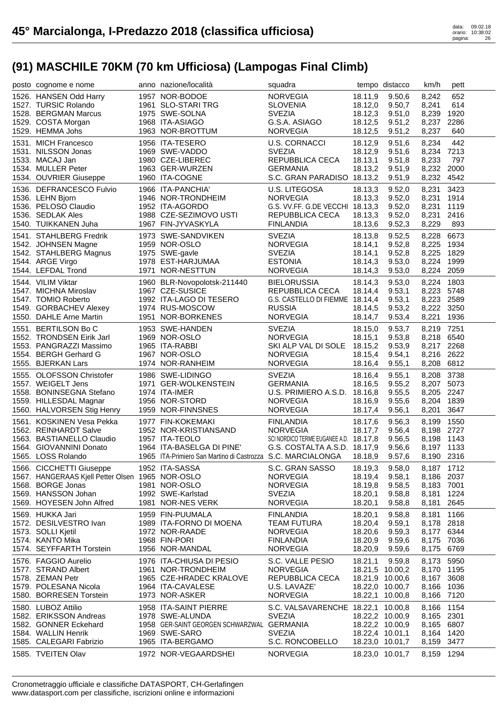| posto cognome e nome                             | anno nazione/località                                       | squadra                                |         | tempo distacco  | km/h       | pett |
|--------------------------------------------------|-------------------------------------------------------------|----------------------------------------|---------|-----------------|------------|------|
| 1526. HANSEN Odd Harry                           | 1957 NOR-BODOE                                              | <b>NORVEGIA</b>                        | 18.11,9 | 9.50,6          | 8,242      | 652  |
| 1527. TURSIC Rolando                             | 1961 SLO-STARI TRG                                          | <b>SLOVENIA</b>                        | 18.12,0 | 9.50,7          | 8,241      | 614  |
| 1528. BERGMAN Marcus                             | 1975 SWE-SOLNA                                              | <b>SVEZIA</b>                          | 18.12,3 | 9.51,0          | 8,239      | 1920 |
| 1529. COSTA Morgan                               | 1968 ITA-ASIAGO                                             | G.S.A. ASIAGO                          | 18.12,5 | 9.51,2          | 8,237      | 2286 |
| 1529. HEMMA Johs                                 | 1963 NOR-BROTTUM                                            | <b>NORVEGIA</b>                        | 18.12,5 | 9.51,2          | 8,237      | 640  |
| 1531. MICH Francesco                             | 1956 ITA-TESERO                                             | <b>U.S. CORNACCI</b>                   | 18.12,9 | 9.51,6          | 8,234      | 442  |
| 1531. NILSSON Jonas                              | 1969 SWE-VADDO                                              | <b>SVEZIA</b>                          | 18.12,9 | 9.51,6          | 8,234      | 7213 |
| 1533. MACAJ Jan                                  | 1980 CZE-LIBEREC                                            | REPUBBLICA CECA                        | 18.13,1 | 9.51,8          | 8,233      | 797  |
| 1534. MULLER Peter                               | 1963 GER-WURZEN                                             | <b>GERMANIA</b>                        | 18.13,2 | 9.51,9          | 8,232      | 2000 |
| 1534. OUVRIER Giuseppe                           | 1960 ITA-COGNE                                              | S.C. GRAN PARADISO 18.13,2             |         | 9.51,9          | 8,232      | 4542 |
| 1536. DEFRANCESCO Fulvio                         | 1966 ITA-PANCHIA'                                           | <b>U.S. LITEGOSA</b>                   | 18.13,3 | 9.52,0          | 8,231      | 3423 |
| 1536. LEHN Bjorn                                 | 1946 NOR-TRONDHEIM                                          | <b>NORVEGIA</b>                        | 18.13,3 | 9.52,0          | 8,231      | 1914 |
| 1536. PELOSO Claudio                             | 1952 ITA-AGORDO                                             | G.S. VV.FF. G.DE VECCHI 18.13,3        |         | 9.52,0          | 8,231      | 1119 |
| 1536. SEDLAK Ales                                | 1988 CZE-SEZIMOVO USTI                                      | REPUBBLICA CECA                        | 18.13,3 | 9.52,0          | 8,231      | 2416 |
| 1540. TUIKKANEN Juha                             | 1967 FIN-JYVASKYLA                                          | <b>FINLANDIA</b>                       | 18.13,6 | 9.52,3          | 8,229      | 893  |
| 1541. STAHLBERG Fredrik                          | 1973 SWE-SANDVIKEN                                          | <b>SVEZIA</b>                          | 18.13,8 | 9.52,5          | 8,228      | 6673 |
| 1542. JOHNSEN Magne                              | 1959 NOR-OSLO                                               | <b>NORVEGIA</b>                        | 18.14,1 | 9.52,8          | 8,225      | 1934 |
| 1542. STAHLBERG Magnus                           | 1975 SWE-gavle                                              | <b>SVEZIA</b>                          | 18.14,1 | 9.52,8          | 8,225      | 1829 |
| 1544. ARGE Virgo                                 | 1978 EST-HARJUMAA                                           | <b>ESTONIA</b>                         | 18.14,3 | 9.53,0          | 8,224      | 1999 |
| 1544. LEFDAL Trond                               | 1971 NOR-NESTTUN                                            | <b>NORVEGIA</b>                        | 18.14,3 | 9.53,0          | 8,224      | 2059 |
| 1544. VILIM Viktar                               | 1960 BLR-Novopolotsk-211440                                 | <b>BIELORUSSIA</b>                     | 18.14,3 | 9.53,0          | 8,224      | 1803 |
| 1547. MICHNA Miroslav                            | 1967 CZE-SUSICE                                             | REPUBBLICA CECA                        | 18.14,4 | 9.53,1          | 8,223      | 5748 |
| 1547. TOMIO Roberto                              | 1992 ITA-LAGO DI TESERO                                     | G.S. CASTELLO DI FIEMME 18.14,4        |         | 9.53,1          | 8,223      | 2589 |
| 1549. GORBACHEV Alexey                           | 1974 RUS-MOSCOW                                             | <b>RUSSIA</b>                          | 18.14,5 | 9.53,2          | 8,222      | 3250 |
| 1550. DAHLE Arne Martin                          | 1951 NOR-BORKENES                                           | <b>NORVEGIA</b>                        | 18.14,7 | 9.53,4          | 8,221      | 1936 |
| 1551. BERTILSON Bo C                             | 1953 SWE-HANDEN                                             | <b>SVEZIA</b>                          | 18.15,0 | 9.53,7          | 8,219      | 7251 |
| 1552. TRONDSEN Eirik Jarl                        | 1969 NOR-OSLO                                               | <b>NORVEGIA</b>                        | 18.15,1 | 9.53,8          | 8,218      | 6540 |
| 1553. PANGRAZZI Massimo                          | 1965 ITA-RABBI                                              | SKI ALP VAL DI SOLE 18.15,2            |         | 9.53,9          | 8,217 2268 |      |
| 1554. BERGH Gerhard G                            | 1967 NOR-OSLO                                               | <b>NORVEGIA</b>                        | 18.15,4 | 9.54,1          | 8,216      | 2622 |
| 1555. BJERKAN Lars                               | 1974 NOR-RANHEIM                                            | <b>NORVEGIA</b>                        | 18.16,4 | 9.55,1          | 8,208      | 6812 |
| 1555. OLOFSSON Christofer                        | 1986 SWE-LIDINGO                                            | <b>SVEZIA</b>                          | 18.16,4 | 9.55,1          | 8,208      | 3738 |
| 1557. WEIGELT Jens                               | 1971 GER-WOLKENSTEIN                                        | <b>GERMANIA</b>                        | 18.16,5 | 9.55,2          | 8,207      | 5073 |
| 1558. BONINSEGNA Stefano                         | 1974 ITA-IMER                                               | U.S. PRIMIERO A.S.D. 18.16,8           |         | 9.55,5          | 8,205      | 2247 |
| 1559. HILLESDAL Magnar                           | 1956 NOR-STORD                                              | <b>NORVEGIA</b>                        | 18.16,9 | 9.55,6          | 8,204      | 1839 |
| 1560. HALVORSEN Stig Henry                       | 1959 NOR-FINNSNES                                           | <b>NORVEGIA</b>                        | 18.17,4 | 9.56,1          | 8,201      | 3647 |
| 1561. KOSKINEN Vesa Pekka                        | 1977 FIN-KOKEMAKI                                           | <b>FINLANDIA</b>                       | 18.17,6 | 9.56,3          | 8,199      | 1550 |
| 1562. REINHARDT Salve                            | 1952 NOR-KRISTIANSAND                                       | <b>NORVEGIA</b>                        | 18.17,7 | 9.56,4          | 8,198 2727 |      |
| 1563. BASTIANELLO Claudio                        | 1957 ITA-TEOLO                                              | SCI NORDICO TERME EUGANEE A.D. 18.17,8 |         | 9.56,5          | 8,198      | 1143 |
| 1564. GIOVANNINI Donato                          | 1964 ITA-BASELGA DI PINE'                                   | G.S. COSTALTA A.S.D. 18.17,9           |         | 9.56,6          | 8,197 1133 |      |
| 1565. LOSS Rolando                               | 1965 ITA-Primiero San Martino di Castrozza S.C. MARCIALONGA |                                        | 18.18,9 | 9.57,6          | 8,190 2316 |      |
| 1566. CICCHETTI Giuseppe                         | 1952 ITA-SASSA                                              | S.C. GRAN SASSO                        | 18.19,3 | 9.58,0          | 8,187 1712 |      |
| 1567. HANGERAAS Kjell Petter Olsen 1965 NOR-OSLO |                                                             | <b>NORVEGIA</b>                        | 18.19,4 | 9.58,1          | 8,186 2037 |      |
| 1568. BORGE Jonas                                | 1981 NOR-OSLO                                               | <b>NORVEGIA</b>                        | 18.19,8 | 9.58,5          | 8,183 7001 |      |
| 1569. HANSSON Johan                              | 1992 SWE-Karlstad                                           | <b>SVEZIA</b>                          | 18.20,1 | 9.58,8          | 8,181      | 1224 |
| 1569. HOYESEN John Alfred                        | 1981 NOR-NES VERK                                           | <b>NORVEGIA</b>                        | 18.20,1 | 9.58,8          | 8,181      | 2645 |
| 1569. HUKKA Jari                                 | 1959 FIN-PUUMALA                                            | <b>FINLANDIA</b>                       | 18.20,1 | 9.58,8          | 8,181      | 1166 |
| 1572. DESILVESTRO Ivan                           | 1989 ITA-FORNO DI MOENA                                     | <b>TEAM FUTURA</b>                     | 18.20,4 | 9.59,1          | 8,178      | 2818 |
| 1573. SOLLI Kjetil                               | 1972 NOR-RAADE                                              | <b>NORVEGIA</b>                        | 18.20,6 | 9.59,3          | 8,177      | 6344 |
| 1574. KANTO Mika                                 | 1968 FIN-PORI                                               | <b>FINLANDIA</b>                       | 18.20,9 | 9.59,6          | 8,175      | 7036 |
| 1574. SEYFFARTH Torstein                         | 1956 NOR-MANDAL                                             | <b>NORVEGIA</b>                        | 18.20,9 | 9.59,6          | 8,175      | 6769 |
| 1576. FAGGIO Aurelio                             | 1976 ITA-CHIUSA DI PESIO                                    | S.C. VALLE PESIO                       | 18.21,1 | 9.59,8          | 8,173      | 5950 |
| 1577. STRAND Albert                              | 1961 NOR-TRONDHEIM                                          | <b>NORVEGIA</b>                        |         | 18.21,5 10.00,2 | 8,170      | 1195 |
| 1578. ZEMAN Petr                                 | 1965 CZE-HRADEC KRALOVE                                     | REPUBBLICA CECA                        |         | 18.21,9 10.00,6 | 8,167      | 3608 |
| 1579. POLESANA Nicola                            | 1964 ITA-CAVALESE                                           | U.S. LAVAZE'                           |         | 18.22,0 10.00,7 | 8,166      | 1036 |
| 1580. BORRESEN Torstein                          | 1973 NOR-ASKER                                              | <b>NORVEGIA</b>                        |         | 18.22,1 10.00,8 | 8,166      | 7120 |
| 1580. LUBOZ Attilio                              | 1958 ITA-SAINT PIERRE                                       | S.C. VALSAVARENCHE 18.22,1 10.00,8     |         |                 | 8,166      | 1154 |
| 1582. ERIKSSON Andreas                           | 1978 SWE-ALUNDA                                             | <b>SVEZIA</b>                          |         | 18.22,2 10.00,9 | 8,165      | 2301 |
| 1582. GONNER Eckehard                            | 1958 GER-SAINT GEORGEN SCHWARZWAL GERMANIA                  |                                        |         | 18.22,2 10.00,9 | 8,165      | 6807 |
| 1584. WALLIN Henrik                              | 1969 SWE-SARO                                               | <b>SVEZIA</b>                          |         | 18.22,4 10.01,1 | 8,164      | 1420 |
| 1585. CALEGARI Fabrizio                          | 1965 ITA-BERGAMO                                            | S.C. RONCOBELLO                        |         | 18.23,0 10.01,7 | 8,159      | 3477 |
| 1585. TVEITEN Olav                               | 1972 NOR-VEGAARDSHEI                                        | <b>NORVEGIA</b>                        |         | 18.23,0 10.01,7 | 8,159      | 1294 |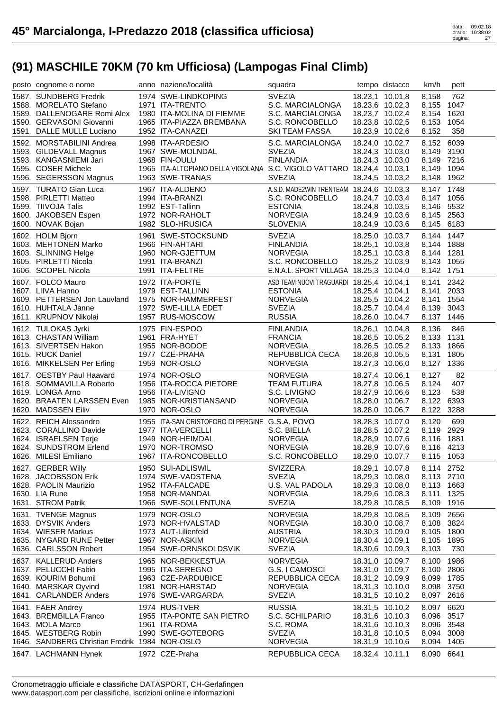| 1587. SUNDBERG Fredrik<br>1974 SWE-LINDKOPING<br><b>SVEZIA</b><br>18.23,1 10.01,8<br>762<br>8,158<br>S.C. MARCIALONGA<br>1047<br>1588. MORELATO Stefano<br>1971 ITA-TRENTO<br>18.23,6 10.02,3<br>8,155<br>1980 ITA-MOLINA DI FIEMME<br>18.23,7 10.02,4<br>1620<br>1589. DALLENOGARE Romi Alex<br>S.C. MARCIALONGA<br>8,154<br>1590. GERVASONI Giovanni<br>18.23,8 10.02,5<br>1054<br>1965 ITA-PIAZZA BREMBANA<br>S.C. RONCOBELLO<br>8,153<br>1591. DALLE MULLE Luciano<br>1952 ITA-CANAZEI<br>18.23,9 10.02,6<br>358<br><b>SKI TEAM FASSA</b><br>8,152<br>8,152 6039<br>1592. MORSTABILINI Andrea<br>1998 ITA-ARDESIO<br>S.C. MARCIALONGA<br>18.24,0 10.02,7<br><b>SVEZIA</b><br>8,149 3190<br>1593. GILDEVALL Magnus<br>1967 SWE-MOLNDAL<br>18.24,3 10.03,0<br><b>FINLANDIA</b><br>8,149 7216<br>1593. KANGASNIEMI Jari<br>1968 FIN-OULU<br>18.24,3 10.03,0<br>1965 ITA-ALTOPIANO DELLA VIGOLANA S.C. VIGOLO VATTARO 18.24,4 10.03,1<br>1094<br>1595. COSER Michele<br>8,149<br><b>SVEZIA</b><br>1962<br>1596. SEGERSSON Magnus<br>1963 SWE-TRANAS<br>18.24,5 10.03,2<br>8,148<br>1748<br>1967 ITA-ALDENO<br>A.S.D. MADE2WIN TRENTEAM 18.24,6 10.03,3<br>1597. TURATO Gian Luca<br>8,147<br>1598. PIRLETTI Matteo<br>1994 ITA-BRANZI<br>S.C. RONCOBELLO<br>18.24,7 10.03,4<br>8.147 1056<br>8,146 5532<br>1599. TIIVOJA Talis<br>1992 EST-Tallinn<br><b>ESTONIA</b><br>18.24,8 10.03,5<br>1972 NOR-RAHOLT<br><b>NORVEGIA</b><br>8,145 2563<br>1600. JAKOBSEN Espen<br>18.24,9 10.03,6<br>1982 SLO-HRUSICA<br><b>SLOVENIA</b><br>18.24,9 10.03,6<br>8,145 6183<br>1600. NOVAK Bojan<br>8,144 1447<br>1961 SWE-STOCKSUND<br><b>SVEZIA</b><br>1602. HOLM Bjorn<br>18.25,0 10.03,7<br>18.25,1 10.03,8<br>1603. MEHTONEN Marko<br>1966 FIN-AHTARI<br><b>FINLANDIA</b><br>8,144<br>1888<br><b>NORVEGIA</b><br>18.25,1 10.03,8<br>8,144 1281<br>1603. SLINNING Helge<br>1960 NOR-GJETTUM<br>18.25,2 10.03,9<br>1055<br>1605. PIRLETTI Nicola<br>1991 ITA-BRANZI<br>S.C. RONCOBELLO<br>8,143<br>E.N.A.L. SPORT VILLAGA 18.25,3 10.04,0<br>1751<br>1606. SCOPEL Nicola<br>1991 ITA-FELTRE<br>8,142<br>2342<br>1607. FOLCO Mauro<br>1972 ITA-PORTE<br>ASD TEAM NUOVI TRAGUARDI 18.25,4 10.04,1<br>8.141<br>1607. LIIVA Hanno<br>1979 EST-TALLINN<br><b>ESTONIA</b><br>2033<br>18.25,4 10.04,1<br>8,141<br>1609. PETTERSEN Jon Lauvland<br><b>NORVEGIA</b><br>18.25,5 10.04,2<br>1554<br>1975 NOR-HAMMERFEST<br>8,141<br>1610. HUHTALA Janne<br>1972 SWE-LILLA EDET<br><b>SVEZIA</b><br>18.25,7 10.04,4<br>8,139<br>3043<br>1611. KRUPNOV Nikolai<br>1957 RUS-MOSCOW<br><b>RUSSIA</b><br>8,137 1446<br>18.26,0 10.04,7<br>1612. TULOKAS Jyrki<br>1975 FIN-ESPOO<br>846<br><b>FINLANDIA</b><br>18.26,1 10.04,8<br>8,136<br>1131<br>1613. CHASTAN William<br>1961 FRA-HYET<br><b>FRANCIA</b><br>18.26,5 10.05,2<br>8,133<br>1613. SIVERTSEN Hakon<br>1955 NOR-BODOE<br>18.26,5 10.05,2<br>8,133<br>1866<br><b>NORVEGIA</b><br>1615. RUCK Daniel<br>1977 CZE-PRAHA<br>18.26,8 10.05,5<br>1805<br>REPUBBLICA CECA<br>8,131<br>1959 NOR-OSLO<br><b>NORVEGIA</b><br>1336<br>1616. MIKKELSEN Per Erling<br>18.27,3 10.06,0<br>8,127<br>1617. OESTBY Paul Haavard<br>1974 NOR-OSLO<br><b>NORVEGIA</b><br>82<br>18.27,4 10.06,1<br>8,127<br>1956 ITA-ROCCA PIETORE<br>407<br>1618. SOMMAVILLA Roberto<br><b>TEAM FUTURA</b><br>18.27,8 10.06,5<br>8,124<br>538<br>1619. LONGA Arno<br>1956 ITA-LIVIGNO<br>S.C. LIVIGNO<br>18.27,9 10.06,6<br>8,123<br>1620. BRAATEN LARSSEN Even<br>1985 NOR-KRISTIANSAND<br><b>NORVEGIA</b><br>8,122<br>6393<br>18.28,0 10.06,7<br>1620. MADSSEN Eiliv<br>1970 NOR-OSLO<br><b>NORVEGIA</b><br>3288<br>18.28,0 10.06,7<br>8,122<br>1955 ITA-SAN CRISTOFORO DI PERGINE G.S.A. POVO<br>1622. REICH Alessandro<br>699<br>18.28,3 10.07,0<br>8,120<br>8,119 2929<br>1623. CORALLINO Davide<br>1977 ITA-VERCELLI<br>S.C. BIELLA<br>18.28,5 10.07,2<br>1949 NOR-HEIMDAL<br><b>NORVEGIA</b><br>1881<br>1624. ISRAELSEN Terje<br>18.28,9 10.07,6<br>8,116<br><b>NORVEGIA</b><br>1624. SUNDSTROM Erlend<br>1970 NOR-TROMSO<br>18.28,9 10.07,6<br>8,116 4213<br>1967 ITA-RONCOBELLO<br>S.C. RONCOBELLO<br>1626. MILESI Emiliano<br>18.29,0 10.07,7<br>8,115 1053<br>1627. GERBER Willy<br>1950 SUI-ADLISWIL<br><b>SVIZZERA</b><br>8,114 2752<br>18.29,1 10.07,8<br>1628. JACOBSSON Erik<br><b>SVEZIA</b><br>1974 SWE-VADSTENA<br>18.29,3 10.08,0<br>8,113 2710<br>1628. PAOLIN Maurizio<br>1952 ITA-FALCADE<br>U.S. VAL PADOLA<br>18.29,3 10.08,0<br>8,113 1663<br>1325<br>1630. LIA Rune<br>1958 NOR-MANDAL<br><b>NORVEGIA</b><br>18.29,6 10.08,3<br>8,111<br>1631. STROM Patrik<br>1966 SWE-SOLLENTUNA<br><b>SVEZIA</b><br>18.29,8 10.08,5<br>1916<br>8,109<br>1979 NOR-OSLO<br>2656<br>1631. TVENGE Magnus<br><b>NORVEGIA</b><br>18.29,8 10.08,5<br>8,109<br>1633. DYSVIK Anders<br>3824<br>1973 NOR-HVALSTAD<br><b>NORVEGIA</b><br>18.30,0 10.08,7<br>8,108<br>1800<br>1634. WIESER Markus<br>1973 AUT-Lilienfeld<br><b>AUSTRIA</b><br>18.30,3 10.09,0<br>8,105<br>1967 NOR-ASKIM<br>1895<br>1635. NYGARD RUNE Petter<br><b>NORVEGIA</b><br>18.30,4 10.09,1<br>8,105<br>1636. CARLSSON Robert<br>1954 SWE-ORNSKOLDSVIK<br><b>SVEZIA</b><br>18.30,6 10.09,3<br>8,103<br>730<br>1637. KALLERUD Anders<br><b>NORVEGIA</b><br>1986<br>1965 NOR-BEKKESTUA<br>18.31,0 10.09,7<br>8,100<br>2806<br>1637. PELUCCHI Fabio<br>1995 ITA-SEREGNO<br>G.S. I CAMOSCI<br>18.31,0 10.09,7<br>8,100<br>18.31,2 10.09,9<br>1785<br>1639. KOURIM Bohumil<br>1963 CZE-PARDUBICE<br>REPUBBLICA CECA<br>8,099<br>1640. MARSKAR Oyvind<br>1981 NOR-HARSTAD<br><b>NORVEGIA</b><br>18.31,3 10.10,0<br>8,098<br>3750<br>2616<br>1641. CARLANDER Anders<br>1976 SWE-VARGARDA<br><b>SVEZIA</b><br>18.31,5 10.10,2<br>8,097<br>1641. FAER Andrey<br>1974 RUS-TVER<br><b>RUSSIA</b><br>6620<br>18.31,5 10.10,2<br>8,097<br>1955 ITA-PONTE SAN PIETRO<br>S.C. SCHILPARIO<br>3517<br>1643. BREMBILLA Franco<br>18.31,6 10.10,3<br>8,096<br>1643. MOLA Marco<br>1961 ITA-ROMA<br>S.C. ROMA<br>18.31,6 10.10,3<br>8,096<br>3548<br><b>SVEZIA</b><br>3008<br>1645. WESTBERG Robin<br>1990 SWE-GOTEBORG<br>18.31,8 10.10,5<br>8,094<br>1646. SANDBERG Christian Fredrik 1984 NOR-OSLO<br><b>NORVEGIA</b><br>8,094<br>1405<br>18.31,9 10.10,6<br>1647. LACHMANN Hynek<br>1972 CZE-Praha<br>REPUBBLICA CECA<br>6641<br>18.32,4 10.11,1<br>8,090 | posto cognome e nome | anno nazione/località | squadra | tempo distacco | km/h | pett |
|------------------------------------------------------------------------------------------------------------------------------------------------------------------------------------------------------------------------------------------------------------------------------------------------------------------------------------------------------------------------------------------------------------------------------------------------------------------------------------------------------------------------------------------------------------------------------------------------------------------------------------------------------------------------------------------------------------------------------------------------------------------------------------------------------------------------------------------------------------------------------------------------------------------------------------------------------------------------------------------------------------------------------------------------------------------------------------------------------------------------------------------------------------------------------------------------------------------------------------------------------------------------------------------------------------------------------------------------------------------------------------------------------------------------------------------------------------------------------------------------------------------------------------------------------------------------------------------------------------------------------------------------------------------------------------------------------------------------------------------------------------------------------------------------------------------------------------------------------------------------------------------------------------------------------------------------------------------------------------------------------------------------------------------------------------------------------------------------------------------------------------------------------------------------------------------------------------------------------------------------------------------------------------------------------------------------------------------------------------------------------------------------------------------------------------------------------------------------------------------------------------------------------------------------------------------------------------------------------------------------------------------------------------------------------------------------------------------------------------------------------------------------------------------------------------------------------------------------------------------------------------------------------------------------------------------------------------------------------------------------------------------------------------------------------------------------------------------------------------------------------------------------------------------------------------------------------------------------------------------------------------------------------------------------------------------------------------------------------------------------------------------------------------------------------------------------------------------------------------------------------------------------------------------------------------------------------------------------------------------------------------------------------------------------------------------------------------------------------------------------------------------------------------------------------------------------------------------------------------------------------------------------------------------------------------------------------------------------------------------------------------------------------------------------------------------------------------------------------------------------------------------------------------------------------------------------------------------------------------------------------------------------------------------------------------------------------------------------------------------------------------------------------------------------------------------------------------------------------------------------------------------------------------------------------------------------------------------------------------------------------------------------------------------------------------------------------------------------------------------------------------------------------------------------------------------------------------------------------------------------------------------------------------------------------------------------------------------------------------------------------------------------------------------------------------------------------------------------------------------------------------------------------------------------------------------------------------------------------------------------------------------------------------------------------------------------------------------------------------------------------------------------------------------------------------------------------------------------------------------------------------------------------------------------------------------------------------------------------------------------------------------------------------------------------------------------------------------------------------------------------------------------------------------------------------------------------------------------------------------------------------------------------------------------------------------------------------------------------------------------------------------------------------------------------------------------------------------------------------------------------------------------------------------------------------------------------------------------------------------------------------------------------------------------------------------|----------------------|-----------------------|---------|----------------|------|------|
|                                                                                                                                                                                                                                                                                                                                                                                                                                                                                                                                                                                                                                                                                                                                                                                                                                                                                                                                                                                                                                                                                                                                                                                                                                                                                                                                                                                                                                                                                                                                                                                                                                                                                                                                                                                                                                                                                                                                                                                                                                                                                                                                                                                                                                                                                                                                                                                                                                                                                                                                                                                                                                                                                                                                                                                                                                                                                                                                                                                                                                                                                                                                                                                                                                                                                                                                                                                                                                                                                                                                                                                                                                                                                                                                                                                                                                                                                                                                                                                                                                                                                                                                                                                                                                                                                                                                                                                                                                                                                                                                                                                                                                                                                                                                                                                                                                                                                                                                                                                                                                                                                                                                                                                                                                                                                                                                                                                                                                                                                                                                                                                                                                                                                                                                                                                                                                                                                                                                                                                                                                                                                                                                                                                                                                                                                                                  |                      |                       |         |                |      |      |
|                                                                                                                                                                                                                                                                                                                                                                                                                                                                                                                                                                                                                                                                                                                                                                                                                                                                                                                                                                                                                                                                                                                                                                                                                                                                                                                                                                                                                                                                                                                                                                                                                                                                                                                                                                                                                                                                                                                                                                                                                                                                                                                                                                                                                                                                                                                                                                                                                                                                                                                                                                                                                                                                                                                                                                                                                                                                                                                                                                                                                                                                                                                                                                                                                                                                                                                                                                                                                                                                                                                                                                                                                                                                                                                                                                                                                                                                                                                                                                                                                                                                                                                                                                                                                                                                                                                                                                                                                                                                                                                                                                                                                                                                                                                                                                                                                                                                                                                                                                                                                                                                                                                                                                                                                                                                                                                                                                                                                                                                                                                                                                                                                                                                                                                                                                                                                                                                                                                                                                                                                                                                                                                                                                                                                                                                                                                  |                      |                       |         |                |      |      |
|                                                                                                                                                                                                                                                                                                                                                                                                                                                                                                                                                                                                                                                                                                                                                                                                                                                                                                                                                                                                                                                                                                                                                                                                                                                                                                                                                                                                                                                                                                                                                                                                                                                                                                                                                                                                                                                                                                                                                                                                                                                                                                                                                                                                                                                                                                                                                                                                                                                                                                                                                                                                                                                                                                                                                                                                                                                                                                                                                                                                                                                                                                                                                                                                                                                                                                                                                                                                                                                                                                                                                                                                                                                                                                                                                                                                                                                                                                                                                                                                                                                                                                                                                                                                                                                                                                                                                                                                                                                                                                                                                                                                                                                                                                                                                                                                                                                                                                                                                                                                                                                                                                                                                                                                                                                                                                                                                                                                                                                                                                                                                                                                                                                                                                                                                                                                                                                                                                                                                                                                                                                                                                                                                                                                                                                                                                                  |                      |                       |         |                |      |      |
|                                                                                                                                                                                                                                                                                                                                                                                                                                                                                                                                                                                                                                                                                                                                                                                                                                                                                                                                                                                                                                                                                                                                                                                                                                                                                                                                                                                                                                                                                                                                                                                                                                                                                                                                                                                                                                                                                                                                                                                                                                                                                                                                                                                                                                                                                                                                                                                                                                                                                                                                                                                                                                                                                                                                                                                                                                                                                                                                                                                                                                                                                                                                                                                                                                                                                                                                                                                                                                                                                                                                                                                                                                                                                                                                                                                                                                                                                                                                                                                                                                                                                                                                                                                                                                                                                                                                                                                                                                                                                                                                                                                                                                                                                                                                                                                                                                                                                                                                                                                                                                                                                                                                                                                                                                                                                                                                                                                                                                                                                                                                                                                                                                                                                                                                                                                                                                                                                                                                                                                                                                                                                                                                                                                                                                                                                                                  |                      |                       |         |                |      |      |
|                                                                                                                                                                                                                                                                                                                                                                                                                                                                                                                                                                                                                                                                                                                                                                                                                                                                                                                                                                                                                                                                                                                                                                                                                                                                                                                                                                                                                                                                                                                                                                                                                                                                                                                                                                                                                                                                                                                                                                                                                                                                                                                                                                                                                                                                                                                                                                                                                                                                                                                                                                                                                                                                                                                                                                                                                                                                                                                                                                                                                                                                                                                                                                                                                                                                                                                                                                                                                                                                                                                                                                                                                                                                                                                                                                                                                                                                                                                                                                                                                                                                                                                                                                                                                                                                                                                                                                                                                                                                                                                                                                                                                                                                                                                                                                                                                                                                                                                                                                                                                                                                                                                                                                                                                                                                                                                                                                                                                                                                                                                                                                                                                                                                                                                                                                                                                                                                                                                                                                                                                                                                                                                                                                                                                                                                                                                  |                      |                       |         |                |      |      |
|                                                                                                                                                                                                                                                                                                                                                                                                                                                                                                                                                                                                                                                                                                                                                                                                                                                                                                                                                                                                                                                                                                                                                                                                                                                                                                                                                                                                                                                                                                                                                                                                                                                                                                                                                                                                                                                                                                                                                                                                                                                                                                                                                                                                                                                                                                                                                                                                                                                                                                                                                                                                                                                                                                                                                                                                                                                                                                                                                                                                                                                                                                                                                                                                                                                                                                                                                                                                                                                                                                                                                                                                                                                                                                                                                                                                                                                                                                                                                                                                                                                                                                                                                                                                                                                                                                                                                                                                                                                                                                                                                                                                                                                                                                                                                                                                                                                                                                                                                                                                                                                                                                                                                                                                                                                                                                                                                                                                                                                                                                                                                                                                                                                                                                                                                                                                                                                                                                                                                                                                                                                                                                                                                                                                                                                                                                                  |                      |                       |         |                |      |      |
|                                                                                                                                                                                                                                                                                                                                                                                                                                                                                                                                                                                                                                                                                                                                                                                                                                                                                                                                                                                                                                                                                                                                                                                                                                                                                                                                                                                                                                                                                                                                                                                                                                                                                                                                                                                                                                                                                                                                                                                                                                                                                                                                                                                                                                                                                                                                                                                                                                                                                                                                                                                                                                                                                                                                                                                                                                                                                                                                                                                                                                                                                                                                                                                                                                                                                                                                                                                                                                                                                                                                                                                                                                                                                                                                                                                                                                                                                                                                                                                                                                                                                                                                                                                                                                                                                                                                                                                                                                                                                                                                                                                                                                                                                                                                                                                                                                                                                                                                                                                                                                                                                                                                                                                                                                                                                                                                                                                                                                                                                                                                                                                                                                                                                                                                                                                                                                                                                                                                                                                                                                                                                                                                                                                                                                                                                                                  |                      |                       |         |                |      |      |
|                                                                                                                                                                                                                                                                                                                                                                                                                                                                                                                                                                                                                                                                                                                                                                                                                                                                                                                                                                                                                                                                                                                                                                                                                                                                                                                                                                                                                                                                                                                                                                                                                                                                                                                                                                                                                                                                                                                                                                                                                                                                                                                                                                                                                                                                                                                                                                                                                                                                                                                                                                                                                                                                                                                                                                                                                                                                                                                                                                                                                                                                                                                                                                                                                                                                                                                                                                                                                                                                                                                                                                                                                                                                                                                                                                                                                                                                                                                                                                                                                                                                                                                                                                                                                                                                                                                                                                                                                                                                                                                                                                                                                                                                                                                                                                                                                                                                                                                                                                                                                                                                                                                                                                                                                                                                                                                                                                                                                                                                                                                                                                                                                                                                                                                                                                                                                                                                                                                                                                                                                                                                                                                                                                                                                                                                                                                  |                      |                       |         |                |      |      |
|                                                                                                                                                                                                                                                                                                                                                                                                                                                                                                                                                                                                                                                                                                                                                                                                                                                                                                                                                                                                                                                                                                                                                                                                                                                                                                                                                                                                                                                                                                                                                                                                                                                                                                                                                                                                                                                                                                                                                                                                                                                                                                                                                                                                                                                                                                                                                                                                                                                                                                                                                                                                                                                                                                                                                                                                                                                                                                                                                                                                                                                                                                                                                                                                                                                                                                                                                                                                                                                                                                                                                                                                                                                                                                                                                                                                                                                                                                                                                                                                                                                                                                                                                                                                                                                                                                                                                                                                                                                                                                                                                                                                                                                                                                                                                                                                                                                                                                                                                                                                                                                                                                                                                                                                                                                                                                                                                                                                                                                                                                                                                                                                                                                                                                                                                                                                                                                                                                                                                                                                                                                                                                                                                                                                                                                                                                                  |                      |                       |         |                |      |      |
|                                                                                                                                                                                                                                                                                                                                                                                                                                                                                                                                                                                                                                                                                                                                                                                                                                                                                                                                                                                                                                                                                                                                                                                                                                                                                                                                                                                                                                                                                                                                                                                                                                                                                                                                                                                                                                                                                                                                                                                                                                                                                                                                                                                                                                                                                                                                                                                                                                                                                                                                                                                                                                                                                                                                                                                                                                                                                                                                                                                                                                                                                                                                                                                                                                                                                                                                                                                                                                                                                                                                                                                                                                                                                                                                                                                                                                                                                                                                                                                                                                                                                                                                                                                                                                                                                                                                                                                                                                                                                                                                                                                                                                                                                                                                                                                                                                                                                                                                                                                                                                                                                                                                                                                                                                                                                                                                                                                                                                                                                                                                                                                                                                                                                                                                                                                                                                                                                                                                                                                                                                                                                                                                                                                                                                                                                                                  |                      |                       |         |                |      |      |
|                                                                                                                                                                                                                                                                                                                                                                                                                                                                                                                                                                                                                                                                                                                                                                                                                                                                                                                                                                                                                                                                                                                                                                                                                                                                                                                                                                                                                                                                                                                                                                                                                                                                                                                                                                                                                                                                                                                                                                                                                                                                                                                                                                                                                                                                                                                                                                                                                                                                                                                                                                                                                                                                                                                                                                                                                                                                                                                                                                                                                                                                                                                                                                                                                                                                                                                                                                                                                                                                                                                                                                                                                                                                                                                                                                                                                                                                                                                                                                                                                                                                                                                                                                                                                                                                                                                                                                                                                                                                                                                                                                                                                                                                                                                                                                                                                                                                                                                                                                                                                                                                                                                                                                                                                                                                                                                                                                                                                                                                                                                                                                                                                                                                                                                                                                                                                                                                                                                                                                                                                                                                                                                                                                                                                                                                                                                  |                      |                       |         |                |      |      |
|                                                                                                                                                                                                                                                                                                                                                                                                                                                                                                                                                                                                                                                                                                                                                                                                                                                                                                                                                                                                                                                                                                                                                                                                                                                                                                                                                                                                                                                                                                                                                                                                                                                                                                                                                                                                                                                                                                                                                                                                                                                                                                                                                                                                                                                                                                                                                                                                                                                                                                                                                                                                                                                                                                                                                                                                                                                                                                                                                                                                                                                                                                                                                                                                                                                                                                                                                                                                                                                                                                                                                                                                                                                                                                                                                                                                                                                                                                                                                                                                                                                                                                                                                                                                                                                                                                                                                                                                                                                                                                                                                                                                                                                                                                                                                                                                                                                                                                                                                                                                                                                                                                                                                                                                                                                                                                                                                                                                                                                                                                                                                                                                                                                                                                                                                                                                                                                                                                                                                                                                                                                                                                                                                                                                                                                                                                                  |                      |                       |         |                |      |      |
|                                                                                                                                                                                                                                                                                                                                                                                                                                                                                                                                                                                                                                                                                                                                                                                                                                                                                                                                                                                                                                                                                                                                                                                                                                                                                                                                                                                                                                                                                                                                                                                                                                                                                                                                                                                                                                                                                                                                                                                                                                                                                                                                                                                                                                                                                                                                                                                                                                                                                                                                                                                                                                                                                                                                                                                                                                                                                                                                                                                                                                                                                                                                                                                                                                                                                                                                                                                                                                                                                                                                                                                                                                                                                                                                                                                                                                                                                                                                                                                                                                                                                                                                                                                                                                                                                                                                                                                                                                                                                                                                                                                                                                                                                                                                                                                                                                                                                                                                                                                                                                                                                                                                                                                                                                                                                                                                                                                                                                                                                                                                                                                                                                                                                                                                                                                                                                                                                                                                                                                                                                                                                                                                                                                                                                                                                                                  |                      |                       |         |                |      |      |
|                                                                                                                                                                                                                                                                                                                                                                                                                                                                                                                                                                                                                                                                                                                                                                                                                                                                                                                                                                                                                                                                                                                                                                                                                                                                                                                                                                                                                                                                                                                                                                                                                                                                                                                                                                                                                                                                                                                                                                                                                                                                                                                                                                                                                                                                                                                                                                                                                                                                                                                                                                                                                                                                                                                                                                                                                                                                                                                                                                                                                                                                                                                                                                                                                                                                                                                                                                                                                                                                                                                                                                                                                                                                                                                                                                                                                                                                                                                                                                                                                                                                                                                                                                                                                                                                                                                                                                                                                                                                                                                                                                                                                                                                                                                                                                                                                                                                                                                                                                                                                                                                                                                                                                                                                                                                                                                                                                                                                                                                                                                                                                                                                                                                                                                                                                                                                                                                                                                                                                                                                                                                                                                                                                                                                                                                                                                  |                      |                       |         |                |      |      |
|                                                                                                                                                                                                                                                                                                                                                                                                                                                                                                                                                                                                                                                                                                                                                                                                                                                                                                                                                                                                                                                                                                                                                                                                                                                                                                                                                                                                                                                                                                                                                                                                                                                                                                                                                                                                                                                                                                                                                                                                                                                                                                                                                                                                                                                                                                                                                                                                                                                                                                                                                                                                                                                                                                                                                                                                                                                                                                                                                                                                                                                                                                                                                                                                                                                                                                                                                                                                                                                                                                                                                                                                                                                                                                                                                                                                                                                                                                                                                                                                                                                                                                                                                                                                                                                                                                                                                                                                                                                                                                                                                                                                                                                                                                                                                                                                                                                                                                                                                                                                                                                                                                                                                                                                                                                                                                                                                                                                                                                                                                                                                                                                                                                                                                                                                                                                                                                                                                                                                                                                                                                                                                                                                                                                                                                                                                                  |                      |                       |         |                |      |      |
|                                                                                                                                                                                                                                                                                                                                                                                                                                                                                                                                                                                                                                                                                                                                                                                                                                                                                                                                                                                                                                                                                                                                                                                                                                                                                                                                                                                                                                                                                                                                                                                                                                                                                                                                                                                                                                                                                                                                                                                                                                                                                                                                                                                                                                                                                                                                                                                                                                                                                                                                                                                                                                                                                                                                                                                                                                                                                                                                                                                                                                                                                                                                                                                                                                                                                                                                                                                                                                                                                                                                                                                                                                                                                                                                                                                                                                                                                                                                                                                                                                                                                                                                                                                                                                                                                                                                                                                                                                                                                                                                                                                                                                                                                                                                                                                                                                                                                                                                                                                                                                                                                                                                                                                                                                                                                                                                                                                                                                                                                                                                                                                                                                                                                                                                                                                                                                                                                                                                                                                                                                                                                                                                                                                                                                                                                                                  |                      |                       |         |                |      |      |
|                                                                                                                                                                                                                                                                                                                                                                                                                                                                                                                                                                                                                                                                                                                                                                                                                                                                                                                                                                                                                                                                                                                                                                                                                                                                                                                                                                                                                                                                                                                                                                                                                                                                                                                                                                                                                                                                                                                                                                                                                                                                                                                                                                                                                                                                                                                                                                                                                                                                                                                                                                                                                                                                                                                                                                                                                                                                                                                                                                                                                                                                                                                                                                                                                                                                                                                                                                                                                                                                                                                                                                                                                                                                                                                                                                                                                                                                                                                                                                                                                                                                                                                                                                                                                                                                                                                                                                                                                                                                                                                                                                                                                                                                                                                                                                                                                                                                                                                                                                                                                                                                                                                                                                                                                                                                                                                                                                                                                                                                                                                                                                                                                                                                                                                                                                                                                                                                                                                                                                                                                                                                                                                                                                                                                                                                                                                  |                      |                       |         |                |      |      |
|                                                                                                                                                                                                                                                                                                                                                                                                                                                                                                                                                                                                                                                                                                                                                                                                                                                                                                                                                                                                                                                                                                                                                                                                                                                                                                                                                                                                                                                                                                                                                                                                                                                                                                                                                                                                                                                                                                                                                                                                                                                                                                                                                                                                                                                                                                                                                                                                                                                                                                                                                                                                                                                                                                                                                                                                                                                                                                                                                                                                                                                                                                                                                                                                                                                                                                                                                                                                                                                                                                                                                                                                                                                                                                                                                                                                                                                                                                                                                                                                                                                                                                                                                                                                                                                                                                                                                                                                                                                                                                                                                                                                                                                                                                                                                                                                                                                                                                                                                                                                                                                                                                                                                                                                                                                                                                                                                                                                                                                                                                                                                                                                                                                                                                                                                                                                                                                                                                                                                                                                                                                                                                                                                                                                                                                                                                                  |                      |                       |         |                |      |      |
|                                                                                                                                                                                                                                                                                                                                                                                                                                                                                                                                                                                                                                                                                                                                                                                                                                                                                                                                                                                                                                                                                                                                                                                                                                                                                                                                                                                                                                                                                                                                                                                                                                                                                                                                                                                                                                                                                                                                                                                                                                                                                                                                                                                                                                                                                                                                                                                                                                                                                                                                                                                                                                                                                                                                                                                                                                                                                                                                                                                                                                                                                                                                                                                                                                                                                                                                                                                                                                                                                                                                                                                                                                                                                                                                                                                                                                                                                                                                                                                                                                                                                                                                                                                                                                                                                                                                                                                                                                                                                                                                                                                                                                                                                                                                                                                                                                                                                                                                                                                                                                                                                                                                                                                                                                                                                                                                                                                                                                                                                                                                                                                                                                                                                                                                                                                                                                                                                                                                                                                                                                                                                                                                                                                                                                                                                                                  |                      |                       |         |                |      |      |
|                                                                                                                                                                                                                                                                                                                                                                                                                                                                                                                                                                                                                                                                                                                                                                                                                                                                                                                                                                                                                                                                                                                                                                                                                                                                                                                                                                                                                                                                                                                                                                                                                                                                                                                                                                                                                                                                                                                                                                                                                                                                                                                                                                                                                                                                                                                                                                                                                                                                                                                                                                                                                                                                                                                                                                                                                                                                                                                                                                                                                                                                                                                                                                                                                                                                                                                                                                                                                                                                                                                                                                                                                                                                                                                                                                                                                                                                                                                                                                                                                                                                                                                                                                                                                                                                                                                                                                                                                                                                                                                                                                                                                                                                                                                                                                                                                                                                                                                                                                                                                                                                                                                                                                                                                                                                                                                                                                                                                                                                                                                                                                                                                                                                                                                                                                                                                                                                                                                                                                                                                                                                                                                                                                                                                                                                                                                  |                      |                       |         |                |      |      |
|                                                                                                                                                                                                                                                                                                                                                                                                                                                                                                                                                                                                                                                                                                                                                                                                                                                                                                                                                                                                                                                                                                                                                                                                                                                                                                                                                                                                                                                                                                                                                                                                                                                                                                                                                                                                                                                                                                                                                                                                                                                                                                                                                                                                                                                                                                                                                                                                                                                                                                                                                                                                                                                                                                                                                                                                                                                                                                                                                                                                                                                                                                                                                                                                                                                                                                                                                                                                                                                                                                                                                                                                                                                                                                                                                                                                                                                                                                                                                                                                                                                                                                                                                                                                                                                                                                                                                                                                                                                                                                                                                                                                                                                                                                                                                                                                                                                                                                                                                                                                                                                                                                                                                                                                                                                                                                                                                                                                                                                                                                                                                                                                                                                                                                                                                                                                                                                                                                                                                                                                                                                                                                                                                                                                                                                                                                                  |                      |                       |         |                |      |      |
|                                                                                                                                                                                                                                                                                                                                                                                                                                                                                                                                                                                                                                                                                                                                                                                                                                                                                                                                                                                                                                                                                                                                                                                                                                                                                                                                                                                                                                                                                                                                                                                                                                                                                                                                                                                                                                                                                                                                                                                                                                                                                                                                                                                                                                                                                                                                                                                                                                                                                                                                                                                                                                                                                                                                                                                                                                                                                                                                                                                                                                                                                                                                                                                                                                                                                                                                                                                                                                                                                                                                                                                                                                                                                                                                                                                                                                                                                                                                                                                                                                                                                                                                                                                                                                                                                                                                                                                                                                                                                                                                                                                                                                                                                                                                                                                                                                                                                                                                                                                                                                                                                                                                                                                                                                                                                                                                                                                                                                                                                                                                                                                                                                                                                                                                                                                                                                                                                                                                                                                                                                                                                                                                                                                                                                                                                                                  |                      |                       |         |                |      |      |
|                                                                                                                                                                                                                                                                                                                                                                                                                                                                                                                                                                                                                                                                                                                                                                                                                                                                                                                                                                                                                                                                                                                                                                                                                                                                                                                                                                                                                                                                                                                                                                                                                                                                                                                                                                                                                                                                                                                                                                                                                                                                                                                                                                                                                                                                                                                                                                                                                                                                                                                                                                                                                                                                                                                                                                                                                                                                                                                                                                                                                                                                                                                                                                                                                                                                                                                                                                                                                                                                                                                                                                                                                                                                                                                                                                                                                                                                                                                                                                                                                                                                                                                                                                                                                                                                                                                                                                                                                                                                                                                                                                                                                                                                                                                                                                                                                                                                                                                                                                                                                                                                                                                                                                                                                                                                                                                                                                                                                                                                                                                                                                                                                                                                                                                                                                                                                                                                                                                                                                                                                                                                                                                                                                                                                                                                                                                  |                      |                       |         |                |      |      |
|                                                                                                                                                                                                                                                                                                                                                                                                                                                                                                                                                                                                                                                                                                                                                                                                                                                                                                                                                                                                                                                                                                                                                                                                                                                                                                                                                                                                                                                                                                                                                                                                                                                                                                                                                                                                                                                                                                                                                                                                                                                                                                                                                                                                                                                                                                                                                                                                                                                                                                                                                                                                                                                                                                                                                                                                                                                                                                                                                                                                                                                                                                                                                                                                                                                                                                                                                                                                                                                                                                                                                                                                                                                                                                                                                                                                                                                                                                                                                                                                                                                                                                                                                                                                                                                                                                                                                                                                                                                                                                                                                                                                                                                                                                                                                                                                                                                                                                                                                                                                                                                                                                                                                                                                                                                                                                                                                                                                                                                                                                                                                                                                                                                                                                                                                                                                                                                                                                                                                                                                                                                                                                                                                                                                                                                                                                                  |                      |                       |         |                |      |      |
|                                                                                                                                                                                                                                                                                                                                                                                                                                                                                                                                                                                                                                                                                                                                                                                                                                                                                                                                                                                                                                                                                                                                                                                                                                                                                                                                                                                                                                                                                                                                                                                                                                                                                                                                                                                                                                                                                                                                                                                                                                                                                                                                                                                                                                                                                                                                                                                                                                                                                                                                                                                                                                                                                                                                                                                                                                                                                                                                                                                                                                                                                                                                                                                                                                                                                                                                                                                                                                                                                                                                                                                                                                                                                                                                                                                                                                                                                                                                                                                                                                                                                                                                                                                                                                                                                                                                                                                                                                                                                                                                                                                                                                                                                                                                                                                                                                                                                                                                                                                                                                                                                                                                                                                                                                                                                                                                                                                                                                                                                                                                                                                                                                                                                                                                                                                                                                                                                                                                                                                                                                                                                                                                                                                                                                                                                                                  |                      |                       |         |                |      |      |
|                                                                                                                                                                                                                                                                                                                                                                                                                                                                                                                                                                                                                                                                                                                                                                                                                                                                                                                                                                                                                                                                                                                                                                                                                                                                                                                                                                                                                                                                                                                                                                                                                                                                                                                                                                                                                                                                                                                                                                                                                                                                                                                                                                                                                                                                                                                                                                                                                                                                                                                                                                                                                                                                                                                                                                                                                                                                                                                                                                                                                                                                                                                                                                                                                                                                                                                                                                                                                                                                                                                                                                                                                                                                                                                                                                                                                                                                                                                                                                                                                                                                                                                                                                                                                                                                                                                                                                                                                                                                                                                                                                                                                                                                                                                                                                                                                                                                                                                                                                                                                                                                                                                                                                                                                                                                                                                                                                                                                                                                                                                                                                                                                                                                                                                                                                                                                                                                                                                                                                                                                                                                                                                                                                                                                                                                                                                  |                      |                       |         |                |      |      |
|                                                                                                                                                                                                                                                                                                                                                                                                                                                                                                                                                                                                                                                                                                                                                                                                                                                                                                                                                                                                                                                                                                                                                                                                                                                                                                                                                                                                                                                                                                                                                                                                                                                                                                                                                                                                                                                                                                                                                                                                                                                                                                                                                                                                                                                                                                                                                                                                                                                                                                                                                                                                                                                                                                                                                                                                                                                                                                                                                                                                                                                                                                                                                                                                                                                                                                                                                                                                                                                                                                                                                                                                                                                                                                                                                                                                                                                                                                                                                                                                                                                                                                                                                                                                                                                                                                                                                                                                                                                                                                                                                                                                                                                                                                                                                                                                                                                                                                                                                                                                                                                                                                                                                                                                                                                                                                                                                                                                                                                                                                                                                                                                                                                                                                                                                                                                                                                                                                                                                                                                                                                                                                                                                                                                                                                                                                                  |                      |                       |         |                |      |      |
|                                                                                                                                                                                                                                                                                                                                                                                                                                                                                                                                                                                                                                                                                                                                                                                                                                                                                                                                                                                                                                                                                                                                                                                                                                                                                                                                                                                                                                                                                                                                                                                                                                                                                                                                                                                                                                                                                                                                                                                                                                                                                                                                                                                                                                                                                                                                                                                                                                                                                                                                                                                                                                                                                                                                                                                                                                                                                                                                                                                                                                                                                                                                                                                                                                                                                                                                                                                                                                                                                                                                                                                                                                                                                                                                                                                                                                                                                                                                                                                                                                                                                                                                                                                                                                                                                                                                                                                                                                                                                                                                                                                                                                                                                                                                                                                                                                                                                                                                                                                                                                                                                                                                                                                                                                                                                                                                                                                                                                                                                                                                                                                                                                                                                                                                                                                                                                                                                                                                                                                                                                                                                                                                                                                                                                                                                                                  |                      |                       |         |                |      |      |
|                                                                                                                                                                                                                                                                                                                                                                                                                                                                                                                                                                                                                                                                                                                                                                                                                                                                                                                                                                                                                                                                                                                                                                                                                                                                                                                                                                                                                                                                                                                                                                                                                                                                                                                                                                                                                                                                                                                                                                                                                                                                                                                                                                                                                                                                                                                                                                                                                                                                                                                                                                                                                                                                                                                                                                                                                                                                                                                                                                                                                                                                                                                                                                                                                                                                                                                                                                                                                                                                                                                                                                                                                                                                                                                                                                                                                                                                                                                                                                                                                                                                                                                                                                                                                                                                                                                                                                                                                                                                                                                                                                                                                                                                                                                                                                                                                                                                                                                                                                                                                                                                                                                                                                                                                                                                                                                                                                                                                                                                                                                                                                                                                                                                                                                                                                                                                                                                                                                                                                                                                                                                                                                                                                                                                                                                                                                  |                      |                       |         |                |      |      |
|                                                                                                                                                                                                                                                                                                                                                                                                                                                                                                                                                                                                                                                                                                                                                                                                                                                                                                                                                                                                                                                                                                                                                                                                                                                                                                                                                                                                                                                                                                                                                                                                                                                                                                                                                                                                                                                                                                                                                                                                                                                                                                                                                                                                                                                                                                                                                                                                                                                                                                                                                                                                                                                                                                                                                                                                                                                                                                                                                                                                                                                                                                                                                                                                                                                                                                                                                                                                                                                                                                                                                                                                                                                                                                                                                                                                                                                                                                                                                                                                                                                                                                                                                                                                                                                                                                                                                                                                                                                                                                                                                                                                                                                                                                                                                                                                                                                                                                                                                                                                                                                                                                                                                                                                                                                                                                                                                                                                                                                                                                                                                                                                                                                                                                                                                                                                                                                                                                                                                                                                                                                                                                                                                                                                                                                                                                                  |                      |                       |         |                |      |      |
|                                                                                                                                                                                                                                                                                                                                                                                                                                                                                                                                                                                                                                                                                                                                                                                                                                                                                                                                                                                                                                                                                                                                                                                                                                                                                                                                                                                                                                                                                                                                                                                                                                                                                                                                                                                                                                                                                                                                                                                                                                                                                                                                                                                                                                                                                                                                                                                                                                                                                                                                                                                                                                                                                                                                                                                                                                                                                                                                                                                                                                                                                                                                                                                                                                                                                                                                                                                                                                                                                                                                                                                                                                                                                                                                                                                                                                                                                                                                                                                                                                                                                                                                                                                                                                                                                                                                                                                                                                                                                                                                                                                                                                                                                                                                                                                                                                                                                                                                                                                                                                                                                                                                                                                                                                                                                                                                                                                                                                                                                                                                                                                                                                                                                                                                                                                                                                                                                                                                                                                                                                                                                                                                                                                                                                                                                                                  |                      |                       |         |                |      |      |
|                                                                                                                                                                                                                                                                                                                                                                                                                                                                                                                                                                                                                                                                                                                                                                                                                                                                                                                                                                                                                                                                                                                                                                                                                                                                                                                                                                                                                                                                                                                                                                                                                                                                                                                                                                                                                                                                                                                                                                                                                                                                                                                                                                                                                                                                                                                                                                                                                                                                                                                                                                                                                                                                                                                                                                                                                                                                                                                                                                                                                                                                                                                                                                                                                                                                                                                                                                                                                                                                                                                                                                                                                                                                                                                                                                                                                                                                                                                                                                                                                                                                                                                                                                                                                                                                                                                                                                                                                                                                                                                                                                                                                                                                                                                                                                                                                                                                                                                                                                                                                                                                                                                                                                                                                                                                                                                                                                                                                                                                                                                                                                                                                                                                                                                                                                                                                                                                                                                                                                                                                                                                                                                                                                                                                                                                                                                  |                      |                       |         |                |      |      |
|                                                                                                                                                                                                                                                                                                                                                                                                                                                                                                                                                                                                                                                                                                                                                                                                                                                                                                                                                                                                                                                                                                                                                                                                                                                                                                                                                                                                                                                                                                                                                                                                                                                                                                                                                                                                                                                                                                                                                                                                                                                                                                                                                                                                                                                                                                                                                                                                                                                                                                                                                                                                                                                                                                                                                                                                                                                                                                                                                                                                                                                                                                                                                                                                                                                                                                                                                                                                                                                                                                                                                                                                                                                                                                                                                                                                                                                                                                                                                                                                                                                                                                                                                                                                                                                                                                                                                                                                                                                                                                                                                                                                                                                                                                                                                                                                                                                                                                                                                                                                                                                                                                                                                                                                                                                                                                                                                                                                                                                                                                                                                                                                                                                                                                                                                                                                                                                                                                                                                                                                                                                                                                                                                                                                                                                                                                                  |                      |                       |         |                |      |      |
|                                                                                                                                                                                                                                                                                                                                                                                                                                                                                                                                                                                                                                                                                                                                                                                                                                                                                                                                                                                                                                                                                                                                                                                                                                                                                                                                                                                                                                                                                                                                                                                                                                                                                                                                                                                                                                                                                                                                                                                                                                                                                                                                                                                                                                                                                                                                                                                                                                                                                                                                                                                                                                                                                                                                                                                                                                                                                                                                                                                                                                                                                                                                                                                                                                                                                                                                                                                                                                                                                                                                                                                                                                                                                                                                                                                                                                                                                                                                                                                                                                                                                                                                                                                                                                                                                                                                                                                                                                                                                                                                                                                                                                                                                                                                                                                                                                                                                                                                                                                                                                                                                                                                                                                                                                                                                                                                                                                                                                                                                                                                                                                                                                                                                                                                                                                                                                                                                                                                                                                                                                                                                                                                                                                                                                                                                                                  |                      |                       |         |                |      |      |
|                                                                                                                                                                                                                                                                                                                                                                                                                                                                                                                                                                                                                                                                                                                                                                                                                                                                                                                                                                                                                                                                                                                                                                                                                                                                                                                                                                                                                                                                                                                                                                                                                                                                                                                                                                                                                                                                                                                                                                                                                                                                                                                                                                                                                                                                                                                                                                                                                                                                                                                                                                                                                                                                                                                                                                                                                                                                                                                                                                                                                                                                                                                                                                                                                                                                                                                                                                                                                                                                                                                                                                                                                                                                                                                                                                                                                                                                                                                                                                                                                                                                                                                                                                                                                                                                                                                                                                                                                                                                                                                                                                                                                                                                                                                                                                                                                                                                                                                                                                                                                                                                                                                                                                                                                                                                                                                                                                                                                                                                                                                                                                                                                                                                                                                                                                                                                                                                                                                                                                                                                                                                                                                                                                                                                                                                                                                  |                      |                       |         |                |      |      |
|                                                                                                                                                                                                                                                                                                                                                                                                                                                                                                                                                                                                                                                                                                                                                                                                                                                                                                                                                                                                                                                                                                                                                                                                                                                                                                                                                                                                                                                                                                                                                                                                                                                                                                                                                                                                                                                                                                                                                                                                                                                                                                                                                                                                                                                                                                                                                                                                                                                                                                                                                                                                                                                                                                                                                                                                                                                                                                                                                                                                                                                                                                                                                                                                                                                                                                                                                                                                                                                                                                                                                                                                                                                                                                                                                                                                                                                                                                                                                                                                                                                                                                                                                                                                                                                                                                                                                                                                                                                                                                                                                                                                                                                                                                                                                                                                                                                                                                                                                                                                                                                                                                                                                                                                                                                                                                                                                                                                                                                                                                                                                                                                                                                                                                                                                                                                                                                                                                                                                                                                                                                                                                                                                                                                                                                                                                                  |                      |                       |         |                |      |      |
|                                                                                                                                                                                                                                                                                                                                                                                                                                                                                                                                                                                                                                                                                                                                                                                                                                                                                                                                                                                                                                                                                                                                                                                                                                                                                                                                                                                                                                                                                                                                                                                                                                                                                                                                                                                                                                                                                                                                                                                                                                                                                                                                                                                                                                                                                                                                                                                                                                                                                                                                                                                                                                                                                                                                                                                                                                                                                                                                                                                                                                                                                                                                                                                                                                                                                                                                                                                                                                                                                                                                                                                                                                                                                                                                                                                                                                                                                                                                                                                                                                                                                                                                                                                                                                                                                                                                                                                                                                                                                                                                                                                                                                                                                                                                                                                                                                                                                                                                                                                                                                                                                                                                                                                                                                                                                                                                                                                                                                                                                                                                                                                                                                                                                                                                                                                                                                                                                                                                                                                                                                                                                                                                                                                                                                                                                                                  |                      |                       |         |                |      |      |
|                                                                                                                                                                                                                                                                                                                                                                                                                                                                                                                                                                                                                                                                                                                                                                                                                                                                                                                                                                                                                                                                                                                                                                                                                                                                                                                                                                                                                                                                                                                                                                                                                                                                                                                                                                                                                                                                                                                                                                                                                                                                                                                                                                                                                                                                                                                                                                                                                                                                                                                                                                                                                                                                                                                                                                                                                                                                                                                                                                                                                                                                                                                                                                                                                                                                                                                                                                                                                                                                                                                                                                                                                                                                                                                                                                                                                                                                                                                                                                                                                                                                                                                                                                                                                                                                                                                                                                                                                                                                                                                                                                                                                                                                                                                                                                                                                                                                                                                                                                                                                                                                                                                                                                                                                                                                                                                                                                                                                                                                                                                                                                                                                                                                                                                                                                                                                                                                                                                                                                                                                                                                                                                                                                                                                                                                                                                  |                      |                       |         |                |      |      |
|                                                                                                                                                                                                                                                                                                                                                                                                                                                                                                                                                                                                                                                                                                                                                                                                                                                                                                                                                                                                                                                                                                                                                                                                                                                                                                                                                                                                                                                                                                                                                                                                                                                                                                                                                                                                                                                                                                                                                                                                                                                                                                                                                                                                                                                                                                                                                                                                                                                                                                                                                                                                                                                                                                                                                                                                                                                                                                                                                                                                                                                                                                                                                                                                                                                                                                                                                                                                                                                                                                                                                                                                                                                                                                                                                                                                                                                                                                                                                                                                                                                                                                                                                                                                                                                                                                                                                                                                                                                                                                                                                                                                                                                                                                                                                                                                                                                                                                                                                                                                                                                                                                                                                                                                                                                                                                                                                                                                                                                                                                                                                                                                                                                                                                                                                                                                                                                                                                                                                                                                                                                                                                                                                                                                                                                                                                                  |                      |                       |         |                |      |      |
|                                                                                                                                                                                                                                                                                                                                                                                                                                                                                                                                                                                                                                                                                                                                                                                                                                                                                                                                                                                                                                                                                                                                                                                                                                                                                                                                                                                                                                                                                                                                                                                                                                                                                                                                                                                                                                                                                                                                                                                                                                                                                                                                                                                                                                                                                                                                                                                                                                                                                                                                                                                                                                                                                                                                                                                                                                                                                                                                                                                                                                                                                                                                                                                                                                                                                                                                                                                                                                                                                                                                                                                                                                                                                                                                                                                                                                                                                                                                                                                                                                                                                                                                                                                                                                                                                                                                                                                                                                                                                                                                                                                                                                                                                                                                                                                                                                                                                                                                                                                                                                                                                                                                                                                                                                                                                                                                                                                                                                                                                                                                                                                                                                                                                                                                                                                                                                                                                                                                                                                                                                                                                                                                                                                                                                                                                                                  |                      |                       |         |                |      |      |
|                                                                                                                                                                                                                                                                                                                                                                                                                                                                                                                                                                                                                                                                                                                                                                                                                                                                                                                                                                                                                                                                                                                                                                                                                                                                                                                                                                                                                                                                                                                                                                                                                                                                                                                                                                                                                                                                                                                                                                                                                                                                                                                                                                                                                                                                                                                                                                                                                                                                                                                                                                                                                                                                                                                                                                                                                                                                                                                                                                                                                                                                                                                                                                                                                                                                                                                                                                                                                                                                                                                                                                                                                                                                                                                                                                                                                                                                                                                                                                                                                                                                                                                                                                                                                                                                                                                                                                                                                                                                                                                                                                                                                                                                                                                                                                                                                                                                                                                                                                                                                                                                                                                                                                                                                                                                                                                                                                                                                                                                                                                                                                                                                                                                                                                                                                                                                                                                                                                                                                                                                                                                                                                                                                                                                                                                                                                  |                      |                       |         |                |      |      |
|                                                                                                                                                                                                                                                                                                                                                                                                                                                                                                                                                                                                                                                                                                                                                                                                                                                                                                                                                                                                                                                                                                                                                                                                                                                                                                                                                                                                                                                                                                                                                                                                                                                                                                                                                                                                                                                                                                                                                                                                                                                                                                                                                                                                                                                                                                                                                                                                                                                                                                                                                                                                                                                                                                                                                                                                                                                                                                                                                                                                                                                                                                                                                                                                                                                                                                                                                                                                                                                                                                                                                                                                                                                                                                                                                                                                                                                                                                                                                                                                                                                                                                                                                                                                                                                                                                                                                                                                                                                                                                                                                                                                                                                                                                                                                                                                                                                                                                                                                                                                                                                                                                                                                                                                                                                                                                                                                                                                                                                                                                                                                                                                                                                                                                                                                                                                                                                                                                                                                                                                                                                                                                                                                                                                                                                                                                                  |                      |                       |         |                |      |      |
|                                                                                                                                                                                                                                                                                                                                                                                                                                                                                                                                                                                                                                                                                                                                                                                                                                                                                                                                                                                                                                                                                                                                                                                                                                                                                                                                                                                                                                                                                                                                                                                                                                                                                                                                                                                                                                                                                                                                                                                                                                                                                                                                                                                                                                                                                                                                                                                                                                                                                                                                                                                                                                                                                                                                                                                                                                                                                                                                                                                                                                                                                                                                                                                                                                                                                                                                                                                                                                                                                                                                                                                                                                                                                                                                                                                                                                                                                                                                                                                                                                                                                                                                                                                                                                                                                                                                                                                                                                                                                                                                                                                                                                                                                                                                                                                                                                                                                                                                                                                                                                                                                                                                                                                                                                                                                                                                                                                                                                                                                                                                                                                                                                                                                                                                                                                                                                                                                                                                                                                                                                                                                                                                                                                                                                                                                                                  |                      |                       |         |                |      |      |
|                                                                                                                                                                                                                                                                                                                                                                                                                                                                                                                                                                                                                                                                                                                                                                                                                                                                                                                                                                                                                                                                                                                                                                                                                                                                                                                                                                                                                                                                                                                                                                                                                                                                                                                                                                                                                                                                                                                                                                                                                                                                                                                                                                                                                                                                                                                                                                                                                                                                                                                                                                                                                                                                                                                                                                                                                                                                                                                                                                                                                                                                                                                                                                                                                                                                                                                                                                                                                                                                                                                                                                                                                                                                                                                                                                                                                                                                                                                                                                                                                                                                                                                                                                                                                                                                                                                                                                                                                                                                                                                                                                                                                                                                                                                                                                                                                                                                                                                                                                                                                                                                                                                                                                                                                                                                                                                                                                                                                                                                                                                                                                                                                                                                                                                                                                                                                                                                                                                                                                                                                                                                                                                                                                                                                                                                                                                  |                      |                       |         |                |      |      |
|                                                                                                                                                                                                                                                                                                                                                                                                                                                                                                                                                                                                                                                                                                                                                                                                                                                                                                                                                                                                                                                                                                                                                                                                                                                                                                                                                                                                                                                                                                                                                                                                                                                                                                                                                                                                                                                                                                                                                                                                                                                                                                                                                                                                                                                                                                                                                                                                                                                                                                                                                                                                                                                                                                                                                                                                                                                                                                                                                                                                                                                                                                                                                                                                                                                                                                                                                                                                                                                                                                                                                                                                                                                                                                                                                                                                                                                                                                                                                                                                                                                                                                                                                                                                                                                                                                                                                                                                                                                                                                                                                                                                                                                                                                                                                                                                                                                                                                                                                                                                                                                                                                                                                                                                                                                                                                                                                                                                                                                                                                                                                                                                                                                                                                                                                                                                                                                                                                                                                                                                                                                                                                                                                                                                                                                                                                                  |                      |                       |         |                |      |      |
|                                                                                                                                                                                                                                                                                                                                                                                                                                                                                                                                                                                                                                                                                                                                                                                                                                                                                                                                                                                                                                                                                                                                                                                                                                                                                                                                                                                                                                                                                                                                                                                                                                                                                                                                                                                                                                                                                                                                                                                                                                                                                                                                                                                                                                                                                                                                                                                                                                                                                                                                                                                                                                                                                                                                                                                                                                                                                                                                                                                                                                                                                                                                                                                                                                                                                                                                                                                                                                                                                                                                                                                                                                                                                                                                                                                                                                                                                                                                                                                                                                                                                                                                                                                                                                                                                                                                                                                                                                                                                                                                                                                                                                                                                                                                                                                                                                                                                                                                                                                                                                                                                                                                                                                                                                                                                                                                                                                                                                                                                                                                                                                                                                                                                                                                                                                                                                                                                                                                                                                                                                                                                                                                                                                                                                                                                                                  |                      |                       |         |                |      |      |
|                                                                                                                                                                                                                                                                                                                                                                                                                                                                                                                                                                                                                                                                                                                                                                                                                                                                                                                                                                                                                                                                                                                                                                                                                                                                                                                                                                                                                                                                                                                                                                                                                                                                                                                                                                                                                                                                                                                                                                                                                                                                                                                                                                                                                                                                                                                                                                                                                                                                                                                                                                                                                                                                                                                                                                                                                                                                                                                                                                                                                                                                                                                                                                                                                                                                                                                                                                                                                                                                                                                                                                                                                                                                                                                                                                                                                                                                                                                                                                                                                                                                                                                                                                                                                                                                                                                                                                                                                                                                                                                                                                                                                                                                                                                                                                                                                                                                                                                                                                                                                                                                                                                                                                                                                                                                                                                                                                                                                                                                                                                                                                                                                                                                                                                                                                                                                                                                                                                                                                                                                                                                                                                                                                                                                                                                                                                  |                      |                       |         |                |      |      |
|                                                                                                                                                                                                                                                                                                                                                                                                                                                                                                                                                                                                                                                                                                                                                                                                                                                                                                                                                                                                                                                                                                                                                                                                                                                                                                                                                                                                                                                                                                                                                                                                                                                                                                                                                                                                                                                                                                                                                                                                                                                                                                                                                                                                                                                                                                                                                                                                                                                                                                                                                                                                                                                                                                                                                                                                                                                                                                                                                                                                                                                                                                                                                                                                                                                                                                                                                                                                                                                                                                                                                                                                                                                                                                                                                                                                                                                                                                                                                                                                                                                                                                                                                                                                                                                                                                                                                                                                                                                                                                                                                                                                                                                                                                                                                                                                                                                                                                                                                                                                                                                                                                                                                                                                                                                                                                                                                                                                                                                                                                                                                                                                                                                                                                                                                                                                                                                                                                                                                                                                                                                                                                                                                                                                                                                                                                                  |                      |                       |         |                |      |      |
|                                                                                                                                                                                                                                                                                                                                                                                                                                                                                                                                                                                                                                                                                                                                                                                                                                                                                                                                                                                                                                                                                                                                                                                                                                                                                                                                                                                                                                                                                                                                                                                                                                                                                                                                                                                                                                                                                                                                                                                                                                                                                                                                                                                                                                                                                                                                                                                                                                                                                                                                                                                                                                                                                                                                                                                                                                                                                                                                                                                                                                                                                                                                                                                                                                                                                                                                                                                                                                                                                                                                                                                                                                                                                                                                                                                                                                                                                                                                                                                                                                                                                                                                                                                                                                                                                                                                                                                                                                                                                                                                                                                                                                                                                                                                                                                                                                                                                                                                                                                                                                                                                                                                                                                                                                                                                                                                                                                                                                                                                                                                                                                                                                                                                                                                                                                                                                                                                                                                                                                                                                                                                                                                                                                                                                                                                                                  |                      |                       |         |                |      |      |
|                                                                                                                                                                                                                                                                                                                                                                                                                                                                                                                                                                                                                                                                                                                                                                                                                                                                                                                                                                                                                                                                                                                                                                                                                                                                                                                                                                                                                                                                                                                                                                                                                                                                                                                                                                                                                                                                                                                                                                                                                                                                                                                                                                                                                                                                                                                                                                                                                                                                                                                                                                                                                                                                                                                                                                                                                                                                                                                                                                                                                                                                                                                                                                                                                                                                                                                                                                                                                                                                                                                                                                                                                                                                                                                                                                                                                                                                                                                                                                                                                                                                                                                                                                                                                                                                                                                                                                                                                                                                                                                                                                                                                                                                                                                                                                                                                                                                                                                                                                                                                                                                                                                                                                                                                                                                                                                                                                                                                                                                                                                                                                                                                                                                                                                                                                                                                                                                                                                                                                                                                                                                                                                                                                                                                                                                                                                  |                      |                       |         |                |      |      |
|                                                                                                                                                                                                                                                                                                                                                                                                                                                                                                                                                                                                                                                                                                                                                                                                                                                                                                                                                                                                                                                                                                                                                                                                                                                                                                                                                                                                                                                                                                                                                                                                                                                                                                                                                                                                                                                                                                                                                                                                                                                                                                                                                                                                                                                                                                                                                                                                                                                                                                                                                                                                                                                                                                                                                                                                                                                                                                                                                                                                                                                                                                                                                                                                                                                                                                                                                                                                                                                                                                                                                                                                                                                                                                                                                                                                                                                                                                                                                                                                                                                                                                                                                                                                                                                                                                                                                                                                                                                                                                                                                                                                                                                                                                                                                                                                                                                                                                                                                                                                                                                                                                                                                                                                                                                                                                                                                                                                                                                                                                                                                                                                                                                                                                                                                                                                                                                                                                                                                                                                                                                                                                                                                                                                                                                                                                                  |                      |                       |         |                |      |      |
|                                                                                                                                                                                                                                                                                                                                                                                                                                                                                                                                                                                                                                                                                                                                                                                                                                                                                                                                                                                                                                                                                                                                                                                                                                                                                                                                                                                                                                                                                                                                                                                                                                                                                                                                                                                                                                                                                                                                                                                                                                                                                                                                                                                                                                                                                                                                                                                                                                                                                                                                                                                                                                                                                                                                                                                                                                                                                                                                                                                                                                                                                                                                                                                                                                                                                                                                                                                                                                                                                                                                                                                                                                                                                                                                                                                                                                                                                                                                                                                                                                                                                                                                                                                                                                                                                                                                                                                                                                                                                                                                                                                                                                                                                                                                                                                                                                                                                                                                                                                                                                                                                                                                                                                                                                                                                                                                                                                                                                                                                                                                                                                                                                                                                                                                                                                                                                                                                                                                                                                                                                                                                                                                                                                                                                                                                                                  |                      |                       |         |                |      |      |
|                                                                                                                                                                                                                                                                                                                                                                                                                                                                                                                                                                                                                                                                                                                                                                                                                                                                                                                                                                                                                                                                                                                                                                                                                                                                                                                                                                                                                                                                                                                                                                                                                                                                                                                                                                                                                                                                                                                                                                                                                                                                                                                                                                                                                                                                                                                                                                                                                                                                                                                                                                                                                                                                                                                                                                                                                                                                                                                                                                                                                                                                                                                                                                                                                                                                                                                                                                                                                                                                                                                                                                                                                                                                                                                                                                                                                                                                                                                                                                                                                                                                                                                                                                                                                                                                                                                                                                                                                                                                                                                                                                                                                                                                                                                                                                                                                                                                                                                                                                                                                                                                                                                                                                                                                                                                                                                                                                                                                                                                                                                                                                                                                                                                                                                                                                                                                                                                                                                                                                                                                                                                                                                                                                                                                                                                                                                  |                      |                       |         |                |      |      |
|                                                                                                                                                                                                                                                                                                                                                                                                                                                                                                                                                                                                                                                                                                                                                                                                                                                                                                                                                                                                                                                                                                                                                                                                                                                                                                                                                                                                                                                                                                                                                                                                                                                                                                                                                                                                                                                                                                                                                                                                                                                                                                                                                                                                                                                                                                                                                                                                                                                                                                                                                                                                                                                                                                                                                                                                                                                                                                                                                                                                                                                                                                                                                                                                                                                                                                                                                                                                                                                                                                                                                                                                                                                                                                                                                                                                                                                                                                                                                                                                                                                                                                                                                                                                                                                                                                                                                                                                                                                                                                                                                                                                                                                                                                                                                                                                                                                                                                                                                                                                                                                                                                                                                                                                                                                                                                                                                                                                                                                                                                                                                                                                                                                                                                                                                                                                                                                                                                                                                                                                                                                                                                                                                                                                                                                                                                                  |                      |                       |         |                |      |      |
|                                                                                                                                                                                                                                                                                                                                                                                                                                                                                                                                                                                                                                                                                                                                                                                                                                                                                                                                                                                                                                                                                                                                                                                                                                                                                                                                                                                                                                                                                                                                                                                                                                                                                                                                                                                                                                                                                                                                                                                                                                                                                                                                                                                                                                                                                                                                                                                                                                                                                                                                                                                                                                                                                                                                                                                                                                                                                                                                                                                                                                                                                                                                                                                                                                                                                                                                                                                                                                                                                                                                                                                                                                                                                                                                                                                                                                                                                                                                                                                                                                                                                                                                                                                                                                                                                                                                                                                                                                                                                                                                                                                                                                                                                                                                                                                                                                                                                                                                                                                                                                                                                                                                                                                                                                                                                                                                                                                                                                                                                                                                                                                                                                                                                                                                                                                                                                                                                                                                                                                                                                                                                                                                                                                                                                                                                                                  |                      |                       |         |                |      |      |
|                                                                                                                                                                                                                                                                                                                                                                                                                                                                                                                                                                                                                                                                                                                                                                                                                                                                                                                                                                                                                                                                                                                                                                                                                                                                                                                                                                                                                                                                                                                                                                                                                                                                                                                                                                                                                                                                                                                                                                                                                                                                                                                                                                                                                                                                                                                                                                                                                                                                                                                                                                                                                                                                                                                                                                                                                                                                                                                                                                                                                                                                                                                                                                                                                                                                                                                                                                                                                                                                                                                                                                                                                                                                                                                                                                                                                                                                                                                                                                                                                                                                                                                                                                                                                                                                                                                                                                                                                                                                                                                                                                                                                                                                                                                                                                                                                                                                                                                                                                                                                                                                                                                                                                                                                                                                                                                                                                                                                                                                                                                                                                                                                                                                                                                                                                                                                                                                                                                                                                                                                                                                                                                                                                                                                                                                                                                  |                      |                       |         |                |      |      |
|                                                                                                                                                                                                                                                                                                                                                                                                                                                                                                                                                                                                                                                                                                                                                                                                                                                                                                                                                                                                                                                                                                                                                                                                                                                                                                                                                                                                                                                                                                                                                                                                                                                                                                                                                                                                                                                                                                                                                                                                                                                                                                                                                                                                                                                                                                                                                                                                                                                                                                                                                                                                                                                                                                                                                                                                                                                                                                                                                                                                                                                                                                                                                                                                                                                                                                                                                                                                                                                                                                                                                                                                                                                                                                                                                                                                                                                                                                                                                                                                                                                                                                                                                                                                                                                                                                                                                                                                                                                                                                                                                                                                                                                                                                                                                                                                                                                                                                                                                                                                                                                                                                                                                                                                                                                                                                                                                                                                                                                                                                                                                                                                                                                                                                                                                                                                                                                                                                                                                                                                                                                                                                                                                                                                                                                                                                                  |                      |                       |         |                |      |      |
|                                                                                                                                                                                                                                                                                                                                                                                                                                                                                                                                                                                                                                                                                                                                                                                                                                                                                                                                                                                                                                                                                                                                                                                                                                                                                                                                                                                                                                                                                                                                                                                                                                                                                                                                                                                                                                                                                                                                                                                                                                                                                                                                                                                                                                                                                                                                                                                                                                                                                                                                                                                                                                                                                                                                                                                                                                                                                                                                                                                                                                                                                                                                                                                                                                                                                                                                                                                                                                                                                                                                                                                                                                                                                                                                                                                                                                                                                                                                                                                                                                                                                                                                                                                                                                                                                                                                                                                                                                                                                                                                                                                                                                                                                                                                                                                                                                                                                                                                                                                                                                                                                                                                                                                                                                                                                                                                                                                                                                                                                                                                                                                                                                                                                                                                                                                                                                                                                                                                                                                                                                                                                                                                                                                                                                                                                                                  |                      |                       |         |                |      |      |
|                                                                                                                                                                                                                                                                                                                                                                                                                                                                                                                                                                                                                                                                                                                                                                                                                                                                                                                                                                                                                                                                                                                                                                                                                                                                                                                                                                                                                                                                                                                                                                                                                                                                                                                                                                                                                                                                                                                                                                                                                                                                                                                                                                                                                                                                                                                                                                                                                                                                                                                                                                                                                                                                                                                                                                                                                                                                                                                                                                                                                                                                                                                                                                                                                                                                                                                                                                                                                                                                                                                                                                                                                                                                                                                                                                                                                                                                                                                                                                                                                                                                                                                                                                                                                                                                                                                                                                                                                                                                                                                                                                                                                                                                                                                                                                                                                                                                                                                                                                                                                                                                                                                                                                                                                                                                                                                                                                                                                                                                                                                                                                                                                                                                                                                                                                                                                                                                                                                                                                                                                                                                                                                                                                                                                                                                                                                  |                      |                       |         |                |      |      |
|                                                                                                                                                                                                                                                                                                                                                                                                                                                                                                                                                                                                                                                                                                                                                                                                                                                                                                                                                                                                                                                                                                                                                                                                                                                                                                                                                                                                                                                                                                                                                                                                                                                                                                                                                                                                                                                                                                                                                                                                                                                                                                                                                                                                                                                                                                                                                                                                                                                                                                                                                                                                                                                                                                                                                                                                                                                                                                                                                                                                                                                                                                                                                                                                                                                                                                                                                                                                                                                                                                                                                                                                                                                                                                                                                                                                                                                                                                                                                                                                                                                                                                                                                                                                                                                                                                                                                                                                                                                                                                                                                                                                                                                                                                                                                                                                                                                                                                                                                                                                                                                                                                                                                                                                                                                                                                                                                                                                                                                                                                                                                                                                                                                                                                                                                                                                                                                                                                                                                                                                                                                                                                                                                                                                                                                                                                                  |                      |                       |         |                |      |      |
|                                                                                                                                                                                                                                                                                                                                                                                                                                                                                                                                                                                                                                                                                                                                                                                                                                                                                                                                                                                                                                                                                                                                                                                                                                                                                                                                                                                                                                                                                                                                                                                                                                                                                                                                                                                                                                                                                                                                                                                                                                                                                                                                                                                                                                                                                                                                                                                                                                                                                                                                                                                                                                                                                                                                                                                                                                                                                                                                                                                                                                                                                                                                                                                                                                                                                                                                                                                                                                                                                                                                                                                                                                                                                                                                                                                                                                                                                                                                                                                                                                                                                                                                                                                                                                                                                                                                                                                                                                                                                                                                                                                                                                                                                                                                                                                                                                                                                                                                                                                                                                                                                                                                                                                                                                                                                                                                                                                                                                                                                                                                                                                                                                                                                                                                                                                                                                                                                                                                                                                                                                                                                                                                                                                                                                                                                                                  |                      |                       |         |                |      |      |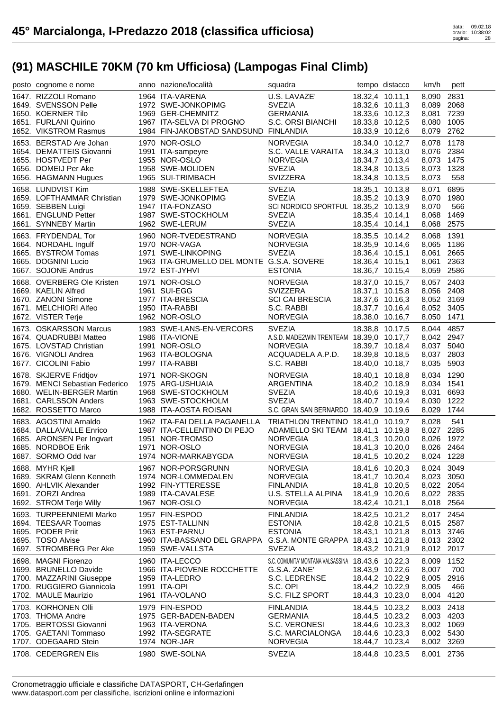| posto cognome e nome                          | anno nazione/località                                                               | squadra                                           |                                    | tempo distacco | km/h                     | pett         |
|-----------------------------------------------|-------------------------------------------------------------------------------------|---------------------------------------------------|------------------------------------|----------------|--------------------------|--------------|
| 1647. RIZZOLI Romano                          | 1964 ITA-VARENA                                                                     | U.S. LAVAZE'                                      | 18.32,4 10.11,1                    |                | 8,090                    | 2831         |
| 1649. SVENSSON Pelle                          | 1972 SWE-JONKOPIMG                                                                  | <b>SVEZIA</b>                                     | 18.32,6 10.11,3                    |                | 8,089 2068               |              |
| 1650. KOERNER Tilo                            | 1969 GER-CHEMNITZ                                                                   | GERMANIA                                          | 18.33,6 10.12,3                    |                | 8,081 7239               |              |
| 1651. FURLANI Quirino                         | 1967 ITA-SELVA DI PROGNO                                                            | S.C. ORSI BIANCHI                                 | 18.33,8 10.12,5                    |                | 8,080                    | 1005         |
| 1652. VIKSTROM Rasmus                         | 1984 FIN-JAKOBSTAD SANDSUND FINLANDIA                                               |                                                   | 18.33,9 10.12,6                    |                | 8,079                    | 2762         |
| 1653. BERSTAD Are Johan                       | 1970 NOR-OSLO                                                                       | <b>NORVEGIA</b>                                   | 18.34,0 10.12,7                    |                | 8,078                    | 1178         |
| 1654. DEMATTEIS Giovanni                      | 1991 ITA-sampeyre                                                                   | S.C. VALLE VARAITA                                | 18.34,3 10.13,0                    |                | 8,076 2384               |              |
| 1655. HOSTVEDT Per                            | 1955 NOR-OSLO                                                                       | <b>NORVEGIA</b>                                   | 18.34,7 10.13,4                    |                | 8,073                    | 1475         |
| 1656. DOMEIJ Per Ake                          | 1958 SWE-MOLIDEN                                                                    | <b>SVEZIA</b>                                     | 18.34,8 10.13,5                    |                | 8,073                    | 1328         |
| 1656. HAGMANN Hugues                          | 1965 SUI-TRIMBACH                                                                   | SVIZZERA                                          | 18.34,8 10.13,5                    |                | 8,073                    | 558          |
| 1658. LUNDVIST Kim                            | 1988 SWE-SKELLEFTEA                                                                 | <b>SVEZIA</b>                                     | 18.35,1 10.13,8                    |                | 8,071                    | 6895         |
| 1659. LOFTHAMMAR Christian                    | 1979 SWE-JONKOPIMG                                                                  | <b>SVEZIA</b>                                     | 18.35,2 10.13,9                    |                | 8,070                    | 1980         |
| 1659. SEBBEN Luigi                            | 1947 ITA-FONZASO                                                                    | SCI NORDICO SPORTFUL 18.35,2 10.13,9              |                                    |                | 8,070                    | 566          |
| 1661. ENGLUND Petter                          | 1987 SWE-STOCKHOLM                                                                  | <b>SVEZIA</b>                                     | 18.35,4 10.14,1                    |                | 8,068                    | 1469         |
| 1661. SYNNEBY Martin                          | 1962 SWE-LERUM                                                                      | <b>SVEZIA</b>                                     | 18.35,4 10.14,1                    |                | 8,068                    | 2575         |
|                                               |                                                                                     |                                                   |                                    |                |                          |              |
| 1663. FRYDENDAL Tor                           | 1960 NOR-TVEDESTRAND                                                                | NORVEGIA                                          | 18.35,5 10.14,2                    |                | 8,068                    | 1391         |
| 1664. NORDAHL Ingulf                          | 1970 NOR-VAGA                                                                       | <b>NORVEGIA</b>                                   | 18.35,9 10.14,6                    |                | 8,065                    | 1186         |
| 1665. BYSTROM Tomas<br>1665. DOGNINI Lucio    | 1971 SWE-LINKOPING<br>1963 ITA-GRUMELLO DEL MONTE G.S.A. SOVERE                     | <b>SVEZIA</b>                                     | 18.36,4 10.15,1                    |                | 8,061                    | 2665<br>2363 |
| 1667. SOJONE Andrus                           | 1972 EST-JYHVI                                                                      | <b>ESTONIA</b>                                    | 18.36,4 10.15,1                    |                | 8,061<br>8,059 2586      |              |
|                                               |                                                                                     |                                                   | 18.36,7 10.15,4                    |                |                          |              |
| 1668. OVERBERG Ole Kristen                    | 1971 NOR-OSLO                                                                       | <b>NORVEGIA</b>                                   | 18.37,0 10.15,7                    |                | 8,057 2403               |              |
| 1669. KAELIN Alfred                           | 1961 SUI-EGG                                                                        | SVIZZERA                                          | 18.37,1 10.15,8                    |                | 8,056 2408               |              |
| 1670. ZANONI Simone                           | 1977 ITA-BRESCIA                                                                    | <b>SCI CAI BRESCIA</b>                            | 18.37,6 10.16,3                    |                | 8,052 3169               |              |
| 1671. MELCHIORI Alfeo                         | 1950 ITA-RABBI                                                                      | S.C. RABBI                                        | 18.37,7 10.16,4                    |                | 8,052 3405               |              |
| 1672. VISTER Terje                            | 1962 NOR-OSLO                                                                       | <b>NORVEGIA</b>                                   | 18.38,0 10.16,7                    |                | 8,050 1471               |              |
| 1673. OSKARSSON Marcus                        | 1983 SWE-LANS-EN-VERCORS                                                            | <b>SVEZIA</b>                                     | 18.38,8 10.17,5                    |                | 8,044 4857               |              |
| 1674. QUADRUBBI Matteo                        | 1986 ITA-VIONE                                                                      | A.S.D. MADE2WIN TRENTEAM 18.39,0 10.17,7          |                                    |                | 8,042 2947               |              |
| 1675. LOVSTAD Christian                       | 1991 NOR-OSLO                                                                       | <b>NORVEGIA</b>                                   | 18.39,7 10.18,4                    |                | 8,037 5040               |              |
| 1676. VIGNOLI Andrea                          | 1963 ITA-BOLOGNA                                                                    | ACQUADELA A.P.D.                                  | 18.39,8 10.18,5                    |                | 8,037 2803               |              |
| 1677. CICOLINI Fabio                          | 1997 ITA-RABBI                                                                      | S.C. RABBI                                        | 18.40,0 10.18,7                    |                | 8,035                    | 5903         |
|                                               |                                                                                     |                                                   |                                    |                |                          |              |
| 1678. SKJERVE Fridtjov                        | 1971 NOR-SKOGN                                                                      | NORVEGIA                                          | 18.40,1 10.18,8                    |                | 8,034 1290               |              |
| 1679. MENCI Sebastian Federico                | 1975 ARG-USHUAIA                                                                    | ARGENTINA                                         | 18.40,2 10.18,9                    |                | 8,034 1541               |              |
| 1680. WELIN-BERGER Martin                     | 1968 SWE-STOCKHOLM                                                                  | <b>SVEZIA</b>                                     | 18.40,6 10.19,3                    |                | 8,031                    | 6693         |
| 1681. CARLSSON Anders                         | 1963 SWE-STOCKHOLM                                                                  | <b>SVEZIA</b>                                     | 18.40,7 10.19,4                    |                | 8,030                    | 1222         |
| 1682. ROSSETTO Marco                          | 1988 ITA-AOSTA ROISAN                                                               | S.C. GRAN SAN BERNARDO 18.40,9 10.19,6            |                                    |                | 8,029                    | 1744         |
| 1683. AGOSTINI Arnaldo                        | 1962 ITA-FAI DELLA PAGANELLA TRIATHLON TRENTINO 18.41,0 10.19,7                     |                                                   |                                    |                | 8,028                    | 541          |
| 1684. DALLAVALLE Enrico                       | 1987 ITA-CELLENTINO DI PEJO                                                         | ADAMELLO SKI TEAM 18.41,1 10.19,8                 |                                    |                | 8,027 2285               |              |
| 1685. ARONSEN Per Ingvart                     | 1951 NOR-TROMSO                                                                     | <b>NORVEGIA</b>                                   | 18.41,3 10.20,0                    |                | 8,026                    | 1972         |
| 1685. NORDBOE Erik                            | 1971 NOR-OSLO                                                                       | <b>NORVEGIA</b>                                   | 18.41,3 10.20,0                    |                | 8,026 2464               |              |
| 1687. SORMO Odd Ivar                          | 1974 NOR-MARKABYGDA                                                                 | <b>NORVEGIA</b>                                   | 18.41,5 10.20,2                    |                | 8,024 1228               |              |
|                                               |                                                                                     |                                                   |                                    |                |                          |              |
| 1688. MYHR Kjell<br>1689. SKRAM Glenn Kenneth | 1967 NOR-PORSGRUNN<br>1974 NOR-LOMMEDALEN                                           | <b>NORVEGIA</b>                                   | 18.41,6 10.20,3                    |                | 8,024 3049               |              |
| 1690. AHLVIK Alexander                        | 1992 FIN-YTTERESSE                                                                  | <b>NORVEGIA</b><br><b>FINLANDIA</b>               | 18.41,7 10.20,4<br>18.41,8 10.20,5 |                | 8,023<br>8,022 2054      | 3050         |
| 1691. ZORZI Andrea                            | 1989 ITA-CAVALESE                                                                   | U.S. STELLA ALPINA                                | 18.41,9 10.20,6                    |                | 8,022 2835               |              |
| 1692. STROM Terje Willy                       | 1967 NOR-OSLO                                                                       | <b>NORVEGIA</b>                                   | 18.42,4 10.21,1                    |                | 8,018 2564               |              |
|                                               |                                                                                     |                                                   |                                    |                |                          |              |
| 1693. TURPEENNIEMI Marko                      | 1957 FIN-ESPOO                                                                      | <b>FINLANDIA</b>                                  | 18.42,5 10.21,2                    |                | 8,017                    | 2454         |
| 1694. TEESAAR Toomas                          | 1975 EST-TALLINN                                                                    | <b>ESTONIA</b>                                    | 18.42,8 10.21,5                    |                | 8,015 2587               |              |
| 1695. PODER Priit                             | 1963 EST-PARNU                                                                      | <b>ESTONIA</b>                                    | 18.43,1 10.21,8                    |                | 8,013 3746               |              |
| 1695. TOSO Alvise<br>1697. STROMBERG Per Ake  | 1960 ITA-BASSANO DEL GRAPPA G.S.A. MONTE GRAPPA 18.43,1 10.21,8<br>1959 SWE-VALLSTA | <b>SVEZIA</b>                                     | 18.43,2 10.21,9                    |                | 8,013 2302<br>8,012 2017 |              |
|                                               |                                                                                     |                                                   |                                    |                |                          |              |
| 1698. MAGNI Fiorenzo                          | 1960 ITA-LECCO                                                                      | S.C. COMUNITA' MONTANA VALSASSINA 18.43,6 10.22,3 |                                    |                | 8,009                    | 1152         |
| 1699. BRUNELLO Davide                         | 1966 ITA-PIOVENE ROCCHETTE                                                          | G.S.A. ZANE'                                      | 18.43,9 10.22,6                    |                | 8,007                    | 700          |
| 1700. MAZZARINI Giuseppe                      | 1959 ITA-LEDRO                                                                      | S.C. LEDRENSE                                     | 18.44,2 10.22,9                    |                | 8,005                    | 2916         |
| 1700. RUGGIERO Giannicola                     | 1991 ITA-OPI                                                                        | S.C. OPI                                          | 18.44,2 10.22,9                    |                | 8,005                    | 466          |
| 1702. MAULE Maurizio                          | 1961 ITA-VOLANO                                                                     | S.C. FILZ SPORT                                   | 18.44,3 10.23,0                    |                | 8,004                    | 4120         |
| 1703. KORHONEN Olli                           | 1979 FIN-ESPOO                                                                      | <b>FINLANDIA</b>                                  | 18.44,5 10.23,2                    |                | 8,003                    | 2418         |
| 1703. THOMA Andre                             | 1975 GER-BADEN-BADEN                                                                | <b>GERMANIA</b>                                   | 18.44,5 10.23,2                    |                | 8,003                    | 4203         |
| 1705. BERTOSSI Giovanni                       | 1963 ITA-VERONA                                                                     | S.C. VERONESI                                     | 18.44,6 10.23,3                    |                | 8,002 1069               |              |
| 1705. GAETANI Tommaso                         | 1992 ITA-SEGRATE                                                                    | S.C. MARCIALONGA                                  | 18.44,6 10.23,3                    |                | 8,002 5430               |              |
| 1707. ODEGAARD Stein<br>1708. CEDERGREN Elis  | 1974 NOR-JAR<br>1980 SWE-SOLNA                                                      | <b>NORVEGIA</b><br><b>SVEZIA</b>                  | 18.44,7 10.23,4<br>18.44,8 10.23,5 |                | 8,002 3269<br>8,001      | 2736         |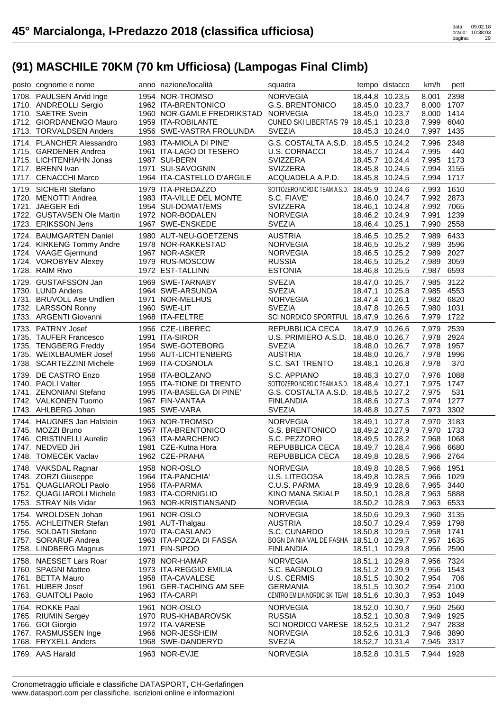| posto cognome e nome                               | anno nazione/località                  | squadra                                       |                 | tempo distacco                     | km/h                     | pett |
|----------------------------------------------------|----------------------------------------|-----------------------------------------------|-----------------|------------------------------------|--------------------------|------|
| 1708. PAULSEN Arvid Inge<br>1710. ANDREOLLI Sergio | 1954 NOR-TROMSO<br>1962 ITA-BRENTONICO | <b>NORVEGIA</b><br><b>G.S. BRENTONICO</b>     |                 | 18.44,8 10.23,5<br>18.45,0 10.23,7 | 8,001 2398<br>8,000 1707 |      |
| 1710. SAETRE Svein                                 | 1960 NOR-GAMLE FREDRIKSTAD NORVEGIA    |                                               |                 | 18.45,0 10.23,7                    | 8,000 1414               |      |
| 1712. GIORDANENGO Mauro                            | 1959 ITA-ROBILANTE                     | CUNEO SKI LIBERTAS '79 18.45,1 10.23,8        |                 |                                    | 7,999 6040               |      |
| 1713. TORVALDSEN Anders                            | 1956 SWE-VASTRA FROLUNDA               | <b>SVEZIA</b>                                 |                 | 18.45,3 10.24,0                    | 7,997 1435               |      |
| 1714. PLANCHER Alessandro                          | 1983 ITA-MIOLA DI PINE'                | G.S. COSTALTA A.S.D. 18.45,5 10.24,2          |                 |                                    | 7,996 2348               |      |
| 1715. GARDENER Andrea                              | 1961 ITA-LAGO DI TESERO                | <b>U.S. CORNACCI</b>                          |                 | 18.45,7 10.24,4                    | 7,995                    | 440  |
| 1715. LICHTENHAHN Jonas                            | 1987 SUI-BERN                          | SVIZZERA                                      |                 | 18.45,7 10.24,4                    | 7,995 1173               |      |
| 1717. BRENN Ivan                                   | 1971 SUI-SAVOGNIN                      | SVIZZERA                                      |                 | 18.45,8 10.24,5                    | 7,994 3155               |      |
| 1717. CENACCHI Marco                               | 1964 ITA-CASTELLO D'ARGILE             | ACQUADELA A.P.D.                              |                 | 18.45,8 10.24,5                    | 7,994 1717               |      |
| 1719. SICHERI Stefano                              | 1979 ITA-PREDAZZO                      | SOTTOZERO NORDIC TEAM A.S.D. 18.45,9 10.24,6  |                 |                                    | 7,993 1610               |      |
| 1720. MENOTTI Andrea                               | 1983 ITA-VILLE DEL MONTE               | S.C. FIAVE'                                   |                 | 18.46,0 10.24,7                    | 7,992 2873               |      |
| 1721. JAEGER Edi                                   | 1954 SUI-DOMAT/EMS                     | SVIZZERA                                      |                 | 18.46,1 10.24,8                    | 7,992 7065               |      |
| 1722. GUSTAVSEN Ole Martin                         | 1972 NOR-BODALEN                       | <b>NORVEGIA</b><br><b>SVEZIA</b>              |                 | 18.46,2 10.24,9                    | 7,991                    | 1239 |
| 1723. ERIKSSON Jens                                | 1967 SWE-ENSKEDE                       |                                               | 18.46,4 10.25,1 |                                    | 7,990 2558               |      |
| 1724. BAUMGARTEN Daniel                            | 1980 AUT-NEU-GOETZENS                  | <b>AUSTRIA</b>                                |                 | 18.46,5 10.25,2                    | 7,989 6433               |      |
| 1724. KIRKENG Tommy Andre<br>1724. VAAGE Gjermund  | 1978 NOR-RAKKESTAD<br>1967 NOR-ASKER   | <b>NORVEGIA</b>                               |                 | 18.46,5 10.25,2                    | 7,989 3596<br>7,989 2027 |      |
| 1724. VOROBYEV Alexey                              | 1979 RUS-MOSCOW                        | <b>NORVEGIA</b><br><b>RUSSIA</b>              |                 | 18.46,5 10.25,2<br>18.46,5 10.25,2 | 7,989                    | 3059 |
| 1728. RAIM Rivo                                    | 1972 EST-TALLINN                       | <b>ESTONIA</b>                                |                 | 18.46,8 10.25,5                    | 7,987                    | 6593 |
|                                                    |                                        |                                               |                 |                                    |                          |      |
| 1729. GUSTAFSSON Jan<br>1730. LUND Anders          | 1969 SWE-TARNABY<br>1964 SWE-ARSUNDA   | <b>SVEZIA</b><br><b>SVEZIA</b>                |                 | 18.47,0 10.25,7<br>18.47,1 10.25,8 | 7,985 3122<br>7,985 4553 |      |
| 1731. BRUVOLL Ase Undlien                          | 1971 NOR-MELHUS                        | NORVEGIA                                      |                 | 18.47,4 10.26,1                    | 7,982 6820               |      |
| 1732. LARSSON Ronny                                | 1960 SWE-LIT                           | <b>SVEZIA</b>                                 |                 | 18.47,8 10.26,5                    | 7,980 1031               |      |
| 1733. ARGENTI Giovanni                             | 1968 ITA-FELTRE                        | SCI NORDICO SPORTFUL 18.47,9 10.26,6          |                 |                                    | 7,979 1722               |      |
| 1733. PATRNY Josef                                 | 1956 CZE-LIBEREC                       | REPUBBLICA CECA                               |                 | 18.47,9 10.26,6                    | 7,979 2539               |      |
| 1735. TAUFER Francesco                             | 1991 ITA-SIROR                         | U.S. PRIMIERO A.S.D. 18.48,0 10.26,7          |                 |                                    | 7,978 2924               |      |
| 1735. TENGBERG Freddy                              | 1954 SWE-GOTEBORG                      | <b>SVEZIA</b>                                 |                 | 18.48,0 10.26,7                    | 7,978 1957               |      |
| 1735. WEIXLBAUMER Josef                            | 1956 AUT-LICHTENBERG                   | <b>AUSTRIA</b>                                |                 | 18.48,0 10.26,7                    | 7,978 1996               |      |
| 1738. SCARTEZZINI Michele                          | 1969 ITA-COGNOLA                       | S.C. SAT TRENTO                               | 18.48,1 10.26,8 |                                    | 7,978                    | 370  |
| 1739. DE CASTRO Enzo                               | 1958 ITA-BOLZANO                       | S.C. APPIANO                                  |                 | 18.48,3 10.27,0                    | 7,976                    | 1088 |
| 1740. PAOLI Valter                                 | 1955 ITA-TIONE DI TRENTO               | SOTTOZERO NORDIC TEAM A.S.D. 18.48,4 10.27,1  |                 |                                    | 7,975 1747               |      |
| 1741. ZENONIANI Stefano                            | 1995 ITA-BASELGA DI PINE'              | G.S. COSTALTA A.S.D. 18.48,5 10.27,2          |                 |                                    | 7,975                    | 531  |
| 1742. VALKONEN Tuomo                               | 1967 FIN-VANTAA                        | <b>FINLANDIA</b>                              |                 | 18.48,6 10.27,3                    | 7,974 1277               |      |
| 1743. AHLBERG Johan                                | 1985 SWE-VARA                          | <b>SVEZIA</b>                                 |                 | 18.48,8 10.27,5                    | 7,973 3302               |      |
| 1744. HAUGNES Jan Halstein                         | 1963 NOR-TROMSO                        | NORVEGIA                                      |                 | 18.49,1 10.27,8                    | 7,970 3183               |      |
| 1745. MOZZI Bruno                                  | 1957 ITA-BRENTONICO                    | <b>G.S. BRENTONICO</b>                        |                 | 18.49,2 10.27,9                    | 7,970 1733               |      |
| 1746. CRISTINELLI Aurelio                          | 1963 ITA-MARCHENO                      | S.C. PEZZORO                                  |                 | 18.49,5 10.28,2                    | 7,968                    | 1068 |
| 1747. NEDVED Jiri<br>1748. TOMECEK Vaclav          | 1981 CZE-Kutna Hora                    | REPUBBLICA CECA                               |                 | 18.49,7 10.28,4                    | 7,966 6680               |      |
|                                                    | 1962 CZE-PRAHA                         | REPUBBLICA CECA                               | 18.49,8 10.28,5 |                                    | 7,966 2764               |      |
| 1748. VAKSDAL Ragnar                               | 1958 NOR-OSLO                          | <b>NORVEGIA</b>                               |                 | 18.49,8 10.28,5                    | 7,966 1951               |      |
| 1748. ZORZI Giuseppe<br>1751. QUAGLIAROLI Paolo    | 1964 ITA-PANCHIA'                      | U.S. LITEGOSA                                 |                 | 18.49,8 10.28,5                    | 7,966 1029               |      |
| 1752. QUAGLIAROLI Michele                          | 1956 ITA-PARMA<br>1983 ITA-CORNIGLIO   | C.U.S. PARMA<br>KINO MANA SKIALP              |                 | 18.49,9 10.28,6<br>18.50,1 10.28,8 | 7,965 3440<br>7,963 5888 |      |
| 1753. STRAY Nils Vidar                             | 1963 NOR-KRISTIANSAND                  | <b>NORVEGIA</b>                               | 18.50,2 10.28,9 |                                    | 7,963 6533               |      |
| 1754. WROLDSEN Johan                               | 1961 NOR-OSLO                          | <b>NORVEGIA</b>                               | 18.50,6 10.29,3 |                                    | 7,960                    | 3135 |
| 1755. ACHLEITNER Stefan                            | 1981 AUT-Thalgau                       | <b>AUSTRIA</b>                                |                 | 18.50,7 10.29,4                    | 7,959                    | 1798 |
| 1756. SOLDATI Stefano                              | 1970 ITA-CASLANO                       | S.C. CUNARDO                                  |                 | 18.50,8 10.29,5                    | 7,958 1741               |      |
| 1757. SORARUF Andrea                               | 1963 ITA-POZZA DI FASSA                | BOGN DA NIA VAL DE FASHA 18.51,0 10.29,7      |                 |                                    | 7,957 1635               |      |
| 1758. LINDBERG Magnus                              | 1971 FIN-SIPOO                         | <b>FINLANDIA</b>                              | 18.51,1 10.29,8 |                                    | 7,956                    | 2590 |
| 1758. NAESSET Lars Roar                            | 1978 NOR-HAMAR                         | <b>NORVEGIA</b>                               |                 | 18.51,1 10.29,8                    | 7,956                    | 7324 |
| 1760. SPAGNI Matteo                                | 1973 ITA-REGGIO EMILIA                 | S.C. BAGNOLO                                  |                 | 18.51,2 10.29,9                    | 7,956 1543               |      |
| 1761. BETTA Mauro                                  | 1958 ITA-CAVALESE                      | U.S. CERMIS                                   |                 | 18.51,5 10.30,2                    | 7,954                    | 706  |
| 1761. HUBER Josef                                  | 1961 GER-TACHING AM SEE                | <b>GERMANIA</b>                               |                 | 18.51,5 10.30,2                    | 7,954 2100               |      |
| 1763. GUAITOLI Paolo                               | 1963 ITA-CARPI                         | CENTRO EMILIA NORDIC SKI TEAM 18.51,6 10.30,3 |                 |                                    | 7,953                    | 1049 |
| 1764. ROKKE Paal                                   | 1961 NOR-OSLO                          | <b>NORVEGIA</b>                               |                 | 18.52,0 10.30,7                    | 7,950                    | 2560 |
| 1765. RIUMIN Sergey                                | 1970 RUS-KHABAROVSK                    | <b>RUSSIA</b>                                 | 18.52,1 10.30,8 |                                    | 7,949                    | 1925 |
| 1766. GOI Giorgio                                  | 1972 ITA-VARESE                        | SCI NORDICO VARESE 18.52,5 10.31,2            |                 |                                    | 7,947                    | 2838 |
| 1767. RASMUSSEN Inge                               | 1966 NOR-JESSHEIM                      | <b>NORVEGIA</b>                               |                 | 18.52,6 10.31,3                    | 7,946                    | 3890 |
| 1768. FRYXELL Anders                               | 1968 SWE-DANDERYD                      | <b>SVEZIA</b>                                 |                 | 18.52,7 10.31,4                    | 7,945                    | 3317 |
| 1769. AAS Harald                                   | 1963 NOR-EVJE                          | <b>NORVEGIA</b>                               |                 | 18.52,8 10.31,5                    | 7,944 1928               |      |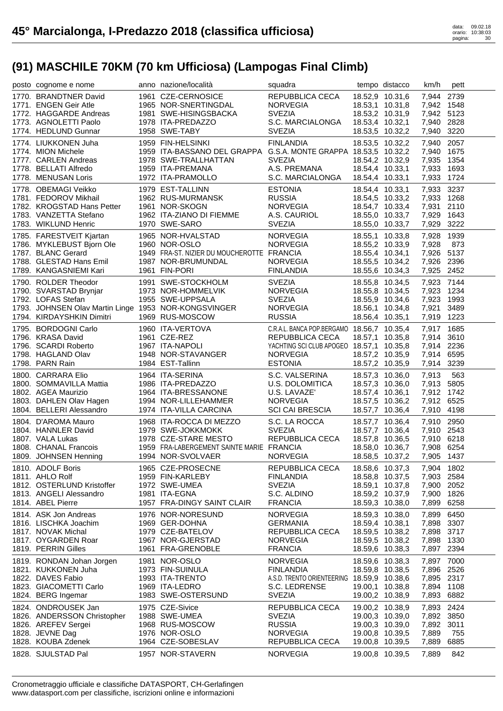| posto cognome e nome                                                              | anno nazione/località                                           | squadra                                                     |                                    | tempo distacco  | km/h                     | pett        |
|-----------------------------------------------------------------------------------|-----------------------------------------------------------------|-------------------------------------------------------------|------------------------------------|-----------------|--------------------------|-------------|
| 1770. BRANDTNER David                                                             | 1961 CZE-CERNOSICE                                              | REPUBBLICA CECA                                             | 18.52,9 10.31,6                    |                 | 7,944 2739               |             |
| 1771. ENGEN Geir Atle                                                             | 1965 NOR-SNERTINGDAL                                            | <b>NORVEGIA</b>                                             | 18.53,1 10.31,8                    |                 | 7,942 1548               |             |
| 1772. HAGGARDE Andreas                                                            | 1981 SWE-HISINGSBACKA                                           | <b>SVEZIA</b>                                               | 18.53,2 10.31,9                    |                 | 7,942 5123               |             |
| 1773. AGNOLETTI Paolo                                                             | 1978 ITA-PREDAZZO                                               | S.C. MARCIALONGA                                            | 18.53,4 10.32,1                    |                 | 7,940 2828               |             |
| 1774. HEDLUND Gunnar                                                              | 1958 SWE-TABY                                                   | <b>SVEZIA</b>                                               | 18.53,5 10.32,2                    |                 | 7,940 3220               |             |
| 1774. LIUKKONEN Juha                                                              | 1959 FIN-HELSINKI                                               | <b>FINLANDIA</b>                                            | 18.53,5 10.32,2                    |                 | 7,940                    | 2057        |
| 1774. MION Michele                                                                | 1959 ITA-BASSANO DEL GRAPPA G.S.A. MONTE GRAPPA 18.53,5 10.32,2 |                                                             |                                    |                 | 7,940 1675               |             |
| 1777. CARLEN Andreas<br>1778. BELLATI Alfredo                                     | 1978 SWE-TRALLHATTAN                                            | <b>SVEZIA</b>                                               | 18.54,2 10.32,9                    |                 | 7,935 1354               |             |
| 1778. MENUSAN Loris                                                               | 1959 ITA-PREMANA<br>1972 ITA-PRAMOLLO                           | A.S. PREMANA<br>S.C. MARCIALONGA                            | 18.54,4 10.33,1<br>18.54,4 10.33,1 |                 | 7,933<br>7,933 1724      | 1693        |
| 1778. OBEMAGI Veikko                                                              | 1979 EST-TALLINN                                                | <b>ESTONIA</b>                                              | 18.54,4 10.33,1                    |                 | 7,933 3237               |             |
| 1781. FEDOROV Mikhail                                                             | 1962 RUS-MURMANSK                                               | <b>RUSSIA</b>                                               |                                    | 18.54,5 10.33,2 | 7,933 1268               |             |
| 1782. KROGSTAD Hans Petter                                                        | 1961 NOR-SKOGN                                                  | <b>NORVEGIA</b>                                             |                                    | 18.54,7 10.33,4 | 7,931 2110               |             |
| 1783. VANZETTA Stefano                                                            | 1962 ITA-ZIANO DI FIEMME                                        | A.S. CAURIOL                                                |                                    | 18.55,0 10.33,7 | 7,929 1643               |             |
| 1783. WIKLUND Henric                                                              | 1970 SWE-SARO                                                   | <b>SVEZIA</b>                                               | 18.55,0 10.33,7                    |                 | 7,929 3222               |             |
| 1785. FARESTVEIT Kjartan                                                          | 1965 NOR-HVALSTAD<br>1960 NOR-OSLO                              | <b>NORVEGIA</b>                                             | 18.55,1 10.33,8                    |                 | 7,928                    | 1939        |
| 1786. MYKLEBUST Bjorn Ole                                                         | 1960 NOR-OSLO                                                   | <b>NORVEGIA</b>                                             | 18.55,2 10.33,9                    |                 | 7,928                    | 873         |
| 1787. BLANC Gerard                                                                | 1949 FRA-ST. NIZIER DU MOUCHEROTTE FRANCIA                      |                                                             | 18.55,4 10.34,1                    |                 | 7,926 5137               |             |
| 1788. GLESTAD Hans Emil                                                           | 1987 NOR-BRUMUNDAL                                              | <b>NORVEGIA</b>                                             | 18.55,5 10.34,2                    |                 | 7,926 2396               |             |
| 1789. KANGASNIEMI Kari                                                            | 1961 FIN-PORI                                                   | <b>FINLANDIA</b>                                            | 18.55,6 10.34,3                    |                 | 7,925 2452               |             |
| 1790. ROLDER Theodor                                                              | 1991 SWE-STOCKHOLM                                              | <b>SVEZIA</b>                                               | 18.55,8 10.34,5                    |                 | 7,923 7144               |             |
| 1790. SVARSTAD Brynjar                                                            | 1973 NOR-HOMMELVIK                                              | <b>NORVEGIA</b>                                             | 18.55,8 10.34,5                    |                 | 7,923 1234               |             |
| 1792. LOFAS Stefan                                                                | 1955 SWE-UPPSALA                                                | <b>SVEZIA</b>                                               | 18.55,9 10.34,6                    |                 | 7,923 1993               |             |
| 1793. JOHNSEN Olav Martin Linge 1953 NOR-KONGSVINGER<br>1794. KIRDAYSHKIN Dimitri | 1969 RUS-MOSCOW                                                 | <b>NORVEGIA</b><br><b>RUSSIA</b>                            |                                    | 18.56,1 10.34,8 | 7,921<br>7,919 1223      | 3489        |
|                                                                                   |                                                                 |                                                             | 18.56,4 10.35,1                    |                 |                          |             |
| 1795. BORDOGNI Carlo                                                              | 1960 ITA-VERTOVA                                                | C.R.A.L. BANCA POP.BERGAMO 18.56,7 10.35,4                  |                                    |                 | 7,917 1685               |             |
| 1796. KRASA David                                                                 | 1961 CZE-REZ                                                    | REPUBBLICA CECA                                             | 18.57,1 10.35,8                    |                 | 7,914 3610               |             |
| 1796. SCARDI Roberto<br>1798. HAGLAND Olav                                        | 1967 ITA-NAPOLI<br>1948 NOR-STAVANGER                           | YACHTING SCI CLUB APOGEO 18.57,1 10.35,8<br><b>NORVEGIA</b> | 18.57,2 10.35,9                    |                 | 7,914 2236<br>7,914 6595 |             |
| 1798. PARN Rain                                                                   | 1984 EST-Tallinn                                                | <b>ESTONIA</b>                                              | 18.57,2 10.35,9                    |                 | 7,914 3239               |             |
|                                                                                   |                                                                 |                                                             |                                    |                 |                          |             |
|                                                                                   |                                                                 |                                                             |                                    |                 |                          |             |
| 1800. CARRARA Elio                                                                | 1964 ITA-SERINA                                                 | S.C. VALSERINA                                              |                                    | 18.57,3 10.36,0 | 7,913                    | 563         |
| 1800. SOMMAVILLA Mattia                                                           | 1986 ITA-PREDAZZO                                               | U.S. DOLOMITICA                                             | 18.57,3 10.36,0                    |                 | 7,913 5805               |             |
| 1802. AGEA Maurizio                                                               | 1964 ITA-BRESSANONE                                             | U.S. LAVAZE'                                                | 18.57,4 10.36,1                    |                 | 7,912 1742               |             |
| 1803. DAHLEN Olav Hagen<br>1804. BELLERI Alessandro                               | 1994 NOR-LILLEHAMMER<br>1974 ITA-VILLA CARCINA                  | <b>NORVEGIA</b><br><b>SCI CAI BRESCIA</b>                   | 18.57,5 10.36,2<br>18.57,7 10.36,4 |                 | 7,912 6525<br>7,910 4198 |             |
| 1804. D'AROMA Mauro                                                               | 1968 ITA-ROCCA DI MEZZO                                         | S.C. LA ROCCA                                               |                                    | 18.57,7 10.36,4 |                          |             |
| 1804. HANNLER David                                                               | 1979 SWE-JOKKMOKK                                               | <b>SVEZIA</b>                                               |                                    | 18.57,7 10.36,4 | 7,910 2950<br>7,910 2543 |             |
| 1807. VALA Lukas                                                                  | 1978 CZE-STARE MESTO                                            | REPUBBLICA CECA                                             |                                    | 18.57,8 10.36,5 | 7,910 6218               |             |
| 1808. CHANAL Francois                                                             | 1959 FRA-LABERGEMENT SAINTE MARIE FRANCIA                       |                                                             | 18.58,0 10.36,7                    |                 | 7,908 6254               |             |
| 1809. JOHNSEN Henning                                                             | 1994 NOR-SVOLVAER                                               | <b>NORVEGIA</b>                                             |                                    | 18.58,5 10.37,2 | 7,905 1437               |             |
| 1810. ADOLF Boris                                                                 | 1965 CZE-PROSECNE                                               | REPUBBLICA CECA                                             | 18.58,6 10.37,3                    |                 | 7,904 1802               |             |
| 1811. AHLO Rolf                                                                   | 1959 FIN-KARLEBY                                                | <b>FINLANDIA</b>                                            | 18.58,8 10.37,5                    |                 | 7,903 2584               |             |
| 1812. OSTERLUND Kristoffer                                                        | 1972 SWE-UMEA                                                   | <b>SVEZIA</b>                                               | 18.59,1 10.37,8                    |                 | 7,900 2052               |             |
| 1813. ANGELI Alessandro                                                           | 1981 ITA-EGNA                                                   | S.C. ALDINO                                                 | 18.59,2 10.37,9                    |                 | 7,900 1826               |             |
| 1814. ABEL Pierre                                                                 | 1957 FRA-DINGY SAINT CLAIR                                      | <b>FRANCIA</b>                                              | 18.59,3 10.38,0                    |                 | 7,899 6258               |             |
| 1814. ASK Jon Andreas                                                             | 1976 NOR-NORESUND                                               | <b>NORVEGIA</b>                                             | 18.59,3 10.38,0                    |                 | 7,899                    | 6450        |
| 1816. LISCHKA Joachim                                                             | 1969 GER-DOHNA                                                  | <b>GERMANIA</b>                                             | 18.59,4 10.38,1                    |                 | 7,898                    | 3307        |
| 1817. NOVAK Michal                                                                | 1979 CZE-BATELOV                                                | REPUBBLICA CECA                                             | 18.59,5 10.38,2                    |                 | 7,898 3717               |             |
| 1817. OYGARDEN Roar                                                               | 1967 NOR-GJERSTAD                                               | <b>NORVEGIA</b>                                             | 18.59,5 10.38,2<br>18.59,6 10.38,3 |                 | 7,898 1330               |             |
| 1819. PERRIN Gilles                                                               | 1961 FRA-GRENOBLE                                               | <b>FRANCIA</b>                                              |                                    |                 | 7,897 2394               |             |
| 1819. RONDAN Johan Jorgen<br>1821. KUKKONEN Juha                                  | 1981 NOR-OSLO<br>1973 FIN-SUINULA                               | <b>NORVEGIA</b><br><b>FINLANDIA</b>                         | 18.59,8 10.38,5                    | 18.59,6 10.38,3 | 7,897 7000<br>7,896 2526 |             |
| 1822. DAVES Fabio                                                                 | 1993 ITA-TRENTO                                                 | A.S.D. TRENTO ORIENTEERING 18.59,9 10.38,6                  |                                    |                 | 7,895 2317               |             |
| 1823. GIACOMETTI Carlo                                                            | 1969 ITA-LEDRO                                                  | S.C. LEDRENSE                                               |                                    | 19.00,1 10.38,8 | 7,894 1108               |             |
| 1824. BERG Ingemar                                                                | 1983 SWE-OSTERSUND                                              | <b>SVEZIA</b>                                               | 19.00,2 10.38,9                    |                 | 7,893 6882               |             |
| 1824. ONDROUSEK Jan                                                               | 1975 CZE-Sivice                                                 | REPUBBLICA CECA                                             | 19.00,2 10.38,9                    |                 | 7,893 2424               |             |
| 1826. ANDERSSON Christopher                                                       | 1988 SWE-UMEA                                                   | <b>SVEZIA</b>                                               | 19.00,3 10.39,0                    |                 | 7,892 3850               |             |
| 1826. AREFEV Sergei                                                               | 1968 RUS-MOSCOW                                                 | <b>RUSSIA</b>                                               | 19.00,3 10.39,0                    |                 | 7,892 3011               |             |
| 1828. JEVNE Dag                                                                   | 1976 NOR-OSLO                                                   | <b>NORVEGIA</b>                                             | 19.00,8 10.39,5                    |                 | 7,889                    | 755         |
| 1828. KOUBA Zdenek<br>1828. SJULSTAD Pal                                          | 1964 CZE-SOBESLAV<br>1957 NOR-STAVERN                           | REPUBBLICA CECA<br><b>NORVEGIA</b>                          | 19.00,8 10.39,5                    | 19.00,8 10.39,5 | 7,889<br>7,889           | 6885<br>842 |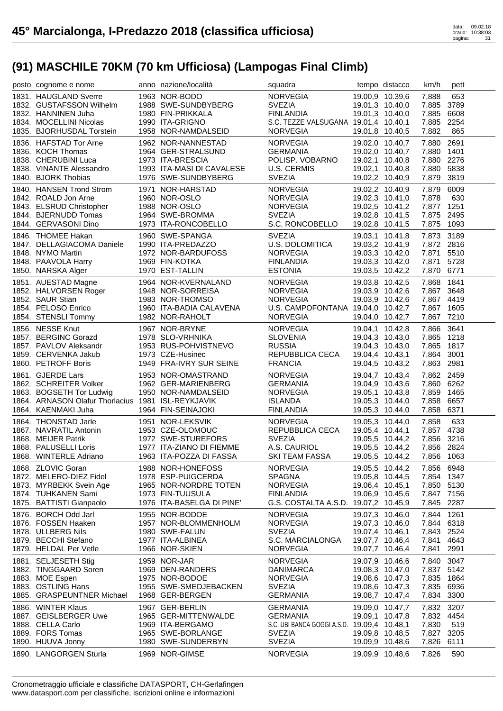| 1963 NOR-BODO<br><b>NORVEGIA</b><br>19.00,9 10.39,6<br>1831. HAUGLAND Sverre<br>7,888<br>1988 SWE-SUNDBYBERG<br><b>SVEZIA</b><br>1832. GUSTAFSSON Wilhelm<br>19.01,3 10.40,0<br><b>FINLANDIA</b><br>7,885<br>1832. HANNINEN Juha<br>1980 FIN-PRIKKALA<br>19.01,3 10.40,0<br>1834. MOCELLINI Nicolas<br>S.C. TEZZE VALSUGANA 19.01,4 10.40,1<br>1990 ITA-GRIGNO<br>1835. BJORHUSDAL Torstein<br>1958 NOR-NAMDALSEID<br><b>NORVEGIA</b><br>19.01,8 10.40,5<br>7,882<br>1836. HAFSTAD Tor Arne<br>1962 NOR-NANNESTAD<br><b>NORVEGIA</b><br>19.02,0 10.40,7<br>7,880<br>1836. KOCH Thomas<br>1964 GER-STRALSUND<br>GERMANIA<br>19.02,0 10.40,7<br>7,880<br>POLISP. VOBARNO<br>1838. CHERUBINI Luca<br>1973 ITA-BRESCIA<br>19.02,1 10.40,8<br>1993 ITA-MASI DI CAVALESE<br>1838. VINANTE Alessandro<br>U.S. CERMIS<br>19.02,1 10.40,8<br>1840. BJORK Thobias<br><b>SVEZIA</b><br>1976 SWE-SUNDBYBERG<br>19.02,2 10.40,9<br>1840. HANSEN Trond Strom<br>1971 NOR-HARSTAD<br>19.02,2 10.40,9<br><b>NORVEGIA</b><br>7,879<br>1842. ROALD Jon Arne<br>1960 NOR-OSLO<br><b>NORVEGIA</b><br>19.02,3 10.41,0<br>7,878<br>1988 NOR-OSLO<br>1843. ELSRUD Christopher<br><b>NORVEGIA</b><br>19.02,5 10.41,2<br>1844. BJERNUDD Tomas<br>1964 SWE-BROMMA<br><b>SVEZIA</b><br>7,875<br>19.02,8 10.41,5<br>1844. GERVASONI Dino<br>1973 ITA-RONCOBELLO<br>S.C. RONCOBELLO<br>19.02,8 10.41,5<br>7,875<br><b>SVEZIA</b><br>1846. THOMEE Hakan<br>1960 SWE-SPANGA<br>19.03,1 10.41,8<br>1990 ITA-PREDAZZO<br>U.S. DOLOMITICA<br>1847. DELLAGIACOMA Daniele<br>19.03,2 10.41,9<br>1848. NYMO Martin<br>1972 NOR-BARDUFOSS<br><b>NORVEGIA</b><br>19.03,3 10.42,0<br>7,871<br>1848. PAAVOLA Harry<br>1969 FIN-KOTKA<br><b>FINLANDIA</b><br>19.03,3 10.42,0<br>7,871<br>1970 EST-TALLIN<br><b>ESTONIA</b><br>1850. NARSKA Alger<br>19.03,5 10.42,2 | 653<br>7,885 3789<br>6608<br>7,885 2254<br>865<br>2691<br>1401<br>7,880 2276<br>7,880 5838<br>7,879 3819<br>6009<br>630<br>7,877 1251<br>2495<br>1093<br>7,873 3189<br>7,872 2816<br>5510<br>5728<br>7,870 6771<br>1841 |
|---------------------------------------------------------------------------------------------------------------------------------------------------------------------------------------------------------------------------------------------------------------------------------------------------------------------------------------------------------------------------------------------------------------------------------------------------------------------------------------------------------------------------------------------------------------------------------------------------------------------------------------------------------------------------------------------------------------------------------------------------------------------------------------------------------------------------------------------------------------------------------------------------------------------------------------------------------------------------------------------------------------------------------------------------------------------------------------------------------------------------------------------------------------------------------------------------------------------------------------------------------------------------------------------------------------------------------------------------------------------------------------------------------------------------------------------------------------------------------------------------------------------------------------------------------------------------------------------------------------------------------------------------------------------------------------------------------------------------------------------------------------------------------------------------------------------------|-------------------------------------------------------------------------------------------------------------------------------------------------------------------------------------------------------------------------|
|                                                                                                                                                                                                                                                                                                                                                                                                                                                                                                                                                                                                                                                                                                                                                                                                                                                                                                                                                                                                                                                                                                                                                                                                                                                                                                                                                                                                                                                                                                                                                                                                                                                                                                                                                                                                                           |                                                                                                                                                                                                                         |
|                                                                                                                                                                                                                                                                                                                                                                                                                                                                                                                                                                                                                                                                                                                                                                                                                                                                                                                                                                                                                                                                                                                                                                                                                                                                                                                                                                                                                                                                                                                                                                                                                                                                                                                                                                                                                           |                                                                                                                                                                                                                         |
|                                                                                                                                                                                                                                                                                                                                                                                                                                                                                                                                                                                                                                                                                                                                                                                                                                                                                                                                                                                                                                                                                                                                                                                                                                                                                                                                                                                                                                                                                                                                                                                                                                                                                                                                                                                                                           |                                                                                                                                                                                                                         |
|                                                                                                                                                                                                                                                                                                                                                                                                                                                                                                                                                                                                                                                                                                                                                                                                                                                                                                                                                                                                                                                                                                                                                                                                                                                                                                                                                                                                                                                                                                                                                                                                                                                                                                                                                                                                                           |                                                                                                                                                                                                                         |
| 1851. AUESTAD Magne<br>1964 NOR-KVERNALAND<br><b>NORVEGIA</b><br>19.03,8 10.42,5<br>7,868<br>1852. HALVORSEN Roger<br><b>NORVEGIA</b><br>19.03,9 10.42,6<br>1948 NOR-SORREISA<br>7,867<br>1852. SAUR Stian<br>1983 NOR-TROMSO<br><b>NORVEGIA</b><br>19.03,9 10.42,6<br>1960 ITA-BADIA CALAVENA<br>U.S. CAMPOFONTANA 19.04,0 10.42,7<br>1854. PELOSO Enrico<br>1982 NOR-RAHOLT<br>1854. STENSLI Tommy<br><b>NORVEGIA</b><br>19.04,0 10.42,7                                                                                                                                                                                                                                                                                                                                                                                                                                                                                                                                                                                                                                                                                                                                                                                                                                                                                                                                                                                                                                                                                                                                                                                                                                                                                                                                                                                | 3648<br>7.867 4419<br>7,867 1605<br>7,867 7210                                                                                                                                                                          |
| 1856. NESSE Knut<br>1967 NOR-BRYNE<br><b>NORVEGIA</b><br>19.04,1 10.42,8<br>1857. BERGINC Gorazd<br>1978 SLO-VRHNIKA<br><b>SLOVENIA</b><br>19.04,3 10.43,0<br>1857. PAVLOV Aleksandr<br>1953 RUS-POHVISTNEVO<br><b>RUSSIA</b><br>19.04,3 10.43,0<br>7,865<br>1859. CERVENKA Jakub<br>1973 CZE-Husinec<br>REPUBBLICA CECA<br>7,864<br>19.04,4 10.43,1<br>1860. PETROFF Boris<br>1949 FRA-IVRY SUR SEINE<br><b>FRANCIA</b><br>19.04,5 10.43,2                                                                                                                                                                                                                                                                                                                                                                                                                                                                                                                                                                                                                                                                                                                                                                                                                                                                                                                                                                                                                                                                                                                                                                                                                                                                                                                                                                               | 7,866 3641<br>7,865 1218<br>1817<br>3001<br>7,863 2981                                                                                                                                                                  |
| 1861. GJERDE Lars<br>1953 NOR-OMASTRAND<br><b>NORVEGIA</b><br>19.04,7 10.43,4<br>1862. SCHREITER Volker<br>1962 GER-MARIENBERG<br><b>GERMANIA</b><br>19.04,9 10.43,6<br>1863. BOGSETH Tor Ludwig<br>1950 NOR-NAMDALSEID<br><b>NORVEGIA</b><br>19.05,1 10.43,8<br>7,859<br>1864. ARNASON Olafur Thorlacius 1981 ISL-REYKJAVIK<br>7,858<br><b>ISLANDA</b><br>19.05,3 10.44,0<br>1864. KAENMAKI Juha<br>1964 FIN-SEINAJOKI<br><b>FINLANDIA</b><br>19.05,3 10.44,0                                                                                                                                                                                                                                                                                                                                                                                                                                                                                                                                                                                                                                                                                                                                                                                                                                                                                                                                                                                                                                                                                                                                                                                                                                                                                                                                                            | 7,862 2459<br>7,860 6262<br>1465<br>6657<br>7,858 6371                                                                                                                                                                  |
| 1864. THONSTAD Jarle<br>1951 NOR-LEKSVIK<br><b>NORVEGIA</b><br>19.05,3 10.44,0<br>7,858<br>REPUBBLICA CECA<br>1867. NAVRATIL Antonin<br>1953 CZE-OLOMOUC<br>19.05,4 10.44,1<br>1972 SWE-STUREFORS<br><b>SVEZIA</b><br>1868. MEIJER Patrik<br>19.05,5 10.44,2<br>1868. PALUSELLI Loris<br>1977 ITA-ZIANO DI FIEMME<br>A.S. CAURIOL<br>19.05,5 10.44,2<br>1868. WINTERLE Adriano<br>1963 ITA-POZZA DI FASSA<br>SKI TEAM FASSA<br>19.05,5 10.44,2                                                                                                                                                                                                                                                                                                                                                                                                                                                                                                                                                                                                                                                                                                                                                                                                                                                                                                                                                                                                                                                                                                                                                                                                                                                                                                                                                                            | 633<br>7,857 4738<br>7,856 3216<br>7,856 2824<br>7,856 1063                                                                                                                                                             |
| 1868. ZLOVIC Goran<br>1988 NOR-HONEFOSS<br><b>NORVEGIA</b><br>19.05,5 10.44,2<br>1872. MELERO-DIEZ Fidel<br>1978 ESP-PUIGCERDA<br><b>SPAGNA</b><br>19.05,8 10.44,5<br>1873. MYRBEKK Svein Age<br>1965 NOR-NORDRE TOTEN<br><b>NORVEGIA</b><br>19.06,4 10.45,1<br>1874. TUHKANEN Sami<br>1973 FIN-TUUSULA<br><b>FINLANDIA</b><br>19.06,9 10.45,6<br>G.S. COSTALTA A.S.D. 19.07,2 10.45,9<br>1875. BATTISTI Gianpaolo<br>1976 ITA-BASELGA DI PINE'                                                                                                                                                                                                                                                                                                                                                                                                                                                                                                                                                                                                                                                                                                                                                                                                                                                                                                                                                                                                                                                                                                                                                                                                                                                                                                                                                                           | 7,856 6948<br>7,854 1347<br>7,850 5130<br>7,847 7156<br>7,845 2287                                                                                                                                                      |
| 1876. BORCH Odd Jarl<br>1955 NOR-BODOE<br><b>NORVEGIA</b><br>19.07,3 10.46,0<br>7,844<br>1876. FOSSEN Haaken<br>1957 NOR-BLOMMENHOLM<br><b>NORVEGIA</b><br>19.07,3 10.46,0<br>7.844<br>1878. ULLBERG Nils<br>1980 SWE-FALUN<br><b>SVEZIA</b><br>19.07,4 10.46,1<br>1879. BECCHI Stefano<br>1977 ITA-ALBINEA<br>S.C. MARCIALONGA<br>19.07,7 10.46,4<br>7,841<br>1879. HELDAL Per Vetle<br>1966 NOR-SKIEN<br><b>NORVEGIA</b><br>19.07,7 10.46,4<br>7,841                                                                                                                                                                                                                                                                                                                                                                                                                                                                                                                                                                                                                                                                                                                                                                                                                                                                                                                                                                                                                                                                                                                                                                                                                                                                                                                                                                    | 1261<br>6318<br>7,843 2524<br>4643<br>2991                                                                                                                                                                              |
| 1881. SELJESETH Stig<br>1959 NOR-JAR<br><b>NORVEGIA</b><br>19.07,9 10.46,6<br>1882. TINGGAARD Soren<br>1969 DEN-RANDERS<br><b>DANIMARCA</b><br>19.08,3 10.47,0<br>7,837<br>1883. MOE Espen<br>1975 NOR-BODOE<br><b>NORVEGIA</b><br>19.08,6 10.47,3<br>7,835<br>1883. OSTLING Hans<br>1955 SWE-SMEDJEBACKEN<br><b>SVEZIA</b><br>19.08,6 10.47,3<br>7,835<br>1885. GRASPEUNTNER Michael<br>1968 GER-BERGEN<br><b>GERMANIA</b><br>19.08,7 10.47,4<br>7,834                                                                                                                                                                                                                                                                                                                                                                                                                                                                                                                                                                                                                                                                                                                                                                                                                                                                                                                                                                                                                                                                                                                                                                                                                                                                                                                                                                   | 7,840 3047<br>5142<br>1864<br>6936<br>3300                                                                                                                                                                              |
| 1886. WINTER Klaus<br>1967 GER-BERLIN<br><b>GERMANIA</b><br>19.09,0 10.47,7<br>7,832<br>1887. GEISLBERGER Uwe<br>1965 GER-MITTENWALDE<br><b>GERMANIA</b><br>19.09,1 10.47,8<br>1888. CELLA Carlo<br>1969 ITA-BERGAMO<br>S.C. UBI BANCA GOGGI A.S.D. 19.09,4 10.48,1<br>7,830<br>1889. FORS Tomas<br>1965 SWE-BORLANGE<br><b>SVEZIA</b><br>19.09,8 10.48,5<br>7,827<br><b>SVEZIA</b><br>1890. HUUVA Jonny<br>1980 SWE-SUNDERBYN<br>19.09,9 10.48,6<br>7,826<br>1890. LANGORGEN Sturla<br>1969 NOR-GIMSE<br><b>NORVEGIA</b><br>19.09,9 10.48,6<br>7,826                                                                                                                                                                                                                                                                                                                                                                                                                                                                                                                                                                                                                                                                                                                                                                                                                                                                                                                                                                                                                                                                                                                                                                                                                                                                     | 3207<br>7,832 4454<br>519<br>3205<br>6111<br>590                                                                                                                                                                        |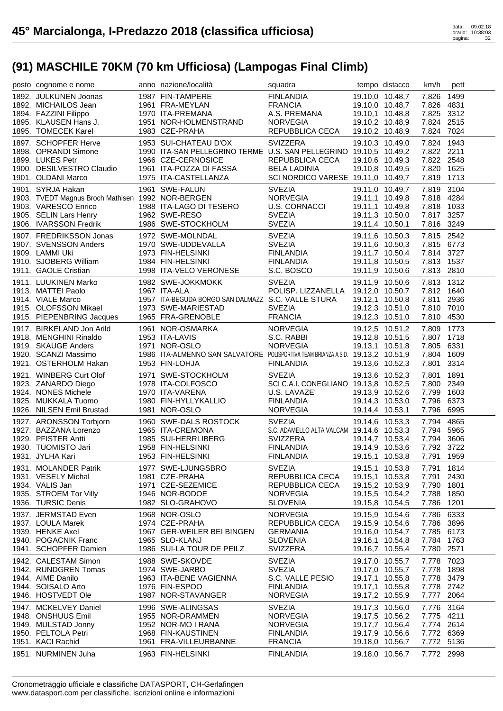| posto cognome e nome                                                                                                                               | anno nazione/località                                                                                                                                               | squadra                                                                                                       |                 | tempo distacco                                                                                                 | km/h                                                                   | pett                         |
|----------------------------------------------------------------------------------------------------------------------------------------------------|---------------------------------------------------------------------------------------------------------------------------------------------------------------------|---------------------------------------------------------------------------------------------------------------|-----------------|----------------------------------------------------------------------------------------------------------------|------------------------------------------------------------------------|------------------------------|
| 1892. JULKUNEN Joonas<br>1892. MICHAILOS Jean<br>1894. FAZZINI Filippo<br>1895. KLAUSEN Hans J.<br>1895. TOMECEK Karel                             | 1987 FIN-TAMPERE<br>1961 FRA-MEYLAN<br>1970 ITA-PREMANA<br>1951 NOR-HOLMENSTRAND<br>1983 CZE-PRAHA                                                                  | <b>FINLANDIA</b><br><b>FRANCIA</b><br>A.S. PREMANA<br><b>NORVEGIA</b><br>REPUBBLICA CECA                      |                 | 19.10,0 10.48,7<br>19.10,0 10.48,7<br>19.10,1 10.48,8<br>19.10,2 10.48,9<br>19.10,2 10.48,9                    | 7.826<br>7,826 4831<br>7,825 3312<br>7,824 2515<br>7,824 7024          | 1499                         |
| 1897. SCHOPFER Herve<br>1898. OPRANDI Simone<br>1899. LUKES Petr<br>1900. DESILVESTRO Claudio<br>1901. OLDANI Marco                                | 1953 SUI-CHATEAU D'OX<br>1990 ITA-SAN PELLEGRINO TERME U.S. SAN PELLEGRINO 19.10,5 10.49,2<br>1966 CZE-CERNOSICE<br>1961 ITA-POZZA DI FASSA<br>1975 ITA-CASTELLANZA | <b>SVIZZERA</b><br>REPUBBLICA CECA<br><b>BELA LADINIA</b><br>SCI NORDICO VARESE 19.11,0 10.49,7               |                 | 19.10,3 10.49,0<br>19.10,6 10.49,3<br>19.10,8 10.49,5                                                          | 7,824 1943<br>7,822 2211<br>7,822 2548<br>7,820 1625<br>7,819 1713     |                              |
| 1901. SYRJA Hakan<br>1903. TVEDT Magnus Broch Mathisen 1992 NOR-BERGEN<br>1903. VARESCO Enrico<br>1905. SELIN Lars Henry<br>1906. IVARSSON Fredrik | 1961 SWE-FALUN<br>1988 ITA-LAGO DI TESERO<br>1962 SWE-RESO<br>1986 SWE-STOCKHOLM                                                                                    | <b>SVEZIA</b><br><b>NORVEGIA</b><br><b>U.S. CORNACCI</b><br><b>SVEZIA</b><br><b>SVEZIA</b>                    | 19.11,4 10.50,1 | 19.11,0 10.49,7<br>19.11,1 10.49,8<br>19.11,1 10.49,8<br>19.11,3 10.50,0                                       | 7,819<br>7,818 4284<br>7,818 1033<br>7,817 3257<br>7,816 3249          | 3104                         |
| 1907. FREDRIKSSON Jonas<br>1907. SVENSSON Anders<br>1909. LAMMI Uki<br>1910. SJOBERG William<br>1911. GAOLE Cristian                               | 1972 SWE-MOLNDAL<br>1970 SWE-UDDEVALLA<br>1973 FIN-HELSINKI<br>1984 FIN-HELSINKI<br>1998 ITA-VELO VERONESE                                                          | <b>SVEZIA</b><br><b>SVEZIA</b><br><b>FINLANDIA</b><br><b>FINLANDIA</b><br>S.C. BOSCO                          |                 | 19.11,6 10.50,3<br>19.11,6 10.50,3<br>19.11,7 10.50,4<br>19.11,8 10.50,5<br>19.11,9 10.50,6                    | 7,815 2542<br>7,815 6773<br>7,814 3727<br>7,813 1537<br>7,813 2810     |                              |
| 1911. LUUKINEN Marko<br>1913. MATTEI Paolo<br>1914. VIALE Marco<br>1915. OLOFSSON Mikael<br>1915. PIEPENBRING Jacques                              | 1982 SWE-JOKKMOKK<br>1967 ITA-ALA<br>1957 ITA-BEGUDA BORGO SAN DALMAZZ S.C. VALLE STURA<br>1973 SWE-MARIESTAD<br>1965 FRA-GRENOBLE                                  | <b>SVEZIA</b><br>POLISP. LIZZANELLA 19.12,0 10.50,7<br><b>SVEZIA</b><br><b>FRANCIA</b>                        |                 | 19.11,9 10.50,6<br>19.12,1 10.50,8<br>19.12,3 10.51,0<br>19.12,3 10.51,0                                       | 7,813 1312<br>7,812 1640<br>7,811 2936<br>7,810 7010<br>7,810 4530     |                              |
| 1917. BIRKELAND Jon Arild<br>1918. MENGHINI Rinaldo<br>1919. SKAUGE Anders<br>1920. SCANZI Massimo<br>1921. OSTERHOLM Hakan                        | 1961 NOR-OSMARKA<br>1953 ITA-LAVIS<br>1971 NOR-OSLO<br>1986 ITA-ALMENNO SAN SALVATORE POLISPORTIVA TEAM BRIANZA A.S.D. 19.13,2 10.51,9<br>1953 FIN-LOHJA            | NORVEGIA<br>S.C. RABBI<br><b>NORVEGIA</b><br><b>FINLANDIA</b>                                                 |                 | 19.12,5 10.51,2<br>19.12,8 10.51,5<br>19.13,1 10.51,8<br>19.13,6 10.52,3                                       | 7,809<br>7,807 1718<br>7,805 6331<br>7,804 1609<br>7,801               | 1773<br>3314                 |
| 1921. WINBERG Curt Olof<br>1923. ZANARDO Diego<br>1924. NONES Michele<br>1925. MUKKALA Tuomo<br>1926. NILSEN Emil Brustad                          | 1971 SWE-STOCKHOLM<br>1978 ITA-COLFOSCO<br>1970 ITA-VARENA<br>1980 FIN-HYLLYKALLIO<br>1981 NOR-OSLO                                                                 | <b>SVEZIA</b><br>SCI C.A.I. CONEGLIANO 19.13,8 10.52,5<br>U.S. LAVAZE'<br><b>FINLANDIA</b><br>NORVEGIA        | 19.14,4 10.53,1 | 19.13,6 10.52,3<br>19.13,9 10.52,6<br>19.14,3 10.53,0                                                          | 7,801<br>7,800 2349<br>7,799<br>7,796 6373<br>7,796 6995               | 1891<br>1603                 |
| 1927. ARONSSON Torbjorn<br>1927. BAZZANA Lorenzo<br>1929. PFISTER Antti<br>1930. TUOMISTO Jari<br>1931. JYLHA Kari                                 | 1960 SWE-DALS ROSTOCK<br>1965 ITA-CREMONA<br>1985 SUI-HERRLIBERG<br>1958 FIN-HELSINKI<br>1953 FIN-HELSINKI                                                          | <b>SVEZIA</b><br>S.C. ADAMELLO ALTA VALCAM 19.14,6 10.53,3<br>SVIZZERA<br><b>FINLANDIA</b><br>FINLANDIA       |                 | 19.14,6 10.53,3<br>19.14,7 10.53,4<br>19.14,9 10.53,6<br>19.15,1 10.53,8                                       | 7,794<br>7,794 5965<br>7,794 3606<br>7,792 3722<br>7,791 1959          | 4865                         |
| 1931. MOLANDER Patrik<br>1931. VESELY Michal<br>1934. VALIS Jan<br>1935. STROEM Tor Villy<br>1936. TURSIC Denis                                    | 1977 SWE-LJUNGSBRO<br>1981 CZE-PRAHA<br>1971 CZE-SEZEMICE<br>1946 NOR-BODOE<br>1982 SLO-GRAHOVO                                                                     | <b>SVEZIA</b><br>REPUBBLICA CECA<br>REPUBBLICA CECA<br><b>NORVEGIA</b><br><b>SLOVENIA</b>                     |                 | 19.15,1 10.53,8<br>19.15,1 10.53,8<br>19.15,2 10.53,9<br>19.15,5 10.54,2<br>19.15,8 10.54,5                    | 7,791 1814<br>7,791<br>7,790<br>7,788<br>7,786                         | 2430<br>1801<br>1850<br>1201 |
| 1937. JERMSTAD Even<br>1937. LOULA Marek<br>1939. HENKE Axel<br>1940. POGACNIK Franc<br>1941. SCHOPFER Damien                                      | 1968 NOR-OSLO<br>1974 CZE-PRAHA<br>1967 GER-WEILER BEI BINGEN<br>1965 SLO-KLANJ<br>1986 SUI-LA TOUR DE PEILZ                                                        | <b>NORVEGIA</b><br>REPUBBLICA CECA<br><b>GERMANIA</b><br><b>SLOVENIA</b><br>SVIZZERA                          | 19.15,9 10.54,6 | 19.15,9 10.54,6<br>19.16,0 10.54,7<br>19.16,1 10.54,8<br>19.16,7 10.55,4                                       | 7,786<br>7,786<br>7,785 6173<br>7,784 1763<br>7,780                    | 6333<br>3896<br>2571         |
| 1942. CALESTAM Simon<br>1942. RUNDGREN Tomas<br>1944. AIME Danilo<br>1944. SOISALO Arto<br>1946. HOSTVEDT Ole                                      | 1988 SWE-SKOVDE<br>1974 SWE-JARBO<br>1963 ITA-BENE VAGIENNA<br>1976 FIN-ESPOO<br>1987 NOR-STAVANGER                                                                 | <b>SVEZIA</b><br><b>SVEZIA</b><br>S.C. VALLE PESIO<br><b>FINLANDIA</b><br><b>NORVEGIA</b>                     |                 | 19.17,0 10.55,7<br>19.17,0 10.55,7<br>19.17,1 10.55,8<br>19.17,1 10.55,8<br>19.17,2 10.55,9                    | 7,778<br>7,778<br>7,778<br>7,778 2742<br>7,777                         | 7023<br>1898<br>3479<br>2064 |
| 1947. MCKELVEY Daniel<br>1948. ONSHUUS Emil<br>1949. MULSTAD Jonny<br>1950. PELTOLA Petri<br>1951. KACI Rachid<br>1951. NURMINEN Juha              | 1996 SWE-ALINGSAS<br>1955 NOR-DRAMMEN<br>1952 NOR-MO I RANA<br>1968 FIN-KAUSTINEN<br>1961 FRA-VILLEURBANNE<br>1963 FIN-HELSINKI                                     | <b>SVEZIA</b><br><b>NORVEGIA</b><br><b>NORVEGIA</b><br><b>FINLANDIA</b><br><b>FRANCIA</b><br><b>FINLANDIA</b> |                 | 19.17,3 10.56,0<br>19.17,5 10.56,2<br>19.17,7 10.56,4<br>19.17,9 10.56,6<br>19.18,0 10.56,7<br>19.18,0 10.56,7 | 7,776<br>7,775<br>7,774 2614<br>7,772 6369<br>7,772 5136<br>7,772 2998 | 3164<br>4211                 |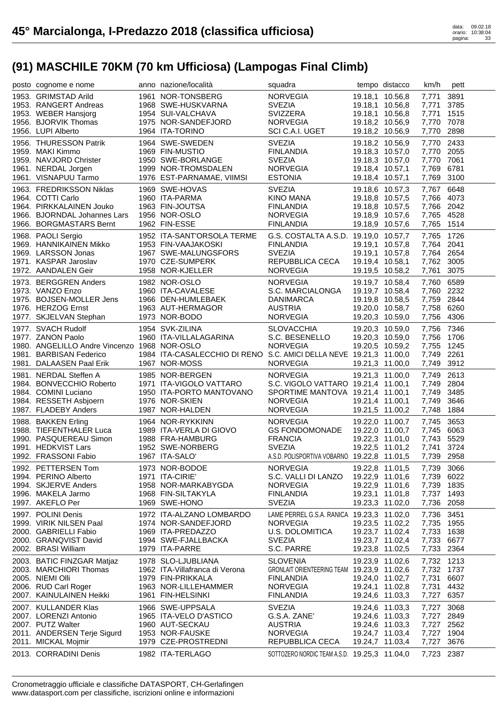| posto cognome e nome                                                                                                                 | anno nazione/località                                                                                                  | squadra                                                                                                                          |                                                                                             | tempo distacco                                                           | km/h                                                               | pett                                 |
|--------------------------------------------------------------------------------------------------------------------------------------|------------------------------------------------------------------------------------------------------------------------|----------------------------------------------------------------------------------------------------------------------------------|---------------------------------------------------------------------------------------------|--------------------------------------------------------------------------|--------------------------------------------------------------------|--------------------------------------|
| 1953. GRIMSTAD Arild<br>1953. RANGERT Andreas<br>1953. WEBER Hansjorg                                                                | 1961 NOR-TONSBERG<br>1968 SWE-HUSKVARNA<br>1954 SUI-VALCHAVA                                                           | <b>NORVEGIA</b><br><b>SVEZIA</b><br>SVIZZERA                                                                                     | 19.18,1 10.56,8                                                                             | 19.18,1 10.56,8<br>19.18,1 10.56,8                                       | 7,771<br>7,771<br>7,771                                            | 3891<br>3785<br>1515                 |
| 1956. BJORVIK Thomas<br>1956. LUPI Alberto                                                                                           | 1975 NOR-SANDEFJORD<br>1964 ITA-TORINO                                                                                 | <b>NORVEGIA</b><br>SCI C.A.I. UGET                                                                                               | 19.18,2 10.56,9<br>19.18,2 10.56,9                                                          |                                                                          | 7,770 7078<br>7,770 2898                                           |                                      |
| 1956. THURESSON Patrik<br>1959. MAKI Kimmo<br>1959. NAVJORD Christer<br>1961. NERDAL Jorgen<br>1961. VISNAPUU Tarmo                  | 1964 SWE-SWEDEN<br>1969 FIN-MUSTIO<br>1950 SWE-BORLANGE<br>1999 NOR-TROMSDALEN<br>1976 EST-PARNAMAE, VIIMSI            | <b>SVEZIA</b><br><b>FINLANDIA</b><br><b>SVEZIA</b><br><b>NORVEGIA</b><br><b>ESTONIA</b>                                          | 19.18,2 10.56,9<br>19.18,3 10.57,0<br>19.18,3 10.57,0<br>19.18,4 10.57,1<br>19.18,4 10.57,1 |                                                                          | 7,770 2433<br>7,770 2055<br>7,770 7061<br>7,769<br>7,769 3100      | 6781                                 |
| 1963. FREDRIKSSON Niklas<br>1964. COTTI Carlo<br>1964. PIRKKALAINEN Jouko<br>1966. BJORNDAL Johannes Lars<br>1966. BORGMASTARS Bernt | 1969 SWE-HOVAS<br>1960 ITA-PARMA<br>1963 FIN-JOUTSA<br>1956 NOR-OSLO<br>1962 FIN-ESSE                                  | <b>SVEZIA</b><br>KINO MANA<br><b>FINLANDIA</b><br><b>NORVEGIA</b><br><b>FINLANDIA</b>                                            | 19.18,9 10.57,6<br>19.18,9 10.57,6                                                          | 19.18,6 10.57,3<br>19.18,8 10.57,5<br>19.18,8 10.57,5                    | 7,767<br>7,766 4073<br>7,766 2042<br>7,765 4528<br>7,765           | 6648<br>1514                         |
| 1968. PAOLI Sergio<br>1969. HANNIKAINEN Mikko<br>1969. LARSSON Jonas<br>1971. KASPAR Jaroslav<br>1972. AANDALEN Geir                 | 1952 ITA-SANT'ORSOLA TERME<br>1953 FIN-VAAJAKOSKI<br>1967 SWE-MALUNGSFORS<br>1970 CZE-SUMPERK<br>1958 NOR-KJELLER      | G.S. COSTALTA A.S.D. 19.19,0 10.57,7<br><b>FINLANDIA</b><br><b>SVEZIA</b><br>REPUBBLICA CECA<br><b>NORVEGIA</b>                  | 19.19,1 10.57,8<br>19.19,4 10.58,1<br>19.19,5 10.58,2                                       | 19.19,1 10.57,8                                                          | 7,765 1726<br>7,764 2041<br>7,764 2654<br>7,762 3005<br>7,761      | 3075                                 |
| 1973. BERGGREN Anders<br>1973. VANZO Enzo<br>1975. BOJSEN-MOLLER Jens<br>1976. HERZOG Ernst<br>1977. SKJELVAN Stephan                | 1982 NOR-OSLO<br>1960 ITA-CAVALESE<br>1966 DEN-HUMLEBAEK<br>1963 AUT-HERMAGOR<br>1973 NOR-BODO                         | NORVEGIA<br>S.C. MARCIALONGA<br>DANIMARCA<br><b>AUSTRIA</b><br><b>NORVEGIA</b>                                                   | 19.19,8 10.58,5<br>19.20,3 10.59,0                                                          | 19.19,7 10.58,4<br>19.19,7 10.58,4<br>19.20,0 10.58,7                    | 7,760 6589<br>7,760 2232<br>7,759 2844<br>7,758 6260<br>7,756 4306 |                                      |
| 1977. SVACH Rudolf<br>1977. ZANON Paolo<br>1980. ANGELILLO Andre Vincenzo 1968 NOR-OSLO<br>1981. BARBISAN Federico                   | 1954 SVK-ZILINA<br>1960 ITA-VILLALAGARINA<br>1984 ITA-CASALECCHIO DI RENO S.C. AMICI DELLA NEVE 19.21,3 11.00,0        | <b>SLOVACCHIA</b><br>S.C. BESENELLO<br>NORVEGIA                                                                                  | 19.20,3 10.59,0                                                                             | 19.20,3 10.59,0<br>19.20,5 10.59,2                                       | 7,756 7346<br>7,756 1706<br>7,755 1245<br>7,749 2261               |                                      |
| 1981. DALAASEN Paal Erik                                                                                                             | 1967 NOR-MOSS                                                                                                          | <b>NORVEGIA</b>                                                                                                                  |                                                                                             | 19.21,3 11.00,0                                                          | 7,749 3912                                                         |                                      |
| 1981. NERDAL Steffen A<br>1984. BONVECCHIO Roberto<br>1984. COMINI Luciano<br>1984. RESSETH Asbjoern<br>1987. FLADEBY Anders         | 1985 NOR-BERGEN<br>1971 ITA-VIGOLO VATTARO<br>1950 ITA-PORTO MANTOVANO<br>1976 NOR-SKIEN<br>1987 NOR-HALDEN            | <b>NORVEGIA</b><br>S.C. VIGOLO VATTARO 19.21,4 11.00,1<br>SPORTIME MANTOVA 19.21,4 11.00,1<br><b>NORVEGIA</b><br><b>NORVEGIA</b> | 19.21,4 11.00,1<br>19.21,5 11.00,2                                                          | 19.21,3 11.00,0                                                          | 7,749<br>7,749 2804<br>7,749<br>7,749 3646<br>7,748 1884           | 2613<br>3485                         |
| 1988. BAKKEN Erling<br>1988. TIEFENTHALER Luca<br>1990. PASQUEREAU Simon<br>1991. HEDKVIST Lars<br>1992. FRASSONI Fabio              | 1964 NOR-RYKKINN<br>1989 ITA-VERLA DI GIOVO<br>1988 FRA-HAMBURG<br>1952 SWE-NORBERG<br>1967 ITA-SALO'                  | <b>NORVEGIA</b><br><b>GS FONDOMONADE</b><br><b>FRANCIA</b><br><b>SVEZIA</b><br>A.S.D. POLISPORTIVA VOBARNO 19.22,8 11.01,5       |                                                                                             | 19.22,0 11.00,7<br>19.22,0 11.00,7<br>19.22,3 11.01,0<br>19.22,5 11.01,2 | 7,745<br>7,745 6063<br>7,743 5529<br>7,741 3724<br>7,739 2958      | 3653                                 |
| 1992. PETTERSEN Tom<br>1994. PERINO Alberto<br>1994. SKJERVE Anders<br>1996. MAKELA Jarmo<br>1997. AKEFLO Per                        | 1973 NOR-BODOE<br>1971 ITA-CIRIE'<br>1958 NOR-MARKABYGDA<br>1968 FIN-SILTAKYLA<br>1969 SWE-HONO                        | <b>NORVEGIA</b><br>S.C. VALLI DI LANZO<br><b>NORVEGIA</b><br><b>FINLANDIA</b><br><b>SVEZIA</b>                                   | 19.22,8 11.01,5<br>19.22,9 11.01,6<br>19.22,9 11.01,6<br>19.23,1 11.01,8<br>19.23,3 11.02,0 |                                                                          | 7,739 3066<br>7,739<br>7,739<br>7,737<br>7,736                     | 6022<br>1835<br>1493<br>2058         |
| 1997. POLINI Denis<br>1999. VIRIK NILSEN Paal<br>2000. GABRIELLI Fabio<br>2000. GRANQVIST David<br>2002. BRASI William               | 1972 ITA-ALZANO LOMBARDO<br>1974 NOR-SANDEFJORD<br>1969 ITA-PREDAZZO<br>1994 SWE-FJALLBACKA<br>1979 ITA-PARRE          | LAME PERREL G.S.A. RANICA 19.23,3 11.02,0<br><b>NORVEGIA</b><br>U.S. DOLOMITICA<br><b>SVEZIA</b><br>S.C. PARRE                   | 19.23,5 11.02,2<br>19.23,7 11.02,4<br>19.23,7 11.02,4<br>19.23,8 11.02,5                    |                                                                          | 7,736<br>7,735<br>7,733<br>7,733<br>7,733                          | 3451<br>1955<br>1638<br>6677<br>2364 |
| 2003. BATIC FINZGAR Matjaz<br>2003. MARCHIORI Thomas<br>2005. NIEMI Olli<br>2006. RUD Carl Roger<br>2007. KAINULAINEN Heikki         | 1978 SLO-LJUBLIANA<br>1962 ITA-Villafranca di Verona<br>1979 FIN-PRIKKALA<br>1963 NOR-LILLEHAMMER<br>1961 FIN-HELSINKI | <b>SLOVENIA</b><br>GRONLAIT ORIENTEERING TEAM 19.23,9 11.02,6<br><b>FINLANDIA</b><br><b>NORVEGIA</b><br><b>FINLANDIA</b>         | 19.23,9 11.02,6<br>19.24,0 11.02,7<br>19.24,1 11.02,8<br>19.24,6 11.03,3                    |                                                                          | 7,732<br>7,732 1737<br>7,731<br>7,731<br>7,727                     | 1213<br>6607<br>4432<br>6357         |
| 2007. KULLANDER Klas<br>2007. LORENZI Antonio<br>2007. PUTZ Walter<br>2011. ANDERSEN Terje Sigurd<br>2011. MICKAL Mojmir             | 1966 SWE-UPPSALA<br>1965 ITA-VELO D'ASTICO<br>1960 AUT-SECKAU<br>1953 NOR-FAUSKE<br>1979 CZE-PROSTREDNI                | <b>SVEZIA</b><br>G.S.A. ZANE'<br><b>AUSTRIA</b><br><b>NORVEGIA</b><br>REPUBBLICA CECA                                            | 19.24,6 11.03,3<br>19.24,6 11.03,3<br>19.24,6 11.03,3<br>19.24,7 11.03,4<br>19.24,7 11.03,4 |                                                                          | 7,727<br>7,727<br>7,727<br>7,727 1904<br>7,727<br>7,723 2387       | 3068<br>2849<br>2562<br>3676         |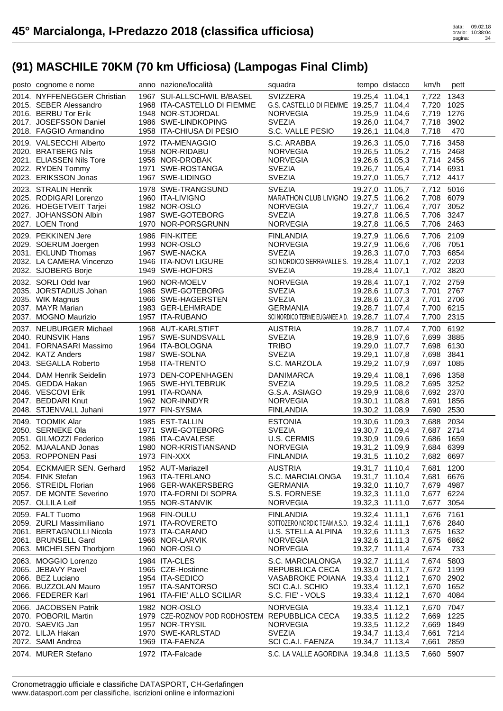| posto cognome e nome                                                                                                              | anno nazione/località                                                                                                             | squadra                                                                                                                      | tempo distacco                                                                              | km/h                                                               | pett                 |
|-----------------------------------------------------------------------------------------------------------------------------------|-----------------------------------------------------------------------------------------------------------------------------------|------------------------------------------------------------------------------------------------------------------------------|---------------------------------------------------------------------------------------------|--------------------------------------------------------------------|----------------------|
| 2014. NYFFENEGGER Christian<br>2015. SEBER Alessandro<br>2016. BERBU Tor Erik<br>2017. JOSEFSSON Daniel<br>2018. FAGGIO Armandino | 1967 SUI-ALLSCHWIL B/BASEL<br>1968 ITA-CASTELLO DI FIEMME<br>1948 NOR-STJORDAL<br>1986 SWE-LINDKOPING<br>1958 ITA-CHIUSA DI PESIO | SVIZZERA<br>G.S. CASTELLO DI FIEMME 19.25,7 11.04,4<br><b>NORVEGIA</b><br><b>SVEZIA</b><br>S.C. VALLE PESIO                  | 19.25,4 11.04,1<br>19.25,9 11.04,6<br>19.26,0 11.04,7<br>19.26,1 11.04,8                    | 7,722 1343<br>7,720 1025<br>7,719 1276<br>7,718 3902<br>7,718      | 470                  |
| 2019. VALSECCHI Alberto<br>2020. BRATBERG Nils<br>2021. ELIASSEN Nils Tore<br>2022. RYDEN Tommy<br>2023. ERIKSSON Jonas           | 1972 ITA-MENAGGIO<br>1958 NOR-RIDABU<br>1956 NOR-DROBAK<br>1971 SWE-ROSTANGA<br>1967 SWE-LIDINGO                                  | S.C. ARABBA<br><b>NORVEGIA</b><br><b>NORVEGIA</b><br><b>SVEZIA</b><br><b>SVEZIA</b>                                          | 19.26,3 11.05,0<br>19.26,5 11.05,2<br>19.26,6 11.05,3<br>19.26,7 11.05,4<br>19.27,0 11.05,7 | 7,716 3458<br>7,715 2468<br>7,714 2456<br>7,714 6931<br>7,712 4417 |                      |
| 2023. STRALIN Henrik<br>2025. RODIGARI Lorenzo<br>2026. HOEGETVEIT Tarjei<br>2027. JOHANSSON Albin<br>2027. LOEN Trond            | 1978 SWE-TRANGSUND<br>1960 ITA-LIVIGNO<br>1982 NOR-OSLO<br>1987 SWE-GOTEBORG<br>1970 NOR-PORSGRUNN                                | <b>SVEZIA</b><br>MARATHON CLUB LIVIGNO 19.27,5 11.06,2<br><b>NORVEGIA</b><br><b>SVEZIA</b><br><b>NORVEGIA</b>                | 19.27,0 11.05,7<br>19.27,7 11.06,4<br>19.27,8 11.06,5<br>19.27,8 11.06,5                    | 7,712 5016<br>7,708 6079<br>7,707 3052<br>7,706 3247<br>7,706 2463 |                      |
| 2029. PEKKINEN Jere<br>2029. SOERUM Joergen<br>2031. EKLUND Thomas<br>2032. LA CAMERA Vincenzo<br>2032. SJOBERG Borje             | 1986 FIN-KITEE<br>1993 NOR-OSLO<br>1967 SWE-NACKA<br>1946 ITA-NOVI LIGURE<br>1949 SWE-HOFORS                                      | <b>FINLANDIA</b><br><b>NORVEGIA</b><br><b>SVEZIA</b><br>SCI NORDICO SERRAVALLE S. 19.28,4 11.07,1<br><b>SVEZIA</b>           | 19.27,9 11.06,6<br>19.27,9 11.06,6<br>19.28,3 11.07,0<br>19.28,4 11.07,1                    | 7,706 2109<br>7,706 7051<br>7,703 6854<br>7,702 2203<br>7,702 3820 |                      |
| 2032. SORLI Odd Ivar<br>2035. JORSTADIUS Johan<br>2035. WIK Magnus<br>2037. MAYR Marian<br>2037. MOGNO Maurizio                   | 1960 NOR-MOELV<br>1986 SWE-GOTEBORG<br>1966 SWE-HAGERSTEN<br>1983 GER-LEHMRADE<br>1957 ITA-RUBANO                                 | <b>NORVEGIA</b><br><b>SVEZIA</b><br><b>SVEZIA</b><br><b>GERMANIA</b><br>SCI NORDICO TERME EUGANEE A.D. 19.28,7 11.07,4       | 19.28,4 11.07,1<br>19.28,6 11.07,3<br>19.28,6 11.07,3<br>19.28,7 11.07,4                    | 7,702 2759<br>7,701 2767<br>7,701 2706<br>7,700 6215<br>7,700 2315 |                      |
| 2037. NEUBURGER Michael<br>2040. RUNSVIK Hans<br>2041. FORNASARI Massimo<br>2042. KATZ Anders<br>2043. SEGALLA Roberto            | 1968 AUT-KARLSTIFT<br>1957 SWE-SUNDSVALL<br>1964 ITA-BOLOGNA<br>1987 SWE-SOLNA<br>1958 ITA-TRENTO                                 | <b>AUSTRIA</b><br><b>SVEZIA</b><br><b>TRIBO</b><br><b>SVEZIA</b><br>S.C. MARZOLA                                             | 19.28,7 11.07,4<br>19.28,9 11.07,6<br>19.29,0 11.07,7<br>19.29,1 11.07,8<br>19.29,2 11.07,9 | 7,700 6192<br>7,699 3885<br>7,698 6130<br>7,698 3841<br>7,697      | 1085                 |
| 2044. DAM Henrik Seidelin<br>2045. GEDDA Hakan<br>2046. VESCOVI Erik<br>2047. BEDDARI Knut<br>2048. STJENVALL Juhani              | 1973 DEN-COPENHAGEN<br>1965 SWE-HYLTEBRUK<br>1991 ITA-ROANA<br>1962 NOR-INNDYR<br>1977 FIN-SYSMA                                  | <b>DANIMARCA</b><br><b>SVEZIA</b><br>G.S.A. ASIAGO<br><b>NORVEGIA</b><br><b>FINLANDIA</b>                                    | 19.29,4 11.08,1<br>19.29,5 11.08,2<br>19.29,9 11.08,6<br>19.30,1 11.08,8<br>19.30,2 11.08,9 | 7,696<br>7,695 3252<br>7,692 2370<br>7,691<br>7,690 2530           | 1358<br>1856         |
| 2049. TOOMIK Alar<br>2050. SERNEKE Ola<br>2051. GILMOZZI Federico<br>2052. MJAALAND Jonas<br>2053. ROPPONEN Pasi                  | 1985 EST-TALLIN<br>1971 SWE-GOTEBORG<br>1986 ITA-CAVALESE<br>1980 NOR-KRISTIANSAND<br>1973 FIN-XXX                                | <b>ESTONIA</b><br><b>SVEZIA</b><br>U.S. CERMIS<br><b>NORVEGIA</b><br><b>FINLANDIA</b>                                        | 19.30,6 11.09,3<br>19.30,7 11.09,4<br>19.30,9 11.09,6<br>19.31,2 11.09,9<br>19.31,5 11.10,2 | 7,688 2034<br>7,687 2714<br>7,686 1659<br>7,684 6399<br>7,682 6697 |                      |
| 2054. ECKMAIER SEN. Gerhard<br>2054. FINK Stefan<br>2056. STREIDL Florian<br>2057. DE MONTE Severino<br>2057. OLLILA Leif         | 1952 AUT-Mariazell<br>1963 ITA-TERLANO<br>1966 GER-WAKERSBERG<br>1970 ITA-FORNI DI SOPRA<br>1955 NOR-STANVIK                      | <b>AUSTRIA</b><br>S.C. MARCIALONGA<br><b>GERMANIA</b><br>S.S. FORNESE<br><b>NORVEGIA</b>                                     | 19.31,7 11.10,4<br>19.31,7 11.10,4<br>19.32,0 11.10,7<br>19.32,3 11.11,0<br>19.32,3 11.11,0 | 7,681 1200<br>7.681<br>7,679 4987<br>7,677 6224<br>7,677           | 6676<br>3054         |
| 2059. FALT Tuomo<br>2059. ZURLI Massimiliano<br>2061. BERTAGNOLLI Nicola<br>2061. BRUNSELL Gard<br>2063. MICHELSEN Thorbjorn      | 1968 FIN-OULU<br>1971 ITA-ROVERETO<br>1973 ITA-CARANO<br>1966 NOR-LARVIK<br>1960 NOR-OSLO                                         | <b>FINLANDIA</b><br>SOTTOZERO NORDIC TEAM A.S.D. 19.32,4 11.11,1<br>U.S. STELLA ALPINA<br><b>NORVEGIA</b><br><b>NORVEGIA</b> | 19.32,4 11.11,1<br>19.32,6 11.11,3<br>19.32,6 11.11,3<br>19.32,7 11.11,4                    | 7,676 7161<br>7,676 2840<br>7,675<br>7,675<br>7,674                | 1632<br>6862<br>733  |
| 2063. MOGGIO Lorenzo<br>2065. JEBAVY Pavel<br>2066. BEZ Luciano<br>2066. BUZZOLAN Mauro<br>2066. FEDERER Karl                     | 1984 ITA-CLES<br>1965 CZE-Hostinne<br>1954 ITA-SEDICO<br>1957 ITA-SANTORSO<br>1961 ITA-FIE' ALLO SCILIAR                          | S.C. MARCIALONGA<br>REPUBBLICA CECA<br>VASABROKE POIANA<br>SCI C.A.I. SCHIO<br>S.C. FIE' - VOLS                              | 19.32,7 11.11,4<br>19.33,0 11.11,7<br>19.33,4 11.12,1<br>19.33,4 11.12,1<br>19.33,4 11.12,1 | 7,674<br>7,672 1199<br>7,670 2902<br>7,670 1652<br>7,670 4084      | 5803                 |
| 2066. JACOBSEN Patrik<br>2070. POBORIL Martin<br>2070. SAEVIG Jan                                                                 | 1982 NOR-OSLO<br>1979 CZE-ROZNOV POD RODHOSTEM REPUBBLICA CECA<br>1957 NOR-TRYSIL                                                 | <b>NORVEGIA</b><br><b>NORVEGIA</b>                                                                                           | 19.33,4 11.12,1<br>19.33,5 11.12,2<br>19.33,5 11.12,2                                       | 7,670<br>7,669<br>7,669                                            | 7047<br>1225<br>1849 |
| 2072. LILJA Hakan<br>2072. SAMI Andrea<br>2074. MURER Stefano                                                                     | 1970 SWE-KARLSTAD<br>1969 ITA-FAENZA<br>1972 ITA-Falcade                                                                          | <b>SVEZIA</b><br>SCI C.A.I. FAENZA<br>S.C. LA VALLE AGORDINA 19.34,8 11.13,5                                                 | 19.34,7 11.13,4<br>19.34,7 11.13,4                                                          | 7,661 7214<br>7,661<br>7,660 5907                                  | 2859                 |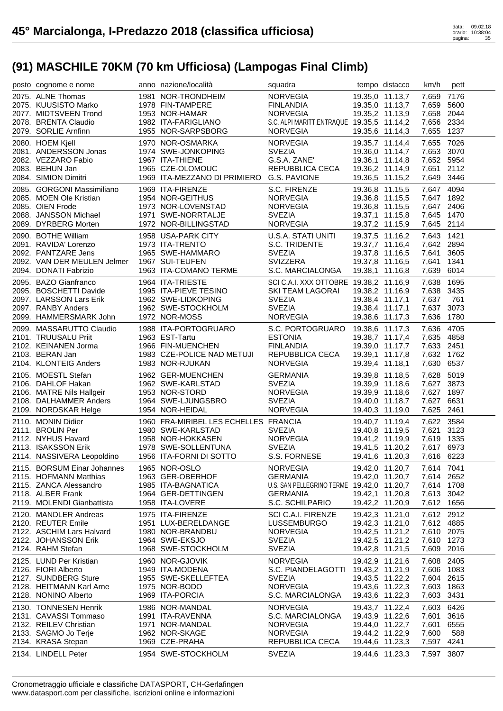| posto cognome e nome                                  | anno nazione/località                     | squadra                                   | tempo distacco                     | km/h                     | pett |
|-------------------------------------------------------|-------------------------------------------|-------------------------------------------|------------------------------------|--------------------------|------|
| 2075. ALNE Thomas                                     | 1981 NOR-TRONDHEIM                        | NORVEGIA                                  | 19.35,0 11.13,7                    | 7,659 7176               |      |
| 2075. KUUSISTO Marko                                  | 1978 FIN-TAMPERE                          | <b>FINLANDIA</b>                          | 19.35,0 11.13,7                    | 7,659                    | 5600 |
| 2077. MIDTSVEEN Trond                                 | 1953 NOR-HAMAR                            | NORVEGIA                                  | 19.35,2 11.13,9                    | 7,658 2044               |      |
| 2078. BRENTA Claudio                                  | 1982 ITA-FARIGLIANO                       | S.C. ALPI MARITT.ENTRAQUE 19.35,5 11.14,2 |                                    | 7,656 2334               |      |
| 2079. SORLIE Arnfinn                                  | 1955 NOR-SARPSBORG                        | <b>NORVEGIA</b>                           | 19.35,6 11.14,3                    | 7,655                    | 1237 |
| 2080. HOEM Kjell                                      | 1970 NOR-OSMARKA                          | <b>NORVEGIA</b>                           | 19.35,7 11.14,4                    | 7,655                    | 7026 |
| 2081. ANDERSSON Jonas                                 | 1974 SWE-JONKOPING                        | <b>SVEZIA</b>                             | 19.36,0 11.14,7                    | 7,653 3070               |      |
| 2082. VEZZARO Fabio                                   | 1967 ITA-THIENE                           | G.S.A. ZANE'                              | 19.36,1 11.14,8                    | 7,652 5954               |      |
| 2083. BEHUN Jan                                       | 1965 CZE-OLOMOUC                          | REPUBBLICA CECA                           | 19.36,2 11.14,9                    | 7,651 2112               |      |
| 2084. SIMION Dimitri                                  | 1969 ITA-MEZZANO DI PRIMIERO G.S. PAVIONE |                                           | 19.36,5 11.15,2                    | 7,649 3446               |      |
|                                                       |                                           |                                           |                                    |                          |      |
| 2085. GORGONI Massimiliano<br>2085. MOEN Ole Kristian | 1969 ITA-FIRENZE<br>1954 NOR-GEITHUS      | S.C. FIRENZE<br><b>NORVEGIA</b>           | 19.36,8 11.15,5                    | 7,647 4094<br>7.647 1892 |      |
| 2085. OIEN Frode                                      | 1973 NOR-LOVENSTAD                        | <b>NORVEGIA</b>                           | 19.36,8 11.15,5<br>19.36,8 11.15,5 | 7,647 2406               |      |
| 2088. JANSSON Michael                                 | 1971 SWE-NORRTALJE                        | <b>SVEZIA</b>                             | 19.37,1 11.15,8                    | 7,645 1470               |      |
| 2089. DYRBERG Morten                                  | 1972 NOR-BILLINGSTAD                      | <b>NORVEGIA</b>                           | 19.37,2 11.15,9                    | 7,645 2114               |      |
|                                                       |                                           |                                           |                                    |                          |      |
| 2090. BOTHE William                                   | 1958 USA-PARK CITY                        | U.S.A. STATI UNITI                        | 19.37,5 11.16,2                    | 7,643 1421               |      |
| 2091. RAVIDA' Lorenzo                                 | 1973 ITA-TRENTO                           | S.C. TRIDENTE                             | 19.37,7 11.16,4                    | 7,642 2894               |      |
| 2092. PANTZARE Jens                                   | 1965 SWE-HAMMARO                          | <b>SVEZIA</b>                             | 19.37,8 11.16,5                    | 7,641                    | 3605 |
| 2092. VAN DER MEULEN Jelmer                           | 1967 SUI-TEUFEN                           | <b>SVIZZERA</b>                           | 19.37,8 11.16,5                    | 7,641                    | 1341 |
| 2094. DONATI Fabrizio                                 | 1963 ITA-COMANO TERME                     | S.C. MARCIALONGA                          | 19.38,1 11.16,8                    | 7,639                    | 6014 |
| 2095. BAZO Gianfranco                                 | 1964 ITA-TRIESTE                          | SCI C.A.I. XXX OTTOBRE 19.38,2 11.16,9    |                                    | 7,638 1695               |      |
| 2095. BOSCHETTI Davide                                | 1995 ITA-PIEVE TESINO                     | SKI TEAM LAGORAI                          | 19.38,2 11.16,9                    | 7,638 3435               |      |
| 2097. LARSSON Lars Erik                               | 1962 SWE-LIDKOPING                        | <b>SVEZIA</b>                             | 19.38,4 11.17,1                    | 7,637                    | 761  |
| 2097. RANBY Anders                                    | 1962 SWE-STOCKHOLM                        | <b>SVEZIA</b>                             | 19.38,4 11.17,1                    | 7,637 3073               |      |
| 2099. HAMMERSMARK John                                | 1972 NOR-MOSS                             | <b>NORVEGIA</b>                           | 19.38,6 11.17,3                    | 7,636                    | 1780 |
| 2099. MASSARUTTO Claudio                              | 1988 ITA-PORTOGRUARO                      | S.C. PORTOGRUARO 19.38,6 11.17,3          |                                    | 7,636 4705               |      |
| 2101. TRUUSALU Priit                                  | 1963 EST-Tartu                            | <b>ESTONIA</b>                            | 19.38,7 11.17,4                    | 7,635 4858               |      |
| 2102. KEINANEN Jorma                                  | 1966 FIN-MUENCHEN                         | <b>FINLANDIA</b>                          | 19.39,0 11.17,7                    | 7,633 2451               |      |
| 2103. BERAN Jan                                       | 1983 CZE-POLICE NAD METUJI                | REPUBBLICA CECA                           | 19.39,1 11.17,8                    | 7,632 1762               |      |
| 2104. KLONTEIG Anders                                 | 1983 NOR-RJUKAN                           | <b>NORVEGIA</b>                           | 19.39,4 11.18,1                    | 7,630                    | 6537 |
| 2105. MOESTL Stefan                                   | 1962 GER-MUENCHEN                         | <b>GERMANIA</b>                           | 19.39,8 11.18,5                    | 7,628                    | 5019 |
| 2106. DAHLOF Hakan                                    | 1962 SWE-KARLSTAD                         | <b>SVEZIA</b>                             | 19.39,9 11.18,6                    | 7,627 3873               |      |
| 2106. MATRE Nils Hallgeir                             | 1953 NOR-STORD                            | <b>NORVEGIA</b>                           | 19.39,9 11.18,6                    | 7,627 1897               |      |
| 2108. DALHAMMER Anders                                | 1964 SWE-LJUNGSBRO                        | <b>SVEZIA</b>                             | 19.40,0 11.18,7                    | 7,627 6631               |      |
| 2109. NORDSKAR Helge                                  | 1954 NOR-HEIDAL                           | NORVEGIA                                  | 19.40,3 11.19,0                    | 7,625 2461               |      |
|                                                       | 1960 FRA-MIRIBEL LES ECHELLES FRANCIA     |                                           |                                    | 7,622 3584               |      |
| 2110. MONIN Didier<br>2111. BROLIN Per                | 1980 SWE-KARLSTAD                         | <b>SVEZIA</b>                             | 19.40,7 11.19,4<br>19.40,8 11.19,5 | 7,621 3123               |      |
| 2112. NYHUS Havard                                    | 1958 NOR-HOKKASEN                         | NORVEGIA                                  | 19.41,2 11.19,9                    | 7,619 1335               |      |
| 2113. ISAKSSON Erik                                   | 1978 SWE-SOLLENTUNA                       | <b>SVEZIA</b>                             | 19.41,5 11.20,2                    | 7,617 6973               |      |
| 2114. NASSIVERA Leopoldino                            | 1956 ITA-FORNI DI SOTTO                   | S.S. FORNESE                              | 19.41,6 11.20,3                    | 7,616 6223               |      |
|                                                       |                                           |                                           |                                    |                          |      |
| 2115. BORSUM Einar Johannes                           | 1965 NOR-OSLO                             | <b>NORVEGIA</b>                           | 19.42,0 11.20,7                    | 7,614 7041               |      |
| 2115. HOFMANN Matthias                                | 1963 GER-OBERHOF                          | <b>GERMANIA</b>                           | 19.42,0 11.20,7                    | 7,614 2652               |      |
| 2115. ZANCA Alessandro                                | 1985 ITA-BAGNATICA<br>1964 GER-DETTINGEN  | U.S. SAN PELLEGRINO TERME 19.42,0 11.20,7 |                                    | 7,614 1708               | 3042 |
| 2118. ALBER Frank<br>2119. MOLENDI Gianbattista       | 1958 ITA-LOVERE                           | <b>GERMANIA</b><br>S.C. SCHILPARIO        | 19.42,1 11.20,8<br>19.42,2 11.20,9 | 7,613<br>7,612 1656      |      |
|                                                       |                                           |                                           |                                    |                          |      |
| 2120. MANDLER Andreas                                 | 1975 ITA-FIRENZE                          | SCI C.A.I. FIRENZE                        | 19.42,3 11.21,0                    | 7,612 2912               |      |
| 2120. REUTER Emile                                    | 1951 LUX-BERELDANGE                       | <b>LUSSEMBURGO</b>                        | 19.42,3 11.21,0                    | 7,612 4885               |      |
| 2122. ASCHIM Lars Halvard                             | 1980 NOR-BRANDBU                          | <b>NORVEGIA</b>                           | 19.42,5 11.21,2                    | 7,610 2075               |      |
| 2122. JOHANSSON Erik                                  | 1964 SWE-EKSJO                            | <b>SVEZIA</b>                             | 19.42,5 11.21,2                    | 7,610                    | 1273 |
| 2124. RAHM Stefan                                     | 1968 SWE-STOCKHOLM                        | <b>SVEZIA</b>                             | 19.42,8 11.21,5                    | 7,609                    | 2016 |
| 2125. LUND Per Kristian                               | 1960 NOR-GJOVIK                           | <b>NORVEGIA</b>                           | 19.42,9 11.21,6                    | 7,608                    | 2405 |
| 2126. FIORI Alberto                                   | 1949 ITA-MODENA                           | S.C. PIANDELAGOTTI                        | 19.43,2 11.21,9                    | 7,606                    | 1083 |
| 2127. SUNDBERG Sture                                  | 1955 SWE-SKELLEFTEA                       | <b>SVEZIA</b>                             | 19.43,5 11.22,2                    | 7,604 2615               |      |
| 2128. HEITMANN Karl Arne                              | 1975 NOR-BODO                             | <b>NORVEGIA</b>                           | 19.43,6 11.22,3                    | 7,603                    | 1863 |
| 2128. NONINO Alberto                                  | 1969 ITA-PORCIA                           | S.C. MARCIALONGA                          | 19.43,6 11.22,3                    | 7,603                    | 3431 |
| 2130. TONNESEN Henrik                                 | 1986 NOR-MANDAL                           | <b>NORVEGIA</b>                           | 19.43,7 11.22,4                    | 7,603                    | 6426 |
| 2131. CAVASSI Tommaso                                 | 1991 ITA-RAVENNA                          | S.C. MARCIALONGA                          | 19.43,9 11.22,6                    | 7,601                    | 3616 |
| 2132. REILEV Christian                                | 1971 NOR-MANDAL                           | <b>NORVEGIA</b>                           | 19.44,0 11.22,7                    | 7,601                    | 6555 |
| 2133. SAGMO Jo Terje                                  | 1962 NOR-SKAGE                            | <b>NORVEGIA</b>                           | 19.44,2 11.22,9                    | 7,600                    | 588  |
| 2134. KRASA Stepan                                    | 1969 CZE-PRAHA                            | REPUBBLICA CECA                           | 19.44,6 11.23,3                    | 7,597                    | 4241 |
| 2134. LINDELL Peter                                   | 1954 SWE-STOCKHOLM                        | <b>SVEZIA</b>                             | 19.44,6 11.23,3                    | 7,597                    | 3807 |
|                                                       |                                           |                                           |                                    |                          |      |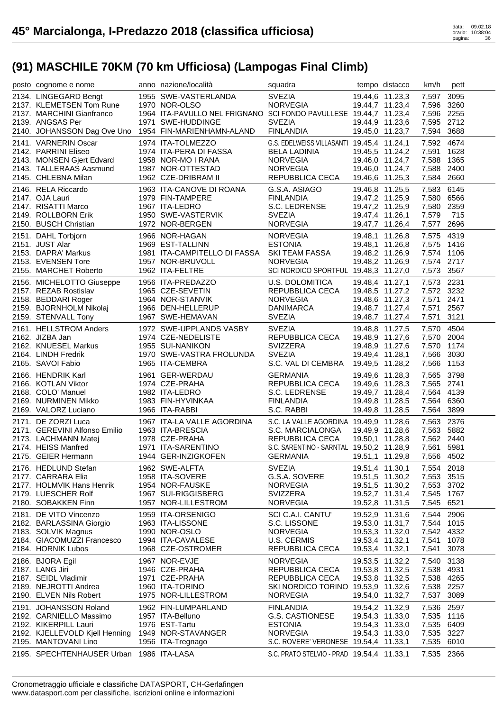| posto cognome e nome                                   | anno nazione/località                                             | squadra                                                          |                 | tempo distacco                     | km/h                     | pett |
|--------------------------------------------------------|-------------------------------------------------------------------|------------------------------------------------------------------|-----------------|------------------------------------|--------------------------|------|
| 2134. LINGEGARD Bengt                                  | 1955 SWE-VASTERLANDA                                              | <b>SVEZIA</b>                                                    |                 | 19.44,6 11.23,3                    | 7,597                    | 3095 |
| 2137. KLEMETSEN Tom Rune                               | 1970 NOR-OLSO                                                     | <b>NORVEGIA</b>                                                  |                 | 19.44,7 11.23,4                    | 7,596 3260               |      |
| 2137. MARCHINI Gianfranco                              | 1964 ITA-PAVULLO NEL FRIGNANO SCI FONDO PAVULLESE 19.44,7 11.23,4 |                                                                  |                 |                                    | 7,596 2255               |      |
| 2139. ANGSAS Per<br>2140. JOHANSSON Dag Ove Uno        | 1971 SWE-HUDDINGE<br>1954 FIN-MARIENHAMN-ALAND                    | <b>SVEZIA</b><br><b>FINLANDIA</b>                                |                 | 19.44,9 11.23,6<br>19.45,0 11.23,7 | 7,595 2712<br>7,594      | 3688 |
|                                                        |                                                                   |                                                                  |                 |                                    |                          |      |
| 2141. VARNERIN Oscar<br>2142. PARRINI Eliseo           | 1974 ITA-TOLMEZZO<br>1974 ITA-PERA DI FASSA                       | G.S. EDELWEISS VILLASANTI 19.45,4 11.24,1<br><b>BELA LADINIA</b> |                 | 19.45,5 11.24,2                    | 7,592 4674<br>7,591 1628 |      |
| 2143. MONSEN Gjert Edvard                              | 1958 NOR-MO I RANA                                                | <b>NORVEGIA</b>                                                  |                 | 19.46,0 11.24,7                    | 7,588 1365               |      |
| 2143. TALLERAAS Aasmund                                | 1987 NOR-OTTESTAD                                                 | <b>NORVEGIA</b>                                                  |                 | 19.46,0 11.24,7                    | 7,588                    | 2400 |
| 2145. CHLEBNA Milan                                    | 1962 CZE-DRIBRAM II                                               | REPUBBLICA CECA                                                  | 19.46,6 11.25,3 |                                    | 7,584 2660               |      |
| 2146. RELA Riccardo                                    | 1963 ITA-CANOVE DI ROANA                                          | G.S.A. ASIAGO                                                    |                 | 19.46,8 11.25,5                    | 7,583 6145               |      |
| 2147. OJA Lauri                                        | 1979 FIN-TAMPERE                                                  | <b>FINLANDIA</b>                                                 | 19.47,2 11.25,9 |                                    | 7,580 6566               |      |
| 2147. RISATTI Marco                                    | 1967 ITA-LEDRO                                                    | S.C. LEDRENSE                                                    | 19.47,2 11.25,9 |                                    | 7,580 2359               |      |
| 2149. ROLLBORN Erik                                    | 1950 SWE-VASTERVIK                                                | <b>SVEZIA</b>                                                    | 19.47,4 11.26,1 |                                    | 7,579                    | 715  |
| 2150. BUSCH Christian                                  | 1972 NOR-BERGEN                                                   | <b>NORVEGIA</b>                                                  |                 | 19.47,7 11.26,4                    | 7,577                    | 2696 |
| 2151. DAHL Torbjorn                                    | 1966 NOR-HAGAN                                                    | <b>NORVEGIA</b>                                                  |                 | 19.48,1 11.26,8                    | 7,575 4319               |      |
| 2151. JUST Alar<br>2153. DAPRA' Markus                 | 1969 EST-TALLINN<br>1981 ITA-CAMPITELLO DI FASSA                  | <b>ESTONIA</b><br><b>SKI TEAM FASSA</b>                          | 19.48,1 11.26,8 | 19.48,2 11.26,9                    | 7,575 1416<br>7,574 1106 |      |
| 2153. EVENSEN Tore                                     | 1957 NOR-BRUVOLL                                                  | <b>NORVEGIA</b>                                                  |                 | 19.48,2 11.26,9                    | 7,574 2717               |      |
| 2155. MARCHET Roberto                                  | 1962 ITA-FELTRE                                                   | SCI NORDICO SPORTFUL 19.48,3 11.27,0                             |                 |                                    | 7,573                    | 3567 |
| 2156. MICHELOTTO Giuseppe                              | 1956 ITA-PREDAZZO                                                 | U.S. DOLOMITICA                                                  | 19.48,4 11.27,1 |                                    | 7,573 2231               |      |
| 2157. REZAB Rostislav                                  | 1965 CZE-SEVETIN                                                  | REPUBBLICA CECA                                                  |                 | 19.48,5 11.27,2                    | 7,572 3232               |      |
| 2158. BEDDARI Roger                                    | 1964 NOR-STANVIK                                                  | <b>NORVEGIA</b>                                                  |                 | 19.48,6 11.27,3                    | 7,571                    | 2471 |
| 2159. BJORNHOLM Nikolaj                                | 1966 DEN-HELLERUP                                                 | <b>DANIMARCA</b>                                                 | 19.48,7 11.27,4 |                                    | 7,571 2567               |      |
| 2159. STENVALL Tony                                    | 1967 SWE-HEMAVAN                                                  | <b>SVEZIA</b>                                                    |                 | 19.48,7 11.27,4                    | 7,571                    | 3121 |
| 2161. HELLSTROM Anders                                 | 1972 SWE-UPPLANDS VASBY                                           | <b>SVEZIA</b>                                                    |                 | 19.48,8 11.27,5                    | 7,570 4504               |      |
| 2162. JIZBA Jan                                        | 1974 CZE-NEDELISTE                                                | REPUBBLICA CECA                                                  |                 | 19.48,9 11.27,6                    | 7,570 2004               |      |
| 2162. KNUESEL Markus                                   | 1955 SUI-NANIKON                                                  | <b>SVIZZERA</b>                                                  | 19.48,9 11.27,6 |                                    | 7,570 1174               |      |
| 2164. LINDH Fredrik                                    | 1970 SWE-VASTRA FROLUNDA                                          | <b>SVEZIA</b>                                                    |                 | 19.49,4 11.28,1                    | 7,566                    | 3030 |
|                                                        |                                                                   |                                                                  |                 |                                    |                          |      |
| 2165. SAVOI Fabio                                      | 1965 ITA-CEMBRA                                                   | S.C. VAL DI CEMBRA                                               | 19.49,5 11.28,2 |                                    | 7,566                    | 1153 |
| 2166. HENDRIK Karl                                     | 1961 GER-WERDAU                                                   | <b>GERMANIA</b>                                                  |                 | 19.49,6 11.28,3                    | 7,565 3798               |      |
| 2166. KOTLAN Viktor                                    | 1974 CZE-PRAHA                                                    | REPUBBLICA CECA                                                  |                 | 19.49,6 11.28,3                    | 7,565 2741               |      |
| 2168. COLO' Manuel                                     | 1982 ITA-LEDRO                                                    | S.C. LEDRENSE                                                    |                 | 19.49,7 11.28,4                    | 7,564 4139               |      |
| 2169. NURMINEN Mikko<br>2169. VALORZ Luciano           | 1983 FIN-HYVINKAA<br>1966 ITA-RABBI                               | <b>FINLANDIA</b><br>S.C. RABBI                                   | 19.49,8 11.28,5 | 19.49,8 11.28,5                    | 7,564 6360<br>7,564 3899 |      |
|                                                        |                                                                   |                                                                  |                 |                                    |                          |      |
| 2171. DE ZORZI Luca<br>2171. GEREVINI Alfonso Emilio   | 1967 ITA-LA VALLE AGORDINA<br>1963 ITA-BRESCIA                    | S.C. LA VALLE AGORDINA 19.49,9 11.28,6<br>S.C. MARCIALONGA       |                 | 19.49,9 11.28,6                    | 7,563 2376<br>7,563 5882 |      |
| 2173. LACHMANN Matej                                   | 1978 CZE-PRAHA                                                    | REPUBBLICA CECA                                                  |                 | 19.50,1 11.28,8                    | 7,562 2440               |      |
| 2174. HEISS Manfred                                    | 1971 ITA-SARENTINO                                                | S.C. SARENTINO - SARNTAL 19.50,2 11.28,9                         |                 |                                    | 7,561 5981               |      |
| 2175. GEIER Hermann                                    | 1944 GER-INZIGKOFEN                                               | GERMANIA                                                         |                 | 19.51,1 11.29,8                    | 7,556 4502               |      |
| 2176. HEDLUND Stefan                                   | 1962 SWE-ALFTA                                                    | <b>SVEZIA</b>                                                    | 19.51,4 11.30,1 |                                    | 7,554 2018               |      |
| 2177. CARRARA Elia                                     | 1958 ITA-SOVERE                                                   | G.S.A. SOVERE                                                    |                 | 19.51,5 11.30,2                    | 7,553 3515               |      |
| 2177. HOLMVIK Hans Henrik                              | 1954 NOR-FAUSKE                                                   | <b>NORVEGIA</b>                                                  |                 | 19.51,5 11.30,2                    | 7,553 3702               |      |
| 2179. LUESCHER Rolf                                    | 1967 SUI-RIGGISBERG                                               | <b>SVIZZERA</b>                                                  |                 | 19.52,7 11.31,4                    | 7,545 1767               |      |
| 2180. SOBAKKEN Finn                                    | 1957 NOR-LILLESTROM                                               | <b>NORVEGIA</b>                                                  |                 | 19.52,8 11.31,5                    | 7,545 6521               |      |
| 2181. DE VITO Vincenzo                                 | 1959 ITA-ORSENIGO                                                 | SCI C.A.I. CANTU'                                                | 19.52,9 11.31,6 |                                    | 7,544 2906               |      |
| 2182. BARLASSINA Giorgio                               | 1963 ITA-LISSONE<br>1990 NOR-OSLO                                 | S.C. LISSONE<br><b>NORVEGIA</b>                                  |                 | 19.53,0 11.31,7                    | 7,544<br>7,542 4332      | 1015 |
| 2183. SOLVIK Magnus<br>2184. GIACOMUZZI Francesco      | 1994 ITA-CAVALESE                                                 | <b>U.S. CERMIS</b>                                               | 19.53,4 11.32,1 | 19.53,3 11.32,0                    | 7,541                    | 1078 |
| 2184. HORNIK Lubos                                     | 1968 CZE-OSTROMER                                                 | REPUBBLICA CECA                                                  | 19.53,4 11.32,1 |                                    | 7,541                    | 3078 |
| 2186. BJORA Egil                                       | 1967 NOR-EVJE                                                     | <b>NORVEGIA</b>                                                  |                 | 19.53,5 11.32,2                    | 7,540                    | 3138 |
| 2187. LANG Jiri                                        | 1946 CZE-PRAHA                                                    | REPUBBLICA CECA                                                  |                 | 19.53,8 11.32,5                    | 7,538                    | 4931 |
| 2187. SEIDL Vladimir                                   | 1971 CZE-PRAHA                                                    | REPUBBLICA CECA                                                  |                 | 19.53,8 11.32,5                    | 7,538 4265               |      |
| 2189. NEJROTTI Andrea                                  | 1960 ITA-TORINO                                                   | SKI NORDICO TORINO 19.53,9 11.32,6                               |                 |                                    | 7,538 2257               |      |
| 2190. ELVEN Nils Robert                                | 1975 NOR-LILLESTROM                                               | <b>NORVEGIA</b>                                                  | 19.54,0 11.32,7 |                                    | 7,537 3089               |      |
| 2191. JOHANSSON Roland                                 | 1962 FIN-LUMPARLAND                                               | <b>FINLANDIA</b>                                                 | 19.54,2 11.32,9 |                                    | 7,536 2597               |      |
| 2192. CARNIELLO Massimo                                | 1957 ITA-Belluno                                                  | G.S. CASTIONESE                                                  | 19.54,3 11.33,0 |                                    | 7,535 1116               |      |
| 2192. KIKERPILL Lauri                                  | 1976 EST-Tartu                                                    | <b>ESTONIA</b><br><b>NORVEGIA</b>                                | 19.54,3 11.33,0 |                                    | 7,535 6409               |      |
| 2192. KJELLEVOLD Kjell Henning<br>2195. MANTOVANI Lino | 1949 NOR-STAVANGER<br>1956 ITA-Tregnago                           | S.C. ROVERE' VERONESE 19.54,4 11.33,1                            | 19.54,3 11.33,0 |                                    | 7,535 3227<br>7,535 6010 |      |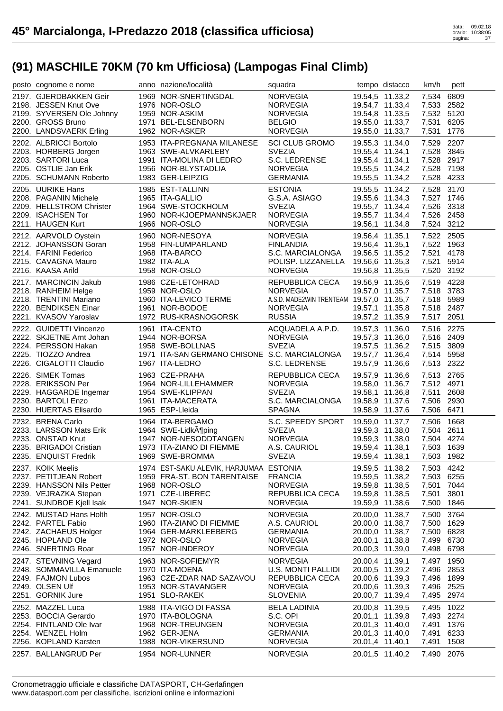| posto cognome e nome                               | anno nazione/località                                             | squadra                                  |                                    | tempo distacco                     | km/h                     | pett       |
|----------------------------------------------------|-------------------------------------------------------------------|------------------------------------------|------------------------------------|------------------------------------|--------------------------|------------|
| 2197. GJERDBAKKEN Geir                             | 1969 NOR-SNERTINGDAL                                              | <b>NORVEGIA</b>                          |                                    | 19.54,5 11.33,2                    | 7,534 6809               |            |
| 2198. JESSEN Knut Ove                              | 1976 NOR-OSLO                                                     | <b>NORVEGIA</b>                          |                                    | 19.54,7 11.33,4                    | 7,533 2582               |            |
| 2199. SYVERSEN Ole Johnny                          | 1959 NOR-ASKIM                                                    | <b>NORVEGIA</b>                          |                                    | 19.54,8 11.33,5                    | 7,532 5120               |            |
| 2200. GROSS Bruno                                  | 1971 BEL-ELSENBORN                                                | <b>BELGIO</b>                            |                                    | 19.55,0 11.33,7                    | 7,531 6205               |            |
| 2200. LANDSVAERK Erling                            | 1962 NOR-ASKER                                                    | <b>NORVEGIA</b>                          | 19.55,0 11.33,7                    |                                    | 7,531 1776               |            |
| 2202. ALBRICCI Bortolo                             | 1953 ITA-PREGNANA MILANESE                                        | <b>SCI CLUB GROMO</b>                    | 19.55,3 11.34,0                    |                                    | 7,529 2207               |            |
| 2203. HORBERG Jorgen                               | 1963 SWE-ALVKARLEBY                                               | <b>SVEZIA</b>                            | 19.55,4 11.34,1                    |                                    | 7,528 3845               |            |
| 2203. SARTORI Luca<br>2205. OSTLIE Jan Erik        | 1991 ITA-MOLINA DI LEDRO<br>1956 NOR-BLYSTADLIA                   | S.C. LEDRENSE<br><b>NORVEGIA</b>         |                                    | 19.55,4 11.34,1                    | 7,528 2917               |            |
| 2205. SCHUMANN Roberto                             | 1983 GER-LEIPZIG                                                  | <b>GERMANIA</b>                          |                                    | 19.55,5 11.34,2<br>19.55,5 11.34,2 | 7,528 7198<br>7,528 4233 |            |
|                                                    |                                                                   |                                          |                                    |                                    |                          |            |
| 2205. UURIKE Hans<br>2208. PAGANIN Michele         | 1985 EST-TALLINN<br>1965 ITA-GALLIO                               | <b>ESTONIA</b><br>G.S.A. ASIAGO          |                                    | 19.55,5 11.34,2                    | 7,528 3170               |            |
| 2209. HELLSTROM Christer                           | 1964 SWE-STOCKHOLM                                                | <b>SVEZIA</b>                            |                                    | 19.55,6 11.34,3<br>19.55,7 11.34,4 | 7,527 1746<br>7,526 3318 |            |
| 2209. ISACHSEN Tor                                 | 1960 NOR-KJOEPMANNSKJAER                                          | <b>NORVEGIA</b>                          |                                    | 19.55,7 11.34,4                    | 7,526 2458               |            |
| 2211. HAUGEN Kurt                                  | 1966 NOR-OSLO                                                     | <b>NORVEGIA</b>                          |                                    | 19.56,1 11.34,8                    | 7,524 3212               |            |
| 2212. AARVOLD Oystein                              | 1960 NOR-NESOYA                                                   | NORVEGIA                                 |                                    | 19.56,4 11.35,1                    | 7,522 2505               |            |
| 2212. JOHANSSON Goran                              | 1958 FIN-LUMPARLAND                                               | <b>FINLANDIA</b>                         |                                    | 19.56,4 11.35,1                    | 7,522 1963               |            |
| 2214. FARINI Federico                              | 1968 ITA-BARCO                                                    | S.C. MARCIALONGA                         | 19.56,5 11.35,2                    |                                    | 7,521 4178               |            |
| 2215. CAVAGNA Mauro                                | 1982 ITA-ALA                                                      | POLISP. LIZZANELLA                       |                                    | 19.56,6 11.35,3                    | 7,521 5914               |            |
| 2216. KAASA Arild                                  | 1958 NOR-OSLO                                                     | <b>NORVEGIA</b>                          | 19.56,8 11.35,5                    |                                    | 7,520 3192               |            |
| 2217. MARCINCIN Jakub                              | 1986 CZE-LETOHRAD                                                 | REPUBBLICA CECA                          |                                    | 19.56,9 11.35,6                    | 7,519 4228               |            |
| 2218. RANHEIM Helge                                | 1959 NOR-OSLO                                                     | <b>NORVEGIA</b>                          |                                    | 19.57,0 11.35,7                    | 7,518 3783               |            |
| 2218. TRENTINI Mariano                             | 1960 ITA-LEVICO TERME                                             | A.S.D. MADE2WIN TRENTEAM 19.57,0 11.35,7 |                                    |                                    | 7,518 5989               |            |
| 2220. BENDIKSEN Einar                              | 1961 NOR-BODOE                                                    | <b>NORVEGIA</b>                          |                                    | 19.57,1 11.35,8                    | 7,518 2487               |            |
| 2221. KVASOV Yaroslav                              | 1972 RUS-KRASNOGORSK                                              | <b>RUSSIA</b>                            |                                    | 19.57,2 11.35,9                    | 7,517 2051               |            |
| 2222. GUIDETTI Vincenzo                            | 1961 ITA-CENTO                                                    | ACQUADELA A.P.D.                         |                                    | 19.57,3 11.36,0                    | 7,516 2275               |            |
| 2222. SKJETNE Arnt Johan                           | 1944 NOR-BORSA                                                    | <b>NORVEGIA</b>                          |                                    | 19.57,3 11.36,0                    | 7,516 2409               |            |
| 2224. PERSSON Hakan<br>2225. TIOZZO Andrea         | 1958 SWE-BOLLNAS<br>1971 ITA-SAN GERMANO CHISONE S.C. MARCIALONGA | <b>SVEZIA</b>                            |                                    | 19.57,5 11.36,2<br>19.57,7 11.36,4 | 7,515 3809<br>7,514 5958 |            |
|                                                    |                                                                   |                                          |                                    | 19.57,9 11.36,6                    |                          | 7,513 2322 |
|                                                    |                                                                   |                                          |                                    |                                    |                          |            |
| 2226. CIGALOTTI Claudio                            | 1967 ITA-LEDRO                                                    | S.C. LEDRENSE                            |                                    |                                    |                          |            |
| 2226. SIMEK Tomas                                  | 1963 CZE-PRAHA                                                    | REPUBBLICA CECA                          |                                    | 19.57,9 11.36,6                    | 7,513 2765               |            |
| 2228. ERIKSSON Per                                 | 1964 NOR-LILLEHAMMER                                              | <b>NORVEGIA</b>                          |                                    | 19.58,0 11.36,7                    | 7,512 4971               |            |
| 2229. HAGGARDE Ingemar                             | 1954 SWE-KLIPPAN<br>1961 ITA-MACERATA                             | <b>SVEZIA</b>                            |                                    | 19.58,1 11.36,8                    | 7,511                    | 2608       |
| 2230. BARTOLI Enzo<br>2230. HUERTAS Elisardo       | 1965 ESP-Lleida                                                   | S.C. MARCIALONGA<br><b>SPAGNA</b>        | 19.58,9 11.37,6<br>19.58,9 11.37,6 |                                    | 7,506 2930<br>7,506 6471 |            |
| 2232. BRENA Carlo                                  | 1964 ITA-BERGAMO                                                  |                                          |                                    | 19.59,0 11.37,7                    |                          |            |
| 2233. LARSSON Mats Erik                            | 1964 SWE-LidkA¶ping                                               | S.C. SPEEDY SPORT<br><b>SVEZIA</b>       |                                    | 19.59,3 11.38,0                    | 7,506 1668<br>7,504 2611 |            |
| 2233. ONSTAD Knut                                  | 1947 NOR-NESODDTANGEN                                             | <b>NORVEGIA</b>                          |                                    | 19.59,3 11.38,0                    | 7,504 4274               |            |
| 2235. BRIGADOI Cristian                            | 1973 ITA-ZIANO DI FIEMME                                          | A.S. CAURIOL                             | 19.59,4 11.38,1                    |                                    | 7,503 1639               |            |
| 2235. ENQUIST Fredrik                              | 1969 SWE-BROMMA                                                   | SVEZIA                                   |                                    | 19.59,4 11.38,1                    | 7,503 1982               |            |
| 2237. KOIK Meelis                                  | 1974 EST-SAKU ALEVIK, HARJUMAA ESTONIA                            |                                          | 19.59,5 11.38,2                    |                                    | 7,503 4242               |            |
| 2237. PETITJEAN Robert                             | 1959 FRA-ST, BON TARENTAISE                                       | <b>FRANCIA</b>                           |                                    | 19.59,5 11.38,2                    | 7,503 6255               |            |
| 2239. HANSSON Nils Petter                          | 1968 NOR-OSLO                                                     | <b>NORVEGIA</b>                          | 19.59,8 11.38,5                    |                                    | 7,501 7044               |            |
| 2239. VEJRAZKA Stepan                              | 1971 CZE-LIBEREC                                                  | REPUBBLICA CECA                          | 19.59,8 11.38,5                    |                                    | 7,501                    | 3801       |
| 2241. SUNDBOE Kjell Isak                           | 1947 NOR-SKIEN                                                    | <b>NORVEGIA</b>                          | 19.59,9 11.38,6                    |                                    | 7,500                    | 1846       |
| 2242. MUSTAD Hans Holth                            | 1957 NOR-OSLO                                                     | <b>NORVEGIA</b>                          | 20.00,0 11.38,7                    |                                    | 7,500                    | 3764       |
| 2242. PARTEL Fabio                                 | 1960 ITA-ZIANO DI FIEMME                                          | A.S. CAURIOL                             | 20.00,0 11.38,7                    |                                    | 7,500                    | 1629       |
| 2242. ZACHAEUS Holger                              | 1964 GER-MARKLEEBERG                                              | <b>GERMANIA</b>                          | 20.00,0 11.38,7                    |                                    | 7,500 6828               |            |
| 2245. HOPLAND Ole<br>2246. SNERTING Roar           | 1972 NOR-OSLO<br>1957 NOR-INDEROY                                 | <b>NORVEGIA</b><br><b>NORVEGIA</b>       | 20.00,1 11.38,8<br>20.00,3 11.39,0 |                                    | 7,499 6730<br>7,498 6798 |            |
|                                                    |                                                                   |                                          |                                    |                                    |                          |            |
| 2247. STEVNING Vegard<br>2248. SOMMAVILLA Emanuele | 1963 NOR-SOFIEMYR<br>1970 ITA-MOENA                               | <b>NORVEGIA</b><br>U.S. MONTI PALLIDI    | 20.00,4 11.39,1<br>20.00,5 11.39,2 |                                    | 7,497<br>7,496 2853      | 1950       |
| 2249. FAJMON Lubos                                 | 1963 CZE-ZDAR NAD SAZAVOU                                         | REPUBBLICA CECA                          | 20.00,6 11.39,3                    |                                    | 7,496                    | 1899       |
| 2249. OLSEN Ulf                                    | 1953 NOR-STAVANGER                                                | <b>NORVEGIA</b>                          | 20.00,6 11.39,3                    |                                    | 7,496 2525               |            |
| 2251. GORNIK Jure                                  | 1951 SLO-RAKEK                                                    | <b>SLOVENIA</b>                          | 20.00,7 11.39,4                    |                                    | 7,495 2974               |            |
| 2252. MAZZEL Luca                                  | 1988 ITA-VIGO DI FASSA                                            | <b>BELA LADINIA</b>                      | 20.00,8 11.39,5                    |                                    | 7,495                    | 1022       |
| 2253. BOCCIA Gerardo                               | 1970 ITA-BOLOGNA                                                  | S.C. OPI                                 | 20.01,1 11.39,8                    |                                    | 7,493 2274               |            |
| 2254. FINTLAND Ole Ivar                            | 1968 NOR-TREUNGEN                                                 | <b>NORVEGIA</b>                          | 20.01,3 11.40,0                    |                                    | 7,491                    | 1376       |
| 2254. WENZEL Holm                                  | 1962 GER-JENA                                                     | <b>GERMANIA</b>                          | 20.01,3 11.40,0                    |                                    | 7,491                    | 6233       |
| 2256. KOPLAND Karsten<br>2257. BALLANGRUD Per      | 1988 NOR-VIKERSUND<br>1954 NOR-LUNNER                             | <b>NORVEGIA</b><br><b>NORVEGIA</b>       | 20.01,4 11.40,1<br>20.01,5 11.40,2 |                                    | 7,491<br>7,490 2076      | 1508       |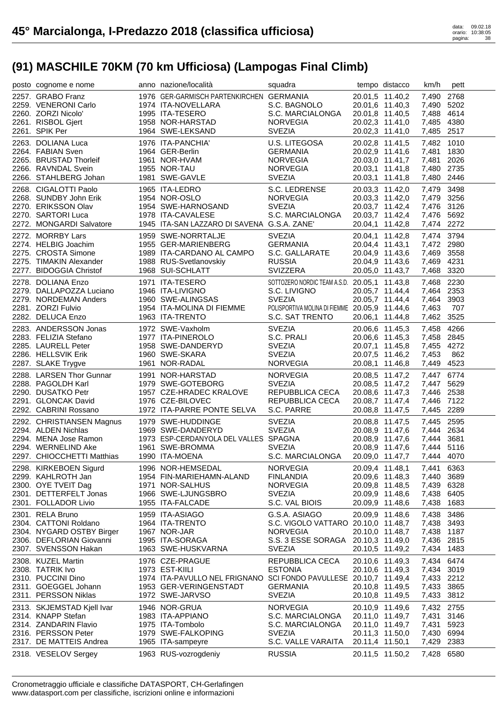| posto cognome e nome                             | anno nazione/località                                             | squadra                                       |                 | tempo distacco                     | km/h                     | pett |
|--------------------------------------------------|-------------------------------------------------------------------|-----------------------------------------------|-----------------|------------------------------------|--------------------------|------|
| 2257. GRABO Franz                                | 1976 GER-GARMISCH PARTENKIRCHEN GERMANIA                          |                                               |                 | 20.01,5 11.40,2                    | 7,490 2768               |      |
| 2259. VENERONI Carlo                             | 1974 ITA-NOVELLARA                                                | S.C. BAGNOLO                                  |                 | 20.01,6 11.40,3                    | 7,490 5202               |      |
| 2260. ZORZI Nicolo'                              | 1995 ITA-TESERO                                                   | S.C. MARCIALONGA                              |                 | 20.01,8 11.40,5                    | 7,488 4614               |      |
| 2261. RISBOL Gjert                               | 1958 NOR-HARSTAD                                                  | <b>NORVEGIA</b>                               |                 | 20.02,3 11.41,0                    | 7,485 4380               |      |
| 2261. SPIK Per                                   | 1964 SWE-LEKSAND                                                  | <b>SVEZIA</b>                                 |                 | 20.02,3 11.41,0                    | 7,485 2517               |      |
| 2263. DOLIANA Luca                               | 1976 ITA-PANCHIA'                                                 | U.S. LITEGOSA                                 |                 | 20.02,8 11.41,5                    | 7,482 1010               |      |
| 2264. FABIAN Sven                                | 1964 GER-Berlin                                                   | <b>GERMANIA</b>                               |                 | 20.02,9 11.41,6                    | 7,481 1830               |      |
| 2265. BRUSTAD Thorleif                           | 1961 NOR-HVAM                                                     | <b>NORVEGIA</b>                               |                 | 20.03,0 11.41,7                    | 7,481                    | 2026 |
| 2266. RAVNDAL Svein<br>2266. STAHLBERG Johan     | 1955 NOR-TAU<br>1981 SWE-GAVLE                                    | <b>NORVEGIA</b><br><b>SVEZIA</b>              |                 | 20.03,1 11.41,8<br>20.03,1 11.41,8 | 7,480<br>7,480 2446      | 2735 |
|                                                  |                                                                   |                                               |                 |                                    |                          |      |
| 2268. CIGALOTTI Paolo<br>2268. SUNDBY John Erik  | 1965 ITA-LEDRO                                                    | S.C. LEDRENSE                                 |                 | 20.03,3 11.42,0                    | 7,479<br>7,479 3256      | 3498 |
| 2270. ERIKSSON Olav                              | 1954 NOR-OSLO<br>1954 SWE-HARNOSAND                               | <b>NORVEGIA</b><br><b>SVEZIA</b>              |                 | 20.03,3 11.42,0<br>20.03,7 11.42,4 | 7,476 3126               |      |
| 2270. SARTORI Luca                               | 1978 ITA-CAVALESE                                                 | S.C. MARCIALONGA                              |                 | 20.03,7 11.42,4                    | 7,476 5692               |      |
| 2272. MONGARDI Salvatore                         | 1945 ITA-SAN LAZZARO DI SAVENA G.S.A. ZANE'                       |                                               |                 | 20.04,1 11.42,8                    | 7,474 2272               |      |
| 2272. MORRBY Lars                                | 1959 SWE-NORRTALJE                                                | <b>SVEZIA</b>                                 |                 | 20.04,1 11.42,8                    | 7,474 3794               |      |
| 2274. HELBIG Joachim                             | 1955 GER-MARIENBERG                                               | <b>GERMANIA</b>                               |                 | 20.04,4 11.43,1                    | 7,472 2980               |      |
| 2275. CROSTA Simone                              | 1989 ITA-CARDANO AL CAMPO                                         | S.C. GALLARATE                                |                 | 20.04,9 11.43,6                    | 7,469 3558               |      |
| 2275. TIMAKIN Alexander                          | 1988 RUS-Svetlanovskiy                                            | <b>RUSSIA</b>                                 |                 | 20.04,9 11.43,6                    | 7,469 4231               |      |
| 2277. BIDOGGIA Christof                          | 1968 SUI-SCHLATT                                                  | <b>SVIZZERA</b>                               |                 | 20.05,0 11.43,7                    | 7,468 3320               |      |
| 2278. DOLIANA Enzo                               | 1971 ITA-TESERO                                                   | SOTTOZERO NORDIC TEAM A.S.D. 20.05,1 11.43,8  |                 |                                    | 7,468 2230               |      |
| 2279. DALLAPOZZA Luciano                         | 1946 ITA-LIVIGNO                                                  | S.C. LIVIGNO                                  |                 | 20.05,7 11.44,4                    | 7,464 2353               |      |
| 2279. NORDEMAN Anders                            | 1960 SWE-ALINGSAS                                                 | <b>SVEZIA</b>                                 |                 | 20.05,7 11.44,4                    | 7,464 3903               |      |
| 2281. ZORZI Fulvio                               | 1954 ITA-MOLINA DI FIEMME                                         | POLISPORTIVA MOLINA DI FIEMME 20.05,9 11.44,6 |                 |                                    | 7,463                    | 707  |
| 2282. DELUCA Enzo                                | 1963 ITA-TRENTO                                                   | S.C. SAT TRENTO                               |                 | 20.06,1 11.44,8                    | 7,462 3525               |      |
| 2283. ANDERSSON Jonas                            | 1972 SWE-Vaxholm                                                  | <b>SVEZIA</b>                                 |                 | 20.06,6 11.45,3                    | 7,458                    | 4266 |
| 2283. FELIZIA Stefano                            | 1977 ITA-PINEROLO                                                 | S.C. PRALI                                    |                 | 20.06,6 11.45,3                    | 7,458 2845               |      |
| 2285. LAURELL Peter                              | 1958 SWE-DANDERYD                                                 | <b>SVEZIA</b>                                 |                 | 20.07,1 11.45,8                    | 7,455 4272               |      |
| 2286. HELLSVIK Erik                              | 1960 SWE-SKARA                                                    | <b>SVEZIA</b>                                 |                 | 20.07,5 11.46,2                    | 7,453                    | 862  |
| 2287. SLAKE Trygve                               | 1961 NOR-RADAL                                                    | <b>NORVEGIA</b>                               |                 | 20.08,1 11.46,8                    | 7,449                    | 4523 |
| 2288. LARSEN Thor Gunnar                         | 1991 NOR-HARSTAD                                                  | <b>NORVEGIA</b>                               |                 | 20.08,5 11.47,2                    | 7,447 6774               |      |
| 2288. PAGOLDH Karl                               | 1979 SWE-GOTEBORG                                                 | <b>SVEZIA</b>                                 |                 | 20.08,5 11.47,2                    | 7,447 5629               |      |
| 2290. DUSATKO Petr                               | 1957 CZE-HRADEC KRALOVE                                           | REPUBBLICA CECA                               |                 | 20.08,6 11.47,3                    | 7,446 2538               |      |
| 2291. GLONCAK David<br>2292. CABRINI Rossano     | 1976 CZE-BILOVEC<br>1972 ITA-PARRE PONTE SELVA                    | REPUBBLICA CECA<br>S.C. PARRE                 |                 | 20.08,7 11.47,4<br>20.08,8 11.47,5 | 7,446 7122<br>7,445 2289 |      |
|                                                  |                                                                   |                                               |                 |                                    |                          |      |
| 2292. CHRISTIANSEN Magnus<br>2294. ALDEN Nichlas | 1979 SWE-HUDDINGE<br>1969 SWE-DANDERYD                            | <b>SVEZIA</b><br><b>SVEZIA</b>                |                 | 20.08,8 11.47,5<br>20.08,9 11.47,6 | 7,445 2595<br>7,444 2634 |      |
| 2294. MENA Jose Ramon                            | 1973 ESP-CERDANYOLA DEL VALLES SPAGNA                             |                                               |                 | 20.08,9 11.47,6                    | 7,444 3681               |      |
| 2294. WERNELIND Ake                              | 1961 SWE-BROMMA                                                   | <b>SVEZIA</b>                                 |                 | 20.08,9 11.47,6                    | 7.444 5116               |      |
| 2297. CHIOCCHETTI Matthias                       | 1990 ITA-MOENA                                                    | S.C. MARCIALONGA                              |                 | 20.09,0 11.47,7 7,444 4070         |                          |      |
| 2298. KIRKEBOEN Sigurd                           | 1996 NOR-HEMSEDAL                                                 | <b>NORVEGIA</b>                               | 20.09,4 11.48,1 |                                    | 7,441                    | 6363 |
| 2299. KAHLROTH Jan                               | 1954 FIN-MARIEHAMN-ALAND                                          | <b>FINLANDIA</b>                              |                 | 20.09,6 11.48,3                    | 7,440                    | 3689 |
| 2300. OYE TVEIT Dag                              | 1971 NOR-SALHUS                                                   | <b>NORVEGIA</b>                               |                 | 20.09,8 11.48,5                    | 7,439                    | 6328 |
| 2301. DETTERFELT Jonas                           | 1966 SWE-LJUNGSBRO                                                | <b>SVEZIA</b>                                 |                 | 20.09,9 11.48,6                    | 7,438                    | 6405 |
| 2301. FOLLADOR Livio                             | 1955 ITA-FALCADE                                                  | S.C. VAL BIOIS                                |                 | 20.09,9 11.48,6                    | 7,438                    | 1683 |
| 2301. RELA Bruno                                 | 1959 ITA-ASIAGO                                                   | G.S.A. ASIAGO                                 |                 | 20.09,9 11.48,6                    | 7,438                    | 3486 |
| 2304. CATTONI Roldano                            | 1964 ITA-TRENTO                                                   | S.C. VIGOLO VATTARO 20.10,0 11.48,7           |                 |                                    | 7,438                    | 3493 |
| 2304. NYGARD OSTBY Birger                        | 1967 NOR-JAR                                                      | <b>NORVEGIA</b>                               |                 | 20.10,0 11.48,7                    | 7,438 1187               |      |
| 2306. DEFLORIAN Giovanni                         | 1995 ITA-SORAGA                                                   | S.S. 3 ESSE SORAGA 20.10,3 11.49,0            |                 |                                    | 7,436 2815               |      |
| 2307. SVENSSON Hakan                             | 1963 SWE-HUSKVARNA                                                | <b>SVEZIA</b>                                 |                 | 20.10,5 11.49,2                    | 7,434 1483               |      |
| 2308. KUZEL Martin                               | 1976 CZE-PRAGUE                                                   | REPUBBLICA CECA                               |                 | 20.10,6 11.49,3                    | 7,434                    | 6474 |
| 2308. TATRIK Ivo                                 | 1973 EST-KIILI                                                    | <b>ESTONIA</b>                                |                 | 20.10,6 11.49,3                    | 7,434 3019               |      |
| 2310. PUCCINI Dino                               | 1974 ITA-PAVULLO NEL FRIGNANO SCI FONDO PAVULLESE 20.10,7 11.49,4 |                                               |                 |                                    | 7,433 2212               |      |
| 2311. GOEGGEL Johann<br>2311. PERSSON Niklas     | 1953 GER-VERINGENSTADT<br>1972 SWE-JARVSO                         | <b>GERMANIA</b><br><b>SVEZIA</b>              |                 | 20.10,8 11.49,5<br>20.10,8 11.49,5 | 7,433 3865<br>7,433 3812 |      |
|                                                  |                                                                   |                                               |                 |                                    |                          |      |
| 2313. SKJEMSTAD Kjell Ivar<br>2314. KNAPP Stefan | 1946 NOR-GRUA<br>1983 ITA-APPIANO                                 | <b>NORVEGIA</b><br>S.C. MARCIALONGA           |                 | 20.10,9 11.49,6<br>20.11,0 11.49,7 | 7,432 2755<br>7,431      | 3146 |
| 2314. ZANDARIN Flavio                            | 1975 ITA-Tombolo                                                  | S.C. MARCIALONGA                              |                 | 20.11,0 11.49,7                    | 7,431                    | 5923 |
| 2316. PERSSON Peter                              | 1979 SWE-FALKOPING                                                | <b>SVEZIA</b>                                 | 20.11,3 11.50,0 |                                    | 7,430 6994               |      |
| 2317. DE MATTEIS Andrea                          | 1965 ITA-sampeyre                                                 | S.C. VALLE VARAITA                            | 20.11,4 11.50,1 |                                    | 7,429                    | 2383 |
| 2318. VESELOV Sergey                             | 1963 RUS-vozrogdeniy                                              | <b>RUSSIA</b>                                 |                 | 20.11,5 11.50,2                    | 7,428                    | 6580 |
|                                                  |                                                                   |                                               |                 |                                    |                          |      |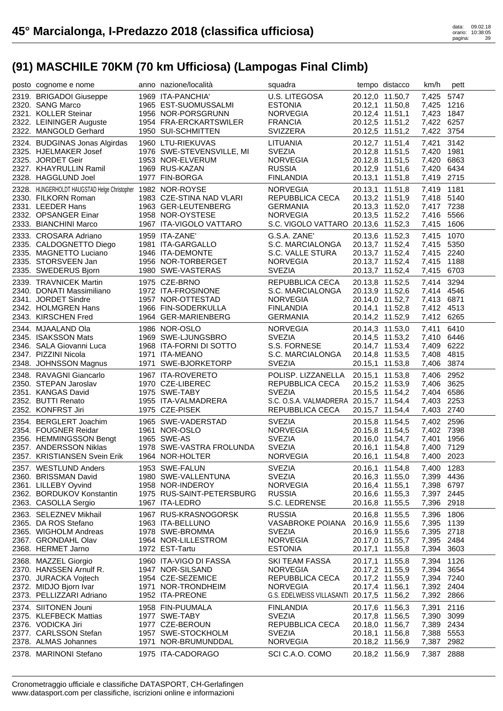| posto cognome e nome                                                                                                                                     | anno nazione/località                                                                                                  | squadra                                                                                                              |                                                                          | tempo distacco                                                                              | km/h                                                               | pett                         |
|----------------------------------------------------------------------------------------------------------------------------------------------------------|------------------------------------------------------------------------------------------------------------------------|----------------------------------------------------------------------------------------------------------------------|--------------------------------------------------------------------------|---------------------------------------------------------------------------------------------|--------------------------------------------------------------------|------------------------------|
| 2319. BRIGADOI Giuseppe<br>2320. SANG Marco<br>2321. KOLLER Steinar<br>2322. LEININGER Auguste<br>2322. MANGOLD Gerhard                                  | 1969 ITA-PANCHIA'<br>1965 EST-SUOMUSSALMI<br>1956 NOR-PORSGRUNN<br>1954 FRA-ERCKARTSWILER<br>1950 SUI-SCHMITTEN        | U.S. LITEGOSA<br><b>ESTONIA</b><br><b>NORVEGIA</b><br><b>FRANCIA</b><br>SVIZZERA                                     |                                                                          | 20.12,0 11.50,7<br>20.12,1 11.50,8<br>20.12,4 11.51,1<br>20.12,5 11.51,2<br>20.12,5 11.51,2 | 7,425<br>7,425 1216<br>7,423 1847<br>7,422 6257<br>7,422 3754      | 5747                         |
| 2324. BUDGINAS Jonas Algirdas<br>2325. HJELMAKER Josef<br>2325. JORDET Geir<br>2327. KHAYRULLIN Ramil<br>2328. HAGGLUND Joel                             | 1960 LTU-RIEKUVAS<br>1976 SWE-STEVENSVILLE, MI<br>1953 NOR-ELVERUM<br>1969 RUS-KAZAN<br>1977 FIN-BORGA                 | LITUANIA<br><b>SVEZIA</b><br><b>NORVEGIA</b><br><b>RUSSIA</b><br><b>FINLANDIA</b>                                    |                                                                          | 20.12,7 11.51,4<br>20.12,8 11.51,5<br>20.12,8 11.51,5<br>20.12,9 11.51,6<br>20.13,1 11.51,8 | 7,421<br>7,420 1981<br>7,420 6863<br>7,420 6434<br>7,419 2715      | 3142                         |
| 2328. HUNGERHOLDT HAUGSTAD Helge Christopher 1982 NOR-ROYSE<br>2330. FILKORN Roman<br>2331. LEEDER Hans<br>2332. OPSANGER Einar<br>2333. BIANCHINI Marco | 1983 CZE-STINA NAD VLARI<br>1963 GER-LEUTENBERG<br>1958 NOR-OYSTESE<br>1967 ITA-VIGOLO VATTARO                         | <b>NORVEGIA</b><br>REPUBBLICA CECA<br><b>GERMANIA</b><br><b>NORVEGIA</b><br>S.C. VIGOLO VATTARO 20.13,6 11.52,3      |                                                                          | 20.13,1 11.51,8<br>20.13,2 11.51,9<br>20.13,3 11.52,0<br>20.13,5 11.52,2                    | 7,419 1181<br>7,418 5140<br>7,417 7238<br>7,416 5566<br>7,415 1606 |                              |
| 2333. CROSARA Adriano<br>2335. CALDOGNETTO Diego<br>2335. MAGNETTO Luciano<br>2335. STORSVEEN Jan<br>2335. SWEDERUS Bjorn                                | 1959 ITA-ZANE'<br>1981 ITA-GARGALLO<br>1946 ITA-DEMONTE<br>1956 NOR-TORBERGET<br>1980 SWE-VASTERAS                     | G.S.A. ZANE'<br>S.C. MARCIALONGA<br>S.C. VALLE STURA<br><b>NORVEGIA</b><br><b>SVEZIA</b>                             |                                                                          | 20.13,6 11.52,3<br>20.13,7 11.52,4<br>20.13,7 11.52,4<br>20.13,7 11.52,4<br>20.13,7 11.52,4 | 7,415 1070<br>7,415 5350<br>7,415 2240<br>7,415 1188<br>7,415 6703 |                              |
| 2339. TRAVNICEK Martin<br>2340. DONATI Massimiliano<br>2341. JORDET Sindre<br>2342. HOLMGREN Hans<br>2343. KIRSCHEN Fred                                 | 1975 CZE-BRNO<br>1972 ITA-FROSINONE<br>1957 NOR-OTTESTAD<br>1966 FIN-SODERKULLA<br>1964 GER-MARIENBERG                 | REPUBBLICA CECA<br>S.C. MARCIALONGA<br><b>NORVEGIA</b><br><b>FINLANDIA</b><br>GERMANIA                               |                                                                          | 20.13,8 11.52,5<br>20.13,9 11.52,6<br>20.14,0 11.52,7<br>20.14,1 11.52,8<br>20.14,2 11.52,9 | 7,414 3294<br>7,414 4546<br>7,413 6871<br>7,412 4513<br>7,412 6265 |                              |
| 2344. MJAALAND Ola<br>2345. ISAKSSON Mats<br>2346. SALA Giovanni Luca<br>2347. PIZZINI Nicola<br>2348. JOHNSSON Magnus                                   | 1986 NOR-OSLO<br>1969 SWE-LJUNGSBRO<br>1968 ITA-FORNI DI SOTTO<br>1971 ITA-MEANO<br>1971 SWE-BJORKETORP                | NORVEGIA<br><b>SVEZIA</b><br>S.S. FORNESE<br>S.C. MARCIALONGA<br><b>SVEZIA</b>                                       | 20.14,8 11.53,5                                                          | 20.14,3 11.53,0<br>20.14,5 11.53,2<br>20.14,7 11.53,4<br>20.15,1 11.53,8                    | 7,411<br>7,410 6446<br>7,409 6222<br>7,408<br>7,406 3874           | 6410<br>4815                 |
| 2348. RAVAGNI Giancarlo<br>2350. STEPAN Jaroslav<br>2351. KANGAS David<br>2352. BUTTI Renato<br>2352. KONFRST Jiri                                       | 1967 ITA-ROVERETO<br>1970 CZE-LIBEREC<br>1975 SWE-TABY<br>1955 ITA-VALMADRERA<br>1975 CZE-PISEK                        | POLISP. LIZZANELLA<br>REPUBBLICA CECA<br><b>SVEZIA</b><br>S.C. O.S.A. VALMADRERA 20.15,7 11.54,4<br>REPUBBLICA CECA  | 20.15,1 11.53,8                                                          | 20.15,2 11.53,9<br>20.15,5 11.54,2<br>20.15,7 11.54,4                                       | 7,406 2952<br>7,406 3625<br>7,404<br>7,403 2253<br>7,403 2740      | 6586                         |
| 2354. BERGLERT Joachim<br>2354. FOUGNER Reidar<br>2356. HEMMINGSSON Bengt<br>2357. ANDERSSON Niklas<br>2357. KRISTIANSEN Svein Erik                      | 1965 SWE-VADERSTAD<br>1961 NOR-OSLO<br>1965 SWE-AS<br>1978 SWE-VASTRA FROLUNDA<br>1964 NOR-HOLTER                      | <b>SVEZIA</b><br><b>NORVEGIA</b><br><b>SVEZIA</b><br><b>SVEZIA</b><br>NORVEGIA                                       |                                                                          | 20.15,8 11.54,5<br>20.15,8 11.54,5<br>20.16,0 11.54,7<br>20.16,1 11.54,8<br>20.16,1 11.54,8 | 7,402 2596<br>7,402 7398<br>7,401 1956<br>7.400 7129<br>7,400 2023 |                              |
| 2357. WESTLUND Anders<br>2360. BRISSMAN David<br>2361. LILLEBY Oyvind<br>2362. BORDUKOV Konstantin<br>2363. CASOLLA Sergio                               | 1953 SWE-FALUN<br>1980 SWE-VALLENTUNA<br>1958 NOR-INDEROY<br>1975 RUS-SAINT-PETERSBURG<br>1967 ITA-LEDRO               | <b>SVEZIA</b><br><b>SVEZIA</b><br><b>NORVEGIA</b><br><b>RUSSIA</b><br>S.C. LEDRENSE                                  | 20.16,4 11.55,1                                                          | 20.16,1 11.54,8<br>20.16,3 11.55,0<br>20.16,6 11.55,3<br>20.16,8 11.55,5                    | 7,400 1283<br>7,399 4436<br>7,398 6797<br>7,397 2445<br>7,396 2918 |                              |
|                                                                                                                                                          |                                                                                                                        |                                                                                                                      |                                                                          |                                                                                             |                                                                    |                              |
| 2363. SELEZNEV Mikhail<br>2365. DA ROS Stefano<br>2365. WIGHOLM Andreas<br>2367. GRONDAHL Olav<br>2368. HERMET Jarno                                     | 1967 RUS-KRASNOGORSK<br>1963 ITA-BELLUNO<br>1978 SWE-BROMMA<br>1964 NOR-LILLESTROM<br>1972 EST-Tartu                   | <b>RUSSIA</b><br>VASABROKE POIANA<br><b>SVEZIA</b><br><b>NORVEGIA</b><br><b>ESTONIA</b>                              | 20.16,8 11.55,5<br>20.16,9 11.55,6<br>20.17,1 11.55,8                    | 20.16,9 11.55,6<br>20.17,0 11.55,7                                                          | 7,396<br>7,395<br>7,395 2718<br>7,395 2484<br>7,394                | 1806<br>1139<br>3603         |
| 2368. MAZZEL Giorgio<br>2370. HANSSEN Arnulf R.<br>2370. JURACKA Vojtech<br>2372. MIDJO Bjorn Ivar<br>2373. PELLIZZARI Adriano                           | 1960 ITA-VIGO DI FASSA<br>1947 NOR-SILSAND<br>1954 CZE-SEZEMICE<br>1971 NOR-TRONDHEIM<br>1952 ITA-PREONE               | SKI TEAM FASSA<br><b>NORVEGIA</b><br>REPUBBLICA CECA<br><b>NORVEGIA</b><br>G.S. EDELWEISS VILLASANTI 20.17,5 11.56,2 | 20.17,1 11.55,8<br>20.17,2 11.55,9<br>20.17,2 11.55,9<br>20.17,4 11.56,1 |                                                                                             | 7,394<br>7,394<br>7,394 7240<br>7,392 2404<br>7,392 2866           | 1126<br>3654                 |
| 2374. SIITONEN Jouni<br>2375. KLEFBECK Mattias<br>2376. VODICKA Jiri<br>2377. CARLSSON Stefan<br>2378. ALMAS Johannes<br>2378. MARINONI Stefano          | 1958 FIN-PUUMALA<br>1977 SWE-TABY<br>1977 CZE-BEROUN<br>1957 SWE-STOCKHOLM<br>1971 NOR-BRUMUNDDAL<br>1975 ITA-CADORAGO | <b>FINLANDIA</b><br><b>SVEZIA</b><br>REPUBBLICA CECA<br><b>SVEZIA</b><br><b>NORVEGIA</b><br>SCI C.A.O. COMO          | 20.18,1 11.56,8<br>20.18,2 11.56,9<br>20.18,2 11.56,9                    | 20.17,6 11.56,3<br>20.17,8 11.56,5<br>20.18,0 11.56,7                                       | 7,391<br>7,390<br>7,389<br>7,388 5553<br>7,387 2982<br>7,387       | 2116<br>3099<br>2434<br>2888 |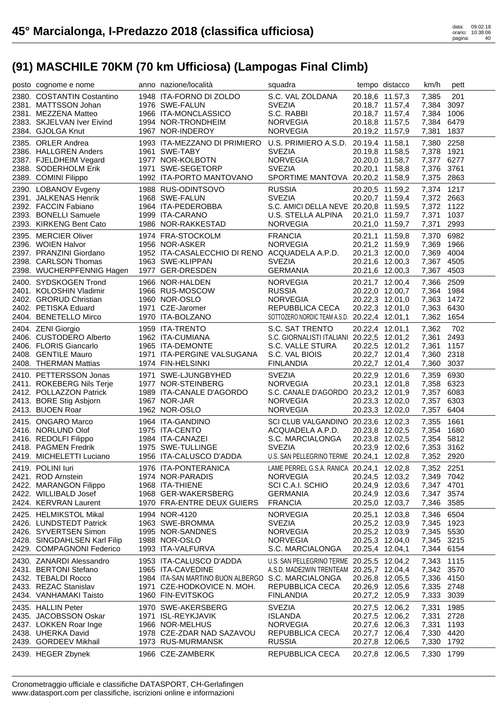| posto cognome e nome                              | anno nazione/località                              | squadra                                           |                                    | tempo distacco  | km/h                     | pett         |
|---------------------------------------------------|----------------------------------------------------|---------------------------------------------------|------------------------------------|-----------------|--------------------------|--------------|
| 2380. COSTANTIN Costantino                        | 1948 ITA-FORNO DI ZOLDO                            | S.C. VAL ZOLDANA                                  | 20.18,6 11.57,3                    |                 | 7,385                    | 201          |
| 2381. MATTSSON Johan                              | 1976 SWE-FALUN                                     | <b>SVEZIA</b>                                     | 20.18,7 11.57,4                    |                 | 7,384                    | 3097         |
| 2381. MEZZENA Matteo                              | 1966 ITA-MONCLASSICO                               | S.C. RABBI                                        | 20.18,7 11.57,4                    |                 | 7,384 1006               |              |
| 2383. SKJELVAN Iver Eivind                        | 1994 NOR-TRONDHEIM                                 | <b>NORVEGIA</b>                                   | 20.18,8 11.57,5                    |                 | 7,384                    | 6479         |
| 2384. GJOLGA Knut                                 | 1967 NOR-INDEROY                                   | <b>NORVEGIA</b>                                   | 20.19,2 11.57,9                    |                 | 7,381                    | 1837         |
| 2385. ORLER Andrea                                | 1993 ITA-MEZZANO DI PRIMIERO                       | U.S. PRIMIERO A.S.D.                              | 20.19,4 11.58,1                    |                 | 7,380                    | 2258         |
| 2386. HALLGREN Anders                             | 1961 SWE-TABY                                      | <b>SVEZIA</b>                                     | 20.19,8 11.58,5                    |                 | 7,378 1921               |              |
| 2387. FJELDHEIM Vegard                            | 1977 NOR-KOLBOTN                                   | <b>NORVEGIA</b>                                   |                                    | 20.20,0 11.58,7 | 7,377 6277               |              |
| 2388. SODERHOLM Erik<br>2389. COMINI Filippo      | 1971 SWE-SEGETORP<br>1992 ITA-PORTO MANTOVANO      | <b>SVEZIA</b><br>SPORTIME MANTOVA 20.20,2 11.58,9 | 20.20,1 11.58,8                    |                 | 7,376<br>7,375 2863      | 3761         |
|                                                   |                                                    |                                                   |                                    |                 |                          |              |
| 2390. LOBANOV Evgeny                              | 1988 RUS-ODINTSOVO                                 | <b>RUSSIA</b><br><b>SVEZIA</b>                    | 20.20,5 11.59,2                    |                 | 7,374 1217               |              |
| 2391. JALKENAS Henrik<br>2392. FACCIN Fabiano     | 1968 SWE-FALUN<br>1964 ITA-PEDEROBBA               | S.C. AMICI DELLA NEVE 20.20,8 11.59,5             |                                    | 20.20,7 11.59,4 | 7,372 2663<br>7,372 1122 |              |
| 2393. BONELLI Samuele                             | 1999 ITA-CARANO                                    | U.S. STELLA ALPINA                                | 20.21,0 11.59,7                    |                 | 7,371                    | 1037         |
| 2393. KIRKENG Bent Cato                           | 1986 NOR-RAKKESTAD                                 | <b>NORVEGIA</b>                                   | 20.21,0 11.59,7                    |                 | 7,371                    | 2993         |
| 2395. MERCIER Oliver                              | 1974 FRA-STOCKOLM                                  | <b>FRANCIA</b>                                    | 20.21,1 11.59,8                    |                 | 7,370                    | 6982         |
| 2396. WOIEN Halvor                                | 1956 NOR-ASKER                                     | <b>NORVEGIA</b>                                   | 20.21,2 11.59,9                    |                 | 7,369                    | 1966         |
| 2397. PRANZINI Giordano                           | 1952 ITA-CASALECCHIO DI RENO ACQUADELA A.P.D.      |                                                   | 20.21,3 12.00,0                    |                 | 7,369                    | 4004         |
| 2398. CARLSON Thomas                              | 1963 SWE-KLIPPAN                                   | <b>SVEZIA</b>                                     | 20.21,6 12.00,3                    |                 | 7,367 4505               |              |
| 2398. WUCHERPFENNIG Hagen                         | 1977 GER-DRESDEN                                   | <b>GERMANIA</b>                                   | 20.21,6 12.00,3                    |                 | 7,367                    | 4503         |
| 2400. SYDSKOGEN Trond                             | 1966 NOR-HALDEN                                    | <b>NORVEGIA</b>                                   | 20.21,7 12.00,4                    |                 | 7,366                    | 2509         |
| 2401. KOLOSHIN Vladimir                           | 1966 RUS-MOSCOW                                    | <b>RUSSIA</b>                                     | 20.22,0 12.00,7                    |                 | 7,364 1984               |              |
| 2402. GRORUD Christian                            | 1960 NOR-OSLO                                      | <b>NORVEGIA</b>                                   | 20.22,3 12.01,0                    |                 | 7,363                    | 1472         |
| 2402. PETISKA Eduard                              | 1971 CZE-Jaromer                                   | REPUBBLICA CECA                                   | 20.22,3 12.01,0                    |                 | 7,363                    | 6430         |
| 2404. BENETELLO Mirco                             | 1970 ITA-BOLZANO                                   | SOTTOZERO NORDIC TEAM A.S.D. 20.22,4 12.01,1      |                                    |                 | 7,362 1654               |              |
| 2404. ZENI Giorgio                                | 1959 ITA-TRENTO                                    | S.C. SAT TRENTO                                   | 20.22,4 12.01,1                    |                 | 7,362                    | 702          |
| 2406. CUSTODERO Alberto                           | 1962 ITA-CUMIANA                                   | S.C. GIORNALISTI ITALIANI 20.22,5 12.01,2         |                                    |                 | 7,361                    | 2493         |
| 2406. FLORIS Giancarlo                            | 1965 ITA-DEMONTE                                   | S.C. VALLE STURA                                  | 20.22,5 12.01,2                    |                 | 7,361                    | 1157         |
| 2408. GENTILE Mauro                               | 1971 ITA-PERGINE VALSUGANA                         | S.C. VAL BIOIS                                    | 20.22,7 12.01,4                    |                 | 7,360                    | 2318         |
| 2408. THERMAN Mattias                             | 1974 FIN-HELSINKI                                  | <b>FINLANDIA</b>                                  | 20.22,7 12.01,4                    |                 | 7,360                    | 3037         |
|                                                   |                                                    |                                                   |                                    |                 |                          |              |
| 2410. PETTERSSON Jonas                            | 1971 SWE-LJUNGBYHED                                | <b>SVEZIA</b>                                     | 20.22,9 12.01,6                    |                 | 7,359                    | 6930         |
| 2411. ROKEBERG Nils Terje                         | 1977 NOR-STEINBERG                                 | <b>NORVEGIA</b>                                   | 20.23,1 12.01,8                    |                 | 7,358 6323               |              |
| 2412. POLLAZZON Patrick                           | 1989 ITA-CANALE D'AGORDO                           | S.C. CANALE D'AGORDO 20.23,2 12.01,9              |                                    |                 | 7,357                    | 6083         |
| 2413. BORE Stig Asbjorn                           | 1967 NOR-JAR                                       | <b>NORVEGIA</b>                                   | 20.23,3 12.02,0                    |                 | 7,357                    | 6303         |
| 2413. BUOEN Roar                                  | 1962 NOR-OSLO                                      | <b>NORVEGIA</b>                                   | 20.23,3 12.02,0                    |                 | 7,357                    | 6404         |
| 2415. ONGARO Marco                                | 1964 ITA-GANDINO                                   | SCI CLUB VALGANDINO 20.23,6 12.02,3               |                                    |                 | 7,355                    | 1661         |
| 2416. NORLUND Olof                                | 1975 ITA-CENTO                                     | ACQUADELA A.P.D.                                  | 20.23,8 12.02,5                    |                 | 7,354 1680               |              |
| 2416. REDOLFI Filippo                             | 1984 ITA-CANAZEI                                   | S.C. MARCIALONGA                                  | 20.23,8 12.02,5                    |                 | 7,354 5812               |              |
| 2418. PAGMEN Fredrik                              | 1975 SWE-TULLINGE                                  | <b>SVEZIA</b>                                     | 20.23,9 12.02,6                    |                 | 7,353 3162               |              |
| 2419. MICHELETTI Luciano                          | 1956 ITA-CALUSCO D'ADDA                            | U.S. SAN PELLEGRINO TERME 20.24,1 12.02,8         |                                    |                 | 7,352 2920               |              |
| 2419. POLINI luri                                 | 1976 ITA-PONTERANICA                               | LAME PERREL G.S.A. RANICA 20.24,1 12.02,8         |                                    |                 | 7,352 2251               |              |
| 2421. ROD Arnstein                                | 1974 NOR-PARADIS                                   | <b>NORVEGIA</b>                                   | 20.24,5 12.03,2                    |                 | 7,349 7042               |              |
| 2422. MARANGON Filippo<br>2422. WILLIBALD Josef   | 1968 ITA-THIENE<br>1968 GER-WAKERSBERG             | SCI C.A.I. SCHIO<br><b>GERMANIA</b>               | 20.24,9 12.03,6                    |                 | 7,347 4701               | 3574         |
| 2424. KERVRAN Laurent                             | 1970 FRA-ENTRE DEUX GUIERS                         | <b>FRANCIA</b>                                    | 20.24,9 12.03,6<br>20.25,0 12.03,7 |                 | 7,347<br>7,346 3585      |              |
|                                                   |                                                    |                                                   |                                    |                 |                          |              |
| 2425. HELMIKSTOL Mikal<br>2426. LUNDSTEDT Patrick | 1994 NOR-4120<br>1963 SWE-BROMMA                   | <b>NORVEGIA</b><br><b>SVEZIA</b>                  | 20.25,1 12.03,8<br>20.25,2 12.03,9 |                 | 7,346<br>7,345           | 6504<br>1923 |
| 2426. SYVERTSEN Simon                             | 1995 NOR-SANDNES                                   | <b>NORVEGIA</b>                                   | 20.25,2 12.03,9                    |                 | 7,345 5530               |              |
| 2428. SINGDAHLSEN Karl Filip                      | 1988 NOR-OSLO                                      | <b>NORVEGIA</b>                                   | 20.25,3 12.04,0                    |                 | 7,345 3215               |              |
| 2429. COMPAGNONI Federico                         | 1993 ITA-VALFURVA                                  | S.C. MARCIALONGA                                  | 20.25,4 12.04,1                    |                 | 7,344                    | 6154         |
| 2430. ZANARDI Alessandro                          | 1953 ITA-CALUSCO D'ADDA                            | U.S. SAN PELLEGRINO TERME                         | 20.25,5 12.04,2                    |                 | 7,343                    | 1115         |
| 2431. BERTONI Stefano                             | 1965 ITA-CAVEDINE                                  | A.S.D. MADE2WIN TRENTEAM 20.25,7 12.04,4          |                                    |                 | 7,342 3570               |              |
| 2432. TEBALDI Rocco                               | 1984 ITA-SAN MARTINO BUON ALBERGO S.C. MARCIALONGA |                                                   | 20.26,8 12.05,5                    |                 | 7,336 4150               |              |
| 2433. REZAC Stanislav                             | 1971 CZE-HODKOVICE N. MOH.                         | REPUBBLICA CECA                                   | 20.26,9 12.05,6                    |                 | 7,335 2748               |              |
| 2434. VANHAMAKI Taisto                            | 1960 FIN-EVITSKOG                                  | <b>FINLANDIA</b>                                  | 20.27,2 12.05,9                    |                 | 7,333                    | 3039         |
| 2435. HALLIN Peter                                | 1970 SWE-AKERSBERG                                 | <b>SVEZIA</b>                                     | 20.27,5 12.06,2                    |                 | 7,331                    | 1985         |
| 2435. JACOBSSON Oskar                             | 1971 ISL-REYKJAVIK                                 | <b>ISLANDA</b>                                    | 20.27,5 12.06,2                    |                 | 7,331                    | 2728         |
| 2437. LOKKEN Roar Inge                            | 1966 NOR-MELHUS                                    | <b>NORVEGIA</b>                                   | 20.27,6 12.06,3                    |                 | 7,331                    | 1193         |
| 2438. UHERKA David                                | 1978 CZE-ZDAR NAD SAZAVOU                          | REPUBBLICA CECA                                   | 20.27,7 12.06,4                    |                 | 7,330                    | 4420         |
| 2439. GORDEEV Mikhail<br>2439. HEGER Zbynek       | 1973 RUS-MURMANSK<br>1966 CZE-ZAMBERK              | <b>RUSSIA</b><br>REPUBBLICA CECA                  | 20.27,8 12.06,5<br>20.27,8 12.06,5 |                 | 7,330<br>7,330           | 1792<br>1799 |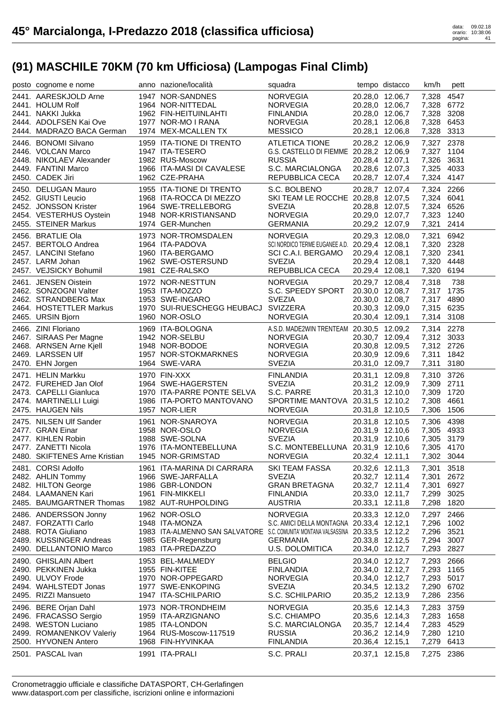| posto cognome e nome                              | anno nazione/località                                                            | squadra                                                     |                                    | tempo distacco                     | km/h                     | pett         |
|---------------------------------------------------|----------------------------------------------------------------------------------|-------------------------------------------------------------|------------------------------------|------------------------------------|--------------------------|--------------|
| 2441. AARESKJOLD Arne                             | 1947 NOR-SANDNES                                                                 | <b>NORVEGIA</b>                                             |                                    | 20.28,0 12.06,7                    | 7,328                    | 4547         |
| 2441. HOLUM Rolf                                  | 1964 NOR-NITTEDAL                                                                | <b>NORVEGIA</b>                                             |                                    | 20.28,0 12.06,7                    | 7,328 6772               |              |
| 2441. NAKKI Jukka                                 | 1962 FIN-HEITUINLAHTI                                                            | <b>FINLANDIA</b>                                            |                                    | 20.28,0 12.06,7                    | 7,328 3208               |              |
| 2444. ADOLFSEN Kai Ove                            | 1977 NOR-MO I RANA                                                               | <b>NORVEGIA</b>                                             | 20.28,1 12.06,8                    |                                    | 7,328                    | 6453         |
| 2444. MADRAZO BACA German                         | 1974 MEX-MCALLEN TX                                                              | <b>MESSICO</b>                                              | 20.28,1 12.06,8                    |                                    | 7,328 3313               |              |
| 2446. BONOMI Silvano                              | 1959 ITA-TIONE DI TRENTO                                                         | <b>ATLETICA TIONE</b>                                       | 20.28,2 12.06,9                    |                                    | 7,327 2378               |              |
| 2446. VOLCAN Marco                                | 1947 ITA-TESERO                                                                  | G.S. CASTELLO DI FIEMME 20.28,2 12.06,9                     |                                    |                                    | 7,327 1104               |              |
| 2448. NIKOLAEV Alexander                          | 1982 RUS-Moscow                                                                  | <b>RUSSIA</b>                                               | 20.28,4 12.07,1                    |                                    | 7,326 3631               |              |
| 2449. FANTINI Marco                               | 1966 ITA-MASI DI CAVALESE                                                        | S.C. MARCIALONGA                                            | 20.28,6 12.07,3                    |                                    | 7,325 4033               |              |
| 2450. CADEK Jiri                                  | 1962 CZE-PRAHA                                                                   | REPUBBLICA CECA                                             | 20.28,7 12.07,4                    |                                    | 7,324 4147               |              |
| 2450. DELUGAN Mauro                               | 1955 ITA-TIONE DI TRENTO                                                         | S.C. BOLBENO                                                | 20.28,7 12.07,4                    |                                    | 7,324 2266               |              |
| 2452. GIUSTI Leucio                               | 1968 ITA-ROCCA DI MEZZO                                                          | SKI TEAM LE ROCCHE 20.28,8 12.07,5                          |                                    |                                    | 7,324 6041               |              |
| 2452. JONSSON Krister                             | 1964 SWE-TRELLEBORG                                                              | <b>SVEZIA</b>                                               | 20.28,8 12.07,5                    |                                    | 7,324 6526               |              |
| 2454. VESTERHUS Oystein<br>2455. STEINER Markus   | 1948 NOR-KRISTIANSAND<br>1974 GER-Munchen                                        | <b>NORVEGIA</b><br><b>GERMANIA</b>                          |                                    | 20.29,0 12.07,7<br>20.29,2 12.07,9 | 7,323 1240<br>7,321      | 2414         |
|                                                   |                                                                                  |                                                             |                                    |                                    |                          |              |
| 2456. BRATLIE Ola                                 | 1973 NOR-TROMSDALEN                                                              | <b>NORVEGIA</b>                                             | 20.29,3 12.08,0                    |                                    | 7,321                    | 6942         |
| 2457. BERTOLO Andrea<br>2457. LANCINI Stefano     | 1964 ITA-PADOVA<br>1960 ITA-BERGAMO                                              | SCI NORDICO TERME EUGANEE A.D. 20.29,4 12.08,1              | 20.29,4 12.08,1                    |                                    | 7,320 2328<br>7,320 2341 |              |
| 2457. LARM Johan                                  | 1962 SWE-OSTERSUND                                                               | SCI C.A.I. BERGAMO<br><b>SVEZIA</b>                         | 20.29,4 12.08,1                    |                                    | 7,320 4448               |              |
| 2457. VEJSICKY Bohumil                            | 1981 CZE-RALSKO                                                                  | REPUBBLICA CECA                                             | 20.29,4 12.08,1                    |                                    | 7,320 6194               |              |
|                                                   |                                                                                  |                                                             |                                    |                                    |                          |              |
| 2461. JENSEN Oistein                              | 1972 NOR-NESTTUN                                                                 | <b>NORVEGIA</b>                                             | 20.29,7 12.08,4                    |                                    | 7,318                    | 738          |
| 2462. SONZOGNI Valter<br>2462. STRANDBERG Max     | 1953 ITA-MOZZO<br>1953 SWE-INGARO                                                | S.C. SPEEDY SPORT<br><b>SVEZIA</b>                          |                                    | 20.30,0 12.08,7<br>20.30,0 12.08,7 | 7,317 1735<br>7,317 4890 |              |
| 2464. HOSTETTLER Markus                           | 1970 SUI-RUESCHEGG HEUBACJ SVIZZERA                                              |                                                             | 20.30,3 12.09,0                    |                                    | 7,315 6235               |              |
| 2465. URSIN Bjorn                                 | 1960 NOR-OSLO                                                                    | <b>NORVEGIA</b>                                             | 20.30,4 12.09,1                    |                                    | 7,314 3108               |              |
|                                                   |                                                                                  |                                                             |                                    |                                    |                          |              |
| 2466. ZINI Floriano                               | 1969 ITA-BOLOGNA<br>1942 NOR-SELBU                                               | A.S.D. MADE2WIN TRENTEAM 20.30,5 12.09,2<br><b>NORVEGIA</b> |                                    |                                    | 7,314 2278<br>7,312 3033 |              |
| 2467. SIRAAS Per Magne<br>2468. ARNSEN Arne Kjell | 1948 NOR-BODOE                                                                   | <b>NORVEGIA</b>                                             | 20.30,8 12.09,5                    | 20.30,7 12.09,4                    | 7,312 2726               |              |
| 2469. LARSSEN Ulf                                 | 1957 NOR-STOKMARKNES                                                             | <b>NORVEGIA</b>                                             | 20.30,9 12.09,6                    |                                    | 7,311 1842               |              |
| 2470. EHN Jorgen                                  | 1964 SWE-VARA                                                                    | <b>SVEZIA</b>                                               | 20.31,0 12.09,7                    |                                    | 7,311                    | 3180         |
|                                                   |                                                                                  |                                                             |                                    |                                    |                          |              |
|                                                   |                                                                                  |                                                             |                                    |                                    |                          |              |
| 2471. HELIN Markku                                | <b>1970 FIN-XXX</b>                                                              | <b>FINLANDIA</b>                                            | 20.31,1 12.09,8                    |                                    | 7,310 3726               |              |
| 2472. FUREHED Jan Olof                            | 1964 SWE-HAGERSTEN                                                               | <b>SVEZIA</b>                                               | 20.31,2 12.09,9                    |                                    | 7,309 2711               |              |
| 2473. CAPELLI Gianluca                            | 1970 ITA-PARRE PONTE SELVA                                                       | S.C. PARRE                                                  | 20.31,3 12.10,0                    |                                    | 7,309                    | 1720         |
| 2474. MARTINELLI Luigi                            | 1986 ITA-PORTO MANTOVANO                                                         | SPORTIME MANTOVA 20.31,5 12.10,2                            |                                    |                                    | 7,308                    | 4661         |
| 2475. HAUGEN Nils                                 | 1957 NOR-LIER                                                                    | <b>NORVEGIA</b>                                             | 20.31,8 12.10,5                    |                                    | 7,306                    | 1506         |
| 2475. NILSEN Ulf Sander                           | 1961 NOR-SNAROYA                                                                 | <b>NORVEGIA</b>                                             |                                    | 20.31,8 12.10,5                    | 7,306 4398               |              |
| 2477. GRAN Einar                                  | 1958 NOR-OSLO                                                                    | <b>NORVEGIA</b>                                             |                                    | 20.31,9 12.10,6                    | 7,305 4933               |              |
| 2477. KIHLEN Robin<br>2477. ZANETTI Nicola        | 1988 SWE-SOLNA<br>1976 ITA-MONTEBELLUNA                                          | <b>SVEZIA</b>                                               |                                    | 20.31,9 12.10,6                    | 7,305 3179               |              |
| 2480. SKIFTENES Arne Kristian                     | 1945 NOR-GRIMSTAD                                                                | S.C. MONTEBELLUNA 20.31,9 12.10,6<br><b>NORVEGIA</b>        |                                    | 20.32,4 12.11,1                    | 7,305 4170<br>7,302 3044 |              |
|                                                   |                                                                                  |                                                             |                                    |                                    |                          |              |
| 2481. CORSI Adolfo                                | 1961 ITA-MARINA DI CARRARA                                                       | SKI TEAM FASSA                                              | 20.32,6 12.11,3                    |                                    | 7,301                    | 3518         |
| 2482. AHLIN Tommy<br>2482. HILTON George          | 1966 SWE-JARFALLA<br>1986 GBR-LONDON                                             | <b>SVEZIA</b><br><b>GRAN BRETAGNA</b>                       | 20.32,7 12.11,4<br>20.32,7 12.11,4 |                                    | 7,301<br>7,301           | 2672<br>6927 |
| 2484. LAAMANEN Kari                               | 1961 FIN-MIKKELI                                                                 | <b>FINLANDIA</b>                                            | 20.33,0 12.11,7                    |                                    | 7,299                    | 3025         |
| 2485. BAUMGARTNER Thomas                          | 1982 AUT-RUHPOLDING                                                              | <b>AUSTRIA</b>                                              | 20.33,1 12.11,8                    |                                    | 7,298                    | 1820         |
| 2486. ANDERSSON Jonny                             | 1962 NOR-OSLO                                                                    | <b>NORVEGIA</b>                                             | 20.33,3 12.12,0                    |                                    | 7,297 2466               |              |
| 2487. FORZATTI Carlo                              | 1948 ITA-MONZA                                                                   | S.C. AMICI DELLA MONTAGNA 20.33,4 12.12,1                   |                                    |                                    | 7,296                    | 1002         |
| 2488. ROTA Giuliano                               | 1983 ITA-ALMENNO SAN SALVATORE S.C. COMUNITA' MONTANA VALSASSINA 20.33,5 12.12,2 |                                                             |                                    |                                    | 7,296 3521               |              |
| 2489. KUSSINGER Andreas                           | 1985 GER-Regensburg                                                              | <b>GERMANIA</b>                                             | 20.33,8 12.12,5                    |                                    | 7,294 3007               |              |
| 2490. DELLANTONIO Marco                           | 1983 ITA-PREDAZZO                                                                | U.S. DOLOMITICA                                             | 20.34,0 12.12,7                    |                                    | 7,293                    | 2827         |
| 2490. GHISLAIN Albert                             | 1953 BEL-MALMEDY                                                                 | <b>BELGIO</b>                                               | 20.34,0 12.12,7                    |                                    | 7,293                    | 2666         |
| 2490. PEKKINEN Jukka                              | 1955 FIN-KITEE                                                                   | <b>FINLANDIA</b>                                            | 20.34,0 12.12,7                    |                                    | 7,293                    | 1165         |
| 2490. ULVOY Frode                                 | 1970 NOR-OPPEGARD                                                                | <b>NORVEGIA</b>                                             | 20.34,0 12.12,7                    |                                    | 7,293                    | 5017         |
| 2494. WAHLSTEDT Jonas                             | 1977 SWE-ENKOPING                                                                | <b>SVEZIA</b>                                               | 20.34,5 12.13,2                    |                                    | 7,290                    | 6702         |
| 2495. RIZZI Mansueto                              | 1947 ITA-SCHILPARIO                                                              | S.C. SCHILPARIO                                             | 20.35,2 12.13,9                    |                                    | 7,286                    | 2356         |
| 2496. BERE Orjan Dahl                             | 1973 NOR-TRONDHEIM                                                               | <b>NORVEGIA</b>                                             | 20.35,6 12.14,3                    |                                    | 7,283                    | 3759         |
| 2496. FRACASSO Sergio                             | 1959 ITA-ARZIGNANO                                                               | S.C. CHIAMPO                                                | 20.35,6 12.14,3                    |                                    | 7,283                    | 1658         |
| 2498. WESTON Luciano                              | 1985 ITA-LONDON                                                                  | S.C. MARCIALONGA                                            | 20.35,7 12.14,4                    |                                    | 7,283                    | 4529         |
| 2499. ROMANENKOV Valeriy                          | 1964 RUS-Moscow-117519                                                           | <b>RUSSIA</b>                                               | 20.36,2 12.14,9                    |                                    | 7,280 1210               |              |
| 2500. HYVONEN Antero<br>2501. PASCAL Ivan         | 1968 FIN-HYVINKAA<br>1991 ITA-PRALI                                              | <b>FINLANDIA</b><br>S.C. PRALI                              | 20.36,4 12.15,1<br>20.37,1 12.15,8 |                                    | 7,279<br>7,275 2386      | 6413         |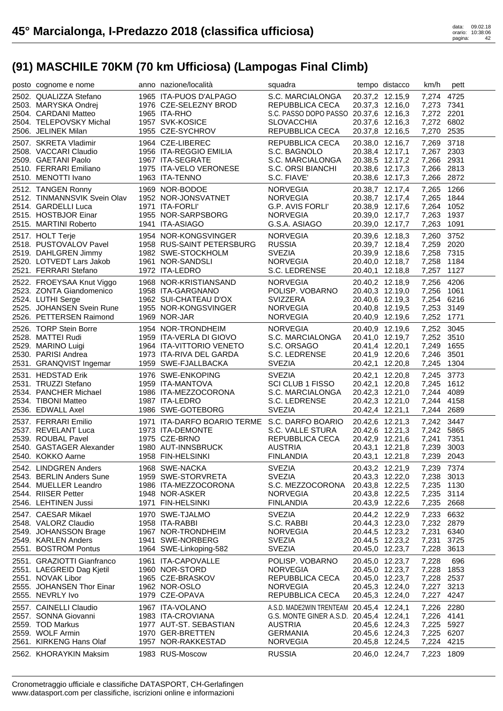| posto cognome e nome                              | anno nazione/località                         | squadra                                  |                                    | tempo distacco  | km/h                | pett |
|---------------------------------------------------|-----------------------------------------------|------------------------------------------|------------------------------------|-----------------|---------------------|------|
| 2502. QUALIZZA Stefano                            | 1965 ITA-PUOS D'ALPAGO                        | S.C. MARCIALONGA                         | 20.37,2 12.15,9                    |                 | 7,274 4725          |      |
| 2503. MARYSKA Ondrej                              | 1976 CZE-SELEZNY BROD                         | REPUBBLICA CECA                          | 20.37,3 12.16,0                    |                 | 7,273 7341          |      |
| 2504. CARDANI Matteo                              | 1965 ITA-RHO                                  | S.C. PASSO DOPO PASSO 20.37,6 12.16,3    |                                    |                 | 7,272 2201          |      |
| 2504. TELEPOVSKY Michal                           | 1957 SVK-KOSICE                               | <b>SLOVACCHIA</b>                        | 20.37,6 12.16,3                    |                 | 7,272 6802          |      |
| 2506. JELINEK Milan                               | 1955 CZE-SYCHROV                              | REPUBBLICA CECA                          | 20.37,8 12.16,5                    |                 | 7,270 2535          |      |
| 2507. SKRETA Vladimir                             | 1964 CZE-LIBEREC                              | REPUBBLICA CECA                          | 20.38,0 12.16,7                    |                 | 7,269               | 3718 |
| 2508. VACCARI Claudio                             | 1956 ITA-REGGIO EMILIA                        | S.C. BAGNOLO                             | 20.38,4 12.17,1                    |                 | 7,267 2303          |      |
| 2509. GAETANI Paolo                               | 1967 ITA-SEGRATE                              | S.C. MARCIALONGA                         | 20.38,5 12.17,2                    |                 | 7,266 2931          |      |
| 2510. FERRARI Emiliano                            | 1975 ITA-VELO VERONESE                        | S.C. ORSI BIANCHI                        | 20.38,6 12.17,3                    |                 | 7,266 2813          |      |
| 2510. MENOTTI Ivano                               | 1963 ITA-TENNO                                | S.C. FIAVE'                              | 20.38,6 12.17,3                    |                 | 7,266 2872          |      |
| 2512. TANGEN Ronny                                | 1969 NOR-BODOE                                | <b>NORVEGIA</b>                          | 20.38,7 12.17,4                    |                 | 7,265               | 1266 |
| 2512. TINMANNSVIK Svein Olav                      | 1952 NOR-JONSVATNET                           | <b>NORVEGIA</b>                          |                                    | 20.38,7 12.17,4 | 7,265 1844          |      |
| 2514. GARDELLI Luca                               | 1971 ITA-FORLI'                               | G.P. AVIS FORLI'                         |                                    | 20.38,9 12.17,6 | 7,264 1052          |      |
| 2515. HOSTBJOR Einar                              | 1955 NOR-SARPSBORG                            | <b>NORVEGIA</b>                          |                                    | 20.39,0 12.17,7 | 7,263               | 1937 |
| 2515. MARTINI Roberto                             | 1941 ITA-ASIAGO                               | G.S.A. ASIAGO                            | 20.39,0 12.17,7                    |                 | 7,263               | 1091 |
| 2517. HOLT Terje                                  | 1954 NOR-KONGSVINGER                          | <b>NORVEGIA</b>                          | 20.39,6 12.18,3                    |                 | 7,260 3752          |      |
| 2518. PUSTOVALOV Pavel                            | 1958 RUS-SAINT PETERSBURG                     | <b>RUSSIA</b>                            | 20.39,7 12.18,4                    |                 | 7,259 2020          |      |
| 2519. DAHLGREN Jimmy                              | 1982 SWE-STOCKHOLM                            | <b>SVEZIA</b>                            | 20.39,9 12.18,6                    |                 | 7,258 7315          |      |
| 2520. LOTVEDT Lars Jakob                          | 1961 NOR-SANDSLI                              | <b>NORVEGIA</b>                          | 20.40,0 12.18,7                    |                 | 7,258 1184          |      |
| 2521. FERRARI Stefano                             | 1972 ITA-LEDRO                                | S.C. LEDRENSE                            | 20.40,1 12.18,8                    |                 | 7,257               | 1127 |
| 2522. FROEYSAA Knut Viggo                         | 1968 NOR-KRISTIANSAND                         | <b>NORVEGIA</b>                          | 20.40,2 12.18,9                    |                 | 7,256               | 4206 |
| 2523. ZONTA Giandomenico                          | 1958 ITA-GARGNANO                             | POLISP. VOBARNO                          | 20.40,3 12.19,0                    |                 | 7,256 1061          |      |
| 2524. LUTHI Serge                                 | 1962 SUI-CHATEAU D'OX                         | <b>SVIZZERA</b>                          | 20.40,6 12.19,3                    |                 | 7,254 6216          |      |
| 2525. JOHANSEN Svein Rune                         | 1955 NOR-KONGSVINGER                          | <b>NORVEGIA</b>                          | 20.40,8 12.19,5                    |                 | 7,253 3149          |      |
| 2526. PETTERSEN Raimond                           | 1969 NOR-JAR                                  | <b>NORVEGIA</b>                          | 20.40,9 12.19,6                    |                 | 7,252 1771          |      |
| 2526. TORP Stein Borre                            | 1954 NOR-TRONDHEIM                            | <b>NORVEGIA</b>                          | 20.40,9 12.19,6                    |                 | 7,252 3045          |      |
| 2528. MATTEI Rudi                                 | 1959 ITA-VERLA DI GIOVO                       | S.C. MARCIALONGA                         |                                    | 20.41,0 12.19,7 | 7,252 3510          |      |
| 2529. MARINO Luigi                                | 1964 ITA-VITTORIO VENETO                      | S.C. ORSAGO                              | 20.41,4 12.20,1                    |                 | 7,249 1655          |      |
| 2530. PARISI Andrea                               | 1973 ITA-RIVA DEL GARDA                       | S.C. LEDRENSE                            | 20.41,9 12.20,6                    |                 | 7,246               | 3501 |
| 2531. GRANQVIST Ingemar                           | 1959 SWE-FJALLBACKA                           | <b>SVEZIA</b>                            | 20.42,1 12.20,8                    |                 | 7,245               | 1304 |
|                                                   |                                               |                                          |                                    |                 |                     |      |
| 2531. HEDSTAD Erik                                | 1976 SWE-ENKOPING                             | <b>SVEZIA</b>                            | 20.42,1 12.20,8                    |                 | 7,245 3773          |      |
| 2531. TRUZZI Stefano                              | 1959 ITA-MANTOVA                              | <b>SCI CLUB 1 FISSO</b>                  | 20.42,1 12.20,8                    |                 | 7,245 1612          |      |
| 2534. PANCHER Michael                             | 1986 ITA-MEZZOCORONA                          | S.C. MARCIALONGA                         | 20.42,3 12.21,0                    |                 | 7,244               | 4089 |
| 2534. TIBONI Matteo                               | 1987 ITA-LEDRO                                | S.C. LEDRENSE                            | 20.42,3 12.21,0                    |                 | 7,244               | 4158 |
| 2536. EDWALL Axel                                 | 1986 SWE-GOTEBORG                             | <b>SVEZIA</b>                            | 20.42,4 12.21,1                    |                 | 7,244               | 2689 |
| 2537. FERRARI Emilio                              | 1971 ITA-DARFO BOARIO TERME S.C. DARFO BOARIO |                                          | 20.42,6 12.21,3                    |                 | 7,242 3447          |      |
| 2537. REVELANT Luca                               | 1973 ITA-DEMONTE                              | S.C. VALLE STURA                         | 20.42,6 12.21,3                    |                 | 7,242 5865          |      |
| 2539. ROUBAL Pavel                                | 1975 CZE-BRNO                                 | REPUBBLICA CECA                          | 20.42,9 12.21,6                    |                 | 7,241 7351          |      |
| 2540. GASTAGER Alexander                          | 1980 AUT-INNSBRUCK                            | <b>AUSTRIA</b>                           | 20.43,1 12.21,8                    |                 | 7,239               | 3003 |
| 2540. KOKKO Aarne                                 | 1958 FIN-HELSINKI                             | <b>FINLANDIA</b>                         |                                    | 20.43,1 12.21,8 | 7,239 2043          |      |
| 2542. LINDGREN Anders                             | 1968 SWE-NACKA                                | <b>SVEZIA</b>                            | 20.43,2 12.21,9                    |                 | 7,239 7374          |      |
| 2543. BERLIN Anders Sune                          | 1959 SWE-STORVRETA                            | <b>SVEZIA</b>                            | 20.43,3 12.22,0                    |                 | 7,238 3013          |      |
| 2544. MUELLER Leandro                             | 1986 ITA-MEZZOCORONA                          | S.C. MEZZOCORONA                         | 20.43,8 12.22,5                    |                 | 7,235 1130          |      |
| 2544. RIISER Petter                               | 1948 NOR-ASKER                                | <b>NORVEGIA</b>                          | 20.43,8 12.22,5                    |                 | 7,235               | 3114 |
| 2546. LEHTINEN Jussi                              | 1971 FIN-HELSINKI                             | <b>FINLANDIA</b>                         | 20.43,9 12.22,6                    |                 | 7,235 2668          |      |
| 2547. CAESAR Mikael                               | 1970 SWE-TJALMO                               | <b>SVEZIA</b>                            | 20.44,2 12.22,9                    |                 | 7,233               | 6632 |
| 2548. VALORZ Claudio                              | 1958 ITA-RABBI                                | S.C. RABBI                               | 20.44,3 12.23,0                    |                 | 7,232               | 2879 |
| 2549. JOHANSSON Brage                             | 1967 NOR-TRONDHEIM                            | <b>NORVEGIA</b>                          | 20.44,5 12.23,2                    |                 | 7,231               | 6340 |
| 2549. KARLEN Anders                               | 1941 SWE-NORBERG                              | <b>SVEZIA</b>                            | 20.44,5 12.23,2                    |                 | 7,231               | 3725 |
| 2551. BOSTROM Pontus                              | 1964 SWE-Linkoping-582                        | <b>SVEZIA</b>                            | 20.45,0 12.23,7                    |                 | 7,228               | 3613 |
| 2551. GRAZIOTTI Gianfranco                        | 1961 ITA-CAPOVALLE                            | POLISP. VOBARNO                          | 20.45,0 12.23,7                    |                 | 7,228               | 696  |
| 2551. LAEGREID Dag Kjetil                         | 1960 NOR-STORD                                | <b>NORVEGIA</b>                          | 20.45,0 12.23,7                    |                 | 7,228               | 1853 |
| 2551. NOVAK Libor                                 | 1965 CZE-BRASKOV                              | REPUBBLICA CECA                          | 20.45,0 12.23,7                    |                 | 7,228               | 2537 |
| 2555. JOHANSEN Thor Einar                         | 1962 NOR-OSLO                                 | <b>NORVEGIA</b>                          | 20.45,3 12.24,0                    |                 | 7,227               | 3213 |
| 2555. NEVRLY Ivo                                  | 1979 CZE-OPAVA                                | REPUBBLICA CECA                          | 20.45,3 12.24,0                    |                 | 7,227 4247          |      |
| 2557. CAINELLI Claudio                            | 1967 ITA-VOLANO                               | A.S.D. MADE2WIN TRENTEAM 20.45,4 12.24,1 |                                    |                 | 7,226 2280          |      |
| 2557. SONNA Giovanni                              | 1983 ITA-CROVIANA                             | G.S. MONTE GINER A.S.D. 20.45,4 12.24,1  |                                    |                 | 7,226 4141          |      |
| 2559. TOD Markus                                  | 1977 AUT-ST. SEBASTIAN                        | <b>AUSTRIA</b>                           | 20.45,6 12.24,3                    |                 | 7,225               | 5927 |
| 2559. WOLF Armin                                  | 1970 GER-BRETTEN                              | <b>GERMANIA</b>                          | 20.45,6 12.24,3                    |                 | 7,225 6207          |      |
| 2561. KIRKENG Hans Olaf<br>2562. KHORAYKIN Maksim | 1957 NOR-RAKKESTAD<br>1983 RUS-Moscow         | <b>NORVEGIA</b><br><b>RUSSIA</b>         | 20.45,8 12.24,5<br>20.46,0 12.24,7 |                 | 7,224 4215<br>7,223 | 1809 |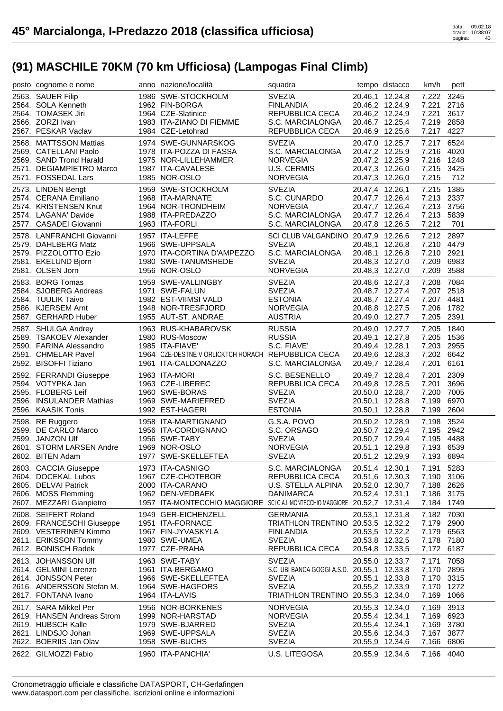| posto cognome e nome                                                                                                                                 | anno nazione/località                                                                                                                                    | squadra                                                                                                                              |                                                                                             | tempo distacco                                                                              | km/h                                                                   | pett                                 |
|------------------------------------------------------------------------------------------------------------------------------------------------------|----------------------------------------------------------------------------------------------------------------------------------------------------------|--------------------------------------------------------------------------------------------------------------------------------------|---------------------------------------------------------------------------------------------|---------------------------------------------------------------------------------------------|------------------------------------------------------------------------|--------------------------------------|
| 2563. SAUER Filip<br>2564. SOLA Kenneth<br>2564. TOMASEK Jiri<br>2566. ZORZI Ivan                                                                    | 1986 SWE-STOCKHOLM<br>1962 FIN-BORGA<br>1964 CZE-Slatinice<br>1983 ITA-ZIANO DI FIEMME                                                                   | <b>SVEZIA</b><br><b>FINLANDIA</b><br>REPUBBLICA CECA<br>S.C. MARCIALONGA                                                             | 20.46,2 12.24,9<br>20.46,7 12.25,4                                                          | 20.46,1 12.24,8<br>20.46,2 12.24,9                                                          | 7,222 3245<br>7,221<br>7,221<br>7,219 2858                             | 2716<br>3617                         |
| 2567. PESKAR Vaclav<br>2568. MATTSSON Mattias<br>2569. CATELLANI Paolo<br>2569. SAND Trond Harald<br>2571. DEGIAMPIETRO Marco<br>2571. FOSSEDAL Lars | 1984 CZE-Letohrad<br>1974 SWE-GUNNARSKOG<br>1978 ITA-POZZA DI FASSA<br>1975 NOR-LILLEHAMMER<br>1987 ITA-CAVALESE<br>1985 NOR-OSLO                        | REPUBBLICA CECA<br><b>SVEZIA</b><br>S.C. MARCIALONGA<br><b>NORVEGIA</b><br>U.S. CERMIS<br><b>NORVEGIA</b>                            | 20.46,9 12.25,6                                                                             | 20.47,0 12.25,7<br>20.47,2 12.25,9<br>20.47,2 12.25,9<br>20.47,3 12.26,0<br>20.47,3 12.26,0 | 7,217 4227<br>7,217<br>7,216 4020<br>7,216 1248<br>7,215 3425<br>7,215 | 6524<br>712                          |
| 2573. LINDEN Bengt<br>2574. CERANA Emiliano<br>2574. KRISTENSEN Knut<br>2574. LAGANA' Davide<br>2577. CASADEI Giovanni                               | 1959 SWE-STOCKHOLM<br>1968 ITA-MARNATE<br>1964 NOR-TRONDHEIM<br>1988 ITA-PREDAZZO<br>1963 ITA-FORLI                                                      | <b>SVEZIA</b><br>S.C. CUNARDO<br><b>NORVEGIA</b><br>S.C. MARCIALONGA<br>S.C. MARCIALONGA                                             | 20.47,4 12.26,1<br>20.47,8 12.26,5                                                          | 20.47,7 12.26,4<br>20.47,7 12.26,4<br>20.47,7 12.26,4                                       | 7,215<br>7,213 2337<br>7,213 3756<br>7,213<br>7,212                    | 1385<br>5839<br>701                  |
| 2578. LANFRANCHI Giovanni<br>2579. DAHLBERG Matz<br>2579. PIZZOLOTTO Ezio<br>2581. EKELUND Bjorn<br>2581. OLSEN Jorn                                 | 1957 ITA-LEFFE<br>1966 SWE-UPPSALA<br>1970 ITA-CORTINA D'AMPEZZO<br>1980 SWE-TANUMSHEDE<br>1956 NOR-OSLO                                                 | SCI CLUB VALGANDINO 20.47,9 12.26,6<br><b>SVEZIA</b><br>S.C. MARCIALONGA<br><b>SVEZIA</b><br><b>NORVEGIA</b>                         | 20.48,3 12.27,0                                                                             | 20.48,1 12.26,8<br>20.48,1 12.26,8<br>20.48,3 12.27,0                                       | 7,212 2897<br>7,210 4479<br>7,210 2921<br>7,209 6983<br>7,209          | 3588                                 |
| 2583. BORG Tomas<br>2584. SJOBERG Andreas<br>2584. TUULIK Taivo<br>2586. KJERSEM Arnt<br>2587. GERHARD Huber                                         | 1959 SWE-VALLINGBY<br>1971 SWE-FALUN<br>1982 EST-VIIMSI VALD<br>1948 NOR-TRESFJORD<br>1955 AUT-ST, ANDRAE                                                | <b>SVEZIA</b><br><b>SVEZIA</b><br><b>ESTONIA</b><br><b>NORVEGIA</b><br><b>AUSTRIA</b>                                                |                                                                                             | 20.48,6 12.27,3<br>20.48,7 12.27,4<br>20.48,7 12.27,4<br>20.48,8 12.27,5<br>20.49,0 12.27,7 | 7,208 7084<br>7,207 2518<br>7,207 4481<br>7,206 1782<br>7,205 2391     |                                      |
| 2587. SHULGA Andrey<br>2589. TSAKOEV Alexander<br>2590. FARINA Alessandro<br>2591. CHMELAR Pavel<br>2592. BISOFFI Tiziano                            | 1963 RUS-KHABAROVSK<br>1980 RUS-Moscow<br>1985 ITA-FIAVE'<br>1964 CZE-DESTNE V ORLICKTCH HORACH REPUBBLICA CECA<br>1961 ITA-CALDONAZZO                   | <b>RUSSIA</b><br><b>RUSSIA</b><br>S.C. FIAVE'<br>S.C. MARCIALONGA                                                                    | 20.49,4 12.28,1<br>20.49,6 12.28,3<br>20.49,7 12.28,4                                       | 20.49,0 12.27,7<br>20.49,1 12.27,8                                                          | 7,205<br>7,205 1536<br>7,203 2955<br>7,202 6642<br>7,201               | 1840<br>6161                         |
| 2592. FERRANDI Giuseppe<br>2594. VOTYPKA Jan<br>2595. FLOBERG Leif<br>2596. INSULANDER Mathias<br>2596. KAASIK Tonis                                 | 1963 ITA-MORI<br>1963 CZE-LIBEREC<br>1960 SWE-BORAS<br>1969 SWE-MARIEFRED<br>1992 EST-HAGERI                                                             | S.C. BESENELLO<br>REPUBBLICA CECA<br><b>SVEZIA</b><br><b>SVEZIA</b><br><b>ESTONIA</b>                                                |                                                                                             | 20.49,7 12.28,4<br>20.49,8 12.28,5<br>20.50,0 12.28,7<br>20.50,1 12.28,8<br>20.50,1 12.28,8 | 7,201<br>7,201<br>7,200<br>7,199<br>7,199                              | 2309<br>3696<br>7005<br>6970<br>2604 |
| 2598. RE Ruggero<br>2599. DE CARLO Marco<br>2599. JANZON Ulf<br>2601. STORM LARSEN Andre<br>2602. BITEN Adam                                         | 1958 ITA-MARTIGNANO<br>1956 ITA-CORDIGNANO<br>1956 SWE-TABY<br>1969 NOR-OSLO<br>1977 SWE-SKELLEFTEA                                                      | G.S.A. POVO<br>S.C. ORSAGO<br><b>SVEZIA</b><br><b>NORVEGIA</b><br><b>SVEZIA</b>                                                      | 20.51,1 12.29,8<br>20.51,2 12.29,9                                                          | 20.50,2 12.28,9<br>20.50,7 12.29,4<br>20.50,7 12.29,4                                       | 7,198<br>7,195 2942<br>7,195 4488<br>7,193 6539<br>7,193 6894          | 3524                                 |
| 2603. CACCIA Giuseppe<br>2604. DOCEKAL Lubos<br>2605. DELVAI Patrick<br>2606. MOSS Flemming<br>2607. MEZZARI Gianpietro                              | 1973 ITA-CASNIGO<br>1967 CZE-CHOTEBOR<br>2000 ITA-CARANO<br>1962 DEN-VEDBAEK<br>1957 ITA-MONTECCHIO MAGGIORE SCICAI. MONTECCHIO MAGGIORE 20.52,7 12.31,4 | S.C. MARCIALONGA<br>REPUBBLICA CECA<br>U.S. STELLA ALPINA<br><b>DANIMARCA</b>                                                        | 20.51,4 12.30,1<br>20.51,6 12.30,3<br>20.52,0 12.30,7<br>20.52,4 12.31,1                    |                                                                                             | 7,191 5283<br>7,190 3106<br>7,188 2626<br>7,186 3175<br>7,184 1749     |                                      |
| 2608. SEIFERT Roland<br>2609. FRANCESCHI Giuseppe<br>2609. VESTERINEN Kimmo<br>2611. ERIKSSON Tommy<br>2612. BONISCH Radek                           | 1949 GER-EICHENZELL<br>1951 ITA-FORNACE<br>1967 FIN-JYVASKYLA<br>1980 SWE-UMEA<br>1977 CZE-PRAHA                                                         | <b>GERMANIA</b><br>TRIATHLON TRENTINO 20.53,5 12.32,2<br><b>FINLANDIA</b><br><b>SVEZIA</b><br>REPUBBLICA CECA                        | 20.53,1 12.31,8<br>20.53,5 12.32,2<br>20.53,8 12.32,5<br>20.54,8 12.33,5                    |                                                                                             | 7,182 7030<br>7,179<br>7,179 6563<br>7,178<br>7,172                    | 2900<br>7180<br>6187                 |
| 2613. JOHANSSON Ulf<br>2614. GELMINI Lorenzo<br>2614. JONSSON Peter<br>2616. ANDERSSON Stefan M.<br>2617. FONTANA Ivano                              | 1963 SWE-TABY<br>1961 ITA-BERGAMO<br>1966 SWE-SKELLEFTEA<br>1964 SWE-HAGFORS<br>1964 ITA-LAVIS                                                           | <b>SVEZIA</b><br>S.C. UBI BANCA GOGGI A.S.D. 20.55,1 12.33,8<br><b>SVEZIA</b><br><b>SVEZIA</b><br>TRIATHLON TRENTINO 20.55,3 12.34,0 | 20.55,0 12.33,7<br>20.55,1 12.33,8<br>20.55,2 12.33,9                                       |                                                                                             | 7,171<br>7,170<br>7,170 3315<br>7,170<br>7,169                         | 7058<br>2895<br>1272<br>1066         |
| 2617. SARA Mikkel Per<br>2619. HANSEN Andreas Strom<br>2619. HUBSCH Kalle<br>2621. LINDSJO Johan<br>2622. BOERIIS Jan Olav                           | 1956 NOR-BORKENES<br>1999 NOR-HARSTAD<br>1979 SWE-BJARRED<br>1969 SWE-UPPSALA<br>1958 SWE-BUCHS                                                          | <b>NORVEGIA</b><br><b>NORVEGIA</b><br><b>SVEZIA</b><br><b>SVEZIA</b><br><b>SVEZIA</b>                                                | 20.55,3 12.34,0<br>20.55,4 12.34,1<br>20.55,4 12.34,1<br>20.55,6 12.34,3<br>20.55,9 12.34,6 |                                                                                             | 7,169<br>7,169<br>7,169<br>7,167<br>7,166                              | 3913<br>6923<br>3780<br>3877<br>6806 |
| 2622. GILMOZZI Fabio                                                                                                                                 | 1960 ITA-PANCHIA'                                                                                                                                        | U.S. LITEGOSA                                                                                                                        | 20.55,9 12.34,6                                                                             |                                                                                             | 7,166                                                                  | 4040                                 |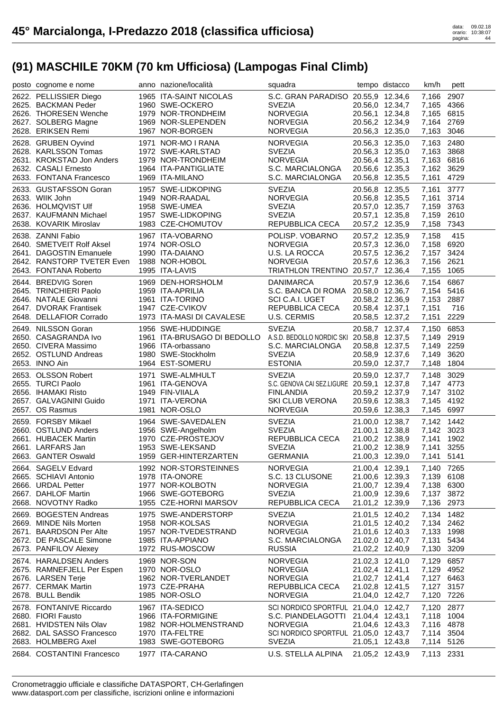| posto cognome e nome                                                                                                                                         | anno nazione/località                                                                                                                                     | squadra                                                                                                                                                                      |                 | tempo distacco                                                                              | km/h                                                                             | pett                 |
|--------------------------------------------------------------------------------------------------------------------------------------------------------------|-----------------------------------------------------------------------------------------------------------------------------------------------------------|------------------------------------------------------------------------------------------------------------------------------------------------------------------------------|-----------------|---------------------------------------------------------------------------------------------|----------------------------------------------------------------------------------|----------------------|
| 2622. PELLISSIER Diego<br>2625. BACKMAN Peder<br>2626. THORESEN Wenche<br>2627. SOLBERG Magne<br>2628. ERIKSEN Remi                                          | 1965 ITA-SAINT NICOLAS<br>1960 SWE-OCKERO<br>1979 NOR-TRONDHEIM<br>1969 NOR-SLEPENDEN<br>1967 NOR-BORGEN                                                  | S.C. GRAN PARADISO 20.55,9 12.34,6<br><b>SVEZIA</b><br><b>NORVEGIA</b><br><b>NORVEGIA</b><br><b>NORVEGIA</b>                                                                 |                 | 20.56,0 12.34,7<br>20.56,1 12.34,8<br>20.56,2 12.34,9<br>20.56,3 12.35,0                    | 7,166<br>7,165 4366<br>7,165 6815<br>7,164 2769<br>7,163                         | 2907<br>3046         |
| 2628. GRUBEN Oyvind<br>2628. KARLSSON Tomas<br>2631. KROKSTAD Jon Anders<br>2632. CASALI Ernesto<br>2633. FONTANA Francesco                                  | 1971 NOR-MO I RANA<br>1972 SWE-KARLSTAD<br>1979 NOR-TRONDHEIM<br>1964 ITA-PANTIGLIATE<br>1969 ITA-MILANO                                                  | <b>NORVEGIA</b><br><b>SVEZIA</b><br><b>NORVEGIA</b><br>S.C. MARCIALONGA<br>S.C. MARCIALONGA                                                                                  |                 | 20.56,3 12.35,0<br>20.56,3 12.35,0<br>20.56,4 12.35,1<br>20.56,6 12.35,3<br>20.56,8 12.35,5 | 7,163 2480<br>7,163<br>7,163 6816<br>7,162 3629<br>7,161 4729                    | 3868                 |
| 2633. GUSTAFSSON Goran<br>2633. WIIK John<br>2636. HOLMQVIST UIf<br>2637. KAUFMANN Michael<br>2638. KOVARIK Miroslav                                         | 1957 SWE-LIDKOPING<br>1949 NOR-RAADAL<br>1958 SWE-UMEA<br>1957 SWE-LIDKOPING<br>1983 CZE-CHOMUTOV                                                         | <b>SVEZIA</b><br><b>NORVEGIA</b><br><b>SVEZIA</b><br><b>SVEZIA</b><br>REPUBBLICA CECA                                                                                        |                 | 20.56,8 12.35,5<br>20.56,8 12.35,5<br>20.57,0 12.35,7<br>20.57,1 12.35,8<br>20.57,2 12.35,9 | 7,161<br>7,161 3714<br>7,159 3763<br>7,159<br>7,158 7343                         | 3777<br>2610         |
| 2638. ZANNI Fabio<br>2640. SMETVEIT Rolf Aksel<br>2641. DAGOSTIN Emanuele<br>2642. RANSTORP TVETER Even 1988 NOR-HOBOL<br>2643. FONTANA Roberto              | 1967 ITA-VOBARNO<br>1974 NOR-OSLO<br>1990 ITA-DAIANO<br>1995 ITA-LAVIS                                                                                    | POLISP. VOBARNO<br><b>NORVEGIA</b><br>U.S. LA ROCCA<br><b>NORVEGIA</b><br>TRIATHLON TRENTINO 20.57,7 12.36,4                                                                 |                 | 20.57,2 12.35,9<br>20.57,3 12.36,0<br>20.57,5 12.36,2<br>20.57,6 12.36,3                    | 7,158<br>7,158 6920<br>7,157 3424<br>7,156 2621<br>7,155                         | 415<br>1065          |
| 2644. BREDVIG Soren<br>2645. TRINCHIERI Paolo<br>2646. NATALE Giovanni<br>2647. DVORAK Frantisek<br>2648. DELLAFIOR Corrado                                  | 1969 DEN-HORSHOLM<br>1959 ITA-APRILIA<br>1961 ITA-TORINO<br>1947 CZE-CVIKOV<br>1973 ITA-MASI DI CAVALESE                                                  | <b>DANIMARCA</b><br>S.C. BANCA DI ROMA 20.58,0 12.36,7<br>SCI C.A.I. UGET<br>REPUBBLICA CECA<br>U.S. CERMIS                                                                  | 20.58,4 12.37,1 | 20.57,9 12.36,6<br>20.58,2 12.36,9<br>20.58,5 12.37,2                                       | 7,154 6867<br>7,154 5416<br>7,153 2887<br>7,151<br>7,151                         | 716<br>2229          |
| 2649. NILSSON Goran<br>2650. CASAGRANDA Ivo<br>2650. CIVERA Massimo<br>2652. OSTLUND Andreas<br>2653. INNO Ain                                               | 1956 SWE-HUDDINGE<br>1961 ITA-BRUSAGO DI BEDOLLO A.S.D. BEDOLLO NORDIC SKI 20.58,8 12.37,5<br>1966 ITA-orbassano<br>1980 SWE-Stockholm<br>1964 EST-SOMERU | <b>SVEZIA</b><br>S.C. MARCIALONGA<br><b>SVEZIA</b><br><b>ESTONIA</b>                                                                                                         |                 | 20.58,7 12.37,4<br>20.58,8 12.37,5<br>20.58,9 12.37,6<br>20.59,0 12.37,7                    | 7,150<br>7,149 2919<br>7,149 2259<br>7,149<br>7,148                              | 6853<br>3620<br>1804 |
| 2653. OLSSON Robert<br>2655. TURCI Paolo                                                                                                                     | 1971 SWE-ALMHULT<br>1961 ITA-GENOVA                                                                                                                       | <b>SVEZIA</b><br>S.C. GENOVA CAI SEZ.LIGURE 20.59,1 12.37,8                                                                                                                  |                 | 20.59,0 12.37,7                                                                             | 7,148<br>7,147 4773                                                              | 3029                 |
| 2656. IHAMAKI Risto<br>2657. GALVAGNINI Guido<br>2657. OS Rasmus                                                                                             | 1949 FIN-VIIALA<br>1971 ITA-VERONA<br>1981 NOR-OSLO                                                                                                       | <b>FINLANDIA</b><br>SKI CLUB VERONA<br><b>NORVEGIA</b>                                                                                                                       |                 | 20.59,2 12.37,9<br>20.59,6 12.38,3<br>20.59,6 12.38,3                                       | 7,147<br>7,145<br>7,145 6997                                                     | 3102<br>4192         |
| 2659. FORSBY Mikael<br>2660. OSTLUND Anders<br>2661. HUBACEK Martin<br>2661. LARFARS Jan<br>2663. GANTER Oswald                                              | 1964 SWE-SAVEDALEN<br>1956 SWE-Angelholm<br>1970 CZE-PROSTEJOV<br>1953 SWE-LEKSAND<br>1959 GER-HINTERZARTEN                                               | <b>SVEZIA</b><br><b>SVEZIA</b><br>REPUBBLICA CECA<br><b>SVEZIA</b><br><b>GERMANIA</b>                                                                                        |                 | 21.00,0 12.38,7<br>21.00,1 12.38,8<br>21.00,2 12.38,9<br>21.00,2 12.38,9<br>21.00,3 12.39,0 | 7,142 1442<br>7,142 3023<br>7,141 1902<br>7,141<br>7,141 5141                    | 3255                 |
| 2664. SAGELV Edvard<br>2665. SCHIAVI Antonio<br>2666. URDAL Petter<br>2667. DAHLOF Martin<br>2668. NOVOTNY Radko                                             | 1992 NOR-STORSTEINNES<br>1978 ITA-ONORE<br>1977 NOR-KOLBOTN<br>1966 SWE-GOTEBORG<br>1955 CZE-HORNI MARSOV                                                 | <b>NORVEGIA</b><br>S.C. 13 CLUSONE<br><b>NORVEGIA</b><br><b>SVEZIA</b><br>REPUBBLICA CECA                                                                                    |                 | 21.00,4 12.39,1<br>21.00,6 12.39,3<br>21.00,7 12.39,4<br>21.00,9 12.39,6<br>21.01,2 12.39,9 | 7,140 7265<br>7,139 6108<br>7,138 6300<br>7,137<br>7,136 2973                    | 3872                 |
| 2669. BOGESTEN Andreas<br>2669. MINDE Nils Morten<br>2671. BAARDSON Per Alte<br>2672. DE PASCALE Simone<br>2673. PANFILOV Alexey                             | 1975 SWE-ANDERSTORP<br>1958 NOR-KOLSAS<br>1957 NOR-TVEDESTRAND<br>1985 ITA-APPIANO<br>1972 RUS-MOSCOW                                                     | <b>SVEZIA</b><br><b>NORVEGIA</b><br><b>NORVEGIA</b><br>S.C. MARCIALONGA<br><b>RUSSIA</b>                                                                                     |                 | 21.01,5 12.40,2<br>21.01,5 12.40,2<br>21.01,6 12.40,3<br>21.02,0 12.40,7<br>21.02,2 12.40,9 | 7,134 1482<br>7,134 2462<br>7,133 1998<br>7,131<br>7,130                         | 5434<br>3209         |
| 2674. HARALDSEN Anders<br>2675. RAMNEFJELL Per Espen<br>2676. LARSEN Terje<br>2677. CERMAK Martin<br>2678. BULL Bendik                                       | 1969 NOR-SON<br>1970 NOR-OSLO<br>1962 NOR-TVERLANDET<br>1973 CZE-PRAHA<br>1985 NOR-OSLO                                                                   | <b>NORVEGIA</b><br><b>NORVEGIA</b><br><b>NORVEGIA</b><br>REPUBBLICA CECA<br><b>NORVEGIA</b>                                                                                  |                 | 21.02,3 12.41,0<br>21.02,4 12.41,1<br>21.02,7 12.41,4<br>21.02,8 12.41,5<br>21.04,0 12.42,7 | 7,129<br>7,129 4952<br>7,127 6463<br>7,127 3157<br>7,120 7226                    | 6857                 |
| 2678. FONTANIVE Riccardo<br>2680. FIORI Fausto<br>2681. HVIDSTEN Nils Olav<br>2682. DAL SASSO Francesco<br>2683. HOLMBERG Axel<br>2684. COSTANTINI Francesco | 1967 ITA-SEDICO<br>1966 ITA-FORMIGINE<br>1982 NOR-HOLMENSTRAND<br>1970 ITA-FELTRE<br>1983 SWE-GOTEBORG<br>1977 ITA-CARANO                                 | SCI NORDICO SPORTFUL 21.04,0 12.42,7<br>S.C. PIANDELAGOTTI 21.04,4 12.43,1<br><b>NORVEGIA</b><br>SCI NORDICO SPORTFUL 21.05,0 12.43,7<br><b>SVEZIA</b><br>U.S. STELLA ALPINA |                 | 21.04,6 12.43,3<br>21.05,1 12.43,8<br>21.05,2 12.43,9                                       | 7,120 2877<br>7,118 1004<br>7,116 4878<br>7,114 3504<br>7,114 5126<br>7,113 2331 |                      |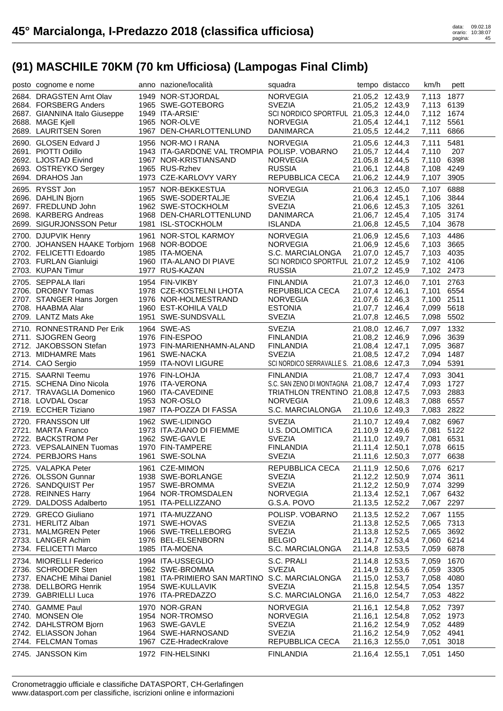| posto cognome e nome                                                                                                                          | anno nazione/località                                                                                                                  | squadra                                                                                                                                    |                                                                                             | tempo distacco                                                                              | km/h                                                                   | pett                 |
|-----------------------------------------------------------------------------------------------------------------------------------------------|----------------------------------------------------------------------------------------------------------------------------------------|--------------------------------------------------------------------------------------------------------------------------------------------|---------------------------------------------------------------------------------------------|---------------------------------------------------------------------------------------------|------------------------------------------------------------------------|----------------------|
| 2684. DRAGSTEN Arnt Olav<br>2684. FORSBERG Anders<br>2687. GIANNINA Italo Giuseppe<br>2688. MAGE Kjell<br>2689. LAURITSEN Soren               | 1949 NOR-STJORDAL<br>1965 SWE-GOTEBORG<br>1949 ITA-ARSIE'<br>1965 NOR-OLVE<br>1967 DEN-CHARLOTTENLUND                                  | <b>NORVEGIA</b><br><b>SVEZIA</b><br>SCI NORDICO SPORTFUL 21.05,3 12.44,0<br><b>NORVEGIA</b><br><b>DANIMARCA</b>                            | 21.05,2 12.43,9<br>21.05,4 12.44,1                                                          | 21.05,2 12.43,9<br>21.05,5 12.44,2                                                          | 7,113 1877<br>7,113 6139<br>7,112 1674<br>7,112 5561<br>7,111          | 6866                 |
| 2690. GLOSEN Edvard J<br>2691. PIOTTI Odillo<br>2692. LJOSTAD Eivind<br>2693. OSTREYKO Sergey<br>2694. DRAHOS Jan                             | 1956 NOR-MO I RANA<br>1943 ITA-GARDONE VAL TROMPIA POLISP. VOBARNO<br>1967 NOR-KRISTIANSAND<br>1965 RUS-Rzhev<br>1973 CZE-KARLOVY VARY | <b>NORVEGIA</b><br><b>NORVEGIA</b><br><b>RUSSIA</b><br>REPUBBLICA CECA                                                                     |                                                                                             | 21.05,6 12.44,3<br>21.05,7 12.44,4<br>21.05,8 12.44,5<br>21.06,1 12.44,8<br>21.06,2 12.44,9 | 7,111<br>7,110<br>7,110 6398<br>7,108 4249<br>7,107 3905               | 5481<br>207          |
| 2695. RYSST Jon<br>2696. DAHLIN Bjorn<br>2697. FREDLUND John<br>2698. KARBERG Andreas<br>2699. SIGURJONSSON Petur                             | 1957 NOR-BEKKESTUA<br>1965 SWE-SODERTALJE<br>1962 SWE-STOCKHOLM<br>1968 DEN-CHARLOTTENLUND<br>1981 ISL-STOCKHOLM                       | <b>NORVEGIA</b><br><b>SVEZIA</b><br><b>SVEZIA</b><br><b>DANIMARCA</b><br><b>ISLANDA</b>                                                    |                                                                                             | 21.06,3 12.45,0<br>21.06,4 12.45,1<br>21.06,6 12.45,3<br>21.06,7 12.45,4<br>21.06,8 12.45,5 | 7,107 6888<br>7,106 3844<br>7,105 3261<br>7,105 3174<br>7,104 3678     |                      |
| 2700. DJUPVIK Henry<br>2700. JOHANSEN HAAKE Torbjorn 1968 NOR-BODOE<br>2702. FELICETTI Edoardo<br>2703. FURLAN Gianluigi<br>2703. KUPAN Timur | 1961 NOR-STOL KARMOY<br>1985 ITA-MOENA<br>1960 ITA-ALANO DI PIAVE<br>1977 RUS-KAZAN                                                    | <b>NORVEGIA</b><br><b>NORVEGIA</b><br>S.C. MARCIALONGA<br>SCI NORDICO SPORTFUL 21.07,2 12.45,9<br><b>RUSSIA</b>                            |                                                                                             | 21.06,9 12.45,6<br>21.06,9 12.45,6<br>21.07,0 12.45,7<br>21.07,2 12.45,9                    | 7,103 4486<br>7,103 3665<br>7,103 4035<br>7,102 4106<br>7,102 2473     |                      |
| 2705. SEPPALA Ilari<br>2706. DROBNY Tomas<br>2707. STANGER Hans Jorgen<br>2708. HAABMA Alar<br>2709. LANTZ Mats Ake                           | 1954 FIN-VIKBY<br>1978 CZE-KOSTELNI LHOTA<br>1976 NOR-HOLMESTRAND<br>1960 EST-KOHILA VALD<br>1951 SWE-SUNDSVALL                        | <b>FINLANDIA</b><br>REPUBBLICA CECA<br><b>NORVEGIA</b><br><b>ESTONIA</b><br><b>SVEZIA</b>                                                  |                                                                                             | 21.07,3 12.46,0<br>21.07,4 12.46,1<br>21.07,6 12.46,3<br>21.07,7 12.46,4<br>21.07,8 12.46,5 | 7,101 2763<br>7,101<br>7,100 2511<br>7,099 5618<br>7,098 5502          | 6554                 |
| 2710. RONNESTRAND Per Erik<br>2711. SJOGREN Georg<br>2712. JAKOBSSON Stefan<br>2713. MIDHAMRE Mats<br>2714. CAO Sergio                        | 1964 SWE-AS<br>1976 FIN-ESPOO<br>1973 FIN-MARIENHAMN-ALAND<br>1961 SWE-NACKA<br>1959 ITA-NOVI LIGURE                                   | <b>SVEZIA</b><br><b>FINLANDIA</b><br><b>FINLANDIA</b><br><b>SVEZIA</b><br>SCI NORDICO SERRAVALLE S. 21.08,6 12.47,3                        |                                                                                             | 21.08,0 12.46,7<br>21.08,2 12.46,9<br>21.08,4 12.47,1<br>21.08,5 12.47,2                    | 7,097 1332<br>7,096 3639<br>7,095 3687<br>7,094 1487<br>7,094 5391     |                      |
| 2715. SAARNI Teemu<br>2715. SCHENA Dino Nicola<br>2717. TRAVAGLIA Domenico<br>2718. LOVDAL Oscar<br>2719. ECCHER Tiziano                      | 1976 FIN-LOHJA<br>1976 ITA-VERONA<br>1960 ITA-CAVEDINE<br>1953 NOR-OSLO<br>1987 ITA-POZZA DI FASSA                                     | <b>FINLANDIA</b><br>S.C. SAN ZENO DI MONTAGNA 21.08,7 12.47,4<br>TRIATHLON TRENTINO 21.08,8 12.47,5<br><b>NORVEGIA</b><br>S.C. MARCIALONGA |                                                                                             | 21.08,7 12.47,4<br>21.09,6 12.48,3<br>21.10,6 12.49,3                                       | 7,093 3041<br>7,093 1727<br>7,093 2883<br>7,088<br>7,083 2822          | 6557                 |
| 2720. FRANSSON Ulf<br>2721. MARTA Franco<br>2722. BACKSTROM Per<br>2723. VEPSALAINEN Tuomas<br>2724. PERBJORS Hans                            | 1962 SWE-LIDINGO<br>1973 ITA-ZIANO DI FIEMME<br>1962 SWE-GAVLE<br>1970 FIN-TAMPERE<br>1961 SWE-SOLNA                                   | <b>SVEZIA</b><br>U.S. DOLOMITICA<br><b>SVEZIA</b><br><b>FINLANDIA</b><br><b>SVEZIA</b>                                                     | 21.11,4 12.50,1                                                                             | 21.10,7 12.49,4<br>21.10,9 12.49,6<br>21.11,0 12.49,7<br>21.11,6 12.50,3                    | 7,082 6967<br>7,081<br>7,081<br>7,078 6615<br>7,077 6638               | 5122<br>6531         |
| 2725. VALAPKA Peter<br>2726. OLSSON Gunnar<br>2726. SANDQUIST Per<br>2728. REINNES Harry<br>2729. DALDOSS Adalberto                           | 1961 CZE-MIMON<br>1938 SWE-BORLANGE<br>1957 SWE-BROMMA<br>1964 NOR-TROMSDALEN<br>1951 ITA-PELLIZZANO                                   | REPUBBLICA CECA<br><b>SVEZIA</b><br><b>SVEZIA</b><br><b>NORVEGIA</b><br>G.S.A. POVO                                                        | 21.13,4 12.52,1<br>21.13,5 12.52,2                                                          | 21.11,9 12.50,6<br>21.12,2 12.50,9<br>21.12,2 12.50,9                                       | 7,076 6217<br>7,074 3611<br>7,074 3299<br>7,067 6432<br>7,067 2297     |                      |
| 2729. GRECO Giuliano<br>2731. HERLITZ Alban<br>2731. MALMGREN Peter<br>2733. LANGER Achim<br>2734. FELICETTI Marco                            | 1971 ITA-MUZZANO<br>1971 SWE-HOVAS<br>1966 SWE-TRELLEBORG<br>1976 BEL-ELSENBORN<br>1985 ITA-MOENA                                      | POLISP. VOBARNO<br><b>SVEZIA</b><br><b>SVEZIA</b><br><b>BELGIO</b><br>S.C. MARCIALONGA                                                     | 21.13,5 12.52,2<br>21.13,8 12.52,5<br>21.14,8 12.53,5                                       | 21.13,8 12.52,5<br>21.14,7 12.53,4                                                          | 7,067 1155<br>7,065 7313<br>7,065 3692<br>7,060 6214<br>7,059          | 6878                 |
| 2734. MIORELLI Federico<br>2736. SCHRODER Sten<br>2737. ENACHE Mihai Daniel<br>2738. DELLBORG Henrik<br>2739. GABRIELLI Luca                  | 1994 ITA-USSEGLIO<br>1962 SWE-BROMMA<br>1981 ITA-PRIMIERO SAN MARTINO S.C. MARCIALONGA<br>1954 SWE-KULLAVIK<br>1976 ITA-PREDAZZO       | S.C. PRALI<br><b>SVEZIA</b><br><b>SVEZIA</b><br>S.C. MARCIALONGA                                                                           | 21.15,0 12.53,7<br>21.15,8 12.54,5<br>21.16,0 12.54,7                                       | 21.14,8 12.53,5<br>21.14,9 12.53,6                                                          | 7,059<br>7,059<br>7,058<br>7,054 1357<br>7,053 4822                    | 1670<br>3305<br>4080 |
| 2740. GAMME Paul<br>2740. MONSEN Ole<br>2742. DAHLSTROM Bjorn<br>2742. ELIASSON Johan<br>2744. FELCMAN Tomas<br>2745. JANSSON Kim             | 1970 NOR-GRAN<br>1954 NOR-TROMSO<br>1963 SWE-GAVLE<br>1964 SWE-HARNOSAND<br>1967 CZE-HradecKralove<br>1972 FIN-HELSINKI                | <b>NORVEGIA</b><br><b>NORVEGIA</b><br><b>SVEZIA</b><br><b>SVEZIA</b><br>REPUBBLICA CECA<br><b>FINLANDIA</b>                                | 21.16,1 12.54,8<br>21.16,2 12.54,9<br>21.16,2 12.54,9<br>21.16,3 12.55,0<br>21.16,4 12.55,1 | 21.16,1 12.54,8                                                                             | 7,052 7397<br>7,052 1973<br>7,052 4489<br>7,052 4941<br>7,051<br>7,051 | 3018<br>1450         |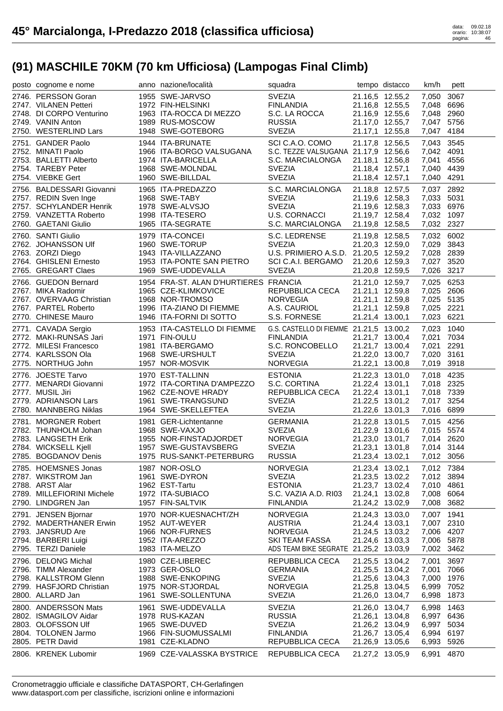| posto cognome e nome                           | anno nazione/località                  | squadra                                 |                 | tempo distacco                     | km/h                     | pett         |
|------------------------------------------------|----------------------------------------|-----------------------------------------|-----------------|------------------------------------|--------------------------|--------------|
| 2746. PERSSON Goran                            | 1955 SWE-JARVSO                        | <b>SVEZIA</b>                           |                 | 21.16,5 12.55,2                    | 7.050                    | 3067         |
| 2747. VILANEN Petteri                          | 1972 FIN-HELSINKI                      | <b>FINLANDIA</b>                        |                 | 21.16,8 12.55,5                    | 7,048 6696               |              |
| 2748. DI CORPO Venturino                       | 1963 ITA-ROCCA DI MEZZO                | S.C. LA ROCCA                           |                 | 21.16,9 12.55,6                    | 7,048 2960               |              |
| 2749. VANIN Anton                              | 1989 RUS-MOSCOW                        | <b>RUSSIA</b>                           |                 | 21.17,0 12.55,7                    | 7,047 5756               |              |
| 2750. WESTERLIND Lars                          | 1948 SWE-GOTEBORG                      | <b>SVEZIA</b>                           |                 | 21.17,1 12.55,8                    | 7,047 4184               |              |
| 2751. GANDER Paolo                             | 1944 ITA-BRUNATE                       | SCI C.A.O. COMO                         |                 | 21.17,8 12.56,5                    | 7,043                    | 3545         |
| 2752. MINATI Paolo                             | 1966 ITA-BORGO VALSUGANA               | S.C. TEZZE VALSUGANA 21.17,9 12.56,6    |                 |                                    | 7,042 4091               |              |
| 2753. BALLETTI Alberto                         | 1974 ITA-BARICELLA                     | S.C. MARCIALONGA                        |                 | 21.18,1 12.56,8                    | 7.041                    | 4556         |
| 2754. TAREBY Peter                             | 1968 SWE-MOLNDAL                       | <b>SVEZIA</b>                           | 21.18,4 12.57,1 |                                    | 7,040 4439               |              |
| 2754. VIEBKE Gert                              | 1960 SWE-BILLDAL                       | <b>SVEZIA</b>                           | 21.18,4 12.57,1 |                                    | 7,040 4291               |              |
| 2756. BALDESSARI Giovanni                      | 1965 ITA-PREDAZZO                      | S.C. MARCIALONGA                        |                 | 21.18,8 12.57,5                    | 7,037                    | 2892         |
| 2757. REDIN Sven Inge                          | 1968 SWE-TABY                          | <b>SVEZIA</b>                           |                 | 21.19,6 12.58,3                    | 7,033 5031               |              |
| 2757. SCHYLANDER Henrik                        | 1978 SWE-ALVSJO                        | <b>SVEZIA</b>                           |                 | 21.19,6 12.58,3                    | 7,033 6976               |              |
| 2759. VANZETTA Roberto                         | 1998 ITA-TESERO                        | <b>U.S. CORNACCI</b>                    |                 | 21.19,7 12.58,4                    | 7,032 1097               |              |
| 2760. GAETANI Giulio                           | 1965 ITA-SEGRATE                       | S.C. MARCIALONGA                        |                 | 21.19,8 12.58,5                    | 7,032 2327               |              |
| 2760. SANTI Giulio                             | 1979 ITA-CONCEI                        | S.C. LEDRENSE                           |                 | 21.19,8 12.58,5                    | 7,032 6002               |              |
| 2762. JOHANSSON Ulf                            | 1960 SWE-TORUP                         | <b>SVEZIA</b>                           |                 | 21.20,3 12.59,0                    | 7,029                    | 3843         |
| 2763. ZORZI Diego                              | 1943 ITA-VILLAZZANO                    | U.S. PRIMIERO A.S.D. 21.20,5 12.59,2    |                 |                                    | 7,028 2839               |              |
| 2764. GHISLENI Ernesto                         | 1953 ITA-PONTE SAN PIETRO              | SCI C.A.I. BERGAMO                      |                 | 21.20,6 12.59,3                    | 7,027 3520               |              |
| 2765. GREGART Claes                            | 1969 SWE-UDDEVALLA                     | <b>SVEZIA</b>                           |                 | 21.20,8 12.59,5                    | 7,026                    | 3217         |
|                                                |                                        |                                         |                 |                                    |                          |              |
| 2766. GUEDON Bernard                           | 1954 FRA-ST. ALAN D'HURTIERES FRANCIA  |                                         |                 | 21.21,0 12.59,7                    | 7,025 6253<br>7,025 2606 |              |
| 2767. MIKA Radomir<br>2767. OVERVAAG Christian | 1965 CZE-KLIMKOVICE<br>1968 NOR-TROMSO | REPUBBLICA CECA<br><b>NORVEGIA</b>      |                 | 21.21,1 12.59,8<br>21.21,1 12.59,8 | 7,025 5135               |              |
| 2767. PARTEL Roberto                           | 1996 ITA-ZIANO DI FIEMME               | A.S. CAURIOL                            |                 |                                    | 7,025 2221               |              |
| 2770. CHINESE Mauro                            | 1946 ITA-FORNI DI SOTTO                | S.S. FORNESE                            |                 | 21.21,1 12.59,8<br>21.21,4 13.00,1 | 7,023 6221               |              |
|                                                |                                        |                                         |                 |                                    |                          |              |
| 2771. CAVADA Sergio                            | 1953 ITA-CASTELLO DI FIEMME            | G.S. CASTELLO DI FIEMME 21.21,5 13.00,2 |                 |                                    | 7,023                    | 1040         |
| 2772. MAKI-RUNSAS Jari                         | 1971 FIN-OULU                          | <b>FINLANDIA</b>                        |                 | 21.21,7 13.00,4                    | 7,021 7034               |              |
| 2772. MILESI Francesco                         | 1981 ITA-BERGAMO                       | S.C. RONCOBELLO                         |                 | 21.21,7 13.00,4                    | 7,021                    | 2291         |
| 2774. KARLSSON Ola                             | 1968 SWE-URSHULT                       | <b>SVEZIA</b>                           |                 | 21.22,0 13.00,7                    | 7,020                    | 3161         |
| 2775. NORTHUG John                             | 1957 NOR-MOSVIK                        | <b>NORVEGIA</b>                         |                 | 21.22,1 13.00,8                    | 7,019                    | 3918         |
| 2776. JOESTE Tarvo                             | 1970 EST-TALLINN                       | <b>ESTONIA</b>                          |                 | 21.22,3 13.01,0                    | 7,018                    | 4235         |
| 2777. MENARDI Giovanni                         | 1972 ITA-CORTINA D'AMPEZZO             | S.C. CORTINA                            | 21.22,4 13.01,1 |                                    | 7,018 2325               |              |
| 2777. MUSIL Jiri                               | 1962 CZE-NOVE HRADY                    | REPUBBLICA CECA                         | 21.22,4 13.01,1 |                                    | 7,018 7339               |              |
| 2779. ADRIANSON Lars                           | 1961 SWE-TRANGSUND                     | <b>SVEZIA</b>                           |                 | 21.22,5 13.01,2                    | 7,017 3254               |              |
| 2780. MANNBERG Niklas                          | 1964 SWE-SKELLEFTEA                    | <b>SVEZIA</b>                           |                 | 21.22,6 13.01,3                    | 7,016 6899               |              |
| 2781. MORGNER Robert                           | 1981 GER-Lichtentanne                  | <b>GERMANIA</b>                         |                 | 21.22,8 13.01,5                    | 7,015 4256               |              |
| 2782. THUNHOLM Johan                           | 1968 SWE-VAXJO                         | <b>SVEZIA</b>                           |                 | 21.22,9 13.01,6                    | 7,015 5574               |              |
| 2783. LANGSETH Erik                            | 1955 NOR-FINSTADJORDET                 | <b>NORVEGIA</b>                         |                 | 21.23,0 13.01,7                    | 7,014 2620               |              |
| 2784. WICKSELL Kjell                           | 1957 SWE-GUSTAVSBERG                   | <b>SVEZIA</b>                           |                 | 21.23,1 13.01,8                    | 7,014 3144               |              |
| 2785. BOGDANOV Denis                           | 1975 RUS-SANKT-PETERBURG               | <b>RUSSIA</b>                           | 21.23,4 13.02,1 |                                    | 7,012 3056               |              |
| 2785. HOEMSNES Jonas                           | 1987 NOR-OSLO                          | <b>NORVEGIA</b>                         | 21.23,4 13.02,1 |                                    | 7,012 7384               |              |
| 2787. WIKSTROM Jan                             | 1961 SWE-DYRON                         | <b>SVEZIA</b>                           |                 | 21.23,5 13.02,2                    | 7,012 3894               |              |
| 2788. ARST Alar                                | 1962 EST-Tartu                         | <b>ESTONIA</b>                          |                 | 21.23,7 13.02,4                    | 7,010 4861               |              |
| 2789. MILLEFIORINI Michele                     | 1972 ITA-SUBIACO                       | S.C. VAZIA A.D. RI03                    | 21.24,1 13.02,8 |                                    | 7,008                    | 6064         |
| 2790. LINDGREN Jan                             | 1957 FIN-SALTVIK                       | <b>FINLANDIA</b>                        |                 | 21.24,2 13.02,9                    | 7,008                    | 3682         |
| 2791. JENSEN Bjornar                           | 1970 NOR-KUESNACHT/ZH                  | <b>NORVEGIA</b>                         | 21.24,3 13.03,0 |                                    | 7,007 1941               |              |
| 2792. MADERTHANER Erwin                        | 1952 AUT-WEYER                         | <b>AUSTRIA</b>                          | 21.24,4 13.03,1 |                                    | 7,007                    | 2310         |
| 2793. JANSRUD Are                              | 1966 NOR-FURNES                        | <b>NORVEGIA</b>                         |                 | 21.24,5 13.03,2                    | 7,006                    | 4207         |
| 2794. BARBERI Luigi                            | 1952 ITA-AREZZO                        | <b>SKI TEAM FASSA</b>                   |                 | 21.24,6 13.03,3                    | 7,006                    | 5878         |
| 2795. TERZI Daniele                            | 1983 ITA-MELZO                         | ADS TEAM BIKE SEGRATE 21.25,2 13.03,9   |                 |                                    | 7,002                    | 3462         |
| 2796. DELONG Michal                            | 1980 CZE-LIBEREC                       | REPUBBLICA CECA                         | 21.25,5 13.04,2 |                                    | 7,001                    | 3697         |
| 2796. TIMM Alexander                           | 1973 GER-OSLO                          | <b>GERMANIA</b>                         |                 | 21.25,5 13.04,2                    | 7,001                    | 7066         |
| 2798. KALLSTROM Glenn                          | 1988 SWE-ENKOPING                      | <b>SVEZIA</b>                           |                 | 21.25,6 13.04,3                    | 7,000                    | 1976         |
| 2799. HASFJORD Christian                       | 1975 NOR-STJORDAL                      | <b>NORVEGIA</b>                         |                 | 21.25,8 13.04,5                    | 6,999                    | 7052         |
| 2800. ALLARD Jan                               | 1961 SWE-SOLLENTUNA                    | <b>SVEZIA</b>                           |                 | 21.26,0 13.04,7                    | 6,998                    | 1873         |
| 2800. ANDERSSON Mats                           | 1961 SWE-UDDEVALLA                     | <b>SVEZIA</b>                           |                 | 21.26,0 13.04,7                    | 6,998                    | 1463         |
|                                                |                                        |                                         |                 |                                    |                          |              |
|                                                |                                        |                                         |                 |                                    |                          |              |
| 2802. ISMAGILOV Aidar                          | 1978 RUS-KAZAN                         | <b>RUSSIA</b>                           |                 | 21.26,1 13.04,8                    | 6,997 6436               |              |
| 2803. OLOFSSON Ulf<br>2804. TOLONEN Jarmo      | 1965 SWE-DUVED<br>1966 FIN-SUOMUSSALMI | <b>SVEZIA</b><br><b>FINLANDIA</b>       |                 | 21.26,2 13.04,9<br>21.26,7 13.05,4 | 6,997<br>6,994           | 5034<br>6197 |
| 2805. PETR David                               | 1981 CZE-KLADNO                        | REPUBBLICA CECA                         |                 | 21.26,9 13.05,6                    | 6,993                    | 5926         |
| 2806. KRENEK Lubomir                           | 1969 CZE-VALASSKA BYSTRICE             | REPUBBLICA CECA                         |                 | 21.27,2 13.05,9                    | 6,991                    | 4870         |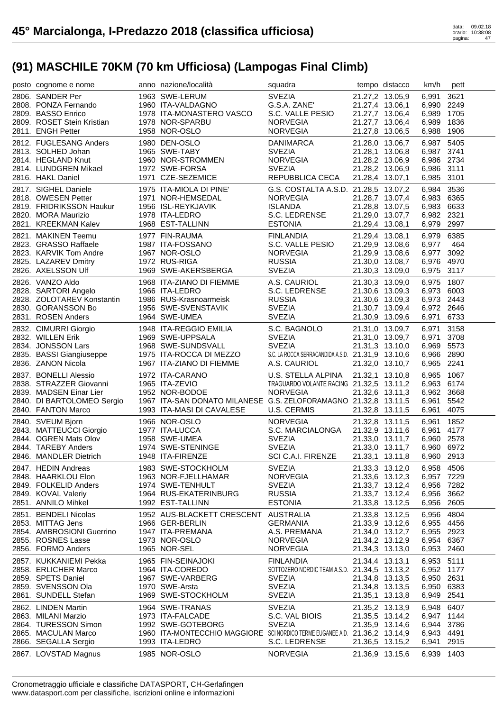| posto cognome e nome                             | anno nazione/località                                                      | squadra                                           |                                    | tempo distacco | km/h           | pett         |
|--------------------------------------------------|----------------------------------------------------------------------------|---------------------------------------------------|------------------------------------|----------------|----------------|--------------|
| 2806. SANDER Per                                 | 1963 SWE-LERUM                                                             | <b>SVEZIA</b>                                     | 21.27,2 13.05,9                    |                | 6,991          | 3621         |
| 2808. PONZA Fernando                             | 1960 ITA-VALDAGNO                                                          | G.S.A. ZANE'                                      | 21.27,4 13.06,1                    |                | 6,990 2249     |              |
| 2809. BASSO Enrico                               | 1978 ITA-MONASTERO VASCO                                                   | S.C. VALLE PESIO                                  | 21.27,7 13.06,4                    |                | 6,989          | 1705         |
| 2809. ROSET Stein Kristian                       | 1978 NOR-SPARBU                                                            | <b>NORVEGIA</b>                                   | 21.27,7 13.06,4                    |                | 6,989          | 1836         |
| 2811. ENGH Petter                                | 1958 NOR-OSLO                                                              | <b>NORVEGIA</b>                                   | 21.27,8 13.06,5                    |                | 6,988          | 1906         |
| 2812. FUGLESANG Anders                           | 1980 DEN-OSLO                                                              | <b>DANIMARCA</b>                                  | 21.28,0 13.06,7                    |                | 6,987          | 5405         |
| 2813. SOLHED Johan                               | 1965 SWE-TABY                                                              | <b>SVEZIA</b>                                     | 21.28,1 13.06,8                    |                | 6,987 3741     |              |
| 2814. HEGLAND Knut                               | 1960 NOR-STROMMEN                                                          | <b>NORVEGIA</b>                                   | 21.28,2 13.06,9                    |                | 6,986 2734     |              |
| 2814. LUNDGREN Mikael                            | 1972 SWE-FORSA                                                             | <b>SVEZIA</b>                                     | 21.28,2 13.06,9                    |                | 6,986 3111     |              |
| 2816. HAKL Daniel                                | 1971 CZE-SEZEMICE                                                          | REPUBBLICA CECA                                   | 21.28,4 13.07,1                    |                | 6,985 3101     |              |
| 2817. SIGHEL Daniele                             | 1975 ITA-MIOLA DI PINE'                                                    | G.S. COSTALTA A.S.D. 21.28,5 13.07,2              |                                    |                | 6,984          | 3536         |
| 2818. OWESEN Petter                              | 1971 NOR-HEMSEDAL                                                          | <b>NORVEGIA</b>                                   | 21.28,7 13.07,4                    |                | 6,983 6365     |              |
| 2819. FRIDRIKSSON Haukur                         | 1956 ISL-REYKJAVIK                                                         | <b>ISLANDA</b>                                    | 21.28,8 13.07,5                    |                | 6,983 6633     |              |
| 2820. MORA Maurizio                              | 1978 ITA-LEDRO                                                             | S.C. LEDRENSE                                     | 21.29,0 13.07,7                    |                | 6,982 2321     |              |
| 2821. KREEKMAN Kalev                             | 1968 EST-TALLINN                                                           | <b>ESTONIA</b>                                    | 21.29,4 13.08,1                    |                | 6,979          | 2997         |
| 2821. MAKINEN Teemu                              | 1977 FIN-RAUMA                                                             | <b>FINLANDIA</b>                                  | 21.29,4 13.08,1                    |                | 6,979          | 6385         |
| 2823. GRASSO Raffaele                            | 1987 ITA-FOSSANO                                                           | S.C. VALLE PESIO                                  | 21.29,9 13.08,6                    |                | 6,977          | 464          |
| 2823. KARVIK Tom Andre                           | 1967 NOR-OSLO                                                              | <b>NORVEGIA</b>                                   | 21.29,9 13.08,6                    |                | 6,977          | 3092         |
| 2825. LAZAREV Dmitry                             | 1972 RUS-RIGA                                                              | <b>RUSSIA</b>                                     | 21.30,0 13.08,7                    |                | 6,976 4970     |              |
| 2826. AXELSSON Ulf                               | 1969 SWE-AKERSBERGA                                                        | <b>SVEZIA</b>                                     | 21.30,3 13.09,0                    |                | 6,975 3117     |              |
| 2826. VANZO Aldo                                 | 1968 ITA-ZIANO DI FIEMME                                                   | A.S. CAURIOL                                      | 21.30,3 13.09,0                    |                | 6,975 1807     |              |
| 2828. SARTORI Angelo                             | 1966 ITA-LEDRO                                                             | S.C. LEDRENSE                                     | 21.30,6 13.09,3                    |                | 6,973 6003     |              |
| 2828. ZOLOTAREV Konstantin                       | 1986 RUS-Krasnoarmeisk                                                     | <b>RUSSIA</b>                                     | 21.30,6 13.09,3                    |                | 6,973 2443     |              |
| 2830. GORANSSON Bo                               | 1956 SWE-SVENSTAVIK                                                        | <b>SVEZIA</b>                                     | 21.30,7 13.09,4                    |                | 6,972 2646     |              |
| 2831. ROSEN Anders                               | 1964 SWE-UMEA                                                              | <b>SVEZIA</b>                                     | 21.30,9 13.09,6                    |                | 6,971          | 6733         |
| 2832. CIMURRI Giorgio                            | 1948 ITA-REGGIO EMILIA                                                     | S.C. BAGNOLO                                      | 21.31,0 13.09,7                    |                | 6,971          | 3158         |
| 2832. WILLEN Erik                                | 1969 SWE-UPPSALA                                                           | <b>SVEZIA</b>                                     | 21.31,0 13.09,7                    |                | 6,971          | 3708         |
| 2834. JONSSON Lars                               | 1968 SWE-SUNDSVALL                                                         | <b>SVEZIA</b>                                     | 21.31,3 13.10,0                    |                | 6,969          | 5573         |
| 2835. BASSI Giangiuseppe                         | 1975 ITA-ROCCA DI MEZZO                                                    | S.C. LA ROCCA SERRACANDIDA A.S.D. 21.31,9 13.10,6 |                                    |                | 6,966 2890     |              |
| 2836. ZANON Nicola                               | 1967 ITA-ZIANO DI FIEMME                                                   | A.S. CAURIOL                                      | 21.32,0 13.10,7                    |                | 6,965          | 2241         |
| 2837. BONELLI Alessio                            | 1972 ITA-CARANO                                                            | U.S. STELLA ALPINA                                | 21.32,1 13.10,8                    |                | 6,965          | 1067         |
| 2838. STRAZZER Giovanni                          | 1965 ITA-ZEVIO                                                             | TRAGUARDO VOLANTE RACING 21.32,5 13.11,2          |                                    |                | 6,963 6174     |              |
| 2839. MADSEN Einar Lier                          | 1952 NOR-BODOE                                                             | <b>NORVEGIA</b>                                   | 21.32,6 13.11,3                    |                | 6,962 3668     |              |
| 2840. DI BARTOLOMEO Sergio                       | 1967 ITA-SAN DONATO MILANESE G.S. ZELOFORAMAGNO 21.32,8 13.11,5            |                                                   |                                    |                | 6,961          | 5542         |
| 2840. FANTON Marco                               | 1993 ITA-MASI DI CAVALESE                                                  | U.S. CERMIS                                       | 21.32,8 13.11,5                    |                | 6,961          | 4075         |
|                                                  |                                                                            |                                                   |                                    |                |                | 1852         |
|                                                  |                                                                            |                                                   |                                    |                | 6,961          |              |
| 2840. SVEUM Bjorn                                | 1966 NOR-OSLO<br>1977 ITA-LUCCA                                            | <b>NORVEGIA</b><br>S.C. MARCIALONGA               | 21.32,8 13.11,5                    |                | 6,961          | 4177         |
| 2843. MATTEUCCI Giorgio<br>2844. OGREN Mats Olov | 1958 SWE-UMEA                                                              | <b>SVEZIA</b>                                     | 21.32,9 13.11,6<br>21.33,0 13.11,7 |                | 6,960 2578     |              |
| 2844. TAREBY Anders                              | 1974 SWE-STENINGE                                                          | <b>SVEZIA</b>                                     | 21.33,0 13.11,7                    |                | 6,960 6972     |              |
| 2846. MANDLER Dietrich                           | 1948 ITA-FIRENZE                                                           | SCI C.A.I. FIRENZE                                | 21.33,1 13.11,8                    |                | 6,960 2913     |              |
| 2847. HEDIN Andreas                              | 1983 SWE-STOCKHOLM                                                         | <b>SVEZIA</b>                                     | 21.33,3 13.12,0                    |                | 6,958 4506     |              |
| 2848. HAARKLOU Elon                              | 1963 NOR-FJELLHAMAR                                                        | <b>NORVEGIA</b>                                   | 21.33,6 13.12,3                    |                | 6,957 7229     |              |
| 2849. FOLKELID Anders                            | 1974 SWE-TENHULT                                                           | <b>SVEZIA</b>                                     | 21.33,7 13.12,4                    |                | 6,956 7282     |              |
| 2849. KOVAL Valeriy                              | 1964 RUS-EKATERINBURG                                                      | <b>RUSSIA</b>                                     | 21.33,7 13.12,4                    |                | 6,956          | 3662         |
| 2851. ANNILO Mihkel                              | 1992 EST-TALLINN                                                           | <b>ESTONIA</b>                                    | 21.33,8 13.12,5                    |                | 6,956          | 2605         |
| 2851. BENDELI Nicolas                            | 1952 AUS-BLACKETT CRESCENT                                                 | <b>AUSTRALIA</b>                                  | 21.33,8 13.12,5                    |                | 6,956          | 4804         |
| 2853. MITTAG Jens                                | 1966 GER-BERLIN                                                            | <b>GERMANIA</b>                                   | 21.33,9 13.12,6                    |                | 6,955          | 4456         |
| 2854. AMBROSIONI Guerrino                        | 1947 ITA-PREMANA                                                           | A.S. PREMANA                                      | 21.34,0 13.12,7                    |                | 6,955 2923     |              |
| 2855. ROSNES Lasse                               | 1973 NOR-OSLO                                                              | <b>NORVEGIA</b>                                   | 21.34,2 13.12,9                    |                | 6,954          | 6367         |
| 2856. FORMO Anders                               | 1965 NOR-SEL                                                               | <b>NORVEGIA</b>                                   | 21.34,3 13.13,0                    |                | 6,953          | 2460         |
| 2857. KUKKANIEMI Pekka                           | 1965 FIN-SEINAJOKI                                                         | <b>FINLANDIA</b>                                  | 21.34,4 13.13,1                    |                | 6,953          | 5111         |
| 2858. ERLICHER Marco                             | 1964 ITA-COREDO                                                            | SOTTOZERO NORDIC TEAM A.S.D. 21.34,5 13.13,2      |                                    |                | 6,952 1177     |              |
| 2859. SPETS Daniel                               | 1967 SWE-VARBERG                                                           | <b>SVEZIA</b>                                     | 21.34,8 13.13,5                    |                | 6,950          | 2631         |
| 2859. SVENSSON Ola                               | 1970 SWE-Arsta                                                             | <b>SVEZIA</b>                                     | 21.34,8 13.13,5                    |                | 6,950          | 6383         |
| 2861. SUNDELL Stefan                             | 1969 SWE-STOCKHOLM                                                         | <b>SVEZIA</b>                                     | 21.35,1 13.13,8                    |                | 6,949          | 2541         |
| 2862. LINDEN Martin                              | 1964 SWE-TRANAS                                                            | <b>SVEZIA</b>                                     | 21.35,2 13.13,9                    |                | 6,948          | 6407         |
| 2863. MILANI Marzio                              | 1973 ITA-FALCADE                                                           | S.C. VAL BIOIS                                    | 21.35,5 13.14,2                    |                | 6,947          | 1144         |
| 2864. TURESSON Simon                             | 1992 SWE-GOTEBORG                                                          | <b>SVEZIA</b>                                     | 21.35,9 13.14,6                    |                | 6,944          | 3786         |
| 2865. MACULAN Marco                              | 1960 ITA-MONTECCHIO MAGGIORE SCINORDICO TERME EUGANEE A.D. 21.36,2 13.14,9 |                                                   |                                    |                | 6,943          | 4491         |
| 2866. SEGALLA Sergio<br>2867. LOVSTAD Magnus     | 1993 ITA-LEDRO<br>1985 NOR-OSLO                                            | S.C. LEDRENSE<br><b>NORVEGIA</b>                  | 21.36,5 13.15,2<br>21.36,9 13.15,6 |                | 6,941<br>6,939 | 2915<br>1403 |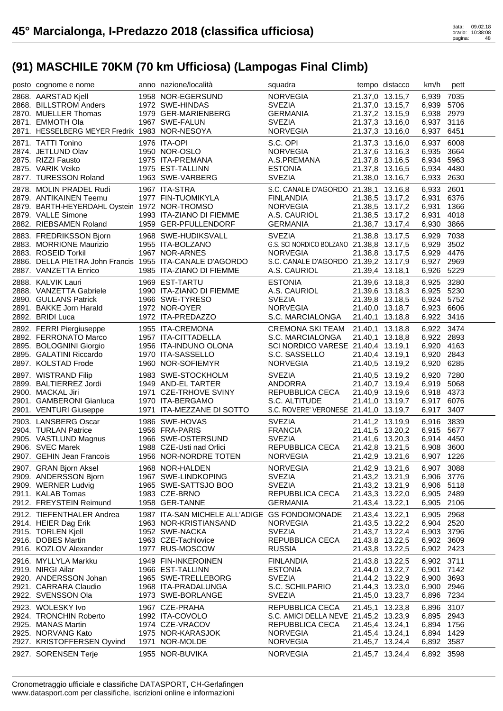| posto cognome e nome                                     | anno nazione/località                         | squadra                                                  |                                    | tempo distacco  | km/h                     | pett |
|----------------------------------------------------------|-----------------------------------------------|----------------------------------------------------------|------------------------------------|-----------------|--------------------------|------|
| 2868. AARSTAD Kjell                                      | 1958 NOR-EGERSUND                             | <b>NORVEGIA</b>                                          |                                    | 21.37,0 13.15,7 | 6,939                    | 7035 |
| 2868. BILLSTROM Anders                                   | 1972 SWE-HINDAS                               | <b>SVEZIA</b>                                            |                                    | 21.37,0 13.15,7 | 6,939 5706               |      |
| 2870. MUELLER Thomas                                     | 1979 GER-MARIENBERG                           | <b>GERMANIA</b>                                          |                                    | 21.37,2 13.15,9 | 6,938 2979               |      |
| 2871. EMMOTH Ola                                         | 1967 SWE-FALUN                                | <b>SVEZIA</b>                                            |                                    | 21.37,3 13.16,0 | 6,937 3116               |      |
| 2871. HESSELBERG MEYER Fredrik 1983 NOR-NESOYA           |                                               | <b>NORVEGIA</b>                                          |                                    | 21.37,3 13.16,0 | 6,937 6451               |      |
| 2871. TATTI Tonino                                       | 1976 ITA-OPI                                  | S.C. OPI                                                 |                                    | 21.37,3 13.16,0 | 6,937                    | 6008 |
| 2874. JETLUND Olav                                       | 1950 NOR-OSLO                                 | <b>NORVEGIA</b>                                          |                                    | 21.37,6 13.16,3 | 6,935                    | 3664 |
| 2875. RIZZI Fausto                                       | 1975 ITA-PREMANA                              | A.S.PREMANA                                              |                                    | 21.37,8 13.16,5 | 6,934                    | 5963 |
| 2875. VARIK Veiko                                        | 1975 EST-TALLINN                              | <b>ESTONIA</b>                                           |                                    | 21.37,8 13.16,5 | 6,934 4480               |      |
| 2877. TURESSON Roland                                    | 1963 SWE-VARBERG                              | <b>SVEZIA</b>                                            |                                    | 21.38,0 13.16,7 | 6,933 2630               |      |
| 2878. MOLIN PRADEL Rudi                                  | 1967 ITA-STRA                                 | S.C. CANALE D'AGORDO 21.38,1 13.16,8                     |                                    |                 | 6,933 2601               |      |
| 2879. ANTIKAINEN Teemu                                   | 1977 FIN-TUOMIKYLA                            | <b>FINLANDIA</b>                                         |                                    | 21.38,5 13.17,2 | 6.931                    | 6376 |
| 2879. BARTH-HEYERDAHL Oystein 1972 NOR-TROMSO            |                                               | <b>NORVEGIA</b>                                          |                                    | 21.38,5 13.17,2 | 6,931                    | 1366 |
| 2879. VALLE Simone                                       | 1993 ITA-ZIANO DI FIEMME                      | A.S. CAURIOL                                             |                                    | 21.38,5 13.17,2 | 6,931                    | 4018 |
| 2882. RIEBSAMEN Roland                                   | 1959 GER-PFULLENDORF                          | <b>GERMANIA</b>                                          |                                    | 21.38,7 13.17,4 | 6,930                    | 3866 |
| 2883. FREDRIKSSON Bjorn                                  | 1968 SWE-HUDIKSVALL                           | <b>SVEZIA</b>                                            | 21.38,8 13.17,5                    |                 | 6,929                    | 7038 |
| 2883. MORRIONE Maurizio                                  | 1955 ITA-BOLZANO                              | G.S. SCI NORDICO BOLZANO 21.38,8 13.17,5                 |                                    |                 | 6,929                    | 3502 |
| 2883. ROSEID Torkil                                      | 1967 NOR-ARNES                                | <b>NORVEGIA</b>                                          |                                    | 21.38,8 13.17,5 | 6,929                    | 4476 |
| 2886. DELLA PIETRA John Francis 1955 ITA-CANALE D'AGORDO |                                               | S.C. CANALE D'AGORDO 21.39,2 13.17,9                     |                                    |                 | 6,927 2969               |      |
| 2887. VANZETTA Enrico                                    | 1985 ITA-ZIANO DI FIEMME                      | A.S. CAURIOL                                             | 21.39,4 13.18,1                    |                 | 6,926 5229               |      |
| 2888. KALVIK Lauri                                       | 1969 EST-TARTU                                | <b>ESTONIA</b>                                           |                                    | 21.39,6 13.18,3 | 6,925 3280               |      |
| 2888. VANZETTA Gabriele                                  | 1990 ITA-ZIANO DI FIEMME                      | A.S. CAURIOL                                             |                                    | 21.39,6 13.18,3 | 6,925 5230               |      |
| 2890. GULLANS Patrick                                    | 1966 SWE-TYRESO                               | <b>SVEZIA</b>                                            |                                    | 21.39,8 13.18,5 | 6,924 5752               |      |
| 2891. BAKKE Jorn Harald                                  | 1972 NOR-OYER                                 | <b>NORVEGIA</b>                                          |                                    | 21.40,0 13.18,7 | 6,923 6606               |      |
| 2892. BRIDI Luca                                         | 1972 ITA-PREDAZZO                             | S.C. MARCIALONGA                                         |                                    | 21.40,1 13.18,8 | 6,922 3416               |      |
| 2892. FERRI Piergiuseppe                                 | 1955 ITA-CREMONA                              | CREMONA SKI TEAM 21.40,1 13.18,8                         |                                    |                 | 6,922 3474               |      |
| 2892. FERRONATO Marco                                    | 1957 ITA-CITTADELLA                           | S.C. MARCIALONGA                                         |                                    | 21.40,1 13.18,8 | 6,922 2893               |      |
| 2895. BOLOGNINI Giorgio                                  | 1956 ITA-INDUNO OLONA                         | SCI NORDICO VARESE 21.40,4 13.19,1                       |                                    |                 | 6,920 4163               |      |
| 2895. GALATINI Riccardo                                  | 1970 ITA-SASSELLO                             | S.C. SASSELLO                                            | 21.40,4 13.19,1                    |                 | 6,920 2843               |      |
| 2897. KOLSTAD Frode                                      | 1960 NOR-SOFIEMYR                             | <b>NORVEGIA</b>                                          | 21.40,5 13.19,2                    |                 | 6,920                    | 6285 |
| 2897. WISTRAND Filip                                     | 1983 SWE-STOCKHOLM                            | <b>SVEZIA</b>                                            |                                    | 21.40,5 13.19,2 | 6,920                    | 7280 |
| 2899. BALTIERREZ Jordi                                   | 1949 AND-EL TARTER                            | ANDORRA                                                  |                                    | 21.40,7 13.19,4 | 6,919 5068               |      |
| 2900. MACKAL Jiri                                        | 1949 AND-LL<br>1971 CZE-TRHOVE SVINY          | REPUBBLICA CECA                                          |                                    | 21.40,9 13.19,6 | 6,918 4373               |      |
| 2901. GAMBERONI Gianluca                                 | 1970 ITA-BERGAMO                              | S.C. ALTITUDE                                            |                                    | 21.41,0 13.19,7 | 6,917                    | 6076 |
| 2901. VENTURI Giuseppe                                   | 1971 ITA-MEZZANE DI SOTTO                     | S.C. ROVERE' VERONESE 21.41,0 13.19,7                    |                                    |                 | 6,917                    | 3407 |
| 2903. LANSBERG Oscar                                     | 1986 SWE-HOVAS                                | <b>SVEZIA</b>                                            |                                    | 21.41,2 13.19,9 | 6,916 3839               |      |
| 2904. TURLAN Patrice                                     | 1956 FRA-PARIS                                | <b>FRANCIA</b>                                           |                                    | 21.41,5 13.20,2 | 6,915 5677               |      |
| 2905. VASTLUND Magnus                                    |                                               |                                                          |                                    |                 |                          |      |
|                                                          |                                               |                                                          |                                    |                 |                          |      |
|                                                          | 1966 SWE-OSTERSUND                            | <b>SVEZIA</b>                                            | 21.41,6 13.20,3                    |                 | 6,914 4450               |      |
| 2906. SVEC Marek                                         | 1988 CZE-Usti nad Orlici                      | REPUBBLICA CECA<br><b>NORVEGIA</b>                       | 21.42,8 13.21,5                    |                 | 6,908 3600               |      |
| 2907. GEHIN Jean Francois                                | 1956 NOR-NORDRE TOTEN                         |                                                          |                                    | 21.42,9 13.21,6 | 6,907 1226               |      |
| 2907. GRAN Bjorn Aksel                                   | 1968 NOR-HALDEN                               | <b>NORVEGIA</b>                                          |                                    | 21.42,9 13.21,6 | 6,907 3088               |      |
| 2909. ANDERSSON Bjorn                                    | 1967 SWE-LINDKOPING                           | <b>SVEZIA</b><br><b>SVEZIA</b>                           |                                    | 21.43,2 13.21,9 | 6,906 3776               |      |
| 2909. WERNER Ludvig<br>2911. KALAB Tomas                 | 1965 SWE-SATTSJO BOO<br>1983 CZE-BRNO         | REPUBBLICA CECA                                          |                                    | 21.43,2 13.21,9 | 6,906 5118<br>6,905 2489 |      |
| 2912. FREYSTEIN Reimund                                  | 1958 GER-TANNE                                | <b>GERMANIA</b>                                          | 21.43,3 13.22,0<br>21.43,4 13.22,1 |                 | 6,905 2106               |      |
| 2912. TIEFENTHALER Andrea                                | 1987 ITA-SAN MICHELE ALL'ADIGE GS FONDOMONADE |                                                          |                                    |                 |                          | 2968 |
| 2914. HEIER Dag Erik                                     | 1963 NOR-KRISTIANSAND                         | <b>NORVEGIA</b>                                          | 21.43,4 13.22,1                    | 21.43,5 13.22,2 | 6,905<br>6,904 2520      |      |
| 2915. TORLEN Kjell                                       | 1952 SWE-NACKA                                | <b>SVEZIA</b>                                            |                                    | 21.43,7 13.22,4 | 6,903 3796               |      |
| 2916. DOBES Martin                                       | 1963 CZE-Tachlovice                           | REPUBBLICA CECA                                          |                                    | 21.43,8 13.22,5 | 6,902 3609               |      |
| 2916. KOZLOV Alexander                                   | 1977 RUS-MOSCOW                               | <b>RUSSIA</b>                                            | 21.43,8 13.22,5                    |                 | 6,902 2423               |      |
| 2916. MYLLYLA Markku                                     | 1949 FIN-INKEROINEN                           | <b>FINLANDIA</b>                                         |                                    | 21.43,8 13.22,5 | 6,902 3711               |      |
| 2919. NIRGI Ailar                                        | 1966 EST-TALLINN                              | <b>ESTONIA</b>                                           |                                    | 21.44,0 13.22,7 | 6,901 7142               |      |
| 2920. ANDERSSON Johan                                    | 1965 SWE-TRELLEBORG                           | <b>SVEZIA</b>                                            |                                    | 21.44,2 13.22,9 | 6,900 3693               |      |
| 2921. CARRARA Claudio                                    | 1968 ITA-PRADALUNGA                           | S.C. SCHILPARIO                                          | 21.44,3 13.23,0                    |                 | 6,900 2946               |      |
| 2922. SVENSSON Ola                                       | 1973 SWE-BORLANGE                             | <b>SVEZIA</b>                                            |                                    | 21.45,0 13.23,7 | 6,896 7234               |      |
| 2923. WOLESKY Ivo                                        | 1967 CZE-PRAHA                                |                                                          |                                    |                 |                          |      |
|                                                          |                                               | REPUBBLICA CECA                                          | 21.45,1 13.23,8                    |                 | 6,896                    | 3107 |
| 2924. TRONCHIN Roberto<br>2925. MANAS Martin             | 1992 ITA-COVOLO<br>1974 CZE-VRACOV            | S.C. AMICI DELLA NEVE 21.45,2 13.23,9<br>REPUBBLICA CECA | 21.45,4 13.24,1                    |                 | 6,895 2943<br>6,894 1756 |      |
| 2925. NORVANG Kato                                       | 1975 NOR-KARASJOK                             | <b>NORVEGIA</b>                                          | 21.45,4 13.24,1                    |                 | 6,894 1429               |      |
| 2927. KRISTOFFERSEN Oyvind                               | 1971 NOR-MOLDE                                | <b>NORVEGIA</b>                                          |                                    | 21.45,7 13.24,4 | 6,892 3587               |      |
| 2927. SORENSEN Terje                                     | 1955 NOR-BUVIKA                               | <b>NORVEGIA</b>                                          |                                    | 21.45,7 13.24,4 | 6,892 3598               |      |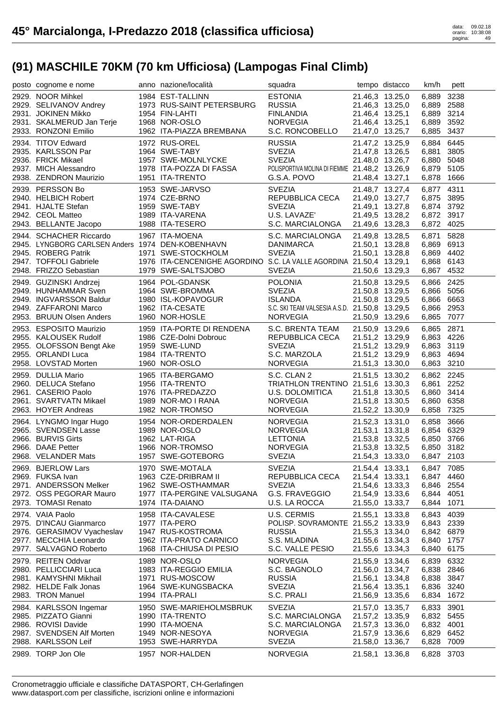| posto cognome e nome                                                                                                                                   | anno nazione/località                                                                                                             | squadra                                                                                                               |                                    | tempo distacco                                                                              | km/h                                                               | pett                         |
|--------------------------------------------------------------------------------------------------------------------------------------------------------|-----------------------------------------------------------------------------------------------------------------------------------|-----------------------------------------------------------------------------------------------------------------------|------------------------------------|---------------------------------------------------------------------------------------------|--------------------------------------------------------------------|------------------------------|
| 2929. NOOR Mihkel<br>2929. SELIVANOV Andrey<br>2931. JOKINEN Mikko<br>2931. SKALMERUD Jan Terje<br>2933. RONZONI Emilio                                | 1984 EST-TALLINN<br>1973 RUS-SAINT PETERSBURG<br>1954 FIN-LAHTI<br>1968 NOR-OSLO<br>1962 ITA-PIAZZA BREMBANA                      | <b>ESTONIA</b><br><b>RUSSIA</b><br><b>FINLANDIA</b><br><b>NORVEGIA</b><br>S.C. RONCOBELLO                             | 21.46,4 13.25,1                    | 21.46,3 13.25,0<br>21.46,3 13.25,0<br>21.46,4 13.25,1<br>21.47,0 13.25,7                    | 6,889<br>6,889<br>6,889<br>6,889 3592<br>6,885                     | 3238<br>2588<br>3214<br>3437 |
| 2934. TITOV Edward<br>2935. KARLSSON Par<br>2936. FRICK Mikael<br>2937. MICH Alessandro<br>2938. ZENDRON Maurizio                                      | 1972 RUS-OREL<br>1964 SWE-TABY<br>1957 SWE-MOLNLYCKE<br>1978 ITA-POZZA DI FASSA<br>1951 ITA-TRENTO                                | <b>RUSSIA</b><br><b>SVEZIA</b><br><b>SVEZIA</b><br>POLISPORTIVA MOLINA DI FIEMME 21.48,2 13.26,9<br>G.S.A. POVO       | 21.48,4 13.27,1                    | 21.47,2 13.25,9<br>21.47,8 13.26,5<br>21.48,0 13.26,7                                       | 6,884<br>6,881<br>6,880<br>6,879 5105<br>6,878 1666                | 6445<br>3805<br>5048         |
| 2939. PERSSON Bo<br>2940. HELBICH Robert<br>2941. HJALTE Stefan<br>2942. CEOL Matteo<br>2943. BELLANTE Jacopo                                          | 1953 SWE-JARVSO<br>1974 CZE-BRNO<br>1959 SWE-TABY<br>1989 ITA-VARENA<br>1988 ITA-TESERO                                           | <b>SVEZIA</b><br>REPUBBLICA CECA<br><b>SVEZIA</b><br>U.S. LAVAZE'<br>S.C. MARCIALONGA                                 |                                    | 21.48,7 13.27,4<br>21.49,0 13.27,7<br>21.49,1 13.27,8<br>21.49,5 13.28,2<br>21.49,6 13.28,3 | 6,877 4311<br>6,875 3895<br>6,874 3792<br>6,872 3917<br>6,872 4025 |                              |
| 2944. SCHACHER Riccardo<br>2945. LYNGBORG CARLSEN Anders 1974 DEN-KOBENHAVN<br>2945. ROBERG Patrik<br>2947. TOFFOLI Gabriele<br>2948. FRIZZO Sebastian | 1967 ITA-MOENA<br>1971 SWE-STOCKHOLM<br>1976 ITA-CENCENIGHE AGORDINO S.C. LA VALLE AGORDINA 21.50,4 13.29,1<br>1979 SWE-SALTSJOBO | S.C. MARCIALONGA<br>DANIMARCA<br><b>SVEZIA</b><br><b>SVEZIA</b>                                                       | 21.49,8 13.28,5                    | 21.50,1 13.28,8<br>21.50,1 13.28,8<br>21.50,6 13.29,3                                       | 6,871<br>6,869 6913<br>6,869 4402<br>6,868 6143<br>6,867 4532      | 5828                         |
| 2949. GUZINSKI Andrzej<br>2949. HUNHAMMAR Sven<br>2949. INGVARSSON Baldur<br>2949. ZAFFARONI Marco<br>2953. BRUUN Olsen Anders                         | 1964 POL-GDANSK<br>1964 SWE-BROMMA<br>1980 ISL-KOPAVOGUR<br>1962 ITA-CESATE<br>1960 NOR-HOSLE                                     | <b>POLONIA</b><br><b>SVEZIA</b><br><b>ISLANDA</b><br>S.C. SKI TEAM VALSESIA A.S.D. 21.50,8 13.29,5<br><b>NORVEGIA</b> |                                    | 21.50,8 13.29,5<br>21.50,8 13.29,5<br>21.50,8 13.29,5<br>21.50,9 13.29,6                    | 6,866 2425<br>6,866 5056<br>6,866 6663<br>6,866 2953<br>6,865 7077 |                              |
| 2953. ESPOSITO Maurizio<br>2955. KALOUSEK Rudolf<br>2955. OLOFSSON Bengt Ake<br>2955. ORLANDI Luca<br>2958. LOVSTAD Morten                             | 1959 ITA-PORTE DI RENDENA<br>1986 CZE-Dolni Dobrouc<br>1959 SWE-LUND<br>1984 ITA-TRENTO<br>1960 NOR-OSLO                          | S.C. BRENTA TEAM<br>REPUBBLICA CECA<br><b>SVEZIA</b><br>S.C. MARZOLA<br><b>NORVEGIA</b>                               | 21.51,2 13.29,9                    | 21.50,9 13.29,6<br>21.51,2 13.29,9<br>21.51,2 13.29,9<br>21.51,3 13.30,0                    | 6,865 2871<br>6,863 4226<br>6,863 3119<br>6,863<br>6,863 3210      | 4694                         |
| 2959. DULLIA Mario<br>2960. DELUCA Stefano<br>2961. CASERIO Paolo<br>2961. SVARTVATN Mikael<br>2963. HOYER Andreas                                     | 1965 ITA-BERGAMO<br>1956 ITA-TRENTO<br>1976 ITA-PREDAZZO<br>1989 NOR-MO I RANA<br>1982 NOR-TROMSO                                 | S.C. CLAN 2<br>TRIATHLON TRENTINO 21.51,6 13.30,3<br>U.S. DOLOMITICA<br><b>NORVEGIA</b><br>NORVEGIA                   |                                    | 21.51,5 13.30,2<br>21.51,8 13.30,5<br>21.51,8 13.30,5<br>21.52,2 13.30,9                    | 6,862 2245<br>6,861<br>6,860<br>6,860<br>6,858                     | 2252<br>3414<br>6358<br>7325 |
| 2964. LYNGMO Ingar Hugo<br>2965. SVENDSEN Lasse<br>2966. BURVIS Girts<br>2966. DAAE Petter<br>2968. VELANDER Mats                                      | 1954 NOR-ORDERDALEN<br>1989 NOR-OSLO<br>1962 LAT-RIGA<br>1966 NOR-TROMSO<br>1957 SWE-GOTEBORG                                     | <b>NORVEGIA</b><br><b>NORVEGIA</b><br><b>LETTONIA</b><br><b>NORVEGIA</b><br><b>SVEZIA</b>                             |                                    | 21.52,3 13.31,0<br>21.53,1 13.31,8<br>21.53,8 13.32,5<br>21.53,8 13.32,5<br>21.54,3 13.33,0 | 6,858 3666<br>6,854 6329<br>6,850 3766<br>6,850 3182<br>6,847 2103 |                              |
| 2969. BJERLOW Lars<br>2969. FUKSA Ivan<br>2971. ANDERSSON Melker<br>2972. OSS PEGORAR Mauro<br>2973. TOMASI Renato                                     | 1970 SWE-MOTALA<br>1963 CZE-DRIBRAM II<br>1962 SWE-OSTHAMMAR<br>1977 ITA-PERGINE VALSUGANA<br>1974 ITA-DAIANO                     | <b>SVEZIA</b><br>REPUBBLICA CECA<br><b>SVEZIA</b><br>G.S. FRAVEGGIO<br>U.S. LA ROCCA                                  | 21.54,4 13.33,1<br>21.54,4 13.33,1 | 21.54,6 13.33,3<br>21.54,9 13.33,6<br>21.55,0 13.33,7                                       | 6,847 7085<br>6,847 4460<br>6,846 2554<br>6,844<br>6,844 1071      | 4051                         |
| 2974. VAIA Paolo<br>2975. D'INCAU Gianmarco<br>2976. GERASIMOV Vyacheslav<br>2977. MECCHIA Leonardo<br>2977. SALVAGNO Roberto                          | 1958 ITA-CAVALESE<br>1977 ITA-PERO<br>1947 RUS-KOSTROMA<br>1962 ITA-PRATO CARNICO<br>1968 ITA-CHIUSA DI PESIO                     | U.S. CERMIS<br>POLISP. SOVRAMONTE 21.55,2 13.33,9<br><b>RUSSIA</b><br>S.S. MLADINA<br>S.C. VALLE PESIO                | 21.55,1 13.33,8                    | 21.55,3 13.34,0<br>21.55,6 13.34,3<br>21.55,6 13.34,3                                       | 6,843<br>6,843 2339<br>6,842 6879<br>6,840<br>6,840                | 4039<br>1757<br>6175         |
| 2979. REITEN Oddvar<br>2980. PELLICCIARI Luca<br>2981. KAMYSHNI Mikhail<br>2982. HELDE Falk Jonas<br>2983. TRON Manuel                                 | 1989 NOR-OSLO<br>1983 ITA-REGGIO EMILIA<br>1971 RUS-MOSCOW<br>1964 SWE-KUNGSBACKA<br>1994 ITA-PRALI                               | <b>NORVEGIA</b><br>S.C. BAGNOLO<br><b>RUSSIA</b><br><b>SVEZIA</b><br>S.C. PRALI                                       | 21.56,4 13.35,1                    | 21.55,9 13.34,6<br>21.56,0 13.34,7<br>21.56,1 13.34,8<br>21.56,9 13.35,6                    | 6,839<br>6,838 2846<br>6,838 3847<br>6,836<br>6,834 1672           | 6332<br>3240                 |
| 2984. KARLSSON Ingemar<br>2985. PIZZATO Gianni<br>2986. ROVISI Davide<br>2987. SVENDSEN Alf Morten<br>2988. KARLSSON Leif<br>2989. TORP Jon Ole        | 1950 SWE-MARIEHOLMSBRUK<br>1990 ITA-TRENTO<br>1990 ITA-MOENA<br>1949 NOR-NESOYA<br>1953 SWE-HARRYDA<br>1957 NOR-HALDEN            | <b>SVEZIA</b><br>S.C. MARCIALONGA<br>S.C. MARCIALONGA<br><b>NORVEGIA</b><br><b>SVEZIA</b><br><b>NORVEGIA</b>          | 21.57,3 13.36,0                    | 21.57,0 13.35,7<br>21.57,2 13.35,9<br>21.57,9 13.36,6<br>21.58,0 13.36,7<br>21.58,1 13.36,8 | 6,833<br>6,832 5455<br>6,832 4001<br>6,829<br>6,828<br>6,828       | 3901<br>6452<br>7009<br>3703 |
|                                                                                                                                                        |                                                                                                                                   |                                                                                                                       |                                    |                                                                                             |                                                                    |                              |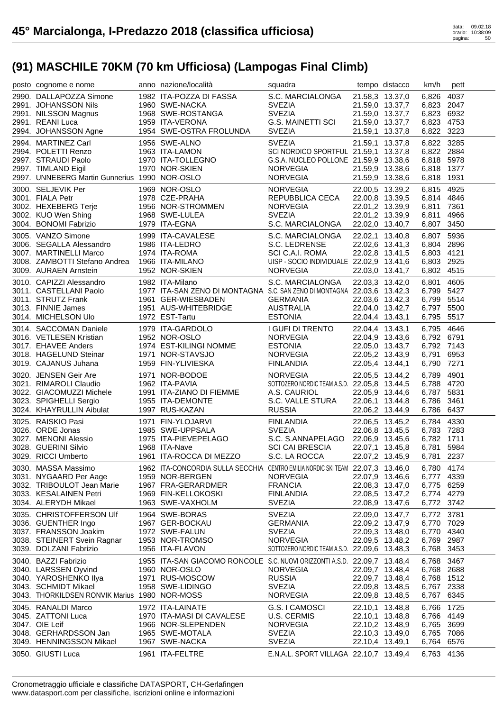| posto cognome e nome                               | anno nazione/località                                                          | squadra                                                      |                 | tempo distacco  | km/h                     | pett |
|----------------------------------------------------|--------------------------------------------------------------------------------|--------------------------------------------------------------|-----------------|-----------------|--------------------------|------|
| 2990. DALLAPOZZA Simone                            | 1982 ITA-POZZA DI FASSA                                                        | S.C. MARCIALONGA                                             | 21.58,3 13.37,0 |                 | 6,826                    | 4037 |
| 2991. JOHANSSON Nils                               | 1960 SWE-NACKA                                                                 | <b>SVEZIA</b>                                                |                 | 21.59,0 13.37,7 | 6,823 2047               |      |
| 2991. NILSSON Magnus                               | 1968 SWE-ROSTANGA                                                              | <b>SVEZIA</b>                                                |                 | 21.59,0 13.37,7 | 6,823 6932               |      |
| 2991. REANI Luca                                   | 1959 ITA-VERONA                                                                | <b>G.S. MAINETTI SCI</b>                                     |                 | 21.59,0 13.37,7 | 6,823 4753               |      |
| 2994. JOHANSSON Agne                               | 1954 SWE-OSTRA FROLUNDA                                                        | <b>SVEZIA</b>                                                | 21.59,1 13.37,8 |                 | 6,822 3223               |      |
| 2994. MARTINEZ Carl                                | 1956 SWE-ALNO                                                                  | <b>SVEZIA</b>                                                | 21.59,1 13.37,8 |                 | 6,822 3285               |      |
| 2994. POLETTI Renzo                                | 1963 ITA-LAMON<br>1970 ITA-TOLLEGNO                                            | SCI NORDICO SPORTFUL 21.59,1 13.37,8                         |                 |                 | 6,822 2884               |      |
| 2997. STRAUDI Paolo                                |                                                                                | G.S.A. NUCLEO POLLONE 21.59,9 13.38,6                        |                 |                 | 6,818 5978               |      |
| 2997. TIMLAND Eigil                                | 1970 NOR-SKIEN                                                                 | <b>NORVEGIA</b>                                              | 21.59,9 13.38,6 |                 | 6,818 1377               |      |
| 2997. UNNEBERG Martin Gunnerius 1990 NOR-OSLO      |                                                                                | <b>NORVEGIA</b>                                              | 21.59,9 13.38,6 |                 | 6,818 1931               |      |
| 3000. SELJEVIK Per                                 | 1969 NOR-OSLO                                                                  | <b>NORVEGIA</b>                                              |                 | 22.00,5 13.39,2 | 6,815 4925               |      |
| 3001. FIALA Petr                                   | 1978 CZE-PRAHA                                                                 | REPUBBLICA CECA                                              | 22.00,8 13.39,5 |                 | 6,814 4846               |      |
| 3002. HEXEBERG Terje                               | 1956 NOR-STROMMEN                                                              | <b>NORVEGIA</b>                                              | 22.01,2 13.39,9 |                 | 6,811 7361               |      |
| 3002. KUO Wen Shing                                | 1968 SWE-LULEA                                                                 | <b>SVEZIA</b>                                                | 22.01,2 13.39,9 |                 | 6,811                    | 4966 |
| 3004. BONOMI Fabrizio                              | 1979 ITA-EGNA                                                                  | S.C. MARCIALONGA                                             |                 | 22.02,0 13.40,7 | 6,807                    | 3450 |
| 3005. VANZO Simone                                 | 1999 ITA-CAVALESE                                                              | S.C. MARCIALONGA                                             | 22.02,1 13.40,8 |                 | 6,807 5936               |      |
| 3006. SEGALLA Alessandro                           | 1986 ITA-LEDRO                                                                 | S.C. LEDRENSE                                                |                 | 22.02,6 13.41,3 | 6,804 2896               |      |
| 3007. MARTINELLI Marco                             | 1974 ITA-ROMA                                                                  | SCI C.A.I. ROMA                                              | 22.02,8 13.41,5 |                 | 6,803 4121               |      |
| 3008. ZAMBOTTI Stefano Andrea                      | 1966 ITA-MILANO                                                                | UISP - SOCIO INDIVIDUALE 22.02,9 13.41,6                     |                 |                 | 6,803 2925               |      |
| 3009. AURAEN Arnstein                              | 1952 NOR-SKIEN                                                                 | <b>NORVEGIA</b>                                              |                 | 22.03,0 13.41,7 | 6,802 4515               |      |
| 3010. CAPIZZI Alessandro                           | 1982 ITA-Milano                                                                | S.C. MARCIALONGA                                             | 22.03,3 13.42,0 |                 | 6,801                    | 4605 |
| 3011. CASTELLANI Paolo                             | 1977 ITA-SAN ZENO DI MONTAGNA S.C. SAN ZENO DI MONTAGNA 22.03,6 13.42,3        |                                                              |                 |                 | 6,799 5427               |      |
| 3011. STRUTZ Frank                                 | 1961 GER-WIESBADEN                                                             | <b>GERMANIA</b>                                              |                 | 22.03,6 13.42,3 | 6,799 5514               |      |
| 3013. FINNIE James                                 | 1951 AUS-WHITEBRIDGE                                                           | AUSTRALIA                                                    |                 | 22.04,0 13.42,7 | 6,797 5500               |      |
| 3014. MICHELSON Ulo                                | 1972 EST-Tartu                                                                 | <b>ESTONIA</b>                                               | 22.04,4 13.43,1 |                 | 6,795 5517               |      |
| 3014. SACCOMAN Daniele                             | 1979 ITA-GARDOLO                                                               | I GUFI DI TRENTO                                             | 22.04,4 13.43,1 |                 | 6,795 4646               |      |
| 3016. VETLESEN Kristian                            | 1952 NOR-OSLO                                                                  | <b>NORVEGIA</b>                                              | 22.04,9 13.43,6 |                 | 6,792 6791               |      |
| 3017. EHAVEE Anders                                | 1974 EST-KILINGI NOMME                                                         | <b>ESTONIA</b>                                               |                 | 22.05,0 13.43,7 | 6,792 7143               |      |
| 3018. HAGELUND Steinar                             | 1971 NOR-STAVSJO                                                               | <b>NORVEGIA</b>                                              | 22.05,2 13.43,9 |                 | 6,791                    | 6953 |
| 3019. CAJANUS Juhana                               | 1959 FIN-YLIVIESKA                                                             | <b>FINLANDIA</b>                                             | 22.05,4 13.44,1 |                 | 6,790 7271               |      |
|                                                    |                                                                                |                                                              |                 |                 |                          |      |
|                                                    | 1971 NOR-BODOE                                                                 | <b>NORVEGIA</b>                                              |                 |                 | 6,789                    | 4901 |
| 3020. JENSEN Geir Are                              | 1962 ITA-PAVIA                                                                 |                                                              | 22.05,5 13.44,2 |                 |                          |      |
| 3021. RIMAROLI Claudio<br>3022. GIACOMUZZI Michele | 1991 ITA-ZIANO DI FIEMME                                                       | SOTTOZERO NORDIC TEAM A.S.D. 22.05,8 13.44,5<br>A.S. CAURIOL | 22.05,9 13.44,6 |                 | 6,788 4720<br>6,787      | 5831 |
|                                                    | 1955 ITA-DEMONTE                                                               |                                                              |                 |                 |                          | 3461 |
| 3023. SPIGHELLI Sergio<br>3024. KHAYRULLIN Aibulat | 1997 RUS-KAZAN                                                                 | S.C. VALLE STURA<br><b>RUSSIA</b>                            | 22.06,1 13.44,8 | 22.06,2 13.44,9 | 6,786<br>6,786 6437      |      |
|                                                    |                                                                                |                                                              |                 |                 |                          |      |
| 3025. RAISKIO Pasi<br>3026. ORDE Jonas             | 1971 FIN-YLOJARVI<br>1985 SWE-UPPSALA                                          | FINLANDIA<br><b>SVEZIA</b>                                   |                 | 22.06,5 13.45,2 | 6,784 4330               |      |
| 3027. MENONI Alessio                               | 1975 ITA-PIEVEPELAGO                                                           | S.C. S.ANNAPELAGO                                            |                 | 22.06,8 13.45,5 | 6,783 7283<br>6,782 1711 |      |
| 3028. GUERINI Silvio                               | 1968 ITA-Nave                                                                  | <b>SCI CAI BRESCIA</b>                                       | 22.07,1 13.45,8 | 22.06,9 13.45,6 | 6,781                    | 5984 |
| 3029. RICCI Umberto                                | 1961 ITA-ROCCA DI MEZZO                                                        | S.C. LA ROCCA                                                | 22.07,2 13.45,9 |                 | 6,781 2237               |      |
| 3030. MASSA Massimo                                | 1962 ITA-CONCORDIA SULLA SECCHIA CENTRO EMILIA NORDIC SKI TEAM 22.07,3 13.46,0 |                                                              |                 |                 | 6,780 4174               |      |
| 3031. NYGAARD Per Aage                             | 1959 NOR-BERGEN                                                                | <b>NORVEGIA</b>                                              | 22.07,9 13.46,6 |                 | 6,777 4339               |      |
| 3032. TRIBOULOT Jean Marie                         | 1967 FRA-GERARDMER                                                             | <b>FRANCIA</b>                                               | 22.08,3 13.47,0 |                 | 6,775 6259               |      |
| 3033. KESALAINEN Petri                             | 1969 FIN-KELLOKOSKI                                                            | <b>FINLANDIA</b>                                             | 22.08,5 13.47,2 |                 | 6,774                    | 4279 |
| 3034. ALERYDH Mikael                               | 1963 SWE-VAXHOLM                                                               | <b>SVEZIA</b>                                                | 22.08,9 13.47,6 |                 | 6,772 3742               |      |
| 3035. CHRISTOFFERSON UIf                           | 1964 SWE-BORAS                                                                 | <b>SVEZIA</b>                                                | 22.09,0 13.47,7 |                 | 6,772 3781               |      |
| 3036. GUENTHER Ingo                                | 1967 GER-BOCKAU                                                                | <b>GERMANIA</b>                                              | 22.09,2 13.47,9 |                 | 6,770                    | 7029 |
| 3037. FRANSSON Joakim                              | 1972 SWE-FALUN                                                                 | <b>SVEZIA</b>                                                | 22.09,3 13.48,0 |                 | 6,770                    | 4340 |
| 3038. STEINERT Svein Ragnar                        | 1953 NOR-TROMSO                                                                | <b>NORVEGIA</b>                                              | 22.09,5 13.48,2 |                 | 6,769                    | 2987 |
| 3039. DOLZANI Fabrizio                             | 1956 ITA-FLAVON                                                                | SOTTOZERO NORDIC TEAM A.S.D. 22.09,6 13.48,3                 |                 |                 | 6,768                    | 3453 |
| 3040. BAZZI Fabrizio                               | 1955 ITA-SAN GIACOMO RONCOLE S.C. NUOVI ORIZZONTI A.S.D. 22.09,7 13.48,4       |                                                              |                 |                 | 6,768                    | 3467 |
| 3040. LARSSEN Oyvind                               | 1960 NOR-OSLO                                                                  | <b>NORVEGIA</b>                                              | 22.09,7 13.48,4 |                 | 6,768 2688               |      |
| 3040. YAROSHENKO Ilya                              | 1971 RUS-MOSCOW                                                                | <b>RUSSIA</b>                                                | 22.09,7 13.48,4 |                 | 6,768                    | 1512 |
| 3043. SCHMIDT Mikael                               | 1958 SWE-LIDINGO                                                               | <b>SVEZIA</b>                                                | 22.09,8 13.48,5 |                 | 6,767 2338               |      |
| 3043. THORKILDSEN RONVIK Marius 1980 NOR-MOSS      |                                                                                | <b>NORVEGIA</b>                                              | 22.09,8 13.48,5 |                 | 6,767 6345               |      |
| 3045. RANALDI Marco                                | 1972 ITA-LAINATE                                                               | G.S. I CAMOSCI                                               | 22.10,1 13.48,8 |                 | 6,766                    | 1725 |
| 3045. ZATTONI Luca                                 | 1970 ITA-MASI DI CAVALESE                                                      | U.S. CERMIS                                                  | 22.10,1 13.48,8 |                 | 6,766 4149               |      |
| 3047. OIE Leif                                     | 1966 NOR-SLEPENDEN                                                             | <b>NORVEGIA</b>                                              | 22.10,2 13.48,9 |                 | 6,765                    | 3699 |
| 3048. GERHARDSSON Jan                              | 1965 SWE-MOTALA                                                                | <b>SVEZIA</b>                                                | 22.10,3 13.49,0 |                 | 6,765 7086               |      |
| 3049. HENNINGSSON Mikael<br>3050. GIUSTI Luca      | 1967 SWE-NACKA<br>1961 ITA-FELTRE                                              | <b>SVEZIA</b><br>E.N.A.L. SPORT VILLAGA 22.10,7 13.49,4      | 22.10,4 13.49,1 |                 | 6,764<br>6,763 4136      | 6576 |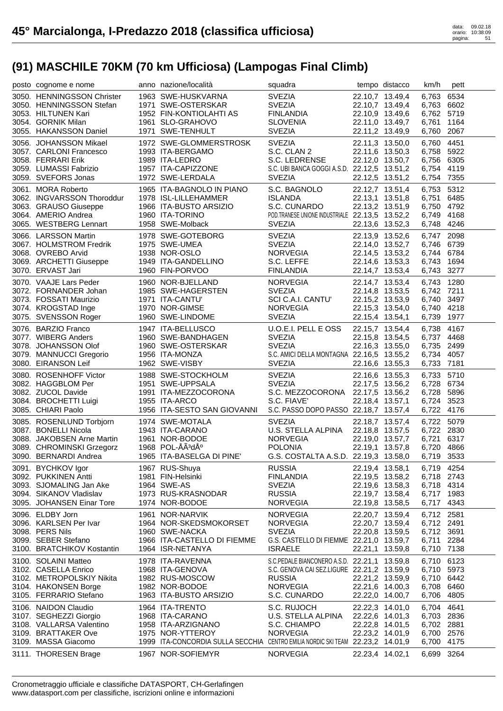| posto cognome e nome                                                                                                                 | anno nazione/località                                                                                                                                          | squadra                                                                                                                                         |                                                                          | tempo distacco                                                                              | km/h                                                               | pett                 |
|--------------------------------------------------------------------------------------------------------------------------------------|----------------------------------------------------------------------------------------------------------------------------------------------------------------|-------------------------------------------------------------------------------------------------------------------------------------------------|--------------------------------------------------------------------------|---------------------------------------------------------------------------------------------|--------------------------------------------------------------------|----------------------|
| 3050. HENNINGSSON Christer<br>3050. HENNINGSSON Stefan<br>3053. HILTUNEN Kari<br>3054. GORNIK Milan<br>3055. HAKANSSON Daniel        | 1963 SWE-HUSKVARNA<br>1971 SWE-OSTERSKAR<br>1952 FIN-KONTIOLAHTI AS<br>1961 SLO-GRAHOVO<br>1971 SWE-TENHULT                                                    | <b>SVEZIA</b><br><b>SVEZIA</b><br><b>FINLANDIA</b><br><b>SLOVENIA</b><br><b>SVEZIA</b>                                                          |                                                                          | 22.10,7 13.49,4<br>22.10,7 13.49,4<br>22.10,9 13.49,6<br>22.11,0 13.49,7<br>22.11,2 13.49,9 | 6,763<br>6,763 6602<br>6,762 5719<br>6,761<br>6,760                | 6534<br>1164<br>2067 |
| 3056. JOHANSSON Mikael<br>3057. CARLONI Francesco<br>3058. FERRARI Erik<br>3059. LUMASSI Fabrizio<br>3059. SVEFORS Jonas             | 1972 SWE-GLOMMERSTROSK<br>1993 ITA-BERGAMO<br>1989 ITA-LEDRO<br>1957 ITA-CAPIZZONE<br>1972 SWE-LERDALA                                                         | <b>SVEZIA</b><br>S.C. CLAN 2<br>S.C. LEDRENSE<br>S.C. UBI BANCA GOGGI A.S.D. 22.12,5 13.51,2<br><b>SVEZIA</b>                                   |                                                                          | 22.11,3 13.50,0<br>22.11,6 13.50,3<br>22.12,0 13.50,7<br>22.12,5 13.51,2                    | 6,760<br>6,758 5922<br>6,756 6305<br>6,754 4119<br>6,754 7355      | 4451                 |
| 3061. MORA Roberto<br>3062. INGVARSSON Thoroddur<br>3063. GRAUSO Giuseppe<br>3064. AMERIO Andrea<br>3065. WESTBERG Lennart           | 1965 ITA-BAGNOLO IN PIANO<br>1978 ISL-LILLEHAMMER<br>1966 ITA-BUSTO ARSIZIO<br>1960 ITA-TORINO<br>1958 SWE-Molback                                             | S.C. BAGNOLO<br><b>ISLANDA</b><br>S.C. CUNARDO<br>POD.TRANESE UNIONE INDUSTRIALE 22.13,5 13.52,2<br><b>SVEZIA</b>                               |                                                                          | 22.12,7 13.51,4<br>22.13,1 13.51,8<br>22.13,2 13.51,9<br>22.13,6 13.52,3                    | 6,753 5312<br>6.751<br>6,750 4792<br>6,749 4168<br>6,748 4246      | 6485                 |
| 3066. LARSSON Martin<br>3067. HOLMSTROM Fredrik<br>3068. OVREBO Arvid<br>3069. ARCHETTI Giuseppe<br>3070. ERVAST Jari                | 1978 SWE-GOTEBORG<br>1975 SWE-UMEA<br>1938 NOR-OSLO<br>1949 ITA-GANDELLINO<br>1960 FIN-PORVOO                                                                  | <b>SVEZIA</b><br><b>SVEZIA</b><br><b>NORVEGIA</b><br>S.C. LEFFE<br><b>FINLANDIA</b>                                                             | 22.14,7 13.53,4                                                          | 22.13,9 13.52,6<br>22.14,0 13.52,7<br>22.14,5 13.53,2<br>22.14,6 13.53,3                    | 6,747 2098<br>6,746 6739<br>6,744 6784<br>6,743 1694<br>6,743 3277 |                      |
| 3070. VAAJE Lars Peder<br>3072. FORNANDER Johan<br>3073. FOSSATI Maurizio<br>3074. KROGSTAD Inge<br>3075. SVENSSON Roger             | 1960 NOR-BJELLAND<br>1985 SWE-HAGERSTEN<br>1971 ITA-CANTU'<br>1970 NOR-GIMSE<br>1960 SWE-LINDOME                                                               | <b>NORVEGIA</b><br><b>SVEZIA</b><br>SCI C.A.I. CANTU'<br><b>NORVEGIA</b><br><b>SVEZIA</b>                                                       | 22.15,2 13.53,9<br>22.15,4 13.54,1                                       | 22.14,7 13.53,4<br>22.14,8 13.53,5<br>22.15,3 13.54,0                                       | 6,743 1280<br>6,742 7211<br>6,740 3497<br>6,740 4218<br>6,739 1977 |                      |
| 3076. BARZIO Franco<br>3077. WIBERG Anders<br>3078. JOHANSSON Olof<br>3079. MANNUCCI Gregorio<br>3080. EIRANSON Leif                 | 1947 ITA-BELLUSCO<br>1960 SWE-BANDHAGEN<br>1960 SWE-OSTERSKAR<br>1956 ITA-MONZA<br>1962 SWE-VISBY                                                              | U.O.E.I. PELL E OSS<br><b>SVEZIA</b><br><b>SVEZIA</b><br>S.C. AMICI DELLA MONTAGNA 22.16,5 13.55,2<br><b>SVEZIA</b>                             |                                                                          | 22.15,7 13.54,4<br>22.15,8 13.54,5<br>22.16,3 13.55,0<br>22.16,6 13.55,3                    | 6,738<br>6,737 4468<br>6,735 2499<br>6,734 4057<br>6,733 7181      | 4167                 |
| 3080. ROSENHOFF Victor<br>3082. HAGGBLOM Per<br>3082. ZUCOL Davide<br>3084. BROCHETTI Luigi<br>3085. CHIARI Paolo                    | 1988 SWE-STOCKHOLM<br>1951 SWE-UPPSALA<br>1991 ITA-MEZZOCORONA<br>1955 ITA-ARCO<br>1956 ITA-SESTO SAN GIOVANNI                                                 | <b>SVEZIA</b><br><b>SVEZIA</b><br>S.C. MEZZOCORONA 22.17,5 13.56,2<br>S.C. FIAVE'<br>S.C. PASSO DOPO PASSO 22.18,7 13.57,4                      | 22.18,4 13.57,1                                                          | 22.16,6 13.55,3<br>22.17,5 13.56,2                                                          | 6,733 5710<br>6,728 6734<br>6,728 5896<br>6,724 3523<br>6,722 4176 |                      |
| 3085. ROSENLUND Torbjorn<br>3087. BONELLI Nicola<br>3088. JAKOBSEN Arne Martin<br>3089. CHROMINSKI Grzegorz<br>3090. BERNARDI Andrea | 1974 SWE-MOTALA<br>1943 ITA-CARANO<br>1961 NOR-BODOE<br>1968 POL-ÅÃ3dź<br>1965 ITA-BASELGA DI PINE'                                                            | <b>SVEZIA</b><br>U.S. STELLA ALPINA<br><b>NORVEGIA</b><br><b>POLONIA</b><br>G.S. COSTALTA A.S.D. 22.19,3 13.58,0                                | 22.18,8 13.57,5<br>22.19,1 13.57,8                                       | 22.18,7 13.57,4<br>22.19,0 13.57,7                                                          | 6,722 5079<br>6,722 2830<br>6,721<br>6,720 4866<br>6,719 3533      | 6317                 |
| 3091. BYCHKOV Igor<br>3092. PUKKINEN Antti<br>3093. SJOMALING Jan Ake<br>3094. SIKANOV Vladislav<br>3095. JOHANSEN Einar Tore        | 1967 RUS-Shuya<br>1981 FIN-Helsinki<br>1964 SWE-AS<br>1973 RUS-KRASNODAR<br>1974 NOR-BODOE                                                                     | <b>RUSSIA</b><br><b>FINLANDIA</b><br><b>SVEZIA</b><br><b>RUSSIA</b><br><b>NORVEGIA</b>                                                          | 22.19,4 13.58,1<br>22.19,8 13.58,5                                       | 22.19,5 13.58,2<br>22.19,6 13.58,3<br>22.19,7 13.58,4                                       | 6,719 4254<br>6,718 2743<br>6,718 4314<br>6,717 1983<br>6,717      | 4343                 |
| 3096. ELDBY Jorn<br>3096. KARLSEN Per Ivar<br>3098. PERS Nils<br>3099. SEBER Stefano<br>3100. BRATCHIKOV Kostantin                   | 1961 NOR-NARVIK<br>1964 NOR-SKEDSMOKORSET<br>1960 SWE-NACKA<br>1966 ITA-CASTELLO DI FIEMME<br>1964 ISR-NETANYA                                                 | <b>NORVEGIA</b><br><b>NORVEGIA</b><br><b>SVEZIA</b><br>G.S. CASTELLO DI FIEMME 22.21,0 13.59,7<br><b>ISRAELE</b>                                | 22.21,1 13.59,8                                                          | 22.20,7 13.59,4<br>22.20,7 13.59,4<br>22.20,8 13.59,5                                       | 6,712 2581<br>6,712 2491<br>6,712 3691<br>6,711<br>6,710 7138      | 2284                 |
| 3100. SOLAINI Matteo<br>3102. CASELLA Enrico<br>3102. METROPOLSKIY Nikita<br>3104. HAKONSEN Borge<br>3105. FERRARIO Stefano          | 1978 ITA-RAVENNA<br>1968 ITA-GENOVA<br>1982 RUS-MOSCOW<br>1982 NOR-BODOE<br>1963 ITA-BUSTO ARSIZIO                                                             | S.C. PEDALE BIANCONERO A.S.D. 22.21,1 13.59,8<br>S.C. GENOVA CAI SEZ.LIGURE 22.21,2 13.59,9<br><b>RUSSIA</b><br><b>NORVEGIA</b><br>S.C. CUNARDO | 22.21,6 14.00,3<br>22.22,0 14.00,7                                       | 22.21,2 13.59,9                                                                             | 6,710<br>6,710 5973<br>6,710 6442<br>6,708<br>6,706                | 6123<br>6460<br>4805 |
| 3106. NAIDON Claudio<br>3107. SEGHEZZI Giorgio<br>3108. VALLARSA Valentino<br>3109. BRATTAKER Ove<br>3109. MASSA Giacomo             | 1964 ITA-TRENTO<br>1968 ITA-CARANO<br>1958 ITA-ARZIGNANO<br>1975 NOR-YTTEROY<br>1999 ITA-CONCORDIA SULLA SECCHIA CENTRO EMILIA NORDIC SKI TEAM 22.23,2 14.01,9 | S.C. RUJOCH<br>U.S. STELLA ALPINA<br>S.C. CHIAMPO<br><b>NORVEGIA</b>                                                                            | 22.22,3 14.01,0<br>22.22,6 14.01,3<br>22.22,8 14.01,5<br>22.23,2 14.01,9 |                                                                                             | 6,704<br>6,703 2836<br>6,702<br>6,700 2576<br>6,700                | 4641<br>2881<br>4175 |
| 3111. THORESEN Brage                                                                                                                 | 1967 NOR-SOFIEMYR                                                                                                                                              | <b>NORVEGIA</b>                                                                                                                                 | 22.23,4 14.02,1                                                          |                                                                                             | 6,699                                                              | 3264                 |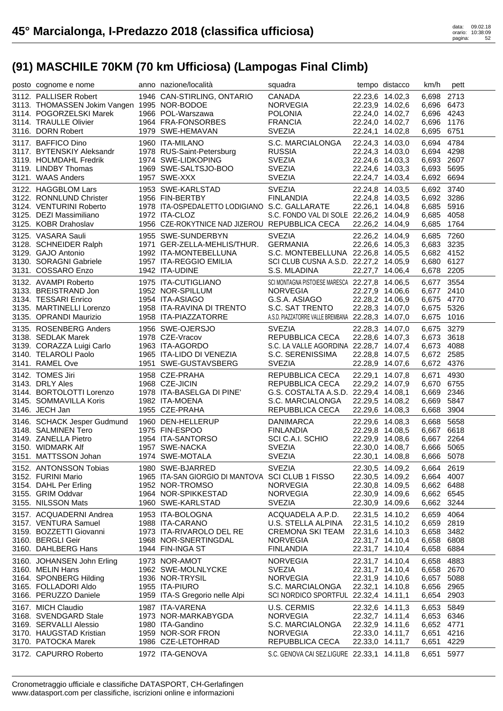| posto cognome e nome                         | anno nazione/località                            | squadra                                                       |                 | tempo distacco                     | km/h           | pett         |
|----------------------------------------------|--------------------------------------------------|---------------------------------------------------------------|-----------------|------------------------------------|----------------|--------------|
| 3112. PALLISER Robert                        | 1946 CAN-STIRLING, ONTARIO                       | <b>CANADA</b>                                                 |                 | 22.23,6 14.02,3                    | 6,698 2713     |              |
| 3113. THOMASSEN Jokim Vangen 1995 NOR-BODOE  |                                                  | <b>NORVEGIA</b>                                               |                 | 22.23,9 14.02,6                    | 6,696 6473     |              |
| 3114. POGORZELSKI Marek                      | 1966 POL-Warszawa                                | <b>POLONIA</b>                                                |                 | 22.24,0 14.02,7                    | 6,696 4243     |              |
| 3114. TRAULLE Olivier                        | 1964 FRA-FONSORBES                               | <b>FRANCIA</b>                                                |                 | 22.24,0 14.02,7                    | 6,696 1176     |              |
| 3116. DORN Robert                            | 1979 SWE-HEMAVAN                                 | <b>SVEZIA</b>                                                 |                 | 22.24,1 14.02,8                    | 6,695 6751     |              |
| 3117. BAFFICO Dino                           | 1960 ITA-MILANO                                  | S.C. MARCIALONGA                                              |                 | 22.24,3 14.03,0                    | 6,694          | 4784         |
| 3117. BYTENSKIY Aleksandr                    | 1978 RUS-Saint-Petersburg                        | <b>RUSSIA</b>                                                 |                 | 22.24,3 14.03,0                    | 6,694 4298     |              |
| 3119. HOLMDAHL Fredrik                       | 1974 SWE-LIDKOPING                               | <b>SVEZIA</b>                                                 |                 | 22.24,6 14.03,3                    | 6,693 2607     |              |
| 3119. LINDBY Thomas                          | 1969 SWE-SALTSJO-BOO                             | <b>SVEZIA</b>                                                 |                 | 22.24,6 14.03,3                    | 6,693 5695     |              |
| 3121. WAAS Anders                            | 1957 SWE-XXX                                     | <b>SVEZIA</b>                                                 |                 | 22.24,7 14.03,4                    | 6,692 6694     |              |
| 3122. HAGGBLOM Lars                          | 1953 SWE-KARLSTAD                                | <b>SVEZIA</b>                                                 |                 | 22.24,8 14.03,5                    | 6,692 3740     |              |
| 3122. RONNLUND Christer                      | 1956 FIN-BERTBY                                  | <b>FINLANDIA</b>                                              |                 | 22.24,8 14.03,5                    | 6,692 3286     |              |
| 3124. VENTURINI Roberto                      | 1978 ITA-OSPEDALETTO LODIGIANO S.C. GALLARATE    |                                                               |                 | 22.26,1 14.04,8                    | 6,685 5916     |              |
| 3125. DEZI Massimiliano                      | 1972 ITA-CLOZ                                    | S.C. FONDO VAL DI SOLE 22.26,2 14.04,9                        |                 |                                    | 6,685 4058     |              |
| 3125. KOBR Drahoslav                         | 1956 CZE-ROKYTNICE NAD JIZEROU REPUBBLICA CECA   |                                                               | 22.26,2 14.04,9 |                                    | 6,685 1764     |              |
| 3125. VASARA Sauli                           | 1955 SWE-SUNDERBYN                               | <b>SVEZIA</b>                                                 | 22.26,2 14.04,9 |                                    | 6,685 7260     |              |
| 3128. SCHNEIDER Ralph                        | 1971 GER-ZELLA-MEHLIS/THUR.                      | GERMANIA                                                      |                 | 22.26,6 14.05,3                    | 6,683 3235     |              |
| 3129. GAJO Antonio                           | 1992 ITA-MONTEBELLUNA                            | S.C. MONTEBELLUNA 22.26,8 14.05,5                             |                 |                                    | 6,682 4152     |              |
| 3130. SORAGNI Gabriele                       | 1957 ITA-REGGIO EMILIA                           | SCI CLUB CUSNA A.S.D. 22.27,2 14.05,9                         |                 |                                    | 6,680 6127     |              |
| 3131. COSSARO Enzo                           | 1942 ITA-UDINE                                   | S.S. MLADINA                                                  |                 | 22.27,7 14.06,4                    | 6,678 2205     |              |
| 3132. AVAMPI Roberto                         | 1975 ITA-CUTIGLIANO                              | SCI MONTAGNA PISTOIESE MARESCA 22.27,8 14.06,5                |                 |                                    | 6,677 3554     |              |
| 3133. BREISTRAND Jon                         | 1952 NOR-SPILLUM                                 | <b>NORVEGIA</b>                                               |                 | 22.27,9 14.06,6                    | 6,677          | 2410         |
| 3134. TESSARI Enrico                         | 1954 ITA-ASIAGO                                  | G.S.A. ASIAGO                                                 | 22.28,2 14.06,9 |                                    | 6,675 4770     |              |
| 3135. MARTINELLI Lorenzo                     | 1958 ITA-RAVINA DI TRENTO                        | S.C. SAT TRENTO                                               | 22.28,3 14.07,0 |                                    | 6,675 5326     |              |
| 3135. OPRANDI Maurizio                       | 1958 ITA-PIAZZATORRE                             | A.S.D. PIAZZATORRE VALLE BREMBANA 22.28,3 14.07,0             |                 |                                    | 6,675 1016     |              |
| 3135. ROSENBERG Anders                       | 1956 SWE-OJERSJO                                 | <b>SVEZIA</b>                                                 |                 |                                    | 6,675 3279     |              |
| 3138. SEDLAK Marek                           | 1978 CZE-Vracov                                  | REPUBBLICA CECA                                               |                 | 22.28,3 14.07,0<br>22.28,6 14.07,3 | 6,673 3618     |              |
| 3139. CORAZZA Luigi Carlo                    | 1963 ITA-AGORDO                                  | S.C. LA VALLE AGORDINA 22.28,7 14.07,4                        |                 |                                    | 6,673 4088     |              |
| 3140. TELAROLI Paolo                         | 1965 ITA-LIDO DI VENEZIA                         | S.C. SERENISSIMA                                              |                 | 22.28,8 14.07,5                    | 6,672 2585     |              |
| 3141. RAMEL Ove                              | 1951 SWE-GUSTAVSBERG                             | <b>SVEZIA</b>                                                 |                 | 22.28,9 14.07,6                    | 6,672 4376     |              |
|                                              |                                                  |                                                               |                 |                                    |                |              |
|                                              |                                                  |                                                               |                 |                                    |                |              |
| 3142. TOMES Jiri                             | 1958 CZE-PRAHA                                   | REPUBBLICA CECA                                               | 22.29,1 14.07,8 |                                    | 6.671          | 4930         |
| 3143. DRLY Ales                              | 1968 CZE-JICIN                                   | REPUBBLICA CECA                                               |                 | 22.29,2 14.07,9                    | 6,670 6755     |              |
| 3144. BORTOLOTTI Lorenzo                     | 1978 ITA-BASELGA DI PINE'                        | G.S. COSTALTA A.S.D. 22.29,4 14.08,1                          |                 |                                    | 6,669          | 2346         |
| 3145. SOMMAVILLA Koris                       | 1982 ITA-MOENA                                   | S.C. MARCIALONGA                                              | 22.29,5 14.08,2 |                                    | 6,669 5847     |              |
| 3146. JECH Jan                               | 1955 CZE-PRAHA                                   | REPUBBLICA CECA                                               |                 | 22.29,6 14.08,3                    | 6,668 3904     |              |
| 3146. SCHACK Jesper Gudmund                  | 1960 DEN-HELLERUP                                | <b>DANIMARCA</b>                                              |                 | 22.29,6 14.08,3                    | 6,668 5658     |              |
| 3148. SALMINEN Tero                          | 1975 FIN-ESPOO                                   | <b>FINLANDIA</b>                                              |                 | 22.29,8 14.08,5                    | 6,667 6618     |              |
| 3149. ZANELLA Pietro                         | 1954 ITA-SANTORSO                                | SCI C.A.I. SCHIO                                              |                 | 22.29,9 14.08,6                    | 6,667 2264     |              |
| 3150. WIDMARK Alf                            | 1957 SWE-NACKA                                   | <b>SVEZIA</b>                                                 |                 | 22.30,0 14.08,7                    | 6,666 5065     |              |
| 3151. MATTSSON Johan                         | 1974 SWE-MOTALA                                  | <b>SVEZIA</b>                                                 |                 | 22.30,1 14.08,8                    | 6,666 5078     |              |
| 3152. ANTONSSON Tobias                       | 1980 SWE-BJARRED                                 | <b>SVEZIA</b>                                                 |                 | 22.30,5 14.09,2                    | 6,664 2619     |              |
| 3152. FURINI Mario                           | 1965 ITA-SAN GIORGIO DI MANTOVA SCI CLUB 1 FISSO |                                                               |                 | 22.30,5 14.09,2                    | 6,664 4007     |              |
| 3154. DAHL Per Erling                        | 1952 NOR-TROMSO                                  | <b>NORVEGIA</b>                                               |                 | 22.30,8 14.09,5                    | 6,662 6488     |              |
| 3155. GRIM Oddvar                            | 1964 NOR-SPIKKESTAD                              | <b>NORVEGIA</b>                                               |                 | 22.30,9 14.09,6                    | 6,662 6545     |              |
| 3155. NILSSON Mats                           | 1960 SWE-KARLSTAD                                | <b>SVEZIA</b>                                                 |                 | 22.30,9 14.09,6                    | 6,662 3244     |              |
| 3157. ACQUADERNI Andrea                      | 1953 ITA-BOLOGNA                                 | ACQUADELA A.P.D.                                              | 22.31,5 14.10,2 |                                    | 6,659 4064     |              |
| 3157. VENTURA Samuel                         | 1988 ITA-CARANO                                  | U.S. STELLA ALPINA                                            | 22.31,5 14.10,2 |                                    | 6,659 2819     |              |
| 3159. BOZZETTI Giovanni                      | 1973 ITA-RIVAROLO DEL RE                         | CREMONA SKI TEAM                                              | 22.31,6 14.10,3 |                                    | 6,658 3482     |              |
| 3160. BERGLI Geir                            | 1968 NOR-SNERTINGDAL                             | <b>NORVEGIA</b>                                               |                 | 22.31,7 14.10,4                    | 6,658          | 6808         |
| 3160. DAHLBERG Hans                          | 1944 FIN-INGA ST                                 | <b>FINLANDIA</b>                                              |                 | 22.31,7 14.10,4                    | 6,658 6884     |              |
| 3160. JOHANSEN John Erling                   | 1973 NOR-AMOT                                    | <b>NORVEGIA</b>                                               |                 | 22.31,7 14.10,4                    | 6,658          | 4883         |
| 3160. MELIN Hans                             | 1962 SWE-MOLNLYCKE                               | <b>SVEZIA</b>                                                 |                 | 22.31,7 14.10,4                    | 6,658 2670     |              |
| 3164. SPONBERG Hilding                       | 1936 NOR-TRYSIL                                  | <b>NORVEGIA</b>                                               | 22.31,9 14.10,6 |                                    | 6,657 5088     |              |
| 3165. FOLLADORI Aldo                         | 1955 ITA-PIURO                                   | S.C. MARCIALONGA                                              | 22.32,1 14.10,8 |                                    | 6,656 2965     |              |
| 3166. PERUZZO Daniele                        | 1959 ITA-S Gregorio nelle Alpi                   | SCI NORDICO SPORTFUL 22.32,4 14.11,1                          |                 |                                    | 6,654 2903     |              |
| 3167. MICH Claudio                           | 1987 ITA-VARENA                                  | U.S. CERMIS                                                   |                 | 22.32,6 14.11,3                    | 6,653 5849     |              |
| 3168. SVENDGARD Stale                        | 1973 NOR-MARKABYGDA                              | <b>NORVEGIA</b>                                               |                 | 22.32,7 14.11,4                    | 6,653 6346     |              |
| 3169. SERVALLI Alessio                       | 1980 ITA-Gandino                                 | S.C. MARCIALONGA                                              | 22.32,9 14.11,6 |                                    | 6,652 4771     |              |
| 3170. HAUGSTAD Kristian                      | 1959 NOR-SOR FRON                                | <b>NORVEGIA</b>                                               |                 | 22.33,0 14.11,7                    | 6,651          | 4216         |
| 3170. PATOCKA Marek<br>3172. CAPURRO Roberto | 1986 CZE-LETOHRAD<br>1972 ITA-GENOVA             | REPUBBLICA CECA<br>S.C. GENOVA CAI SEZ.LIGURE 22.33,1 14.11,8 | 22.33,0 14.11,7 |                                    | 6,651<br>6,651 | 4229<br>5977 |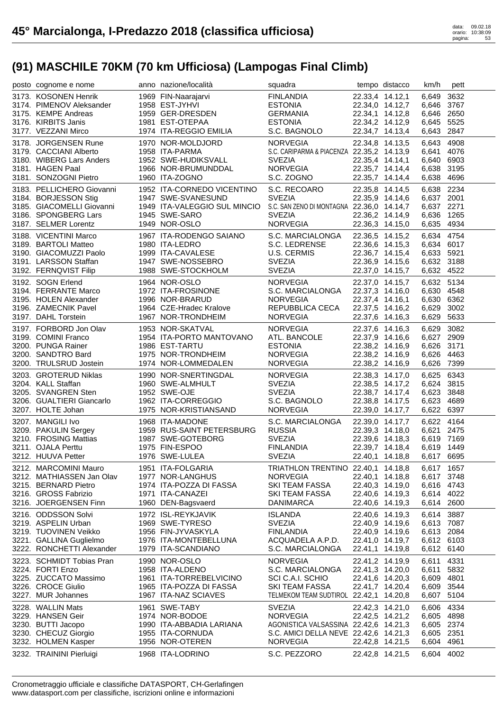| posto cognome e nome      | anno nazione/località        | squadra                                   |                 | tempo distacco  | km/h       | pett |
|---------------------------|------------------------------|-------------------------------------------|-----------------|-----------------|------------|------|
| 3173. KOSONEN Henrik      | 1969 FIN-Naarajarvi          | <b>FINLANDIA</b>                          |                 | 22.33.4 14.12.1 | 6,649      | 3632 |
| 3174. PIMENOV Aleksander  | 1958 EST-JYHVI               | <b>ESTONIA</b>                            |                 | 22.34,0 14.12,7 | 6,646 3767 |      |
| 3175. KEMPE Andreas       | 1959 GER-DRESDEN             | <b>GERMANIA</b>                           |                 | 22.34,1 14.12,8 | 6,646 2650 |      |
| 3176. KIRBITS Janis       | 1981 EST-OTEPAA              | <b>ESTONIA</b>                            |                 | 22.34,2 14.12,9 | 6,645 5525 |      |
| 3177. VEZZANI Mirco       | 1974 ITA-REGGIO EMILIA       | S.C. BAGNOLO                              |                 | 22.34,7 14.13,4 | 6,643      | 2847 |
| 3178. JORGENSEN Rune      | 1970 NOR-MOLDJORD            | <b>NORVEGIA</b>                           |                 | 22.34,8 14.13,5 | 6,643      | 4908 |
| 3179. CACCIANI Alberto    | 1958 ITA-PARMA               | S.C. CARIPARMA & PIACENZA 22.35,2 14.13,9 |                 |                 | 6,641      | 4076 |
| 3180. WIBERG Lars Anders  | 1952 SWE-HUDIKSVALL          | <b>SVEZIA</b>                             |                 | 22.35,4 14.14,1 | 6,640      | 6903 |
| 3181. HAGEN Paal          | 1966 NOR-BRUMUNDDAL          | <b>NORVEGIA</b>                           |                 | 22.35,7 14.14,4 | 6,638 3195 |      |
| 3181. SONZOGNI Pietro     | 1960 ITA-ZOGNO               | S.C. ZOGNO                                |                 | 22.35,7 14.14,4 | 6,638      | 4696 |
| 3183. PELLICHERO Giovanni | 1952 ITA-CORNEDO VICENTINO   | S.C. RECOARO                              |                 | 22.35,8 14.14,5 | 6,638 2234 |      |
| 3184. BORJESSON Stig      | 1947 SWE-SVANESUND           | <b>SVEZIA</b>                             |                 | 22.35,9 14.14,6 | 6,637 2001 |      |
| 3185. GIACOMELLI Giovanni | 1949 ITA-VALEGGIO SUL MINCIO | S.C. SAN ZENO DI MONTAGNA 22.36,0 14.14,7 |                 |                 | 6,637 2271 |      |
| 3186. SPONGBERG Lars      | 1945 SWE-SARO                | <b>SVEZIA</b>                             |                 | 22.36,2 14.14,9 | 6,636 1265 |      |
| 3187. SELMER Lorentz      | 1949 NOR-OSLO                | <b>NORVEGIA</b>                           |                 | 22.36,3 14.15,0 | 6,635 4934 |      |
| 3188. VICENTINI Marco     | 1967 ITA-RODENGO SAIANO      | S.C. MARCIALONGA                          | 22.36,5 14.15,2 |                 | 6,634 4754 |      |
| 3189. BARTOLI Matteo      | 1980 ITA-LEDRO               | S.C. LEDRENSE                             |                 | 22.36,6 14.15,3 | 6,634 6017 |      |
| 3190. GIACOMUZZI Paolo    | 1999 ITA-CAVALESE            | U.S. CERMIS                               |                 | 22.36,7 14.15,4 | 6,633 5921 |      |
| 3191. LARSSON Staffan     | 1947 SWE-NOSSEBRO            | <b>SVEZIA</b>                             |                 | 22.36,9 14.15,6 | 6,632 3188 |      |
| 3192. FERNQVIST Filip     | 1988 SWE-STOCKHOLM           | <b>SVEZIA</b>                             |                 | 22.37,0 14.15,7 | 6,632 4522 |      |
| 3192. SOGN Erlend         | 1964 NOR-OSLO                | <b>NORVEGIA</b>                           |                 | 22.37,0 14.15,7 | 6,632 5134 |      |
| 3194. FERRANTE Marco      | 1972 ITA-FROSINONE           | S.C. MARCIALONGA                          |                 | 22.37,3 14.16,0 | 6,630 4548 |      |
| 3195. HOLEN Alexander     | 1996 NOR-BRARUD              | <b>NORVEGIA</b>                           |                 | 22.37,4 14.16,1 | 6,630 6362 |      |
| 3196. ZAMECNIK Pavel      | 1964 CZE-Hradec Kralove      | REPUBBLICA CECA                           |                 | 22.37,5 14.16,2 | 6,629      | 3002 |
| 3197. DAHL Torstein       | 1967 NOR-TRONDHEIM           | <b>NORVEGIA</b>                           |                 | 22.37,6 14.16,3 | 6,629 5633 |      |
| 3197. FORBORD Jon Olav    | 1953 NOR-SKATVAL             | <b>NORVEGIA</b>                           |                 | 22.37,6 14.16,3 | 6,629      | 3082 |
| 3199. COMINI Franco       | 1954 ITA-PORTO MANTOVANO     | ATL. BANCOLE                              |                 | 22.37,9 14.16,6 | 6,627 2909 |      |
| 3200. PUNGA Rainer        | 1986 EST-TARTU               | <b>ESTONIA</b>                            |                 | 22.38,2 14.16,9 | 6,626 3171 |      |
| 3200. SANDTRO Bard        | 1975 NOR-TRONDHEIM           | <b>NORVEGIA</b>                           |                 | 22.38,2 14.16,9 | 6,626 4463 |      |
| 3200. TRULSRUD Jostein    | 1974 NOR-LOMMEDALEN          | <b>NORVEGIA</b>                           |                 | 22.38,2 14.16,9 | 6,626 7399 |      |
| 3203. GROTERUD Niklas     | 1990 NOR-SNERTINGDAL         | <b>NORVEGIA</b>                           |                 | 22.38,3 14.17,0 | 6,625 6343 |      |
| 3204. KALL Staffan        | 1960 SWE-ALMHULT             | <b>SVEZIA</b>                             |                 | 22.38,5 14.17,2 | 6,624 3815 |      |
| 3205. SVANGREN Sten       | 1952 SWE-OJE                 | <b>SVEZIA</b>                             |                 | 22.38,7 14.17,4 | 6,623      | 3848 |
| 3206. GUALTIERI Giancarlo | 1962 ITA-CORREGGIO           | S.C. BAGNOLO                              |                 | 22.38,8 14.17,5 | 6,623 4689 |      |
| 3207. HOLTE Johan         | 1975 NOR-KRISTIANSAND        | <b>NORVEGIA</b>                           |                 | 22.39,0 14.17,7 | 6,622 6397 |      |
| 3207. MANGILI Ivo         | 1968 ITA-MADONE              | S.C. MARCIALONGA                          |                 | 22.39,0 14.17,7 | 6,622 4164 |      |
| 3209. PAKULIN Sergey      | 1959 RUS-SAINT PETERSBURG    | <b>RUSSIA</b>                             |                 | 22.39,3 14.18,0 | 6,621      | 2475 |
| 3210. FROSING Mattias     | 1987 SWE-GOTEBORG            | <b>SVEZIA</b>                             |                 | 22.39,6 14.18,3 | 6,619 7169 |      |
| 3211. OJALA Perttu        | 1975 FIN-ESPOO               | <b>FINLANDIA</b>                          |                 | 22.39,7 14.18,4 | 6,619 1449 |      |
| 3212. HUUVA Petter        | 1976 SWE-LULEA               | <b>SVEZIA</b>                             |                 | 22.40,1 14.18,8 | 6,617 6695 |      |
| 3212. MARCOMINI Mauro     | 1951 ITA-FOLGARIA            | TRIATHLON TRENTINO 22.40,1 14.18,8        |                 |                 | 6,617 1657 |      |
| 3212. MATHIASSEN Jan Olav | 1977 NOR-LANGHUS             | <b>NORVEGIA</b>                           |                 | 22.40,1 14.18,8 | 6,617 3748 |      |
| 3215. BERNARD Pietro      | 1974 ITA-POZZA DI FASSA      | SKI TEAM FASSA                            |                 | 22.40,3 14.19,0 | 6,616 4743 |      |
| 3216. GROSS Fabrizio      | 1971 ITA-CANAZEI             | SKI TEAM FASSA                            |                 | 22.40,6 14.19,3 | 6,614 4022 |      |
| 3216. JOERGENSEN Finn     | 1960 DEN-Bagsvaerd           | <b>DANIMARCA</b>                          |                 | 22.40,6 14.19,3 | 6,614 2600 |      |
| 3216. ODDSSON Solvi       | 1972 ISL-REYKJAVIK           | <b>ISLANDA</b>                            |                 | 22.40,6 14.19,3 | 6,614 3887 |      |
| 3219. ASPELIN Urban       | 1969 SWE-TYRESO              | <b>SVEZIA</b>                             |                 | 22.40,9 14.19,6 | 6,613 7087 |      |
| 3219. TUOVINEN Veikko     | 1956 FIN-JYVASKYLA           | <b>FINLANDIA</b>                          |                 | 22.40,9 14.19,6 | 6,613 2084 |      |
| 3221. GALLINA Guglielmo   | 1976 ITA-MONTEBELLUNA        | ACQUADELA A.P.D.                          |                 | 22.41,0 14.19,7 | 6,612 6103 |      |
| 3222. RONCHETTI Alexander | 1979 ITA-SCANDIANO           | S.C. MARCIALONGA                          |                 | 22.41,1 14.19,8 | 6,612 6140 |      |
| 3223. SCHMIDT Tobias Pran | 1990 NOR-OSLO                | <b>NORVEGIA</b>                           |                 | 22.41,2 14.19,9 | 6,611      | 4331 |
| 3224. FORTI Enzo          | 1958 ITA-ALDENO              | S.C. MARCIALONGA                          |                 | 22.41,3 14.20,0 | 6,611      | 5832 |
| 3225. ZUCCATO Massimo     | 1961 ITA-TORREBELVICINO      | SCI C.A.I. SCHIO                          |                 | 22.41,6 14.20,3 | 6,609      | 4801 |
| 3226. CROCE Giulio        | 1965 ITA-POZZA DI FASSA      | SKI TEAM FASSA                            |                 | 22.41,7 14.20,4 | 6,609      | 3544 |
| 3227. MUR Johannes        | 1967 ITA-NAZ SCIAVES         | TELMEKOM TEAM SUDTIROL 22.42,1 14.20,8    |                 |                 | 6,607 5104 |      |
| 3228. WALLIN Mats         | 1961 SWE-TABY                | <b>SVEZIA</b>                             |                 | 22.42,3 14.21,0 | 6,606      | 4334 |
| 3229. HANSEN Geir         | 1974 NOR-BODOE               | <b>NORVEGIA</b>                           |                 | 22.42,5 14.21,2 | 6,605      | 4898 |
| 3230. BUTTI Jacopo        | 1990 ITA-ABBADIA LARIANA     | AGONISTICA VALSASSINA 22.42,6 14.21,3     |                 |                 | 6,605 2374 |      |
| 3230. CHECUZ Giorgio      | 1955 ITA-CORNUDA             | S.C. AMICI DELLA NEVE 22.42,6 14.21,3     |                 |                 | 6,605 2351 |      |
| 3232. HOLMEN Kasper       | 1956 NOR-OTEREN              | <b>NORVEGIA</b>                           |                 | 22.42,8 14.21,5 | 6,604      | 4961 |
|                           |                              |                                           |                 |                 |            |      |
| 3232. TRAININI Pierluigi  | 1968 ITA-LODRINO             | S.C. PEZZORO                              |                 | 22.42,8 14.21,5 | 6,604 4002 |      |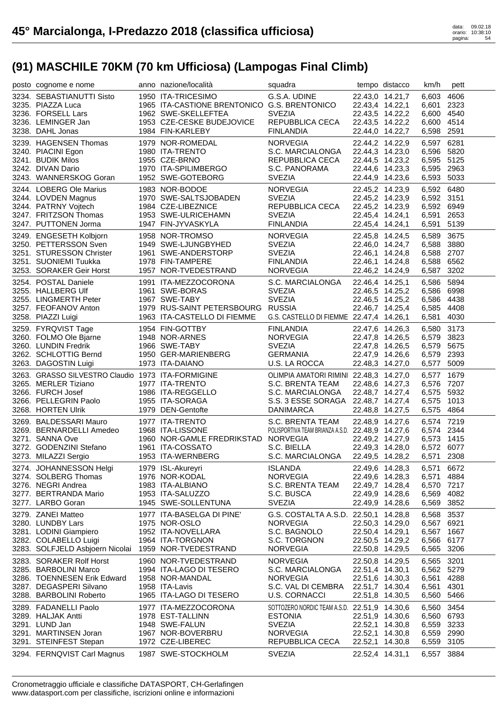| posto cognome e nome                                                                                                                            | anno nazione/località                                                                                                                      | squadra                                                                                                                                  |                                                                                             | tempo distacco                     | km/h                                                               | pett                                 |
|-------------------------------------------------------------------------------------------------------------------------------------------------|--------------------------------------------------------------------------------------------------------------------------------------------|------------------------------------------------------------------------------------------------------------------------------------------|---------------------------------------------------------------------------------------------|------------------------------------|--------------------------------------------------------------------|--------------------------------------|
| 3234. SEBASTIANUTTI Sisto<br>3235. PIAZZA Luca<br>3236. FORSELL Lars<br>3236. LEMINGER Jan<br>3238. DAHL Jonas                                  | 1950 ITA-TRICESIMO<br>1965 ITA-CASTIONE BRENTONICO G.S. BRENTONICO<br>1962 SWE-SKELLEFTEA<br>1953 CZE-CESKE BUDEJOVICE<br>1984 FIN-KARLEBY | G.S.A. UDINE<br><b>SVEZIA</b><br>REPUBBLICA CECA<br><b>FINLANDIA</b>                                                                     | 22.43,4 14.22,1<br>22.43,5 14.22,2<br>22.44,0 14.22,7                                       | 22.43,0 14.21,7<br>22.43,5 14.22,2 | 6,603<br>6,601<br>6,600 4540<br>6,600 4514<br>6,598 2591           | 4606<br>2323                         |
| 3239. HAGENSEN Thomas<br>3240. PIACINI Egon<br>3241. BUDIK Milos<br>3242. DIVAN Dario<br>3243. WANNERSKOG Goran                                 | 1979 NOR-ROMEDAL<br>1980 ITA-TRENTO<br>1955 CZE-BRNO<br>1970 ITA-SPILIMBERGO<br>1952 SWE-GOTEBORG                                          | <b>NORVEGIA</b><br>S.C. MARCIALONGA<br>REPUBBLICA CECA<br>S.C. PANORAMA<br><b>SVEZIA</b>                                                 | 22.44,2 14.22,9<br>22.44,3 14.23,0<br>22.44,5 14.23,2<br>22.44,6 14.23,3<br>22.44,9 14.23,6 |                                    | 6,597 6281<br>6,596 5820<br>6,595 5125<br>6,595 2963<br>6,593 5033 |                                      |
| 3244. LOBERG Ole Marius<br>3244. LOVDEN Magnus<br>3244. PATRNY Vojtech<br>3247. FRITZSON Thomas<br>3247. PUTTONEN Jorma                         | 1983 NOR-BODOE<br>1970 SWE-SALTSJOBADEN<br>1984 CZE-LIBEZNICE<br>1953 SWE-ULRICEHAMN<br>1947 FIN-JYVASKYLA                                 | <b>NORVEGIA</b><br><b>SVEZIA</b><br>REPUBBLICA CECA<br><b>SVEZIA</b><br><b>FINLANDIA</b>                                                 | 22.45,2 14.23,9<br>22.45,2 14.23,9<br>22.45,2 14.23,9<br>22.45,4 14.24,1<br>22.45,4 14.24,1 |                                    | 6,592 6480<br>6,592 3151<br>6,592 6949<br>6,591<br>6,591           | 2653<br>5139                         |
| 3249. ENGESETH Kolbjorn<br>3250. PETTERSSON Sven<br>3251. STURESSON Christer<br>3251. SUONIEMI Tuukka<br>3253. SORAKER Geir Horst               | 1958 NOR-TROMSO<br>1949 SWE-LJUNGBYHED<br>1961 SWE-ANDERSTORP<br>1978 FIN-TAMPERE<br>1957 NOR-TVEDESTRAND                                  | <b>NORVEGIA</b><br><b>SVEZIA</b><br><b>SVEZIA</b><br><b>FINLANDIA</b><br><b>NORVEGIA</b>                                                 | 22.45,8 14.24,5<br>22.46,1 14.24,8<br>22.46,1 14.24,8<br>22.46,2 14.24,9                    | 22.46,0 14.24,7                    | 6,589<br>6,588 3880<br>6,588 2707<br>6,588<br>6,587                | 3675<br>6562<br>3202                 |
| 3254. POSTAL Daniele<br>3255. HALLBERG Ulf<br>3255. LINGMERTH Peter<br>3257. FEOFANOV Anton<br>3258. PIAZZI Luigi                               | 1991 ITA-MEZZOCORONA<br>1961 SWE-BORAS<br>1967 SWE-TABY<br>1979 RUS-SAINT PETERSBOURG RUSSIA<br>1963 ITA-CASTELLO DI FIEMME                | S.C. MARCIALONGA<br><b>SVEZIA</b><br><b>SVEZIA</b><br>G.S. CASTELLO DI FIEMME 22.47,4 14.26,1                                            | 22.46,4 14.25,1<br>22.46,5 14.25,2<br>22.46,7 14.25,4                                       | 22.46,5 14.25,2                    | 6,586 5894<br>6,586 6998<br>6,586 4438<br>6,585 4408<br>6,581 4030 |                                      |
| 3259. FYRQVIST Tage<br>3260. FOLMO Ole Bjarne<br>3260. LUNDIN Fredrik<br>3262. SCHLOTTIG Bernd                                                  | 1954 FIN-GOTTBY<br>1948 NOR-ARNES<br>1966 SWE-TABY<br>1950 GER-MARIENBERG<br>1973 ITA-DAIANO                                               | <b>FINLANDIA</b><br><b>NORVEGIA</b><br><b>SVEZIA</b><br><b>GERMANIA</b>                                                                  | 22.47,6 14.26,3<br>22.47,8 14.26,5<br>22.47,8 14.26,5<br>22.47,9 14.26,6<br>22.48,3 14.27,0 |                                    | 6,580<br>6,579 3823<br>6,579<br>6,579 2393<br>6,577                | 3173<br>5675<br>5009                 |
| 3263. DAGOSTIN Luigi                                                                                                                            |                                                                                                                                            | U.S. LA ROCCA                                                                                                                            |                                                                                             |                                    |                                                                    |                                      |
| 3263. GRASSO SILVESTRO Claudio 1973 ITA-FORMIGINE<br>3265. MERLER Tiziano<br>3266. FURCH Josef<br>3266. PELLEGRIN Paolo<br>3268. HORTEN Ulrik   | 1977 ITA-TRENTO<br>1986 ITA-REGGELLO<br>1955 ITA-SORAGA<br>1979 DEN-Gentofte                                                               | OLIMPIA AMATORI RIMINI 22.48,3 14.27,0<br>S.C. BRENTA TEAM<br>S.C. MARCIALONGA<br>S.S. 3 ESSE SORAGA 22.48,7 14.27,4<br><b>DANIMARCA</b> | 22.48,6 14.27,3<br>22.48,7 14.27,4<br>22.48,8 14.27,5                                       |                                    | 6,577 1679<br>6,576 7207<br>6,575 5932<br>6,575<br>6,575 4864      | 1013                                 |
| 3269. BALDESSARI Mauro<br>3269. BERNARDELLI Amedeo<br>3271. SANNA Ove<br>3272. GODENZINI Stefano<br>3273. MILAZZI Sergio                        | 1977 ITA-TRENTO<br>1968 ITA-LISSONE<br>1960 NOR-GAMLE FREDRIKSTAD NORVEGIA<br>1961 ITA-COSSATO<br>1953 ITA-WERNBERG                        | S.C. BRENTA TEAM<br>POLISPORTIVA TEAM BRIANZA A.S.D. 22.48,9 14.27,6<br>S.C. BIELLA<br>S.C. MARCIALONGA                                  | 22.49,2 14.27,9<br>22.49,3 14.28,0<br>22.49,5 14.28,2                                       | 22.48,9 14.27,6                    | 6,574 7219<br>6,574 2344<br>6,573 1415<br>6,572 6077<br>6,571 2308 |                                      |
| 3274. JOHANNESSON Helgi<br>3274. SOLBERG Thomas<br>3276. NEGRI Andrea<br>3277. BERTRANDA Mario<br>3277. LARBO Goran                             | 1979 ISL-Akureyri<br>1976 NOR-KODAL<br>1983 ITA-ALBIANO<br>1953 ITA-SALUZZO<br>1945 SWE-SOLLENTUNA                                         | <b>ISLANDA</b><br><b>NORVEGIA</b><br>S.C. BRENTA TEAM<br>S.C. BUSCA<br><b>SVEZIA</b>                                                     | 22.49,6 14.28,3<br>22.49,6 14.28,3<br>22.49,7 14.28,4<br>22.49,9 14.28,6<br>22.49,9 14.28,6 |                                    | 6,571<br>6,571<br>6,570 7217<br>6,569<br>6,569                     | 6672<br>4884<br>4082<br>3852         |
| 3279. ZANEI Matteo<br>3280. LUNDBY Lars<br>3281. LODINI Giampiero<br>3282. COLABELLO Luigi<br>3283. SOLFJELD Asbjoern Nicolai                   | 1977 ITA-BASELGA DI PINE'<br>1975 NOR-OSLO<br>1952 ITA-NOVELLARA<br>1964 ITA-TORGNON<br>1959 NOR-TVEDESTRAND                               | G.S. COSTALTA A.S.D. 22.50,1 14.28,8<br><b>NORVEGIA</b><br>S.C. BAGNOLO<br>S.C. TORGNON<br><b>NORVEGIA</b>                               | 22.50,3 14.29,0<br>22.50,4 14.29,1<br>22.50,5 14.29,2<br>22.50,8 14.29,5                    |                                    | 6,568<br>6,567<br>6,567<br>6,566<br>6,565                          | 3537<br>6921<br>1667<br>6177<br>3206 |
| 3283. SORAKER Rolf Horst<br>3285. BARBOLINI Marco<br>3286. TOENNESEN Erik Edward<br>3287. DEGASPERI Silvano<br>3288. BARBOLINI Roberto          | 1960 NOR-TVEDESTRAND<br>1994 ITA-LAGO DI TESERO<br>1958 NOR-MANDAL<br>1958 ITA-Lavis<br>1965 ITA-LAGO DI TESERO                            | <b>NORVEGIA</b><br>S.C. MARCIALONGA<br><b>NORVEGIA</b><br>S.C. VAL DI CEMBRA<br><b>U.S. CORNACCI</b>                                     | 22.50,8 14.29,5<br>22.51,4 14.30,1<br>22.51,6 14.30,3<br>22.51,7 14.30,4<br>22.51,8 14.30,5 |                                    | 6,565<br>6,562 5279<br>6,561<br>6,561<br>6,560                     | 3201<br>4288<br>4301<br>5466         |
| 3289. FADANELLI Paolo<br>3289. HALJAK Antti<br>3291. LUND Jan<br>3291. MARTINSEN Joran<br>3291. STEINFEST Stepan<br>3294. FERNQVIST Carl Magnus | 1977 ITA-MEZZOCORONA<br>1978 EST-TALLINN<br>1948 SWE-FALUN<br>1967 NOR-BOVERBRU<br>1972 CZE-LIBEREC<br>1987 SWE-STOCKHOLM                  | SOTTOZERO NORDIC TEAM A.S.D. 22.51,9 14.30,6<br><b>ESTONIA</b><br><b>SVEZIA</b><br><b>NORVEGIA</b><br>REPUBBLICA CECA<br><b>SVEZIA</b>   | 22.51,9 14.30,6<br>22.52,1 14.30,8<br>22.52,1 14.30,8<br>22.52,1 14.30,8<br>22.52,4 14.31,1 |                                    | 6,560<br>6,560 6793<br>6,559 3233<br>6,559 2990<br>6,559<br>6,557  | 3454<br>3105<br>3884                 |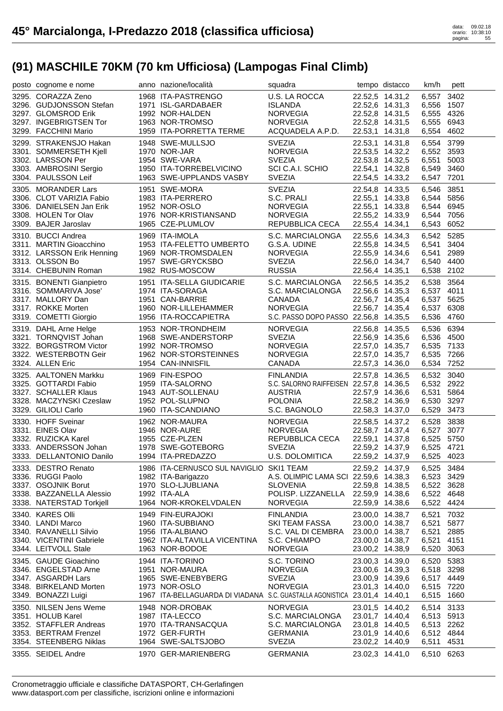| posto cognome e nome                                                                                                                           | anno nazione/località                                                                                                                                 | squadra                                                                                                         |                                                                                                                | tempo distacco                     | km/h                                                                   | pett                                 |
|------------------------------------------------------------------------------------------------------------------------------------------------|-------------------------------------------------------------------------------------------------------------------------------------------------------|-----------------------------------------------------------------------------------------------------------------|----------------------------------------------------------------------------------------------------------------|------------------------------------|------------------------------------------------------------------------|--------------------------------------|
| 3295. CORAZZA Zeno<br>3296. GUDJONSSON Stefan<br>3297. GLOMSROD Erik<br>3297. INGEBRIGTSEN Tor<br>3299. FACCHINI Mario                         | 1968 ITA-PASTRENGO<br>1971 ISL-GARDABAER<br>1992 NOR-HALDEN<br>1963 NOR-TROMSO<br>1959 ITA-PORRETTA TERME                                             | U.S. LA ROCCA<br><b>ISLANDA</b><br><b>NORVEGIA</b><br><b>NORVEGIA</b><br>ACQUADELA A.P.D.                       | 22.52,6 14.31,3<br>22.52,8 14.31,5<br>22.52,8 14.31,5<br>22.53,1 14.31,8                                       | 22.52,5 14.31,2                    | 6,557<br>6,556 1507<br>6,555 4326<br>6,555 6943<br>6,554               | 3402<br>4602                         |
| 3299. STRAKENSJO Hakan<br>3301. SOMMERSETH Kjell<br>3302. LARSSON Per<br>3303. AMBROSINI Sergio<br>3304. PAULSSON Leif                         | 1948 SWE-MULLSJO<br>1970 NOR-JAR<br>1954 SWE-VARA<br>1950 ITA-TORREBELVICINO<br>1963 SWE-UPPLANDS VASBY                                               | <b>SVEZIA</b><br><b>NORVEGIA</b><br><b>SVEZIA</b><br>SCI C.A.I. SCHIO<br><b>SVEZIA</b>                          | 22.53,1 14.31,8<br>22.53,5 14.32,2<br>22.53,8 14.32,5<br>22.54,1 14.32,8                                       | 22.54,5 14.33,2                    | 6,554 3799<br>6,552 3593<br>6,551<br>6,549 3460<br>6,547 7201          | 5003                                 |
| 3305. MORANDER Lars<br>3306. CLOT VARIZIA Fabio<br>3306. DANIELSEN Jan Erik<br>3308. HOLEN Tor Olav<br>3309. BAJER Jaroslav                    | 1951 SWE-MORA<br>1983 ITA-PERRERO<br>1952 NOR-OSLO<br>1976 NOR-KRISTIANSAND<br>1965 CZE-PLUMLOV                                                       | <b>SVEZIA</b><br>S.C. PRALI<br>NORVEGIA<br><b>NORVEGIA</b><br>REPUBBLICA CECA                                   | 22.54,8 14.33,5<br>22.55,1 14.33,8<br>22.55,1 14.33,8<br>22.55,2 14.33,9<br>22.55,4 14.34,1                    |                                    | 6,546 3851<br>6.544 5856<br>6,544 6945<br>6,544 7056<br>6,543 6052     |                                      |
| 3310. BUCCI Andrea<br>3311. MARTIN Gioacchino<br>3312. LARSSON Erik Henning<br>3313. OLSSON Bo<br>3314. CHEBUNIN Roman                         | 1969 ITA-IMOLA<br>1953 ITA-FELETTO UMBERTO<br>1969 NOR-TROMSDALEN<br>1957 SWE-GRYCKSBO<br>1982 RUS-MOSCOW                                             | S.C. MARCIALONGA<br>G.S.A. UDINE<br><b>NORVEGIA</b><br><b>SVEZIA</b><br><b>RUSSIA</b>                           | 22.55,6 14.34,3<br>22.55,8 14.34,5<br>22.55,9 14.34,6<br>22.56,4 14.35,1                                       | 22.56,0 14.34,7                    | 6,542 5285<br>6,541<br>6,541<br>6,540 4400<br>6,538 2102               | 3404<br>2989                         |
| 3315. BONENTI Gianpietro<br>3316. SOMMARIVA Jose'<br>3317. MALLORY Dan<br>3317. ROKKE Morten<br>3319. COMETTI Giorgio                          | 1951 ITA-SELLA GIUDICARIE<br>1974 ITA-SORAGA<br>1951 CAN-BARRIE<br>1960 NOR-LILLEHAMMER<br>1956 ITA-ROCCAPIETRA                                       | S.C. MARCIALONGA<br>S.C. MARCIALONGA<br>CANADA<br><b>NORVEGIA</b><br>S.C. PASSO DOPO PASSO 22.56,8 14.35,5      | 22.56,5 14.35,2<br>22.56,7 14.35,4<br>22.56,7 14.35,4                                                          | 22.56,6 14.35,3                    | 6,538 3564<br>6,537 4011<br>6,537 5625<br>6,537 6308<br>6,536 4760     |                                      |
| 3319. DAHL Arne Helge<br>3321. TORNQVIST Johan<br>3322. BORGSTROM Victor<br>3322. WESTERBOTN Geir<br>3324. ALLEN Eric                          | 1953 NOR-TRONDHEIM<br>1968 SWE-ANDERSTORP<br>1992 NOR-TROMSO<br>1962 NOR-STORSTEINNES<br>1954 CAN-INNISFIL                                            | <b>NORVEGIA</b><br><b>SVEZIA</b><br>NORVEGIA<br><b>NORVEGIA</b><br>CANADA                                       | 22.56,8 14.35,5<br>22.57,0 14.35,7<br>22.57,3 14.36,0                                                          | 22.56,9 14.35,6<br>22.57,0 14.35,7 | 6,536 6394<br>6,536 4500<br>6,535 7133<br>6,535 7266<br>6,534 7252     |                                      |
|                                                                                                                                                |                                                                                                                                                       |                                                                                                                 |                                                                                                                |                                    |                                                                        |                                      |
| 3325. AALTONEN Markku<br>3325. GOTTARDI Fabio<br>3327. SCHALLER Klaus<br>3328. MACZYNSKI Czeslaw<br>3329. GILIOLI Carlo                        | 1969 FIN-ESPOO<br>1959 ITA-SALORNO<br>1943 AUT-SOLLENAU<br>1952 POL-SLUPNO<br>1960 ITA-SCANDIANO                                                      | <b>FINLANDIA</b><br>S.C. SALORNO RAIFFEISEN 22.57,8 14.36,5<br><b>AUSTRIA</b><br><b>POLONIA</b><br>S.C. BAGNOLO | 22.57,9 14.36,6<br>22.58,2 14.36,9<br>22.58,3 14.37,0                                                          | 22.57,8 14.36,5                    | 6,532 3040<br>6,532 2922<br>6,531<br>6,530 3297<br>6,529               | 5864<br>3473                         |
| 3330. HOFF Sveinar<br>3331. EINES Olav<br>3332. RUZICKA Karel<br>3333. ANDERSSON Johan<br>3333. DELLANTONIO Danilo                             | 1962 NOR-MAURA<br>1946 NOR-AURE<br>1955 CZE-PLZEN<br>1978 SWE-GOTEBORG<br>1994 ITA-PREDAZZO                                                           | <b>NORVEGIA</b><br><b>NORVEGIA</b><br>REPUBBLICA CECA<br><b>SVEZIA</b><br>U.S. DOLOMITICA                       | 22.58,7 14.37,4<br>22.59,1 14.37,8<br>22.59,2 14.37,9                                                          | 22.58,5 14.37,2                    | 6,528<br>6,527<br>6,525 5750<br>6,525 4721<br>6,525 4023               | 3838<br>3077                         |
| 3333. DESTRO Renato<br>3336. RUGGI Paolo<br>3337. OSOJNIK Borut<br>3338. BAZZANELLA Alessio<br>3338. NATERSTAD Torkjell                        | 1986 ITA-CERNUSCO SUL NAVIGLIO SKI1 TEAM<br>1982 ITA-Barigazzo<br>1970 SLO-LJUBLIANA<br>1992 ITA-ALA<br>1964 NOR-KROKELVDALEN                         | A.S. OLIMPIC LAMA SCI 22.59,6 14.38,3<br><b>SLOVENIA</b><br>POLISP. LIZZANELLA<br><b>NORVEGIA</b>               | 22.59,2 14.37,9<br>22.59,2 14.37,9<br>22.59,8 14.38,5<br>22.59,9 14.38,6<br>22.59,9 14.38,6                    |                                    | 6,525 3484<br>6,523 3429<br>6,522 3628<br>6,522 4648<br>6,522          | 4424                                 |
| 3340. KARES Olli<br>3340. LANDI Marco<br>3340. RAVANELLI Silvio<br>3340. VICENTINI Gabriele<br>3344. LEITVOLL Stale                            | 1949 FIN-EURAJOKI<br>1960 ITA-SUBBIANO<br>1956 ITA-ALBIANO<br>1962 ITA-ALTAVILLA VICENTINA<br>1963 NOR-BODOE                                          | <b>FINLANDIA</b><br>SKI TEAM FASSA<br>S.C. VAL DI CEMBRA<br>S.C. CHIAMPO<br><b>NORVEGIA</b>                     | 23.00,0 14.38,7<br>23.00,0 14.38,7<br>23.00,0 14.38,7<br>23.00,0 14.38,7<br>23.00,2 14.38,9                    |                                    | 6,521<br>6,521<br>6,521<br>6,521<br>6,520                              | 7032<br>5877<br>2885<br>4151<br>3063 |
| 3345. GAUDE Gioachino<br>3346. ENGELSTAD Arne<br>3347. ASGARDH Lars<br>3348. BIRKELAND Morten<br>3349. BONAZZI Luigi                           | 1944 ITA-TORINO<br>1951 NOR-MAURA<br>1965 SWE-ENEBYBERG<br>1973 NOR-OSLO<br>1967 ITA-BELLAGUARDA DI VIADANA S.C. GUASTALLA AGONISTICA 23.01,4 14.40,1 | S.C. TORINO<br><b>NORVEGIA</b><br><b>SVEZIA</b><br><b>NORVEGIA</b>                                              | 23.00,3 14.39,0<br>23.00,6 14.39,3<br>23.00,9 14.39,6<br>23.01,3 14.40,0                                       |                                    | 6,520<br>6,518<br>6,517 4449<br>6,515 7220<br>6,515 1660               | 5383<br>3298                         |
| 3350. NILSEN Jens Weme<br>3351. HOLUB Karel<br>3352. STAFFLER Andreas<br>3353. BERTRAM Frenzel<br>3354. STEENBERG Niklas<br>3355. SEIDEL Andre | 1948 NOR-DROBAK<br>1987 ITA-LECCO<br>1970 ITA-TRANSACQUA<br>1972 GER-FURTH<br>1964 SWE-SALTSJOBO<br>1970 GER-MARIENBERG                               | <b>NORVEGIA</b><br>S.C. MARCIALONGA<br>S.C. MARCIALONGA<br><b>GERMANIA</b><br><b>SVEZIA</b><br><b>GERMANIA</b>  | 23.01,5 14.40,2<br>23.01,7 14.40,4<br>23.01,8 14.40,5<br>23.01,9 14.40,6<br>23.02,2 14.40,9<br>23.02,3 14.41,0 |                                    | 6,514<br>6,513 5913<br>6,513 2262<br>6,512 4844<br>6,511<br>6,510 6263 | 3133<br>4531                         |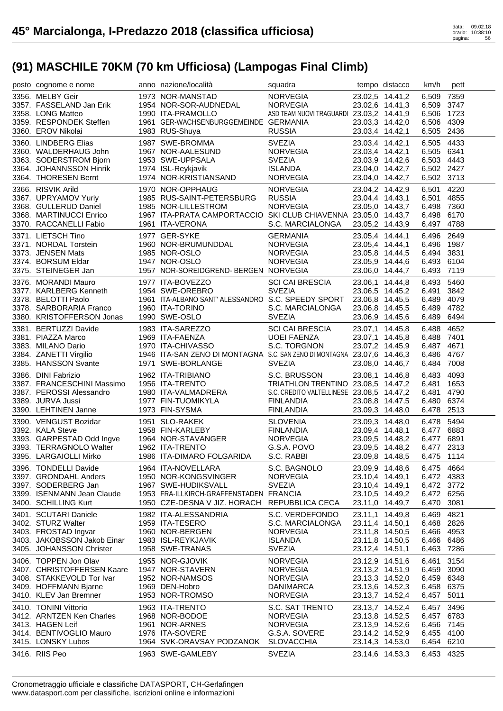| posto cognome e nome                                                            | anno nazione/località                                                                                             | squadra                                                                                         |                 | tempo distacco                                        | km/h                                   | pett                 |
|---------------------------------------------------------------------------------|-------------------------------------------------------------------------------------------------------------------|-------------------------------------------------------------------------------------------------|-----------------|-------------------------------------------------------|----------------------------------------|----------------------|
| 3356. MELBY Geir<br>3357. FASSELAND Jan Erik                                    | 1973 NOR-MANSTAD<br>1954 NOR-SOR-AUDNEDAL                                                                         | <b>NORVEGIA</b><br><b>NORVEGIA</b>                                                              |                 | 23.02,5 14.41,2<br>23.02,6 14.41,3                    | 6,509<br>6,509 3747                    | 7359                 |
| 3358. LONG Matteo<br>3359. RESPONDEK Steffen<br>3360. EROV Nikolai              | 1990 ITA-PRAMOLLO<br>1961 GER-WACHSENBURGGEMEINDE GERMANIA<br>1983 RUS-Shuya                                      | ASD TEAM NUOVI TRAGUARDI 23.03,2 14.41,9<br><b>RUSSIA</b>                                       | 23.03,4 14.42,1 | 23.03,3 14.42,0                                       | 6,506 1723<br>6,506 4309<br>6,505 2436 |                      |
| 3360. LINDBERG Elias<br>3360. WALDERHAUG John                                   | 1987 SWE-BROMMA<br>1967 NOR-AALESUND                                                                              | <b>SVEZIA</b><br><b>NORVEGIA</b>                                                                |                 | 23.03,4 14.42,1<br>23.03,4 14.42,1                    | 6,505 4433<br>6,505 6341               |                      |
| 3363. SODERSTROM Bjorn<br>3364. JOHANNSSON Hinrik<br>3364. THORESEN Bernt       | 1953 SWE-UPPSALA<br>1974 ISL-Reykjavik<br>1974 NOR-KRISTIANSAND                                                   | <b>SVEZIA</b><br><b>ISLANDA</b><br>NORVEGIA                                                     |                 | 23.03,9 14.42,6<br>23.04,0 14.42,7<br>23.04,0 14.42,7 | 6,503 4443<br>6,502 2427<br>6,502 3713 |                      |
| 3366. RISVIK Arild<br>3367. UPRYAMOV Yuriy<br>3368. GULLERUD Daniel             | 1970 NOR-OPPHAUG<br>1985 RUS-SAINT-PETERSBURG<br>1985 NOR-LILLESTROM                                              | <b>NORVEGIA</b><br><b>RUSSIA</b><br><b>NORVEGIA</b>                                             |                 | 23.04,2 14.42,9<br>23.04,4 14.43,1<br>23.05,0 14.43,7 | 6,501 4220<br>6,501 4855<br>6,498 7360 |                      |
| 3368. MARTINUCCI Enrico<br>3370. RACCANELLI Fabio                               | 1967 ITA-PRATA CAMPORTACCIO SKI CLUB CHIAVENNA 23.05,0 14.43,7<br>1961 ITA-VERONA                                 | S.C. MARCIALONGA                                                                                |                 | 23.05,2 14.43,9                                       | 6,498 6170<br>6,497 4788               |                      |
| 3371. LIETSCH Tino<br>3371. NORDAL Torstein<br>3373. JENSEN Mats                | 1977 GER-SYKE<br>1960 NOR-BRUMUNDDAL<br>1985 NOR-OSLO                                                             | <b>GERMANIA</b><br><b>NORVEGIA</b><br><b>NORVEGIA</b>                                           | 23.05,4 14.44,1 | 23.05,4 14.44,1<br>23.05,8 14.44,5                    | 6,496 2649<br>6,496 1987<br>6,494 3831 |                      |
| 3374. BORSUM Eldar<br>3375. STEINEGER Jan                                       | 1947 NOR-OSLO<br>1957 NOR-SOREIDGREND- BERGEN NORVEGIA                                                            | <b>NORVEGIA</b>                                                                                 |                 | 23.05,9 14.44,6<br>23.06,0 14.44,7                    | 6,493 6104<br>6,493 7119               |                      |
| 3376. MORANDI Mauro<br>3377. KARLBERG Kenneth<br>3378. BELOTTI Paolo            | 1977 ITA-BOVEZZO<br>1954 SWE-OREBRO<br>1961 ITA-ALBANO SANT' ALESSANDRO S.C. SPEEDY SPORT                         | <b>SCI CAI BRESCIA</b><br><b>SVEZIA</b>                                                         |                 | 23.06,1 14.44,8<br>23.06,5 14.45,2                    | 6,493 5460<br>6,491<br>6,489 4079      | 3842                 |
| 3378. SARBORARIA Franco<br>3380. KRISTOFFERSON Jonas                            | 1960 ITA-TORINO<br>1990 SWE-OSLO                                                                                  | S.C. MARCIALONGA<br><b>SVEZIA</b>                                                               |                 | 23.06,8 14.45,5<br>23.06,8 14.45,5<br>23.06,9 14.45,6 | 6,489 4782<br>6,489 6494               |                      |
| 3381. BERTUZZI Davide<br>3381. PIAZZA Marco                                     | 1983 ITA-SAREZZO<br>1969 ITA-FAENZA                                                                               | <b>SCI CAI BRESCIA</b><br>UOEI FAENZA<br>S.C. TORGNON                                           |                 | 23.07,1 14.45,8<br>23.07,1 14.45,8                    | 6,488<br>6,488 7401                    | 4652                 |
| 3383. MILANO Dario<br>3384. ZANETTI Virgilio<br>3385. HANSSON Svante            | 1970 ITA-CHIVASSO<br>1946 ITA-SAN ZENO DI MONTAGNA S.C. SAN ZENO DI MONTAGNA 23.07,6 14.46,3<br>1971 SWE-BORLANGE | <b>SVEZIA</b>                                                                                   |                 | 23.07,2 14.45,9<br>23.08,0 14.46,7                    | 6,487 4671<br>6,486 4767<br>6,484 7008 |                      |
| 3386. DINI Fabrizio<br>3387. FRANCESCHINI Massimo<br>3387. PEROSSI Alessandro   | 1962 ITA-TRIBIANO<br>1956 ITA-TRENTO<br>1980 ITA-VALMADRERA                                                       | S.C. BRUSSON<br>TRIATHLON TRENTINO 23.08,5 14.47,2<br>S.C. CREDITO VALTELLINESE 23.08,5 14.47,2 |                 | 23.08,1 14.46,8                                       | 6,483<br>6,481                         | 4093<br>1653<br>4790 |
| 3389. JURVA Jussi<br>3390. LEHTINEN Janne                                       | 1977 FIN-TUOMIKYLA<br>1973 FIN-SYSMA                                                                              | <b>FINLANDIA</b><br><b>FINLANDIA</b>                                                            |                 | 23.08,8 14.47,5<br>23.09,3 14.48,0                    | 6,481<br>6,480 6374<br>6,478 2513      |                      |
| 3390. VENGUST Bozidar<br>3392. KALA Steve                                       | 1951 SLO-RAKEK<br>1958 FIN-KARLEBY                                                                                | SLOVENIA<br>FINLANDIA                                                                           |                 | 23.09,3 14.48,0<br>23.09,4 14.48,1                    | 6,478 5494<br>6,477 6883               |                      |
| 3393. GARPESTAD Odd Ingve<br>3393. TERRAGNOLO Walter<br>3395. LARGAIOLLI Mirko  | 1964 NOR-STAVANGER<br>1962 ITA-TRENTO<br>1962 ITA-TRENTO<br>1986 ITA-DIMARO FOLGARIDA                             | NORVEGIA<br>G.S.A. POVO<br>S.C. RABBI                                                           |                 | 23.09,5 14.48,2<br>23.09,5 14.48,2<br>23.09,8 14.48,5 | 6,477 6891<br>6,477 2313<br>6,475 1114 |                      |
| 3396. TONDELLI Davide<br>3397. GRONDAHL Anders                                  | 1964 ITA-NOVELLARA<br>1950 NOR-KONGSVINGER                                                                        | S.C. BAGNOLO<br><b>NORVEGIA</b>                                                                 |                 | 23.09,9 14.48,6<br>23.10,4 14.49,1                    | 6,475 4664<br>6,472 4383               |                      |
| 3397. SODERBERG Jan<br>3399. ISENMANN Jean Claude<br>3400. SCHILLING Kurt       | 1967 SWE-HUDIKSVALL<br>1953 FRA-ILLKIRCH-GRAFFENSTADEN FRANCIA<br>1950 CZE-DESNA V JIZ. HORACH REPUBBLICA CECA    | <b>SVEZIA</b>                                                                                   |                 | 23.10,4 14.49,1<br>23.10,5 14.49,2<br>23.11,0 14.49,7 | 6,472 3772<br>6,472 6256<br>6,470      | 3081                 |
| 3401. SCUTARI Daniele<br>3402. STURZ Walter                                     | 1982 ITA-ALESSANDRIA<br>1959 ITA-TESERO                                                                           | S.C. VERDEFONDO<br>S.C. MARCIALONGA                                                             |                 | 23.11,1 14.49,8<br>23.11,4 14.50,1                    | 6,469<br>6,468 2826                    | 4821                 |
| 3403. FROSTAD Ingvar<br>3403. JAKOBSSON Jakob Einar<br>3405. JOHANSSON Christer | 1960 NOR-BERGEN<br>1983 ISL-REYKJAVIK<br>1958 SWE-TRANAS                                                          | <b>NORVEGIA</b><br><b>ISLANDA</b><br><b>SVEZIA</b>                                              |                 | 23.11,8 14.50,5<br>23.11,8 14.50,5<br>23.12,4 14.51,1 | 6,466 4953<br>6,466 6486<br>6,463      | 7286                 |
| 3406. TOPPEN Jon Olav<br>3407. CHRISTOFFERSEN Kaare                             | 1955 NOR-GJOVIK<br>1947 NOR-STAVERN                                                                               | <b>NORVEGIA</b><br><b>NORVEGIA</b>                                                              |                 | 23.12,9 14.51,6<br>23.13,2 14.51,9                    | 6,461<br>6,459                         | 3154<br>3090         |
| 3408. STAKKEVOLD Tor Ivar<br>3409. HOFFMANN Bjarne<br>3410. KLEV Jan Bremner    | 1952 NOR-NAMSOS<br>1969 DEN-Hobro<br>1953 NOR-TROMSO                                                              | <b>NORVEGIA</b><br>DANIMARCA<br><b>NORVEGIA</b>                                                 |                 | 23.13,3 14.52,0<br>23.13,6 14.52,3<br>23.13,7 14.52,4 | 6,459 6348<br>6,458 6375<br>6,457 5011 |                      |
| 3410. TONINI Vittorio                                                           | 1963 ITA-TRENTO                                                                                                   | S.C. SAT TRENTO                                                                                 |                 | 23.13,7 14.52,4                                       | 6,457                                  | 3496                 |
| 3412. ARNTZEN Ken Charles<br>3413. HAGEN Leif                                   | 1968 NOR-BODOE<br>1961 NOR-ARNES                                                                                  | <b>NORVEGIA</b><br><b>NORVEGIA</b>                                                              |                 | 23.13,8 14.52,5<br>23.13,9 14.52,6                    | 6,457 6783<br>6,456 7145               |                      |
| 3414. BENTIVOGLIO Mauro<br>3415. LONSKY Lubos                                   | 1976 ITA-SOVERE<br>1964 SVK-ORAVSAY PODZANOK                                                                      | G.S.A. SOVERE<br><b>SLOVACCHIA</b>                                                              |                 | 23.14,2 14.52,9<br>23.14,3 14.53,0                    | 6,455 4100<br>6,454 6210               |                      |
| 3416. RIIS Peo                                                                  | 1963 SWE-GAMLEBY                                                                                                  | <b>SVEZIA</b>                                                                                   |                 | 23.14,6 14.53,3                                       | 6,453 4325                             |                      |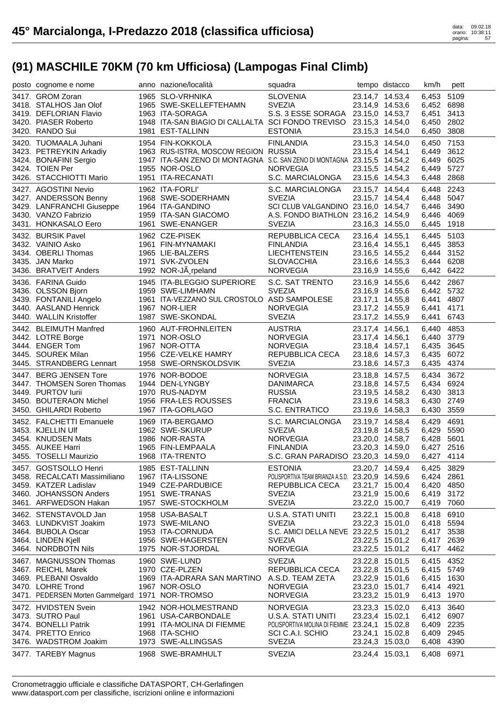| posto cognome e nome                             | anno nazione/località                                                   | squadra                                              |                                    | tempo distacco  | km/h                     | pett |
|--------------------------------------------------|-------------------------------------------------------------------------|------------------------------------------------------|------------------------------------|-----------------|--------------------------|------|
| 3417. GROM Zoran                                 | 1965 SLO-VRHNIKA                                                        | <b>SLOVENIA</b>                                      |                                    | 23.14,7 14.53,4 | 6,453 5109               |      |
| 3418. STALHOS Jan Olof                           | 1965 SWE-SKELLEFTEHAMN                                                  | <b>SVEZIA</b>                                        |                                    | 23.14,9 14.53,6 | 6,452 6898               |      |
| 3419. DEFLORIAN Flavio                           | 1963 ITA-SORAGA                                                         | S.S. 3 ESSE SORAGA 23.15,0 14.53,7                   |                                    |                 | 6,451                    | 3413 |
| 3420. PIASER Roberto                             | 1948 ITA-SAN BIAGIO DI CALLALTA SCI FONDO TREVISO 23.15,3 14.54,0       |                                                      |                                    |                 | 6,450 2802               |      |
| 3420. RANDO Sui                                  | 1981 EST-TALLINN                                                        | <b>ESTONIA</b>                                       | 23.15,3 14.54,0                    |                 | 6,450 3808               |      |
| 3420. TUOMAALA Juhani                            | 1954 FIN-KOKKOLA                                                        | <b>FINLANDIA</b>                                     | 23.15,3 14.54,0                    |                 | 6,450                    | 7153 |
| 3423. PETREYKIN Arkadiy                          | 1963 RUS-ISTRA, MOSCOW REGION RUSSIA                                    |                                                      | 23.15,4 14.54,1                    |                 | 6,449                    | 3612 |
| 3424. BONAFINI Sergio                            | 1947 ITA-SAN ZENO DI MONTAGNA S.C. SAN ZENO DI MONTAGNA 23.15,5 14.54,2 |                                                      |                                    |                 | 6,449                    | 6025 |
| 3424. TOIEN Per                                  | 1955 NOR-OSLO                                                           | <b>NORVEGIA</b>                                      | 23.15,5 14.54,2                    |                 | 6,449                    | 5727 |
| 3426. STACCHIOTTI Mario                          | 1951 ITA-RECANATI                                                       | S.C. MARCIALONGA                                     | 23.15,6 14.54,3                    |                 | 6,448 2868               |      |
| 3427. AGOSTINI Nevio                             | 1962 ITA-FORLI'                                                         | S.C. MARCIALONGA                                     | 23.15,7 14.54,4                    |                 | 6,448                    | 2243 |
| 3427. ANDERSSON Benny                            | 1968 SWE-SODERHAMN                                                      | <b>SVEZIA</b>                                        |                                    | 23.15,7 14.54,4 | 6,448 5047               |      |
| 3429. LANFRANCHI Giuseppe                        | 1964 ITA-GANDINO                                                        | SCI CLUB VALGANDINO 23.16,0 14.54,7                  |                                    |                 | 6,446                    | 3490 |
| 3430. VANZO Fabrizio<br>3431. HONKASALO Eero     | 1959 ITA-SAN GIACOMO<br>1961 SWE-ENANGER                                | A.S. FONDO BIATHLON 23.16,2 14.54,9<br><b>SVEZIA</b> |                                    |                 | 6,446 4069               |      |
|                                                  |                                                                         |                                                      | 23.16,3 14.55,0                    |                 | 6,445 1918               |      |
| 3432. BURSIK Pavel                               | 1962 CZE-PISEK                                                          | REPUBBLICA CECA                                      | 23.16,4 14.55,1                    |                 | 6,445 5103               |      |
| 3432. VAINIO Asko                                | 1961 FIN-MYNAMAKI                                                       | <b>FINLANDIA</b><br><b>LIECHTENSTEIN</b>             | 23.16,4 14.55,1                    |                 | 6,445                    | 3853 |
| 3434. OBERLI Thomas<br>3435. JAN Marko           | 1965 LIE-BALZERS<br>1971 SVK-ZVOLEN                                     | <b>SLOVACCHIA</b>                                    | 23.16,5 14.55,2                    |                 | 6,444<br>6,444 6208      | 3152 |
| 3436. BRATVEIT Anders                            | 1992 NOR-JÃ rpeland                                                     | <b>NORVEGIA</b>                                      | 23.16,6 14.55,3<br>23.16,9 14.55,6 |                 | 6,442 6422               |      |
|                                                  |                                                                         |                                                      |                                    |                 |                          |      |
| 3436. FARINA Guido<br>3436. OLSSON Bjorn         | 1945 ITA-BLEGGIO SUPERIORE<br>1959 SWE-LIMHAMN                          | S.C. SAT TRENTO<br><b>SVEZIA</b>                     | 23.16,9 14.55,6                    | 23.16,9 14.55,6 | 6,442 2867<br>6,442 5732 |      |
| 3439. FONTANILI Angelo                           | 1961 ITA-VEZZANO SUL CROSTOLO ASD SAMPOLESE                             |                                                      | 23.17,1 14.55,8                    |                 | 6,441                    | 4807 |
| 3440. AASLAND Henrick                            | 1967 NOR-LIER                                                           | <b>NORVEGIA</b>                                      | 23.17,2 14.55,9                    |                 | 6,441                    | 4171 |
| 3440. WALLIN Kristoffer                          | 1987 SWE-SKONDAL                                                        | <b>SVEZIA</b>                                        | 23.17,2 14.55,9                    |                 | 6,441                    | 6743 |
| 3442. BLEIMUTH Manfred                           | 1960 AUT-FROHNLEITEN                                                    | <b>AUSTRIA</b>                                       | 23.17,4 14.56,1                    |                 | 6,440                    | 4853 |
| 3442. LOTRE Borge                                | 1971 NOR-OSLO                                                           | NORVEGIA                                             | 23.17,4 14.56,1                    |                 | 6,440 3779               |      |
| 3444. ENGER Tom                                  | 1967 NOR-OTTA                                                           | <b>NORVEGIA</b>                                      | 23.18,4 14.57,1                    |                 | 6,435 3645               |      |
| 3445. SOUREK Milan                               | 1956 CZE-VELKE HAMRY                                                    | REPUBBLICA CECA                                      | 23.18,6 14.57,3                    |                 | 6,435 6072               |      |
| 3445. STRANDBERG Lennart                         | 1958 SWE-ORNSKOLDSVIK                                                   | <b>SVEZIA</b>                                        | 23.18,6 14.57,3                    |                 | 6,435 4374               |      |
| 3447. BERG JENSEN Tore                           | 1976 NOR-BODOE                                                          | <b>NORVEGIA</b>                                      | 23.18,8 14.57,5                    |                 | 6,434                    | 3672 |
| 3447. THOMSEN Soren Thomas                       | 1944 DEN-LYNGBY                                                         | DANIMARCA                                            | 23.18,8 14.57,5                    |                 | 6,434 6924               |      |
| 3449. PURTOV lurii                               | 1970 RUS-NADYM                                                          | <b>RUSSIA</b>                                        |                                    | 23.19,5 14.58,2 | 6,430 3813               |      |
| 3450. BOUTERAON Michel                           | 1956 FRA-LES ROUSSES                                                    | <b>FRANCIA</b>                                       | 23.19,6 14.58,3                    |                 | 6,430 2749               |      |
| 3450. GHILARDI Roberto                           | 1967 ITA-GORLAGO                                                        | S.C. ENTRATICO                                       | 23.19,6 14.58,3                    |                 | 6,430 3559               |      |
|                                                  |                                                                         |                                                      |                                    |                 |                          |      |
| 3452. FALCHETTI Emanuele                         | 1969 ITA-BERGAMO                                                        | S.C. MARCIALONGA                                     |                                    | 23.19,7 14.58,4 | 6,429 4691               |      |
| 3453. KJELLIN Ulf                                | 1962 SWE-SKURUP                                                         | <b>SVEZIA</b>                                        | 23.19,8 14.58,5                    |                 | 6,429 5590               |      |
| 3454. KNUDSEN Mats                               | 1986 NOR-RASTA                                                          | <b>NORVEGIA</b>                                      |                                    | 23.20,0 14.58,7 | 6,428 5601               |      |
| 3455. AUKEE Harri                                | 1965 FIN-LEMPAALA                                                       | <b>FINLANDIA</b>                                     | 23.20,3 14.59,0                    |                 | 6.427 2516               |      |
| 3455. TOSELLI Maurizio                           | 1968 ITA-TRENTO                                                         | S.C. GRAN PARADISO 23.20,3 14.59,0                   |                                    |                 | 6,427 4114               |      |
| 3457. GOSTSOLLO Henri                            | 1985 EST-TALLINN                                                        | <b>ESTONIA</b>                                       | 23.20.7 14.59.4                    |                 | 6,425 3829               |      |
| 3458. RECALCATI Massimiliano                     | 1967 ITA-LISSONE                                                        | POLISPORTIVA TEAM BRIANZA A.S.D. 23.20,9 14.59,6     |                                    |                 | 6,424 2861               |      |
| 3459. KATZER Ladislav                            | 1949 CZE-PARDUBICE                                                      | REPUBBLICA CECA                                      | 23.21,7 15.00,4                    |                 | 6,420 4850               |      |
| 3460. JOHANSSON Anders                           | 1951 SWE-TRANAS                                                         | <b>SVEZIA</b>                                        | 23.21,9 15.00,6                    |                 | 6,419 3172               |      |
| 3461. ARFWEDSON Hakan                            | 1957 SWE-STOCKHOLM                                                      | <b>SVEZIA</b>                                        | 23.22,0 15.00,7                    |                 | 6,419 7060               |      |
| 3462. STENSTAVOLD Jan                            | 1958 USA-BASALT                                                         | <b>U.S.A. STATI UNITI</b>                            | 23.22,1 15.00,8                    |                 | 6,418                    | 6910 |
| 3463. LUNDKVIST Joakim                           | 1973 SWE-MILANO                                                         | <b>SVEZIA</b>                                        | 23.22,3 15.01,0                    |                 | 6,418 5594               |      |
| 3464. BUBOLA Oscar                               | 1953 ITA-CORNUDA                                                        | S.C. AMICI DELLA NEVE 23.22,5 15.01,2                |                                    |                 | 6,417 3538               |      |
| 3464. LINDEN Kjell                               | 1956 SWE-HAGERSTEN                                                      | <b>SVEZIA</b>                                        | 23.22,5 15.01,2                    |                 | 6,417 2639               |      |
| 3464. NORDBOTN Nils                              | 1975 NOR-STJORDAL                                                       | <b>NORVEGIA</b>                                      | 23.22,5 15.01,2                    |                 | 6,417                    | 4462 |
| 3467. MAGNUSSON Thomas                           | 1960 SWE-LUND                                                           | <b>SVEZIA</b>                                        | 23.22,8 15.01,5                    |                 | 6,415                    | 4352 |
| 3467. REICHL Marek                               | 1970 CZE-PLZEN                                                          | REPUBBLICA CECA                                      | 23.22,8 15.01,5                    |                 | 6,415 5749               |      |
| 3469. PLEBANI Osvaldo                            | 1969 ITA-ADRARA SAN MARTINO A.S.D. TEAM ZETA                            |                                                      | 23.22,9 15.01,6                    |                 | 6,415 1630               |      |
| 3470. LOHRE Trond                                | 1967 NOR-OSLO                                                           | <b>NORVEGIA</b>                                      | 23.23,0 15.01,7                    |                 | 6,414 4921               |      |
| 3471. PEDERSEN Morten Gammelgard 1971 NOR-TROMSO |                                                                         | <b>NORVEGIA</b>                                      | 23.23,2 15.01,9                    |                 | 6,413 1970               |      |
| 3472. HVIDSTEN Svein                             | 1942 NOR-HOLMESTRAND                                                    | <b>NORVEGIA</b>                                      | 23.23,3 15.02,0                    |                 | 6,413                    | 3640 |
| 3473. SUTRO Paul                                 | 1961 USA-CARBONDALE                                                     | U.S.A. STATI UNITI                                   | 23.23,4 15.02,1                    |                 | 6,412 6907               |      |
| 3474. BONELLI Patrik<br>3474. PRETTO Enrico      | 1991 ITA-MOLINA DI FIEMME                                               | POLISPORTIVA MOLINA DI FIEMME 23.24,1 15.02,8        |                                    |                 | 6,409                    | 2235 |
| 3476. WADSTROM Joakim                            | 1968 ITA-SCHIO<br>1973 SWE-ALLINGSAS                                    | SCI C.A.I. SCHIO<br><b>SVEZIA</b>                    | 23.24,1 15.02,8<br>23.24,3 15.03,0 |                 | 6,409 2945<br>6,408      | 4390 |
| 3477. TAREBY Magnus                              | 1968 SWE-BRAMHULT                                                       | <b>SVEZIA</b>                                        | 23.24,4 15.03,1                    |                 | 6,408 6971               |      |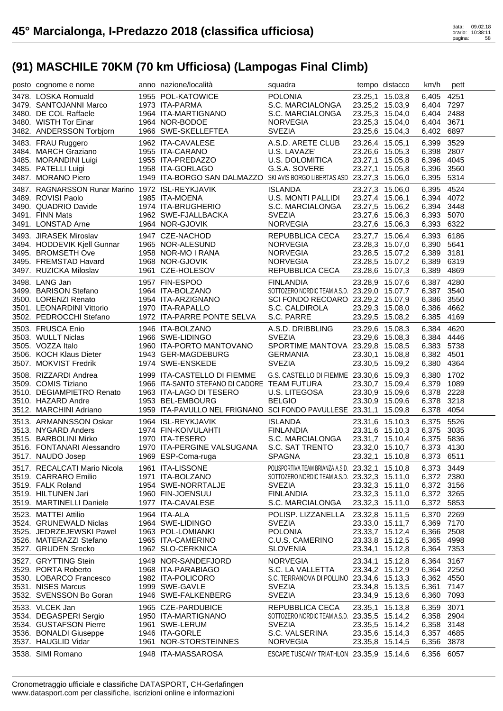| posto cognome e nome                                                                           | anno nazione/località                                                                                  | squadra                                                                                               |                                    | tempo distacco                                        | km/h                                   | pett |
|------------------------------------------------------------------------------------------------|--------------------------------------------------------------------------------------------------------|-------------------------------------------------------------------------------------------------------|------------------------------------|-------------------------------------------------------|----------------------------------------|------|
| 3478. LOSKA Romuald<br>3479. SANTOJANNI Marco<br>3480. DE COL Raffaele                         | 1955 POL-KATOWICE<br>1973 ITA-PARMA<br>1964 ITA-MARTIGNANO                                             | <b>POLONIA</b><br>S.C. MARCIALONGA<br>S.C. MARCIALONGA                                                | 23.25,2 15.03,9                    | 23.25,1 15.03,8<br>23.25,3 15.04,0                    | 6,405<br>6,404 7297<br>6,404 2488      | 4251 |
| 3480. WISTH Tor Einar<br>3482. ANDERSSON Torbjorn                                              | 1964 NOR-BODOE<br>1966 SWE-SKELLEFTEA                                                                  | <b>NORVEGIA</b><br><b>SVEZIA</b>                                                                      |                                    | 23.25,3 15.04,0<br>23.25,6 15.04,3                    | 6,404 3671<br>6,402 6897               |      |
| 3483. FRAU Ruggero<br>3484. MARCH Graziano<br>3485. MORANDINI Luigi                            | 1962 ITA-CAVALESE<br>1955 ITA-CARANO<br>1955 ITA-PREDAZZO                                              | A.S.D. ARETE CLUB<br>U.S. LAVAZE'<br>U.S. DOLOMITICA                                                  | 23.26,4 15.05,1                    | 23.26,6 15.05,3<br>23.27,1 15.05,8                    | 6,399<br>6,398 2807<br>6,396 4045      | 3529 |
| 3485. PATELLI Luigi<br>3487. MORANO Piero                                                      | 1958 ITA-GORLAGO<br>1949 ITA-BORGO SAN DALMAZZO SKI AVIS BORGO LIBERTAS ASD 23.27,3 15.06,0            | G.S.A. SOVERE                                                                                         |                                    | 23.27,1 15.05,8                                       | 6,396 3560<br>6,395 5314               |      |
| 3487. RAGNARSSON Runar Marino 1972 ISL-REYKJAVIK<br>3489. ROVISI Paolo<br>3490. QUADRIO Davide | 1985 ITA-MOENA<br>1974 ITA-BRUGHERIO                                                                   | <b>ISLANDA</b><br><b>U.S. MONTI PALLIDI</b><br>S.C. MARCIALONGA                                       | 23.27,5 15.06,2                    | 23.27,3 15.06,0<br>23.27,4 15.06,1                    | 6,395 4524<br>6,394 4072<br>6,394 3448 |      |
| 3491. FINN Mats<br>3491. LONSTAD Arne                                                          | 1962 SWE-FJALLBACKA<br>1964 NOR-GJOVIK                                                                 | <b>SVEZIA</b><br><b>NORVEGIA</b>                                                                      |                                    | 23.27,6 15.06,3<br>23.27,6 15.06,3                    | 6,393 5070<br>6,393 6322               |      |
| 3493. JIRASEK Miroslav<br>3494. HODDEVIK Kjell Gunnar<br>3495. BROMSETH Ove                    | 1947 CZE-NACHOD<br>1965 NOR-ALESUND<br>1958 NOR-MO I RANA                                              | REPUBBLICA CECA<br><b>NORVEGIA</b><br><b>NORVEGIA</b>                                                 |                                    | 23.27,7 15.06,4<br>23.28,3 15.07,0<br>23.28,5 15.07,2 | 6,393 6186<br>6,390 5641<br>6,389 3181 |      |
| 3495. FREMSTAD Havard<br>3497. RUZICKA Miloslav                                                | 1968 NOR-GJOVIK<br>1961 CZE-HOLESOV                                                                    | <b>NORVEGIA</b><br>REPUBBLICA CECA                                                                    |                                    | 23.28,5 15.07,2<br>23.28,6 15.07,3                    | 6,389 6319<br>6,389                    | 4869 |
| 3498. LANG Jan<br>3499. BARISON Stefano<br>3500. LORENZI Renato                                | 1957 FIN-ESPOO<br>1964 ITA-BOLZANO<br>1954 ITA-ARZIGNANO<br>1954 ITA-ARZIGNANO<br>1970 ITA-RAPALLO     | <b>FINLANDIA</b><br>SOTTOZERO NORDIC TEAM A.S.D. 23.29,0 15.07,7<br>SCI FONDO RECOARO 23.29,2 15.07,9 |                                    | 23.28,9 15.07,6                                       | 6,387 4280<br>6,387<br>6,386 3550      | 3540 |
| 3501. LEONARDINI Vittorio<br>3502. PEDROCCHI Stefano                                           | 1970 ITA-RAPALLO<br>1972 ITA-PARRE PONTE SELVA                                                         | S.C. CALDIROLA<br>S.C. PARRE                                                                          |                                    | 23.29,3 15.08,0<br>23.29,5 15.08,2                    | 6,386 4662<br>6,385 4169               |      |
| 3503. FRUSCA Enio<br>3503. WULLT Niclas<br>3505. VOZZA Italo                                   | 1946 ITA-BOLZANO<br>1966 SWE-LIDINGO<br>1960 ITA-PORTO MANTOVANO                                       | A.S.D. DRIBBLING<br><b>SVEZIA</b><br>SPORTIME MANTOVA 23.29,8 15.08,5                                 |                                    | 23.29,6 15.08,3<br>23.29,6 15.08,3                    | 6,384<br>6,384 4446<br>6,383 5738      | 4620 |
| 3506. KOCH Klaus Dieter<br>3507. MOKVIST Fredrik                                               | 1943 GER-MAGDEBURG<br>1974 SWE-ENSKEDE                                                                 | <b>GERMANIA</b><br><b>SVEZIA</b>                                                                      | 23.30,1 15.08,8<br>23.30,5 15.09,2 |                                                       | 6,382 4501<br>6,380                    | 4364 |
| 3508. RIZZARDI Andrea<br>3509. COMIS Tiziano<br>3510. DEGIAMPIETRO Renato                      | 1999 ITA-CASTELLO DI FIEMME<br>1966 ITA-SANTO STEFANO DI CADORE TEAM FUTURA<br>1963 ITA-LAGO DI TESERO | G.S. CASTELLO DI FIEMME 23.30,6 15.09,3<br>U.S. LITEGOSA                                              |                                    | 23.30,7 15.09,4<br>23.30,9 15.09,6                    | 6,380 1702<br>6,379 1089<br>6,378 2228 |      |
| 3510. HAZARD Andre<br>3512. MARCHINI Adriano                                                   | 1953 BEL-EMBOURG<br>1959 ITA-PAVULLO NEL FRIGNANO SCI FONDO PAVULLESE 23.31,1 15.09,8                  | <b>BELGIO</b>                                                                                         |                                    | 23.30,9 15.09,6                                       | 6,378 3218<br>6,378                    | 4054 |
| 3513. ARMANNSSON Oskar<br>3513. NYGARD Anders<br>3515. BARBOLINI Mirko                         | 1964 ISL-REYKJAVIK<br>1974 FIN-KOIVULAHTI<br>1970 ITA-TESERO                                           | <b>ISLANDA</b><br><b>FINLANDIA</b><br>S.C. MARCIALONGA                                                |                                    | 23.31,6 15.10,3<br>23.31,6 15.10,3<br>23.31,7 15.10,4 | 6,375 5526<br>6,375 3035<br>6,375 5836 |      |
| 3516. FONTANARI Alessandro<br>3517. NAUDO Josep                                                | 1970 ITA-PERGINE VALSUGANA<br>1969 ESP-Coma-ruga                                                       | S.C. SAT TRENTO<br>SPAGNA                                                                             |                                    | 23.32,0 15.10,7<br>23.32,1 15.10,8                    | 6,373 4130<br>6,373 6511               |      |
| 3517. RECALCATI Mario Nicola<br>3519. CARRARO Emilio                                           | 1961 ITA-LISSONE<br>1971 ITA-BOLZANO                                                                   | POLISPORTIVA TEAM BRIANZA A.S.D. 23.32,1 15.10,8<br>SOTTOZERO NORDIC TEAM A.S.D. 23.32,3 15.11,0      |                                    |                                                       | 6,373 3449<br>6,372 2380               |      |
| 3519. FALK Roland<br>3519. HILTUNEN Jari<br>3519. MARTINELLI Daniele                           | 1954 SWE-NORRTALJE<br>1960 FIN-JOENSUU<br>1977 ITA-CAVALESE                                            | <b>SVEZIA</b><br><b>FINLANDIA</b><br>S.C. MARCIALONGA                                                 | 23.32,3 15.11,0<br>23.32,3 15.11,0 | 23.32,3 15.11,0                                       | 6,372 3156<br>6,372 3265<br>6,372 5853 |      |
| 3523. MATTEI Attilio<br>3524. GRUNEWALD Niclas                                                 | 1964 ITA-ALA<br>1964 SWE-LIDINGO                                                                       | POLISP. LIZZANELLA<br><b>SVEZIA</b>                                                                   | 23.32,8 15.11,5                    | 23.33,0 15.11,7                                       | 6,370 2269<br>6,369 7170               |      |
| 3525. JEDRZEJEWSKI Pawel<br>3526. MATERAZZI Stefano<br>3527. GRUDEN Srecko                     | 1963 POL-LOMIANKI<br>1965 ITA-CAMERINO<br>1962 SLO-CERKNICA                                            | <b>POLONIA</b><br>C.U.S. CAMERINO<br><b>SLOVENIA</b>                                                  | 23.33,8 15.12,5<br>23.34,1 15.12,8 | 23.33,7 15.12,4                                       | 6,366 2508<br>6,365 4998<br>6,364 7353 |      |
| 3527. GRYTTING Stein<br>3529. PORTA Roberto                                                    | 1949 NOR-SANDEFJORD<br>1968 ITA-PARABIAGO                                                              | <b>NORVEGIA</b><br>S.C. LA VALLETTA                                                                   | 23.34,1 15.12,8<br>23.34,2 15.12,9 |                                                       | 6,364 3167<br>6,364 2250               |      |
| 3530. LOBARCO Francesco<br>3531. NISES Marcus<br>3532. SVENSSON Bo Goran                       | 1982 ITA-POLICORO<br>1999 SWE-GAVLE<br>1946 SWE-FALKENBERG                                             | S.C. TERRANOVA DI POLLINO 23.34,6 15.13,3<br><b>SVEZIA</b><br><b>SVEZIA</b>                           | 23.34,8 15.13,5<br>23.34,9 15.13,6 |                                                       | 6,362 4550<br>6,361 7147<br>6,360 7093 |      |
| 3533. VLCEK Jan<br>3534. DEGASPERI Sergio                                                      | 1965 CZE-PARDUBICE<br>1950 ITA-MARTIGNANO                                                              | REPUBBLICA CECA<br>SOTTOZERO NORDIC TEAM A.S.D. 23.35,5 15.14,2                                       | 23.35,1 15.13,8                    |                                                       | 6,359<br>6,358 2904                    | 3071 |
| 3534. GUSTAFSON Pierre<br>3536. BONALDI Giuseppe<br>3537. HAUGLID Vidar                        | 1961 SWE-LERUM<br>1946 ITA-GORLE<br>1961 NOR-STORSTEINNES                                              | <b>SVEZIA</b><br>S.C. VALSERINA<br><b>NORVEGIA</b>                                                    | 23.35,5 15.14,2<br>23.35,8 15.14,5 | 23.35,6 15.14,3                                       | 6,358 3148<br>6,357 4685<br>6,356 3878 |      |
| 3538. SIMI Romano                                                                              | 1948 ITA-MASSAROSA                                                                                     | ESCAPE TUSCANY TRIATHLON 23.35.9 15.14.6                                                              |                                    |                                                       | 6,356 6057                             |      |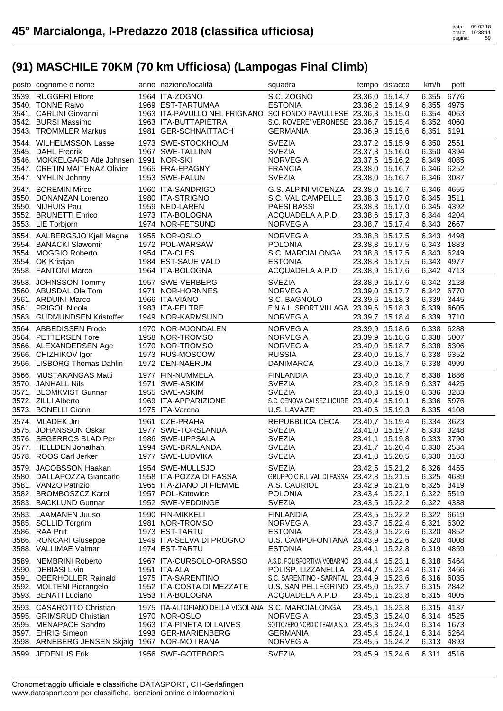| posto cognome e nome                                                                                                                                | anno nazione/località                                                                                                                                    | squadra                                                                                                                                                                  |                 | tempo distacco                                                                              | km/h                                                               | pett                         |
|-----------------------------------------------------------------------------------------------------------------------------------------------------|----------------------------------------------------------------------------------------------------------------------------------------------------------|--------------------------------------------------------------------------------------------------------------------------------------------------------------------------|-----------------|---------------------------------------------------------------------------------------------|--------------------------------------------------------------------|------------------------------|
| 3539. RUGGERI Ettore<br>3540. TONNE Raivo<br>3541. CARLINI Giovanni<br>3542. BURSI Massimo<br>3543. TROMMLER Markus                                 | 1964 ITA-ZOGNO<br>1969 EST-TARTUMAA<br>1963 ITA-PAVULLO NEL FRIGNANO SCI FONDO PAVULLESE 23.36,3 15.15,0<br>1963 ITA-BUTTAPIETRA<br>1981 GER-SCHNAITTACH | S.C. ZOGNO<br><b>ESTONIA</b><br>S.C. ROVERE' VERONESE 23.36,7 15.15,4<br><b>GERMANIA</b>                                                                                 |                 | 23.36,0 15.14,7<br>23.36,2 15.14,9<br>23.36,9 15.15,6                                       | 6,355<br>6,355<br>6,354 4063<br>6,352 4060<br>6,351                | 6776<br>4975<br>6191         |
| 3544. WILHELMSSON Lasse<br>3545. DAHL Fredrik<br>3546. MOKKELGARD Atle Johnsen 1991 NOR-SKI<br>3547. CRETIN MAITENAZ Olivier<br>3547. NYHLIN Johnny | 1973 SWE-STOCKHOLM<br>1967 SWE-TALLINN<br>1965 FRA-EPAGNY<br>1953 SWE-FALUN                                                                              | <b>SVEZIA</b><br><b>SVEZIA</b><br>NORVEGIA<br><b>FRANCIA</b><br><b>SVEZIA</b>                                                                                            |                 | 23.37,2 15.15,9<br>23.37,3 15.16,0<br>23.37,5 15.16,2<br>23.38,0 15.16,7<br>23.38,0 15.16,7 | 6,350<br>6,350 4394<br>6,349<br>6,346 6252<br>6,346                | 2551<br>4085<br>3087         |
| 3547. SCREMIN Mirco<br>3550. DONANZAN Lorenzo<br>3550. NIJHUIS Paul<br>3552. BRUNETTI Enrico<br>3553. LIE Torbjorn                                  | 1960 ITA-SANDRIGO<br>1980 ITA-STRIGNO<br>1959 NED-LAREN<br>1973 ITA-BOLOGNA<br>1974 NOR-FETSUND                                                          | G.S. ALPINI VICENZA 23.38,0 15.16,7<br>S.C. VAL CAMPELLE<br><b>PAESI BASSI</b><br>ACQUADELA A.P.D.<br><b>NORVEGIA</b>                                                    |                 | 23.38,3 15.17,0<br>23.38,3 15.17,0<br>23.38,6 15.17,3<br>23.38,7 15.17,4                    | 6.346<br>6,345<br>6,345 4392<br>6,344 4204<br>6,343                | 4655<br>3511<br>2667         |
| 3554. AALBERGSJO Kjell Magne<br>3554. BANACKI Slawomir<br>3554. MOGGIO Roberto<br>3554. OK Kristjan<br>3558. FANTONI Marco                          | 1955 NOR-OSLO<br>1972 POL-WARSAW<br>1954 ITA-CLES<br>1984 EST-SAUE VALD<br>1964 ITA-BOLOGNA                                                              | <b>NORVEGIA</b><br><b>POLONIA</b><br>S.C. MARCIALONGA<br><b>ESTONIA</b><br>ACQUADELA A.P.D.                                                                              |                 | 23.38,8 15.17,5<br>23.38,8 15.17,5<br>23.38,8 15.17,5<br>23.38,8 15.17,5<br>23.38,9 15.17,6 | 6,343 4498<br>6,343 1883<br>6,343 6249<br>6,343<br>6,342 4713      | 4977                         |
| 3558. JOHNSSON Tommy<br>3560. ABUSDAL Ole Tom<br>3561. ARDUINI Marco<br>3561. PRIGOL Nicola<br>3563. GUDMUNDSEN Kristoffer                          | 1957 SWE-VERBERG<br>1971 NOR-HORNNES<br>1966 ITA-VIANO<br>1983 ITA-FELTRE<br>1949 NOR-KARMSUND                                                           | <b>SVEZIA</b><br><b>NORVEGIA</b><br>S.C. BAGNOLO<br>E.N.A.L. SPORT VILLAGA 23.39,6 15.18,3<br><b>NORVEGIA</b>                                                            |                 | 23.38,9 15.17,6<br>23.39,0 15.17,7<br>23.39,6 15.18,3<br>23.39,7 15.18,4                    | 6,342 3128<br>6,342 6770<br>6,339<br>6,339 6605<br>6,339 3710      | 3445                         |
| 3564. ABBEDISSEN Frode<br>3564. PETTERSEN Tore<br>3566. ALEXANDERSEN Age<br>3566. CHIZHIKOV Igor<br>3566. LISBORG Thomas Dahlin                     | 1970 NOR-MJONDALEN<br>1958 NOR-TROMSO<br>1970 NOR-TROMSO<br>1973 RUS-MOSCOW<br>1972 DEN-NAERUM                                                           | <b>NORVEGIA</b><br>NORVEGIA<br><b>NORVEGIA</b><br><b>RUSSIA</b><br>DANIMARCA                                                                                             |                 | 23.39,9 15.18,6<br>23.39,9 15.18,6<br>23.40,0 15.18,7<br>23.40,0 15.18,7<br>23.40,0 15.18,7 | 6,338<br>6,338 5007<br>6,338 6306<br>6,338<br>6,338                | 6288<br>6352<br>4999         |
| 3566. MUSTAKANGAS Matti<br>3570. JANHALL Nils<br>3571. BLOMKVIST Gunnar<br>3572. ZILLI Alberto<br>3573. BONELLI Gianni                              | 1977 FIN-NUMMELA<br>1971 SWE-ASKIM<br>1955 SWE-ASKIM<br>1969 ITA-APPARIZIONE<br>1975 ITA-Varena                                                          | <b>FINLANDIA</b><br><b>SVEZIA</b><br><b>SVEZIA</b><br>S.C. GENOVA CAI SEZ.LIGURE 23.40,4 15.19,1<br>U.S. LAVAZE'                                                         |                 | 23.40,0 15.18,7<br>23.40,2 15.18,9<br>23.40,3 15.19,0<br>23.40,6 15.19,3                    | 6,338<br>6,337 4425<br>6,336 3283<br>6,336 5976<br>6,335           | 1886<br>4108                 |
| 3574. MLADEK Jiri<br>3575. JOHANSSON Oskar<br>3576. SEGERROS BLAD Per<br>3577. HELLDEN Jonathan<br>3578. ROOS Carl Jerker                           | 1961 CZE-PRAHA<br>1977 SWE-TORSLANDA<br>1986 SWE-UPPSALA<br>1994 SWE-BRALANDA<br>1977 SWE-LUDVIKA                                                        | REPUBBLICA CECA<br><b>SVEZIA</b><br><b>SVEZIA</b><br><b>SVEZIA</b><br><b>SVEZIA</b>                                                                                      |                 | 23.40,7 15.19,4<br>23.41,0 15.19,7<br>23.41,1 15.19,8<br>23.41,7 15.20,4<br>23.41,8 15.20,5 | 6,334<br>6,333 3248<br>6,333<br>6,330 2534<br>6,330                | 3623<br>3790<br>3163         |
| 3579. JACOBSSON Haakan<br>3580. DALLAPOZZA Giancarlo<br>3581. VANZO Patrizio<br>3582. BROMBOSZCZ Karol<br>3583. BACKLUND Gunnar                     | 1954 SWE-MULLSJO<br>1958 ITA-POZZA DI FASSA<br>1965 ITA-ZIANO DI FIEMME<br>1957 POL-Katowice<br>1952 SWE-VEDDINGE                                        | <b>SVEZIA</b><br>GRUPPO C.R.I. VAL DI FASSA 23.42,8 15.21,5<br>A.S. CAURIOL<br><b>POLONIA</b><br><b>SVEZIA</b>                                                           | 23.43,4 15.22,1 | 23.42,5 15.21,2<br>23.42,9 15.21,6<br>23.43,5 15.22,2                                       | 6,326 4455<br>6,325 4639<br>6,325 3419<br>6,322 5519<br>6,322 4338 |                              |
| 3583. LAAMANEN Juuso<br>3585. SOLLID Torgrim<br>3586. RAA Priit<br>3586. RONCARI Giuseppe<br>3588. VALLIMAE Valmar                                  | 1990 FIN-MIKKELI<br>1981 NOR-TROMSO<br>1973 EST-TARTU<br>1949 ITA-SELVA DI PROGNO<br>1974 EST-TARTU                                                      | <b>FINLANDIA</b><br><b>NORVEGIA</b><br><b>ESTONIA</b><br>U.S. CAMPOFONTANA 23.43,9 15.22,6<br><b>ESTONIA</b>                                                             |                 | 23.43,5 15.22,2<br>23.43,7 15.22,4<br>23.43,9 15.22,6<br>23.44,1 15.22,8                    | 6,322 6619<br>6,321<br>6,320<br>6,320<br>6,319                     | 6302<br>4852<br>4008<br>4859 |
| 3589. NEMBRINI Roberto<br>3590. DEBIASI Livio<br>3591. OBERHOLLER Rainald<br>3592. MOLTENI Pierangelo<br>3593. BENATI Luciano                       | 1967 ITA-CURSOLO-ORASSO<br>1951 ITA-ALA<br>1975 ITA-SARENTINO<br>1952 ITA-COSTA DI MEZZATE<br>1953 ITA-BOLOGNA                                           | A.S.D. POLISPORTIVA VOBARNO 23.44,4 15.23,1<br>POLISP. LIZZANELLA<br>S.C. SARENTINO - SARNTAL 23.44,9 15.23,6<br>U.S. SAN PELLEGRINO 23.45,0 15.23,7<br>ACQUADELA A.P.D. |                 | 23.44,7 15.23,4<br>23.45,1 15.23,8                                                          | 6,318<br>6,317 3466<br>6,316 6035<br>6,315 2842<br>6,315 4005      | 5464                         |
| 3593. CASAROTTO Christian<br>3595. GRIMSRUD Christian<br>3595. MENAPACE Sandro<br>3597. EHRIG Simeon<br>3598. ARNEBERG JENSEN Skjalg                | 1975 ITA-ALTOPIANO DELLA VIGOLANA S.C. MARCIALONGA<br>1970 NOR-OSLO<br>1963 ITA-PINETA DI LAIVES<br>1993 GER-MARIENBERG<br>1967 NOR-MO I RANA            | <b>NORVEGIA</b><br>SOTTOZERO NORDIC TEAM A.S.D. 23.45,3 15.24,0<br><b>GERMANIA</b><br><b>NORVEGIA</b>                                                                    | 23.45,4 15.24,1 | 23.45,1 15.23,8<br>23.45,3 15.24,0<br>23.45,5 15.24,2                                       | 6,315 4137<br>6,314 4525<br>6,314 1673<br>6,314 6264<br>6,313      | 4893                         |
| 3599. JEDENIUS Erik                                                                                                                                 | 1956 SWE-GOTEBORG                                                                                                                                        | <b>SVEZIA</b>                                                                                                                                                            |                 | 23.45,9 15.24,6                                                                             | 6,311                                                              | 4516                         |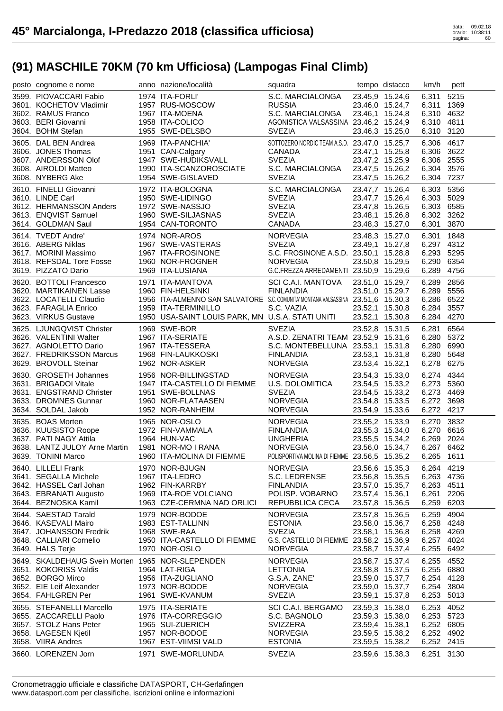| posto cognome e nome                                           | anno nazione/località                                                            | squadra                                       |                 | tempo distacco                     | km/h                     | pett |
|----------------------------------------------------------------|----------------------------------------------------------------------------------|-----------------------------------------------|-----------------|------------------------------------|--------------------------|------|
| 3599. PIOVACCARI Fabio                                         | 1974 ITA-FORLI'                                                                  | S.C. MARCIALONGA 23.45,9 15.24,6              |                 |                                    | 6,311                    | 5215 |
| 3601. KOCHETOV Vladimir                                        | 1957 RUS-MOSCOW                                                                  | <b>RUSSIA</b>                                 |                 | 23.46,0 15.24,7                    | 6,311                    | 1369 |
| 3602. RAMUS Franco                                             | 1967 ITA-MOENA                                                                   | S.C. MARCIALONGA                              |                 | 23.46,1 15.24,8                    | 6,310 4632               |      |
| 3603. BERI Giovanni                                            | 1958 ITA-COLICO                                                                  | AGONISTICA VALSASSINA 23.46,2 15.24,9         |                 |                                    | 6,310 4811               |      |
| 3604. BOHM Stefan                                              | 1955 SWE-DELSBO                                                                  | <b>SVEZIA</b>                                 |                 | 23.46,3 15.25,0                    | 6,310 3120               |      |
| 3605. DAL BEN Andrea                                           | 1969 ITA-PANCHIA'                                                                | SOTTOZERO NORDIC TEAM A.S.D. 23.47,0 15.25,7  |                 |                                    | 6,306 4617               |      |
| 3606. JONES Thomas                                             | 1951 CAN-Calgary                                                                 | CANADA                                        |                 | 23.47,1 15.25,8                    | 6,306                    | 3622 |
| 3607. ANDERSSON Olof                                           | 1947 SWE-HUDIKSVALL                                                              | <b>SVEZIA</b>                                 |                 | 23.47,2 15.25,9                    | 6,306 2555               |      |
| 3608. AIROLDI Matteo                                           | 1990 ITA-SCANZOROSCIATE                                                          | S.C. MARCIALONGA                              |                 | 23.47,5 15.26,2                    | 6,304                    | 3576 |
| 3608. NYBERG Ake                                               | 1954 SWE-GISLAVED                                                                | <b>SVEZIA</b>                                 |                 | 23.47,5 15.26,2                    | 6,304 7237               |      |
|                                                                |                                                                                  |                                               |                 |                                    |                          |      |
| 3610. FINELLI Giovanni<br>3610. LINDE Carl<br>3610. LINDE Carl | 1972 ITA-BOLOGNA<br>1950 SWE-LIDINGO                                             | S.C. MARCIALONGA<br><b>SVEZIA</b>             |                 | 23.47,7 15.26,4<br>23.47,7 15.26,4 | 6,303 5356<br>6,303 5029 |      |
| 3612. HERMANSSON Anders                                        | 1972 SWE-NASSJO                                                                  | <b>SVEZIA</b>                                 |                 | 23.47,8 15.26,5                    | 6,303 6585               |      |
| 3613. ENQVIST Samuel                                           | 1960 SWE-SILJASNAS                                                               | <b>SVEZIA</b>                                 |                 | 23.48,1 15.26,8                    | 6,302 3262               |      |
| 3614. GOLDMAN Saul                                             | 1954 CAN-TORONTO                                                                 | CANADA                                        |                 | 23.48,3 15.27,0                    | 6,301                    | 3870 |
|                                                                |                                                                                  |                                               |                 |                                    |                          |      |
| 3614. TVEDT Andre'                                             | 1974 NOR-AROS                                                                    | <b>NORVEGIA</b>                               |                 | 23.48,3 15.27,0                    | 6,301 1848               |      |
| 3616. ABERG Niklas                                             | 1967 SWE-VASTERAS                                                                | <b>SVEZIA</b>                                 |                 | 23.49,1 15.27,8                    | 6,297 4312               |      |
| 3617. MORINI Massimo                                           | 1967 ITA-FROSINONE                                                               | S.C. FROSINONE A.S.D. 23.50,1 15.28,8         |                 |                                    | 6,293 5295               |      |
| 3618. REFSDAL Tore Fosse                                       | 1960 NOR-FROGNER                                                                 | <b>NORVEGIA</b>                               |                 | 23.50,8 15.29,5                    | 6,290 6354               |      |
| 3619. PIZZATO Dario                                            | 1969 ITA-LUSIANA                                                                 | G.C.FREZZA ARREDAMENTI 23.50,9 15.29,6        |                 |                                    | 6,289 4756               |      |
| 3620. BOTTOLI Francesco                                        | 1971 ITA-MANTOVA<br>1960 FIN-HELSINKI                                            | SCI C.A.I. MANTOVA                            |                 | 23.51,0 15.29,7                    | 6,289 2856               |      |
| 3620. MARTIKAINEN Lasse                                        | 1960 FIN-HELSINKI                                                                | <b>FINLANDIA</b>                              |                 | 23.51,0 15.29,7                    | 6,289 5556               |      |
| 3622. LOCATELLI Claudio                                        | 1956 ITA-ALMENNO SAN SALVATORE S.C. COMUNITA' MONTANA VALSASSINA 23.51,6 15.30,3 |                                               |                 |                                    | 6,286 6522               |      |
| 3623. FARAGLIA Enrico                                          | 1959 ITA-TERMINILLO                                                              | S.C. VAZIA                                    |                 | 23.52,1 15.30,8                    | 6,284 3557               |      |
| 3623. VIRKUS Gustave                                           | 1950 USA-SAINT LOUIS PARK, MN U.S.A. STATI UNITI                                 |                                               |                 | 23.52,1 15.30,8                    | 6,284 4270               |      |
| 3625. LJUNGQVIST Christer                                      | 1969 SWE-BOR                                                                     | <b>SVEZIA</b>                                 |                 | 23.52,8 15.31,5                    | 6,281                    | 6564 |
| 3626. VALENTINI Walter                                         | 1967 ITA-SERIATE<br>1967 ITA-TESSERA                                             | A.S.D. ZENATRI TEAM 23.52,9 15.31,6           |                 |                                    | 6,280 5372               |      |
| 3627. AGNOLETTO Dario                                          |                                                                                  | S.C. MONTEBELLUNA 23.53,1 15.31,8             |                 |                                    | 6,280 6990               |      |
| 3627. FREDRIKSSON Marcus                                       | 1968 FIN-LAUKKOSKI                                                               | FINLANDIA                                     |                 | 23.53,1 15.31,8                    | 6,280 5648               |      |
|                                                                | 1962 NOR-ASKER                                                                   | <b>NORVEGIA</b>                               | 23.53,4 15.32,1 |                                    | 6,278                    | 6275 |
| 3629. BROVOLL Steinar                                          |                                                                                  |                                               |                 |                                    |                          |      |
|                                                                |                                                                                  |                                               |                 |                                    |                          |      |
| 3630. GROSETH Johannes<br>3631. BRIGADOI Vitale                | 1956 NOR-BILLINGSTAD                                                             | NORVEGIA                                      |                 | 23.54,3 15.33,0                    | 6,274                    | 4344 |
|                                                                | 1947 ITA-CASTELLO DI FIEMME<br>1951 SWE-BOLLNAS                                  | U.S. DOLOMITICA<br><b>SVEZIA</b>              |                 | 23.54,5 15.33,2                    | 6,273 5360               |      |
| 3631. ENGSTRAND Christer                                       | 1960 NOR-FLATAASEN                                                               | NORVEGIA                                      |                 | 23.54,5 15.33,2                    | 6,273 4469               |      |
| 3633. DROMNES Gunnar<br>3634. SOLDAL Jakob                     | 1952 NOR-RANHEIM                                                                 | NORVEGIA                                      |                 | 23.54,8 15.33,5<br>23.54,9 15.33,6 | 6,272 3698<br>6,272 4217 |      |
|                                                                |                                                                                  |                                               |                 |                                    |                          |      |
| 3635. BOAS Morten                                              | 1965 NOR-OSLO                                                                    | NORVEGIA                                      |                 | 23.55,2 15.33,9                    | 6,270 3832               |      |
| 3636. KUUSISTO Roope                                           | 1972 FIN-VAMMALA                                                                 | FINLANDIA                                     |                 | 23.55,3 15.34,0                    | 6,270 6616               |      |
| 3637. PATI NAGY Attila                                         | 1964 HUN-VAC                                                                     | UNGHERIA                                      |                 | 23.55,5 15.34,2                    | 6,269 2024               |      |
| 3638. LANTZ JULOY Arne Martin 1981 NOR-MO I RANA               |                                                                                  | <b>NORVEGIA</b>                               |                 | 23.56,0 15.34,7                    | 6,267 6462               |      |
| 3639. TONINI Marco                                             | 1960 ITA-MOLINA DI FIEMME                                                        | POLISPORTIVA MOLINA DI FIEMME 23.56,5 15.35,2 |                 |                                    | 6,265 1611               |      |
| 3640. LILLELI Frank                                            | 1970 NOR-BJUGN                                                                   | <b>NORVEGIA</b>                               |                 | 23.56,6 15.35,3                    | 6,264 4219               |      |
| 3641. SEGALLA Michele                                          | 1967 ITA-LEDRO                                                                   | S.C. LEDRENSE                                 |                 | 23.56,8 15.35,5                    | 6,263 4736               |      |
| 3642. HASSEL Carl Johan                                        | 1962 FIN-KARRBY                                                                  | <b>FINLANDIA</b>                              |                 | 23.57,0 15.35,7                    | 6,263 4511               |      |
| 3643. EBRANATI Augusto                                         | 1969 ITA-ROE VOLCIANO                                                            | POLISP. VOBARNO                               | 23.57,4 15.36,1 |                                    | 6,261                    | 2206 |
| 3644. BEZNOSKA Kamil                                           | 1963 CZE-CERMNA NAD ORLICI                                                       | REPUBBLICA CECA                               |                 | 23.57,8 15.36,5                    | 6,259                    | 6203 |
| 3644. SAESTAD Tarald                                           | 1979 NOR-BODOE                                                                   | <b>NORVEGIA</b>                               | 23.57,8 15.36,5 |                                    | 6,259                    | 4904 |
| 3646. KASEVALI Mairo                                           | 1983 EST-TALLINN                                                                 | <b>ESTONIA</b>                                |                 | 23.58,0 15.36,7                    | 6,258 4248               |      |
| 3647. JOHANSSON Fredrik                                        | 1968 SWE-RAA                                                                     | <b>SVEZIA</b>                                 |                 | 23.58,1 15.36,8                    | 6,258 4269               |      |
| 3648. CALLIARI Cornelio                                        | 1950 ITA-CASTELLO DI FIEMME                                                      | G.S. CASTELLO DI FIEMME 23.58,2 15.36,9       |                 |                                    | 6,257 4024               |      |
| 3649. HALS Terje                                               | 1970 NOR-OSLO                                                                    | <b>NORVEGIA</b>                               |                 | 23.58,7 15.37,4                    | 6,255                    | 6492 |
| 3649. SKALDEHAUG Svein Morten 1965 NOR-SLEPENDEN               |                                                                                  | <b>NORVEGIA</b>                               |                 | 23.58,7 15.37,4                    | 6,255                    | 4552 |
| 3651. KOKORISS Valdis                                          | 1964 LAT-RIGA                                                                    | <b>LETTONIA</b>                               |                 | 23.58,8 15.37,5                    | 6,255                    | 6880 |
| 3652. BORGO Mirco                                              | 1956 ITA-ZUGLIANO                                                                | G.S.A. ZANE'                                  |                 | 23.59,0 15.37,7                    | 6,254 4128               |      |
| 3652. EIE Leif Alexander                                       | 1973 NOR-BODOE                                                                   | <b>NORVEGIA</b>                               |                 | 23.59,0 15.37,7                    | 6,254                    | 3804 |
| 3654. FAHLGREN Per                                             | 1961 SWE-KVANUM                                                                  | <b>SVEZIA</b>                                 |                 | 23.59,1 15.37,8                    | 6,253 5013               |      |
| 3655. STEFANELLI Marcello                                      | 1975 ITA-SERIATE                                                                 | SCI C.A.I. BERGAMO                            |                 | 23.59,3 15.38,0                    | 6,253                    | 4052 |
| 3655. ZACCARELLI Paolo                                         | 1976 ITA-CORREGGIO                                                               | S.C. BAGNOLO                                  |                 | 23.59,3 15.38,0                    | 6,253 5723               |      |
| 3657. STOLZ Hans Peter                                         | 1965 SUI-ZUERICH                                                                 | <b>SVIZZERA</b>                               | 23.59,4 15.38,1 |                                    | 6,252 6805               |      |
| 3658. LAGESEN Kjetil                                           | 1957 NOR-BODOE                                                                   | <b>NORVEGIA</b>                               |                 | 23.59,5 15.38,2                    | 6,252 4902               |      |
| 3658. VIIRA Andres<br>3660. LORENZEN Jorn                      | 1967 EST-VIIMSI VALD<br>1971 SWE-MORLUNDA                                        | <b>ESTONIA</b><br><b>SVEZIA</b>               |                 | 23.59,5 15.38,2<br>23.59,6 15.38,3 | 6,252 2415<br>6,251      | 3130 |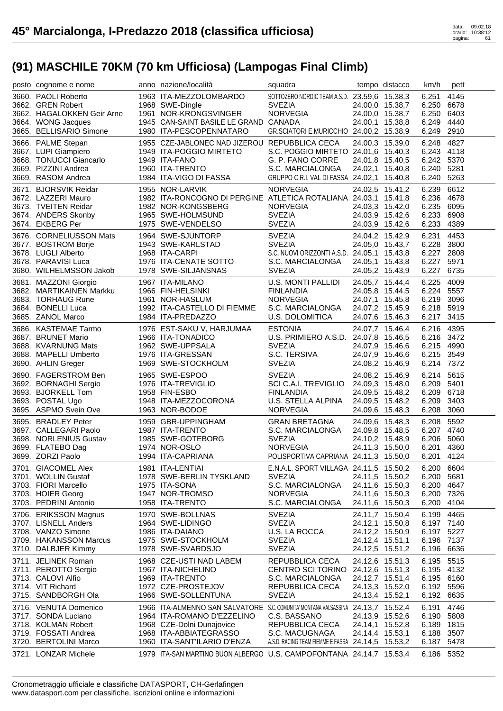| posto cognome e nome                            | anno nazione/località                                                                              | squadra                                                        |                                    | tempo distacco  | km/h                     | pett         |
|-------------------------------------------------|----------------------------------------------------------------------------------------------------|----------------------------------------------------------------|------------------------------------|-----------------|--------------------------|--------------|
| 3660. PAOLI Roberto                             | 1963 ITA-MEZZOLOMBARDO                                                                             | SOTTOZERO NORDIC TEAM A.S.D. 23.59,6 15.38,3                   |                                    |                 | 6,251                    | 4145         |
| 3662. GREN Robert                               | 1968 SWE-Dingle                                                                                    | <b>SVEZIA</b>                                                  | 24.00,0 15.38,7                    |                 | 6,250                    | 6678         |
| 3662. HAGALOKKEN Geir Arne                      | 1961 NOR-KRONGSVINGER                                                                              | <b>NORVEGIA</b>                                                | 24.00,0 15.38,7                    |                 | 6,250                    | 6403         |
| 3664. WONG Jacques                              | 1945 CAN-SAINT BASILE LE GRAND CANADA                                                              |                                                                | 24.00,1 15.38,8                    |                 | 6,249                    | 4440         |
| 3665. BELLISARIO Simone                         | 1980 ITA-PESCOPENNATARO                                                                            | GR.SCIATORI E.MURICCHIO 24.00,2 15.38,9                        |                                    |                 | 6,249                    | 2910         |
| 3666. PALME Stepan                              | 1955 CZE-JABLONEC NAD JIZEROU REPUBBLICA CECA                                                      |                                                                | 24.00,3 15.39,0                    |                 | 6,248                    | 4827         |
| 3667. LUPI Giampiero                            | 1949 ITA-POGGIO MIRTETO                                                                            | S.C. POGGIO MIRTETO 24.01,6 15.40,3                            |                                    |                 | 6,243 4118               |              |
| 3668. TONUCCI Giancarlo                         | 1949 ITA-FANO                                                                                      | G. P. FANO CORRE                                               | 24.01,8 15.40,5                    |                 | 6,242 5370               |              |
| 3669. PIZZINI Andrea<br>3669. RASOM Andrea      | 1960 ITA-TRENTO<br>1984 ITA-VIGO DI FASSA                                                          | S.C. MARCIALONGA<br>GRUPPO C.R.I. VAL DI FASSA 24.02,1 15.40,8 | 24.02,1 15.40,8                    |                 | 6,240<br>6,240 5263      | 5281         |
|                                                 |                                                                                                    |                                                                |                                    |                 |                          |              |
| 3671. BJORSVIK Reidar                           | 1955 NOR-LARVIK                                                                                    | <b>NORVEGIA</b>                                                | 24.02,5 15.41,2                    |                 | 6,239                    | 6612         |
| 3672. LAZZERI Mauro<br>3673. TVEITEN Reidar     | 1982 ITA-RONCOGNO DI PERGINE ATLETICA ROTALIANA 24.03,1 15.41,8<br>1982 NOR-KONGSBERG              | <b>NORVEGIA</b>                                                | 24.03,3 15.42,0                    |                 | 6,236 4678<br>6,235      | 6095         |
| 3674. ANDERS Skonby                             | 1965 SWE-HOLMSUND                                                                                  | <b>SVEZIA</b>                                                  | 24.03,9 15.42,6                    |                 | 6,233                    | 6908         |
| 3674. EKBERG Per                                | 1975 SWE-VENDELSO                                                                                  | <b>SVEZIA</b>                                                  | 24.03,9 15.42,6                    |                 | 6,233                    | 4389         |
| 3676. CORNELIUSSON Mats                         | 1964 SWE-SJUNTORP                                                                                  | <b>SVEZIA</b>                                                  | 24.04,2 15.42,9                    |                 | 6,231                    | 4453         |
| 3677. BOSTROM Borje                             | 1943 SWE-KARLSTAD                                                                                  | <b>SVEZIA</b>                                                  | 24.05,0 15.43,7                    |                 | 6,228                    | 3800         |
| 3678. LUGLI Alberto                             | 1968 ITA-CARPI                                                                                     | S.C. NUOVI ORIZZONTI A.S.D. 24.05,1 15.43,8                    |                                    |                 | 6,227 2808               |              |
| 3678. PARAVISI Luca                             | 1976 ITA-CENATE SOTTO                                                                              | S.C. MARCIALONGA                                               | 24.05,1 15.43,8                    |                 | 6,227 5971               |              |
| 3680. WILHELMSSON Jakob                         | 1978 SWE-SILJANSNAS                                                                                | <b>SVEZIA</b>                                                  | 24.05,2 15.43,9                    |                 | 6,227                    | 6735         |
| 3681. MAZZONI Giorgio                           | 1967 ITA-MILANO                                                                                    | U.S. MONTI PALLIDI                                             | 24.05,7 15.44,4                    |                 | 6,225                    | 4009         |
| 3682. MARTIKAINEN Markku                        | 1966 FIN-HELSINKI                                                                                  | <b>FINLANDIA</b>                                               | 24.05,8 15.44,5                    |                 | 6,224                    | 5557         |
| 3683. TORHAUG Rune                              | 1961 NOR-HASLUM                                                                                    | <b>NORVEGIA</b>                                                | 24.07,1 15.45,8                    |                 | 6,219 3096               |              |
| 3684. BONELLI Luca                              | 1992 ITA-CASTELLO DI FIEMME                                                                        | S.C. MARCIALONGA                                               | 24.07,2 15.45,9                    |                 | 6,218 5919               |              |
| 3685. ZANOL Marco                               | 1984 ITA-PREDAZZO                                                                                  | U.S. DOLOMITICA                                                | 24.07,6 15.46,3                    |                 | 6,217                    | 3415         |
| 3686. KASTEMAE Tarmo                            | 1976 EST-SAKU V, HARJUMAA                                                                          | <b>ESTONIA</b>                                                 | 24.07,7 15.46,4                    |                 | 6,216                    | 4395         |
| 3687. BRUNET Mario                              | 1966 ITA-TONADICO                                                                                  | U.S. PRIMIERO A.S.D. 24.07,8 15.46,5                           |                                    |                 | 6,216 3472               |              |
| 3688. KVARNUNG Mats                             | 1962 SWE-UPPSALA                                                                                   | <b>SVEZIA</b>                                                  | 24.07,9 15.46,6                    |                 | 6,215 4990<br>6,215 3549 |              |
| 3688. MAPELLI Umberto<br>3690. AHLIN Greger     | 1976 ITA-GRESSAN<br>1969 SWE-STOCKHOLM                                                             | S.C. TERSIVA<br><b>SVEZIA</b>                                  | 24.07,9 15.46,6<br>24.08,2 15.46,9 |                 | 6,214 7372               |              |
|                                                 |                                                                                                    |                                                                |                                    |                 |                          |              |
|                                                 |                                                                                                    |                                                                |                                    |                 |                          |              |
| 3690. FAGERSTROM Ben                            | 1965 SWE-ESPOO                                                                                     | <b>SVEZIA</b>                                                  | 24.08,2 15.46,9                    |                 | 6,214                    | 5615         |
| 3692. BORNAGHI Sergio                           | 1976 ITA-TREVIGLIO                                                                                 | SCI C.A.I. TREVIGLIO                                           | 24.09,3 15.48,0                    |                 | 6,209 5401               |              |
| 3693. BJORKELL Tom                              | 1958 FIN-ESBO                                                                                      | <b>FINLANDIA</b>                                               |                                    | 24.09,5 15.48,2 | 6,209                    | 6718         |
| 3693. POSTAL Ugo<br>3695. ASPMO Svein Ove       | 1948 ITA-MEZZOCORONA<br>1963 NOR-BODOE                                                             | U.S. STELLA ALPINA<br><b>NORVEGIA</b>                          | 24.09,5 15.48,2                    |                 | 6,209                    | 3403<br>3060 |
|                                                 |                                                                                                    |                                                                | 24.09,6 15.48,3                    |                 | 6,208                    |              |
| 3695. BRADLEY Peter                             | 1959 GBR-UPPINGHAM                                                                                 | <b>GRAN BRETAGNA</b>                                           | 24.09,6 15.48,3                    |                 | 6,208                    | 5592         |
| 3697. CALLEGARI Paolo<br>3698. NORLENIUS Gustav | 1987 ITA-TRENTO<br>1985 SWE-GOTEBORG                                                               | S.C. MARCIALONGA<br><b>SVEZIA</b>                              | 24.09,8 15.48,5                    |                 | 6,207 4740<br>6,206 5060 |              |
| 3699. FLATEBO Dag                               | 1974 NOR-OSLO                                                                                      | <b>NORVEGIA</b>                                                | 24.10,2 15.48,9<br>24.11,3 15.50,0 |                 | 6,201 4360               |              |
| 3699. ZORZI Paolo                               | 1994 ITA-CAPRIANA                                                                                  | POLISPORTIVA CAPRIANA 24.11,3 15.50,0                          |                                    |                 | 6,201 4124               |              |
| 3701. GIACOMEL Alex                             | 1981 ITA-LENTIAI                                                                                   | E.N.A.L. SPORT VILLAGA 24.11,5 15.50,2                         |                                    |                 | 6,200 6604               |              |
| 3701. WOLLIN Gustaf                             | 1978 SWE-BERLIN TYSKLAND                                                                           | <b>SVEZIA</b>                                                  | 24.11,5 15.50,2                    |                 | 6,200                    | 5681         |
| 3703. FIORI Marcello                            | 1975 ITA-SONA                                                                                      | S.C. MARCIALONGA                                               | 24.11,6 15.50,3                    |                 | 6,200                    | 4647         |
| 3703. HOIER Georg                               | 1947 NOR-TROMSO                                                                                    | <b>NORVEGIA</b>                                                | 24.11,6 15.50,3                    |                 | 6,200 7326               |              |
| 3703. PEDRINI Antonio                           | 1958 ITA-TRENTO                                                                                    | S.C. MARCIALONGA                                               | 24.11,6 15.50,3                    |                 | 6,200                    | 4104         |
| 3706. ERIKSSON Magnus                           | 1970 SWE-BOLLNAS                                                                                   | <b>SVEZIA</b>                                                  | 24.11,7 15.50,4                    |                 | 6,199                    | 4465         |
| 3707. LISNELL Anders                            | 1964 SWE-LIDINGO                                                                                   | <b>SVEZIA</b>                                                  | 24.12,1 15.50,8                    |                 | 6,197 7140               |              |
| 3708. VANZO Simone                              | 1986 ITA-DAIANO                                                                                    | U.S. LA ROCCA                                                  | 24.12,2 15.50,9                    |                 | 6,197 5227               |              |
| 3709. HAKANSSON Marcus<br>3710. DALBJER Kimmy   | 1975 SWE-STOCKHOLM<br>1978 SWE-SVARDSJO                                                            | <b>SVEZIA</b><br><b>SVEZIA</b>                                 | 24.12,4 15.51,1<br>24.12,5 15.51,2 |                 | 6,196 7137<br>6,196      | 6636         |
|                                                 | 1968 CZE-USTI NAD LABEM                                                                            | REPUBBLICA CECA                                                |                                    |                 |                          |              |
| 3711. JELINEK Roman<br>3711. PEROTTO Sergio     | 1967 ITA-NICHELINO                                                                                 | CENTRO SCI TORINO 24.12,6 15.51,3                              | 24.12,6 15.51,3                    |                 | 6,195<br>6,195 4132      | 5515         |
| 3713. CALOVI Alfio                              | 1969 ITA-TRENTO                                                                                    | S.C. MARCIALONGA                                               | 24.12,7 15.51,4                    |                 | 6,195 6160               |              |
| 3714. VIT Richard                               | 1972 CZE-PROSTEJOV                                                                                 | REPUBBLICA CECA                                                | 24.13,3 15.52,0                    |                 | 6,192 5596               |              |
| 3715. SANDBORGH Ola                             | 1966 SWE-SOLLENTUNA                                                                                | <b>SVEZIA</b>                                                  | 24.13,4 15.52,1                    |                 | 6,192 6635               |              |
| 3716. VENUTA Domenico                           | 1966 ITA-ALMENNO SAN SALVATORE S.C. COMUNITA' MONTANA VALSASSINA 24.13,7 15.52,4                   |                                                                |                                    |                 | 6,191                    | 4746         |
| 3717. SONDA Luciano                             | 1964 ITA-ROMANO D'EZZELINO                                                                         | C.S. BASSANO                                                   | 24.13,9 15.52,6                    |                 | 6,190                    | 5808         |
| 3718. KOLMAN Robert                             | 1968 CZE-Dolni Dunajovice                                                                          | REPUBBLICA CECA                                                | 24.14,1 15.52,8                    |                 | 6,189                    | 1815         |
| 3719. FOSSATI Andrea                            | 1968 ITA-ABBIATEGRASSO                                                                             | S.C. MACUGNAGA                                                 | 24.14,4 15.53,1                    |                 | 6,188                    | 3507         |
| 3720. BERTOLINI Marco<br>3721. LONZAR Michele   | 1960 ITA-SANT'ILARIO D'ENZA<br>1979 ITA-SAN MARTINO BUON ALBERGO U.S. CAMPOFONTANA 24.14,7 15.53,4 | A.S.D. RACING TEAM FIEMME E FASSA 24.14,5 15.53,2              |                                    |                 | 6,187<br>6,186 5352      | 5478         |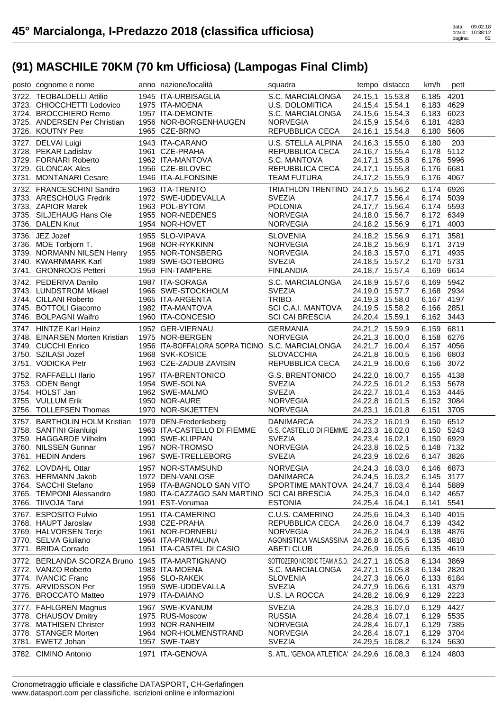| posto cognome e nome                                                   | anno nazione/località                                            | squadra                                                    |                                    | tempo distacco  | km/h                     | pett |
|------------------------------------------------------------------------|------------------------------------------------------------------|------------------------------------------------------------|------------------------------------|-----------------|--------------------------|------|
| 3722. TEOBALDELLI Attilio                                              | 1945 ITA-URBISAGLIA                                              | S.C. MARCIALONGA                                           | 24.15,1 15.53,8                    |                 | 6,185                    | 4201 |
| 3723. CHIOCCHETTI Lodovico                                             | 1975 ITA-MOENA                                                   | U.S. DOLOMITICA                                            | 24.15,4 15.54,1                    |                 | 6,183 4629               |      |
| 3724. BROCCHIERO Remo                                                  | 1957 ITA-DEMONTE                                                 | S.C. MARCIALONGA                                           |                                    | 24.15,6 15.54,3 | 6,183 6023               |      |
| 3725. ANDERSEN Per Christian                                           | 1956 NOR-BORGENHAUGEN                                            | <b>NORVEGIA</b>                                            | 24.15,9 15.54,6                    |                 | 6,181                    | 4283 |
| 3726. KOUTNY Petr                                                      | 1965 CZE-BRNO                                                    | REPUBBLICA CECA                                            | 24.16,1 15.54,8                    |                 | 6,180                    | 5606 |
| 3727. DELVAI Luigi                                                     | 1943 ITA-CARANO                                                  | U.S. STELLA ALPINA                                         | 24.16,3 15.55,0                    |                 | 6,180                    | 203  |
| 3728. PEKAR Ladislav                                                   | 1961 CZE-PRAHA                                                   | REPUBBLICA CECA                                            | 24.16,7 15.55,4                    |                 | 6,178 5112               |      |
| 3729. FORNARI Roberto                                                  | 1962 ITA-MANTOVA                                                 | S.C. MANTOVA                                               | 24.17,1 15.55,8                    |                 | 6,176                    | 5996 |
| 3729. GLONCAK Ales                                                     | 1956 CZE-BILOVEC                                                 | REPUBBLICA CECA                                            | 24.17,1 15.55,8                    |                 | 6,176                    | 6681 |
| 3731. MONTANARI Cesare                                                 | 1946 ITA-ALFONSINE                                               | <b>TEAM FUTURA</b>                                         |                                    | 24.17,2 15.55,9 | 6,176                    | 4067 |
| 3732. FRANCESCHINI Sandro                                              | 1963 ITA-TRENTO                                                  | TRIATHLON TRENTINO 24.17,5 15.56,2                         |                                    |                 | 6,174 6926               |      |
| 3733. ARESCHOUG Fredrik                                                | 1972 SWE-UDDEVALLA                                               | <b>SVEZIA</b>                                              |                                    | 24.17,7 15.56,4 | 6,174 5039               |      |
| 3733. ZAPIOR Marek                                                     | 1963 POL-BYTOM                                                   | <b>POLONIA</b>                                             |                                    | 24.17,7 15.56,4 | 6,174 5593               |      |
| 3735. SILJEHAUG Hans Ole                                               | 1955 NOR-NEDENES                                                 | <b>NORVEGIA</b>                                            |                                    | 24.18,0 15.56,7 | 6,172 6349               |      |
| 3736. DALEN Knut                                                       | 1954 NOR-HOVET                                                   | <b>NORVEGIA</b>                                            | 24.18,2 15.56,9                    |                 | 6,171                    | 4003 |
| 3736. JEZ Jozef                                                        | 1955 SLO-VIPAVA                                                  | <b>SLOVENIA</b>                                            | 24.18,2 15.56,9                    |                 | 6,171                    | 3581 |
| 3736. MOE Torbjorn T.                                                  | 1968 NOR-RYKKINN                                                 | <b>NORVEGIA</b>                                            |                                    | 24.18,2 15.56,9 | 6,171                    | 3719 |
| 3739. NORMANN NILSEN Henry                                             | 1955 NOR-TONSBERG                                                | <b>NORVEGIA</b>                                            |                                    | 24.18,3 15.57,0 | 6,171                    | 4935 |
| 3740. KWARNMARK Karl                                                   | 1989 SWE-GOTEBORG                                                | <b>SVEZIA</b>                                              | 24.18,5 15.57,2                    |                 | 6,170                    | 5731 |
| 3741. GRONROOS Petteri                                                 | 1959 FIN-TAMPERE                                                 | <b>FINLANDIA</b>                                           | 24.18,7 15.57,4                    |                 | 6.169                    | 6614 |
| 3742. PEDERIVA Danilo                                                  | 1987 ITA-SORAGA                                                  | S.C. MARCIALONGA                                           | 24.18,9 15.57,6                    |                 | 6,169 5942               |      |
| 3743. LUNDSTROM Mikael                                                 | 1966 SWE-STOCKHOLM                                               | <b>SVEZIA</b>                                              |                                    | 24.19,0 15.57,7 | 6,168 2934               |      |
| 3744. CILLANI Roberto                                                  | 1965 ITA-ARGENTA                                                 | <b>TRIBO</b>                                               |                                    | 24.19,3 15.58,0 | 6,167 4197               |      |
| 3745. BOTTOLI Giacomo                                                  | 1982 ITA-MANTOVA                                                 | SCI C.A.I. MANTOVA                                         |                                    | 24.19,5 15.58,2 | 6,166 2851               |      |
| 3746. BOLPAGNI Waifro                                                  | 1960 ITA-CONCESIO                                                | <b>SCI CAI BRESCIA</b>                                     | 24.20,4 15.59,1                    |                 | 6,162 3443               |      |
| 3747. HINTZE Karl Heinz                                                | 1952 GER-VIERNAU                                                 | <b>GERMANIA</b>                                            | 24.21,2 15.59,9                    |                 | 6,159 6811               |      |
| 3748. EINARSEN Morten Kristian                                         | 1975 NOR-BERGEN                                                  | <b>NORVEGIA</b>                                            |                                    | 24.21,3 16.00,0 | 6,158 6276               |      |
| 3749. CUCCHI Enrico                                                    | 1956 ITA-BOFFALORA SOPRA TICINO S.C. MARCIALONGA                 |                                                            | 24.21,7 16.00,4                    |                 | 6,157 4056               |      |
| 3750. SZILASI Jozef                                                    | 1968 SVK-KOSICE                                                  | <b>SLOVACCHIA</b>                                          | 24.21,8 16.00,5                    |                 | 6,156                    | 6803 |
|                                                                        |                                                                  |                                                            |                                    |                 |                          |      |
| 3751. VODICKA Petr                                                     | 1963 CZE-ZADUB ZAVISIN                                           |                                                            |                                    |                 |                          |      |
|                                                                        |                                                                  | REPUBBLICA CECA                                            |                                    | 24.21,9 16.00,6 | 6,156                    | 3072 |
| 3752. RAFFAELLI Ilario                                                 | 1957 ITA-BRENTONICO                                              | <b>G.S. BRENTONICO</b>                                     | 24.22,0 16.00,7                    |                 | 6,155                    | 4138 |
| 3753. ODEN Bengt                                                       | 1954 SWE-SOLNA                                                   | <b>SVEZIA</b>                                              | 24.22,5 16.01,2                    |                 | 6,153 5678               |      |
| 3754. HOLST Jan                                                        | 1962 SWE-MALMO                                                   | <b>SVEZIA</b>                                              |                                    | 24.22,7 16.01,4 | 6,153 4445               |      |
| 3755. VULLUM Erik<br>3756. TOLLEFSEN Thomas                            | 1950 NOR-AURE                                                    | <b>NORVEGIA</b><br><b>NORVEGIA</b>                         | 24.22,8 16.01,5                    |                 | 6,152 3084               |      |
|                                                                        | 1970 NOR-SKJETTEN                                                |                                                            | 24.23,1 16.01,8                    |                 | 6,151                    | 3705 |
| 3757. BARTHOLIN HOLM Kristian                                          | 1979 DEN-Frederiksberg                                           | DANIMARCA                                                  |                                    | 24.23,2 16.01,9 | 6,150 6512               |      |
| 3758. SANTINI Gianluigi                                                | 1963 ITA-CASTELLO DI FIEMME                                      | G.S. CASTELLO DI FIEMME 24.23,3 16.02,0                    |                                    |                 | 6,150 5243               |      |
| 3759. HAGGARDE Vilhelm                                                 | 1990 SWE-KLIPPAN                                                 | <b>SVEZIA</b>                                              | 24.23,4 16.02,1                    |                 | 6,150 6929               |      |
| 3760. NILSSEN Gunnar                                                   | 1957 NOR-TROMSO                                                  | <b>NORVEGIA</b>                                            | 24.23,8 16.02,5                    |                 | 6,148 7132               |      |
| 3761. HEDIN Anders                                                     | 1967 SWE-TRELLEBORG                                              | <b>SVEZIA</b>                                              |                                    | 24.23,9 16.02,6 | 6,147 3826               |      |
| 3762. LOVDAHL Ottar                                                    | 1957 NOR-STAMSUND                                                | <b>NORVEGIA</b>                                            |                                    | 24.24,3 16.03,0 | 6,146 6873               |      |
| 3763. HERMANN Jakob                                                    | 1972 DEN-VANLOSE                                                 | <b>DANIMARCA</b>                                           | 24.24,5 16.03,2                    |                 | 6,145 3177               |      |
| 3764. SACCHI Stefano<br>3765. TEMPONI Alessandro                       | 1959 ITA-BAGNOLO SAN VITO                                        | SPORTIME MANTOVA 24.24,7 16.03,4                           |                                    |                 | 6,144 5889               |      |
| 3766. TIIVOJA Tarvi                                                    | 1980 ITA-CAZZAGO SAN MARTINO SCI CAI BRESCIA<br>1991 EST-Vorumaa | <b>ESTONIA</b>                                             | 24.25,3 16.04,0<br>24.25,4 16.04,1 |                 | 6,142 4657<br>6,141      | 5541 |
|                                                                        |                                                                  |                                                            |                                    |                 |                          |      |
| 3767. ESPOSITO Fulvio                                                  | 1951 ITA-CAMERINO                                                | C.U.S. CAMERINO<br>REPUBBLICA CECA                         | 24.25,6 16.04,3                    |                 | 6,140 4015               |      |
| 3768. HAUPT Jaroslav                                                   | 1938 CZE-PRAHA                                                   |                                                            | 24.26,0 16.04,7                    |                 | 6,139 4342               |      |
| 3769. HALVORSEN Terje                                                  | 1961 NOR-FORNEBU<br>1964 ITA-PRIMALUNA                           | <b>NORVEGIA</b>                                            | 24.26,2 16.04,9                    |                 | 6,138 4876               |      |
| 3770. SELVA Giuliano<br>3771. BRIDA Corrado                            | 1951 ITA-CASTEL DI CASIO                                         | AGONISTICA VALSASSINA 24.26,8 16.05,5<br><b>ABETI CLUB</b> | 24.26,9 16.05,6                    |                 | 6,135 4810<br>6,135      | 4619 |
|                                                                        |                                                                  |                                                            |                                    |                 |                          |      |
| 3772. BERLANDA SCORZA Bruno 1945 ITA-MARTIGNANO<br>3772. VANZO Roberto | 1983 ITA-MOENA                                                   | SOTTOZERO NORDIC TEAM A.S.D. 24.27,1 16.05,8               |                                    |                 | 6,134                    | 3869 |
| 3774. IVANCIC Franc                                                    | 1956 SLO-RAKEK                                                   | S.C. MARCIALONGA                                           | 24.27,1 16.05,8<br>24.27,3 16.06,0 |                 | 6,134 2820<br>6,133 6184 |      |
| 3775. ARVIDSSON Per                                                    | 1959 SWE-UDDEVALLA                                               | <b>SLOVENIA</b><br><b>SVEZIA</b>                           | 24.27,9 16.06,6                    |                 | 6,131 4379               |      |
| 3776. BROCCATO Matteo                                                  | 1979 ITA-DAIANO                                                  | U.S. LA ROCCA                                              | 24.28,2 16.06,9                    |                 | 6,129 2223               |      |
|                                                                        | 1967 SWE-KVANUM                                                  |                                                            |                                    |                 |                          | 4427 |
| 3777. FAHLGREN Magnus<br>3778. CHAUSOV Dmitry                          | 1975 RUS-Moscow                                                  | <b>SVEZIA</b><br><b>RUSSIA</b>                             | 24.28,3 16.07,0<br>24.28,4 16.07,1 |                 | 6,129<br>6,129           | 5535 |
| 3778. MATHISEN Christer                                                | 1993 NOR-RANHEIM                                                 | <b>NORVEGIA</b>                                            | 24.28,4 16.07,1                    |                 | 6,129 7385               |      |
| 3778. STANGER Morten                                                   | 1964 NOR-HOLMENSTRAND                                            | <b>NORVEGIA</b>                                            | 24.28,4 16.07,1                    |                 | 6,129                    | 3704 |
| 3781. EWETZ Johan                                                      | 1957 SWE-TABY                                                    | <b>SVEZIA</b>                                              | 24.29,5 16.08,2                    |                 | 6,124 5630               |      |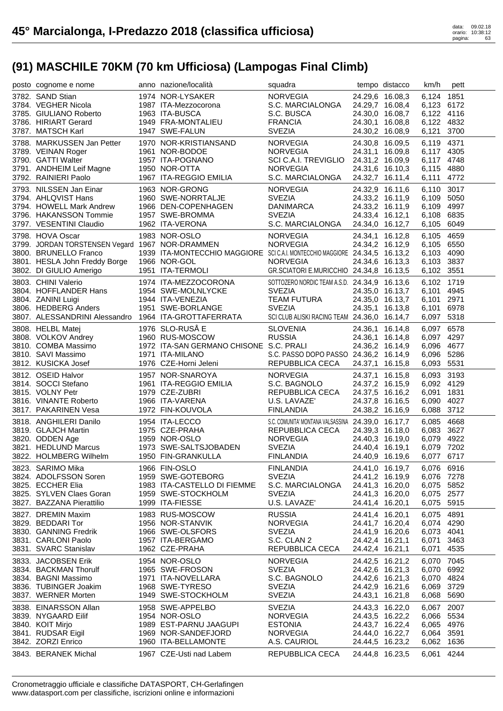| posto cognome e nome                                 | anno nazione/località                                                    | squadra                                           |                 | tempo distacco  | km/h                | pett |
|------------------------------------------------------|--------------------------------------------------------------------------|---------------------------------------------------|-----------------|-----------------|---------------------|------|
| 3782. SAND Stian                                     | 1974 NOR-LYSAKER                                                         | <b>NORVEGIA</b>                                   |                 | 24.29,6 16.08,3 | 6,124 1851          |      |
| 3784. VEGHER Nicola                                  | 1987 ITA-Mezzocorona                                                     | S.C. MARCIALONGA                                  |                 | 24.29,7 16.08,4 | 6,123 6172          |      |
| 3785. GIULIANO Roberto                               | 1963 ITA-BUSCA                                                           | S.C. BUSCA                                        |                 | 24.30,0 16.08,7 | 6,122 4116          |      |
| 3786. HIRIART Gerard                                 | 1949 FRA-MONTALIEU                                                       | <b>FRANCIA</b>                                    | 24.30,1 16.08,8 |                 | 6,122 4832          |      |
| 3787. MATSCH Karl                                    | 1947 SWE-FALUN                                                           | <b>SVEZIA</b>                                     |                 | 24.30,2 16.08,9 | 6,121               | 3700 |
|                                                      |                                                                          |                                                   |                 |                 |                     |      |
| 3788. MARKUSSEN Jan Petter                           | 1970 NOR-KRISTIANSAND                                                    | <b>NORVEGIA</b>                                   | 24.30,8 16.09,5 |                 | 6,119 4371          |      |
| 3789. VEINAN Roger                                   | 1961 NOR-BODOE                                                           | <b>NORVEGIA</b>                                   |                 | 24.31,1 16.09,8 | 6,117 4305          |      |
| 3790. GATTI Walter                                   | 1957 ITA-POGNANO                                                         | SCI C.A.I. TREVIGLIO 24.31,2 16.09,9              |                 |                 | 6,117 4748          |      |
| 3791. ANDHEIM Leif Magne                             | 1950 NOR-OTTA                                                            | <b>NORVEGIA</b>                                   |                 | 24.31,6 16.10,3 | 6,115 4880          |      |
| 3792. RAINIERI Paolo                                 | 1967 ITA-REGGIO EMILIA                                                   | S.C. MARCIALONGA                                  |                 | 24.32,7 16.11,4 | 6,111 4772          |      |
| 3793. NILSSEN Jan Einar                              | 1963 NOR-GRONG                                                           | <b>NORVEGIA</b>                                   |                 | 24.32,9 16.11,6 | 6,110 3017          |      |
| 3794. AHLQVIST Hans                                  | 1960 SWE-NORRTALJE                                                       | <b>SVEZIA</b>                                     | 24.33,2 16.11,9 |                 | 6,109 5050          |      |
| 3794. HOWELL Mark Andrew                             | 1966 DEN-COPENHAGEN                                                      | DANIMARCA                                         |                 | 24.33,2 16.11,9 | 6,109 4997          |      |
| 3796. HAKANSSON Tommie                               | 1957 SWE-BROMMA                                                          | <b>SVEZIA</b>                                     | 24.33,4 16.12,1 |                 | 6,108 6835          |      |
| 3797. VESENTINI Claudio                              | 1962 ITA-VERONA                                                          | S.C. MARCIALONGA                                  |                 | 24.34,0 16.12,7 | 6,105 6049          |      |
| 3798. HOVA Oscar                                     | 1983 NOR-OSLO                                                            | <b>NORVEGIA</b>                                   |                 |                 | 6,105 4659          |      |
|                                                      |                                                                          | <b>NORVEGIA</b>                                   | 24.34,1 16.12,8 |                 | 6,105 6550          |      |
| 3799. JORDAN TORSTENSEN Vegard 1967 NOR-DRAMMEN      | 1939 ITA-MONTECCHIO MAGGIORE SCICAI. MONTECCHIO MAGGIORE 24.34,5 16.13,2 |                                                   |                 | 24.34,2 16.12,9 | 6.103 4090          |      |
| 3800. BRUNELLO Franco                                |                                                                          |                                                   |                 |                 |                     |      |
| 3801. HESLA John Freddy Borge                        | 1966 NOR-GOL                                                             | <b>NORVEGIA</b>                                   |                 | 24.34,6 16.13,3 | 6,103 3837          |      |
| 3802. DI GIULIO Amerigo                              | 1951 ITA-TERMOLI                                                         | GR.SCIATORI E.MURICCHIO 24.34,8 16.13,5           |                 |                 | 6,102 3551          |      |
| 3803. CHINI Valerio                                  | 1974 ITA-MEZZOCORONA                                                     | SOTTOZERO NORDIC TEAM A.S.D. 24.34,9 16.13,6      |                 |                 | 6,102 1719          |      |
| 3804. HOFFLANDER Hans                                | 1954 SWE-MOLNLYCKE                                                       | <b>SVEZIA</b>                                     |                 | 24.35,0 16.13,7 | 6,101 4945          |      |
| 3804. ZANINI Luigi                                   | 1944 ITA-VENEZIA                                                         | <b>TEAM FUTURA</b>                                |                 | 24.35,0 16.13,7 | 6,101 2971          |      |
| 3806. HEDBERG Anders                                 | 1951 SWE-BORLANGE                                                        | <b>SVEZIA</b>                                     | 24.35,1 16.13,8 |                 | 6,101 6978          |      |
| 3807. ALESSANDRINI Alessandro 1964 ITA-GROTTAFERRATA |                                                                          | SCI CLUB ALISKI RACING TEAM 24.36,0 16.14,7       |                 |                 | 6,097 5318          |      |
| 3808. HELBL Matej                                    | 1976 SLO-RUSĂ E                                                          | <b>SLOVENIA</b>                                   |                 | 24.36,1 16.14,8 | 6,097 6578          |      |
|                                                      | 1960 RUS-MOSCOW                                                          | <b>RUSSIA</b>                                     |                 |                 | 6,097 4297          |      |
| 3808. VOLKOV Andrey                                  |                                                                          |                                                   | 24.36,1 16.14,8 |                 |                     |      |
| 3810. COMBA Massimo                                  | 1972 ITA-SAN GERMANO CHISONE S.C. PRALI                                  |                                                   | 24.36,2 16.14,9 |                 | 6,096 4677          |      |
| 3810. SAVI Massimo                                   | 1971 ITA-MILANO                                                          | S.C. PASSO DOPO PASSO 24.36,2 16.14,9             |                 |                 | 6,096 5286          |      |
| 3812. KUSICKA Josef                                  | 1976 CZE-Horni Jeleni                                                    | REPUBBLICA CECA                                   | 24.37,1 16.15,8 |                 | 6,093 5531          |      |
|                                                      |                                                                          |                                                   |                 |                 |                     |      |
| 3812. OSEID Halvor                                   | 1957 NOR-SNAROYA                                                         | <b>NORVEGIA</b>                                   |                 | 24.37,1 16.15,8 | 6,093 3193          |      |
| 3814. SOCCI Stefano                                  | 1961 ITA-REGGIO EMILIA                                                   | S.C. BAGNOLO                                      |                 | 24.37,2 16.15,9 | 6,092 4129          |      |
| 3815. VOLNY Petr                                     | 1979 CZE-ZUBRI                                                           | REPUBBLICA CECA                                   |                 | 24.37,5 16.16,2 | 6,091 1831          |      |
| 3816. VINANTE Roberto                                | 1966 ITA-VARENA                                                          | U.S. LAVAZE'                                      |                 |                 |                     |      |
| 3817. PAKARINEN Vesa                                 | 1972 FIN-KOUVOLA                                                         | <b>FINLANDIA</b>                                  |                 | 24.37,8 16.16,5 | 6,090 4027<br>6,088 | 3712 |
|                                                      |                                                                          |                                                   |                 | 24.38,2 16.16,9 |                     |      |
| 3818. ANGHILERI Danilo                               | 1954 ITA-LECCO                                                           | S.C. COMUNITA' MONTANA VALSASSINA 24.39,0 16.17,7 |                 |                 | 6,085 4668          |      |
| 3819. GLAJCH Martin                                  | 1975 CZE-PRAHA                                                           | REPUBBLICA CECA                                   |                 | 24.39,3 16.18,0 | 6,083 3627          |      |
| 3820. ODDEN Age                                      | 1959 NOR-OSLO                                                            | <b>NORVEGIA</b>                                   |                 | 24.40,3 16.19,0 | 6,079 4922          |      |
| 3821. HEDLUND Marcus                                 | 1973 SWE-SALTSJOBADEN                                                    | <b>SVEZIA</b>                                     | 24.40,4 16.19,1 |                 | 6,079 7202          |      |
| 3822. HOLMBERG Wilhelm                               | 1950 FIN-GRANKULLA                                                       | <b>FINLANDIA</b>                                  |                 | 24.40,9 16.19,6 | 6,077 6717          |      |
| 3823. SARIMO Mika                                    | 1966 FIN-OSLO                                                            | <b>FINLANDIA</b>                                  |                 | 24.41,0 16.19,7 | 6,076 6916          |      |
| 3824. ADOLFSSON Soren                                | 1959 SWE-GOTEBORG                                                        | <b>SVEZIA</b>                                     | 24.41,2 16.19,9 |                 | 6,076 7278          |      |
| 3825. ECCHER Elia                                    | 1983 ITA-CASTELLO DI FIEMME                                              | S.C. MARCIALONGA                                  |                 | 24.41,3 16.20,0 | 6,075 5852          |      |
| 3825. SYLVEN Claes Goran                             | 1959 SWE-STOCKHOLM                                                       | <b>SVEZIA</b>                                     | 24.41,3 16.20,0 |                 | 6,075 2577          |      |
| 3827. BAZZANA Pierattilio                            | 1999 ITA-FIESSE                                                          | U.S. LAVAZE'                                      | 24.41,4 16.20,1 |                 | 6,075 5915          |      |
|                                                      |                                                                          |                                                   |                 |                 |                     |      |
| 3827. DREMIN Maxim                                   | 1983 RUS-MOSCOW                                                          | <b>RUSSIA</b>                                     | 24.41,4 16.20,1 |                 | 6,075               | 4891 |
| 3829. BEDDARI Tor                                    | 1956 NOR-STANVIK                                                         | <b>NORVEGIA</b>                                   |                 | 24.41,7 16.20,4 | 6,074 4290          |      |
| 3830. GANNING Fredrik                                | 1966 SWE-OLSFORS                                                         | <b>SVEZIA</b>                                     | 24.41,9 16.20,6 |                 | 6,073 4041          |      |
| 3831. CARLONI Paolo                                  | 1957 ITA-BERGAMO                                                         | S.C. CLAN 2                                       | 24.42,4 16.21,1 |                 | 6,071               | 3463 |
| 3831. SVARC Stanislav                                | 1962 CZE-PRAHA                                                           | REPUBBLICA CECA                                   | 24.42,4 16.21,1 |                 | 6,071               | 4535 |
| 3833. JACOBSEN Erik                                  | 1954 NOR-OSLO                                                            | <b>NORVEGIA</b>                                   | 24.42,5 16.21,2 |                 | 6,070               | 7045 |
| 3834. BACKMAN Thorulf                                | 1965 SWE-FROSON                                                          | <b>SVEZIA</b>                                     | 24.42,6 16.21,3 |                 | 6,070 6992          |      |
| 3834. BAGNI Massimo                                  | 1971 ITA-NOVELLARA                                                       | S.C. BAGNOLO                                      | 24.42,6 16.21,3 |                 | 6,070 4824          |      |
| 3836. TUBINGER Joakim                                | 1968 SWE-TYRESO                                                          | <b>SVEZIA</b>                                     | 24.42,9 16.21,6 |                 | 6,069               | 3729 |
| 3837. WERNER Morten                                  | 1949 SWE-STOCKHOLM                                                       | <b>SVEZIA</b>                                     | 24.43,1 16.21,8 |                 | 6,068               | 5690 |
| 3838. EINARSSON Allan                                | 1958 SWE-APPELBO                                                         | <b>SVEZIA</b>                                     | 24.43,3 16.22,0 |                 | 6,067               | 2007 |
| 3839. NYGAARD Eilif                                  | 1954 NOR-OSLO                                                            | <b>NORVEGIA</b>                                   | 24.43,5 16.22,2 |                 | 6,066 5534          |      |
| 3840. KOIT Mirjo                                     | 1989 EST-PARNU JAAGUPI                                                   | <b>ESTONIA</b>                                    | 24.43,7 16.22,4 |                 | 6,065 4976          |      |
| 3841. RUDSAR Eigil                                   | 1969 NOR-SANDEFJORD                                                      | <b>NORVEGIA</b>                                   | 24.44,0 16.22,7 |                 | 6,064 3591          |      |
| 3842. ZORZI Enrico                                   | 1960 ITA-BELLAMONTE                                                      | A.S. CAURIOL                                      | 24.44,5 16.23,2 |                 | 6,062               | 1636 |
| 3843. BERANEK Michal                                 | 1967 CZE-Usti nad Labem                                                  | REPUBBLICA CECA                                   | 24.44,8 16.23,5 |                 | 6,061               | 4244 |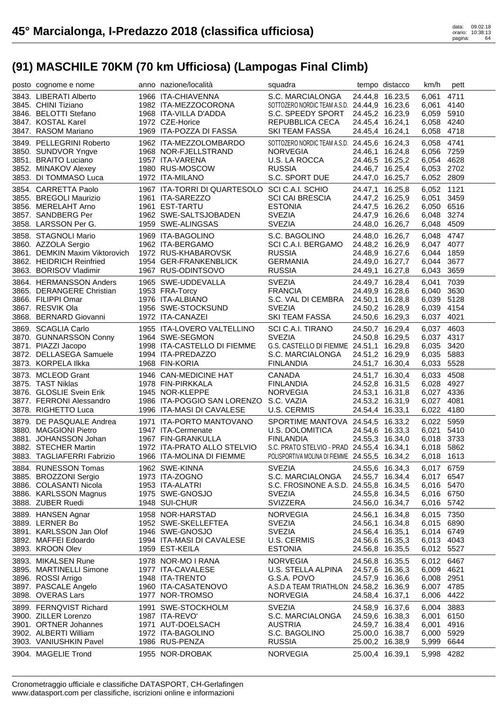| posto cognome e nome                                                                                                                               | anno nazione/località                                                                                                             | squadra                                                                                                                                                               |                 | tempo distacco                                                                              | km/h                                                               | pett                                         |
|----------------------------------------------------------------------------------------------------------------------------------------------------|-----------------------------------------------------------------------------------------------------------------------------------|-----------------------------------------------------------------------------------------------------------------------------------------------------------------------|-----------------|---------------------------------------------------------------------------------------------|--------------------------------------------------------------------|----------------------------------------------|
| 3843. LIBERATI Alberto<br>3845. CHINI Tiziano<br>3846. BELOTTI Stefano<br>3847. KOSTAL Karel<br>3847. RASOM Mariano                                | 1966 ITA-CHIAVENNA<br>1982 ITA-MEZZOCORONA<br>1968 ITA-VILLA D'ADDA<br>1972 CZE-Horice<br>1969 ITA-POZZA DI FASSA                 | S.C. MARCIALONGA<br>SOTTOZERO NORDIC TEAM A.S.D. 24.44,9 16.23,6<br>S.C. SPEEDY SPORT 24.45,2 16.23,9<br>REPUBBLICA CECA<br><b>SKI TEAM FASSA</b>                     | 24.45,4 16.24,1 | 24.44,8 16.23,5<br>24.45,4 16.24,1                                                          | 6,061<br>6,061<br>6,059 5910<br>6,058 4240<br>6,058 4718           | 4711<br>4140                                 |
| 3849. PELLEGRINI Roberto<br>3850. SUNDVOR Yngve<br>3851. BRAITO Luciano<br>3852. MINAKOV Alexey<br>3853. DI TOMMASO Luca                           | 1962 ITA-MEZZOLOMBARDO<br>1968 NOR-FJELLSTRAND<br>1957 ITA-VARENA<br>1980 RUS-MOSCOW<br>1972 ITA-MILANO                           | SOTTOZERO NORDIC TEAM A.S.D. 24.45,6 16.24,3<br><b>NORVEGIA</b><br>U.S. LA ROCCA<br><b>RUSSIA</b><br>S.C. SPORT DUE                                                   |                 | 24.46,1 16.24,8<br>24.46,5 16.25,2<br>24.46,7 16.25,4<br>24.47,0 16.25,7                    | 6,058 4741<br>6,056 7259<br>6,054<br>6,053 2702<br>6,052 2809      | 4628                                         |
| 3854. CARRETTA Paolo<br>3855. BREGOLI Maurizio<br>3856. MERELAHT Arno<br>3857. SANDBERG Per<br>3858. LARSSON Per G.                                | 1967 ITA-TORRI DI QUARTESOLO SCI C.A.I. SCHIO<br>1961 ITA-SAREZZO<br>1961 EST-TARTU<br>1962 SWE-SALTSJOBADEN<br>1959 SWE-ALINGSAS | <b>SCI CAI BRESCIA</b><br><b>ESTONIA</b><br><b>SVEZIA</b><br><b>SVEZIA</b>                                                                                            |                 | 24.47,1 16.25,8<br>24.47,2 16.25,9<br>24.47,5 16.26,2<br>24.47,9 16.26,6<br>24.48,0 16.26,7 | 6,052 1121<br>6,051<br>6,050 6516<br>6,048<br>6,048                | 3459<br>3274<br>4509                         |
| 3858. STAGNOLI Mario<br>3860. AZZOLA Sergio<br>3861. DEMKIN Maxim Viktorovich<br>3862. HEIDRICH Reinfried<br>3863. BORISOV Vladimir                | 1969 ITA-BAGOLINO<br>1962 ITA-BERGAMO<br>1972 RUS-KHABAROVSK<br>1954 GER-FRANKENBLICK<br>1967 RUS-ODINTSOVO                       | S.C. BAGOLINO<br>SCI C.A.I. BERGAMO<br><b>RUSSIA</b><br>GERMANIA<br><b>RUSSIA</b>                                                                                     |                 | 24.48,0 16.26,7<br>24.48,2 16.26,9<br>24.48,9 16.27,6<br>24.49,0 16.27,7<br>24.49,1 16.27,8 | 6,048<br>6,047 4077<br>6,044 1859<br>6,044<br>6,043                | 4747<br>3677<br>3659                         |
| 3864. HERMANSSON Anders<br>3865. DERANGERE Christian<br>3866. FILIPPI Omar<br>3867. RESVIK Ola<br>3868. BERNARD Giovanni                           | 1965 SWE-UDDEVALLA<br>1953 FRA-Torcy<br>1976 ITA-ALBIANO<br>1956 SWE-STOCKSUND<br>1972 ITA-CANAZEI                                | <b>SVEZIA</b><br><b>FRANCIA</b><br>S.C. VAL DI CEMBRA 24.50,1 16.28,8<br><b>SVEZIA</b><br>SKI TEAM FASSA                                                              |                 | 24.49,7 16.28,4<br>24.49,9 16.28,6<br>24.50,2 16.28,9<br>24.50,6 16.29,3                    | 6,041<br>6,040<br>6,039 5128<br>6,039 4154<br>6,037 4021           | 7039<br>3630                                 |
| 3869. SCAGLIA Carlo<br>3870. GUNNARSSON Conny<br>3871. PIAZZI Jacopo<br>3872. DELLASEGA Samuele<br>3873. KORPELA Ilkka                             | 1955 ITA-LOVERO VALTELLINO<br>1964 SWE-SEGMON<br>1998 ITA-CASTELLO DI FIEMME<br>1994 ITA-PREDAZZO<br>1968 FIN-KORIA               | SCI C.A.I. TIRANO<br><b>SVEZIA</b><br>G.S. CASTELLO DI FIEMME 24.51,1 16.29,8<br>S.C. MARCIALONGA<br><b>FINLANDIA</b>                                                 |                 | 24.50,7 16.29,4<br>24.50,8 16.29,5<br>24.51,2 16.29,9<br>24.51,7 16.30,4                    | 6,037 4603<br>6,037 4317<br>6,035 3420<br>6,035<br>6,033           | 5883<br>5528                                 |
| 3873. MCLEOD Grant                                                                                                                                 | 1946 CAN-MEDICINE HAT                                                                                                             | <b>CANADA</b>                                                                                                                                                         |                 | 24.51,7 16.30,4                                                                             | 6,033                                                              | 4508                                         |
| 3875. TAST Niklas<br>3876. GLOSLIE Svein Erik<br>3877. FERRONI Alessandro<br>3878. RIGHETTO Luca                                                   | 1978 FIN-PIRKKALA<br>1945 NOR-KLEPPE<br>1986 ITA-POGGIO SAN LORENZO S.C. VAZIA<br>1996 ITA-MASI DI CAVALESE                       | FINLANDIA<br>NORVEGIA<br>U.S. CERMIS                                                                                                                                  | 24.54,4 16.33,1 | 24.52,8 16.31,5<br>24.53,1 16.31,8<br>24.53,2 16.31,9                                       | 6,028 4927<br>6,027 4336<br>6,027<br>6,022 4180                    | 4081                                         |
| 3879. DE PASQUALE Andrea<br>3880. MAGGIONI Pietro<br>3881. JOHANSSON Johan<br>3882. STECHER Martin<br>3883. TAGLIAFERRI Fabrizio                   | 1971 ITA-PORTO MANTOVANO<br>1947 ITA-Cermenate<br>1967 FIN-GRANKULLA<br>1972 ITA-PRATO ALLO STELVIO<br>1966 ITA-MOLINA DI FIEMME  | SPORTIME MANTOVA 24.54,5 16.33,2<br>U.S. DOLOMITICA<br><b>FINLANDIA</b><br>S.C. PRATO STELVIO - PRAD 24.55,4 16.34,1<br>POLISPORTIVA MOLINA DI FIEMME 24.55,5 16.34,2 |                 | 24.54,6 16.33,3<br>24.55,3 16.34,0                                                          | 6,022<br>6,021<br>6,018 3733<br>6,018 5862<br>6,018 1613           | 5959<br>5410                                 |
| 3884. RUNESSON Tomas<br>3885. BROZZONI Sergio<br>3886. COLASANTI Nicola<br>3886. KARLSSON Magnus<br>3888. ZUBER Ruedi                              | 1962 SWE-KINNA<br>1973 ITA-ZOGNO<br>1953 ITA-ALATRI<br>1975 SWE-GNOSJO<br>1948 SUI-CHUR                                           | <b>SVEZIA</b><br>S.C. MARCIALONGA<br>S.C. FROSINONE A.S.D. 24.55,8 16.34,5<br><b>SVEZIA</b><br>SVIZZERA                                                               |                 | 24.55,6 16.34,3<br>24.55,7 16.34,4<br>24.55,8 16.34,5<br>24.56,0 16.34,7                    | 6,017 6759<br>6,017 6547<br>6,016 5470<br>6,016 6750<br>6,016 5742 |                                              |
| 3889. HANSEN Agnar<br>3889. LERNER Bo<br>3891. KARLSSON Jan Olof<br>3892. MAFFEI Edoardo<br>3893. KROON Olev                                       | 1958 NOR-HARSTAD<br>1952 SWE-SKELLEFTEA<br>1946 SWE-GNOSJO<br>1994 ITA-MASI DI CAVALESE<br>1959 EST-KEILA                         | <b>NORVEGIA</b><br><b>SVEZIA</b><br><b>SVEZIA</b><br>U.S. CERMIS<br><b>ESTONIA</b>                                                                                    | 24.56,4 16.35,1 | 24.56,1 16.34,8<br>24.56,1 16.34,8<br>24.56,6 16.35,3<br>24.56,8 16.35,5                    | 6,015<br>6,015 6890<br>6,014 6749<br>6,013<br>6,012 5527           | 7350<br>4043                                 |
| 3893. MIKALSEN Rune<br>3895. MARTINELLI Simone<br>3896. ROSSI Arrigo<br>3897. PASCALE Angelo<br>3898. OVERAS Lars                                  | 1978 NOR-MO I RANA<br>1977 ITA-CAVALESE<br>1948 ITA-TRENTO<br>1960 ITA-CASATENOVO<br>1977 NOR-TROMSO                              | <b>NORVEGIA</b><br>U.S. STELLA ALPINA<br>G.S.A. POVO<br>A.S.D A TEAM TRIATHLON 24.58,2 16.36,9<br><b>NORVEGIA</b>                                                     | 24.58,4 16.37,1 | 24.56,8 16.35,5<br>24.57,6 16.36,3<br>24.57,9 16.36,6                                       | 6,012<br>6,009<br>6,008 2951<br>6,007<br>6,006                     | 6467<br>4621<br>4785<br>4422                 |
| 3899. FERNQVIST Richard<br>3900. ZILLER Lorenzo<br>3901. ORTNER Johannes<br>3902. ALBERTI William<br>3903. VANIUSHKIN Pavel<br>3904. MAGELIE Trond | 1991 SWE-STOCKHOLM<br>1987 ITA-REVO'<br>1971 AUT-DOELSACH<br>1972 ITA-BAGOLINO<br>1986 RUS-PENZA<br>1955 NOR-DROBAK               | <b>SVEZIA</b><br>S.C. MARCIALONGA<br><b>AUSTRIA</b><br>S.C. BAGOLINO<br><b>RUSSIA</b><br><b>NORVEGIA</b>                                                              | 25.00,4 16.39,1 | 24.58,9 16.37,6<br>24.59,6 16.38,3<br>24.59,7 16.38,4<br>25.00,0 16.38,7<br>25.00,2 16.38,9 | 6,004<br>6,001<br>6,001<br>6,000<br>5,999<br>5,998                 | 3883<br>6150<br>4916<br>5929<br>6644<br>4282 |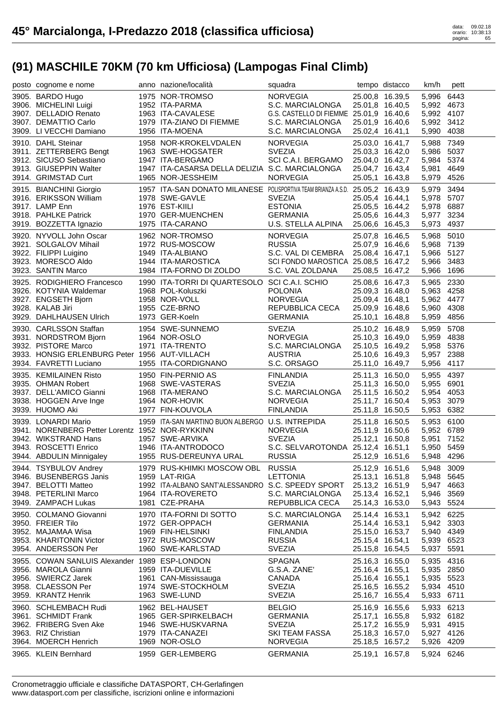| posto cognome e nome                                   | anno nazione/località                                                         | squadra                                 |                 | tempo distacco                     | km/h                     | pett |
|--------------------------------------------------------|-------------------------------------------------------------------------------|-----------------------------------------|-----------------|------------------------------------|--------------------------|------|
| 3905. BARDO Hugo                                       | 1975 NOR-TROMSO                                                               | <b>NORVEGIA</b>                         |                 | 25.00,8 16.39,5                    | 5,996                    | 6443 |
| 3906. MICHELINI Luigi                                  | 1952 ITA-PARMA                                                                | S.C. MARCIALONGA                        |                 | 25.01,8 16.40,5                    | 5,992 4673               |      |
| 3907. DELLADIO Renato                                  | 1963 ITA-CAVALESE                                                             | G.S. CASTELLO DI FIEMME 25.01,9 16.40,6 |                 |                                    | 5,992 4107               |      |
| 3907. DEMATTIO Carlo                                   | 1979 ITA-ZIANO DI FIEMME                                                      | S.C. MARCIALONGA                        |                 | 25.01,9 16.40,6                    | 5,992 3412               |      |
| 3909. LI VECCHI Damiano                                | 1956 ITA-MOENA                                                                | S.C. MARCIALONGA                        | 25.02,4 16.41,1 |                                    | 5,990                    | 4038 |
| 3910. DAHL Steinar                                     | 1958 NOR-KROKELVDALEN                                                         | <b>NORVEGIA</b>                         |                 | 25.03,0 16.41,7                    | 5,988                    | 7349 |
| 3911. ZETTERBERG Bengt                                 | 1963 SWE-HOGSATER                                                             | <b>SVEZIA</b>                           |                 | 25.03,3 16.42,0                    | 5,986 5037               |      |
| 3912. SICUSO Sebastiano                                | 1947 ITA-BERGAMO                                                              | SCI C.A.I. BERGAMO                      |                 | 25.04,0 16.42,7                    | 5,984 5374               |      |
| 3913. GIUSEPPIN Walter                                 | 1947 ITA-CASARSA DELLA DELIZIA S.C. MARCIALONGA                               |                                         |                 | 25.04,7 16.43,4                    | 5,981                    | 4649 |
| 3914. GRIMSTAD Curt                                    | 1965 NOR-JESSHEIM                                                             | <b>NORVEGIA</b>                         |                 | 25.05,1 16.43,8                    | 5,979 4526               |      |
| 3915. BIANCHINI Giorgio                                | 1957 ITA-SAN DONATO MILANESE POLISPORTIVA TEAM BRIANZA A.S.D. 25.05,2 16.43,9 |                                         |                 |                                    | 5,979                    | 3494 |
| 3916. ERIKSSON William                                 | 1978 SWE-GAVLE                                                                | <b>SVEZIA</b>                           |                 | 25.05,4 16.44,1                    | 5,978 5707               |      |
| 3917. LAMP Enn                                         | 1976 EST-KIILI                                                                | <b>ESTONIA</b>                          |                 | 25.05,5 16.44,2                    | 5,978 6887               |      |
| 3918. PAHLKE Patrick                                   | 1970 GER-MUENCHEN                                                             | <b>GERMANIA</b>                         |                 | 25.05,6 16.44,3                    | 5,977                    | 3234 |
| 3919. BOZZETTA Ignazio                                 | 1975 ITA-CARANO                                                               | U.S. STELLA ALPINA                      |                 | 25.06,6 16.45,3                    | 5,973 4937               |      |
| 3920. NYVOLL John Oscar                                | 1962 NOR-TROMSO                                                               | <b>NORVEGIA</b>                         |                 | 25.07,8 16.46,5                    | 5,968                    | 5010 |
| 3921. SOLGALOV Mihail                                  | 1972 RUS-MOSCOW                                                               | <b>RUSSIA</b>                           |                 | 25.07,9 16.46,6                    | 5,968 7139               |      |
| 3922. FILIPPI Luigino                                  | 1949 ITA-ALBIANO                                                              | S.C. VAL DI CEMBRA                      | 25.08,4 16.47,1 |                                    | 5,966 5127               |      |
| 3923. MORESCO Aldo                                     | 1944 ITA-MAROSTICA                                                            | SCI FONDO MAROSTICA 25.08,5 16.47,2     |                 |                                    | 5,966 3483               |      |
| 3923. SANTIN Marco                                     | 1984 ITA-FORNO DI ZOLDO                                                       | S.C. VAL ZOLDANA                        |                 | 25.08,5 16.47,2                    | 5,966                    | 1696 |
|                                                        |                                                                               |                                         |                 |                                    |                          |      |
| 3925. RODIGHIERO Francesco<br>3926. KOTYNIA Waldemar   | 1990 ITA-TORRI DI QUARTESOLO SCI C.A.I. SCHIO<br>1968 POL-Koluszki            | <b>POLONIA</b>                          |                 | 25.08,6 16.47,3                    | 5,965 2330<br>5,963 4258 |      |
| 3927. ENGSETH Bjorn                                    | 1958 NOR-VOLL                                                                 | <b>NORVEGIA</b>                         |                 | 25.09,3 16.48,0<br>25.09,4 16.48,1 | 5,962 4477               |      |
| 3928. KALAB Jiri                                       | 1955 CZE-BRNO                                                                 | REPUBBLICA CECA                         |                 | 25.09,9 16.48,6                    | 5,960 4308               |      |
| 3929. DAHLHAUSEN Ulrich                                | 1973 GER-Koeln                                                                | <b>GERMANIA</b>                         |                 | 25.10,1 16.48,8                    | 5,959 4856               |      |
|                                                        |                                                                               |                                         |                 |                                    |                          |      |
| 3930. CARLSSON Staffan                                 | 1954 SWE-SUNNEMO                                                              | <b>SVEZIA</b>                           |                 | 25.10,2 16.48,9                    | 5,959                    | 5708 |
| 3931. NORDSTROM Bjorn                                  | 1964 NOR-OSLO                                                                 | <b>NORVEGIA</b>                         |                 | 25.10,3 16.49,0                    | 5,959 4838               |      |
| 3932. PISTORE Marco                                    | 1971 ITA-TRENTO                                                               | S.C. MARCIALONGA                        |                 | 25.10,5 16.49,2                    | 5,958 5376<br>5,957 2388 |      |
| 3933. HONSIG ERLENBURG Peter<br>3934. FAVRETTI Luciano | 1956 AUT-VILLACH<br>1955 ITA-CORDIGNANO                                       | <b>AUSTRIA</b><br>S.C. ORSAGO           |                 | 25.10,6 16.49,3<br>25.11,0 16.49,7 | 5,956                    | 4117 |
|                                                        |                                                                               |                                         |                 |                                    |                          |      |
|                                                        |                                                                               |                                         |                 |                                    |                          |      |
| 3935. KEMILAINEN Risto                                 | 1950 FIN-PERNIO AS                                                            | <b>FINLANDIA</b>                        |                 | 25.11,3 16.50,0                    | 5,955                    | 4397 |
| 3935. OHMAN Robert                                     | 1968 SWE-VASTERAS                                                             | <b>SVEZIA</b>                           |                 | 25.11,3 16.50,0                    | 5,955                    | 6901 |
| 3937. DELL'AMICO Gianni                                | 1968 ITA-MERANO                                                               | S.C. MARCIALONGA                        |                 | 25.11,5 16.50,2                    | 5,954 4053               |      |
| 3938. HOGGEN Arve Inge                                 | 1964 NOR-HOVIK                                                                | <b>NORVEGIA</b>                         |                 | 25.11,7 16.50,4                    | 5,953                    | 3079 |
| 3939. HUOMO Aki                                        | 1977 FIN-KOUVOLA                                                              | <b>FINLANDIA</b>                        |                 | 25.11,8 16.50,5                    | 5,953                    | 6382 |
| 3939. LONARDI Mario                                    | 1959 ITA-SAN MARTINO BUON ALBERGO U.S. INTREPIDA                              |                                         |                 | 25.11,8 16.50,5                    | 5,953 6100               |      |
| 3941. NORENBERG Petter Lorentz 1952 NOR-RYKKINN        |                                                                               | <b>NORVEGIA</b>                         |                 | 25.11,9 16.50,6                    | 5,952 6789               |      |
| 3942. WIKSTRAND Hans                                   | 1957 SWE-ARVIKA                                                               | <b>SVEZIA</b>                           |                 | 25.12,1 16.50,8                    | 5,951 7152               |      |
| 3943. ROSCETTI Enrico                                  | 1946 ITA-ANTRODOCO                                                            | S.C. SELVAROTONDA 25.12,4 16.51,1       |                 |                                    | 5,950 5459               |      |
| 3944. ABDULIN Minnigaley                               | 1955 RUS-DEREUNYA URAL                                                        | <b>RUSSIA</b>                           |                 | 25.12,9 16.51,6                    | 5,948 4296               |      |
| 3944. TSYBULOV Andrey                                  | 1979 RUS-KHIMKI MOSCOW OBL RUSSIA                                             |                                         |                 | 25.12,9 16.51,6                    | 5,948 3009               |      |
| 3946. BUSENBERGS Janis                                 | 1959 LAT-RIGA                                                                 | <b>LETTONIA</b>                         |                 | 25.13,1 16.51,8                    | 5,948 5645               |      |
| 3947. BELOTTI Matteo                                   | 1992 ITA-ALBANO SANT'ALESSANDRO S.C. SPEEDY SPORT                             |                                         | 25.13,2 16.51,9 |                                    | 5,947 4663               |      |
| 3948. PETERLINI Marco                                  | 1964 ITA-ROVERETO                                                             | S.C. MARCIALONGA                        | 25.13,4 16.52,1 |                                    | 5,946 3569               |      |
| 3949. ZAMPACH Lukas                                    | 1981 CZE-PRAHA                                                                | REPUBBLICA CECA                         |                 | 25.14,3 16.53,0                    | 5,943 5524               |      |
| 3950. COLMANO Giovanni                                 | 1970 ITA-FORNI DI SOTTO                                                       | S.C. MARCIALONGA                        | 25.14,4 16.53,1 |                                    | 5,942 6225               |      |
| 3950. FREIER Tilo                                      | 1972 GER-OPPACH                                                               | <b>GERMANIA</b>                         |                 | 25.14,4 16.53,1                    | 5,942 3303               |      |
| 3952. MAJAMAA Wisa                                     | 1969 FIN-HELSINKI                                                             | <b>FINLANDIA</b>                        |                 | 25.15,0 16.53,7                    | 5,940 4349               |      |
| 3953. KHARITONIN Victor                                | 1972 RUS-MOSCOW                                                               | <b>RUSSIA</b>                           | 25.15,4 16.54,1 |                                    | 5,939 6523               |      |
| 3954. ANDERSSON Per                                    | 1960 SWE-KARLSTAD                                                             | <b>SVEZIA</b>                           |                 | 25.15,8 16.54,5                    | 5,937                    | 5591 |
| 3955. COWAN SANLUIS Alexander 1989 ESP-LONDON          |                                                                               | <b>SPAGNA</b>                           |                 | 25.16,3 16.55,0                    | 5,935 4316               |      |
| 3956. MAROLA Gianni                                    | 1959 ITA-DUEVILLE                                                             | G.S.A. ZANE'                            |                 | 25.16,4 16.55,1                    | 5,935 2850               |      |
| 3956. SWIERCZ Jarek                                    | 1961 CAN-Mississauga                                                          | CANADA                                  |                 | 25.16,4 16.55,1                    | 5,935 5523               |      |
| 3958. CLAESSON Per                                     | 1974 SWE-STOCKHOLM                                                            | <b>SVEZIA</b>                           |                 | 25.16,5 16.55,2                    | 5,934 4510               |      |
| 3959. KRANTZ Henrik                                    | 1963 SWE-LUND                                                                 | <b>SVEZIA</b>                           |                 | 25.16,7 16.55,4                    | 5,933 6711               |      |
| 3960. SCHLEMBACH Rudi                                  | 1962 BEL-HAUSET                                                               | <b>BELGIO</b>                           |                 | 25.16,9 16.55,6                    | 5,933 6213               |      |
| 3961. SCHMIDT Frank                                    | 1965 GER-SPIRKELBACH                                                          | <b>GERMANIA</b>                         |                 | 25.17,1 16.55,8                    | 5,932 6182               |      |
| 3962. FRIBERG Sven Ake                                 | 1946 SWE-HUSKVARNA                                                            | <b>SVEZIA</b>                           |                 | 25.17,2 16.55,9                    | 5,931 4915               |      |
| 3963. RIZ Christian                                    | 1979 ITA-CANAZEI                                                              | <b>SKI TEAM FASSA</b>                   |                 | 25.18,3 16.57,0                    | 5,927 4126               |      |
| 3964. MOERCH Henrich<br>3965. KLEIN Bernhard           | 1969 NOR-OSLO<br>1959 GER-LEMBERG                                             | <b>NORVEGIA</b><br><b>GERMANIA</b>      |                 | 25.18,5 16.57,2<br>25.19,1 16.57,8 | 5,926 4209<br>5,924 6246 |      |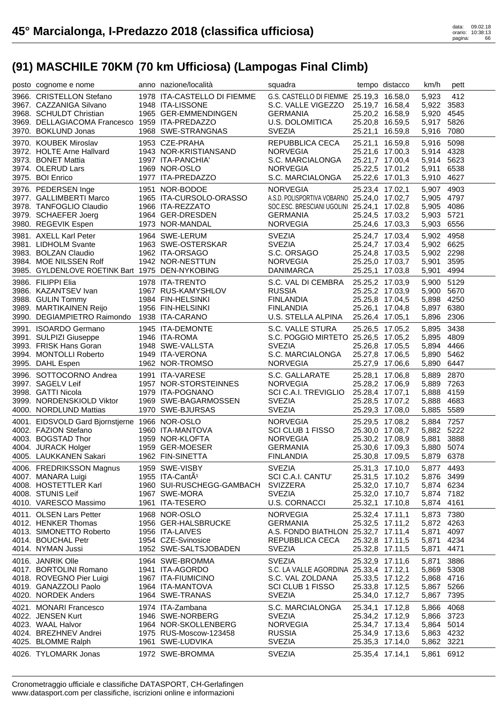| posto cognome e nome                            | anno nazione/località                       | squadra                                                    |                                    | tempo distacco  | km/h                     | pett         |
|-------------------------------------------------|---------------------------------------------|------------------------------------------------------------|------------------------------------|-----------------|--------------------------|--------------|
| 3966. CRISTELLON Stefano                        | 1978 ITA-CASTELLO DI FIEMME                 | G.S. CASTELLO DI FIEMME 25.19,3 16.58,0                    |                                    |                 | 5,923                    | 412          |
| 3967. CAZZANIGA Silvano                         | 1948 ITA-LISSONE                            | S.C. VALLE VIGEZZO                                         | 25.19,7 16.58,4                    |                 | 5,922                    | 3583         |
| 3968. SCHULDT Christian                         | 1965 GER-EMMENDINGEN                        | <b>GERMANIA</b>                                            | 25.20,2 16.58,9                    |                 | 5,920 4545               |              |
| 3969. DELLAGIACOMA Francesco 1959 ITA-PREDAZZO  |                                             | U.S. DOLOMITICA                                            | 25.20,8 16.59,5                    |                 | 5,917                    | 5826         |
| 3970. BOKLUND Jonas                             | 1968 SWE-STRANGNAS                          | <b>SVEZIA</b>                                              | 25.21,1 16.59,8                    |                 | 5,916                    | 7080         |
| 3970. KOUBEK Miroslav                           | 1953 CZE-PRAHA                              | REPUBBLICA CECA                                            | 25.21,1 16.59,8                    |                 | 5,916                    | 5098         |
| 3972. HOLTE Arne Hallvard                       | 1943 NOR-KRISTIANSAND                       | <b>NORVEGIA</b>                                            | 25.21,6 17.00,3                    |                 | 5,914                    | 4328         |
| 3973. BONET Mattia                              | 1997 ITA-PANCHIA'                           | S.C. MARCIALONGA                                           | 25.21,7 17.00,4                    |                 | 5,914                    | 5623         |
| 3974. OLERUD Lars                               | 1969 NOR-OSLO                               | <b>NORVEGIA</b>                                            | 25.22,5 17.01,2                    |                 | 5,911                    | 6538         |
| 3975. BOI Enrico                                | 1977 ITA-PREDAZZO                           | S.C. MARCIALONGA                                           | 25.22,6 17.01,3                    |                 | 5,910 4627               |              |
| 3976. PEDERSEN Inge                             | 1951 NOR-BODOE                              | <b>NORVEGIA</b>                                            | 25.23,4 17.02,1                    |                 | 5,907 4903               |              |
| 3977. GALLIMBERTI Marco                         | 1965 ITA-CURSOLO-ORASSO                     | A.S.D. POLISPORTIVA VOBARNO 25.24,0 17.02,7                |                                    |                 | 5,905 4797               |              |
| 3978. TANFOGLIO Claudio                         | 1966 ITA-REZZATO                            | SOC.ESC. BRESCIANI UGOLINI 25.24,1 17.02,8                 |                                    |                 | 5,905 4086               |              |
| 3979. SCHAEFER Joerg<br>3980. REGEVIK Espen     | 1964 GER-DRESDEN<br>1973 NOR-MANDAL         | <b>GERMANIA</b><br><b>NORVEGIA</b>                         | 25.24,5 17.03,2<br>25.24,6 17.03,3 |                 | 5,903<br>5,903           | 5721<br>6556 |
|                                                 |                                             |                                                            |                                    |                 |                          |              |
| 3981. AXELL Karl Peter<br>3981. LIDHOLM Svante  | 1964 SWE-LERUM<br>1963 SWE-OSTERSKAR        | <b>SVEZIA</b><br><b>SVEZIA</b>                             | 25.24,7 17.03,4<br>25.24,7 17.03,4 |                 | 5,902 4958<br>5,902 6625 |              |
| 3983. BOLZAN Claudio                            | 1962 ITA-ORSAGO                             | S.C. ORSAGO                                                | 25.24,8 17.03,5                    |                 | 5,902 2298               |              |
| 3984. MOE NILSSEN Rolf                          | 1942 NOR-NESTTUN                            | <b>NORVEGIA</b>                                            | 25.25,0 17.03,7                    |                 | 5,901                    | 3595         |
| 3985. GYLDENLOVE ROETINK Bart 1975 DEN-NYKOBING |                                             | <b>DANIMARCA</b>                                           | 25.25,1 17.03,8                    |                 | 5,901                    | 4994         |
| 3986. FILIPPI Elia                              | 1978 ITA-TRENTO                             | S.C. VAL DI CEMBRA                                         | 25.25,2 17.03,9                    |                 | 5,900                    | 5129         |
| 3986. KAZANTSEV Ivan                            | 1967 RUS-KAMYSHLOV                          | <b>RUSSIA</b>                                              | 25.25,2 17.03,9                    |                 | 5,900                    | 5670         |
| 3988. GULIN Tommy                               | 1984 FIN-HELSINKI                           | <b>FINLANDIA</b>                                           | 25.25,8 17.04,5                    |                 | 5,898                    | 4250         |
| 3989. MARTIKAINEN Reijo                         | 1956 FIN-HELSINKI                           | <b>FINLANDIA</b>                                           | 25.26,1 17.04,8                    |                 | 5,897                    | 6380         |
| 3990. DEGIAMPIETRO Raimondo 1938 ITA-CARANO     |                                             | U.S. STELLA ALPINA                                         | 25.26,4 17.05,1                    |                 | 5,896 2306               |              |
| 3991. ISOARDO Germano                           | 1945 ITA-DEMONTE                            | S.C. VALLE STURA                                           | 25.26,5 17.05,2                    |                 | 5,895                    | 3438         |
| 3991. SULPIZI Giuseppe                          | 1946 ITA-ROMA                               | S.C. POGGIO MIRTETO 25.26,5 17.05,2                        |                                    |                 | 5,895                    | 4809         |
| 3993. FRISK Hans Goran                          | 1948 SWE-VALLSTA                            | <b>SVEZIA</b>                                              | 25.26,8 17.05,5                    |                 | 5,894 4466               |              |
| 3994. MONTOLLI Roberto                          | 1949 ITA-VERONA                             | S.C. MARCIALONGA                                           | 25.27,8 17.06,5                    |                 | 5,890                    | 5462         |
| 3995. DAHL Espen                                | 1962 NOR-TROMSO                             | <b>NORVEGIA</b>                                            | 25.27,9 17.06,6                    |                 | 5,890                    | 6447         |
|                                                 |                                             |                                                            |                                    |                 |                          |              |
| 3996. SOTTOCORNO Andrea                         | 1991 ITA-VARESE                             | S.C. GALLARATE                                             | 25.28,1 17.06,8                    |                 | 5,889                    | 2870         |
| 3997. SAGELV Leif                               | 1957 NOR-STORSTEINNES                       | <b>NORVEGIA</b>                                            | 25.28,2 17.06,9                    |                 | 5,889                    | 7263         |
| 3998. GATTI Nicola                              | 1979 ITA-POGNANO                            | SCI C.A.I. TREVIGLIO                                       | 25.28,4 17.07,1                    |                 | 5,888                    | 4159         |
| 3999. NORDENSKIOLD Viktor                       | 1969 SWE-BAGARMOSSEN                        | <b>SVEZIA</b>                                              | 25.28,5 17.07,2                    |                 | 5,888                    | 4683         |
| 4000. NORDLUND Mattias                          | 1970 SWE-BJURSAS                            | <b>SVEZIA</b>                                              | 25.29,3 17.08,0                    |                 | 5,885                    | 5589         |
| 4001. EIDSVOLD Gard Bjornstjerne 1966 NOR-OSLO  |                                             | <b>NORVEGIA</b>                                            |                                    | 25.29,5 17.08,2 | 5,884 7257               |              |
| 4002. FAZION Stefano                            | 1960 ITA-MANTOVA                            | SCI CLUB 1 FISSO                                           |                                    | 25.30,0 17.08,7 | 5,882 5222               |              |
| 4003. BOGSTAD Thor                              | 1959 NOR-KLOFTA                             | <b>NORVEGIA</b>                                            | 25.30,2 17.08,9                    |                 | 5,881                    | 3888         |
| 4004. JURACK Holger                             | 1959 GER-MOESER                             | <b>GERMANIA</b>                                            | 25.30,6 17.09,3                    |                 | 5,880 5074               |              |
| 4005. LAUKKANEN Sakari                          | 1962 FIN-SINETTA                            | <b>FINLANDIA</b>                                           |                                    | 25.30,8 17.09,5 | 5,879 6378               |              |
| 4006. FREDRIKSSON Magnus                        | 1959 SWE-VISBY                              | <b>SVEZIA</b>                                              | 25.31,3 17.10,0                    |                 | 5,877 4493               |              |
| 4007. MANARA Luigi                              | 1955 ITA-CantA <sup>1</sup>                 | SCI C.A.I. CANTU'                                          | 25.31,5 17.10,2                    |                 | 5,876 3499               |              |
| 4008. HOSTETTLER Karl                           | 1960 SUI-RUSCHEGG-GAMBACH                   | <b>SVIZZERA</b>                                            | 25.32,0 17.10,7                    |                 | 5,874 6234               |              |
| 4008. STUNIS Leif                               | 1967 SWE-MORA                               | <b>SVEZIA</b>                                              | 25.32,0 17.10,7                    |                 | 5,874 7182               |              |
| 4010. VARESCO Massimo                           | 1961 ITA-TESERO                             | <b>U.S. CORNACCI</b>                                       | 25.32,1 17.10,8                    |                 | 5,874                    | 4161         |
| 4011. OLSEN Lars Petter                         | 1968 NOR-OSLO                               | <b>NORVEGIA</b>                                            | 25.32,4 17.11,1                    |                 | 5,873                    | 7380         |
| 4012. HENKER Thomas                             | 1956 GER-HALSBRUCKE                         | <b>GERMANIA</b>                                            | 25.32,5 17.11,2                    |                 | 5,872 4263               |              |
| 4013. SIMONETTO Roberto                         | 1956 ITA-LAIVES                             | A.S. FONDO BIATHLON 25.32,7 17.11,4                        |                                    |                 | 5,871                    | 4097         |
| 4014. BOUCHAL Petr<br>4014. NYMAN Jussi         | 1954 CZE-Svinosice<br>1952 SWE-SALTSJOBADEN | REPUBBLICA CECA<br><b>SVEZIA</b>                           | 25.32,8 17.11,5                    |                 | 5,871<br>5,871           | 4234<br>4471 |
|                                                 |                                             |                                                            | 25.32,8 17.11,5                    |                 |                          |              |
| 4016. JANRIK Olle<br>4017. BORTOLINI Romano     | 1964 SWE-BROMMA<br>1941 ITA-AGORDO          | <b>SVEZIA</b>                                              | 25.32,9 17.11,6                    |                 | 5,871                    | 3886         |
| 4018. ROVEGNO Pier Luigi                        | 1967 ITA-FIUMICINO                          | S.C. LA VALLE AGORDINA 25.33,4 17.12,1<br>S.C. VAL ZOLDANA | 25.33,5 17.12,2                    |                 | 5,869<br>5,868           | 5308<br>4716 |
| 4019. GANAZZOLI Paolo                           | 1964 ITA-MANTOVA                            | <b>SCI CLUB 1 FISSO</b>                                    | 25.33,8 17.12,5                    |                 | 5,867                    | 5266         |
| 4020. NORDEK Anders                             | 1964 SWE-TRANAS                             | <b>SVEZIA</b>                                              | 25.34,0 17.12,7                    |                 | 5,867                    | 7395         |
| 4021. MONARI Francesco                          | 1974 ITA-Zambana                            | S.C. MARCIALONGA                                           | 25.34,1 17.12,8                    |                 | 5,866                    | 4068         |
| 4022. JENSEN Kurt                               | 1946 SWE-NORBERG                            | <b>SVEZIA</b>                                              | 25.34,2 17.12,9                    |                 | 5,866 3723               |              |
| 4023. WAAL Halvor                               | 1964 NOR-SKOLLENBERG                        | <b>NORVEGIA</b>                                            | 25.34,7 17.13,4                    |                 | 5,864                    | 5014         |
| 4024. BREZHNEV Andrei                           | 1975 RUS-Moscow-123458                      | <b>RUSSIA</b>                                              | 25.34,9 17.13,6                    |                 | 5,863 4232               |              |
| 4025. BLOMME Ralph<br>4026. TYLOMARK Jonas      | 1961 SWE-LUDVIKA<br>1972 SWE-BROMMA         | <b>SVEZIA</b><br><b>SVEZIA</b>                             | 25.35,3 17.14,0<br>25.35,4 17.14,1 |                 | 5,862 3221<br>5,861      | 6912         |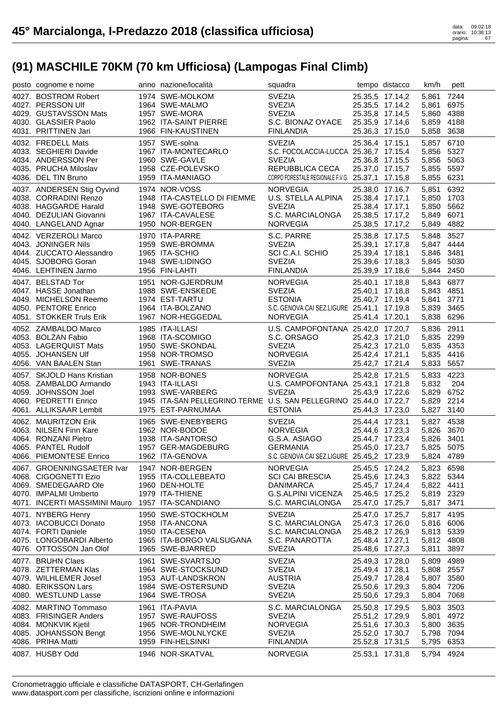| posto cognome e nome                 | anno nazione/località                                             | squadra                                          |                                    | tempo distacco  | km/h           | pett         |
|--------------------------------------|-------------------------------------------------------------------|--------------------------------------------------|------------------------------------|-----------------|----------------|--------------|
| 4027. BOSTROM Robert                 | 1974 SWE-MOLKOM                                                   | <b>SVEZIA</b>                                    |                                    | 25.35,5 17.14,2 | 5,861 7244     |              |
| 4027. PERSSON Ulf                    | 1964 SWE-MALMO                                                    | <b>SVEZIA</b>                                    |                                    | 25.35,5 17.14,2 | 5,861          | 6975         |
| 4029. GUSTAVSSON Mats                | 1957 SWE-MORA                                                     | <b>SVEZIA</b>                                    |                                    | 25.35,8 17.14,5 | 5,860 4388     |              |
| 4030. GLASSIER Paolo                 | 1962 ITA-SAINT PIERRE                                             | S.C. BIONAZ OYACE                                |                                    | 25.35,9 17.14,6 | 5,859 4188     |              |
| 4031. PRITTINEN Jari                 | 1966 FIN-KAUSTINEN                                                | <b>FINLANDIA</b>                                 |                                    | 25.36,3 17.15,0 | 5,858          | 3638         |
| 4032. FREDELL Mats                   | 1957 SWE-solna                                                    | <b>SVEZIA</b>                                    |                                    | 25.36,4 17.15,1 | 5,857 6710     |              |
| 4033. SEGHIERI Davide                | 1967 ITA-MONTECARLO                                               | S.C. FOCOLACCIA-LUCCA 25.36,7 17.15,4            |                                    |                 | 5,856 5327     |              |
| 4034. ANDERSSON Per                  | 1960 SWE-GAVLE                                                    | <b>SVEZIA</b>                                    |                                    | 25.36,8 17.15,5 | 5,856 5063     |              |
| 4035. PRUCHA Miloslav                | 1958 CZE-POLEVSKO                                                 | REPUBBLICA CECA                                  |                                    | 25.37,0 17.15,7 | 5,855 5597     |              |
| 4036. DEL TIN Bruno                  | 1959 ITA-MANIAGO                                                  | CORPO FORESTALE REGIONALE F.V.G. 25.37,1 17.15,8 |                                    |                 | 5,855 6231     |              |
| 4037. ANDERSEN Stig Oyvind           | 1974 NOR-VOSS                                                     | <b>NORVEGIA</b>                                  |                                    | 25.38,0 17.16,7 | 5,851          | 6392         |
| 4038. CORRADINI Renzo                | 1948 ITA-CASTELLO DI FIEMME                                       | U.S. STELLA ALPINA                               |                                    | 25.38,4 17.17,1 | 5,850 1703     |              |
| 4038. HAGGARDE Harald                | 1948 SWE-GOTEBORG                                                 | <b>SVEZIA</b>                                    |                                    | 25.38,4 17.17,1 | 5,850 5662     |              |
| 4040. DEZULIAN Giovanni              | 1967 ITA-CAVALESE                                                 | S.C. MARCIALONGA                                 |                                    | 25.38,5 17.17,2 | 5,849 6071     |              |
| 4040. LANGELAND Agnar                | 1950 NOR-BERGEN                                                   | <b>NORVEGIA</b>                                  |                                    | 25.38,5 17.17,2 | 5,849 4882     |              |
| 4042. VERZEROLI Marco                | 1970 ITA-PARRE                                                    | S.C. PARRE                                       |                                    | 25.38,8 17.17,5 | 5,848          | 3527         |
| 4043. JONINGER Nils                  | 1959 SWE-BROMMA                                                   | <b>SVEZIA</b>                                    |                                    | 25.39,1 17.17,8 | 5,847 4444     |              |
| 4044. ZUCCATO Alessandro             | 1965 ITA-SCHIO                                                    | SCI C.A.I. SCHIO                                 |                                    | 25.39,4 17.18,1 | 5,846 3481     |              |
| 4045. SJOBORG Goran                  | 1948 SWE-LIDINGO                                                  | <b>SVEZIA</b>                                    |                                    | 25.39,6 17.18,3 | 5,845 5030     |              |
| 4046. LEHTINEN Jarmo                 | 1956 FIN-LAHTI                                                    | <b>FINLANDIA</b>                                 |                                    | 25.39,9 17.18,6 | 5,844 2450     |              |
| 4047. BELSTAD Tor                    | 1951 NOR-GJERDRUM                                                 | <b>NORVEGIA</b>                                  |                                    | 25.40,1 17.18,8 | 5,843 6877     |              |
| 4047. HASSE Jonathan                 | 1988 SWE-ENSKEDE                                                  | <b>SVEZIA</b>                                    |                                    | 25.40,1 17.18,8 | 5,843 4851     |              |
| 4049. MICHELSON Reemo                | 1974 EST-TARTU                                                    | <b>ESTONIA</b>                                   |                                    | 25.40,7 17.19,4 | 5.841          | 3771         |
| 4050. PENTORE Enrico                 | 1964 ITA-BOLZANO                                                  | S.C. GENOVA CAI SEZ.LIGURE 25.41,1 17.19,8       |                                    |                 | 5,839 3465     |              |
| 4051. STOKKER Truls Erik             | 1967 NOR-HEGGEDAL                                                 | <b>NORVEGIA</b>                                  |                                    | 25.41,4 17.20,1 | 5,838 6296     |              |
| 4052. ZAMBALDO Marco                 | 1985 ITA-ILLASI                                                   | U.S. CAMPOFONTANA 25.42,0 17.20,7                |                                    |                 | 5,836 2911     |              |
| 4053. BOLZAN Fabio                   | 1968 ITA-SCOMIGO                                                  | S.C. ORSAGO                                      |                                    | 25.42,3 17.21,0 | 5,835 2299     |              |
| 4053. LAGERQUIST Mats                | 1950 SWE-SKONDAL                                                  | <b>SVEZIA</b>                                    |                                    | 25.42,3 17.21,0 | 5,835 4353     |              |
| 4055. JOHANSEN Ulf                   | 1958 NOR-TROMSO                                                   | NORVEGIA                                         | 25.42,4 17.21,1                    |                 | 5,835 4416     |              |
| 4056. VAN BAALEN Stan                | 1961 SWE-TRANAS                                                   | <b>SVEZIA</b>                                    | 25.42,7 17.21,4                    |                 | 5,833          | 5657         |
|                                      |                                                                   |                                                  |                                    |                 |                |              |
| 4057. SKJOLD Hans Kristian           | 1958 NOR-BONES                                                    | <b>NORVEGIA</b>                                  |                                    | 25.42,8 17.21,5 | 5,833          | 4223         |
| 4058. ZAMBALDO Armando               | 1943 ITA-ILLASI                                                   | U.S. CAMPOFONTANA 25.43,1 17.21,8                |                                    |                 | 5,832          | 204          |
| 4059. JOHNSSON Joel                  | 1993 SWE-VARBERG                                                  | <b>SVEZIA</b>                                    |                                    | 25.43,9 17.22,6 | 5,829 6752     |              |
| 4060. PEDRETTI Enrico                | 1945 ITA-SAN PELLEGRINO TERME U.S. SAN PELLEGRINO 25.44,0 17.22,7 |                                                  |                                    |                 | 5,829 2214     |              |
| 4061. ALLIKSAAR Lembit               | 1975 EST-PARNUMAA                                                 | <b>ESTONIA</b>                                   |                                    | 25.44,3 17.23,0 | 5,827 3140     |              |
| 4062. MAURITZON Erik                 | 1965 SWE-ENEBYBERG                                                | <b>SVEZIA</b>                                    |                                    | 25.44,4 17.23,1 | 5,827 4538     |              |
| 4063. NILSEN Finn Kare               | 1962 NOR-BODOE                                                    | NORVEGIA                                         |                                    | 25.44,6 17.23,3 | 5,826 3670     |              |
| 4064. RONZANI Pietro                 | 1938 ITA-SANTORSO                                                 | G.S.A. ASIAGO                                    |                                    | 25.44,7 17.23,4 | 5,826 3401     |              |
| 4065. PANTEL Rudolf                  | 1957 GER-MAGDEBURG                                                | <b>GERMANIA</b>                                  |                                    | 25.45,0 17.23,7 | 5,825 5075     |              |
| 4066. PIEMONTESE Enrico              | 1962 ITA-GENOVA                                                   | S.C. GENOVA CAI SEZ.LIGURE 25.45,2 17.23,9       |                                    |                 | 5,824 4789     |              |
| 4067. GROENNINGSAETER Ivar           | 1947 NOR-BERGEN                                                   | <b>NORVEGIA</b>                                  | 25.45,5 17.24,2                    |                 | 5,823 6598     |              |
| 4068. CIGOGNETTI Ezio                | 1955 ITA-COLLEBEATO                                               | <b>SCI CAI BRESCIA</b>                           | 25.45,6 17.24,3                    |                 | 5,822 5344     |              |
| 4069. SMEDEGAARD Ole                 | 1960 DEN-HOLTE                                                    | <b>DANIMARCA</b>                                 |                                    | 25.45,7 17.24,4 | 5,822 4411     |              |
| 4070. IMPALMI Umberto                | 1979 ITA-THIENE                                                   | G.S.ALPINI VICENZA                               | 25.46,5 17.25,2                    |                 | 5,819 2329     |              |
| 4071. INCERTI MASSIMINI Mauro        | 1957 ITA-SCANDIANO                                                | S.C. MARCIALONGA                                 | 25.47,0 17.25,7                    |                 | 5,817 3471     |              |
| 4071. NYBERG Henry                   | 1950 SWE-STOCKHOLM                                                | <b>SVEZIA</b>                                    | 25.47,0 17.25,7                    |                 | 5,817          | 4195         |
| 4073. IACOBUCCI Donato               | 1958 ITA-ANCONA                                                   | S.C. MARCIALONGA                                 | 25.47,3 17.26,0                    |                 | 5,816          | 6006         |
| 4074. FORTI Daniele                  | 1950 ITA-CESENA                                                   | S.C. MARCIALONGA                                 | 25.48,2 17.26,9                    |                 | 5,813 5339     |              |
| 4075. LONGOBARDI Alberto             | 1965 ITA-BORGO VALSUGANA                                          | S.C. PANAROTTA                                   | 25.48,4 17.27,1                    |                 | 5,812          | 4808         |
| 4076. OTTOSSON Jan Olof              | 1965 SWE-BJARRED                                                  | <b>SVEZIA</b>                                    | 25.48,6 17.27,3                    |                 | 5,811          | 3897         |
| 4077. BRUHN Claes                    | 1961 SWE-SVARTSJO                                                 | <b>SVEZIA</b>                                    | 25.49,3 17.28,0                    |                 | 5,809          | 4989         |
| 4078. ZETTERMAN Klas                 | 1964 SWE-STOCKSUND                                                | <b>SVEZIA</b>                                    | 25.49,4 17.28,1                    |                 | 5,808          | 2557         |
| 4079. WILHLEMER Josef                | 1953 AUT-LANDSKRON                                                | <b>AUSTRIA</b>                                   | 25.49,7 17.28,4                    |                 | 5,807 3580     |              |
| 4080. ERIKSSON Lars                  | 1984 SWE-OSTERSUND                                                | <b>SVEZIA</b>                                    | 25.50,6 17.29,3                    |                 | 5,804 7206     |              |
| 4080. WESTLUND Lasse                 | 1964 SWE-TROSA                                                    | <b>SVEZIA</b>                                    |                                    | 25.50,6 17.29,3 | 5,804 7068     |              |
| 4082. MARTINO Tommaso                | 1961 ITA-PAVIA                                                    | S.C. MARCIALONGA                                 | 25.50,8 17.29,5                    |                 | 5,803          | 3503         |
| 4083. FRISINGER Anders               | 1957 SWE-RAUFOSS                                                  | <b>SVEZIA</b>                                    | 25.51,2 17.29,9                    |                 | 5,801          | 4972         |
| 4084. MONKVIK Kjetil                 | 1965 NOR-TRONDHEIM                                                | <b>NORVEGIA</b>                                  | 25.51,6 17.30,3                    |                 | 5,800          | 3635         |
| 4085. JOHANSSON Bengt                | 1956 SWE-MOLNLYCKE                                                | <b>SVEZIA</b>                                    | 25.52,0 17.30,7                    |                 | 5,798          | 7094         |
| 4086. PRIHA Matti<br>4087. HUSBY Odd | 1959 FIN-HELSINKI<br>1946 NOR-SKATVAL                             | <b>FINLANDIA</b><br><b>NORVEGIA</b>              | 25.52,8 17.31,5<br>25.53,1 17.31,8 |                 | 5,795<br>5,794 | 6353<br>4924 |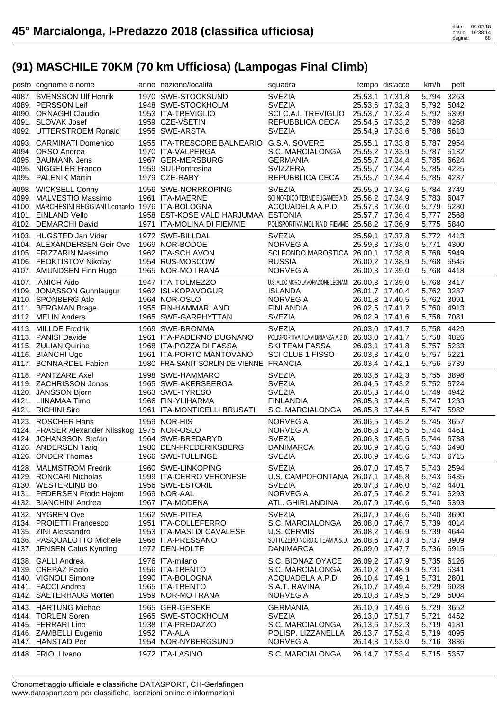| posto cognome e nome                                                                                                                                  | anno nazione/località                                                                                                                         | squadra                                                                                                                              |                                                                                                                | tempo distacco  | km/h                                                                   | pett         |
|-------------------------------------------------------------------------------------------------------------------------------------------------------|-----------------------------------------------------------------------------------------------------------------------------------------------|--------------------------------------------------------------------------------------------------------------------------------------|----------------------------------------------------------------------------------------------------------------|-----------------|------------------------------------------------------------------------|--------------|
| 4087. SVENSSON Ulf Henrik<br>4089. PERSSON Leif<br>4090. ORNAGHI Claudio<br>4091. SLOVAK Josef<br>4092. UTTERSTROEM Ronald                            | 1970 SWE-STOCKSUND<br>1948 SWE-STOCKHOLM<br>1953 ITA-TREVIGLIO<br>1959 CZE-VSETIN<br>1955 SWE-ARSTA                                           | <b>SVEZIA</b><br><b>SVEZIA</b><br>SCI C.A.I. TREVIGLIO<br>REPUBBLICA CECA<br><b>SVEZIA</b>                                           | 25.53,1 17.31,8<br>25.53,6 17.32,3<br>25.53,7 17.32,4<br>25.54,5 17.33,2<br>25.54,9 17.33,6                    |                 | 5,794<br>5,792 5042<br>5,792 5399<br>5,789 4268<br>5,788 5613          | 3263         |
| 4093. CARMINATI Domenico<br>4094. ORSO Andrea<br>4095. BAUMANN Jens<br>4095. NIGGELER Franco<br>4095. PALENIK Martin                                  | 1955 ITA-TRESCORE BALNEARIO G.S.A. SOVERE<br>1970 ITA-VALPERGA<br>1967 GER-MERSBURG<br>1959 SUI-Pontresina<br>1979 CZE-RABY                   | S.C. MARCIALONGA<br><b>GERMANIA</b><br><b>SVIZZERA</b><br>REPUBBLICA CECA                                                            | 25.55,1 17.33,8<br>25.55,2 17.33,9<br>25.55,7 17.34,4<br>25.55,7 17.34,4<br>25.55,7 17.34,4                    |                 | 5,787 2954<br>5,787 5132<br>5,785 6624<br>5,785 4225<br>5,785 4237     |              |
| 4098. WICKSELL Conny<br>4099. MALVESTIO Massimo<br>4100. MARCHESINI REGGIANI Leonardo 1976 ITA-BOLOGNA<br>4101. EINLAND Vello<br>4102. DEMARCHI David | 1956 SWE-NORRKOPING<br>1961 ITA-MAERNE<br>1958 EST-KOSE VALD HARJUMAA ESTONIA<br>1971 ITA-MOLINA DI FIEMME                                    | <b>SVEZIA</b><br>SCI NORDICO TERME EUGANEE A.D. 25.56,2 17.34,9<br>ACQUADELA A.P.D.<br>POLISPORTIVA MOLINA DI FIEMME 25.58,2 17.36,9 | 25.55,9 17.34,6<br>25.57,3 17.36,0<br>25.57,7 17.36,4                                                          |                 | 5,784 3749<br>5,783 6047<br>5,779 5280<br>5,777<br>5,775               | 2568<br>5840 |
| 4103. HUGSTED Jan Vidar<br>4104. ALEXANDERSEN Geir Ove<br>4105. FRIZZARIN Massimo<br>4106. FEOKTISTOV Nikolay<br>4107. AMUNDSEN Finn Hugo             | 1972 SWE-BILLDAL<br>1969 NOR-BODOE<br>1962 ITA-SCHIAVON<br>1954 RUS-MOSCOW<br>1965 NOR-MO I RANA                                              | <b>SVEZIA</b><br><b>NORVEGIA</b><br>SCI FONDO MAROSTICA 26.00,1 17.38,8<br><b>RUSSIA</b><br><b>NORVEGIA</b>                          | 25.59,1 17.37,8<br>25.59,3 17.38,0<br>26.00,2 17.38,9<br>26.00,3 17.39,0                                       |                 | 5,772 4413<br>5,771<br>5,768 5949<br>5,768 5545<br>5,768 4418          | 4300         |
| 4107. IANICH Aido<br>4109. JONASSON Gunnlaugur<br>4110. SPONBERG Atle<br>4111. BERGMAN Brage<br>4112. MELIN Anders                                    | 1947 ITA-TOLMEZZO<br>1962 ISL-KOPAVOGUR<br>1964 NOR-OSLO<br>1955 FIN-HAMMARLAND<br>1965 SWE-GARPHYTTAN                                        | U.S. ALDO MORO LAVORAZIONE LEGNAMI 26.00,3 17.39,0<br><b>ISLANDA</b><br><b>NORVEGIA</b><br><b>FINLANDIA</b><br><b>SVEZIA</b>         | 26.01,7 17.40,4<br>26.01,8 17.40,5<br>26.02,5 17.41,2<br>26.02,9 17.41,6                                       |                 | 5,768 3417<br>5,762 3287<br>5,762 3091<br>5,760 4913<br>5,758 7081     |              |
| 4113. MILLDE Fredrik<br>4113. PANISI Davide<br>4115. ZULIAN Quirino<br>4116. BIANCHI Ugo                                                              | 1969 SWE-BROMMA<br>1961 ITA-PADERNO DUGNANO<br>1968 ITA-POZZA DI FASSA<br>1961 ITA-PORTO MANTOVANO<br>1980 FRA-SANIT SORLIN DE VIENNE FRANCIA | <b>SVEZIA</b><br>POLISPORTIVA TEAM BRIANZA A.S.D. 26.03,0 17.41,7<br>SKI TEAM FASSA<br>SCI CLUB 1 FISSO                              | 26.03,0 17.41,7<br>26.03,1 17.41,8<br>26.03,3 17.42,0                                                          |                 | 5,758 4429<br>5,758 4826<br>5,757 5233<br>5,757 5221                   | 5739         |
| 4117. BONNARDEL Fabien                                                                                                                                |                                                                                                                                               |                                                                                                                                      |                                                                                                                | 26.03,4 17.42,1 | 5,756                                                                  |              |
| 4118. PANTZARE Axel<br>4119. ZACHRISSON Jonas<br>4120. JANSSON Bjorn<br>4121. LIINAMAA Timo<br>4121. RICHINI Siro                                     | 1998 SWE-HAMMARO<br>1965 SWE-AKERSBERGA<br>1963 SWE-TYRESO<br>1966 FIN-YLIHARMA<br>1961 ITA-MONTICELLI BRUSATI                                | <b>SVEZIA</b><br><b>SVEZIA</b><br><b>SVEZIA</b><br><b>FINLANDIA</b><br>S.C. MARCIALONGA                                              | 26.03,6 17.42,3<br>26.04,5 17.43,2<br>26.05,3 17.44,0<br>26.05,8 17.44,5<br>26.05,8 17.44,5                    |                 | 5,755 3898<br>5,752 6724<br>5,749 4942<br>5,747 1233<br>5,747 5982     |              |
| 4123. ROSCHER Hans<br>4124. FRASER Alexander Nilsskog 1975 NOR-OSLO<br>4124. JOHANSSON Stefan<br>4126. ANDERSEN Tariq<br>4126. ONDER Thomas           | 1959 NOR-HIS<br>1964 SWE-BREDARYD<br>1980 DEN-FREDERIKSBERG<br>1966 SWE-TULLINGE                                                              | <b>NORVEGIA</b><br><b>NORVEGIA</b><br><b>SVEZIA</b><br><b>DANIMARCA</b><br><b>SVEZIA</b>                                             | 26.06,5 17.45,2<br>26.06,8 17.45,5<br>26.06,8 17.45,5<br>26.06,9 17.45,6                                       | 26.06,9 17.45,6 | 5,745 3657<br>5,744 4461<br>5,744 6738<br>5,743 6498<br>5,743 6715     |              |
| 4128. MALMSTROM Fredrik<br>4129. RONCARI Nicholas<br>4130. WESTERLIND Bo<br>4131. PEDERSEN Frode Hajem<br>4132. BIANCHINI Andrea                      | 1960 SWE-LINKOPING<br>1999 ITA-CERRO VERONESE<br>1956 SWE-ESTORIL<br>1969 NOR-AAL<br>1967 ITA-MODENA                                          | <b>SVEZIA</b><br>U.S. CAMPOFONTANA 26.07,1 17.45,8<br><b>SVEZIA</b><br><b>NORVEGIA</b><br>ATL. GHIRLANDINA                           | 26.07,0 17.45,7<br>26.07,3 17.46,0<br>26.07,5 17.46,2<br>26.07,9 17.46,6                                       |                 | 5,743 2594<br>5,743 6435<br>5,742 4401<br>5,741 6293<br>5,740 5393     |              |
| 4132. NYGREN Ove<br>4134. PROIETTI Francesco<br>4135. ZINI Alessandro<br>4136. PASQUALOTTO Michele<br>4137. JENSEN Calus Kynding                      | 1962 SWE-PITEA<br>1951 ITA-COLLEFERRO<br>1953 ITA-MASI DI CAVALESE<br>1968 ITA-PRESSANO<br>1972 DEN-HOLTE                                     | <b>SVEZIA</b><br>S.C. MARCIALONGA<br>U.S. CERMIS<br>SOTTOZERO NORDIC TEAM A.S.D. 26.08,6 17.47,3<br><b>DANIMARCA</b>                 | 26.07,9 17.46,6<br>26.08,0 17.46,7<br>26.08,2 17.46,9<br>26.09,0 17.47,7                                       |                 | 5,740 3690<br>5,739 4014<br>5,739 4644<br>5,737 3909<br>5,736 6915     |              |
| 4138. GALLI Andrea<br>4139. CREPAZ Paolo<br>4140. VIGNOLI Simone<br>4141. FACCI Andrea<br>4142. SAETERHAUG Morten                                     | 1976 ITA-milano<br>1956 ITA-TRENTO<br>1990 ITA-BOLOGNA<br>1965 ITA-TRENTO<br>1959 NOR-MO I RANA                                               | S.C. BIONAZ OYACE<br>S.C. MARCIALONGA<br>ACQUADELA A.P.D.<br>S.A.T. RAVINA<br><b>NORVEGIA</b>                                        | 26.09,2 17.47,9<br>26.10,2 17.48,9<br>26.10,4 17.49,1<br>26.10,7 17.49,4<br>26.10,8 17.49,5                    |                 | 5,735 6126<br>5,731 5341<br>5,731<br>5,729<br>5,729 5004               | 2801<br>6028 |
| 4143. HARTUNG Michael<br>4144. TORLEN Soren<br>4145. FERRARI Lino<br>4146. ZAMBELLI Eugenio<br>4147. HANSTAD Per<br>4148. FRIOLI Ivano                | 1965 GER-GESEKE<br>1965 SWE-STOCKHOLM<br>1938 ITA-PREDAZZO<br>1952 ITA-ALA<br>1954 NOR-NYBERGSUND<br>1972 ITA-LASINO                          | <b>GERMANIA</b><br><b>SVEZIA</b><br>S.C. MARCIALONGA<br>POLISP. LIZZANELLA<br><b>NORVEGIA</b><br>S.C. MARCIALONGA                    | 26.10,9 17.49,6<br>26.13,0 17.51,7<br>26.13,6 17.52,3<br>26.13,7 17.52,4<br>26.14,3 17.53,0<br>26.14,7 17.53,4 |                 | 5,729<br>5,721<br>5,719 4181<br>5,719 4095<br>5,716 3836<br>5,715 5357 | 3652<br>4452 |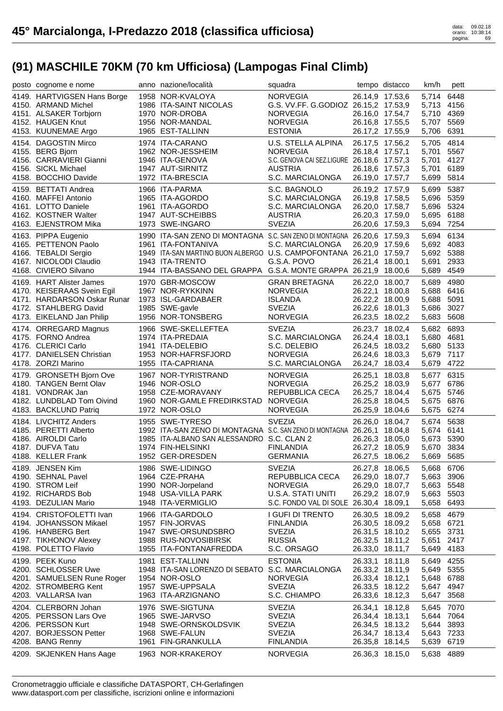| posto cognome e nome        | anno nazione/località                                                   | squadra                                    |                 | tempo distacco  | km/h       | pett |
|-----------------------------|-------------------------------------------------------------------------|--------------------------------------------|-----------------|-----------------|------------|------|
| 4149. HARTVIGSEN Hans Borge | 1958 NOR-KVALOYA                                                        | <b>NORVEGIA</b>                            |                 | 26.14,9 17.53,6 | 5.714      | 6448 |
| 4150. ARMAND Michel         | 1986 ITA-SAINT NICOLAS                                                  | G.S. VV.FF. G.GODIOZ 26.15,2 17.53,9       |                 |                 | 5,713 4156 |      |
| 4151. ALSAKER Torbjorn      | 1970 NOR-DROBA                                                          | <b>NORVEGIA</b>                            |                 | 26.16,0 17.54,7 | 5,710 4369 |      |
| 4152. HAUGEN Knut           | 1956 NOR-MANDAL                                                         | <b>NORVEGIA</b>                            |                 | 26.16,8 17.55,5 | 5,707      | 5569 |
| 4153. KUUNEMAE Argo         | 1965 EST-TALLINN                                                        | <b>ESTONIA</b>                             |                 | 26.17,2 17.55,9 | 5,706      | 6391 |
| 4154. DAGOSTIN Mirco        | 1974 ITA-CARANO                                                         | U.S. STELLA ALPINA                         |                 | 26.17,5 17.56,2 | 5,705      | 4814 |
| 4155. BERG Bjorn            | 1962 NOR-JESSHEIM                                                       | <b>NORVEGIA</b>                            | 26.18,4 17.57,1 |                 | 5,701      | 5567 |
| 4156. CARRAVIERI Gianni     | 1946 ITA-GENOVA                                                         | S.C. GENOVA CAI SEZ.LIGURE 26.18,6 17.57,3 |                 |                 | 5,701      | 4127 |
| 4156. SICKL Michael         | 1947 AUT-SIRNITZ                                                        | <b>AUSTRIA</b>                             |                 | 26.18,6 17.57,3 | 5,701      | 6189 |
| 4158. BOCCHIO Davide        | 1972 ITA-BRESCIA                                                        | S.C. MARCIALONGA                           |                 | 26.19,0 17.57,7 | 5,699      | 5814 |
| 4159. BETTATI Andrea        | 1966 ITA-PARMA                                                          | S.C. BAGNOLO                               |                 | 26.19,2 17.57,9 | 5,699      | 5387 |
| 4160. MAFFEI Antonio        | 1965 ITA-AGORDO                                                         | S.C. MARCIALONGA                           |                 | 26.19,8 17.58,5 | 5,696 5359 |      |
| 4161. LOTTO Daniele         | 1961 ITA-AGORDO                                                         | S.C. MARCIALONGA                           |                 | 26.20,0 17.58,7 | 5,696 5324 |      |
| 4162. KOSTNER Walter        | 1947 AUT-SCHEIBBS                                                       | <b>AUSTRIA</b>                             |                 | 26.20,3 17.59,0 | 5,695      | 6188 |
| 4163. EJENSTROM Mika        | 1973 SWE-INGARO                                                         | <b>SVEZIA</b>                              |                 | 26.20,6 17.59,3 | 5,694 7254 |      |
| 4163. PIPPA Eugenio         | 1990 ITA-SAN ZENO DI MONTAGNA S.C. SAN ZENO DI MONTAGNA 26.20,6 17.59,3 |                                            |                 |                 | 5,694      | 6134 |
| 4165. PETTENON Paolo        | 1961 ITA-FONTANIVA                                                      | S.C. MARCIALONGA                           |                 | 26.20,9 17.59,6 | 5,692 4083 |      |
| 4166. TEBALDI Sergio        | 1949 ITA-SAN MARTINO BUON ALBERGO U.S. CAMPOFONTANA 26.21,0 17.59,7     |                                            |                 |                 | 5,692 5388 |      |
| 4167. NICOLODI Claudio      | 1943 ITA-TRENTO                                                         | G.S.A. POVO                                | 26.21,4 18.00,1 |                 | 5,691      | 2933 |
| 4168. CIVIERO Silvano       | 1944 ITA-BASSANO DEL GRAPPA G.S.A. MONTE GRAPPA 26.21,9 18.00,6         |                                            |                 |                 | 5,689      | 4549 |
| 4169. HART Alister James    | 1970 GBR-MOSCOW                                                         | <b>GRAN BRETAGNA</b>                       |                 | 26.22,0 18.00,7 | 5,689      | 4980 |
| 4170. KEISERAAS Svein Egil  | 1967 NOR-RYKKINN                                                        | <b>NORVEGIA</b>                            |                 | 26.22,1 18.00,8 | 5.688 6416 |      |
| 4171. HARDARSON Oskar Runar | 1973 ISL-GARDABAER                                                      | <b>ISLANDA</b>                             |                 | 26.22,2 18.00,9 | 5,688      | 5091 |
| 4172. STAHLBERG David       | 1985 SWE-gavle                                                          | <b>SVEZIA</b>                              |                 | 26.22,6 18.01,3 | 5,686      | 3027 |
| 4173. EIKELAND Jan Philip   | 1956 NOR-TONSBERG                                                       | <b>NORVEGIA</b>                            |                 | 26.23,5 18.02,2 | 5,683 5608 |      |
| 4174. ORREGARD Magnus       | 1966 SWE-SKELLEFTEA                                                     | <b>SVEZIA</b>                              |                 | 26.23,7 18.02,4 | 5,682 6893 |      |
| 4175. FORNO Andrea          | 1974 ITA-PREDAIA                                                        | S.C. MARCIALONGA                           | 26.24,4 18.03,1 |                 | 5,680 4681 |      |
| 4176. CLERICI Carlo         | 1941 ITA-DELEBIO                                                        | S.C. DELEBIO                               |                 | 26.24,5 18.03,2 | 5,680 5133 |      |
| 4177. DANIELSEN Christian   | 1953 NOR-HAFRSFJORD                                                     | <b>NORVEGIA</b>                            |                 | 26.24,6 18.03,3 | 5,679      | 7117 |
| 4178. ZORZI Marino          | 1955 ITA-CAPRIANA                                                       | S.C. MARCIALONGA                           |                 | 26.24,7 18.03,4 | 5,679      | 4722 |
| 4179. GRONSETH Bjorn Ove    | 1967 NOR-TYRISTRAND                                                     | <b>NORVEGIA</b>                            |                 | 26.25,1 18.03,8 | 5,677      | 6315 |
| 4180. TANGEN Bernt Olav     | 1946 NOR-OSLO                                                           | <b>NORVEGIA</b>                            |                 | 26.25,2 18.03,9 | 5,677 6786 |      |
| 4181. VONDRAK Jan           | 1958 CZE-MORAVANY                                                       | REPUBBLICA CECA                            |                 | 26.25,7 18.04,4 | 5,675      | 5746 |
| 4182. LUNDBLAD Tom Oivind   | 1960 NOR-GAMLE FREDIRKSTAD NORVEGIA                                     |                                            |                 | 26.25,8 18.04,5 | 5,675      | 6876 |
| 4183. BACKLUND Patriq       | 1972 NOR-OSLO                                                           | <b>NORVEGIA</b>                            |                 | 26.25,9 18.04,6 | 5,675 6274 |      |
| 4184. LIVCHITZ Anders       | 1955 SWE-TYRESO                                                         | <b>SVEZIA</b>                              |                 | 26.26,0 18.04,7 | 5,674      | 5638 |
| 4185. PERETTI Alberto       | 1992 ITA-SAN ZENO DI MONTAGNA S.C. SAN ZENO DI MONTAGNA 26.26,1 18.04,8 |                                            |                 |                 | 5,674 6141 |      |
| 4186. AIROLDI Carlo         | 1985 ITA-ALBANO SAN ALESSANDRO S.C. CLAN 2                              |                                            |                 | 26.26,3 18.05,0 | 5,673      | 5390 |
| 4187. DUFVA Tatu            | 1974 FIN-HELSINKI                                                       | <b>FINLANDIA</b>                           | 26.27,2 18.05,9 |                 | 5,670 3834 |      |
| 4188. KELLER Frank          | 1952 GER-DRESDEN                                                        | <b>GERMANIA</b>                            |                 | 26.27,5 18.06,2 | 5,669      | 5685 |
| 4189. JENSEN Kim            | 1986 SWE-LIDINGO                                                        | <b>SVEZIA</b>                              |                 | 26.27,8 18.06,5 | 5,668 6706 |      |
| 4190. SEHNAL Pavel          | 1964 CZE-PRAHA                                                          | REPUBBLICA CECA                            |                 | 26.29,0 18.07,7 | 5,663 3906 |      |
| 4190. STROM Leif            | 1990 NOR-Jorpeland                                                      | <b>NORVEGIA</b>                            |                 | 26.29,0 18.07,7 | 5,663 5548 |      |
| 4192. RICHARDS Bob          | 1948 USA-VILLA PARK                                                     | U.S.A. STATI UNITI                         | 26.29,2 18.07,9 |                 | 5,663 5503 |      |
| 4193. DEZULIAN Mario        | 1948 ITA-VERMIGLIO                                                      | S.C. FONDO VAL DI SOLE 26.30,4 18.09,1     |                 |                 | 5,658      | 6493 |
| 4194. CRISTOFOLETTI Ivan    | 1966 ITA-GARDOLO                                                        | <b>I GUFI DI TRENTO</b>                    |                 | 26.30,5 18.09,2 | 5,658 4679 |      |
| 4194. JOHANSSON Mikael      | 1957 FIN-JORVAS                                                         | <b>FINLANDIA</b>                           |                 | 26.30,5 18.09,2 | 5,658 6721 |      |
| 4196. HANBERG Bert          | 1947 SWE-ORSUNDSBRO                                                     | <b>SVEZIA</b>                              |                 | 26.31,5 18.10,2 | 5,655 3731 |      |
| 4197. TIKHONOV Alexey       | 1988 RUS-NOVOSIBIRSK                                                    | <b>RUSSIA</b>                              |                 | 26.32,5 18.11,2 | 5,651      | 2417 |
| 4198. POLETTO Flavio        | 1955 ITA-FONTANAFREDDA                                                  | S.C. ORSAGO                                |                 | 26.33,0 18.11,7 | 5,649      | 4183 |
| 4199. PEEK Kuno             | 1981 EST-TALLINN                                                        | <b>ESTONIA</b>                             |                 | 26.33,1 18.11,8 | 5,649      | 4255 |
| 4200. SCHLOSSER Uwe         | 1948 ITA-SAN LORENZO DI SEBATO S.C. MARCIALONGA                         |                                            |                 | 26.33,2 18.11,9 | 5,649 5355 |      |
| 4201. SAMUELSEN Rune Roger  | 1954 NOR-OSLO                                                           | <b>NORVEGIA</b>                            | 26.33,4 18.12,1 |                 | 5,648 6788 |      |
| 4202. STROMBERG Kent        | 1957 SWE-UPPSALA                                                        | <b>SVEZIA</b>                              |                 | 26.33,5 18.12,2 | 5,647 4947 |      |
| 4203. VALLARSA Ivan         | 1963 ITA-ARZIGNANO                                                      | S.C. CHIAMPO                               |                 | 26.33,6 18.12,3 | 5,647      | 3568 |
| 4204. CLERBORN Johan        | 1976 SWE-SIGTUNA                                                        | <b>SVEZIA</b>                              |                 | 26.34,1 18.12,8 | 5,645      | 7070 |
| 4205. PERSSON Lars Ove      | 1965 SWE-JARVSO                                                         | <b>SVEZIA</b>                              |                 | 26.34,4 18.13,1 | 5,644 7064 |      |
| 4206. PERSSON Kurt          | 1948 SWE-ORNSKOLDSVIK                                                   | <b>SVEZIA</b>                              |                 | 26.34,5 18.13,2 | 5,644      | 3893 |
|                             |                                                                         |                                            |                 |                 |            |      |
| 4207. BORJESSON Petter      | 1968 SWE-FALUN                                                          | <b>SVEZIA</b>                              |                 | 26.34,7 18.13,4 | 5,643 7233 |      |
| 4208. BANG Renny            | 1961 FIN-GRANKULLA                                                      | <b>FINLANDIA</b>                           |                 | 26.35,8 18.14,5 | 5,639      | 6719 |
| 4209. SKJENKEN Hans Aage    | 1963 NOR-KRAKEROY                                                       | <b>NORVEGIA</b>                            |                 | 26.36,3 18.15,0 | 5,638      | 4889 |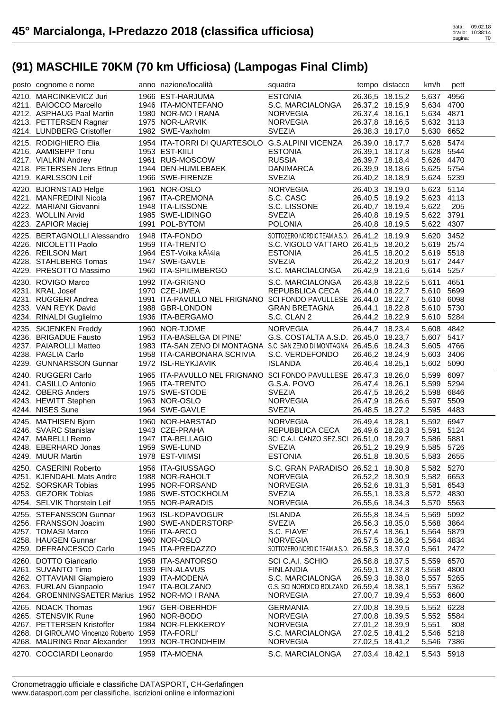| posto cognome e nome                                     | anno nazione/località                                                   | squadra                                                   |                                    | tempo distacco  | km/h                     | pett       |
|----------------------------------------------------------|-------------------------------------------------------------------------|-----------------------------------------------------------|------------------------------------|-----------------|--------------------------|------------|
| 4210. MARCINKEVICZ Juri                                  | 1966 EST-HARJUMA                                                        | <b>ESTONIA</b>                                            | 26.36,5 18.15,2                    |                 | 5,637 4956               |            |
| 4211. BAIOCCO Marcello                                   | 1946 ITA-MONTEFANO                                                      | S.C. MARCIALONGA                                          | 26.37,2 18.15,9                    |                 | 5,634 4700               |            |
| 4212. ASPHAUG Paal Martin                                | 1980 NOR-MO I RANA                                                      | <b>NORVEGIA</b>                                           | 26.37,4 18.16,1                    |                 | 5,634 4871               |            |
| 4213. PETTERSEN Ragnar                                   | 1975 NOR-LARVIK                                                         | <b>NORVEGIA</b>                                           | 26.37,8 18.16,5                    |                 | 5,632 3113               |            |
| 4214. LUNDBERG Cristoffer                                | 1982 SWE-Vaxholm                                                        | <b>SVEZIA</b>                                             | 26.38,3 18.17,0                    |                 | 5,630 6652               |            |
| 4215. RODIGHIERO Elia                                    | 1954 ITA-TORRI DI QUARTESOLO G.S.ALPINI VICENZA                         |                                                           | 26.39,0 18.17,7                    |                 | 5,628 5474               |            |
| 4216. AAMISEPP Tonu                                      | 1953 EST-KIILI                                                          | <b>ESTONIA</b>                                            | 26.39,1 18.17,8                    |                 | 5,628 5544               |            |
| 4217. VIALKIN Andrey                                     | 1961 RUS-MOSCOW                                                         | <b>RUSSIA</b>                                             | 26.39,7 18.18,4                    |                 | 5,626 4470               |            |
| 4218. PETERSEN Jens Ettrup                               | 1944 DEN-HUMLEBAEK                                                      | <b>DANIMARCA</b>                                          | 26.39,9 18.18,6                    |                 | 5,625 5754               |            |
| 4219. KARLSSON Leif                                      | 1966 SWE-FIRENZE                                                        | <b>SVEZIA</b>                                             | 26.40,2 18.18,9                    |                 | 5,624 5239               |            |
|                                                          |                                                                         |                                                           |                                    |                 |                          |            |
| 4220. BJORNSTAD Helge                                    | 1961 NOR-OSLO                                                           | <b>NORVEGIA</b><br>S.C. CASC                              | 26.40,3 18.19,0                    |                 | 5,623 5114               |            |
| 4221. MANFREDINI Nicola<br>4222. MARIANI Giovanni        | 1967 ITA-CREMONA                                                        | S.C. LISSONE                                              | 26.40,5 18.19,2                    | 26.40,7 18.19,4 | 5,623 4113               | 205        |
| 4223. WOLLIN Arvid                                       | 1948 ITA-LISSONE<br>1985 SWE-LIDINGO                                    | <b>SVEZIA</b>                                             |                                    |                 | 5,622<br>5,622 3791      |            |
| 4223. ZAPIOR Maciej                                      | 1991 POL-BYTOM                                                          | <b>POLONIA</b>                                            | 26.40,8 18.19,5<br>26.40,8 18.19,5 |                 | 5,622 4307               |            |
|                                                          |                                                                         |                                                           |                                    |                 |                          |            |
| 4225. BERTAGNOLLI Alessandro                             | 1948 ITA-FONDO                                                          | SOTTOZERO NORDIC TEAM A.S.D. 26.41,2 18.19,9              |                                    |                 | 5,620 3452               |            |
| 4226. NICOLETTI Paolo                                    | 1959 ITA-TRENTO                                                         | S.C. VIGOLO VATTARO 26.41,5 18.20,2                       |                                    |                 | 5,619 2574               |            |
| 4226. REILSON Mart                                       | 1964 EST-Voika kļla                                                     | <b>ESTONIA</b>                                            | 26.41,5 18.20,2                    |                 | 5,619 5518               |            |
| 4228. STAHLBERG Tomas                                    | 1947 SWE-GAVLE                                                          | <b>SVEZIA</b>                                             | 26.42,2 18.20,9                    |                 | 5,617 2447               |            |
| 4229. PRESOTTO Massimo                                   | 1960 ITA-SPILIMBERGO                                                    | S.C. MARCIALONGA                                          | 26.42,9 18.21,6                    |                 | 5,614 5257               |            |
| 4230. ROVIGO Marco                                       | 1992 ITA-GRIGNO                                                         | S.C. MARCIALONGA                                          | 26.43,8 18.22,5                    |                 | 5,611                    | 4651       |
| 4231. KRAL Josef                                         | 1970 CZE-UMEA                                                           | REPUBBLICA CECA                                           | 26.44,0 18.22,7                    |                 | 5,610 5699               |            |
| 4231. RUGGERI Andrea                                     | 1991 ITA-PAVULLO NEL FRIGNANO SCI FONDO PAVULLESE 26.44,0 18.22,7       |                                                           |                                    |                 | 5,610 6098               |            |
| 4233. VAN REYK David                                     | 1988 GBR-LONDON                                                         | <b>GRAN BRETAGNA</b>                                      | 26.44,1 18.22,8                    |                 | 5,610 5730               |            |
| 4234. RINALDI Guglielmo                                  | 1936 ITA-BERGAMO                                                        | S.C. CLAN 2                                               | 26.44,2 18.22,9                    |                 | 5,610 5284               |            |
| 4235. SKJENKEN Freddy                                    | 1960 NOR-TJOME                                                          | <b>NORVEGIA</b>                                           | 26.44,7 18.23,4                    |                 | 5,608 4842               |            |
| 4236. BRIGADUE Fausto                                    | 1953 ITA-BASELGA DI PINE'                                               | G.S. COSTALTA A.S.D. 26.45,0 18.23,7                      |                                    |                 | 5,607 5417               |            |
| 4237. PAIAROLLI Matteo                                   | 1983 ITA-SAN ZENO DI MONTAGNA S.C. SAN ZENO DI MONTAGNA 26.45,6 18.24,3 |                                                           |                                    |                 | 5,605 4766               |            |
| 4238. PAGLIA Carlo                                       | 1958 ITA-CARBONARA SCRIVIA                                              | S.C. VERDEFONDO                                           | 26.46,2 18.24,9                    |                 | 5,603                    | 3406       |
| 4239. GUNNARSSON Gunnar                                  | 1972 ISL-REYKJAVIK                                                      | <b>ISLANDA</b>                                            | 26.46,4 18.25,1                    |                 | 5,602                    | 5090       |
| 4240. RUGGERI Carlo                                      | 1965 ITA-PAVULLO NEL FRIGNANO SCI FONDO PAVULLESE 26.47,3 18.26,0       |                                                           |                                    |                 | 5,599                    | 6097       |
| 4241. CASILLO Antonio                                    | 1965 ITA-TRENTO                                                         | G.S.A. POVO                                               | 26.47,4 18.26,1                    |                 | 5,599                    | 5294       |
| 4242. OBERG Anders                                       | 1975 SWE-STODE                                                          | <b>SVEZIA</b>                                             | 26.47,5 18.26,2                    |                 | 5,598 6846               |            |
| 4243. HEWITT Stephen                                     | 1963 NOR-OSLO                                                           | <b>NORVEGIA</b>                                           | 26.47,9 18.26,6                    |                 | 5,597                    | 5509       |
| 4244. NISES Sune                                         | 1964 SWE-GAVLE                                                          | <b>SVEZIA</b>                                             | 26.48,5 18.27,2                    |                 | 5,595 4483               |            |
| 4245. MATHISEN Bjorn                                     | 1960 NOR-HARSTAD                                                        | <b>NORVEGIA</b>                                           | 26.49,4 18.28,1                    |                 |                          | 5,592 6947 |
| 4246. SVARC Stanislav                                    | 1943 CZE-PRAHA                                                          | REPUBBLICA CECA                                           |                                    |                 |                          |            |
|                                                          |                                                                         |                                                           |                                    |                 |                          |            |
| 4247. MARELLI Remo                                       |                                                                         |                                                           | 26.49,6 18.28,3                    |                 | 5,591 5124               |            |
| 4248. EBERHARD Jonas                                     | 1947 ITA-BELLAGIO<br>1959 SWE-LUND                                      | SCI C.A.I. CANZO SEZ.SCI 26.51,0 18.29,7<br><b>SVEZIA</b> | 26.51,2 18.29,9                    |                 | 5,586 5881<br>5,585 5726 |            |
| 4249. MUUR Martin                                        | 1978 EST-VIIMSI                                                         | <b>ESTONIA</b>                                            |                                    |                 |                          |            |
|                                                          |                                                                         |                                                           |                                    | 26.51,8 18.30,5 | 5,583 2655               |            |
| 4250. CASERINI Roberto                                   | 1956 ITA-GIUSSAGO                                                       | S.C. GRAN PARADISO 26.52,1 18.30,8                        |                                    |                 | 5,582 5270               |            |
| 4251. KJENDAHL Mats Andre                                | 1988 NOR-RAHOLT                                                         | <b>NORVEGIA</b>                                           | 26.52,2 18.30,9                    |                 | 5,582 6653               |            |
| 4252. SORSKAR Tobias                                     | 1995 NOR-FORSAND                                                        | <b>NORVEGIA</b>                                           | 26.52,6 18.31,3                    |                 | 5,581                    | 6543       |
| 4253. GEZORK Tobias<br>4254. SELVIK Thorstein Leif       | 1986 SWE-STOCKHOLM<br>1955 NOR-PARADIS                                  | <b>SVEZIA</b><br><b>NORVEGIA</b>                          | 26.55,1 18.33,8<br>26.55,6 18.34,3 |                 | 5,572 4830<br>5,570      | 5563       |
|                                                          |                                                                         |                                                           |                                    |                 |                          |            |
| 4255. STEFANSSON Gunnar                                  | 1963 ISL-KOPAVOGUR                                                      | <b>ISLANDA</b>                                            | 26.55,8 18.34,5                    |                 | 5,569                    | 5092       |
| 4256. FRANSSON Joacim                                    | 1980 SWE-ANDERSTORP                                                     | <b>SVEZIA</b>                                             | 26.56,3 18.35,0                    |                 | 5,568                    | 3864       |
| 4257. TOMASI Marco                                       | 1956 ITA-ARCO                                                           | S.C. FIAVE'                                               | 26.57,4 18.36,1                    |                 | 5,564                    | 5879       |
| 4258. HAUGEN Gunnar<br>4259. DEFRANCESCO Carlo           | 1960 NOR-OSLO                                                           | <b>NORVEGIA</b>                                           | 26.57,5 18.36,2                    |                 | 5,564                    | 4834       |
|                                                          | 1945 ITA-PREDAZZO                                                       | SOTTOZERO NORDIC TEAM A.S.D. 26.58,3 18.37,0              |                                    |                 | 5,561                    | 2472       |
| 4260. DOTTO Giancarlo                                    | 1958 ITA-SANTORSO                                                       | SCI C.A.I. SCHIO                                          | 26.58,8 18.37,5                    |                 | 5,559                    | 6570       |
| 4261. SUVANTO Timo                                       | 1939 FIN-ALAVUS                                                         | <b>FINLANDIA</b>                                          | 26.59,1 18.37,8                    |                 | 5,558                    | 4800       |
| 4262. OTTAVIANI Giampiero                                | 1939 ITA-MODENA                                                         | S.C. MARCIALONGA                                          | 26.59,3 18.38,0                    |                 | 5,557 5265               |            |
| 4263. FURLAN Gianpaolo                                   | 1947 ITA-BOLZANO                                                        | G.S. SCI NORDICO BOLZANO                                  | 26.59,4 18.38,1                    |                 | 5,557 5362               |            |
| 4264. GROENNINGSAETER Marius 1952 NOR-MO I RANA          |                                                                         | <b>NORVEGIA</b>                                           | 27.00,7 18.39,4                    |                 | 5,553                    | 6600       |
| 4265. NOACK Thomas                                       | 1967 GER-OBERHOF                                                        | <b>GERMANIA</b>                                           | 27.00,8 18.39,5                    |                 | 5,552                    | 6228       |
| 4265. STENSVIK Rune                                      | 1960 NOR-BODO                                                           | <b>NORVEGIA</b>                                           | 27.00,8 18.39,5                    |                 | 5,552 5584               |            |
| 4267. PETTERSEN Kristoffer                               | 1984 NOR-FLEKKEROY                                                      | <b>NORVEGIA</b>                                           | 27.01,2 18.39,9                    |                 | 5,551                    | 808        |
| 4268. DI GIROLAMO Vincenzo Roberto 1959 ITA-FORLI'       |                                                                         | S.C. MARCIALONGA                                          | 27.02,5 18.41,2                    |                 | 5,546 5218               |            |
| 4268. MAURING Roar Alexander<br>4270. COCCIARDI Leonardo | 1993 NOR-TRONDHEIM<br>1959 ITA-MOENA                                    | <b>NORVEGIA</b><br>S.C. MARCIALONGA                       | 27.02,5 18.41,2<br>27.03,4 18.42,1 |                 | 5,546<br>5,543 5918      | 7386       |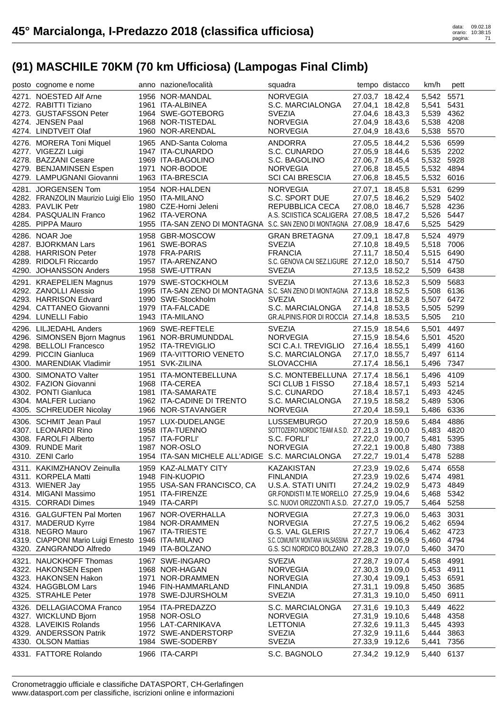| posto cognome e nome                                | anno nazione/località                                                   | squadra                                                                                 |                                    | tempo distacco  | km/h                | pett         |
|-----------------------------------------------------|-------------------------------------------------------------------------|-----------------------------------------------------------------------------------------|------------------------------------|-----------------|---------------------|--------------|
| 4271. NOESTED Alf Arne                              | 1956 NOR-MANDAL                                                         | <b>NORVEGIA</b>                                                                         |                                    | 27.03,7 18.42,4 | 5,542 5571          |              |
| 4272. RABITTI Tiziano                               | 1961 ITA-ALBINEA                                                        | S.C. MARCIALONGA                                                                        |                                    | 27.04,1 18.42,8 | 5,541               | 5431         |
| 4273. GUSTAFSSON Peter                              | 1964 SWE-GOTEBORG                                                       | <b>SVEZIA</b>                                                                           |                                    | 27.04,6 18.43,3 | 5,539 4362          |              |
| 4274. JENSEN Paal                                   | 1968 NOR-TISTEDAL                                                       | NORVEGIA                                                                                |                                    | 27.04,9 18.43,6 | 5,538 4208          |              |
| 4274. LINDTVEIT Olaf                                | 1960 NOR-ARENDAL                                                        | NORVEGIA                                                                                |                                    | 27.04,9 18.43,6 | 5,538               | 5570         |
| 4276. MORERA Toni Miquel                            | 1965 AND-Santa Coloma                                                   | ANDORRA                                                                                 |                                    | 27.05,5 18.44,2 | 5,536               | 6599         |
| 4277. VIGEZZI Luigi                                 | 1947 ITA-CUNARDO                                                        | S.C. CUNARDO                                                                            |                                    | 27.05,9 18.44,6 | 5,535 2202          |              |
| 4278. BAZZANI Cesare                                | 1969 ITA-BAGOLINO                                                       | S.C. BAGOLINO                                                                           |                                    | 27.06,7 18.45,4 | 5,532 5928          |              |
| 4279. BENJAMINSEN Espen                             | 1971 NOR-BODOE                                                          | <b>NORVEGIA</b>                                                                         |                                    | 27.06,8 18.45,5 | 5,532 4894          |              |
| 4279. LAMPUGNANI Giovanni                           | 1963 ITA-BRESCIA                                                        | SCI CAI BRESCIA                                                                         |                                    | 27.06,8 18.45,5 | 5,532 6016          |              |
| 4281. JORGENSEN Tom                                 | 1954 NOR-HALDEN                                                         | <b>NORVEGIA</b>                                                                         |                                    | 27.07,1 18.45,8 | 5,531               | 6299         |
| 4282. FRANZOLIN Maurizio Luigi Elio 1950 ITA-MILANO |                                                                         | S.C. SPORT DUE                                                                          |                                    | 27.07,5 18.46,2 | 5,529 5402          |              |
| 4283. PAVLIK Petr                                   | 1980 CZE-Horni Jeleni<br>1980 CZE-Horni Jeleni                          | REPUBBLICA CECA                                                                         |                                    | 27.08,0 18.46,7 | 5,528 4236          |              |
| 4284. PASQUALIN Franco                              | 1962 ITA-VERONA                                                         | A.S. SCIISTICA SCALIGERA 27.08,5 18.47,2                                                |                                    |                 | 5,526 5447          |              |
| 4285. PIPPA Mauro                                   | 1955 ITA-SAN ZENO DI MONTAGNA S.C. SAN ZENO DI MONTAGNA 27.08,9 18.47,6 |                                                                                         |                                    |                 | 5,525 5429          |              |
| 4286. NOAR Joe                                      | 1958 GBR-MOSCOW                                                         | <b>GRAN BRETAGNA</b>                                                                    |                                    | 27.09,1 18.47,8 | 5,524 4979          |              |
| 4287. BJORKMAN Lars                                 | 1961 SWE-BORAS                                                          | <b>SVEZIA</b>                                                                           |                                    | 27.10,8 18.49,5 | 5,518 7006          |              |
| 4288. HARRISON Peter                                | 1978 FRA-PARIS                                                          | <b>FRANCIA</b>                                                                          |                                    | 27.11,7 18.50,4 | 5,515 6490          |              |
| 4289. RIDOLFI Riccardo                              | 1957 ITA-ARENZANO                                                       | S.C. GENOVA CAI SEZ.LIGURE 27.12,0 18.50,7                                              |                                    |                 | 5,514 4750          |              |
| 4290. JOHANSSON Anders                              | 1958 SWE-UTTRAN                                                         | <b>SVEZIA</b>                                                                           |                                    | 27.13,5 18.52,2 | 5,509 6438          |              |
| 4291. KRAEPELIEN Magnus                             | 1979 SWE-STOCKHOLM                                                      | <b>SVEZIA</b>                                                                           |                                    | 27.13,6 18.52,3 | 5,509 5683          |              |
| 4292. ZANOLLI Alessio                               | 1995 ITA-SAN ZENO DI MONTAGNA S.C. SAN ZENO DI MONTAGNA 27.13,8 18.52,5 |                                                                                         |                                    |                 | 5,508 6136          |              |
| 4293. HARRISON Edvard                               | 1990 SWE-Stockholm                                                      | <b>SVEZIA</b>                                                                           |                                    | 27.14,1 18.52,8 | 5,507 6472          |              |
| 4294. CATTANEO Giovanni                             | 1979 ITA-FALCADE                                                        | S.C. MARCIALONGA                                                                        | 27.14,8 18.53,5                    |                 | 5,505 5299          |              |
| 4294. LUNELLI Fabio                                 | 1943 ITA-MILANO                                                         | GR.ALPINIS.FIOR DI ROCCIA 27.14,8 18.53,5                                               |                                    |                 | 5,505               | 210          |
| 4296. LILJEDAHL Anders                              | 1970<br>1969 SWE-REFTELE<br>1961 NOR-BRUMUNDDAL<br>1959 LEA TREVIGHO    | <b>SVEZIA</b>                                                                           |                                    | 27.15,9 18.54,6 | 5,501               | 4497         |
| 4296. SIMONSEN Bjorn Magnus                         |                                                                         | <b>NORVEGIA</b>                                                                         |                                    | 27.15,9 18.54,6 | 5,501               | 4520         |
| 4298. BELLOLI Francesco                             |                                                                         | SCI C.A.I. TREVIGLIO 27.16,4 18.55,1                                                    |                                    |                 | 5,499 4160          |              |
| 4299. PICCIN Gianluca                               | 1969 ITA-VITTORIO VENETO                                                | S.C. MARCIALONGA                                                                        |                                    | 27.17,0 18.55,7 | 5,497 6114          |              |
| 4300. MARENDIAK Vladimir                            | 1951 SVK-ZILINA                                                         | <b>SLOVACCHIA</b>                                                                       | 27.17,4 18.56,1                    |                 | 5,496               | 7347         |
|                                                     |                                                                         |                                                                                         |                                    |                 |                     |              |
|                                                     |                                                                         |                                                                                         |                                    |                 |                     |              |
| 4300. SIMONATO Valter                               | 1951 ITA-MONTEBELLUNA                                                   | S.C. MONTEBELLUNA 27.17,4 18.56,1                                                       |                                    |                 | 5,496               | 4109         |
| 4302. FAZION Giovanni                               |                                                                         | SCI CLUB 1 FISSO                                                                        | 27.18,4 18.57,1                    |                 | 5,493 5214          |              |
| 4302. PONTI Gianluca                                | 1968 ITA-CEREA<br>1981 ITA-SAMARATE                                     | S.C. CUNARDO                                                                            | 27.18,4 18.57,1                    |                 | 5,493 4245          |              |
| 4304. MALFER Luciano<br>4305. SCHREUDER Nicolay     | 1962 ITA-CADINE DI TRENTO<br>1966 NOR-STAVANGER                         | S.C. MARCIALONGA<br><b>NORVEGIA</b>                                                     | 27.19,5 18.58,2<br>27.20,4 18.59,1 |                 | 5,489<br>5,486 6336 | 5306         |
|                                                     |                                                                         |                                                                                         |                                    |                 |                     |              |
| 4306. SCHMIT Jean Paul                              |                                                                         | LUSSEMBURGO                                                                             |                                    | 27.20,9 18.59,6 | 5,484               | 4886         |
| 4307. LEONARDI Rino                                 | 1957 LUX-DUDELANGE<br>1958 ITA-TUENNO<br>1957 ITA-FORLI'                | SOTTOZERO NORDIC TEAM A.S.D. 27.21,3 19.00,0                                            |                                    |                 | 5,483 4820          |              |
| 4308. FAROLFI Alberto<br>4309. RUNDE Marit          | 1987 NOR-OSLO                                                           | S.C. FORLI'<br><b>NORVEGIA</b>                                                          | 27.22,1 19.00,8                    | 27.22,0 19.00,7 | 5,481<br>5,480 7388 | 5395         |
| 4310. ZENI Carlo                                    |                                                                         |                                                                                         |                                    |                 |                     |              |
|                                                     | 1954 ITA-SAN MICHELE ALL'ADIGE S.C. MARCIALONGA 27.22,7 19.01,4         |                                                                                         |                                    |                 | 5,478 5288          |              |
| 4311. KAKIMZHANOV Zeinulla                          | 1959 KAZ-ALMATY CITY                                                    | KAZAKISTAN                                                                              | 27.23,9 19.02,6                    |                 | 5,474 6558          |              |
| 4311. KORPELA Matti                                 | 1948 FIN-KUOPIO                                                         | <b>FINLANDIA</b>                                                                        | 27.23,9 19.02,6                    |                 | 5,474 4981          |              |
| 4313. WIENER Jay                                    | 1955 USA-SAN FRANCISCO, CA                                              | U.S.A. STATI UNITI                                                                      |                                    | 27.24,2 19.02,9 | 5,473 4849          |              |
| 4314. MIGANI Massimo<br>4315. CORRADI Dimes         | 1951 ITA-FIRENZE<br>1949 ITA-CARPI                                      | GR.FONDISTI M.TE MORELLO 27.25,9 19.04,6<br>S.C. NUOVI ORIZZONTI A.S.D. 27.27,0 19.05,7 |                                    |                 | 5,468 5342<br>5,464 | 5258         |
|                                                     |                                                                         |                                                                                         |                                    |                 |                     |              |
| 4316. GALGUFTEN Pal Morten                          | 1967 NOR-OVERHALLA                                                      | <b>NORVEGIA</b>                                                                         | 27.27,3 19.06,0                    |                 | 5,463               | 3031         |
| 4317. MADERUD Kyrre                                 | 1984 NOR-DRAMMEN                                                        | <b>NORVEGIA</b>                                                                         | 27.27,5 19.06,2                    |                 | 5,462 6594          |              |
| 4318. NEGRO Mauro                                   | 1967 ITA-TRIESTE                                                        | G.S. VAL GLERIS                                                                         | 27.27,7 19.06,4                    |                 | 5,462 4723          |              |
| 4319. CIAPPONI Mario Luigi Ernesto 1946 ITA-MILANO  | 1949 ITA-BOLZANO                                                        | S.C. COMUNITA' MONTANA VALSASSINA 27.28,2 19.06,9                                       |                                    |                 | 5,460               | 4794         |
| 4320. ZANGRANDO Alfredo                             |                                                                         | G.S. SCI NORDICO BOLZANO 27.28,3 19.07,0                                                |                                    |                 | 5,460               | 3470         |
| 4321. NAUCKHOFF Thomas                              | 1967 SWE-INGARO                                                         | <b>SVEZIA</b>                                                                           | 27.28,7 19.07,4                    |                 | 5,458               | 4991         |
| 4322. HAKONSEN Espen                                | 1968 NOR-HAGAN                                                          | <b>NORVEGIA</b>                                                                         | 27.30,3 19.09,0                    |                 | 5,453 4911          |              |
| 4323. HAKONSEN Hakon                                | 1971 NOR-DRAMMEN                                                        | <b>NORVEGIA</b>                                                                         | 27.30,4 19.09,1                    |                 | 5,453 6591          |              |
| 4324. HAGGBLOM Lars                                 | 1946 FIN-HAMMARLAND                                                     | <b>FINLANDIA</b>                                                                        | 27.31,1 19.09,8                    |                 | 5,450               | 3685         |
| 4325. STRAHLE Peter                                 | 1978 SWE-DJURSHOLM                                                      | <b>SVEZIA</b>                                                                           | 27.31,3 19.10,0                    |                 | 5,450               | 6911         |
| 4326. DELLAGIACOMA Franco                           | 1954 ITA-PREDAZZO                                                       | S.C. MARCIALONGA                                                                        | 27.31,6 19.10,3                    |                 | 5,449               | 4622         |
| 4327. WICKLUND Bjorn                                | 1958 NOR-OSLO                                                           | <b>NORVEGIA</b>                                                                         |                                    | 27.31,9 19.10,6 | 5,448               | 4358         |
| 4328. LAVEIKIS Rolands                              | 1956 LAT-CARNIKAVA                                                      | <b>LETTONIA</b>                                                                         | 27.32,6 19.11,3                    |                 | 5,445               | 4393         |
| 4329. ANDERSSON Patrik                              | 1972 SWE-ANDERSTORP                                                     | <b>SVEZIA</b>                                                                           | 27.32,9 19.11,6                    |                 | 5,444               | 3863         |
| 4330. OLSON Mattias<br>4331. FATTORE Rolando        | 1984 SWE-SODERBY<br>1966 ITA-CARPI                                      | <b>SVEZIA</b><br>S.C. BAGNOLO                                                           | 27.33,9 19.12,6<br>27.34,2 19.12,9 |                 | 5,441<br>5,440      | 7356<br>6137 |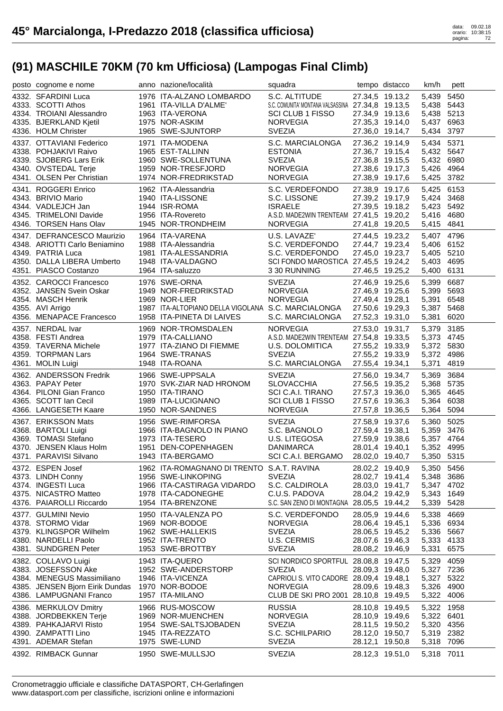| posto cognome e nome                                        | anno nazione/località                              | squadra                                                     |                                    | tempo distacco | km/h                     | pett       |
|-------------------------------------------------------------|----------------------------------------------------|-------------------------------------------------------------|------------------------------------|----------------|--------------------------|------------|
| 4332. SFARDINI Luca                                         | 1976 ITA-ALZANO LOMBARDO                           | S.C. ALTITUDE                                               | 27.34,5 19.13,2                    |                | 5,439                    | 5450       |
| 4333. SCOTTI Athos                                          | 1961 ITA-VILLA D'ALME'                             | S.C. COMUNITA' MONTANA VALSASSINA 27.34,8 19.13,5           |                                    |                | 5,438 5443               |            |
| 4334. TROIANI Alessandro                                    | 1963 ITA-VERONA                                    | <b>SCI CLUB 1 FISSO</b>                                     | 27.34,9 19.13,6                    |                | 5,438 5213               |            |
| 4335. BJERKLAND Kjetil                                      | 1975 NOR-ASKIM                                     | <b>NORVEGIA</b>                                             | 27.35,3 19.14,0                    |                | 5,437 6963               |            |
| 4336. HOLM Christer                                         | 1965 SWE-SJUNTORP                                  | <b>SVEZIA</b>                                               | 27.36,0 19.14,7                    |                | 5,434                    | 3797       |
| 4337. OTTAVIANI Federico                                    | 1971 ITA-MODENA                                    | S.C. MARCIALONGA                                            | 27.36,2 19.14,9                    |                | 5,434                    | 5371       |
| 4338. POHJAKIVI Raivo                                       | 1965 EST-TALLINN                                   | <b>ESTONIA</b>                                              | 27.36,7 19.15,4                    |                | 5,432 5647               |            |
| 4339. SJOBERG Lars Erik                                     | 1960 SWE-SOLLENTUNA                                | <b>SVEZIA</b>                                               | 27.36,8 19.15,5                    |                | 5,432 6980               |            |
| 4340. OVSTEDAL Terje                                        | 1959 NOR-TRESFJORD                                 | <b>NORVEGIA</b>                                             | 27.38,6 19.17,3                    |                | 5,426 4964               |            |
| 4341. OLSEN Per Christian                                   | 1974 NOR-FREDRIKSTAD                               | <b>NORVEGIA</b>                                             | 27.38,9 19.17,6                    |                | 5,425 3782               |            |
| 4341. ROGGERI Enrico                                        | 1962 ITA-Alessandria                               | S.C. VERDEFONDO                                             | 27.38,9 19.17,6                    |                | 5,425 6153               |            |
| 4343. BRIVIO Mario                                          | 1940 ITA-LISSONE                                   | S.C. LISSONE                                                | 27.39,2 19.17,9                    |                | 5,424 3468               |            |
| 4344. VADLEJCH Jan<br>4345. TRIMELONI Davide                | 1944 ISR-ROMA<br>1956 ITA-Rovereto                 | <b>ISRAELE</b>                                              | 27.39,5 19.18,2                    |                | 5,423 5492<br>5,416 4680 |            |
| 4346. TORSEN Hans Olav                                      | 1945 NOR-TRONDHEIM                                 | A.S.D. MADE2WIN TRENTEAM 27.41,5 19.20,2<br><b>NORVEGIA</b> | 27.41,8 19.20,5                    |                | 5,415 4841               |            |
|                                                             |                                                    |                                                             |                                    |                |                          |            |
| 4347. DEFRANCESCO Maurizio<br>4348. ARIOTTI Carlo Beniamino | 1964 ITA-VARENA<br>1988 ITA-Alessandria            | U.S. LAVAZE'<br>S.C. VERDEFONDO                             | 27.44,5 19.23,2<br>27.44,7 19.23,4 |                | 5,407 4796<br>5,406 6152 |            |
| 4349. PATRIA Luca                                           | 1981 ITA-ALESSANDRIA                               | S.C. VERDEFONDO                                             | 27.45,0 19.23,7                    |                | 5,405 5210               |            |
| 4350. DALLA LIBERA Umberto                                  | 1948 ITA-VALDAGNO                                  | SCI FONDO MAROSTICA 27.45,5 19.24,2                         |                                    |                | 5,403 4695               |            |
| 4351. PIASCO Costanzo                                       | 1964 ITA-saluzzo                                   | 3 30 RUNNING                                                | 27.46,5 19.25,2                    |                | 5,400 6131               |            |
| 4352. CAROCCI Francesco                                     | 1976 SWE-ORNA                                      | <b>SVEZIA</b>                                               | 27.46,9 19.25,6                    |                | 5,399                    | 6687       |
| 4352. JANSEN Svein Oskar                                    | 1949 NOR-FREDRIKSTAD                               | <b>NORVEGIA</b>                                             | 27.46,9 19.25,6                    |                | 5,399                    | 5693       |
| 4354. MASCH Henrik                                          | 1969 NOR-LIER                                      | <b>NORVEGIA</b>                                             | 27.49,4 19.28,1                    |                | 5,391                    | 6548       |
| 4355. AVI Arrigo                                            | 1987 ITA-ALTOPIANO DELLA VIGOLANA S.C. MARCIALONGA |                                                             | 27.50,6 19.29,3                    |                | 5,387                    | 5468       |
| 4356. MENAPACE Francesco                                    | 1958 ITA-PINETA DI LAIVES                          | S.C. MARCIALONGA                                            | 27.52,3 19.31,0                    |                | 5,381                    | 6020       |
| 4357. NERDAL Ivar                                           | 1969 NOR-TROMSDALEN                                | <b>NORVEGIA</b>                                             | 27.53,0 19.31,7                    |                | 5,379                    | 3185       |
| 4358. FESTI Andrea                                          | 1979 ITA-CALLIANO                                  | A.S.D. MADE2WIN TRENTEAM 27.54,8 19.33,5                    |                                    |                | 5,373 4745               |            |
| 4359. TAVERNA Michele                                       | 1977 ITA-ZIANO DI FIEMME                           | U.S. DOLOMITICA                                             | 27.55,2 19.33,9                    |                | 5,372 5830               |            |
| 4359. TORPMAN Lars                                          | 1964 SWE-TRANAS                                    | <b>SVEZIA</b>                                               | 27.55,2 19.33,9                    |                | 5,372 4986               |            |
| 4361. MOLIN Luigi                                           | 1948 ITA-ROANA                                     | S.C. MARCIALONGA                                            | 27.55,4 19.34,1                    |                | 5,371                    | 4819       |
| 4362. ANDERSSON Fredrik                                     | 1966 SWE-UPPSALA                                   | <b>SVEZIA</b>                                               | 27.56,0 19.34,7                    |                | 5,369                    | 3684       |
| 4363. PAPAY Peter                                           | 1970 SVK-ZIAR NAD HRONOM                           | <b>SLOVACCHIA</b>                                           | 27.56,5 19.35,2                    |                | 5,368 5735               |            |
| 4364. PILONI Gian Franco                                    | 1950 ITA-TIRANO                                    | SCI C.A.I. TIRANO                                           | 27.57,3 19.36,0                    |                | 5,365                    | 4645       |
| 4365. SCOTT Ian Cecil                                       | 1989 ITA-LUCIGNANO                                 | SCI CLUB 1 FISSO                                            | 27.57,6 19.36,3                    |                | 5,364                    | 6038       |
| 4366. LANGESETH Kaare                                       | 1950 NOR-SANDNES                                   | <b>NORVEGIA</b>                                             | 27.57,8 19.36,5                    |                | 5,364                    | 5094       |
| 4367. ERIKSSON Mats                                         |                                                    | <b>SVEZIA</b>                                               |                                    |                |                          | 5,360 5025 |
|                                                             | 1956 SWE-RIMFORSA                                  |                                                             | 27.58,9 19.37,6                    |                |                          |            |
| 4368. BARTOLI Luigi                                         | 1966 ITA-BAGNOLO IN PIANO                          | S.C. BAGNOLO                                                | 27.59,4 19.38,1                    |                | 5,359 3476               |            |
| 4369. TOMASI Stefano                                        | 1973 ITA-TESERO                                    | U.S. LITEGOSA                                               | 27.59,9 19.38,6                    |                | 5,357 4764               |            |
| 4370. JENSEN Klaus Holm                                     | 1951 DEN-COPENHAGEN                                | <b>DANIMARCA</b>                                            | 28.01,4 19.40,1                    |                | 5,352 4995               |            |
| 4371. PARAVISI Silvano                                      | 1943 ITA-BERGAMO                                   | SCI C.A.I. BERGAMO 28.02,0 19.40,7                          |                                    |                | 5,350 5315               |            |
| 4372. ESPEN Josef                                           | 1962 ITA-ROMAGNANO DI TRENTO S.A.T. RAVINA         |                                                             | 28.02,2 19.40,9                    |                | 5,350 5456               |            |
| 4373. LINDH Conny                                           | 1956 SWE-LINKOPING                                 | <b>SVEZIA</b>                                               | 28.02,7 19.41,4                    |                | 5,348                    | 3686       |
| 4374. INGESTI Luca                                          | 1966 ITA-CASTIRAGA VIDARDO                         | S.C. CALDIROLA                                              | 28.03,0 19.41,7                    |                | 5,347 4702               |            |
| 4375. NICASTRO Matteo<br>4376. PAIAROLLI Riccardo           | 1978 ITA-CADONEGHE                                 | C.U.S. PADOVA                                               | 28.04,2 19.42,9                    |                | 5,343 1649               |            |
|                                                             | 1954 ITA-BRENZONE                                  | S.C. SAN ZENO DI MONTAGNA 28.05,5 19.44,2                   |                                    |                | 5,339                    | 5428       |
| 4377. GULMINI Nevio                                         | 1950 ITA-VALENZA PO                                | S.C. VERDEFONDO                                             | 28.05,9 19.44,6                    |                | 5,338                    | 4669       |
| 4378. STORMO Vidar                                          | 1969 NOR-BODOE                                     | <b>NORVEGIA</b>                                             | 28.06,4 19.45,1                    |                | 5,336 6934               |            |
| 4379. KLINGSPOR Wilhelm                                     | 1962 SWE-HALLEKIS                                  | <b>SVEZIA</b>                                               | 28.06,5 19.45,2<br>28.07,6 19.46,3 |                | 5,336 5667               |            |
| 4380. NARDELLI Paolo<br>4381. SUNDGREN Peter                | 1952 ITA-TRENTO<br>1953 SWE-BROTTBY                | U.S. CERMIS<br><b>SVEZIA</b>                                | 28.08,2 19.46,9                    |                | 5,333 4133<br>5,331      | 6575       |
|                                                             |                                                    |                                                             |                                    |                |                          |            |
| 4382. COLLAVO Luigi<br>4383. JOSEFSSON Ake                  | 1943 ITA-QUERO<br>1952 SWE-ANDERSTORP              | SCI NORDICO SPORTFUL 28.08,8 19.47,5<br><b>SVEZIA</b>       |                                    |                | 5,329                    | 4059       |
| 4384. MENEGUS Massimiliano                                  | 1946 ITA-VICENZA                                   | CAPRIOLI S. VITO CADORE 28.09,4 19.48,1                     | 28.09,3 19.48,0                    |                | 5,327 7236<br>5,327      | 5322       |
| 4385. JENSEN Bjorn Eirik Dundas                             | 1970 NOR-BODOE                                     | NORVEGIA                                                    | 28.09,6 19.48,3                    |                | 5,326                    | 4900       |
| 4386. LAMPUGNANI Franco                                     | 1957 ITA-MILANO                                    | CLUB DE SKI PRO 2001 28.10,8 19.49,5                        |                                    |                | 5,322                    | 4006       |
| 4386. MERKULOV Dmitry                                       | 1966 RUS-MOSCOW                                    | <b>RUSSIA</b>                                               | 28.10,8 19.49,5                    |                | 5,322 1958               |            |
| 4388. JORDBEKKEN Terje                                      | 1969 NOR-MUENCHEN                                  | <b>NORVEGIA</b>                                             | 28.10,9 19.49,6                    |                | 5,322 6401               |            |
| 4389. PAHKAJARVI Risto                                      | 1954 SWE-SALTSJOBADEN                              | <b>SVEZIA</b>                                               | 28.11,5 19.50,2                    |                | 5,320 4356               |            |
| 4390. ZAMPATTI Lino                                         | 1945 ITA-REZZATO                                   | S.C. SCHILPARIO                                             | 28.12,0 19.50,7                    |                | 5,319 2382               |            |
| 4391. ADEMAR Stefan<br>4392. RIMBACK Gunnar                 | 1975 SWE-LUND<br>1950 SWE-MULLSJO                  | <b>SVEZIA</b><br><b>SVEZIA</b>                              | 28.12,1 19.50,8<br>28.12,3 19.51,0 |                | 5,318 7096<br>5,318 7011 |            |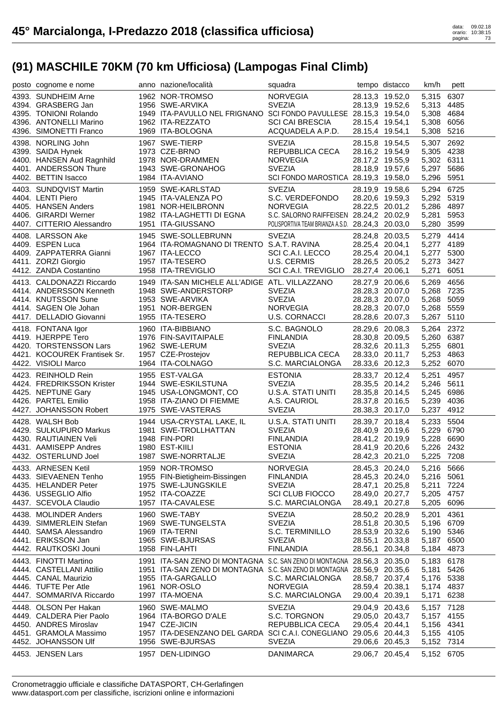| posto cognome e nome                             | anno nazione/località                                                   | squadra                                          |                 | tempo distacco                     | km/h                     | pett |
|--------------------------------------------------|-------------------------------------------------------------------------|--------------------------------------------------|-----------------|------------------------------------|--------------------------|------|
| 4393. SUNDHEIM Arne                              | 1962 NOR-TROMSO                                                         | <b>NORVEGIA</b>                                  |                 | 28.13,3 19.52,0                    | 5,315                    | 6307 |
| 4394. GRASBERG Jan                               | 1956 SWE-ARVIKA                                                         | <b>SVEZIA</b>                                    |                 | 28.13,9 19.52,6                    | 5,313 4485               |      |
| 4395. TONIONI Rolando                            | 1949 ITA-PAVULLO NEL FRIGNANO SCI FONDO PAVULLESE 28.15,3 19.54,0       |                                                  |                 |                                    | 5,308 4684               |      |
| 4396. ANTONELLI Marino                           | 1962 ITA-REZZATO                                                        | <b>SCI CAI BRESCIA</b>                           | 28.15,4 19.54,1 |                                    | 5,308 6056               |      |
| 4396. SIMONETTI Franco                           | 1969 ITA-BOLOGNA                                                        | ACQUADELA A.P.D.                                 | 28.15,4 19.54,1 |                                    | 5,308                    | 5216 |
| 4398. NORLING John                               | 1967 SWE-TIERP                                                          | <b>SVEZIA</b>                                    |                 | 28.15,8 19.54,5                    | 5,307                    | 2692 |
| 4399. SAIDA Hynek                                | 1973 CZE-BRNO                                                           | REPUBBLICA CECA                                  |                 | 28.16,2 19.54,9                    | 5,305 4238               |      |
| 4400. HANSEN Aud Ragnhild                        | 1978 NOR-DRAMMEN                                                        | <b>NORVEGIA</b>                                  |                 | 28.17,2 19.55,9                    | 5,302 6311               |      |
| 4401. ANDERSSON Thure                            | 1943 SWE-GRONAHOG                                                       | <b>SVEZIA</b>                                    |                 | 28.18,9 19.57,6                    | 5,297 5686               |      |
| 4402. BETTIN Isacco                              | 1984 ITA-AVIANO                                                         | SCI FONDO MAROSTICA 28.19,3 19.58,0              |                 |                                    | 5,296 5951               |      |
| 4403. SUNDQVIST Martin                           | 1959 SWE-KARLSTAD                                                       | <b>SVEZIA</b>                                    |                 | 28.19,9 19.58,6                    | 5,294 6725               |      |
| 4404. LENTI Piero                                | 1945 ITA-VALENZA PO                                                     | S.C. VERDEFONDO                                  |                 | 28.20,6 19.59,3                    | 5,292 5319               |      |
| 4405. HANSEN Anders                              | 1981 NOR-HEILBRONN                                                      | <b>NORVEGIA</b>                                  |                 | 28.22,5 20.01,2                    | 5,286 4897               |      |
| 4406. GIRARDI Werner                             | 1982 ITA-LAGHETTI DI EGNA                                               | S.C. SALORNO RAIFFEISEN 28.24,2 20.02,9          |                 |                                    | 5,281                    | 5953 |
| 4407. CITTERIO Alessandro                        | 1951 ITA-GIUSSANO                                                       | POLISPORTIVA TEAM BRIANZA A.S.D. 28.24,3 20.03,0 |                 |                                    | 5,280 3599               |      |
| 4408. LARSSON Ake                                | 1945 SWE-SOLLEBRUNN                                                     | <b>SVEZIA</b>                                    |                 |                                    | 5,279                    | 4414 |
| 4409. ESPEN Luca                                 | 1964 ITA-ROMAGNANO DI TRENTO S.A.T. RAVINA                              |                                                  |                 | 28.24,8 20.03,5<br>28.25,4 20.04,1 | 5,277 4189               |      |
| 4409. ZAPPATERRA Gianni                          | 1967 ITA-LECCO                                                          | SCI C.A.I. LECCO                                 |                 | 28.25,4 20.04,1                    | 5,277 5300               |      |
| 4411. ZORZI Giorgio                              | 1957 ITA-TESERO                                                         | U.S. CERMIS                                      |                 | 28.26,5 20.05,2                    | 5,273                    | 3427 |
| 4412. ZANDA Costantino                           | 1958 ITA-TREVIGLIO                                                      | SCI C.A.I. TREVIGLIO                             | 28.27,4 20.06,1 |                                    | 5,271                    | 6051 |
|                                                  |                                                                         |                                                  |                 |                                    |                          |      |
| 4413. CALDONAZZI Riccardo                        | 1949 ITA-SAN MICHELE ALL'ADIGE ATL. VILLAZZANO                          |                                                  |                 | 28.27,9 20.06,6                    | 5,269                    | 4656 |
| 4414. ANDERSSON Kenneth                          | 1948 SWE-ANDERSTORP                                                     | <b>SVEZIA</b>                                    |                 | 28.28,3 20.07,0                    | 5,268 7235               |      |
| 4414. KNUTSSON Sune                              | 1953 SWE-ARVIKA                                                         | <b>SVEZIA</b>                                    |                 | 28.28,3 20.07,0                    | 5,268 5059               |      |
| 4414. SAGEN Ole Johan                            | 1951 NOR-BERGEN                                                         | <b>NORVEGIA</b><br><b>U.S. CORNACCI</b>          |                 | 28.28,3 20.07,0                    | 5,268 5559               |      |
| 4417. DELLADIO Giovanni                          | 1955 ITA-TESERO                                                         |                                                  |                 | 28.28,6 20.07,3                    | 5,267 5110               |      |
| 4418. FONTANA Igor                               | 1960 ITA-BIBBIANO                                                       | S.C. BAGNOLO                                     |                 | 28.29,6 20.08,3                    | 5,264                    | 2372 |
| 4419. HJERPPE Tero                               | 1976 FIN-SAVITAIPALE                                                    | <b>FINLANDIA</b>                                 |                 | 28.30,8 20.09,5                    | 5,260 6387               |      |
| 4420. TORSTENSSON Lars                           | 1962 SWE-LERUM                                                          | <b>SVEZIA</b>                                    |                 | 28.32,6 20.11,3                    | 5,255 6801               |      |
| 4421. KOCOUREK Frantisek Sr.                     | 1957 CZE-Prostejov                                                      | REPUBBLICA CECA                                  |                 | 28.33,0 20.11,7                    | 5,253 4863               |      |
| 4422. VISIOLI Marco                              | 1964 ITA-COLNAGO                                                        | S.C. MARCIALONGA                                 |                 | 28.33,6 20.12,3                    | 5,252 6070               |      |
| 4423. REINHOLD Rein                              | 1955 EST-VALGA                                                          | <b>ESTONIA</b>                                   |                 | 28.33,7 20.12,4                    | 5,251                    | 4957 |
|                                                  |                                                                         |                                                  |                 |                                    |                          |      |
| 4424. FREDRIKSSON Krister                        | 1944 SWE-ESKILSTUNA                                                     | <b>SVEZIA</b>                                    |                 | 28.35,5 20.14,2                    | 5,246 5611               |      |
| 4425. NEPTUNE Gary                               | 1945 USA-LONGMONT, CO                                                   | U.S.A. STATI UNITI                               |                 | 28.35,8 20.14,5                    | 5,245 6986               |      |
| 4426. PARTEL Emilio                              | 1958 ITA-ZIANO DI FIEMME                                                | A.S. CAURIOL                                     |                 | 28.37,8 20.16,5                    | 5,239                    | 4036 |
| 4427. JOHANSSON Robert                           | 1975 SWE-VASTERAS                                                       | <b>SVEZIA</b>                                    |                 | 28.38,3 20.17,0                    | 5,237 4912               |      |
| 4428. WALSH Bob                                  | 1944 USA-CRYSTAL LAKE, IL                                               | U.S.A. STATI UNITI                               |                 | 28.39,7 20.18,4                    | 5,233 5504               |      |
| 4429. SULKUPURO Markus                           | 1981 SWE-TROLLHATTAN                                                    | <b>SVEZIA</b>                                    |                 | 28.40,9 20.19,6                    | 5,229 6790               |      |
| 4430. RAUTIAINEN Veli                            | 1948 FIN-PORI                                                           | <b>FINLANDIA</b>                                 |                 | 28.41,2 20.19,9                    | 5,228 6690               |      |
| 4431. AAMISEPP Andres                            | 1980 EST-KIILI                                                          | <b>ESTONIA</b>                                   |                 | 28.41,9 20.20,6                    | 5,226 2432               |      |
| 4432. OSTERLUND Joel                             | 1987 SWE-NORRTALJE                                                      | <b>SVEZIA</b>                                    |                 | 28.42,3 20.21,0                    | 5,225 7208               |      |
|                                                  |                                                                         |                                                  |                 |                                    |                          |      |
| 4433. ARNESEN Ketil<br>4433. SIEVAENEN Tenho     | 1959 NOR-TROMSO                                                         | <b>NORVEGIA</b>                                  |                 | 28.45,3 20.24,0                    | 5,216 5666               |      |
| 4435. HELANDER Peter                             | 1955 FIN-Bietigheim-Bissingen<br>1975 SWE-LJUNGSKILE                    | <b>FINLANDIA</b><br><b>SVEZIA</b>                |                 | 28.45,3 20.24,0<br>28.47,1 20.25,8 | 5,216 5061<br>5,211 7224 |      |
| 4436. USSEGLIO Alfio                             | 1952 ITA-COAZZE                                                         | <b>SCI CLUB FIOCCO</b>                           | 28.49,0 20.27,7 |                                    | 5,205                    | 4757 |
| 4437. SCEVOLA Claudio                            | 1957 ITA-CAVALESE                                                       | S.C. MARCIALONGA                                 | 28.49,1 20.27,8 |                                    | 5,205                    | 6096 |
|                                                  |                                                                         |                                                  |                 |                                    |                          |      |
| 4438. MOLINDER Anders                            | 1960 SWE-TABY                                                           | <b>SVEZIA</b>                                    | 28.50,2 20.28,9 |                                    | 5,201                    | 4361 |
| 4439. SIMMERLEIN Stefan                          | 1969 SWE-TUNGELSTA                                                      | <b>SVEZIA</b>                                    |                 | 28.51,8 20.30,5                    | 5,196 6709               |      |
| 4440. SAMSA Alessandro                           | 1969 ITA-TERNI<br>1965 SWE-BJURSAS                                      | S.C. TERMINILLO<br><b>SVEZIA</b>                 |                 | 28.53,9 20.32,6                    | 5,190 5346               |      |
| 4441. ERIKSSON Jan<br>4442. RAUTKOSKI Jouni      | 1958 FIN-LAHTI                                                          | <b>FINLANDIA</b>                                 |                 | 28.55,1 20.33,8<br>28.56,1 20.34,8 | 5,187 6500<br>5,184 4873 |      |
|                                                  |                                                                         |                                                  |                 |                                    |                          |      |
| 4443. FINOTTI Martino                            | 1991 ITA-SAN ZENO DI MONTAGNA S.C. SAN ZENO DI MONTAGNA 28.56,3 20.35,0 |                                                  |                 |                                    | 5,183 6178               |      |
| 4444. CASTELLANI Attilio                         | 1951 ITA-SAN ZENO DI MONTAGNA S.C. SAN ZENO DI MONTAGNA 28.56,9 20.35,6 |                                                  |                 |                                    | 5,181                    | 5426 |
| 4445. CANAL Maurizio                             | 1955 ITA-GARGALLO                                                       | S.C. MARCIALONGA                                 |                 | 28.58,7 20.37,4                    | 5,176 5338               |      |
| 4446. TUFTE Per Atle<br>4447. SOMMARIVA Riccardo | 1961 NOR-OSLO                                                           | <b>NORVEGIA</b>                                  | 28.59,4 20.38,1 |                                    | 5,174 4837               |      |
|                                                  | 1997 ITA-MOENA                                                          | S.C. MARCIALONGA                                 | 29.00,4 20.39,1 |                                    | 5,171                    | 6238 |
| 4448. OLSON Per Hakan                            | 1960 SWE-MALMO                                                          | <b>SVEZIA</b>                                    |                 | 29.04,9 20.43,6                    | 5,157 7128               |      |
| 4449. CALDERA Pier Paolo                         | 1964 ITA-BORGO D'ALE                                                    | S.C. TORGNON                                     |                 | 29.05,0 20.43,7                    | 5,157 4155               |      |
| 4450. ANDRES Miroslav                            | 1947 CZE-JICIN                                                          | REPUBBLICA CECA                                  | 29.05,4 20.44,1 |                                    | 5,156 4341               |      |
| 4451. GRAMOLA Massimo                            | 1957 ITA-DESENZANO DEL GARDA SCI C.A.I. CONEGLIANO 29.05,6 20.44,3      |                                                  |                 |                                    | 5,155 4105               |      |
| 4452. JOHANSSON Ulf<br>4453. JENSEN Lars         | 1956 SWE-BJURSAS<br>1957 DEN-LIDINGO                                    | <b>SVEZIA</b><br><b>DANIMARCA</b>                |                 | 29.06,6 20.45,3<br>29.06,7 20.45,4 | 5,152 7314<br>5,152 6705 |      |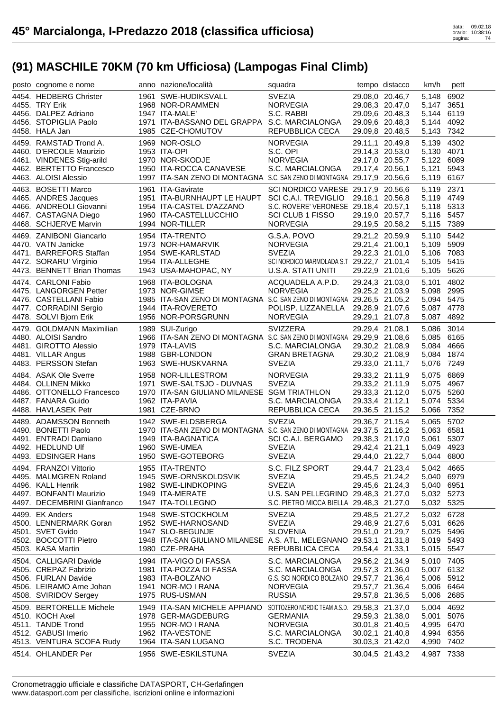| posto cognome e nome                                                                                                                      | anno nazione/località                                                                                                                                                                   | squadra                                                                                                                                                    |                 | tempo distacco                                                                              | km/h                                                                        | pett                         |
|-------------------------------------------------------------------------------------------------------------------------------------------|-----------------------------------------------------------------------------------------------------------------------------------------------------------------------------------------|------------------------------------------------------------------------------------------------------------------------------------------------------------|-----------------|---------------------------------------------------------------------------------------------|-----------------------------------------------------------------------------|------------------------------|
| 4454. HEDBERG Christer<br>4455. TRY Erik<br>4456. DALPEZ Adriano<br>4456. STOPIGLIA Paolo<br>4458. HALA Jan                               | 1961 SWE-HUDIKSVALL<br>1968 NOR-DRAMMEN<br>1947 ITA-MALE'<br>1971 ITA-BASSANO DEL GRAPPA S.C. MARCIALONGA<br>1985 CZE-CHOMUTOV                                                          | <b>SVEZIA</b><br><b>NORVEGIA</b><br>S.C. RABBI<br>REPUBBLICA CECA                                                                                          |                 | 29.08,0 20.46,7<br>29.08,3 20.47,0<br>29.09,6 20.48,3<br>29.09,6 20.48,3<br>29.09,8 20.48,5 | 5,148<br>5,147 3651<br>5,144<br>5,144<br>5,143                              | 6902<br>6119<br>4092<br>7342 |
| 4459. RAMSTAD Trond A.<br>4460. D'ERCOLE Maurizio<br>4461. VINDENES Stig-arild<br>4462. BERTETTO Francesco<br>4463. ALOISI Alessio        | 1969 NOR-OSLO<br>1953 ITA-OPI<br>1970 NOR-SKODJE<br>1950 ITA-ROCCA CANAVESE<br>1997 ITA-SAN ZENO DI MONTAGNA S.C. SAN ZENO DI MONTAGNA 29.17,9 20.56,6                                  | <b>NORVEGIA</b><br>S.C. OPI<br><b>NORVEGIA</b><br>S.C. MARCIALONGA                                                                                         |                 | 29.11,1 20.49,8<br>29.14,3 20.53,0<br>29.17,0 20.55,7<br>29.17,4 20.56,1                    | 5,139<br>5,130 4071<br>5,122 6089<br>5,121<br>5,119 6167                    | 4302<br>5943                 |
| 4463. BOSETTI Marco<br>4465. ANDRES Jacques<br>4466. ANDREOLI Giovanni<br>4467. CASTAGNA Diego<br>4468. SCHJERVE Marvin                   | 1961 ITA-Gavirate<br>1951 ITA-BURNHAUPT LE HAUPT<br>1954 ITA-CASTEL D'AZZANO<br>1960 ITA-CASTELLUCCHIO<br>1994 NOR-TILLER                                                               | SCI NORDICO VARESE 29.17,9 20.56,6<br>SCI C.A.I. TREVIGLIO 29.18,1 20.56,8<br>S.C. ROVERE' VERONESE 29.18,4 20.57,1<br>SCI CLUB 1 FISSO<br><b>NORVEGIA</b> |                 | 29.19,0 20.57,7<br>29.19,5 20.58,2                                                          | 5,119 2371<br>5,119 4749<br>5,118 5313<br>5,116 5457<br>5,115 7389          |                              |
| 4469. ZANIBONI Giancarlo<br>4470. VATN Janicke<br>4471. BARREFORS Staffan<br>4472. SORARU' Virginio<br>4473. BENNETT Brian Thomas         | 1954 ITA-TRENTO<br>1973 NOR-HAMARVIK<br>1954 SWE-KARLSTAD<br>1954 ITA-ALLEGHE<br>1943 USA-MAHOPAC, NY                                                                                   | G.S.A. POVO<br><b>NORVEGIA</b><br><b>SVEZIA</b><br>SCI NORDICO MARMOLADA S.T 29.22,7 21.01,4<br>U.S.A. STATI UNITI                                         |                 | 29.21,2 20.59,9<br>29.21,4 21.00,1<br>29.22,3 21.01,0<br>29.22,9 21.01,6                    | 5,110 5442<br>5,109 5909<br>5,106 7083<br>5,105<br>5,105                    | 5415<br>5626                 |
| 4474. CARLONI Fabio<br>4475. LANGORGEN Petter<br>4476. CASTELLANI Fabio<br>4477. CORRADINI Sergio<br>4478. SOLVI Bjorn Erik               | 1968 ITA-BOLOGNA<br>1973 NOR-GIMSE<br>1985 ITA-SAN ZENO DI MONTAGNA S.C. SAN ZENO DI MONTAGNA 29.26,5 21.05,2<br>1944 ITA-ROVERETO<br>1956 NOR-PORSGRUNN                                | ACQUADELA A.P.D.<br><b>NORVEGIA</b><br>POLISP. LIZZANELLA<br><b>NORVEGIA</b>                                                                               | 29.28,9 21.07,6 | 29.24,3 21.03,0<br>29.25,2 21.03,9<br>29.29,1 21.07,8                                       | 5,101<br>5,098<br>5,094 5475<br>5,087 4778<br>5,087                         | 4802<br>2995<br>4892         |
| 4479. GOLDMANN Maximilian<br>4480. ALOISI Sandro<br>4481. GIROTTO Alessio<br>4481. VILLAR Angus                                           | 1989 SUI-Zurigo<br>1966 ITA-SAN ZENO DI MONTAGNA S.C. SAN ZENO DI MONTAGNA 29.29,9 21.08,6<br>1979 ITA-LAVIS<br>1988 GBR-LONDON                                                         | <b>SVIZZERA</b><br>S.C. MARCIALONGA<br><b>GRAN BRETAGNA</b>                                                                                                | 29.30,2 21.08,9 | 29.29,4 21.08,1<br>29.30,2 21.08,9                                                          | 5,086<br>5,085 6165<br>5,084 4666<br>5,084 1874                             | 3014                         |
| 4483. PERSSON Stefan                                                                                                                      | 1963 SWE-HUSKVARNA                                                                                                                                                                      | <b>SVEZIA</b>                                                                                                                                              |                 | 29.33,0 21.11,7                                                                             | 5,076                                                                       | 7249                         |
| 4484. ASAK Ole Sverre<br>4484. OLLINEN Mikko<br>4486. OTTONELLO Francesco<br>4487. FANARA Guido<br>4488. HAVLASEK Petr                    | 1958 NOR-LILLESTROM<br>1971 SWE-SALTSJO - DUVNAS<br>1970 ITA-SAN GIULIANO MILANESE SGM TRIATHLON<br>1962 ITA-PAVIA<br>1981 CZE-BRNO                                                     | <b>NORVEGIA</b><br><b>SVEZIA</b><br>S.C. MARCIALONGA<br>REPUBBLICA CECA                                                                                    |                 | 29.33,2 21.11,9<br>29.33,2 21.11,9<br>29.33,3 21.12,0<br>29.33,4 21.12,1<br>29.36,5 21.15,2 | 5,075<br>5,075 4967<br>5,075 5260<br>5,074<br>5,066                         | 6869<br>5334<br>7352         |
| 4489. ADAMSSON Benneth<br>4490. BONETTI Paolo<br>4491. ENTRADI Damiano<br>4492. HEDLUND UIf<br>4493. EDSINGER Hans                        | 1942 SWE-ELDSBERGA<br>1970 ITA-SAN ZENO DI MONTAGNA S.C. SAN ZENO DI MONTAGNA 29.37,5 21.16,2<br>1949 ITA-BAGNATICA<br>1960 SWE-UMEA<br>1950 SWE-GOTEBORG                               | <b>SVEZIA</b><br>SCI C.A.I. BERGAMO<br><b>SVEZIA</b><br>SVEZIA                                                                                             | 29.42,4 21.21,1 | 29.36,7 21.15,4<br>29.38,3 21.17,0<br>29.44,0 21.22,7                                       | 5,065 5702<br>5,063 6581<br>5,061<br>5,049 4923<br>5,044 6800               | 5307                         |
| 4494. FRANZOI Vittorio<br>4495. MALMGREN Roland<br>4496. KALL Henrik<br>4497. BONFANTI Maurizio<br>4497. DECEMBRINI Gianfranco            | 1955 ITA-TRENTO<br>1945 SWE-ORNSKOLDSVIK<br>1982 SWE-LINDKOPING<br>1949 ITA-MERATE<br>1947 ITA-TOLLEGNO                                                                                 | S.C. FILZ SPORT<br><b>SVEZIA</b><br><b>SVEZIA</b><br>U.S. SAN PELLEGRINO 29.48,3 21.27,0<br>S.C. PIETRO MICCA BIELLA 29.48,3 21.27,0                       |                 | 29.44,7 21.23,4<br>29.45,5 21.24,2<br>29.45,6 21.24,3                                       | 5,042 4665<br>5,040 6979<br>5,040 6951<br>5,032 5273<br>5,032 5325          |                              |
| 4499. EK Anders<br>4500. LENNERMARK Goran<br>4501. SVET Gvido<br>4502. BOCCOTTI Pietro<br>4503. KASA Martin                               | 1948 SWE-STOCKHOLM<br>1952 SWE-HARNOSAND<br>1947 SLO-BEGUNJE<br>1948 ITA-SAN GIULIANO MILANESE A.S. ATL. MELEGNANO 29.53,1 21.31,8<br>1980 CZE-PRAHA                                    | <b>SVEZIA</b><br><b>SVEZIA</b><br>SLOVENIA<br>REPUBBLICA CECA                                                                                              |                 | 29.48,5 21.27,2<br>29.48,9 21.27,6<br>29.51,0 21.29,7<br>29.54,4 21.33,1                    | 5,032 6728<br>5,031<br>5,025 5496<br>5,019 5493<br>5,015 5547               | 6626                         |
| 4504. CALLIGARI Davide<br>4505. CREPAZ Fabrizio<br>4506. FURLAN Davide<br>4506. LEIRAMO Arne Johan<br>4508. SVIRIDOV Sergey               | 1994 ITA-VIGO DI FASSA<br>1981 ITA-POZZA DI FASSA<br>1983 ITA-BOLZANO<br>1941 NOR-MO I RANA<br>1975 RUS-USMAN                                                                           | S.C. MARCIALONGA<br>S.C. MARCIALONGA<br>G.S. SCI NORDICO BOLZANO 29.57,7 21.36,4<br><b>NORVEGIA</b><br><b>RUSSIA</b>                                       |                 | 29.56,2 21.34,9<br>29.57,3 21.36,0<br>29.57,7 21.36,4<br>29.57,8 21.36,5                    | 5,010 7405<br>5,007 6132<br>5,006 5912<br>5,006 6464<br>5,006 2685          |                              |
| 4509. BERTORELLE Michele<br>4510. KOCH Axel<br>4511. TANDE Trond<br>4512. GABUSI Imerio<br>4513. VENTURA SCOFA Rudy<br>4514. OHLANDER Per | 1949 ITA-SAN MICHELE APPIANO SOTTOZERO NORDIC TEAM A.S.D. 29.58,3 21.37,0<br>1978 GER-MAGDEBURG<br>1955 NOR-MO I RANA<br>1962 ITA-VESTONE<br>1964 ITA-SAN LUGANO<br>1956 SWE-ESKILSTUNA | <b>GERMANIA</b><br><b>NORVEGIA</b><br>S.C. MARCIALONGA<br>S.C. TRODENA<br><b>SVEZIA</b>                                                                    | 30.01,8 21.40,5 | 29.59,3 21.38,0<br>30.02,1 21.40,8<br>30.03,3 21.42,0<br>30.04,5 21.43,2                    | 5,004 4692<br>5,001<br>4,995 6470<br>4,994 6356<br>4,990 7402<br>4,987 7338 | 5076                         |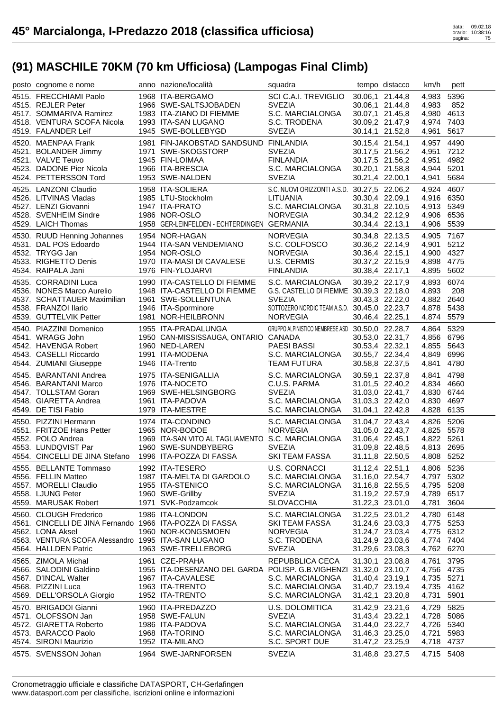| posto cognome e nome                                    | anno nazione/località                                                                  | squadra                                                       |                                    | tempo distacco                     | km/h                     | pett         |
|---------------------------------------------------------|----------------------------------------------------------------------------------------|---------------------------------------------------------------|------------------------------------|------------------------------------|--------------------------|--------------|
| 4515. FRECCHIAMI Paolo                                  | 1968 ITA-BERGAMO                                                                       | SCI C.A.I. TREVIGLIO                                          |                                    | 30.06,1 21.44,8                    | 4,983                    | 5396         |
| 4515. REJLER Peter                                      | 1966 SWE-SALTSJOBADEN                                                                  | <b>SVEZIA</b>                                                 |                                    | 30.06,1 21.44,8                    | 4,983                    | 852          |
| 4517. SOMMARIVA Ramirez                                 | 1983 ITA-ZIANO DI FIEMME<br>1993 ITA-SAN LUGANO                                        | S.C. MARCIALONGA                                              | 30.07,1 21.45,8<br>30.09,2 21.47,9 |                                    | 4,980 4613               |              |
| 4518. VENTURA SCOFA Nicola<br>4519. FALANDER Leif       | 1945 SWE-BOLLEBYGD                                                                     | S.C. TRODENA<br><b>SVEZIA</b>                                 | 30.14,1 21.52,8                    |                                    | 4,974 7403<br>4,961      | 5617         |
| 4520. MAENPAA Frank                                     | 1981 FIN-JAKOBSTAD SANDSUND FINLANDIA                                                  |                                                               | 30.15,4 21.54,1                    |                                    | 4,957                    | 4490         |
| 4521. BOLANDER Jimmy                                    | 1971 SWE-SKOGSTORP                                                                     | <b>SVEZIA</b>                                                 |                                    | 30.17,5 21.56,2                    | 4,951                    | 7212         |
| 4521. VALVE Teuvo                                       | 1945 FIN-LOIMAA                                                                        | <b>FINLANDIA</b>                                              |                                    | 30.17,5 21.56,2                    | 4,951                    | 4982         |
| 4523. DADONE Pier Nicola                                | 1966 ITA-BRESCIA                                                                       | S.C. MARCIALONGA                                              | 30.20,1 21.58,8                    |                                    | 4,944                    | 5201         |
| 4524. PETTERSSON Tord                                   | 1953 SWE-NALDEN                                                                        | <b>SVEZIA</b>                                                 | 30.21,4 22.00,1                    |                                    | 4,941                    | 5684         |
| 4525. LANZONI Claudio                                   | 1958 ITA-SOLIERA<br>1985 LTU-Stockholm<br>1947 ITA-PRATO<br>1986 NOR-OSLO              | S.C. NUOVI ORIZZONTI A.S.D. 30.27,5 22.06,2                   |                                    |                                    | 4,924 4607               |              |
| 4526. LITVINAS Vladas                                   |                                                                                        | LITUANIA                                                      |                                    | 30.30,4 22.09,1                    | 4,916 6350               |              |
| 4527. LENZI Giovanni<br>4528. SVENHEIM Sindre           | 1986 NOR-OSLO                                                                          | S.C. MARCIALONGA<br><b>NORVEGIA</b>                           | 30.31,8 22.10,5<br>30.34,2 22.12,9 |                                    | 4,913 5349<br>4,906 6536 |              |
| 4529. LAICH Thomas                                      | 1958 GER-LEINFELDEN - ECHTERDINGEN GERMANIA                                            |                                                               | 30.34,4 22.13,1                    |                                    | 4,906 5539               |              |
| 4530. RUUD Henning Johannes                             | 1954 NOR-HAGAN                                                                         | <b>NORVEGIA</b>                                               | 30.34,8 22.13,5                    |                                    | 4,905 7167               |              |
| 4531. DAL POS Edoardo                                   | 1944 ITA-SAN VENDEMIANO                                                                | S.C. COLFOSCO                                                 |                                    | 30.36,2 22.14,9                    | 4,901                    | 5212         |
| 4532. TRYGG Jan                                         | 1954 NOR-OSLO                                                                          | <b>NORVEGIA</b>                                               | 30.36,4 22.15,1                    |                                    | 4,900 4327               |              |
| 4533. RIGHETTO Denis                                    | 1970 ITA-MASI DI CAVALESE                                                              | U.S. CERMIS                                                   | 30.37,2 22.15,9                    |                                    | 4,898 4775               |              |
| 4534. RAIPALA Jani                                      | 1976 FIN-YLOJARVI                                                                      | <b>FINLANDIA</b>                                              | 30.38,4 22.17,1                    |                                    | 4,895 5602               |              |
| 4535. CORRADINI Luca                                    | 1990 ITA-CASTELLO DI FIEMME                                                            | S.C. MARCIALONGA                                              | 30.39,2 22.17,9                    |                                    | 4,893                    | 6074         |
| 4536. NONES Marco Aurelio                               | 1948 ITA-CASTELLO DI FIEMME                                                            | G.S. CASTELLO DI FIEMME 30.39,3 22.18,0                       |                                    |                                    | 4,893                    | 208          |
| 4537. SCHATTAUER Maximilian<br>4538. FRANZOI Ilario     | 1961 SWE-SOLLENTUNA<br>1946 ITA-Sporminore                                             | <b>SVEZIA</b><br>SOTTOZERO NORDIC TEAM A.S.D. 30.45,0 22.23,7 |                                    | 30.43,3 22.22,0                    | 4,882 2640<br>4,878      | 5438         |
| 4539. GUTTELVIK Petter                                  | 1981 NOR-HEILBRONN                                                                     | <b>NORVEGIA</b>                                               | 30.46,4 22.25,1                    |                                    | 4,874 5579               |              |
| 4540. PIAZZINI Domenico                                 | 1955 ITA-PRADALUNGA                                                                    | GRUPPO ALPINISTICO NEMBRESE ASD 30.50,0 22.28,7               |                                    |                                    | 4,864                    | 5329         |
| 4541. WRAGG John                                        | 1950 CAN-MISSISSAUGA, ONTARIO CANADA                                                   |                                                               |                                    | 30.53,0 22.31,7                    | 4,856 6796               |              |
| 4542. HAVENGA Robert                                    | 1960 NED-LAREN                                                                         | <b>PAESI BASSI</b>                                            | 30.53,4 22.32,1                    |                                    | 4,855 5643               |              |
| 4543. CASELLI Riccardo                                  | 1991 ITA-MODENA                                                                        | S.C. MARCIALONGA                                              | 30.55,7 22.34,4                    |                                    | 4,849                    | 6996         |
| 4544. ZUMIANI Giuseppe                                  | 1946 ITA-Trento                                                                        | <b>TEAM FUTURA</b>                                            | 30.58,8 22.37,5                    |                                    | 4,841                    | 4780         |
|                                                         |                                                                                        |                                                               |                                    |                                    |                          |              |
| 4545. BARANTANI Andrea                                  | 1975 ITA-SENIGALLIA                                                                    | S.C. MARCIALONGA                                              | 30.59,1 22.37,8                    |                                    | 4,841                    | 4798         |
| 4546. BARANTANI Marco                                   | 1976 ITA-NOCETO                                                                        | C.U.S. PARMA                                                  |                                    | 31.01,5 22.40,2                    | 4,834                    | 4660         |
| 4547. TOLLSTAM Goran                                    | 1969 SWE-HELSINGBORG                                                                   | <b>SVEZIA</b>                                                 |                                    | 31.03,0 22.41,7                    | 4,830 6744               |              |
| 4548. GIARETTA Andrea<br>4549. DE TISI Fabio            | 1961 ITA-PADOVA<br>1979 ITA-MESTRE                                                     | S.C. MARCIALONGA<br>S.C. MARCIALONGA                          | 31.03,3 22.42,0<br>31.04,1 22.42,8 |                                    | 4,830 4697<br>4,828 6135 |              |
| 4550. PIZZINI Hermann                                   | 1974 ITA-CONDINO                                                                       |                                                               |                                    |                                    |                          |              |
| 4551. FRITZOE Hans Petter                               | 1965 NOR-BODOE                                                                         | S.C. MARCIALONGA<br><b>NORVEGIA</b>                           |                                    | 31.04,7 22.43,4<br>31.05,0 22.43,7 | 4,826 5206<br>4,825 5578 |              |
| 4552. POLO Andrea                                       | 1969 ITA-SAN VITO AL TAGLIAMENTO S.C. MARCIALONGA                                      |                                                               | 31.06,4 22.45,1                    |                                    | 4,822 5261               |              |
| 4553. LUNDQVIST Par                                     | 1960 SWE-SUNDBYBERG                                                                    | <b>SVEZIA</b>                                                 | 31.09,8 22.48,5                    |                                    | 4,813 2695               |              |
| 4554. CINCELLI DE JINA Stefano 1996 ITA-POZZA DI FASSA  |                                                                                        | SKI TEAM FASSA                                                |                                    | 31.11,8 22.50,5                    | 4,808 5252               |              |
| 4555. BELLANTE Tommaso                                  | 1992 ITA-TESERO                                                                        | U.S. CORNACCI                                                 | 31.12,4 22.51,1                    |                                    | 4,806 5236               |              |
| 4556. FELLIN Matteo                                     | 1987 ITA-MELTA DI GARDOLO                                                              | S.C. MARCIALONGA                                              | 31.16,0 22.54,7                    |                                    | 4,797                    | 5302         |
| 4557. MORELLI Claudio<br>4558. LJUNG Peter              | 1955 ITA-STENICO<br>1960 SWE-Grillby                                                   | S.C. MARCIALONGA<br><b>SVEZIA</b>                             | 31.16,8 22.55,5<br>31.19,2 22.57,9 |                                    | 4,795<br>4,789           | 5208<br>6517 |
| 4559. MARUSAK Robert                                    | 1971 SVK-Podzamcok                                                                     | <b>SLOVACCHIA</b>                                             | 31.22,3 23.01,0                    |                                    | 4,781                    | 3604         |
| 4560. CLOUGH Frederico                                  | 1986 ITA-LONDON                                                                        | S.C. MARCIALONGA                                              | 31.22,5 23.01,2                    |                                    | 4,780                    | 6148         |
| 4561. CINCELLI DE JINA Fernando 1966 ITA-POZZA DI FASSA |                                                                                        | <b>SKI TEAM FASSA</b>                                         | 31.24,6 23.03,3                    |                                    | 4,775 5253               |              |
| 4562. LONA Aksel                                        | 1960 NOR-KONGSMOEN                                                                     | <b>NORVEGIA</b>                                               | 31.24,7 23.03,4                    |                                    | 4,775 6312               |              |
| 4563. VENTURA SCOFA Alessandro 1995 ITA-SAN LUGANO      |                                                                                        | S.C. TRODENA                                                  | 31.24,9 23.03,6                    |                                    | 4,774 7404               |              |
| 4564. HALLDEN Patric                                    | 1963 SWE-TRELLEBORG                                                                    | <b>SVEZIA</b>                                                 | 31.29,6 23.08,3                    |                                    | 4,762 6270               |              |
| 4565. ZIMOLA Michal                                     | 1961 CZE-PRAHA                                                                         | REPUBBLICA CECA                                               | 31.30,1 23.08,8                    |                                    | 4,761                    | 3795         |
| 4566. SALODINI Galdino<br>4567. D'INCAL Walter          | 1955 ITA-DESENZANO DEL GARDA POLISP. G.B.VIGHENZI 31.32,0 23.10,7<br>1967 ITA-CAVALESE | S.C. MARCIALONGA                                              | 31.40,4 23.19,1                    |                                    | 4,756<br>4,735           | 4735<br>5271 |
| 4568. PIZZINI Luca                                      | 1963 ITA-TRENTO                                                                        | S.C. MARCIALONGA                                              | 31.40,7 23.19,4                    |                                    | 4,735                    | 4162         |
| 4569. DELL'ORSOLA Giorgio                               | 1952 ITA-TRENTO                                                                        | S.C. MARCIALONGA                                              | 31.42,1 23.20,8                    |                                    | 4,731                    | 5901         |
| 4570. BRIGADOI Gianni                                   | 1960 ITA-PREDAZZO                                                                      | U.S. DOLOMITICA                                               | 31.42,9 23.21,6                    |                                    | 4,729                    | 5825         |
| 4571. OLOFSSON Jan                                      | 1958 SWE-FALUN                                                                         | <b>SVEZIA</b>                                                 | 31.43,4 23.22,1                    |                                    | 4,728                    | 5086         |
| 4572. GIARETTA Roberto                                  | 1986 ITA-PADOVA                                                                        | S.C. MARCIALONGA                                              | 31.44,0 23.22,7                    |                                    | 4,726                    | 5340         |
| 4573. BARACCO Paolo                                     | 1968 ITA-TORINO                                                                        | S.C. MARCIALONGA                                              | 31.46,3 23.25,0                    |                                    | 4,721<br>4,718           | 5983         |
| 4574. SIRONI Maurizio<br>4575. SVENSSON Johan           | 1952 ITA-MILANO<br>1964 SWE-JARNFORSEN                                                 | S.C. SPORT DUE<br><b>SVEZIA</b>                               | 31.47,2 23.25,9<br>31.48,8 23.27,5 |                                    | 4,715                    | 4737<br>5408 |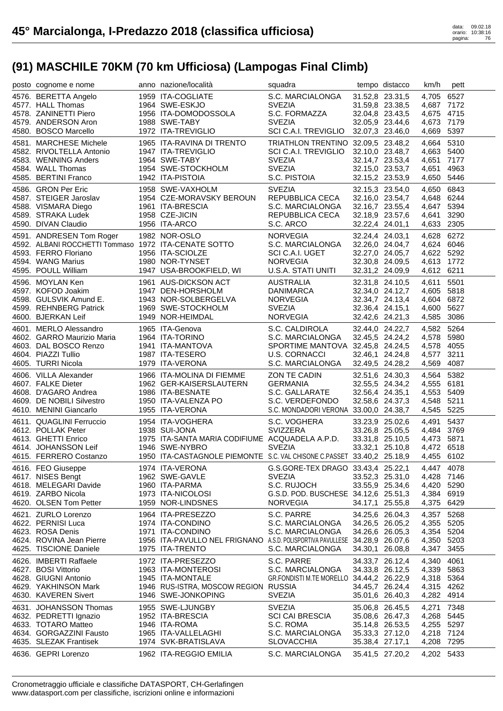| posto cognome e nome                                                          | anno nazione/località                                                       | squadra                                  |                 | tempo distacco  | km/h                | pett |
|-------------------------------------------------------------------------------|-----------------------------------------------------------------------------|------------------------------------------|-----------------|-----------------|---------------------|------|
| 4576. BERETTA Angelo                                                          | 1959 ITA-COGLIATE                                                           | S.C. MARCIALONGA                         |                 | 31.52,8 23.31,5 | 4,705 6527          |      |
| 4577. HALL Thomas                                                             | 1964 SWE-ESKJO                                                              | <b>SVEZIA</b>                            |                 | 31.59,8 23.38,5 | 4,687 7172          |      |
| 4578. ZANINETTI Piero                                                         | 1956 ITA-DOMODOSSOLA                                                        | S.C. FORMAZZA                            |                 | 32.04,8 23.43,5 | 4,675 4715          |      |
| 4579. ANDERSON Aron                                                           | 1988 SWE-TABY                                                               | <b>SVEZIA</b>                            |                 | 32.05,9 23.44,6 | 4,673 7179          |      |
| 4580. BOSCO Marcello                                                          | 1972 ITA-TREVIGLIO                                                          | SCI C.A.I. TREVIGLIO                     |                 | 32.07,3 23.46,0 | 4,669 5397          |      |
| 4581. MARCHESE Michele                                                        | 1965 ITA-RAVINA DI TRENTO                                                   | TRIATHLON TRENTINO 32.09,5 23.48,2       |                 |                 | 4,664 5310          |      |
| 4582. RIVOLTELLA Antonio                                                      | 1947 ITA-TREVIGLIO                                                          | SCI C.A.I. TREVIGLIO                     |                 | 32.10,0 23.48,7 | 4,663 5400          |      |
| 4583. WENNING Anders                                                          | 1964 SWE-TABY                                                               | <b>SVEZIA</b>                            |                 | 32.14,7 23.53,4 | 4,651 7177          |      |
| 4584. WALL Thomas                                                             | 1954 SWE-STOCKHOLM                                                          | <b>SVEZIA</b>                            |                 | 32.15,0 23.53,7 | 4,651               | 4963 |
| 4585. BERTINI Franco                                                          | 1942 ITA-PISTOIA                                                            | S.C. PISTOIA                             |                 | 32.15,2 23.53,9 | 4,650 5446          |      |
| 4586. GRON Per Eric                                                           | 1958 SWE-VAXHOLM                                                            | <b>SVEZIA</b>                            |                 | 32.15,3 23.54,0 | 4,650 6843          |      |
| 4587. STEIGER Jaroslav                                                        | 1954 CZE-MORAVSKY BEROUN                                                    | REPUBBLICA CECA                          |                 | 32.16,0 23.54,7 | 4,648 6244          |      |
| 4588. VISMARA Diego                                                           | 1961 ITA-BRESCIA                                                            | S.C. MARCIALONGA                         |                 | 32.16,7 23.55,4 | 4,647 5394          |      |
| 4589. STRAKA Ludek                                                            | 1958 CZE-JICIN                                                              | REPUBBLICA CECA                          |                 | 32.18,9 23.57,6 | 4,641               | 3290 |
| 4590. DIVAN Claudio                                                           | 1956 ITA-ARCO                                                               | S.C. ARCO                                |                 | 32.22,4 24.01,1 | 4,633 2305          |      |
| 4591. ANDRESEN Tom Roger                                                      | 1982 NOR-OSLO                                                               | <b>NORVEGIA</b>                          |                 | 32.24,4 24.03,1 | 4,628 6272          |      |
| 4592. ALBANI ROCCHETTI Tommaso 1972 ITA-CENATE SOTTO                          |                                                                             | S.C. MARCIALONGA                         |                 | 32.26,0 24.04,7 | 4,624 6046          |      |
| 4593. FERRO Floriano                                                          | 1956 ITA-SCIOLZE                                                            | SCI C.A.I. UGET                          |                 | 32.27,0 24.05,7 | 4,622 5292          |      |
| 4594. WANG Marius                                                             | 1980 NOR-TYNSET                                                             | <b>NORVEGIA</b>                          |                 | 32.30,8 24.09,5 | 4,613 1772          |      |
| 4595. POULL William                                                           | 1947 USA-BROOKFIELD, WI                                                     | U.S.A. STATI UNITI                       |                 | 32.31,2 24.09,9 | 4,612 6211          |      |
| 4596. MOYLAN Ken                                                              | 1961 AUS-DICKSON ACT                                                        | AUSTRALIA                                |                 | 32.31,8 24.10,5 | 4,611               | 5501 |
| 4597. KOFOD Joakim                                                            | 1947 DEN-HORSHOLM                                                           | DANIMARCA                                |                 | 32.34,0 24.12,7 | 4,605 5818          |      |
| 4598. GULSVIK Amund E.                                                        | 1943 NOR-SOLBERGELVA                                                        | NORVEGIA                                 |                 | 32.34,7 24.13,4 | 4,604 6872          |      |
| 4599. REHNBERG Patrick                                                        | 1969 SWE-STOCKHOLM                                                          | <b>SVEZIA</b>                            |                 | 32.36,4 24.15,1 | 4,600 5627          |      |
| 4600. BJERKAN Leif                                                            | 1949 NOR-HEIMDAL                                                            | <b>NORVEGIA</b>                          |                 | 32.42,6 24.21,3 | 4,585 3086          |      |
|                                                                               | 1965 ITA-Genova                                                             | S.C. CALDIROLA                           |                 | 32.44,0 24.22,7 | 4,582 5264          |      |
| 4601. MERLO Alessandro<br>4602. GARRO Maurizio Maria<br>4603. DAL BOSCO Renzo | 1964 ITA-TORINO                                                             | S.C. MARCIALONGA                         |                 | 32.45,5 24.24,2 | 4,578 5980          |      |
|                                                                               | 1941 ITA-MANTOVA                                                            | SPORTIME MANTOVA 32.45,8 24.24,5         |                 |                 | 4,578 4055          |      |
| 4604. PIAZZI Tullio                                                           | 1987 ITA-TESERO                                                             | U.S. CORNACCI                            |                 | 32.46,1 24.24,8 | 4,577               | 3211 |
| 4605. TURRI Nicola                                                            | 1979 ITA-VERONA                                                             | S.C. MARCIALONGA                         | 32.49,5 24.28,2 |                 | 4,569               | 4087 |
|                                                                               |                                                                             |                                          |                 |                 |                     |      |
|                                                                               |                                                                             |                                          |                 |                 |                     |      |
| 4606. VILLA Alexander                                                         | 1966 ITA-MOLINA DI FIEMME                                                   | ZON TE CADIN                             |                 | 32.51,6 24.30,3 | 4,564               | 5382 |
| 4607. FALKE Dieter                                                            | 1962 GER-KAISERSLAUTERN                                                     | <b>GERMANIA</b>                          |                 | 32.55,5 24.34,2 | 4,555 6181          |      |
| 4608. D'AGARO Andrea                                                          | 1986 ITA-BESNATE                                                            | S.C. GALLARATE                           |                 | 32.56,4 24.35,1 | 4,553 5409          |      |
| 4609. DE NOBILI Silvestro                                                     | 1950 ITA-VALENZA PO<br>1955 ITA-VERONA                                      | S.C. VERDEFONDO                          |                 | 32.58,6 24.37,3 | 4,548 5211          |      |
| 4610. MENINI Giancarlo                                                        |                                                                             | S.C. MONDADORI VERONA 33.00,0 24.38,7    |                 |                 | 4,545 5225          |      |
| 4611. QUAGLINI Ferruccio                                                      | 1954 ITA-VOGHERA                                                            | S.C. VOGHERA                             |                 | 33.23,9 25.02,6 | 4,491               | 5437 |
| 4612. POLLAK Peter                                                            | 1938 SUI-JONA                                                               | <b>SVIZZERA</b>                          |                 | 33.26,8 25.05,5 | 4.484               | 3769 |
| 4613. GHETTI Enrico                                                           | 1975 ITA-SANTA MARIA CODIFIUME ACQUADELA A.P.D. 33.31,8 25.10,5             |                                          |                 |                 | 4,473 5871          |      |
| 4614. JOHANSSON Leif                                                          | 1946 SWE-NYBRO                                                              | <b>SVEZIA</b>                            |                 | 33.32,1 25.10,8 | 4,472 6518          |      |
| 4615. FERRERO Costanzo                                                        | 1950 ITA-CASTAGNOLE PIEMONTE S.C. VAL CHISONE C.PASSET 33.40,2 25.18,9      |                                          |                 |                 | 4,455 6102          |      |
| 4616. FEO Giuseppe                                                            | 1974 ITA-VERONA                                                             | G.S.GORE-TEX DRAGO 33.43,4 25.22,1       |                 |                 | 4,447 4078          |      |
| 4617. NISES Bengt                                                             | 1962 SWE-GAVLE                                                              | <b>SVEZIA</b>                            |                 | 33.52,3 25.31,0 | 4,428 7146          |      |
| 4618. MELEGARI Davide                                                         | 1960 ITA-PARMA                                                              | S.C. RUJOCH                              |                 | 33.55,9 25.34,6 | 4,420 5290          |      |
| 4619. ZARBO Nicola                                                            | 1973 ITA-NICOLOSI                                                           | G.S.D. POD. BUSCHESE 34.12,6 25.51,3     |                 |                 | 4,384               | 6919 |
| 4620. OLSEN Tom Petter                                                        | 1959 NOR-LINDSNES                                                           | <b>NORVEGIA</b>                          |                 | 34.17,1 25.55,8 | 4,375 6429          |      |
| 4621. ZURLO Lorenzo                                                           | 1964 ITA-PRESEZZO                                                           | S.C. PARRE                               |                 | 34.25,6 26.04,3 | 4,357               | 5268 |
| 4622. PERNISI Luca                                                            | 1974 ITA-CONDINO                                                            | S.C. MARCIALONGA                         |                 | 34.26,5 26.05,2 | 4,355               | 5205 |
| 4623. ROSA Denis                                                              | 1971 ITA-CONDINO                                                            | S.C. MARCIALONGA                         |                 | 34.26,6 26.05,3 | 4,354               | 5204 |
| 4624. ROVINA Jean Pierre                                                      | 1956 ITA-PAVULLO NEL FRIGNANO A.S.D. POLISPORTIVA PAVULLESE 34.28,9 26.07,6 |                                          |                 |                 | 4,350               | 5203 |
| 4625. TISCIONE Daniele                                                        | 1975 ITA-TRENTO                                                             | S.C. MARCIALONGA                         |                 | 34.30,1 26.08,8 | 4,347               | 3455 |
| 4626. IMBERTI Raffaele                                                        | 1972 ITA-PRESEZZO                                                           | S.C. PARRE                               |                 | 34.33,7 26.12,4 | 4,340               | 4061 |
| 4627. BOSI Vittorio                                                           | 1963 ITA-MONTEROSI                                                          | S.C. MARCIALONGA                         |                 | 34.33,8 26.12,5 | 4,339               | 5863 |
| 4628. GIUGNI Antonio                                                          | 1945 ITA-MONTALE                                                            | GR.FONDISTI M.TE MORELLO 34.44,2 26.22,9 |                 |                 | 4,318 5364          |      |
| 4629. YAKHINSON Mark                                                          | 1946 RUS-ISTRA, MOSCOW REGION RUSSIA                                        |                                          |                 | 34.45,7 26.24,4 | 4,315               | 4262 |
| 4630. KAVEREN Sivert                                                          | 1946 SWE-JONKOPING                                                          | <b>SVEZIA</b>                            |                 | 35.01,6 26.40,3 | 4,282 4914          |      |
| 4631. JOHANSSON Thomas                                                        | 1955 SWE-LJUNGBY                                                            | <b>SVEZIA</b>                            |                 | 35.06,8 26.45,5 | 4,271               | 7348 |
| 4632. PEDRETTI Ignazio                                                        | 1952 ITA-BRESCIA                                                            | <b>SCI CAI BRESCIA</b>                   |                 | 35.08,6 26.47,3 | 4,268               | 5445 |
| 4633. TOTARO Matteo                                                           | 1946 ITA-ROMA                                                               | S.C. ROMA                                |                 | 35.14,8 26.53,5 | 4,255 5297          |      |
| 4634. GORGAZZINI Fausto                                                       | 1965 ITA-VALLELAGHI                                                         | S.C. MARCIALONGA                         |                 | 35.33,3 27.12,0 | 4,218 7124          |      |
| 4635. SLEZAK Frantisek<br>4636. GEPRI Lorenzo                                 | 1974 SVK-BRATISLAVA<br>1962 ITA-REGGIO EMILIA                               | <b>SLOVACCHIA</b><br>S.C. MARCIALONGA    | 35.38,4 27.17,1 | 35.41,5 27.20,2 | 4,208<br>4,202 5433 | 7295 |